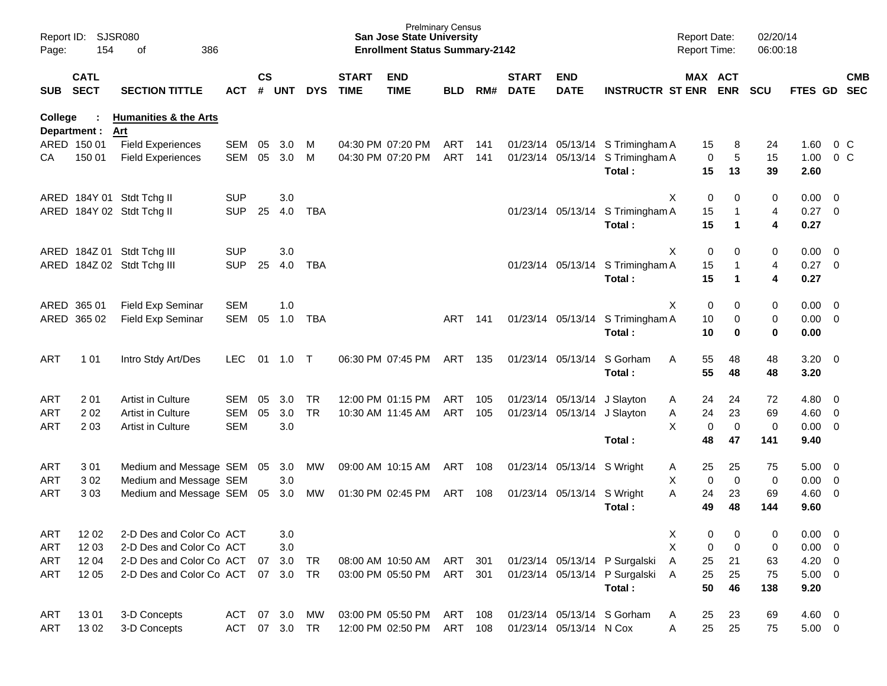| Report ID:<br>Page: | 154                        | SJSR080<br>386<br>οf             |            |                    |            |            |                             | <b>San Jose State University</b><br><b>Enrollment Status Summary-2142</b> | <b>Prelminary Census</b> |     |                             |                            |                               | <b>Report Date:</b><br><b>Report Time:</b> |             | 02/20/14<br>06:00:18 |             |                          |                          |
|---------------------|----------------------------|----------------------------------|------------|--------------------|------------|------------|-----------------------------|---------------------------------------------------------------------------|--------------------------|-----|-----------------------------|----------------------------|-------------------------------|--------------------------------------------|-------------|----------------------|-------------|--------------------------|--------------------------|
| <b>SUB</b>          | <b>CATL</b><br><b>SECT</b> | <b>SECTION TITTLE</b>            | <b>ACT</b> | $\mathsf{cs}$<br># | <b>UNT</b> | <b>DYS</b> | <b>START</b><br><b>TIME</b> | <b>END</b><br><b>TIME</b>                                                 | <b>BLD</b>               | RM# | <b>START</b><br><b>DATE</b> | <b>END</b><br><b>DATE</b>  | <b>INSTRUCTR ST ENR</b>       | MAX ACT                                    | <b>ENR</b>  | <b>SCU</b>           | FTES GD     |                          | <b>CMB</b><br><b>SEC</b> |
| <b>College</b>      |                            | <b>Humanities &amp; the Arts</b> |            |                    |            |            |                             |                                                                           |                          |     |                             |                            |                               |                                            |             |                      |             |                          |                          |
|                     | Department :               | Art                              |            |                    |            |            |                             |                                                                           |                          |     |                             |                            |                               |                                            |             |                      |             |                          |                          |
|                     | ARED 150 01                | <b>Field Experiences</b>         | SEM        | 05                 | 3.0        | M          |                             | 04:30 PM 07:20 PM                                                         | <b>ART</b>               | 141 | 01/23/14                    | 05/13/14                   | S Trimingham A                | 15                                         | 8           | 24                   | 1.60        |                          | 0 <sup>o</sup>           |
| CА                  | 150 01                     | <b>Field Experiences</b>         | <b>SEM</b> | 05                 | 3.0        | M          |                             | 04:30 PM 07:20 PM                                                         | <b>ART</b>               | 141 | 01/23/14                    | 05/13/14                   | S Trimingham A                | 0                                          | 5           | 15                   | 1.00        |                          | 0 <sup>o</sup>           |
|                     |                            |                                  |            |                    |            |            |                             |                                                                           |                          |     |                             |                            | Total:                        | 15                                         | 13          | 39                   | 2.60        |                          |                          |
| ARED                |                            | 184Y 01 Stdt Tchg II             | <b>SUP</b> |                    | 3.0        |            |                             |                                                                           |                          |     |                             |                            |                               | Χ<br>0                                     | 0           | 0                    | 0.00        | $\overline{\mathbf{0}}$  |                          |
| ARED                |                            | 184Y 02 Stdt Tchg II             | <b>SUP</b> | 25                 | 4.0        | <b>TBA</b> |                             |                                                                           |                          |     |                             | 01/23/14 05/13/14          | S Trimingham A                | 15                                         | -1          | 4                    | 0.27        | $\overline{\mathbf{0}}$  |                          |
|                     |                            |                                  |            |                    |            |            |                             |                                                                           |                          |     |                             |                            | Total:                        | 15                                         | 1           | 4                    | 0.27        |                          |                          |
|                     |                            |                                  |            |                    |            |            |                             |                                                                           |                          |     |                             |                            |                               |                                            |             |                      |             |                          |                          |
| ARED                | 184Z 01                    | Stdt Tchg III                    | <b>SUP</b> |                    | 3.0        |            |                             |                                                                           |                          |     |                             |                            |                               | Χ<br>0                                     | 0           | 0                    | 0.00        | $\overline{\mathbf{0}}$  |                          |
| ARED                | 184Z 02                    | Stdt Tchg III                    | <b>SUP</b> | 25                 | 4.0        | <b>TBA</b> |                             |                                                                           |                          |     |                             | 01/23/14 05/13/14          | S Trimingham A                | 15                                         |             | 4                    | 0.27        | $\overline{\mathbf{0}}$  |                          |
|                     |                            |                                  |            |                    |            |            |                             |                                                                           |                          |     |                             |                            | Total:                        | 15                                         | 1           | 4                    | 0.27        |                          |                          |
|                     |                            |                                  |            |                    |            |            |                             |                                                                           |                          |     |                             |                            |                               |                                            |             |                      |             |                          |                          |
| ARED                | 365 01                     | Field Exp Seminar                | <b>SEM</b> |                    | 1.0        |            |                             |                                                                           |                          |     |                             |                            |                               | Χ<br>0                                     | 0           | 0                    | 0.00        | $\overline{0}$           |                          |
| ARED                | 365 02                     | Field Exp Seminar                | SEM        | 05                 | 1.0        | <b>TBA</b> |                             |                                                                           | ART                      | 141 |                             | 01/23/14 05/13/14          | S Trimingham A                | 10                                         | 0           | 0                    | 0.00        | 0                        |                          |
|                     |                            |                                  |            |                    |            |            |                             |                                                                           |                          |     |                             |                            | Total:                        | 10                                         | 0           | 0                    | 0.00        |                          |                          |
| <b>ART</b>          | 1 0 1                      | Intro Stdy Art/Des               | <b>LEC</b> | 01                 | 1.0        | $\top$     |                             | 06:30 PM 07:45 PM                                                         | ART                      | 135 |                             | 01/23/14 05/13/14          | S Gorham                      | 55<br>A                                    | 48          | 48                   | 3.20        | $\overline{\phantom{0}}$ |                          |
|                     |                            |                                  |            |                    |            |            |                             |                                                                           |                          |     |                             |                            | Total:                        | 55                                         | 48          | 48                   | 3.20        |                          |                          |
|                     |                            |                                  |            |                    |            |            |                             |                                                                           |                          |     |                             |                            |                               |                                            |             |                      |             |                          |                          |
| <b>ART</b>          | 201                        | Artist in Culture                | <b>SEM</b> | 05                 | 3.0        | <b>TR</b>  |                             | 12:00 PM 01:15 PM                                                         | <b>ART</b>               | 105 | 01/23/14                    | 05/13/14                   | J Slayton                     | 24<br>A                                    | 24          | 72                   | 4.80        | $\overline{\mathbf{0}}$  |                          |
| <b>ART</b>          | 202                        | Artist in Culture                | <b>SEM</b> | 05                 | 3.0        | <b>TR</b>  |                             | 10:30 AM 11:45 AM                                                         | ART                      | 105 | 01/23/14                    | 05/13/14                   | J Slayton                     | 24<br>Α                                    | 23          | 69                   | 4.60        | 0                        |                          |
| <b>ART</b>          | 2 0 3                      | Artist in Culture                | <b>SEM</b> |                    | 3.0        |            |                             |                                                                           |                          |     |                             |                            |                               | X<br>0                                     | $\mathbf 0$ | 0                    | 0.00        | 0                        |                          |
|                     |                            |                                  |            |                    |            |            |                             |                                                                           |                          |     |                             |                            | Total:                        | 48                                         | 47          | 141                  | 9.40        |                          |                          |
|                     |                            |                                  |            |                    |            |            |                             |                                                                           |                          |     |                             |                            |                               |                                            |             |                      |             |                          |                          |
| ART                 | 301                        | Medium and Message SEM           |            | 05                 | 3.0        | <b>MW</b>  |                             | 09:00 AM 10:15 AM                                                         | ART                      | 108 |                             | 01/23/14 05/13/14 S Wright |                               | 25<br>A                                    | 25          | 75                   | 5.00        | $\overline{\mathbf{0}}$  |                          |
| ART                 | 302                        | Medium and Message SEM           |            |                    | 3.0        |            |                             |                                                                           |                          |     |                             |                            |                               | х<br>0                                     | $\mathbf 0$ | 0                    | 0.00        | 0                        |                          |
| <b>ART</b>          | 303                        | Medium and Message SEM           |            | 05                 | 3.0        | MW         |                             | 01:30 PM 02:45 PM                                                         | ART                      | 108 |                             | 01/23/14 05/13/14          | S Wright                      | 24<br>Α                                    | 23          | 69                   | 4.60        | 0                        |                          |
|                     |                            |                                  |            |                    |            |            |                             |                                                                           |                          |     |                             |                            | Total:                        | 49                                         | 48          | 144                  | 9.60        |                          |                          |
| <b>ART</b>          | 12 02                      | 2-D Des and Color Co ACT         |            |                    | 3.0        |            |                             |                                                                           |                          |     |                             |                            |                               | Х<br>0                                     | 0           | 0                    | $0.00 \t 0$ |                          |                          |
| <b>ART</b>          | 12 03                      | 2-D Des and Color Co ACT         |            |                    | 3.0        |            |                             |                                                                           |                          |     |                             |                            |                               | X<br>0                                     | $\mathbf 0$ | 0                    | 0.00        | $\overline{0}$           |                          |
| <b>ART</b>          | 12 04                      | 2-D Des and Color Co ACT         |            | 07                 | 3.0        | TR         |                             | 08:00 AM 10:50 AM                                                         | ART 301                  |     |                             |                            | 01/23/14 05/13/14 P Surgalski | 25<br>A                                    | 21          | 63                   | 4.20        | $\overline{\phantom{0}}$ |                          |
| ART                 | 12 05                      | 2-D Des and Color Co ACT         |            |                    | 07 3.0     | <b>TR</b>  |                             | 03:00 PM 05:50 PM                                                         | ART                      | 301 |                             |                            | 01/23/14 05/13/14 P Surgalski | 25<br>A                                    | 25          | 75                   | $5.00 \t 0$ |                          |                          |
|                     |                            |                                  |            |                    |            |            |                             |                                                                           |                          |     |                             |                            | Total:                        | 50                                         | 46          | 138                  | 9.20        |                          |                          |
|                     |                            |                                  |            |                    |            |            |                             |                                                                           |                          |     |                             |                            |                               |                                            |             |                      |             |                          |                          |
| ART                 | 1301                       | 3-D Concepts                     | <b>ACT</b> |                    | 07 3.0     | MW         |                             | 03:00 PM 05:50 PM                                                         | ART                      | 108 |                             |                            | 01/23/14 05/13/14 S Gorham    | 25<br>A                                    | 23          | 69                   | $4.60$ 0    |                          |                          |
| <b>ART</b>          | 1302                       | 3-D Concepts                     | <b>ACT</b> |                    | 07 3.0     | <b>TR</b>  |                             | 12:00 PM 02:50 PM                                                         | ART                      | 108 |                             | 01/23/14 05/13/14 N Cox    |                               | 25<br>Α                                    | 25          | 75                   | $5.00 \t 0$ |                          |                          |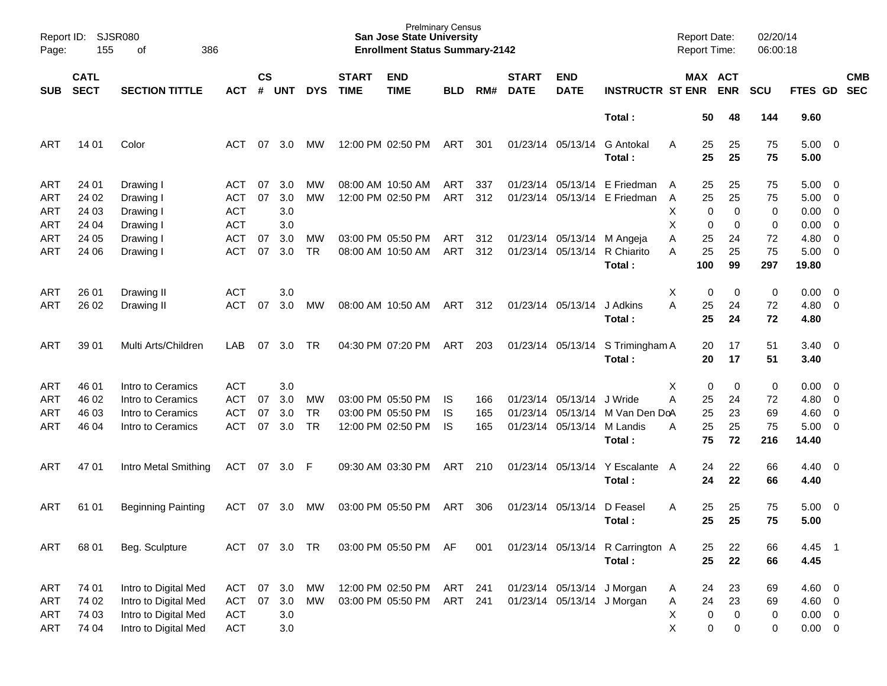| Page:      | Report ID:<br>SJSR080<br>155<br>386<br>оf |                           |            |                |            |            |                             | <b>Prelminary Census</b><br><b>San Jose State University</b><br><b>Enrollment Status Summary-2142</b> |            |     |                             |                            |                                  |   | <b>Report Date:</b><br>Report Time: |            | 02/20/14<br>06:00:18 |                        |                            |                          |
|------------|-------------------------------------------|---------------------------|------------|----------------|------------|------------|-----------------------------|-------------------------------------------------------------------------------------------------------|------------|-----|-----------------------------|----------------------------|----------------------------------|---|-------------------------------------|------------|----------------------|------------------------|----------------------------|--------------------------|
| <b>SUB</b> | <b>CATL</b><br><b>SECT</b>                | <b>SECTION TITTLE</b>     | <b>ACT</b> | <b>CS</b><br># | <b>UNT</b> | <b>DYS</b> | <b>START</b><br><b>TIME</b> | <b>END</b><br><b>TIME</b>                                                                             | <b>BLD</b> | RM# | <b>START</b><br><b>DATE</b> | <b>END</b><br><b>DATE</b>  | <b>INSTRUCTR ST ENR</b>          |   | MAX ACT                             | <b>ENR</b> | <b>SCU</b>           | FTES GD                |                            | <b>CMB</b><br><b>SEC</b> |
|            |                                           |                           |            |                |            |            |                             |                                                                                                       |            |     |                             |                            | Total:                           |   | 50                                  | 48         | 144                  | 9.60                   |                            |                          |
| ART        | 14 01                                     | Color                     | ACT        | 07             | 3.0        | <b>MW</b>  |                             | 12:00 PM 02:50 PM                                                                                     | ART        | 301 |                             | 01/23/14 05/13/14          | <b>G</b> Antokal<br>Total:       | A | 25<br>25                            | 25<br>25   | 75<br>75             | $5.00 \quad 0$<br>5.00 |                            |                          |
| ART        | 24 01                                     | Drawing I                 | ACT        | 07             | 3.0        | МW         |                             | 08:00 AM 10:50 AM                                                                                     | ART        | 337 |                             |                            | 01/23/14 05/13/14 E Friedman     | A | 25                                  | 25         | 75                   | $5.00 \quad 0$         |                            |                          |
| ART        | 24 02                                     | Drawing I                 | <b>ACT</b> | 07             | 3.0        | МW         |                             | 12:00 PM 02:50 PM                                                                                     | <b>ART</b> | 312 |                             |                            | 01/23/14 05/13/14 E Friedman     | A | 25                                  | 25         | 75                   | 5.00                   | $\overline{\phantom{0}}$   |                          |
| ART        | 24 03                                     | Drawing I                 | <b>ACT</b> |                | 3.0        |            |                             |                                                                                                       |            |     |                             |                            |                                  | Χ | 0                                   | 0          | 0                    | 0.00                   | $\overline{\phantom{0}}$   |                          |
| ART        | 24 04                                     | Drawing I                 | <b>ACT</b> |                | 3.0        |            |                             |                                                                                                       |            |     |                             |                            |                                  | X | 0                                   | 0          | 0                    | 0.00                   | $\overline{0}$             |                          |
| ART        | 24 05                                     | Drawing I                 | <b>ACT</b> | 07             | 3.0        | МW         |                             | 03:00 PM 05:50 PM                                                                                     | ART        | 312 |                             | 01/23/14 05/13/14          | M Angeja                         | Α | 25                                  | 24         | 72                   | 4.80                   | $\overline{\phantom{0}}$   |                          |
| ART        | 24 06                                     | Drawing I                 | <b>ACT</b> | 07             | 3.0        | <b>TR</b>  |                             | 08:00 AM 10:50 AM                                                                                     | <b>ART</b> | 312 |                             | 01/23/14 05/13/14          | R Chiarito                       | A | 25                                  | 25         | 75                   | $5.00 \t 0$            |                            |                          |
|            |                                           |                           |            |                |            |            |                             |                                                                                                       |            |     |                             |                            | Total:                           |   | 100                                 | 99         | 297                  | 19.80                  |                            |                          |
| ART        | 26 01                                     | Drawing II                | <b>ACT</b> |                | 3.0        |            |                             |                                                                                                       |            |     |                             |                            |                                  | X | 0                                   | 0          | 0                    | $0.00 \quad 0$         |                            |                          |
| ART        | 26 02                                     | Drawing II                | <b>ACT</b> | 07             | 3.0        | МW         |                             | 08:00 AM 10:50 AM                                                                                     | <b>ART</b> | 312 |                             | 01/23/14 05/13/14          | J Adkins                         | A | 25                                  | 24         | 72                   | $4.80\ 0$              |                            |                          |
|            |                                           |                           |            |                |            |            |                             |                                                                                                       |            |     |                             |                            | Total:                           |   | 25                                  | 24         | 72                   | 4.80                   |                            |                          |
| ART        | 39 01                                     | Multi Arts/Children       | LAB        | 07             | 3.0        | TR.        |                             | 04:30 PM 07:20 PM                                                                                     | ART        | 203 |                             | 01/23/14 05/13/14          | S Trimingham A                   |   | 20                                  | 17         | 51                   | $3.40 \quad 0$         |                            |                          |
|            |                                           |                           |            |                |            |            |                             |                                                                                                       |            |     |                             |                            | Total:                           |   | 20                                  | 17         | 51                   | 3.40                   |                            |                          |
| ART        | 46 01                                     | Intro to Ceramics         | <b>ACT</b> |                | 3.0        |            |                             |                                                                                                       |            |     |                             |                            |                                  | X | 0                                   | 0          | 0                    | 0.00                   | $\overline{\phantom{0}}$   |                          |
| ART        | 46 02                                     | Intro to Ceramics         | <b>ACT</b> | 07             | 3.0        | МW         |                             | 03:00 PM 05:50 PM                                                                                     | IS         | 166 |                             | 01/23/14 05/13/14          | J Wride                          | A | 25                                  | 24         | 72                   | 4.80                   | $\overline{0}$             |                          |
| ART        | 46 03                                     | Intro to Ceramics         | <b>ACT</b> | 07             | 3.0        | <b>TR</b>  |                             | 03:00 PM 05:50 PM                                                                                     | IS         | 165 |                             | 01/23/14 05/13/14          | M Van Den DoA                    |   | 25                                  | 23         | 69                   | $4.60$ 0               |                            |                          |
| ART        | 46 04                                     | Intro to Ceramics         | <b>ACT</b> | 07             | 3.0        | <b>TR</b>  |                             | 12:00 PM 02:50 PM                                                                                     | IS         | 165 |                             | 01/23/14 05/13/14          | M Landis                         | Α | 25                                  | 25         | 75                   | $5.00 \t 0$            |                            |                          |
|            |                                           |                           |            |                |            |            |                             |                                                                                                       |            |     |                             |                            | Total:                           |   | 75                                  | 72         | 216                  | 14.40                  |                            |                          |
| ART        | 47 01                                     | Intro Metal Smithing      | ACT        | 07             | 3.0 F      |            |                             | 09:30 AM 03:30 PM                                                                                     | <b>ART</b> | 210 |                             | 01/23/14 05/13/14          | Y Escalante                      | A | 24                                  | 22         | 66                   | 4.40                   | $\overline{\phantom{0}}$   |                          |
|            |                                           |                           |            |                |            |            |                             |                                                                                                       |            |     |                             |                            | Total:                           |   | 24                                  | 22         | 66                   | 4.40                   |                            |                          |
| ART        | 61 01                                     | <b>Beginning Painting</b> | ACT        | 07             | 3.0        | <b>MW</b>  |                             | 03:00 PM 05:50 PM                                                                                     | ART        | 306 |                             | 01/23/14 05/13/14          | D Feasel                         | Α | 25                                  | 25         | 75                   | 5.00                   | $\overline{\phantom{0}}$   |                          |
|            |                                           |                           |            |                |            |            |                             |                                                                                                       |            |     |                             |                            | Total:                           |   | 25                                  | 25         | 75                   | 5.00                   |                            |                          |
| ART        | 68 01                                     | Beg. Sculpture            | ACT        | 07             | 3.0        | TR         |                             | 03:00 PM 05:50 PM                                                                                     | AF         | 001 |                             |                            | 01/23/14 05/13/14 R Carrington A |   | 25                                  | 22         | 66                   | 4.45                   | $\overline{\phantom{0}}$ 1 |                          |
|            |                                           |                           |            |                |            |            |                             |                                                                                                       |            |     |                             |                            | Total:                           |   | 25                                  | 22         | 66                   | 4.45                   |                            |                          |
| ART        | 74 01                                     | Intro to Digital Med      | <b>ACT</b> | 07             | 3.0        | MW         |                             | 12:00 PM 02:50 PM                                                                                     | ART        | 241 |                             | 01/23/14 05/13/14 J Morgan |                                  | A | 24                                  | 23         | 69                   | 4.60 0                 |                            |                          |
| ART        | 74 02                                     | Intro to Digital Med      | <b>ACT</b> | 07             | 3.0        | MW         |                             | 03:00 PM 05:50 PM                                                                                     | ART        | 241 |                             | 01/23/14 05/13/14 J Morgan |                                  | Α | 24                                  | 23         | 69                   | $4.60 \ 0$             |                            |                          |
| ART        | 74 03                                     | Intro to Digital Med      | <b>ACT</b> |                | 3.0        |            |                             |                                                                                                       |            |     |                             |                            |                                  | Χ | $\pmb{0}$                           | 0          | $\pmb{0}$            | $0.00 \t 0$            |                            |                          |
| ART        | 74 04                                     | Intro to Digital Med      | <b>ACT</b> |                | 3.0        |            |                             |                                                                                                       |            |     |                             |                            |                                  | Χ | 0                                   | 0          | 0                    | $0.00 \t 0$            |                            |                          |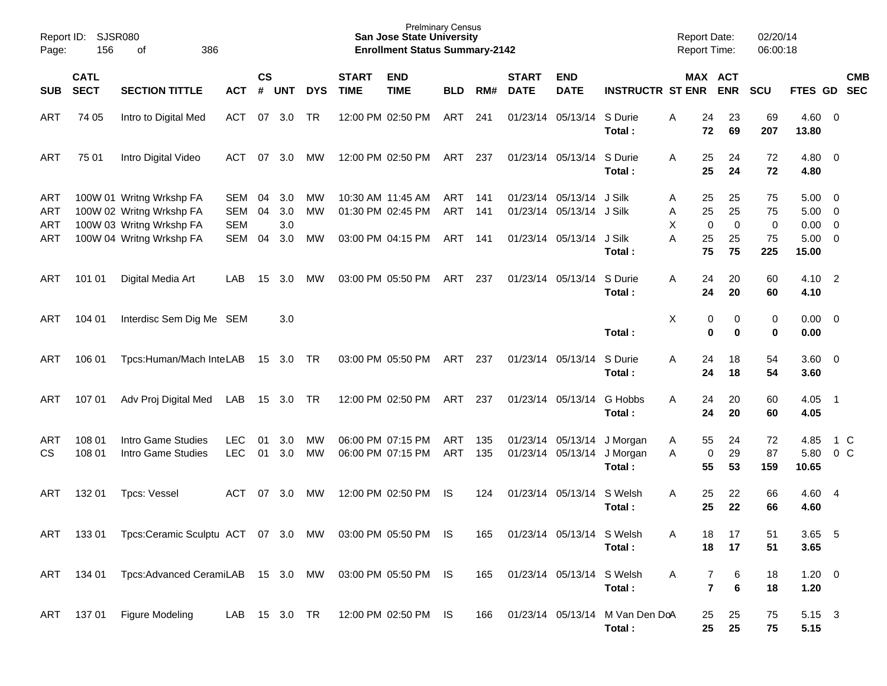| Report ID:<br>Page: | 156                        | <b>SJSR080</b><br>386<br>οf                                                      |                          |                    |                         |            |                             | <b>Prelminary Census</b><br><b>San Jose State University</b><br><b>Enrollment Status Summary-2142</b> |                   |            |                             |                                               |                                           | <b>Report Date:</b><br><b>Report Time:</b> |                               | 02/20/14<br>06:00:18 |                        |                                         |               |
|---------------------|----------------------------|----------------------------------------------------------------------------------|--------------------------|--------------------|-------------------------|------------|-----------------------------|-------------------------------------------------------------------------------------------------------|-------------------|------------|-----------------------------|-----------------------------------------------|-------------------------------------------|--------------------------------------------|-------------------------------|----------------------|------------------------|-----------------------------------------|---------------|
| <b>SUB</b>          | <b>CATL</b><br><b>SECT</b> | <b>SECTION TITTLE</b>                                                            | <b>ACT</b>               | $\mathsf{cs}$<br># | <b>UNT</b>              | <b>DYS</b> | <b>START</b><br><b>TIME</b> | <b>END</b><br><b>TIME</b>                                                                             | <b>BLD</b>        | RM#        | <b>START</b><br><b>DATE</b> | <b>END</b><br><b>DATE</b>                     | <b>INSTRUCTR ST ENR ENR</b>               |                                            | MAX ACT                       | <b>SCU</b>           | FTES GD SEC            |                                         | <b>CMB</b>    |
| ART                 | 74 05                      | Intro to Digital Med                                                             | ACT                      | 07                 | 3.0                     | TR         |                             | 12:00 PM 02:50 PM                                                                                     | ART               | 241        |                             | 01/23/14 05/13/14                             | S Durie<br>Total:                         | 24<br>Α<br>72                              | 23<br>69                      | 69<br>207            | $4.60$ 0<br>13.80      |                                         |               |
| ART                 | 75 01                      | Intro Digital Video                                                              | ACT                      | 07                 | 3.0                     | МW         |                             | 12:00 PM 02:50 PM                                                                                     | ART               | 237        |                             | 01/23/14 05/13/14                             | S Durie<br>Total:                         | 25<br>A<br>25                              | 24<br>24                      | 72<br>72             | 4.80<br>4.80           | $\overline{\phantom{0}}$                |               |
| ART<br>ART<br>ART   |                            | 100W 01 Writng Wrkshp FA<br>100W 02 Writng Wrkshp FA<br>100W 03 Writng Wrkshp FA | SEM<br>SEM<br><b>SEM</b> | 04<br>04           | 3.0<br>3.0<br>3.0       | МW<br>МW   |                             | 10:30 AM 11:45 AM<br>01:30 PM 02:45 PM                                                                | ART<br><b>ART</b> | 141<br>141 |                             | 01/23/14 05/13/14<br>01/23/14 05/13/14 J Silk | J Silk                                    | 25<br>Α<br>25<br>Α<br>X<br>$\mathbf 0$     | 25<br>25<br>$\mathbf 0$       | 75<br>75<br>0        | 5.00<br>5.00<br>0.00   | - 0<br>$\overline{0}$<br>$\overline{0}$ |               |
| ART                 |                            | 100W 04 Writng Wrkshp FA                                                         | SEM                      | 04                 | 3.0                     | МW         |                             | 03:00 PM 04:15 PM                                                                                     | ART               | 141        |                             | 01/23/14 05/13/14                             | J Silk<br>Total:                          | A<br>25<br>75                              | 25<br>75                      | 75<br>225            | 5.00<br>15.00          | $\overline{0}$                          |               |
| ART                 | 101 01                     | Digital Media Art                                                                | LAB.                     | 15                 | 3.0 <sub>2</sub>        | МW         |                             | 03:00 PM 05:50 PM                                                                                     | ART               | 237        |                             | 01/23/14 05/13/14                             | S Durie<br>Total:                         | A<br>24<br>24                              | 20<br>20                      | 60<br>60             | $4.10 \quad 2$<br>4.10 |                                         |               |
| ART                 | 104 01                     | Interdisc Sem Dig Me SEM                                                         |                          |                    | 3.0                     |            |                             |                                                                                                       |                   |            |                             |                                               | Total:                                    | X                                          | 0<br>0<br>0<br>0              | 0<br>$\mathbf 0$     | 0.00<br>0.00           | $\overline{0}$                          |               |
| ART                 | 106 01                     | Tpcs:Human/Mach InteLAB                                                          |                          |                    | 15 3.0 TR               |            |                             | 03:00 PM 05:50 PM                                                                                     | ART               | 237        |                             | 01/23/14 05/13/14                             | S Durie<br>Total:                         | A<br>24<br>24                              | 18<br>18                      | 54<br>54             | $3.60 \quad 0$<br>3.60 |                                         |               |
| ART                 | 107 01                     | Adv Proj Digital Med                                                             | LAB                      | 15                 | 3.0                     | <b>TR</b>  |                             | 12:00 PM 02:50 PM                                                                                     | ART               | 237        |                             | 01/23/14 05/13/14                             | G Hobbs<br>Total:                         | A<br>24<br>24                              | 20<br>20                      | 60<br>60             | 4.05<br>4.05           | $\overline{\phantom{0}}$ 1              |               |
| ART<br><b>CS</b>    | 108 01<br>108 01           | Intro Game Studies<br>Intro Game Studies                                         | <b>LEC</b><br><b>LEC</b> | 01<br>01           | 3.0 <sub>2</sub><br>3.0 | МW<br>MW   |                             | 06:00 PM 07:15 PM<br>06:00 PM 07:15 PM                                                                | ART<br><b>ART</b> | 135<br>135 |                             | 01/23/14 05/13/14<br>01/23/14 05/13/14        | J Morgan<br>J Morgan<br>Total:            | 55<br>A<br>A<br>55                         | 24<br>29<br>0<br>53           | 72<br>87<br>159      | 4.85<br>5.80<br>10.65  |                                         | 1 C<br>$0\,C$ |
| ART                 | 132 01                     | <b>Tpcs: Vessel</b>                                                              | ACT                      | 07                 | 3.0                     | МW         |                             | 12:00 PM 02:50 PM                                                                                     | IS                | 124        |                             | 01/23/14 05/13/14                             | S Welsh<br>Total:                         | A<br>25<br>25                              | 22<br>22                      | 66<br>66             | 4.60 4<br>4.60         |                                         |               |
| ART                 |                            | 133 01 Tpcs:Ceramic Sculptu ACT 07 3.0 MW 03:00 PM 05:50 PM IS                   |                          |                    |                         |            |                             |                                                                                                       |                   | 165        |                             | 01/23/14 05/13/14 S Welsh                     | Total:                                    | 18<br>А<br>18                              | 17<br>17                      | 51<br>51             | 3.65 5<br>3.65         |                                         |               |
| ART                 |                            | 134 01 Tpcs: Advanced CeramiLAB 15 3.0 MW 03:00 PM 05:50 PM IS                   |                          |                    |                         |            |                             |                                                                                                       |                   | 165        |                             | 01/23/14 05/13/14 S Welsh                     | Total:                                    | Α                                          | 7<br>6<br>$\overline{7}$<br>6 | 18<br>18             | $1.20 \t 0$<br>1.20    |                                         |               |
| ART                 |                            | 137 01 Figure Modeling                                                           | LAB                      |                    | 15 3.0 TR               |            |                             | 12:00 PM 02:50 PM IS                                                                                  |                   | 166        |                             |                                               | 01/23/14 05/13/14 M Van Den DoA<br>Total: | 25<br>25                                   | 25<br>25                      | 75<br>75             | 5.15 3<br>5.15         |                                         |               |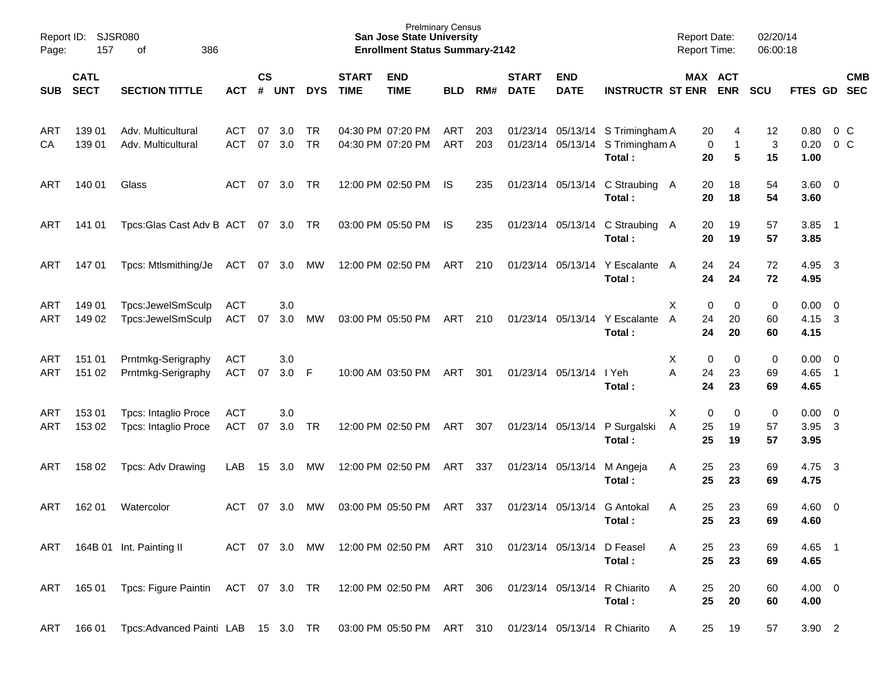| Page:             | Report ID: SJSR080<br>157  | 386<br>οf                                                    |                          |                    |            |            |                             | <b>Prelminary Census</b><br><b>San Jose State University</b><br><b>Enrollment Status Summary-2142</b> |                   |            |                             |                           |                                                                                | <b>Report Date:</b><br><b>Report Time:</b> |                             | 02/20/14<br>06:00:18     |                                  |                          |            |
|-------------------|----------------------------|--------------------------------------------------------------|--------------------------|--------------------|------------|------------|-----------------------------|-------------------------------------------------------------------------------------------------------|-------------------|------------|-----------------------------|---------------------------|--------------------------------------------------------------------------------|--------------------------------------------|-----------------------------|--------------------------|----------------------------------|--------------------------|------------|
| <b>SUB</b>        | <b>CATL</b><br><b>SECT</b> | <b>SECTION TITTLE</b>                                        | <b>ACT</b>               | $\mathsf{cs}$<br># | <b>UNT</b> | <b>DYS</b> | <b>START</b><br><b>TIME</b> | <b>END</b><br><b>TIME</b>                                                                             | <b>BLD</b>        | RM#        | <b>START</b><br><b>DATE</b> | <b>END</b><br><b>DATE</b> | <b>INSTRUCTR ST ENR</b>                                                        |                                            | MAX ACT<br><b>ENR</b>       | <b>SCU</b>               | FTES GD SEC                      |                          | <b>CMB</b> |
| ART<br>CA         | 139 01<br>139 01           | Adv. Multicultural<br>Adv. Multicultural                     | ACT<br><b>ACT</b>        | 07<br>07           | 3.0<br>3.0 | TR<br>TR   |                             | 04:30 PM 07:20 PM<br>04:30 PM 07:20 PM                                                                | ART<br><b>ART</b> | 203<br>203 |                             |                           | 01/23/14 05/13/14 S Trimingham A<br>01/23/14 05/13/14 S Trimingham A<br>Total: | 20<br>20                                   | 4<br>0<br>$\mathbf{1}$<br>5 | 12<br>$\mathbf{3}$<br>15 | $0.80 \t 0 \t C$<br>0.20<br>1.00 | 0 <sup>o</sup>           |            |
| ART               | 140 01                     | Glass                                                        | ACT                      | 07                 | 3.0        | TR         |                             | 12:00 PM 02:50 PM                                                                                     | IS.               | 235        |                             |                           | 01/23/14 05/13/14 C Straubing A<br>Total:                                      | 20<br>20                                   | 18<br>18                    | 54<br>54                 | $3.60 \ 0$<br>3.60               |                          |            |
| ART               | 141 01                     | Tpcs: Glas Cast Adv B ACT 07 3.0 TR                          |                          |                    |            |            |                             | 03:00 PM 05:50 PM                                                                                     | IS.               | 235        |                             |                           | 01/23/14 05/13/14 C Straubing A<br>Total:                                      | 20<br>20                                   | 19<br>19                    | 57<br>57                 | 3.85<br>3.85                     | $\overline{\phantom{1}}$ |            |
| ART               | 14701                      | Tpcs: Mtlsmithing/Je                                         | ACT 07 3.0               |                    |            | МW         |                             | 12:00 PM 02:50 PM                                                                                     | ART               | 210        |                             | 01/23/14 05/13/14         | Y Escalante A<br>Total:                                                        | 24<br>24                                   | 24<br>24                    | 72<br>72                 | 4.95<br>4.95                     | $\overline{\mathbf{3}}$  |            |
| ART<br>ART        | 149 01<br>149 02           | Tpcs:JewelSmSculp<br>Tpcs:JewelSmSculp                       | ACT<br>ACT               | 07                 | 3.0<br>3.0 | МW         |                             | 03:00 PM 05:50 PM                                                                                     | ART               | 210        |                             | 01/23/14 05/13/14         | Y Escalante<br>Total:                                                          | X<br>24<br>A<br>24                         | 0<br>0<br>20<br>20          | 0<br>60<br>60            | $0.00 \t 0$<br>4.15<br>4.15      | $\overline{\mathbf{3}}$  |            |
| ART<br><b>ART</b> | 151 01<br>151 02           | Prntmkg-Serigraphy<br>Prntmkg-Serigraphy                     | ACT<br><b>ACT</b>        | 07                 | 3.0<br>3.0 | F          |                             | 10:00 AM 03:50 PM                                                                                     | ART               | 301        |                             | 01/23/14 05/13/14         | I Yeh<br>Total:                                                                | X<br>A<br>24<br>24                         | 0<br>0<br>23<br>23          | 0<br>69<br>69            | $0.00 \t 0$<br>4.65<br>4.65      | $\overline{\phantom{1}}$ |            |
| <b>ART</b><br>ART | 153 01<br>153 02           | <b>Tpcs: Intaglio Proce</b><br><b>Tpcs: Intaglio Proce</b>   | <b>ACT</b><br><b>ACT</b> | 07                 | 3.0<br>3.0 | TR         |                             | 12:00 PM 02:50 PM                                                                                     | ART               | 307        |                             | 01/23/14 05/13/14         | P Surgalski<br>Total:                                                          | X<br>25<br>Α<br>25                         | 0<br>0<br>19<br>19          | 0<br>57<br>57            | $0.00 \t 0$<br>3.95<br>3.95      | $\overline{\mathbf{3}}$  |            |
| ART               | 158 02                     | Tpcs: Adv Drawing                                            | LAB                      | 15                 | 3.0        | MW         |                             | 12:00 PM 02:50 PM                                                                                     | ART               | 337        | 01/23/14 05/13/14           |                           | M Angeja<br>Total:                                                             | 25<br>A<br>25                              | 23<br>23                    | 69<br>69                 | 4.75<br>4.75                     | $\overline{\mathbf{3}}$  |            |
| ART               | 162 01                     | Watercolor                                                   | ACT                      | 07                 | 3.0        | МW         |                             | 03:00 PM 05:50 PM                                                                                     | ART               | 337        |                             | 01/23/14 05/13/14         | <b>G</b> Antokal<br>Total:                                                     | A<br>25<br>25                              | 23<br>23                    | 69<br>69                 | $4.60 \quad 0$<br>4.60           |                          |            |
| ART               |                            | 164B 01 Int. Painting II                                     | ACT 07 3.0               |                    |            | MW         |                             | 12:00 PM 02:50 PM ART 310                                                                             |                   |            |                             | 01/23/14 05/13/14         | D Feasel<br>Total:                                                             | 25<br>A<br>25                              | 23<br>23                    | 69<br>69                 | $4.65$ 1<br>4.65                 |                          |            |
| ART               |                            | 165 01 Tpcs: Figure Paintin ACT 07 3.0 TR                    |                          |                    |            |            |                             | 12:00 PM 02:50 PM ART 306                                                                             |                   |            |                             | 01/23/14 05/13/14         | R Chiarito<br>Total:                                                           | A<br>25<br>25                              | 20<br>20                    | 60<br>60                 | $4.00 \ 0$<br>4.00               |                          |            |
| ART               | 166 01                     | Tpcs:Advanced Painti LAB 15 3.0 TR 03:00 PM 05:50 PM ART 310 |                          |                    |            |            |                             |                                                                                                       |                   |            |                             |                           | 01/23/14 05/13/14 R Chiarito                                                   | 25<br>A                                    | 19                          | 57                       | 3.90 2                           |                          |            |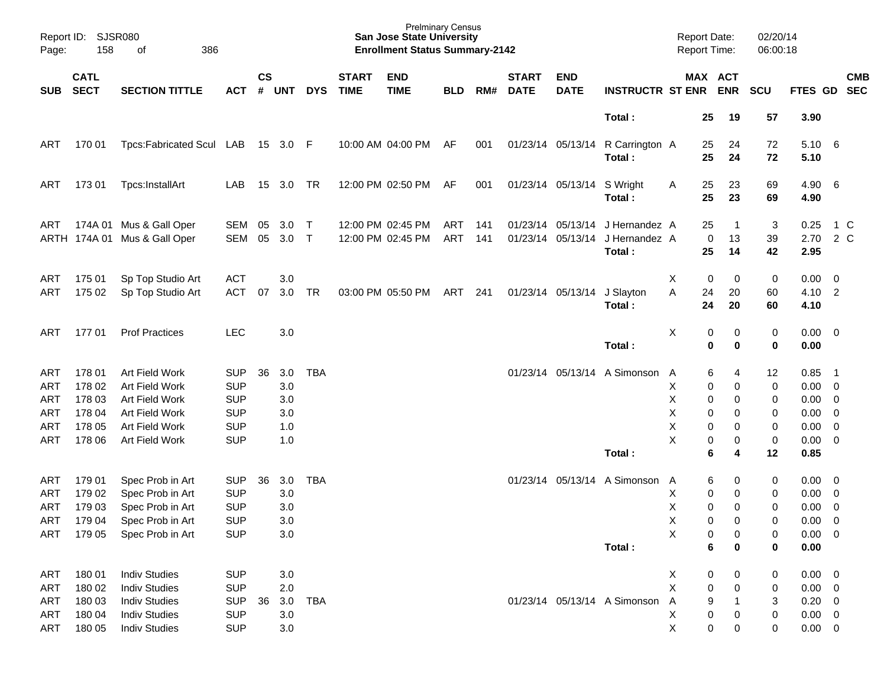| Report ID:<br>Page:                    | <b>SJSR080</b><br>158                                    |                                                                                                                      |                                                                                  |                    |                                        |             | <b>Prelminary Census</b><br><b>San Jose State University</b><br><b>Enrollment Status Summary-2142</b> |                                        |            |            |                             |                                        | <b>Report Date:</b><br>Report Time:              |                                  |                                           | 02/20/14<br>06:00:18                                           |                                  |                                                                        |                                                                                                                                              |                          |
|----------------------------------------|----------------------------------------------------------|----------------------------------------------------------------------------------------------------------------------|----------------------------------------------------------------------------------|--------------------|----------------------------------------|-------------|-------------------------------------------------------------------------------------------------------|----------------------------------------|------------|------------|-----------------------------|----------------------------------------|--------------------------------------------------|----------------------------------|-------------------------------------------|----------------------------------------------------------------|----------------------------------|------------------------------------------------------------------------|----------------------------------------------------------------------------------------------------------------------------------------------|--------------------------|
| <b>SUB</b>                             | <b>CATL</b><br><b>SECT</b>                               | <b>SECTION TITTLE</b>                                                                                                | <b>ACT</b>                                                                       | $\mathsf{cs}$<br># | <b>UNT</b>                             | <b>DYS</b>  | <b>START</b><br><b>TIME</b>                                                                           | <b>END</b><br><b>TIME</b>              | <b>BLD</b> | RM#        | <b>START</b><br><b>DATE</b> | <b>END</b><br><b>DATE</b>              | <b>INSTRUCTR ST ENR</b>                          |                                  |                                           | MAX ACT<br><b>ENR</b>                                          | <b>SCU</b>                       | <b>FTES GD</b>                                                         |                                                                                                                                              | <b>CMB</b><br><b>SEC</b> |
|                                        |                                                          |                                                                                                                      |                                                                                  |                    |                                        |             |                                                                                                       |                                        |            |            |                             |                                        | Total:                                           |                                  | 25                                        | 19                                                             | 57                               | 3.90                                                                   |                                                                                                                                              |                          |
| ART                                    | 170 01                                                   | Tpcs:Fabricated Scul LAB                                                                                             |                                                                                  |                    | 15 3.0 F                               |             |                                                                                                       | 10:00 AM 04:00 PM                      | AF         | 001        |                             | 01/23/14 05/13/14                      | R Carrington A<br>Total:                         |                                  | 25<br>25                                  | 24<br>24                                                       | 72<br>72                         | 5.10<br>5.10                                                           | - 6                                                                                                                                          |                          |
| ART                                    | 173 01                                                   | Tpcs:InstallArt                                                                                                      | LAB                                                                              | 15                 | 3.0                                    | <b>TR</b>   |                                                                                                       | 12:00 PM 02:50 PM                      | AF         | 001        |                             | 01/23/14 05/13/14                      | S Wright<br>Total:                               | A                                | 25<br>25                                  | 23<br>23                                                       | 69<br>69                         | 4.90<br>4.90                                                           | $6\overline{6}$                                                                                                                              |                          |
| ART                                    |                                                          | 174A 01 Mus & Gall Oper<br>ARTH 174A 01 Mus & Gall Oper                                                              | SEM<br>SEM                                                                       | 05<br>05           | 3.0<br>3.0                             | Т<br>$\top$ |                                                                                                       | 12:00 PM 02:45 PM<br>12:00 PM 02:45 PM | ART<br>ART | 141<br>141 |                             | 01/23/14 05/13/14<br>01/23/14 05/13/14 | J Hernandez A<br>J Hernandez A<br>Total:         |                                  | 25<br>0<br>25                             | -1<br>13<br>14                                                 | 3<br>39<br>42                    | 0.25<br>2.70<br>2.95                                                   | $1\,C$<br>2 C                                                                                                                                |                          |
| ART<br>ART                             | 175 01<br>175 02                                         | Sp Top Studio Art<br>Sp Top Studio Art                                                                               | <b>ACT</b><br><b>ACT</b>                                                         | 07                 | 3.0<br>3.0                             | <b>TR</b>   |                                                                                                       | 03:00 PM 05:50 PM                      | ART        | 241        |                             | 01/23/14 05/13/14                      | J Slayton<br>Total:                              | Χ<br>A                           | 0<br>24<br>24                             | 0<br>20<br>20                                                  | 0<br>60<br>60                    | 0.00<br>4.10<br>4.10                                                   | $\overline{\mathbf{0}}$<br>$\overline{\phantom{a}}$                                                                                          |                          |
| ART                                    | 17701                                                    | <b>Prof Practices</b>                                                                                                | LEC                                                                              |                    | 3.0                                    |             |                                                                                                       |                                        |            |            |                             |                                        | Total:                                           | X                                | 0<br>0                                    | 0<br>0                                                         | 0<br>0                           | $0.00 \t 0$<br>0.00                                                    |                                                                                                                                              |                          |
| ART<br>ART<br>ART<br>ART<br>ART<br>ART | 178 01<br>178 02<br>178 03<br>178 04<br>178 05<br>178 06 | Art Field Work<br>Art Field Work<br>Art Field Work<br>Art Field Work<br>Art Field Work<br>Art Field Work             | <b>SUP</b><br><b>SUP</b><br><b>SUP</b><br><b>SUP</b><br><b>SUP</b><br><b>SUP</b> | 36                 | 3.0<br>3.0<br>3.0<br>3.0<br>1.0<br>1.0 | <b>TBA</b>  |                                                                                                       |                                        |            |            |                             |                                        | 01/23/14 05/13/14 A Simonson                     | A<br>Х<br>X<br>Χ<br>Χ<br>X       | 6<br>0<br>0<br>0<br>0<br>0                | 4<br>0<br>0<br>0<br>0<br>0                                     | 12<br>0<br>0<br>0<br>0<br>0      | 0.85<br>0.00<br>0.00<br>0.00<br>0.00<br>0.00                           | - 1<br>$\overline{\mathbf{0}}$<br>$\overline{\phantom{0}}$<br>$\overline{\mathbf{0}}$<br>$\overline{\mathbf{0}}$<br>$\overline{\phantom{0}}$ |                          |
| ART<br>ART<br>ART<br>ART               | 179 01<br>179 02<br>179 03                               | Spec Prob in Art<br>Spec Prob in Art<br>Spec Prob in Art<br>179 04 Spec Prob in Art<br>ART 179 05 Spec Prob in Art   | <b>SUP</b><br><b>SUP</b><br><b>SUP</b><br><b>SUP</b><br><b>SUP</b>               | 36                 | 3.0<br>3.0<br>3.0<br>3.0<br>3.0        | <b>TBA</b>  |                                                                                                       |                                        |            |            |                             |                                        | Total:<br>01/23/14 05/13/14 A Simonson<br>Total: | A<br>Х<br>X<br>X<br>X            | 6<br>6<br>0<br>0<br>$\mathbf 0$<br>0<br>6 | 4<br>0<br>0<br>0<br>0<br>$\boldsymbol{0}$<br>0                 | 12<br>0<br>0<br>0<br>0<br>0<br>0 | 0.85<br>0.00<br>0.00<br>0.00<br>$0.00 \t 0$<br>$0.00 \ 0$<br>0.00      | $\overline{\phantom{0}}$<br>$\overline{\phantom{0}}$<br>$\overline{0}$                                                                       |                          |
| ART<br>ART<br>ART<br>ART<br>ART        | 180 01<br>180 02<br>180 03<br>180 04<br>180 05           | <b>Indiv Studies</b><br><b>Indiv Studies</b><br><b>Indiv Studies</b><br><b>Indiv Studies</b><br><b>Indiv Studies</b> | <b>SUP</b><br><b>SUP</b><br><b>SUP</b><br><b>SUP</b><br><b>SUP</b>               | 36                 | 3.0<br>2.0<br>3.0<br>3.0<br>3.0        | TBA         |                                                                                                       |                                        |            |            |                             |                                        | 01/23/14 05/13/14 A Simonson                     | X<br>X<br>$\mathsf{A}$<br>X<br>X | 0<br>0<br>9<br>$\pmb{0}$<br>$\mathbf 0$   | 0<br>$\boldsymbol{0}$<br>$\mathbf{1}$<br>$\boldsymbol{0}$<br>0 | 0<br>0<br>3<br>0<br>0            | $0.00 \t 0$<br>$0.00 \t 0$<br>$0.20 \ 0$<br>$0.00 \t 0$<br>$0.00 \t 0$ |                                                                                                                                              |                          |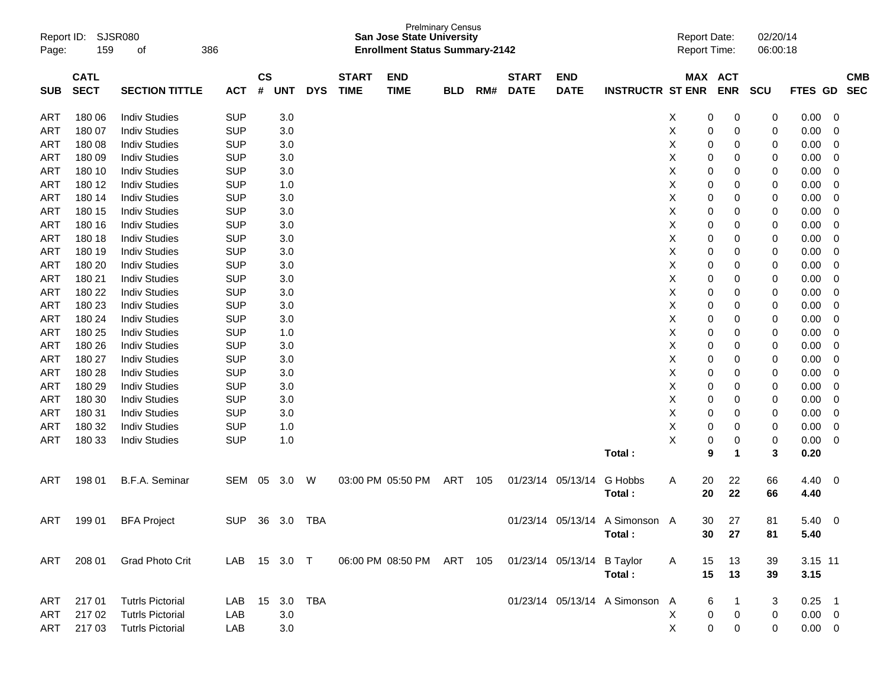| Report ID:<br>Page: | 159         | SJSR080<br>386<br>οf    |            |           |            |            |              | <b>San Jose State University</b><br><b>Enrollment Status Summary-2142</b> | <b>Prelminary Census</b> |     |              |                   |                                | <b>Report Date:</b><br>Report Time: |            | 02/20/14<br>06:00:18 |             |                          |            |
|---------------------|-------------|-------------------------|------------|-----------|------------|------------|--------------|---------------------------------------------------------------------------|--------------------------|-----|--------------|-------------------|--------------------------------|-------------------------------------|------------|----------------------|-------------|--------------------------|------------|
|                     | <b>CATL</b> |                         |            | <b>CS</b> |            |            | <b>START</b> | <b>END</b>                                                                |                          |     | <b>START</b> | <b>END</b>        |                                |                                     | MAX ACT    |                      |             |                          | <b>CMB</b> |
| <b>SUB</b>          | <b>SECT</b> | <b>SECTION TITTLE</b>   | <b>ACT</b> | #         | <b>UNT</b> | <b>DYS</b> | <b>TIME</b>  | <b>TIME</b>                                                               | <b>BLD</b>               | RM# | <b>DATE</b>  | <b>DATE</b>       | <b>INSTRUCTR ST ENR</b>        |                                     | <b>ENR</b> | <b>SCU</b>           | FTES GD     |                          | <b>SEC</b> |
| ART                 | 180 06      | <b>Indiv Studies</b>    | <b>SUP</b> |           | 3.0        |            |              |                                                                           |                          |     |              |                   |                                | X                                   | 0<br>0     | $\boldsymbol{0}$     | 0.00        | 0                        |            |
| ART                 | 180 07      | <b>Indiv Studies</b>    | <b>SUP</b> |           | 3.0        |            |              |                                                                           |                          |     |              |                   |                                | Χ<br>0                              | 0          | 0                    | 0.00        | 0                        |            |
| ART                 | 180 08      | <b>Indiv Studies</b>    | <b>SUP</b> |           | 3.0        |            |              |                                                                           |                          |     |              |                   |                                | Χ<br>0                              | 0          | 0                    | 0.00        | 0                        |            |
| ART                 | 180 09      | <b>Indiv Studies</b>    | <b>SUP</b> |           | 3.0        |            |              |                                                                           |                          |     |              |                   |                                | х                                   | 0<br>0     | 0                    | 0.00        | 0                        |            |
| ART                 | 180 10      | <b>Indiv Studies</b>    | <b>SUP</b> |           | 3.0        |            |              |                                                                           |                          |     |              |                   |                                | Χ                                   | 0<br>0     | 0                    | 0.00        | 0                        |            |
| ART                 | 180 12      | <b>Indiv Studies</b>    | <b>SUP</b> |           | 1.0        |            |              |                                                                           |                          |     |              |                   |                                | Χ                                   | 0<br>0     | 0                    | 0.00        | 0                        |            |
| ART                 | 180 14      | <b>Indiv Studies</b>    | <b>SUP</b> |           | 3.0        |            |              |                                                                           |                          |     |              |                   |                                | Χ                                   | 0<br>0     | 0                    | 0.00        | 0                        |            |
| ART                 | 180 15      | <b>Indiv Studies</b>    | <b>SUP</b> |           | 3.0        |            |              |                                                                           |                          |     |              |                   |                                | Χ                                   | 0<br>0     | 0                    | 0.00        | 0                        |            |
| ART                 | 180 16      | <b>Indiv Studies</b>    | <b>SUP</b> |           | 3.0        |            |              |                                                                           |                          |     |              |                   |                                | Χ                                   | 0<br>0     | 0                    | 0.00        | 0                        |            |
| ART                 | 180 18      | <b>Indiv Studies</b>    | <b>SUP</b> |           | 3.0        |            |              |                                                                           |                          |     |              |                   |                                | Χ                                   | 0<br>0     | 0                    | 0.00        | 0                        |            |
| ART                 | 180 19      | <b>Indiv Studies</b>    | <b>SUP</b> |           | 3.0        |            |              |                                                                           |                          |     |              |                   |                                | Χ                                   | 0<br>0     | 0                    | 0.00        | 0                        |            |
| ART                 | 180 20      | <b>Indiv Studies</b>    | <b>SUP</b> |           | 3.0        |            |              |                                                                           |                          |     |              |                   |                                | Χ                                   | 0<br>0     | 0                    | 0.00        | 0                        |            |
| ART                 | 180 21      | <b>Indiv Studies</b>    | <b>SUP</b> |           | 3.0        |            |              |                                                                           |                          |     |              |                   |                                | Χ                                   | 0<br>0     | 0                    | 0.00        | 0                        |            |
| ART                 | 180 22      | <b>Indiv Studies</b>    | <b>SUP</b> |           | 3.0        |            |              |                                                                           |                          |     |              |                   |                                | Χ                                   | 0<br>0     | 0                    | 0.00        | 0                        |            |
| ART                 | 180 23      | <b>Indiv Studies</b>    | <b>SUP</b> |           | 3.0        |            |              |                                                                           |                          |     |              |                   |                                | Χ                                   | 0<br>0     | 0                    | 0.00        | 0                        |            |
| ART                 | 180 24      | <b>Indiv Studies</b>    | <b>SUP</b> |           | 3.0        |            |              |                                                                           |                          |     |              |                   |                                | Χ                                   | 0<br>0     | 0                    | 0.00        | 0                        |            |
| ART                 | 180 25      | <b>Indiv Studies</b>    | <b>SUP</b> |           | 1.0        |            |              |                                                                           |                          |     |              |                   |                                | Χ<br>0                              | 0          | 0                    | 0.00        | 0                        |            |
| ART                 | 180 26      | <b>Indiv Studies</b>    | <b>SUP</b> |           | 3.0        |            |              |                                                                           |                          |     |              |                   |                                | Χ                                   | 0<br>0     | 0                    | 0.00        | 0                        |            |
| ART                 | 180 27      | <b>Indiv Studies</b>    | <b>SUP</b> |           | 3.0        |            |              |                                                                           |                          |     |              |                   |                                | Χ                                   | 0<br>0     | 0                    | 0.00        | 0                        |            |
| ART                 | 180 28      | <b>Indiv Studies</b>    | <b>SUP</b> |           | 3.0        |            |              |                                                                           |                          |     |              |                   |                                | Χ                                   | 0<br>0     | 0                    | 0.00        | 0                        |            |
| ART                 | 180 29      | <b>Indiv Studies</b>    | <b>SUP</b> |           | 3.0        |            |              |                                                                           |                          |     |              |                   |                                | Χ<br>0                              | 0          | 0                    | 0.00        | 0                        |            |
| ART                 | 180 30      | <b>Indiv Studies</b>    | <b>SUP</b> |           | 3.0        |            |              |                                                                           |                          |     |              |                   |                                | Χ                                   | 0<br>0     | 0                    | 0.00        | 0                        |            |
| ART                 | 180 31      | <b>Indiv Studies</b>    | <b>SUP</b> |           | 3.0        |            |              |                                                                           |                          |     |              |                   |                                | Χ                                   | 0<br>0     | 0                    | 0.00        | 0                        |            |
| ART                 | 180 32      | <b>Indiv Studies</b>    | <b>SUP</b> |           | 1.0        |            |              |                                                                           |                          |     |              |                   |                                | X                                   | 0<br>0     | 0                    | 0.00        | 0                        |            |
| ART                 | 180 33      | <b>Indiv Studies</b>    | <b>SUP</b> |           | 1.0        |            |              |                                                                           |                          |     |              |                   |                                | X<br>0                              | 0          | $\mathbf 0$          | 0.00        | 0                        |            |
|                     |             |                         |            |           |            |            |              |                                                                           |                          |     |              |                   | Total:                         | 9                                   | 1          | 3                    | 0.20        |                          |            |
|                     |             |                         |            |           |            |            |              |                                                                           |                          |     |              |                   |                                |                                     |            |                      |             |                          |            |
| ART                 | 198 01      | B.F.A. Seminar          | SEM 05     |           | 3.0        | W          |              | 03:00 PM 05:50 PM                                                         | ART                      | 105 |              | 01/23/14 05/13/14 | G Hobbs                        | Α<br>20                             | 22         | 66                   | 4.40        | $\overline{\phantom{0}}$ |            |
|                     |             |                         |            |           |            |            |              |                                                                           |                          |     |              |                   | Total:                         | 20                                  | 22         | 66                   | 4.40        |                          |            |
|                     |             |                         |            |           |            |            |              |                                                                           |                          |     |              |                   |                                |                                     |            |                      |             |                          |            |
| ART                 | 199 01      | <b>BFA Project</b>      | <b>SUP</b> |           | 36 3.0     | TBA        |              |                                                                           |                          |     |              |                   | 01/23/14 05/13/14 A Simonson A | 30                                  | 27         | 81                   | 5.40        | - 0                      |            |
|                     |             |                         |            |           |            |            |              |                                                                           |                          |     |              |                   | Total:                         | 30                                  | 27         | 81                   | 5.40        |                          |            |
|                     |             |                         |            |           |            |            |              |                                                                           |                          |     |              |                   |                                |                                     |            |                      |             |                          |            |
| ART                 |             | 208 01 Grad Photo Crit  |            |           |            |            |              | LAB 15 3.0 T  06:00 PM 08:50 PM ART 105  01/23/14  05/13/14  B Taylor     |                          |     |              |                   |                                | A<br>15                             | 13         | 39                   | 3.15 11     |                          |            |
|                     |             |                         |            |           |            |            |              |                                                                           |                          |     |              |                   | Total:                         | 15                                  | 13         | 39                   | 3.15        |                          |            |
|                     |             |                         |            |           |            |            |              |                                                                           |                          |     |              |                   |                                |                                     |            |                      |             |                          |            |
| ART                 | 21701       | <b>Tutrls Pictorial</b> | LAB        |           |            | 15 3.0 TBA |              |                                                                           |                          |     |              |                   | 01/23/14 05/13/14 A Simonson A |                                     | 6          | 3                    | $0.25$ 1    |                          |            |
| ART                 | 217 02      | <b>Tutrls Pictorial</b> | LAB        |           | 3.0        |            |              |                                                                           |                          |     |              |                   |                                | X                                   | 0<br>0     | 0                    | $0.00 \t 0$ |                          |            |
| ART                 | 21703       | <b>Tutrls Pictorial</b> | LAB        |           | 3.0        |            |              |                                                                           |                          |     |              |                   |                                | $\mathsf{X}$                        | 0<br>0     | 0                    | $0.00 \t 0$ |                          |            |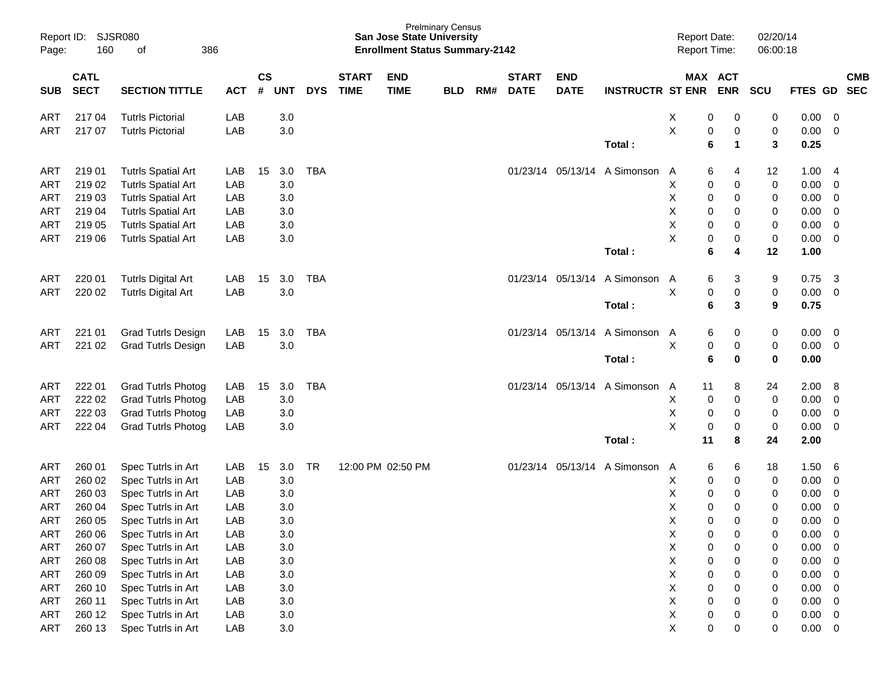| Report ID:<br>Page: | 160                        | <b>SJSR080</b><br>386<br>οf |            |                    |            |            |                             | <b>San Jose State University</b><br><b>Enrollment Status Summary-2142</b> | <b>Prelminary Census</b> |     |                             |                           |                         | <b>Report Date:</b><br>Report Time: |                           | 02/20/14<br>06:00:18 |              |                          |
|---------------------|----------------------------|-----------------------------|------------|--------------------|------------|------------|-----------------------------|---------------------------------------------------------------------------|--------------------------|-----|-----------------------------|---------------------------|-------------------------|-------------------------------------|---------------------------|----------------------|--------------|--------------------------|
| <b>SUB</b>          | <b>CATL</b><br><b>SECT</b> | <b>SECTION TITTLE</b>       | <b>ACT</b> | $\mathsf{cs}$<br># | <b>UNT</b> | <b>DYS</b> | <b>START</b><br><b>TIME</b> | <b>END</b><br><b>TIME</b>                                                 | <b>BLD</b>               | RM# | <b>START</b><br><b>DATE</b> | <b>END</b><br><b>DATE</b> | <b>INSTRUCTR ST ENR</b> | MAX ACT                             | <b>ENR</b>                | <b>SCU</b>           | FTES GD      | <b>CMB</b><br><b>SEC</b> |
| ART                 | 217 04                     | <b>Tutrls Pictorial</b>     | LAB        |                    | 3.0        |            |                             |                                                                           |                          |     |                             |                           |                         | х<br>0                              | 0                         | 0                    | 0.00         | 0                        |
| ART                 | 217 07                     | <b>Tutrls Pictorial</b>     | LAB        |                    | 3.0        |            |                             |                                                                           |                          |     |                             |                           | Total:                  | X<br>0<br>6                         | $\pmb{0}$<br>$\mathbf{1}$ | 0<br>3               | 0.00<br>0.25 | $\overline{0}$           |
| ART                 | 21901                      | <b>Tutrls Spatial Art</b>   | LAB        | 15                 | 3.0        | <b>TBA</b> |                             |                                                                           |                          |     |                             | 01/23/14 05/13/14         | A Simonson              | 6<br>A                              | 4                         | 12                   | 1.00         | - 4                      |
| ART                 | 219 02                     | <b>Tutrls Spatial Art</b>   | LAB        |                    | 3.0        |            |                             |                                                                           |                          |     |                             |                           |                         | Χ<br>0                              | 0                         | $\pmb{0}$            | 0.00         | 0                        |
| ART                 | 219 03                     | <b>Tutrls Spatial Art</b>   | LAB        |                    | 3.0        |            |                             |                                                                           |                          |     |                             |                           |                         | Χ<br>0                              | 0                         | 0                    | 0.00         | $\mathbf 0$              |
| ART                 | 219 04                     | <b>Tutrls Spatial Art</b>   | LAB        |                    | 3.0        |            |                             |                                                                           |                          |     |                             |                           |                         | X<br>0                              | 0                         | 0                    | 0.00         | $\overline{0}$           |
| <b>ART</b>          | 219 05                     | <b>Tutrls Spatial Art</b>   | LAB        |                    | 3.0        |            |                             |                                                                           |                          |     |                             |                           |                         | Χ<br>0                              | 0                         | 0                    | 0.00         | $\overline{0}$           |
| ART                 | 219 06                     | <b>Tutrls Spatial Art</b>   | LAB        |                    | 3.0        |            |                             |                                                                           |                          |     |                             |                           |                         | X<br>0                              | $\pmb{0}$                 | $\pmb{0}$            | 0.00         | $\overline{0}$           |
|                     |                            |                             |            |                    |            |            |                             |                                                                           |                          |     |                             |                           | Total:                  | 6                                   | 4                         | 12                   | 1.00         |                          |
| ART                 | 220 01                     | <b>Tutrls Digital Art</b>   | LAB        | 15                 | 3.0        | <b>TBA</b> |                             |                                                                           |                          |     |                             | 01/23/14 05/13/14         | A Simonson              | 6<br>A                              | 3                         | 9                    | 0.75         | -3                       |
| ART                 | 220 02                     | <b>Tutrls Digital Art</b>   | LAB        |                    | 3.0        |            |                             |                                                                           |                          |     |                             |                           |                         | $\mathsf X$<br>$\pmb{0}$            | $\pmb{0}$                 | $\pmb{0}$            | 0.00         | $\overline{0}$           |
|                     |                            |                             |            |                    |            |            |                             |                                                                           |                          |     |                             |                           | Total:                  | 6                                   | 3                         | 9                    | 0.75         |                          |
| ART                 | 221 01                     | <b>Grad Tutrls Design</b>   | LAB        | 15                 | 3.0        | <b>TBA</b> |                             |                                                                           |                          |     |                             | 01/23/14 05/13/14         | A Simonson              | 6<br>A                              | 0                         | 0                    | 0.00         | - 0                      |
| ART                 | 221 02                     | <b>Grad Tutrls Design</b>   | LAB        |                    | 3.0        |            |                             |                                                                           |                          |     |                             |                           |                         | $\mathsf X$<br>0                    | $\pmb{0}$                 | $\pmb{0}$            | 0.00         | $\overline{0}$           |
|                     |                            |                             |            |                    |            |            |                             |                                                                           |                          |     |                             |                           | Total:                  | 6                                   | $\bf{0}$                  | $\bf{0}$             | 0.00         |                          |
| ART                 | 222 01                     | <b>Grad Tutrls Photog</b>   | LAB        | 15                 | 3.0        | <b>TBA</b> |                             |                                                                           |                          |     |                             | 01/23/14 05/13/14         | A Simonson              | Α<br>11                             | 8                         | 24                   | 2.00         | -8                       |
| <b>ART</b>          | 222 02                     | <b>Grad Tutrls Photog</b>   | LAB        |                    | 3.0        |            |                             |                                                                           |                          |     |                             |                           |                         | Χ<br>0                              | $\pmb{0}$                 | 0                    | 0.00         | $\mathbf 0$              |
| ART                 | 222 03                     | <b>Grad Tutrls Photog</b>   | LAB        |                    | 3.0        |            |                             |                                                                           |                          |     |                             |                           |                         | Χ<br>0                              | 0                         | 0                    | 0.00         | $\mathbf 0$              |
| ART                 | 222 04                     | <b>Grad Tutrls Photog</b>   | LAB        |                    | 3.0        |            |                             |                                                                           |                          |     |                             |                           |                         | X<br>0                              | $\pmb{0}$                 | $\pmb{0}$            | 0.00         | $\overline{0}$           |
|                     |                            |                             |            |                    |            |            |                             |                                                                           |                          |     |                             |                           | Total:                  | 11                                  | 8                         | 24                   | 2.00         |                          |
| ART                 | 260 01                     | Spec Tutrls in Art          | LAB        | 15                 | 3.0        | <b>TR</b>  |                             | 12:00 PM 02:50 PM                                                         |                          |     |                             | 01/23/14 05/13/14         | A Simonson              | 6<br>A                              | 6                         | 18                   | 1.50         | -6                       |
| <b>ART</b>          | 260 02                     | Spec Tutrls in Art          | LAB        |                    | 3.0        |            |                             |                                                                           |                          |     |                             |                           |                         | х<br>0                              | 0                         | 0                    | 0.00         | 0                        |
| <b>ART</b>          | 260 03                     | Spec Tutrls in Art          | LAB        |                    | 3.0        |            |                             |                                                                           |                          |     |                             |                           |                         | Χ<br>0                              | 0                         | 0                    | 0.00         | $\mathbf 0$              |
| ART                 | 260 04                     | Spec Tutrls in Art          | LAB        |                    | 3.0        |            |                             |                                                                           |                          |     |                             |                           |                         | Χ<br>0                              | 0                         | 0                    | 0.00         | 0                        |
| ART                 | 260 05                     | Spec Tutrls in Art          | LAB        |                    | 3.0        |            |                             |                                                                           |                          |     |                             |                           |                         | Χ<br>0                              | $\mathbf 0$               | 0                    | 0.00         | $\mathbf 0$              |
| <b>ART</b>          | 260 06                     | Spec Tutrls in Art          | LAB        |                    | 3.0        |            |                             |                                                                           |                          |     |                             |                           |                         | X<br>0                              | $\pmb{0}$                 | 0                    | 0.00         | $\overline{0}$           |
| ART                 | 260 07                     | Spec Tutrls in Art          | LAB        |                    | 3.0        |            |                             |                                                                           |                          |     |                             |                           |                         | Χ<br>0                              | 0                         | 0                    | 0.00         | - 0                      |
| ART                 | 260 08                     | Spec Tutrls in Art          | LAB        |                    | 3.0        |            |                             |                                                                           |                          |     |                             |                           |                         | Χ<br>0                              | 0                         | 0                    | 0.00         | $\overline{0}$           |
| ART                 | 260 09                     | Spec Tutrls in Art          | LAB        |                    | 3.0        |            |                             |                                                                           |                          |     |                             |                           |                         | Χ<br>0                              | 0                         | 0                    | 0.00         | $\mathbf 0$              |
| ART                 | 260 10                     | Spec Tutrls in Art          | LAB        |                    | 3.0        |            |                             |                                                                           |                          |     |                             |                           |                         | Χ<br>0                              | 0                         | 0                    | 0.00         | $\overline{0}$           |
| ART                 | 260 11                     | Spec Tutrls in Art          | LAB        |                    | 3.0        |            |                             |                                                                           |                          |     |                             |                           |                         | Χ<br>0                              | 0                         | 0                    | 0.00         | $\overline{0}$           |
| ART                 | 260 12                     | Spec Tutrls in Art          | LAB        |                    | $3.0\,$    |            |                             |                                                                           |                          |     |                             |                           |                         | Χ<br>$\pmb{0}$                      | $\boldsymbol{0}$          | 0                    | 0.00         | $\overline{\mathbf{0}}$  |
| ART                 | 260 13                     | Spec Tutrls in Art          | LAB        |                    | $3.0\,$    |            |                             |                                                                           |                          |     |                             |                           |                         | X<br>$\pmb{0}$                      | 0                         | 0                    | $0.00 \t 0$  |                          |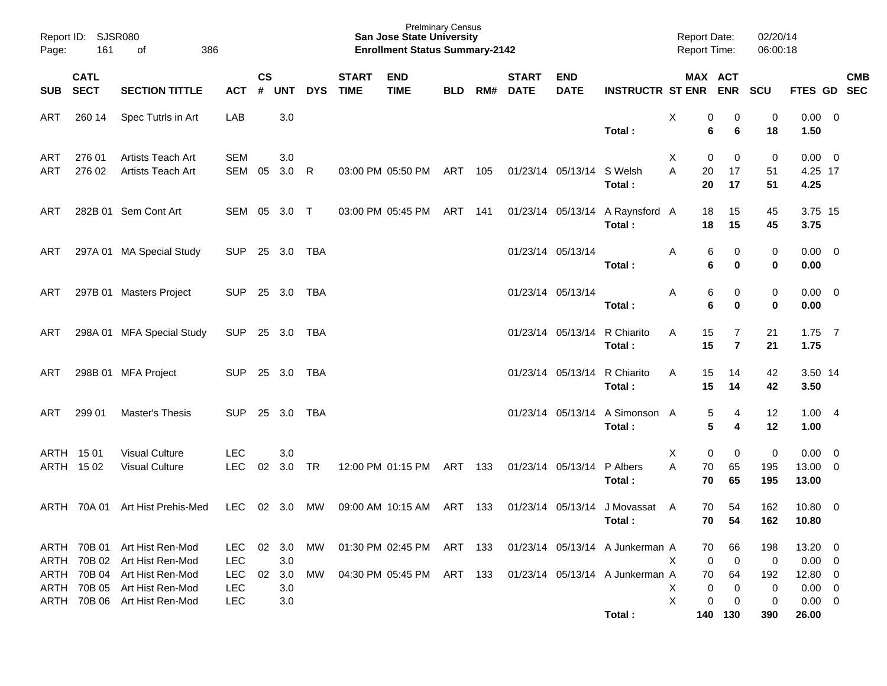| Report ID:<br>Page: | <b>SJSR080</b><br>161      | 386<br>оf                                                                        |                                        |                    |                   |            |                             | <b>Prelminary Census</b><br><b>San Jose State University</b><br><b>Enrollment Status Summary-2142</b> |            |     |                             |                           |                                           | <b>Report Date:</b><br><b>Report Time:</b> |                         | 02/20/14<br>06:00:18    |                                                     |                                                     |                          |
|---------------------|----------------------------|----------------------------------------------------------------------------------|----------------------------------------|--------------------|-------------------|------------|-----------------------------|-------------------------------------------------------------------------------------------------------|------------|-----|-----------------------------|---------------------------|-------------------------------------------|--------------------------------------------|-------------------------|-------------------------|-----------------------------------------------------|-----------------------------------------------------|--------------------------|
| <b>SUB</b>          | <b>CATL</b><br><b>SECT</b> | <b>SECTION TITTLE</b>                                                            | <b>ACT</b>                             | $\mathsf{cs}$<br># | <b>UNT</b>        | <b>DYS</b> | <b>START</b><br><b>TIME</b> | <b>END</b><br><b>TIME</b>                                                                             | <b>BLD</b> | RM# | <b>START</b><br><b>DATE</b> | <b>END</b><br><b>DATE</b> | <b>INSTRUCTR ST ENR</b>                   | MAX ACT                                    | <b>ENR</b>              | <b>SCU</b>              | <b>FTES GD</b>                                      |                                                     | <b>CMB</b><br><b>SEC</b> |
| ART                 | 260 14                     | Spec Tutrls in Art                                                               | LAB                                    |                    | 3.0               |            |                             |                                                                                                       |            |     |                             |                           | Total:                                    | X<br>0<br>6                                | 0<br>6                  | 0<br>18                 | $0.00 \t 0$<br>1.50                                 |                                                     |                          |
| ART<br>ART          | 276 01<br>276 02           | <b>Artists Teach Art</b><br>Artists Teach Art                                    | <b>SEM</b><br>SEM                      | 05                 | 3.0<br>3.0        | R          |                             | 03:00 PM 05:50 PM                                                                                     | ART        | 105 |                             | 01/23/14 05/13/14         | S Welsh<br>Total:                         | X<br>0<br>20<br>A<br>20                    | 0<br>17<br>17           | 0<br>51<br>51           | 0.00<br>4.25 17<br>4.25                             | $\overline{\phantom{0}}$                            |                          |
| ART                 |                            | 282B 01 Sem Cont Art                                                             | SEM                                    | 05                 | 3.0               | $\top$     |                             | 03:00 PM 05:45 PM                                                                                     | ART        | 141 |                             | 01/23/14 05/13/14         | A Raynsford A<br>Total:                   | 18<br>18                                   | 15<br>15                | 45<br>45                | 3.75 15<br>3.75                                     |                                                     |                          |
| ART                 |                            | 297A 01 MA Special Study                                                         | <b>SUP</b>                             |                    | 25 3.0            | <b>TBA</b> |                             |                                                                                                       |            |     |                             | 01/23/14 05/13/14         | Total:                                    | 6<br>Α<br>6                                | 0<br>0                  | 0<br>0                  | $0.00 \t 0$<br>0.00                                 |                                                     |                          |
| ART                 |                            | 297B 01 Masters Project                                                          | <b>SUP</b>                             |                    | 25 3.0            | TBA        |                             |                                                                                                       |            |     |                             | 01/23/14 05/13/14         | Total:                                    | 6<br>Α<br>6                                | 0<br>0                  | 0<br>$\bf{0}$           | $0.00 \t 0$<br>0.00                                 |                                                     |                          |
| ART                 |                            | 298A 01 MFA Special Study                                                        | <b>SUP</b>                             |                    | 25 3.0            | TBA        |                             |                                                                                                       |            |     |                             | 01/23/14 05/13/14         | R Chiarito<br>Total:                      | 15<br>A<br>15                              | 7<br>$\overline{7}$     | 21<br>21                | $1.75$ 7<br>1.75                                    |                                                     |                          |
| ART                 |                            | 298B 01 MFA Project                                                              | <b>SUP</b>                             |                    | 25 3.0            | TBA        |                             |                                                                                                       |            |     |                             | 01/23/14 05/13/14         | R Chiarito<br>Total:                      | 15<br>A<br>15                              | 14<br>14                | 42<br>42                | 3.50 14<br>3.50                                     |                                                     |                          |
| ART                 | 299 01                     | Master's Thesis                                                                  | <b>SUP</b>                             |                    | 25 3.0            | TBA        |                             |                                                                                                       |            |     |                             | 01/23/14 05/13/14         | A Simonson A<br>Total:                    | 5<br>5                                     | 4<br>4                  | 12<br>12                | 1.004<br>1.00                                       |                                                     |                          |
|                     | ARTH 1501<br>ARTH 1502     | <b>Visual Culture</b><br><b>Visual Culture</b>                                   | LEC<br><b>LEC</b>                      | 02                 | 3.0<br>3.0        | <b>TR</b>  |                             | 12:00 PM 01:15 PM                                                                                     | ART        | 133 |                             | 01/23/14 05/13/14         | P Albers<br>Total:                        | X<br>0<br>A<br>70<br>70                    | 0<br>65<br>65           | $\pmb{0}$<br>195<br>195 | 0.00<br>13.00<br>13.00                              | $\overline{\mathbf{0}}$<br>$\overline{\phantom{0}}$ |                          |
|                     | ARTH 70A 01                | Art Hist Prehis-Med                                                              | <b>LEC</b>                             | 02                 | 3.0               | МW         |                             | 09:00 AM 10:15 AM                                                                                     | ART        | 133 |                             | 01/23/14 05/13/14         | J Movassat A<br>Total:                    | 70<br>70                                   | 54<br>54                | 162<br>162              | $10.80 \t 0$<br>10.80                               |                                                     |                          |
|                     |                            | ARTH 70B 01 Art Hist Ren-Mod<br>ARTH 70B 02 Art Hist Ren-Mod                     | <b>LEC</b><br><b>LEC</b>               |                    | 02 3.0<br>3.0     | MW.        |                             | 01:30 PM 02:45 PM ART 133                                                                             |            |     |                             |                           | 01/23/14 05/13/14 A Junkerman A           | 70<br>X<br>0                               | 66<br>$\mathbf 0$       | 198<br>0                | $13.20 \ 0$<br>$0.00 \t 0$                          |                                                     |                          |
|                     | ARTH 70B 04                | Art Hist Ren-Mod<br>ARTH 70B 05 Art Hist Ren-Mod<br>ARTH 70B 06 Art Hist Ren-Mod | <b>LEC</b><br><b>LEC</b><br><b>LEC</b> | 02                 | 3.0<br>3.0<br>3.0 | MW         |                             | 04:30 PM 05:45 PM ART 133                                                                             |            |     |                             |                           | 01/23/14 05/13/14 A Junkerman A<br>Total: | 70<br>Χ<br>0<br>X<br>0                     | 64<br>0<br>0<br>140 130 | 192<br>0<br>0<br>390    | $12.80 \t 0$<br>$0.00 \t 0$<br>$0.00 \t 0$<br>26.00 |                                                     |                          |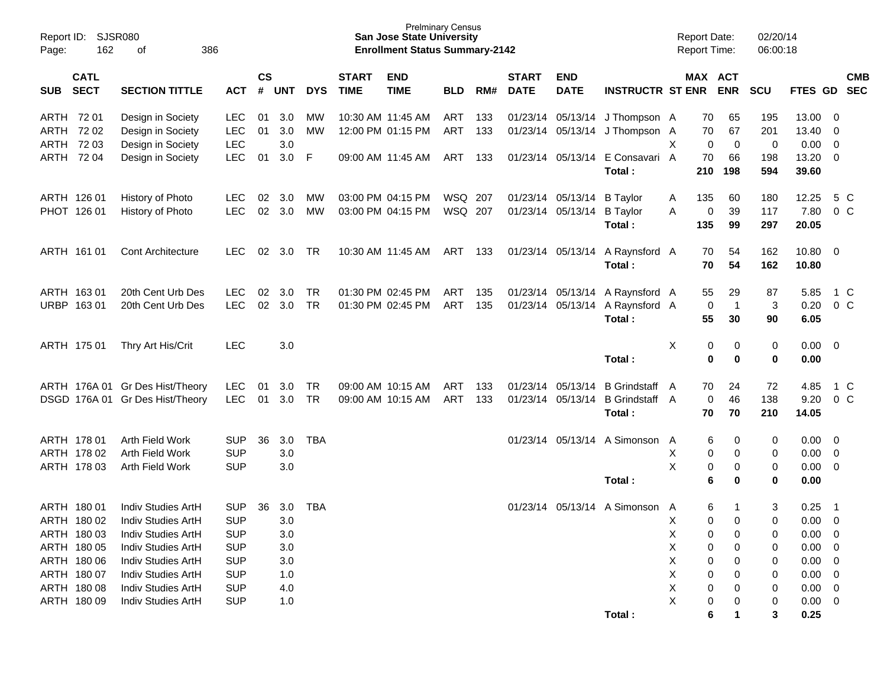| <b>SJSR080</b><br>Report ID:<br>162<br>Page: | 386                                      |                          |                |            |            | <b>San Jose State University</b><br><b>Enrollment Status Summary-2142</b> | <b>Prelminary Census</b>  |            |     |                             |                           |                         | <b>Report Date:</b><br><b>Report Time:</b> |                       | 02/20/14<br>06:00:18 |                       |              |                         |            |
|----------------------------------------------|------------------------------------------|--------------------------|----------------|------------|------------|---------------------------------------------------------------------------|---------------------------|------------|-----|-----------------------------|---------------------------|-------------------------|--------------------------------------------|-----------------------|----------------------|-----------------------|--------------|-------------------------|------------|
| <b>CATL</b><br><b>SECT</b><br><b>SUB</b>     | <b>SECTION TITTLE</b>                    | <b>ACT</b>               | <b>CS</b><br># | <b>UNT</b> | <b>DYS</b> | <b>START</b><br><b>TIME</b>                                               | <b>END</b><br><b>TIME</b> | <b>BLD</b> | RM# | <b>START</b><br><b>DATE</b> | <b>END</b><br><b>DATE</b> | <b>INSTRUCTR ST ENR</b> |                                            | MAX ACT               | <b>ENR</b>           | <b>SCU</b>            | FTES GD SEC  |                         | <b>CMB</b> |
| ARTH 72 01                                   | Design in Society                        | <b>LEC</b>               | 01             | 3.0        | МW         |                                                                           | 10:30 AM 11:45 AM         | <b>ART</b> | 133 |                             | 01/23/14 05/13/14         | J Thompson A            |                                            | 70                    | 65                   | 195                   | 13.00        | 0                       |            |
| ARTH<br>7202                                 | Design in Society                        | LEC                      | 01             | 3.0        | MW         |                                                                           | 12:00 PM 01:15 PM         | <b>ART</b> | 133 |                             | 01/23/14 05/13/14         | J Thompson A            |                                            | 70                    | 67                   | 201                   | 13.40        | $\overline{0}$          |            |
| ARTH<br>72 03                                | Design in Society                        | <b>LEC</b>               |                | 3.0        |            |                                                                           |                           |            |     |                             |                           |                         | Χ                                          | $\mathbf 0$           | $\mathbf 0$          | $\boldsymbol{0}$      | 0.00         | $\overline{0}$          |            |
| ARTH 72 04                                   | Design in Society                        | <b>LEC</b>               | 01             | 3.0        | F          |                                                                           | 09:00 AM 11:45 AM         | ART        | 133 |                             | 01/23/14 05/13/14         | E Consavari A           |                                            | 70                    | 66                   | 198                   | 13.20        | - 0                     |            |
|                                              |                                          |                          |                |            |            |                                                                           |                           |            |     |                             |                           | Total:                  |                                            | 210                   | 198                  | 594                   | 39.60        |                         |            |
| ARTH 126 01                                  | History of Photo                         | <b>LEC</b>               | 02             | 3.0        | МW         |                                                                           | 03:00 PM 04:15 PM         | WSQ 207    |     |                             | 01/23/14 05/13/14         | <b>B</b> Taylor         | A                                          | 135                   | 60                   | 180                   | 12.25        | 5 C                     |            |
| PHOT 126 01                                  | History of Photo                         | <b>LEC</b>               | 02             | 3.0        | MW         |                                                                           | 03:00 PM 04:15 PM         | WSQ 207    |     |                             | 01/23/14 05/13/14         | <b>B</b> Taylor         | A                                          | 0                     | 39                   | 117                   | 7.80         | 0 C                     |            |
|                                              |                                          |                          |                |            |            |                                                                           |                           |            |     |                             |                           | Total:                  |                                            | 135                   | 99                   | 297                   | 20.05        |                         |            |
| ARTH 161 01                                  | <b>Cont Architecture</b>                 | <b>LEC</b>               | 02             | 3.0        | TR         |                                                                           | 10:30 AM 11:45 AM         | ART        | 133 |                             | 01/23/14 05/13/14         | A Raynsford A           |                                            | 70                    | 54                   | 162                   | 10.80        | $\overline{\mathbf{0}}$ |            |
|                                              |                                          |                          |                |            |            |                                                                           |                           |            |     |                             |                           | Total:                  |                                            | 70                    | 54                   | 162                   | 10.80        |                         |            |
| ARTH 163 01                                  | 20th Cent Urb Des                        | <b>LEC</b>               | 02             | 3.0        | TR         |                                                                           | 01:30 PM 02:45 PM         | ART        | 135 |                             | 01/23/14 05/13/14         | A Raynsford A           |                                            | 55                    | 29                   | 87                    | 5.85         | 1 C                     |            |
| URBP 163 01                                  | 20th Cent Urb Des                        | <b>LEC</b>               | 02             | 3.0        | TR         |                                                                           | 01:30 PM 02:45 PM         | <b>ART</b> | 135 |                             | 01/23/14 05/13/14         | A Raynsford A           |                                            | 0                     | $\overline{1}$       | 3                     | 0.20         | 0 C                     |            |
|                                              |                                          |                          |                |            |            |                                                                           |                           |            |     |                             |                           | Total:                  |                                            | 55                    | 30                   | 90                    | 6.05         |                         |            |
| ARTH 175 01                                  | Thry Art His/Crit                        | <b>LEC</b>               |                | 3.0        |            |                                                                           |                           |            |     |                             |                           |                         | X                                          | 0                     | 0                    | $\mathbf 0$           | 0.00         | $\overline{\mathbf{0}}$ |            |
|                                              |                                          |                          |                |            |            |                                                                           |                           |            |     |                             |                           | Total:                  |                                            | $\mathbf 0$           | $\bf{0}$             | 0                     | 0.00         |                         |            |
|                                              | ARTH 176A 01 Gr Des Hist/Theory          | <b>LEC</b>               | 01             | 3.0        | TR         |                                                                           | 09:00 AM 10:15 AM         | <b>ART</b> | 133 |                             | 01/23/14 05/13/14         | <b>B</b> Grindstaff     | A                                          | 70                    | 24                   | 72                    | 4.85         | 1 C                     |            |
|                                              | DSGD 176A 01 Gr Des Hist/Theory          | <b>LEC</b>               | 01             | 3.0        | TR         |                                                                           | 09:00 AM 10:15 AM         | <b>ART</b> | 133 |                             | 01/23/14 05/13/14         | B Grindstaff A          |                                            | 0                     | 46                   | 138                   | 9.20         | 0 C                     |            |
|                                              |                                          |                          |                |            |            |                                                                           |                           |            |     |                             |                           | Total:                  |                                            | 70                    | 70                   | 210                   | 14.05        |                         |            |
| ARTH 178 01                                  | Arth Field Work                          | <b>SUP</b>               | 36             | 3.0        | <b>TBA</b> |                                                                           |                           |            |     | 01/23/14                    | 05/13/14                  | A Simonson              | A                                          | 6                     | 0                    | 0                     | 0.00         | $\overline{\mathbf{0}}$ |            |
| ARTH 178 02                                  | Arth Field Work                          | <b>SUP</b>               |                | 3.0        |            |                                                                           |                           |            |     |                             |                           |                         | Х                                          | 0                     | 0                    | 0                     | 0.00         | $\overline{0}$          |            |
| ARTH 178 03                                  | Arth Field Work                          | <b>SUP</b>               |                | 3.0        |            |                                                                           |                           |            |     |                             |                           |                         | $\sf X$                                    | 0                     | 0                    | 0                     | 0.00         | $\overline{0}$          |            |
|                                              |                                          |                          |                |            |            |                                                                           |                           |            |     |                             |                           | Total:                  |                                            | 6                     | 0                    | 0                     | 0.00         |                         |            |
| ARTH 180 01                                  | Indiv Studies ArtH                       | <b>SUP</b>               | 36             | 3.0        | <b>TBA</b> |                                                                           |                           |            |     | 01/23/14                    | 05/13/14                  | A Simonson              | A                                          | 6                     | -1                   | 3                     | 0.25         | $\overline{\mathbf{1}}$ |            |
| ARTH 180 02                                  | Indiv Studies ArtH                       | <b>SUP</b>               |                | 3.0        |            |                                                                           |                           |            |     |                             |                           |                         | х                                          | 0                     | $\Omega$             | $\mathbf 0$           | 0.00         | $\mathbf 0$             |            |
| ARTH 180 03                                  | Indiv Studies ArtH                       | <b>SUP</b>               |                | 3.0        |            |                                                                           |                           |            |     |                             |                           |                         | Χ                                          | 0                     | 0                    | 0                     | 0.00         | $\overline{0}$          |            |
| ARTH 180 05                                  | Indiv Studies ArtH                       | <b>SUP</b>               |                | 3.0        |            |                                                                           |                           |            |     |                             |                           |                         | Χ                                          | 0                     | 0                    | 0                     | 0.00         | $\mathbf 0$             |            |
| ARTH 180 06                                  | Indiv Studies ArtH                       | <b>SUP</b>               |                | 3.0        |            |                                                                           |                           |            |     |                             |                           |                         | Χ                                          | 0                     | 0                    | 0                     | 0.00         | $\mathbf 0$             |            |
| ARTH 180 07                                  | Indiv Studies ArtH                       | <b>SUP</b>               |                | 1.0        |            |                                                                           |                           |            |     |                             |                           |                         | Χ                                          | 0                     | 0                    | 0                     | 0.00         | $\mathbf 0$             |            |
| ARTH 180 08<br>ARTH 180 09                   | Indiv Studies ArtH<br>Indiv Studies ArtH | <b>SUP</b><br><b>SUP</b> |                | 4.0        |            |                                                                           |                           |            |     |                             |                           |                         | Χ<br>Χ                                     | 0                     | 0                    | 0                     | 0.00         | $\overline{\mathbf{0}}$ |            |
|                                              |                                          |                          |                | 1.0        |            |                                                                           |                           |            |     |                             |                           | Total:                  |                                            | $\boldsymbol{0}$<br>6 | 0<br>1               | $\boldsymbol{0}$<br>3 | 0.00<br>0.25 | $\overline{\mathbf{0}}$ |            |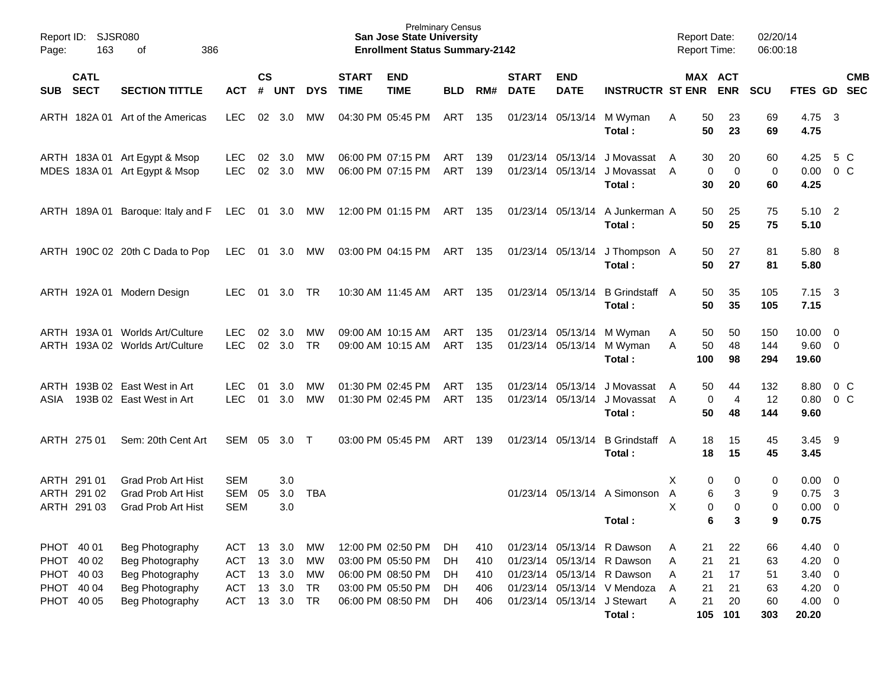| Page:                                                              | Report ID: SJSR080<br>163<br>386<br>of    |                                                                                             |                                                             |                            |                                 |                                                 |                             | <b>Prelminary Census</b><br><b>San Jose State University</b><br><b>Enrollment Status Summary-2142</b> |                            |                                 |                             |                                        |                                                                                                                                                                | <b>Report Date:</b><br><b>Report Time:</b>                 |                                      | 02/20/14<br>06:00:18              |                                                                       |                          |
|--------------------------------------------------------------------|-------------------------------------------|---------------------------------------------------------------------------------------------|-------------------------------------------------------------|----------------------------|---------------------------------|-------------------------------------------------|-----------------------------|-------------------------------------------------------------------------------------------------------|----------------------------|---------------------------------|-----------------------------|----------------------------------------|----------------------------------------------------------------------------------------------------------------------------------------------------------------|------------------------------------------------------------|--------------------------------------|-----------------------------------|-----------------------------------------------------------------------|--------------------------|
| SUB SECT                                                           | <b>CATL</b>                               | <b>SECTION TITTLE</b>                                                                       | <b>ACT</b>                                                  | $\mathsf{cs}$<br>#         | <b>UNT</b>                      | <b>DYS</b>                                      | <b>START</b><br><b>TIME</b> | <b>END</b><br><b>TIME</b>                                                                             | <b>BLD</b>                 | RM#                             | <b>START</b><br><b>DATE</b> | <b>END</b><br><b>DATE</b>              | <b>INSTRUCTR ST ENR ENR</b>                                                                                                                                    |                                                            | MAX ACT                              | <b>SCU</b>                        | FTES GD SEC                                                           | <b>CMB</b>               |
|                                                                    |                                           | ARTH 182A 01 Art of the Americas                                                            | LEC                                                         | 02                         | - 3.0                           | МW                                              |                             | 04:30 PM 05:45 PM                                                                                     | ART                        | 135                             |                             |                                        | 01/23/14 05/13/14 M Wyman<br>Total:                                                                                                                            | 50<br>Α<br>50                                              | 23<br>23                             | 69<br>69                          | 4.75<br>4.75                                                          | $\overline{\mathbf{3}}$  |
|                                                                    |                                           | ARTH 183A 01 Art Egypt & Msop<br>MDES 183A 01 Art Egypt & Msop                              | <b>LEC</b><br><b>LEC</b>                                    | 02<br>02                   | -3.0<br>3.0                     | МW<br>МW                                        |                             | 06:00 PM 07:15 PM<br>06:00 PM 07:15 PM                                                                | <b>ART</b><br>ART          | 139<br>139                      |                             | 01/23/14 05/13/14<br>01/23/14 05/13/14 | J Movassat<br>J Movassat A<br>Total:                                                                                                                           | 30<br>A<br>30                                              | 20<br>0<br>0<br>20                   | 60<br>0<br>60                     | 4.25<br>0.00<br>4.25                                                  | 5 C<br>0 <sup>o</sup>    |
|                                                                    |                                           | ARTH 189A 01 Baroque: Italy and F                                                           | LEC 01 3.0 MW                                               |                            |                                 |                                                 |                             | 12:00 PM 01:15 PM                                                                                     | ART 135                    |                                 |                             | 01/23/14 05/13/14                      | A Junkerman A<br>Total:                                                                                                                                        | 50<br>50                                                   | 25<br>25                             | 75<br>75                          | $5.10$ 2<br>5.10                                                      |                          |
|                                                                    |                                           | ARTH 190C 02 20th C Dada to Pop                                                             | <b>LEC</b>                                                  |                            | 01 3.0 MW                       |                                                 |                             | 03:00 PM 04:15 PM                                                                                     | ART 135                    |                                 |                             | 01/23/14 05/13/14                      | J Thompson A<br>Total:                                                                                                                                         | 50<br>50                                                   | 27<br>27                             | 81<br>81                          | 5.80 8<br>5.80                                                        |                          |
|                                                                    |                                           | ARTH 192A 01 Modern Design                                                                  | <b>LEC</b>                                                  | 01                         | 3.0                             | -TR                                             |                             | 10:30 AM 11:45 AM                                                                                     | ART 135                    |                                 |                             | 01/23/14 05/13/14                      | B Grindstaff A<br>Total:                                                                                                                                       | 50<br>50                                                   | 35<br>35                             | 105<br>105                        | $7.15 \quad 3$<br>7.15                                                |                          |
|                                                                    |                                           | ARTH 193A 01 Worlds Art/Culture<br>ARTH 193A 02 Worlds Art/Culture                          | <b>LEC</b><br><b>LEC</b>                                    | 02<br>02                   | 3.0<br>3.0                      | МW<br><b>TR</b>                                 |                             | 09:00 AM 10:15 AM<br>09:00 AM 10:15 AM                                                                | ART<br><b>ART</b>          | 135<br>135                      |                             | 01/23/14 05/13/14                      | M Wyman<br>01/23/14 05/13/14 M Wyman<br>Total:                                                                                                                 | 50<br>A<br>50<br>A<br>100                                  | 50<br>48<br>98                       | 150<br>144<br>294                 | $10.00 \t 0$<br>$9.60$ 0<br>19.60                                     |                          |
| ASIA                                                               |                                           | ARTH 193B 02 East West in Art<br>193B 02 East West in Art                                   | <b>LEC</b><br><b>LEC</b>                                    | 01<br>01                   | 3.0<br>3.0                      | МW<br>МW                                        |                             | 01:30 PM 02:45 PM<br>01:30 PM 02:45 PM                                                                | <b>ART</b><br>ART          | 135<br>135                      |                             | 01/23/14 05/13/14<br>01/23/14 05/13/14 | J Movassat<br>J Movassat A<br>Total:                                                                                                                           | 50<br>A<br>50                                              | 44<br>0<br>$\overline{4}$<br>48      | 132<br>12<br>144                  | 8.80<br>0.80<br>9.60                                                  | $0\,C$<br>0 <sup>o</sup> |
|                                                                    | ARTH 275 01                               | Sem: 20th Cent Art                                                                          | SEM                                                         | 05                         | 3.0 T                           |                                                 |                             | 03:00 PM 05:45 PM                                                                                     | ART                        | 139                             |                             | 01/23/14 05/13/14                      | B Grindstaff A<br>Total:                                                                                                                                       | 18<br>18                                                   | 15<br>15                             | 45<br>45                          | 3.45<br>3.45                                                          | - 9                      |
|                                                                    | ARTH 291 01<br>ARTH 291 02<br>ARTH 291 03 | <b>Grad Prob Art Hist</b><br><b>Grad Prob Art Hist</b><br>Grad Prob Art Hist                | <b>SEM</b><br>SEM<br><b>SEM</b>                             | 05                         | 3.0<br>3.0<br>3.0               | <b>TBA</b>                                      |                             |                                                                                                       |                            |                                 |                             |                                        | 01/23/14 05/13/14 A Simonson<br>Total:                                                                                                                         | X<br>A<br>Χ                                                | 0<br>0<br>6<br>3<br>0<br>0<br>6<br>3 | 0<br>9<br>$\mathbf 0$<br>9        | $0.00 \quad 0$<br>0.75<br>$0.00 \t 0$<br>0.75                         | $\overline{\mathbf{3}}$  |
| PHOT 40 01<br>PHOT 40 02<br>PHOT 40 03<br>PHOT 40 04<br>PHOT 40 05 |                                           | Beg Photography<br>Beg Photography<br>Beg Photography<br>Beg Photography<br>Beg Photography | ACT<br><b>ACT</b><br><b>ACT</b><br><b>ACT</b><br><b>ACT</b> | 13<br>13<br>13<br>13<br>13 | 3.0<br>3.0<br>3.0<br>3.0<br>3.0 | МW<br>MW<br><b>MW</b><br><b>TR</b><br><b>TR</b> |                             | 12:00 PM 02:50 PM<br>03:00 PM 05:50 PM<br>06:00 PM 08:50 PM<br>03:00 PM 05:50 PM<br>06:00 PM 08:50 PM | DH<br>DH<br>DH<br>DH<br>DH | 410<br>410<br>410<br>406<br>406 |                             |                                        | 01/23/14 05/13/14 R Dawson<br>01/23/14 05/13/14 R Dawson<br>01/23/14 05/13/14 R Dawson<br>01/23/14 05/13/14 V Mendoza<br>01/23/14 05/13/14 J Stewart<br>Total: | 21<br>Α<br>21<br>Α<br>21<br>Α<br>21<br>Α<br>21<br>A<br>105 | 22<br>21<br>17<br>21<br>20<br>101    | 66<br>63<br>51<br>63<br>60<br>303 | 4.40<br>$4.20 \ 0$<br>$3.40 \ 0$<br>$4.20 \ 0$<br>$4.00 \ 0$<br>20.20 | $\overline{\phantom{0}}$ |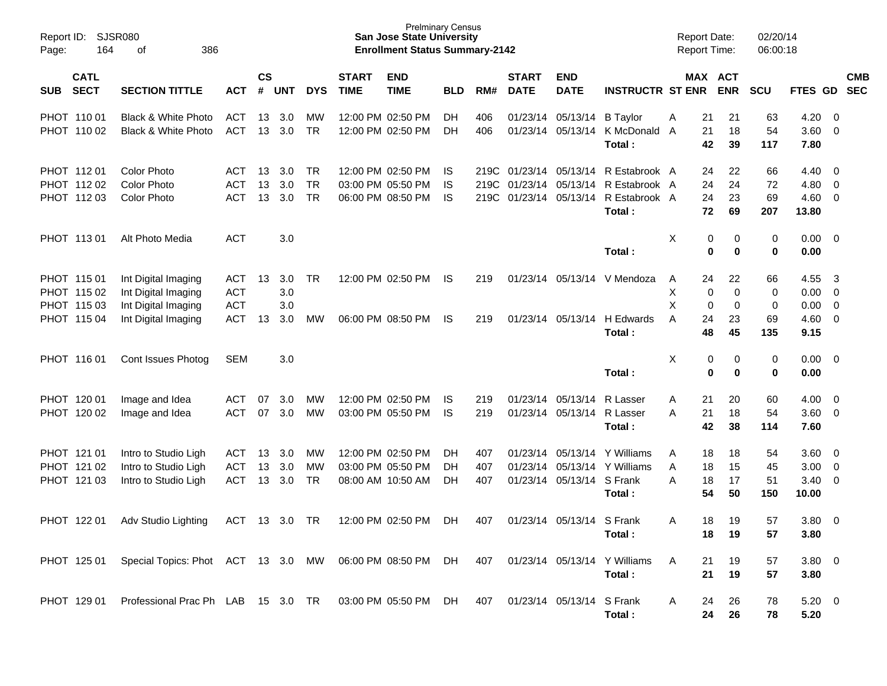| Report ID:<br>Page: | 164                                                      | SJSR080<br>386<br>оf                                                                     |                                                      |                    |                          |                              |                             | <b>Prelminary Census</b><br><b>San Jose State University</b><br><b>Enrollment Status Summary-2142</b> |                 |                   |                                                                            |                                                                     |                                                           | <b>Report Date:</b><br>Report Time: |                                                                    | 02/20/14<br>06:00:18      |                                      |                     |                          |
|---------------------|----------------------------------------------------------|------------------------------------------------------------------------------------------|------------------------------------------------------|--------------------|--------------------------|------------------------------|-----------------------------|-------------------------------------------------------------------------------------------------------|-----------------|-------------------|----------------------------------------------------------------------------|---------------------------------------------------------------------|-----------------------------------------------------------|-------------------------------------|--------------------------------------------------------------------|---------------------------|--------------------------------------|---------------------|--------------------------|
| <b>SUB</b>          | <b>CATL</b><br><b>SECT</b>                               | <b>SECTION TITTLE</b>                                                                    | <b>ACT</b>                                           | $\mathsf{cs}$<br># | <b>UNT</b>               | <b>DYS</b>                   | <b>START</b><br><b>TIME</b> | <b>END</b><br><b>TIME</b>                                                                             | <b>BLD</b>      | RM#               | <b>START</b><br><b>DATE</b>                                                | <b>END</b><br><b>DATE</b>                                           | <b>INSTRUCTR ST ENR</b>                                   |                                     | MAX ACT<br><b>ENR</b>                                              | <b>SCU</b>                | FTES GD                              |                     | <b>CMB</b><br><b>SEC</b> |
|                     | PHOT 110 01<br>PHOT 110 02                               | Black & White Photo<br>Black & White Photo                                               | ACT<br><b>ACT</b>                                    | 13<br>13           | 3.0<br>3.0               | MW<br><b>TR</b>              |                             | 12:00 PM 02:50 PM<br>12:00 PM 02:50 PM                                                                | DH<br>DH        | 406<br>406        |                                                                            | 01/23/14 05/13/14<br>01/23/14 05/13/14                              | <b>B</b> Taylor<br>K McDonald A<br>Total:                 | 21<br>Α<br>21                       | 21<br>18<br>42<br>39                                               | 63<br>54<br>117           | 4.20<br>3.60<br>7.80                 | 0<br>$\overline{0}$ |                          |
|                     | PHOT 11201<br>PHOT 112 02<br>PHOT 112 03                 | <b>Color Photo</b><br><b>Color Photo</b><br><b>Color Photo</b>                           | ACT<br><b>ACT</b><br><b>ACT</b>                      | 13<br>13<br>13     | 3.0<br>3.0<br>3.0        | TR<br><b>TR</b><br><b>TR</b> |                             | 12:00 PM 02:50 PM<br>03:00 PM 05:50 PM<br>06:00 PM 08:50 PM                                           | IS.<br>IS<br>IS |                   | 219C 01/23/14 05/13/14<br>219C 01/23/14 05/13/14<br>219C 01/23/14 05/13/14 |                                                                     | R Estabrook A<br>R Estabrook A<br>R Estabrook A<br>Total: | 24<br>24                            | 24<br>22<br>24<br>23<br>72<br>69                                   | 66<br>72<br>69<br>207     | 4.40<br>4.80<br>4.60<br>13.80        | 0<br>0<br>0         |                          |
|                     | PHOT 11301                                               | Alt Photo Media                                                                          | <b>ACT</b>                                           |                    | 3.0                      |                              |                             |                                                                                                       |                 |                   |                                                                            |                                                                     | Total:                                                    | Χ                                   | 0<br>0<br>0<br>$\bf{0}$                                            | 0<br>$\bf{0}$             | 0.00<br>0.00                         | $\overline{0}$      |                          |
|                     | PHOT 115 01<br>PHOT 115 02<br>PHOT 115 03<br>PHOT 115 04 | Int Digital Imaging<br>Int Digital Imaging<br>Int Digital Imaging<br>Int Digital Imaging | <b>ACT</b><br><b>ACT</b><br><b>ACT</b><br><b>ACT</b> | 13<br>13           | 3.0<br>3.0<br>3.0<br>3.0 | <b>TR</b><br>MW              |                             | 12:00 PM 02:50 PM<br>06:00 PM 08:50 PM                                                                | IS.<br>IS       | 219<br>219        |                                                                            | 01/23/14 05/13/14<br>01/23/14 05/13/14                              | V Mendoza<br>H Edwards<br>Total:                          | A<br>Х<br>X<br>A<br>24              | 24<br>22<br>$\mathbf 0$<br>0<br>$\mathbf 0$<br>0<br>23<br>48<br>45 | 66<br>0<br>0<br>69<br>135 | 4.55<br>0.00<br>0.00<br>4.60<br>9.15 | -3<br>0<br>0<br>0   |                          |
|                     | PHOT 116 01                                              | Cont Issues Photog                                                                       | <b>SEM</b>                                           |                    | 3.0                      |                              |                             |                                                                                                       |                 |                   |                                                                            |                                                                     | Total:                                                    | Χ                                   | 0<br>0<br>0<br>$\mathbf 0$                                         | 0<br>0                    | 0.00<br>0.00                         | $\overline{0}$      |                          |
|                     | PHOT 120 01<br>PHOT 120 02                               | Image and Idea<br>Image and Idea                                                         | <b>ACT</b><br><b>ACT</b>                             | 07<br>07           | 3.0<br>3.0               | MW<br><b>MW</b>              |                             | 12:00 PM 02:50 PM<br>03:00 PM 05:50 PM                                                                | IS.<br>IS       | 219<br>219        |                                                                            | 01/23/14 05/13/14<br>01/23/14 05/13/14                              | R Lasser<br>R Lasser<br>Total:                            | 21<br>Α<br>21<br>Α                  | 20<br>18<br>42<br>38                                               | 60<br>54<br>114           | 4.00<br>3.60<br>7.60                 | 0<br>0              |                          |
|                     | PHOT 121 01<br>PHOT 121 02<br>PHOT 121 03                | Intro to Studio Ligh<br>Intro to Studio Ligh<br>Intro to Studio Ligh                     | ACT<br><b>ACT</b><br><b>ACT</b>                      | 13<br>13<br>13     | 3.0<br>3.0<br>3.0        | MW<br>MW<br>TR               |                             | 12:00 PM 02:50 PM<br>03:00 PM 05:50 PM<br>08:00 AM 10:50 AM                                           | DH<br>DH<br>DH  | 407<br>407<br>407 |                                                                            | 01/23/14 05/13/14<br>01/23/14 05/13/14<br>01/23/14 05/13/14 S Frank | Y Williams<br>Y Williams<br>Total:                        | A<br>Α<br>18<br>Α<br>18             | 18<br>18<br>15<br>17<br>50<br>54                                   | 54<br>45<br>51<br>150     | 3.60<br>3.00<br>3.40<br>10.00        | 0<br>0<br>0         |                          |
|                     | PHOT 122 01                                              | Adv Studio Lighting                                                                      | ACT                                                  | 13                 | 3.0                      | TR                           |                             | 12:00 PM 02:50 PM                                                                                     | DH              | 407               |                                                                            | 01/23/14 05/13/14                                                   | S Frank<br>Total:                                         | Α                                   | 18<br>19<br>18<br>19                                               | 57<br>57                  | 3.80<br>3.80                         | 0                   |                          |
|                     | PHOT 125 01                                              | Special Topics: Phot ACT 13 3.0 MW 06:00 PM 08:50 PM DH                                  |                                                      |                    |                          |                              |                             |                                                                                                       |                 | 407               |                                                                            |                                                                     | 01/23/14 05/13/14 Y Williams<br>Total:                    | 21<br>A<br>21                       | 19<br>19                                                           | 57<br>57                  | $3.80\ 0$<br>3.80                    |                     |                          |
|                     | PHOT 129 01                                              | Professional Prac Ph LAB 15 3.0 TR 03:00 PM 05:50 PM DH                                  |                                                      |                    |                          |                              |                             |                                                                                                       |                 | 407               |                                                                            | 01/23/14 05/13/14 S Frank                                           | Total:                                                    | 24<br>A                             | 26<br>24<br>26                                                     | 78<br>78                  | $5.20 \ 0$<br>5.20                   |                     |                          |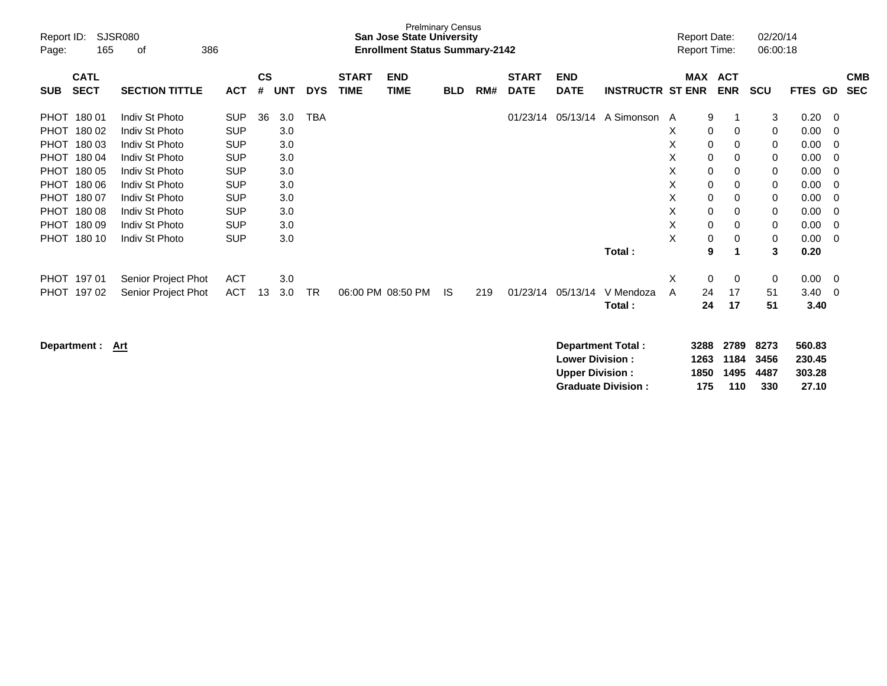| Report ID:<br>Page: | 165                        | <b>SJSR080</b><br>386<br>οf |            |                    |            |            |                             | <b>Prelminary Census</b><br><b>San Jose State University</b><br><b>Enrollment Status Summary-2142</b> |            |     |                             |                           |                         |   | <b>Report Date:</b><br><b>Report Time:</b> |                          | 02/20/14<br>06:00:18 |             |                |                          |
|---------------------|----------------------------|-----------------------------|------------|--------------------|------------|------------|-----------------------------|-------------------------------------------------------------------------------------------------------|------------|-----|-----------------------------|---------------------------|-------------------------|---|--------------------------------------------|--------------------------|----------------------|-------------|----------------|--------------------------|
| <b>SUB</b>          | <b>CATL</b><br><b>SECT</b> | <b>SECTION TITTLE</b>       | ACT        | $\mathsf{cs}$<br># | <b>UNT</b> | <b>DYS</b> | <b>START</b><br><b>TIME</b> | <b>END</b><br><b>TIME</b>                                                                             | <b>BLD</b> | RM# | <b>START</b><br><b>DATE</b> | <b>END</b><br><b>DATE</b> | <b>INSTRUCTR ST ENR</b> |   | <b>MAX</b>                                 | <b>ACT</b><br><b>ENR</b> | <b>SCU</b>           | <b>FTES</b> | GD             | <b>CMB</b><br><b>SEC</b> |
| <b>PHOT</b>         | 180 01                     | Indiv St Photo              | <b>SUP</b> | 36                 | 3.0        | <b>TBA</b> |                             |                                                                                                       |            |     | 01/23/14                    | 05/13/14                  | A Simonson A            |   | 9                                          | 1                        | 3                    | 0.20        | - 0            |                          |
| <b>PHOT</b>         | 180 02                     | Indiv St Photo              | <b>SUP</b> |                    | 3.0        |            |                             |                                                                                                       |            |     |                             |                           |                         | X | $\mathbf 0$                                | 0                        | 0                    | 0.00        | $\mathbf 0$    |                          |
| <b>PHOT</b>         | 180 03                     | Indiv St Photo              | <b>SUP</b> |                    | 3.0        |            |                             |                                                                                                       |            |     |                             |                           |                         | X | 0                                          | $\mathbf 0$              | 0                    | 0.00        | $\overline{0}$ |                          |
| <b>PHOT</b>         | 180 04                     | Indiv St Photo              | <b>SUP</b> |                    | 3.0        |            |                             |                                                                                                       |            |     |                             |                           |                         | Χ | 0                                          | 0                        | 0                    | 0.00        | $\mathbf 0$    |                          |
| <b>PHOT</b>         | 180 05                     | Indiv St Photo              | <b>SUP</b> |                    | 3.0        |            |                             |                                                                                                       |            |     |                             |                           |                         | X | $\mathbf 0$                                | $\Omega$                 | $\mathbf 0$          | 0.00        | $\Omega$       |                          |
| PHOT                | 180 06                     | Indiv St Photo              | <b>SUP</b> |                    | 3.0        |            |                             |                                                                                                       |            |     |                             |                           |                         | X | $\mathbf 0$                                | 0                        | 0                    | 0.00        | 0              |                          |
| <b>PHOT</b>         | 180 07                     | Indiv St Photo              | <b>SUP</b> |                    | 3.0        |            |                             |                                                                                                       |            |     |                             |                           |                         | X | 0                                          | 0                        | 0                    | 0.00        | 0              |                          |
| <b>PHOT</b>         | 180 08                     | Indiv St Photo              | <b>SUP</b> |                    | 3.0        |            |                             |                                                                                                       |            |     |                             |                           |                         | X | $\mathbf 0$                                | 0                        | 0                    | 0.00        | $\mathbf 0$    |                          |
| <b>PHOT</b>         | 18009                      | Indiv St Photo              | <b>SUP</b> |                    | 3.0        |            |                             |                                                                                                       |            |     |                             |                           |                         | X | $\mathbf 0$                                | $\mathbf 0$              | 0                    | 0.00        | $\mathbf 0$    |                          |
| <b>PHOT</b>         | 180 10                     | Indiv St Photo              | <b>SUP</b> |                    | 3.0        |            |                             |                                                                                                       |            |     |                             |                           |                         | X | 0                                          | 0                        | 0                    | 0.00        | $\mathbf 0$    |                          |
|                     |                            |                             |            |                    |            |            |                             |                                                                                                       |            |     |                             |                           | Total:                  |   | 9                                          | 1                        | $\mathbf{3}$         | 0.20        |                |                          |
| <b>PHOT</b>         | 197 01                     | Senior Project Phot         | <b>ACT</b> |                    | 3.0        |            |                             |                                                                                                       |            |     |                             |                           |                         | Χ | 0                                          | 0                        | 0                    | 0.00        | $\overline{0}$ |                          |
| <b>PHOT</b>         | 19702                      | Senior Project Phot         | <b>ACT</b> | 13                 | 3.0        | <b>TR</b>  |                             | 06:00 PM 08:50 PM                                                                                     | IS.        | 219 | 01/23/14                    | 05/13/14                  | V Mendoza               | A | 24                                         | 17                       | 51                   | 3.40        | $\overline{0}$ |                          |
|                     |                            |                             |            |                    |            |            |                             |                                                                                                       |            |     |                             |                           | Total:                  |   | 24                                         | 17                       | 51                   | 3.40        |                |                          |

| Department: Art | Department Total:         | 3288 | 2789 | 8273 | 560.83 |
|-----------------|---------------------------|------|------|------|--------|
|                 | <b>Lower Division:</b>    | 1263 | 1184 | 3456 | 230.45 |
|                 | <b>Upper Division:</b>    | 1850 | 1495 | 4487 | 303.28 |
|                 | <b>Graduate Division:</b> | 175  | 110  | 330  | 27.10  |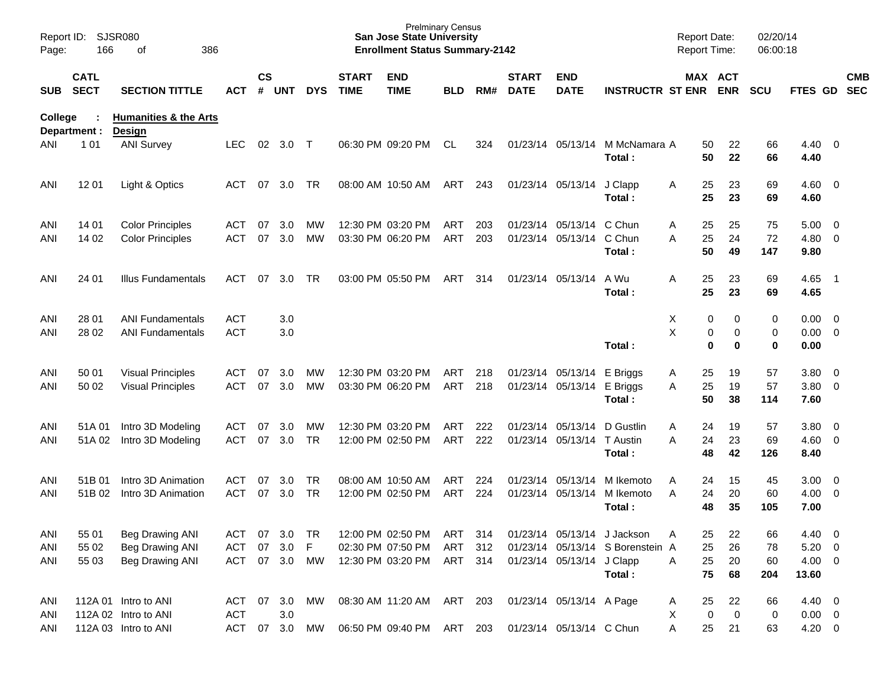| Report ID:<br>Page: | 166                     | SJSR080<br>386<br>of                       |               |                    |            |            |                             | <b>Prelminary Census</b><br><b>San Jose State University</b><br><b>Enrollment Status Summary-2142</b> |            |     |                             |                           |                                  | <b>Report Date:</b><br><b>Report Time:</b> |          |                       | 02/20/14<br>06:00:18 |                        |                          |                          |
|---------------------|-------------------------|--------------------------------------------|---------------|--------------------|------------|------------|-----------------------------|-------------------------------------------------------------------------------------------------------|------------|-----|-----------------------------|---------------------------|----------------------------------|--------------------------------------------|----------|-----------------------|----------------------|------------------------|--------------------------|--------------------------|
|                     | <b>CATL</b><br>SUB SECT | <b>SECTION TITTLE</b>                      | <b>ACT</b>    | $\mathsf{cs}$<br># | <b>UNT</b> | <b>DYS</b> | <b>START</b><br><b>TIME</b> | <b>END</b><br><b>TIME</b>                                                                             | <b>BLD</b> | RM# | <b>START</b><br><b>DATE</b> | <b>END</b><br><b>DATE</b> | <b>INSTRUCTR ST ENR</b>          |                                            |          | MAX ACT<br><b>ENR</b> | <b>SCU</b>           | FTES GD                |                          | <b>CMB</b><br><b>SEC</b> |
| College             | Department :            | <b>Humanities &amp; the Arts</b><br>Design |               |                    |            |            |                             |                                                                                                       |            |     |                             |                           |                                  |                                            |          |                       |                      |                        |                          |                          |
| ANI                 | 1 0 1                   | <b>ANI Survey</b>                          | <b>LEC</b>    | 02                 | 3.0 T      |            |                             | 06:30 PM 09:20 PM                                                                                     | CL         | 324 |                             | 01/23/14 05/13/14         | M McNamara A<br>Total:           |                                            | 50<br>50 | 22<br>22              | 66<br>66             | $4.40 \quad 0$<br>4.40 |                          |                          |
| ANI                 | 12 01                   | Light & Optics                             | <b>ACT</b>    | 07                 | 3.0        | <b>TR</b>  |                             | 08:00 AM 10:50 AM                                                                                     | ART        | 243 |                             | 01/23/14 05/13/14         | J Clapp<br>Total:                | Α                                          | 25<br>25 | 23<br>23              | 69<br>69             | $4.60$ 0<br>4.60       |                          |                          |
| ANI                 | 14 01                   | <b>Color Principles</b>                    | ACT           | 07                 | 3.0        | MW         |                             | 12:30 PM 03:20 PM                                                                                     | ART        | 203 |                             | 01/23/14 05/13/14         | C Chun                           | Α                                          | 25       | 25                    | 75                   | $5.00 \t 0$            |                          |                          |
| ANI                 | 14 02                   | <b>Color Principles</b>                    | <b>ACT</b>    | 07                 | 3.0        | <b>MW</b>  |                             | 03:30 PM 06:20 PM                                                                                     | ART        | 203 |                             | 01/23/14 05/13/14         | C Chun<br>Total:                 | A                                          | 25<br>50 | 24<br>49              | 72<br>147            | $4.80$ 0<br>9.80       |                          |                          |
| ANI                 | 24 01                   | Illus Fundamentals                         | ACT           | 07                 | 3.0        | <b>TR</b>  |                             | 03:00 PM 05:50 PM                                                                                     | ART        | 314 |                             | 01/23/14 05/13/14         | A Wu<br>Total:                   | A                                          | 25<br>25 | 23<br>23              | 69<br>69             | 4.65<br>4.65           | $\overline{\phantom{1}}$ |                          |
| ANI                 | 28 01                   | <b>ANI Fundamentals</b>                    | <b>ACT</b>    |                    | 3.0        |            |                             |                                                                                                       |            |     |                             |                           |                                  | X                                          | 0        | 0                     | 0                    | $0.00 \t 0$            |                          |                          |
| ANI                 | 28 02                   | <b>ANI Fundamentals</b>                    | <b>ACT</b>    |                    | 3.0        |            |                             |                                                                                                       |            |     |                             |                           |                                  | X                                          | 0        | 0                     | 0                    | $0.00 \t 0$            |                          |                          |
|                     |                         |                                            |               |                    |            |            |                             |                                                                                                       |            |     |                             |                           | Total:                           |                                            | $\bf{0}$ | $\bf{0}$              | $\bf{0}$             | 0.00                   |                          |                          |
| ANI                 | 50 01                   | <b>Visual Principles</b>                   | ACT           | 07                 | 3.0        | MW         |                             | 12:30 PM 03:20 PM                                                                                     | ART        | 218 |                             | 01/23/14 05/13/14         | E Briggs                         | A                                          | 25       | 19                    | 57                   | 3.80 0                 |                          |                          |
| ANI                 | 50 02                   | <b>Visual Principles</b>                   | <b>ACT</b>    | 07                 | 3.0        | <b>MW</b>  |                             | 03:30 PM 06:20 PM                                                                                     | ART        | 218 |                             | 01/23/14 05/13/14         | E Briggs                         | A                                          | 25       | 19                    | 57                   | 3.80 0                 |                          |                          |
|                     |                         |                                            |               |                    |            |            |                             |                                                                                                       |            |     |                             |                           | Total:                           |                                            | 50       | 38                    | 114                  | 7.60                   |                          |                          |
| ANI                 | 51A 01                  | Intro 3D Modeling                          | ACT           | 07                 | 3.0        | MW         |                             | 12:30 PM 03:20 PM                                                                                     | <b>ART</b> | 222 |                             | 01/23/14 05/13/14         | D Gustlin                        | A                                          | 24       | 19                    | 57                   | 3.80 0                 |                          |                          |
| ANI                 | 51A 02                  | Intro 3D Modeling                          | <b>ACT</b>    | 07                 | 3.0        | <b>TR</b>  |                             | 12:00 PM 02:50 PM                                                                                     | ART        | 222 |                             | 01/23/14 05/13/14         | T Austin                         | A                                          | 24       | 23                    | 69                   | $4.60$ 0               |                          |                          |
|                     |                         |                                            |               |                    |            |            |                             |                                                                                                       |            |     |                             |                           | Total:                           |                                            | 48       | 42                    | 126                  | 8.40                   |                          |                          |
| ANI                 | 51B 01                  | Intro 3D Animation                         | ACT           | 07                 | 3.0        | <b>TR</b>  |                             | 08:00 AM 10:50 AM                                                                                     | ART        | 224 |                             | 01/23/14 05/13/14         | M Ikemoto                        | A                                          | 24       | 15                    | 45                   | 3.00                   | $\overline{\phantom{0}}$ |                          |
| ANI                 | 51B 02                  | Intro 3D Animation                         | <b>ACT</b>    | 07                 | 3.0        | TR         |                             | 12:00 PM 02:50 PM                                                                                     | ART        | 224 |                             | 01/23/14 05/13/14         | M Ikemoto                        | A                                          | 24       | 20                    | 60                   | $4.00 \ 0$             |                          |                          |
|                     |                         |                                            |               |                    |            |            |                             |                                                                                                       |            |     |                             |                           | Total:                           |                                            | 48       | 35                    | 105                  | 7.00                   |                          |                          |
| ANI                 | 55 01                   | <b>Beg Drawing ANI</b>                     | ACT 07 3.0    |                    |            | TR.        |                             | 12:00 PM 02:50 PM                                                                                     | ART 314    |     |                             |                           | 01/23/14 05/13/14 J Jackson      | Α                                          | 25       | 22                    | 66                   | 4.40 0                 |                          |                          |
| ANI                 | 55 02                   | Beg Drawing ANI                            | <b>ACT</b>    | 07                 | 3.0        | F          |                             | 02:30 PM 07:50 PM                                                                                     | ART        | 312 |                             |                           | 01/23/14 05/13/14 S Borenstein A |                                            | 25       | 26                    | 78                   | $5.20 \t 0$            |                          |                          |
| ANI                 | 55 03                   | Beg Drawing ANI                            | ACT 07 3.0 MW |                    |            |            |                             | 12:30 PM 03:20 PM                                                                                     | ART 314    |     |                             | 01/23/14 05/13/14 J Clapp |                                  | A                                          | 25       | 20                    | 60                   | $4.00 \ 0$             |                          |                          |
|                     |                         |                                            |               |                    |            |            |                             |                                                                                                       |            |     |                             |                           | Total:                           |                                            | 75       | 68                    | 204                  | 13.60                  |                          |                          |
| ANI                 |                         | 112A 01 Intro to ANI                       | ACT 07        |                    | 3.0        | МW         |                             | 08:30 AM 11:20 AM                                                                                     | ART 203    |     |                             | 01/23/14 05/13/14 A Page  |                                  | A                                          | 25       | 22                    | 66                   | 4.40 0                 |                          |                          |
| ANI                 |                         | 112A 02 Intro to ANI                       | <b>ACT</b>    |                    | 3.0        |            |                             |                                                                                                       |            |     |                             |                           |                                  | х                                          | 0        | $\mathbf 0$           | 0                    | $0.00 \t 0$            |                          |                          |
| ANI                 |                         | 112A 03 Intro to ANI                       | ACT 07 3.0 MW |                    |            |            |                             | 06:50 PM 09:40 PM ART 203                                                                             |            |     |                             | 01/23/14 05/13/14 C Chun  |                                  | A                                          | 25       | 21                    | 63                   | $4.20 \ 0$             |                          |                          |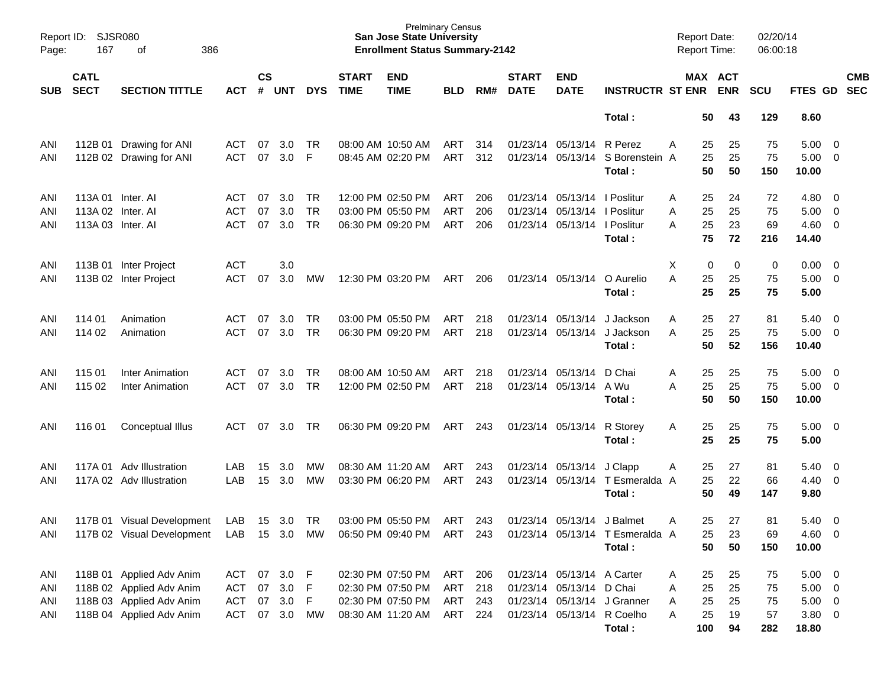| Report ID:<br>Page: | <b>SJSR080</b><br>167<br>386<br>оf |                            |            |                    |            |            |                             | <b>Prelminary Census</b><br><b>San Jose State University</b><br><b>Enrollment Status Summary-2142</b> |            |     |                             |                              |                                 | <b>Report Date:</b><br><b>Report Time:</b> |          |            | 02/20/14<br>06:00:18 |               |                         |                          |
|---------------------|------------------------------------|----------------------------|------------|--------------------|------------|------------|-----------------------------|-------------------------------------------------------------------------------------------------------|------------|-----|-----------------------------|------------------------------|---------------------------------|--------------------------------------------|----------|------------|----------------------|---------------|-------------------------|--------------------------|
| <b>SUB</b>          | <b>CATL</b><br><b>SECT</b>         | <b>SECTION TITTLE</b>      | <b>ACT</b> | $\mathsf{cs}$<br># | <b>UNT</b> | <b>DYS</b> | <b>START</b><br><b>TIME</b> | <b>END</b><br><b>TIME</b>                                                                             | <b>BLD</b> | RM# | <b>START</b><br><b>DATE</b> | <b>END</b><br><b>DATE</b>    | <b>INSTRUCTR ST ENR</b>         | MAX ACT                                    |          | <b>ENR</b> | <b>SCU</b>           | FTES GD       |                         | <b>CMB</b><br><b>SEC</b> |
|                     |                                    |                            |            |                    |            |            |                             |                                                                                                       |            |     |                             |                              | Total:                          |                                            | 50       | 43         | 129                  | 8.60          |                         |                          |
| ANI                 |                                    | 112B 01 Drawing for ANI    | ACT        | 07                 | 3.0        | <b>TR</b>  |                             | 08:00 AM 10:50 AM                                                                                     | ART        | 314 |                             | 01/23/14 05/13/14            | R Perez                         | A                                          | 25       | 25         | 75                   | 5.00          | $\overline{0}$          |                          |
| ANI                 |                                    | 112B 02 Drawing for ANI    | <b>ACT</b> | 07                 | 3.0        | F          |                             | 08:45 AM 02:20 PM                                                                                     | ART        | 312 |                             | 01/23/14 05/13/14            | S Borenstein A<br>Total:        |                                            | 25<br>50 | 25<br>50   | 75<br>150            | 5.00<br>10.00 | 0                       |                          |
| ANI                 | 113A 01 Inter, AI                  |                            | ACT        | 07                 | 3.0        | TR         |                             | 12:00 PM 02:50 PM                                                                                     | ART        | 206 |                             | 01/23/14 05/13/14   Poslitur |                                 | Α                                          | 25       | 24         | 72                   | 4.80          | $\overline{0}$          |                          |
| ANI                 | 113A 02 Inter. AI                  |                            | ACT        | 07                 | 3.0        | <b>TR</b>  |                             | 03:00 PM 05:50 PM                                                                                     | ART        | 206 | 01/23/14                    | 05/13/14   Poslitur          |                                 | Α                                          | 25       | 25         | 75                   | 5.00          | 0                       |                          |
| ANI                 | 113A 03 Inter. Al                  |                            | <b>ACT</b> | 07                 | 3.0        | <b>TR</b>  |                             | 06:30 PM 09:20 PM                                                                                     | ART        | 206 |                             | 01/23/14 05/13/14   Poslitur |                                 | A                                          | 25       | 23         | 69                   | 4.60          | 0                       |                          |
|                     |                                    |                            |            |                    |            |            |                             |                                                                                                       |            |     |                             |                              | Total:                          |                                            | 75       | 72         | 216                  | 14.40         |                         |                          |
| ANI                 |                                    | 113B 01 Inter Project      | <b>ACT</b> |                    | 3.0        |            |                             |                                                                                                       |            |     |                             |                              |                                 | Χ                                          | 0        | 0          | 0                    | 0.00          | $\overline{0}$          |                          |
| ANI                 |                                    | 113B 02 Inter Project      | <b>ACT</b> | 07                 | 3.0        | MW         |                             | 12:30 PM 03:20 PM                                                                                     | ART        | 206 |                             | 01/23/14 05/13/14            | O Aurelio                       | А                                          | 25       | 25         | 75                   | 5.00          | $\overline{0}$          |                          |
|                     |                                    |                            |            |                    |            |            |                             |                                                                                                       |            |     |                             |                              | Total:                          |                                            | 25       | 25         | 75                   | 5.00          |                         |                          |
| ANI                 | 114 01                             | Animation                  | ACT        | 07                 | 3.0        | <b>TR</b>  |                             | 03:00 PM 05:50 PM                                                                                     | ART        | 218 |                             | 01/23/14 05/13/14            | J Jackson                       | Α                                          | 25       | 27         | 81                   | 5.40          | 0                       |                          |
| ANI                 | 114 02                             | Animation                  | <b>ACT</b> | 07                 | 3.0        | <b>TR</b>  |                             | 06:30 PM 09:20 PM                                                                                     | ART        | 218 |                             | 01/23/14 05/13/14            | J Jackson                       | A                                          | 25       | 25         | 75                   | 5.00          | 0                       |                          |
|                     |                                    |                            |            |                    |            |            |                             |                                                                                                       |            |     |                             |                              | Total:                          |                                            | 50       | 52         | 156                  | 10.40         |                         |                          |
| ANI                 | 115 01                             | Inter Animation            | ACT        | 07                 | 3.0        | <b>TR</b>  |                             | 08:00 AM 10:50 AM                                                                                     | ART        | 218 |                             | 01/23/14 05/13/14            | D Chai                          | Α                                          | 25       | 25         | 75                   | 5.00          | $\overline{0}$          |                          |
| ANI                 | 115 02                             | Inter Animation            | <b>ACT</b> | 07                 | 3.0        | <b>TR</b>  |                             | 12:00 PM 02:50 PM                                                                                     | ART        | 218 |                             | 01/23/14 05/13/14 A Wu       |                                 | Α                                          | 25       | 25         | 75                   | 5.00          | $\overline{0}$          |                          |
|                     |                                    |                            |            |                    |            |            |                             |                                                                                                       |            |     |                             |                              | Total:                          |                                            | 50       | 50         | 150                  | 10.00         |                         |                          |
| ANI                 | 11601                              | Conceptual Illus           | ACT        | 07                 | 3.0        | TR         |                             | 06:30 PM 09:20 PM                                                                                     | ART        | 243 |                             | 01/23/14 05/13/14            | R Storey                        | A                                          | 25       | 25         | 75                   | 5.00          | $\overline{\mathbf{0}}$ |                          |
|                     |                                    |                            |            |                    |            |            |                             |                                                                                                       |            |     |                             |                              | Total:                          |                                            | 25       | 25         | 75                   | 5.00          |                         |                          |
| ANI                 |                                    | 117A 01 Adv Illustration   | LAB        | 15                 | 3.0        | MW         |                             | 08:30 AM 11:20 AM                                                                                     | ART        | 243 |                             | 01/23/14 05/13/14 J Clapp    |                                 | Α                                          | 25       | 27         | 81                   | 5.40          | 0                       |                          |
| ANI                 |                                    | 117A 02 Adv Illustration   | LAB        | 15                 | 3.0        | MW         |                             | 03:30 PM 06:20 PM                                                                                     | ART        | 243 |                             | 01/23/14 05/13/14            | T Esmeralda A                   |                                            | 25       | 22         | 66                   | 4.40          | 0                       |                          |
|                     |                                    |                            |            |                    |            |            |                             |                                                                                                       |            |     |                             |                              | Total:                          |                                            | 50       | 49         | 147                  | 9.80          |                         |                          |
| ANI                 |                                    | 117B 01 Visual Development | LAB        |                    | 15 3.0     | TR         |                             | 03:00 PM 05:50 PM                                                                                     | ART        | 243 |                             | 01/23/14 05/13/14 J Balmet   |                                 | Α                                          | 25       | 27         | 81                   | 5.40          | $\overline{0}$          |                          |
| ANI                 |                                    | 117B 02 Visual Development |            |                    |            |            |                             | LAB 15 3.0 MW 06:50 PM 09:40 PM ART 243                                                               |            |     |                             |                              | 01/23/14 05/13/14 T Esmeralda A |                                            | 25       | 23         | 69                   | 4.60 0        |                         |                          |
|                     |                                    |                            |            |                    |            |            |                             |                                                                                                       |            |     |                             |                              | Total:                          |                                            | 50       | 50         | 150                  | 10.00         |                         |                          |
| ANI                 |                                    | 118B 01 Applied Adv Anim   | ACT        | 07                 | 3.0 F      |            |                             | 02:30 PM 07:50 PM                                                                                     | ART 206    |     |                             | 01/23/14 05/13/14 A Carter   |                                 | A                                          | 25       | 25         | 75                   | $5.00 \t 0$   |                         |                          |
| ANI                 |                                    | 118B 02 Applied Adv Anim   | ACT        | 07                 | 3.0        | - F        |                             | 02:30 PM 07:50 PM                                                                                     | ART 218    |     |                             | 01/23/14 05/13/14 D Chai     |                                 | Α                                          | 25       | 25         | 75                   | $5.00 \t 0$   |                         |                          |
| ANI                 |                                    | 118B 03 Applied Adv Anim   | ACT        | 07                 | 3.0        | -F         |                             | 02:30 PM 07:50 PM                                                                                     | ART 243    |     |                             |                              | 01/23/14 05/13/14 J Granner     | Α                                          | 25       | 25         | 75                   | $5.00 \t 0$   |                         |                          |
| ANI                 |                                    | 118B 04 Applied Adv Anim   | ACT        |                    | 07 3.0     | MW         |                             | 08:30 AM 11:20 AM                                                                                     | ART 224    |     |                             |                              | 01/23/14 05/13/14 R Coelho      | Α                                          | 25       | 19         | 57                   | $3.80\ 0$     |                         |                          |
|                     |                                    |                            |            |                    |            |            |                             |                                                                                                       |            |     |                             |                              | Total:                          |                                            | 100      | 94         | 282                  | 18.80         |                         |                          |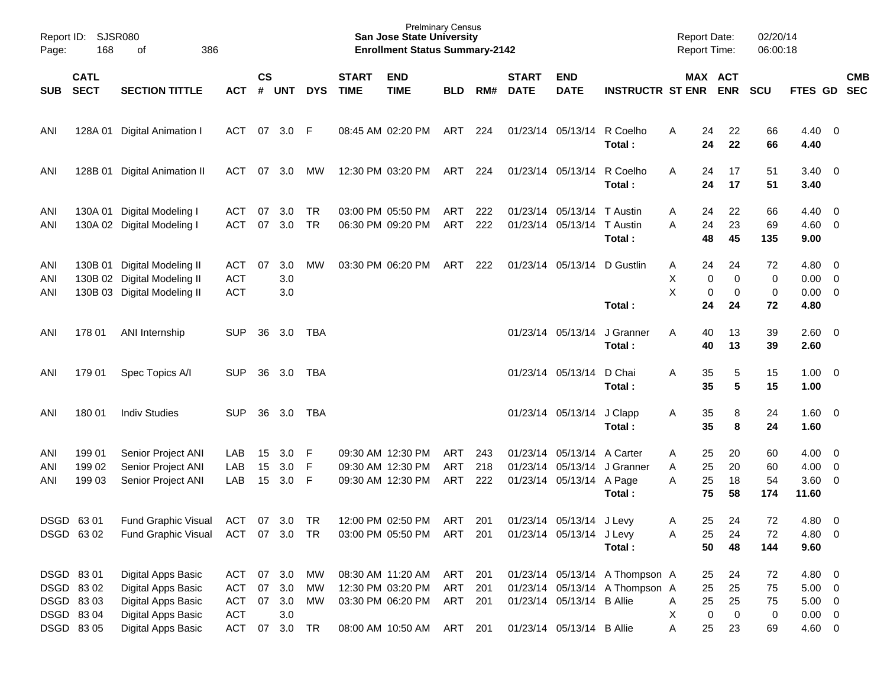| Page:             | Report ID: SJSR080<br>168                          | 386<br>of                                                                                                                              |                                               |                    |                             |                 |                             | <b>Prelminary Census</b><br><b>San Jose State University</b><br><b>Enrollment Status Summary-2142</b> |                                          |                   |                             |                                                          |                                                                  | <b>Report Date:</b><br><b>Report Time:</b> |                                   |                                     | 02/20/14<br>06:00:18      |                                                               |            |
|-------------------|----------------------------------------------------|----------------------------------------------------------------------------------------------------------------------------------------|-----------------------------------------------|--------------------|-----------------------------|-----------------|-----------------------------|-------------------------------------------------------------------------------------------------------|------------------------------------------|-------------------|-----------------------------|----------------------------------------------------------|------------------------------------------------------------------|--------------------------------------------|-----------------------------------|-------------------------------------|---------------------------|---------------------------------------------------------------|------------|
| <b>SUB</b>        | <b>CATL</b><br><b>SECT</b>                         | <b>SECTION TITTLE</b>                                                                                                                  | <b>ACT</b>                                    | $\mathsf{cs}$<br># | <b>UNT</b>                  | <b>DYS</b>      | <b>START</b><br><b>TIME</b> | <b>END</b><br><b>TIME</b>                                                                             | <b>BLD</b>                               | RM#               | <b>START</b><br><b>DATE</b> | <b>END</b><br><b>DATE</b>                                | <b>INSTRUCTR ST ENR</b>                                          |                                            |                                   | MAX ACT<br><b>ENR</b>               | <b>SCU</b>                | FTES GD SEC                                                   | <b>CMB</b> |
| ANI               |                                                    | 128A 01 Digital Animation I                                                                                                            | ACT                                           | - 07               | 3.0 F                       |                 |                             | 08:45 AM 02:20 PM                                                                                     | ART                                      | 224               |                             | 01/23/14 05/13/14                                        | R Coelho<br>Total:                                               | A                                          | 24<br>24                          | 22<br>22                            | 66<br>66                  | $4.40 \quad 0$<br>4.40                                        |            |
| ANI               |                                                    | 128B 01 Digital Animation II                                                                                                           | ACT                                           | 07                 | 3.0                         | МW              |                             | 12:30 PM 03:20 PM                                                                                     | ART 224                                  |                   |                             | 01/23/14 05/13/14                                        | R Coelho<br>Total:                                               | Α                                          | 24<br>24                          | 17<br>17                            | 51<br>51                  | $3.40 \quad 0$<br>3.40                                        |            |
| ANI<br>ANI        |                                                    | 130A 01 Digital Modeling I<br>130A 02 Digital Modeling I                                                                               | ACT<br><b>ACT</b>                             | 07<br>07           | 3.0<br>3.0                  | TR<br><b>TR</b> |                             | 03:00 PM 05:50 PM<br>06:30 PM 09:20 PM                                                                | ART<br>ART                               | 222<br>222        |                             | 01/23/14 05/13/14 T Austin<br>01/23/14 05/13/14 T Austin | Total:                                                           | Α<br>Α                                     | 24<br>24<br>48                    | 22<br>23<br>45                      | 66<br>69<br>135           | $4.40 \quad 0$<br>$4.60$ 0<br>9.00                            |            |
| ANI<br>ANI<br>ANI |                                                    | 130B 01 Digital Modeling II<br>130B 02 Digital Modeling II<br>130B 03 Digital Modeling II                                              | ACT<br><b>ACT</b><br><b>ACT</b>               | 07                 | 3.0<br>3.0<br>3.0           | МW              |                             | 03:30 PM 06:20 PM                                                                                     | ART                                      | 222               |                             | 01/23/14 05/13/14                                        | D Gustlin<br>Total:                                              | A<br>Χ<br>Χ                                | 24<br>0<br>0<br>24                | 24<br>0<br>0<br>24                  | 72<br>0<br>0<br>72        | $4.80\ 0$<br>$0.00 \quad 0$<br>$0.00 \t 0$<br>4.80            |            |
| ANI               | 178 01                                             | ANI Internship                                                                                                                         | <b>SUP</b>                                    | 36                 | 3.0                         | TBA             |                             |                                                                                                       |                                          |                   |                             | 01/23/14 05/13/14                                        | J Granner<br>Total:                                              | Α                                          | 40<br>40                          | 13<br>13                            | 39<br>39                  | 2.60 0<br>2.60                                                |            |
| ANI               | 179 01                                             | Spec Topics A/I                                                                                                                        | <b>SUP</b>                                    | 36                 | 3.0                         | TBA             |                             |                                                                                                       |                                          |                   |                             | 01/23/14 05/13/14                                        | D Chai<br>Total:                                                 | Α                                          | 35<br>35                          | 5<br>$5\phantom{1}$                 | 15<br>15                  | $1.00 \t 0$<br>1.00                                           |            |
| ANI               | 180 01                                             | <b>Indiv Studies</b>                                                                                                                   | <b>SUP</b>                                    | 36                 | 3.0                         | TBA             |                             |                                                                                                       |                                          |                   |                             | 01/23/14 05/13/14 J Clapp                                | Total:                                                           | A                                          | 35<br>35                          | 8<br>8                              | 24<br>24                  | $1.60 \t 0$<br>1.60                                           |            |
| ANI<br>ANI<br>ANI | 199 01<br>199 02<br>199 03                         | Senior Project ANI<br>Senior Project ANI<br>Senior Project ANI                                                                         | LAB<br>LAB<br>LAB                             | 15<br>15<br>15     | 3.0<br>3.0<br>3.0           | -F<br>F<br>- F  |                             | 09:30 AM 12:30 PM<br>09:30 AM 12:30 PM<br>09:30 AM 12:30 PM                                           | ART<br>ART<br>ART                        | 243<br>218<br>222 |                             | 01/23/14 05/13/14 A Carter<br>01/23/14 05/13/14 A Page   | 01/23/14 05/13/14 J Granner<br>Total:                            | Α<br>Α<br>A                                | 25<br>25<br>25<br>75              | 20<br>20<br>18<br>58                | 60<br>60<br>54<br>174     | $4.00 \ 0$<br>$4.00 \ 0$<br>3.60 0<br>11.60                   |            |
| DSGD 63 01        | DSGD 6302                                          | <b>Fund Graphic Visual</b><br>Fund Graphic Visual ACT 07 3.0 TR                                                                        | ACT 07 3.0 TR                                 |                    |                             |                 |                             | 12:00 PM 02:50 PM<br>03:00 PM 05:50 PM ART 201                                                        | ART                                      | 201               |                             | 01/23/14 05/13/14 J Levy<br>01/23/14 05/13/14 J Levy     | Total:                                                           | Α<br>Α                                     | 25<br>25<br>50                    | 24<br>24<br>48                      | 72<br>72<br>144           | $4.80$ 0<br>4.80 0<br>9.60                                    |            |
| DSGD 8301         | DSGD 8302<br>DSGD 8303<br>DSGD 83 04<br>DSGD 83 05 | Digital Apps Basic<br><b>Digital Apps Basic</b><br><b>Digital Apps Basic</b><br><b>Digital Apps Basic</b><br><b>Digital Apps Basic</b> | ACT 07 3.0<br>ACT<br>ACT<br><b>ACT</b><br>ACT | 07<br>07<br>07     | 3.0<br>3.0<br>3.0<br>3.0 TR | MW<br>МW<br>МW  |                             | 08:30 AM 11:20 AM<br>12:30 PM 03:20 PM<br>03:30 PM 06:20 PM<br>08:00 AM 10:50 AM                      | ART 201<br>ART 201<br>ART 201<br>ART 201 |                   |                             | 01/23/14 05/13/14 B Allie<br>01/23/14 05/13/14 B Allie   | 01/23/14 05/13/14 A Thompson A<br>01/23/14 05/13/14 A Thompson A | A<br>Χ<br>Α                                | 25<br>25<br>25<br>$\pmb{0}$<br>25 | 24<br>25<br>25<br>$\mathbf 0$<br>23 | 72<br>75<br>75<br>0<br>69 | 4.80 0<br>$5.00 \t 0$<br>$5.00 \t 0$<br>$0.00 \t 0$<br>4.60 0 |            |
|                   |                                                    |                                                                                                                                        |                                               |                    |                             |                 |                             |                                                                                                       |                                          |                   |                             |                                                          |                                                                  |                                            |                                   |                                     |                           |                                                               |            |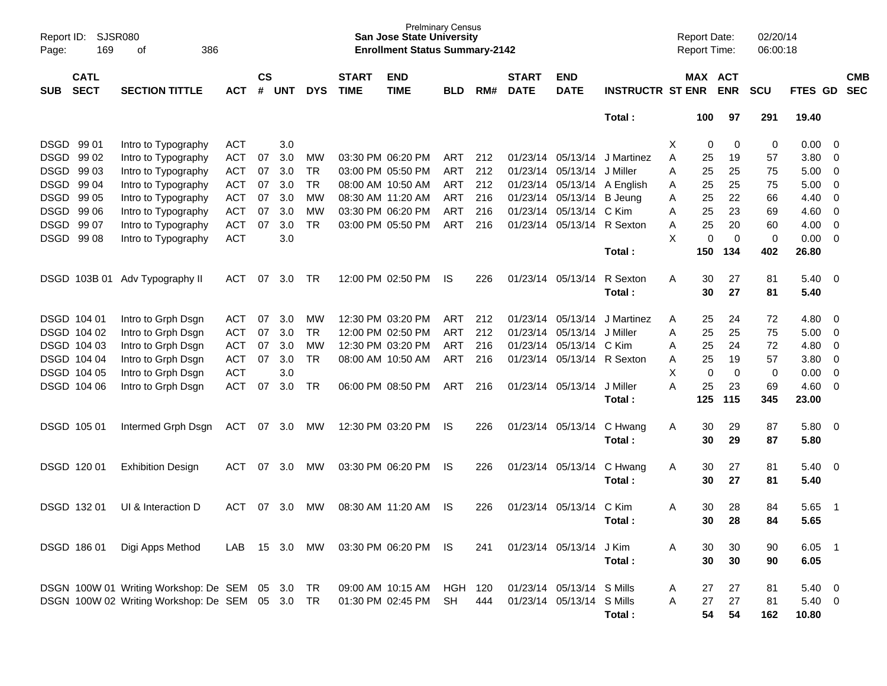| Page:      | SJSR080<br>Report ID:<br>169<br>οf<br>386 |                                              |            |                    |            |            |                             | <b>Prelminary Census</b><br><b>San Jose State University</b><br><b>Enrollment Status Summary-2142</b> |            |     |                             |                           |                         |   | <b>Report Date:</b><br><b>Report Time:</b> |             | 02/20/14<br>06:00:18 |                 |                          |                          |
|------------|-------------------------------------------|----------------------------------------------|------------|--------------------|------------|------------|-----------------------------|-------------------------------------------------------------------------------------------------------|------------|-----|-----------------------------|---------------------------|-------------------------|---|--------------------------------------------|-------------|----------------------|-----------------|--------------------------|--------------------------|
| <b>SUB</b> | <b>CATL</b><br><b>SECT</b>                | <b>SECTION TITTLE</b>                        | <b>ACT</b> | $\mathsf{cs}$<br># | <b>UNT</b> | <b>DYS</b> | <b>START</b><br><b>TIME</b> | <b>END</b><br><b>TIME</b>                                                                             | <b>BLD</b> | RM# | <b>START</b><br><b>DATE</b> | <b>END</b><br><b>DATE</b> | <b>INSTRUCTR ST ENR</b> |   | MAX ACT                                    | <b>ENR</b>  | <b>SCU</b>           | <b>FTES GD</b>  |                          | <b>CMB</b><br><b>SEC</b> |
|            |                                           |                                              |            |                    |            |            |                             |                                                                                                       |            |     |                             |                           | Total:                  |   | 100                                        | 97          | 291                  | 19.40           |                          |                          |
| DSGD 99 01 |                                           | Intro to Typography                          | <b>ACT</b> |                    | 3.0        |            |                             |                                                                                                       |            |     |                             |                           |                         | X | 0                                          | 0           | 0                    | 0.00            | 0                        |                          |
| DSGD 99 02 |                                           | Intro to Typography                          | <b>ACT</b> | 07                 | 3.0        | MW         |                             | 03:30 PM 06:20 PM                                                                                     | ART        | 212 | 01/23/14                    | 05/13/14                  | J Martinez              | A | 25                                         | 19          | 57                   | 3.80            | 0                        |                          |
| DSGD 99 03 |                                           | Intro to Typography                          | <b>ACT</b> | 07                 | 3.0        | TR         |                             | 03:00 PM 05:50 PM                                                                                     | ART        | 212 | 01/23/14                    | 05/13/14                  | J Miller                | A | 25                                         | 25          | 75                   | 5.00            | 0                        |                          |
| DSGD 99 04 |                                           | Intro to Typography                          | <b>ACT</b> | 07                 | 3.0        | TR         |                             | 08:00 AM 10:50 AM                                                                                     | ART        | 212 | 01/23/14                    | 05/13/14                  | A English               | A | 25                                         | 25          | 75                   | 5.00            | 0                        |                          |
| DSGD 99 05 |                                           | Intro to Typography                          | <b>ACT</b> | 07                 | 3.0        | МW         |                             | 08:30 AM 11:20 AM                                                                                     | ART        | 216 | 01/23/14                    | 05/13/14                  | <b>B</b> Jeung          | Α | 25                                         | 22          | 66                   | 4.40            | 0                        |                          |
| DSGD 99 06 |                                           | Intro to Typography                          | <b>ACT</b> | 07                 | 3.0        | <b>MW</b>  |                             | 03:30 PM 06:20 PM                                                                                     | ART        | 216 | 01/23/14                    | 05/13/14                  | C Kim                   | A | 25                                         | 23          | 69                   | 4.60            | 0                        |                          |
| DSGD 99 07 |                                           | Intro to Typography                          | <b>ACT</b> | 07                 | 3.0        | <b>TR</b>  |                             | 03:00 PM 05:50 PM                                                                                     | ART        | 216 | 01/23/14                    | 05/13/14                  | R Sexton                | Α | 25                                         | 20          | 60                   | 4.00            | 0                        |                          |
|            | DSGD 99 08                                | Intro to Typography                          | <b>ACT</b> |                    | 3.0        |            |                             |                                                                                                       |            |     |                             |                           |                         | X | 0                                          | $\mathbf 0$ | $\mathbf 0$          | 0.00            | 0                        |                          |
|            |                                           |                                              |            |                    |            |            |                             |                                                                                                       |            |     |                             |                           | Total:                  |   | 150                                        | 134         | 402                  | 26.80           |                          |                          |
|            | DSGD 103B 01                              | Adv Typography II                            | <b>ACT</b> | 07                 | 3.0        | TR         |                             | 12:00 PM 02:50 PM                                                                                     | IS.        | 226 | 01/23/14                    | 05/13/14                  | R Sexton                | A | 30                                         | 27          | 81                   | 5.40            | $\overline{\phantom{0}}$ |                          |
|            |                                           |                                              |            |                    |            |            |                             |                                                                                                       |            |     |                             |                           | Total:                  |   | 30                                         | 27          | 81                   | 5.40            |                          |                          |
|            | DSGD 104 01                               | Intro to Grph Dsgn                           | <b>ACT</b> | 07                 | 3.0        | МW         |                             | 12:30 PM 03:20 PM                                                                                     | ART        | 212 | 01/23/14                    | 05/13/14                  | J Martinez              | A | 25                                         | 24          | 72                   | 4.80            | 0                        |                          |
|            | DSGD 104 02                               | Intro to Grph Dsgn                           | <b>ACT</b> | 07                 | 3.0        | TR         |                             | 12:00 PM 02:50 PM                                                                                     | ART        | 212 | 01/23/14                    | 05/13/14                  | J Miller                | A | 25                                         | 25          | 75                   | 5.00            | 0                        |                          |
|            | DSGD 104 03                               | Intro to Grph Dsgn                           | <b>ACT</b> | 07                 | 3.0        | МW         |                             | 12:30 PM 03:20 PM                                                                                     | ART        | 216 | 01/23/14                    | 05/13/14                  | C Kim                   | Α | 25                                         | 24          | 72                   | 4.80            | 0                        |                          |
|            | DSGD 104 04                               | Intro to Grph Dsgn                           | <b>ACT</b> | 07                 | 3.0        | TR         |                             | 08:00 AM 10:50 AM                                                                                     | ART        | 216 | 01/23/14                    | 05/13/14                  | R Sexton                | Α | 25                                         | 19          | 57                   | 3.80            | 0                        |                          |
|            | DSGD 104 05                               | Intro to Grph Dsgn                           | <b>ACT</b> |                    | 3.0        |            |                             |                                                                                                       |            |     |                             |                           |                         | Χ | $\mathbf 0$                                | $\mathbf 0$ | 0                    | 0.00            | $\mathbf 0$              |                          |
|            | DSGD 104 06                               | Intro to Grph Dsgn                           | <b>ACT</b> | 07                 | 3.0        | TR         |                             | 06:00 PM 08:50 PM                                                                                     | <b>ART</b> | 216 | 01/23/14                    | 05/13/14                  | J Miller                | A | 25                                         | 23          | 69                   | 4.60            | 0                        |                          |
|            |                                           |                                              |            |                    |            |            |                             |                                                                                                       |            |     |                             |                           | Total:                  |   | 125                                        | 115         | 345                  | 23.00           |                          |                          |
|            | DSGD 105 01                               | Intermed Grph Dsgn                           | <b>ACT</b> | 07                 | 3.0        | MW         |                             | 12:30 PM 03:20 PM                                                                                     | IS.        | 226 | 01/23/14                    | 05/13/14                  | C Hwang<br>Total:       | A | 30<br>30                                   | 29<br>29    | 87<br>87             | 5.80<br>5.80    | $\overline{\mathbf{0}}$  |                          |
|            | DSGD 120 01                               | <b>Exhibition Design</b>                     | <b>ACT</b> | 07                 | 3.0        | MW         |                             | 03:30 PM 06:20 PM                                                                                     | IS.        | 226 | 01/23/14                    | 05/13/14                  | C Hwang<br>Total:       | A | 30<br>30                                   | 27<br>27    | 81<br>81             | 5.40<br>5.40    | $\overline{\mathbf{0}}$  |                          |
|            | DSGD 13201                                | UI & Interaction D                           | <b>ACT</b> | 07                 | 3.0        | MW         |                             | 08:30 AM 11:20 AM                                                                                     | IS.        | 226 | 01/23/14                    | 05/13/14                  | C Kim                   | A | 30                                         | 28          | 84                   | 5.65            | - 1                      |                          |
|            |                                           |                                              |            |                    |            |            |                             |                                                                                                       |            |     |                             |                           | Total:                  |   | 30                                         | 28          | 84                   | 5.65            |                          |                          |
|            | DSGD 186 01                               | Digi Apps Method                             | LAB        |                    | 15 3.0     | MW         |                             | 03:30 PM 06:20 PM                                                                                     | IS.        | 241 |                             | 01/23/14 05/13/14         | J Kim                   | A | 30                                         | 30          | 90                   | 6.05            | - 1                      |                          |
|            |                                           |                                              |            |                    |            |            |                             |                                                                                                       |            |     |                             |                           | Total:                  |   | 30                                         | 30          | 90                   | 6.05            |                          |                          |
|            |                                           | DSGN 100W 01 Writing Workshop: De SEM 05 3.0 |            |                    |            | TR         |                             | 09:00 AM 10:15 AM                                                                                     | HGH 120    |     | 01/23/14 05/13/14           |                           | S Mills                 | A | 27                                         | 27          | 81                   | $5.40 \ 0$      |                          |                          |
|            |                                           | DSGN 100W 02 Writing Workshop: De SEM 05 3.0 |            |                    |            | TR         |                             | 01:30 PM 02:45 PM                                                                                     | <b>SH</b>  | 444 | 01/23/14                    | 05/13/14                  | S Mills<br>Total:       | A | 27<br>54                                   | 27<br>54    | 81<br>162            | 5.40 0<br>10.80 |                          |                          |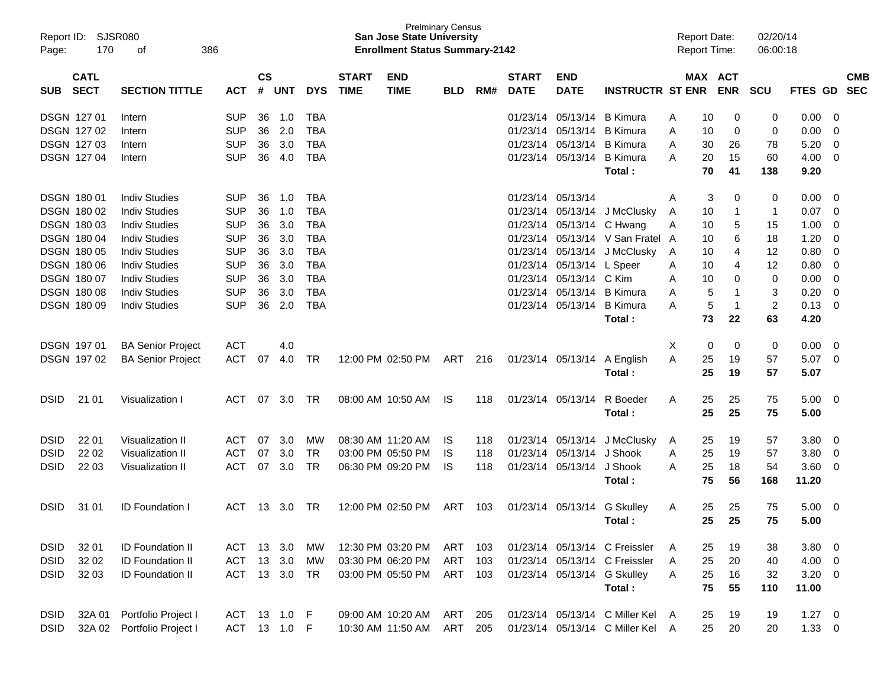| Page:             | Report ID:<br>SJSR080<br>170<br>386<br>οf                         |                          |              |    |                             |            |                             | <b>San Jose State University</b><br><b>Enrollment Status Summary-2142</b> | <b>Prelminary Census</b> |     |                             |                           |                                  |   | <b>Report Date:</b><br><b>Report Time:</b> |                       | 02/20/14<br>06:00:18 |             |     |                          |
|-------------------|-------------------------------------------------------------------|--------------------------|--------------|----|-----------------------------|------------|-----------------------------|---------------------------------------------------------------------------|--------------------------|-----|-----------------------------|---------------------------|----------------------------------|---|--------------------------------------------|-----------------------|----------------------|-------------|-----|--------------------------|
| <b>SUB</b>        | <b>CATL</b><br><b>SECT</b><br><b>SECTION TITTLE</b><br><b>ACT</b> |                          |              |    | $\mathsf{cs}$<br><b>UNT</b> | <b>DYS</b> | <b>START</b><br><b>TIME</b> | <b>END</b><br><b>TIME</b>                                                 | <b>BLD</b>               | RM# | <b>START</b><br><b>DATE</b> | <b>END</b><br><b>DATE</b> | <b>INSTRUCTR ST ENR</b>          |   |                                            | MAX ACT<br><b>ENR</b> | <b>SCU</b>           | FTES GD     |     | <b>CMB</b><br><b>SEC</b> |
| <b>DSGN 12701</b> |                                                                   | Intern                   | <b>SUP</b>   | 36 | 1.0                         | <b>TBA</b> |                             |                                                                           |                          |     | 01/23/14                    | 05/13/14                  | <b>B</b> Kimura                  | A | 10                                         | 0                     | 0                    | 0.00        | 0   |                          |
| <b>DSGN 12702</b> |                                                                   | Intern                   | <b>SUP</b>   | 36 | 2.0                         | <b>TBA</b> |                             |                                                                           |                          |     | 01/23/14                    | 05/13/14                  | <b>B</b> Kimura                  | A | 10                                         | 0                     | 0                    | 0.00        | 0   |                          |
| DSGN 127 03       |                                                                   | Intern                   | <b>SUP</b>   | 36 | 3.0                         | <b>TBA</b> |                             |                                                                           |                          |     | 01/23/14                    | 05/13/14                  | <b>B</b> Kimura                  | A | 30                                         | 26                    | 78                   | 5.20        | 0   |                          |
| DSGN 127 04       |                                                                   | Intern                   | <b>SUP</b>   | 36 | 4.0                         | <b>TBA</b> |                             |                                                                           |                          |     |                             | 01/23/14 05/13/14         | <b>B</b> Kimura                  | A | 20                                         | 15                    | 60                   | 4.00        | - 0 |                          |
|                   |                                                                   |                          |              |    |                             |            |                             |                                                                           |                          |     |                             |                           | Total:                           |   | 70                                         | 41                    | 138                  | 9.20        |     |                          |
| <b>DSGN 18001</b> |                                                                   | <b>Indiv Studies</b>     | <b>SUP</b>   | 36 | 1.0                         | TBA        |                             |                                                                           |                          |     |                             | 01/23/14 05/13/14         |                                  | A | 3                                          | 0                     | 0                    | 0.00        | - 0 |                          |
| DSGN 180 02       |                                                                   | <b>Indiv Studies</b>     | <b>SUP</b>   | 36 | 1.0                         | <b>TBA</b> |                             |                                                                           |                          |     |                             | 01/23/14 05/13/14         | J McClusky                       | A | 10                                         | -1                    | 1                    | 0.07        | - 0 |                          |
| DSGN 180 03       |                                                                   | <b>Indiv Studies</b>     | <b>SUP</b>   | 36 | 3.0                         | <b>TBA</b> |                             |                                                                           |                          |     | 01/23/14                    | 05/13/14                  | C Hwang                          | Α | 10                                         | 5                     | 15                   | 1.00        | 0   |                          |
| DSGN 180 04       |                                                                   | <b>Indiv Studies</b>     | <b>SUP</b>   | 36 | 3.0                         | <b>TBA</b> |                             |                                                                           |                          |     | 01/23/14                    | 05/13/14                  | V San Fratel A                   |   | 10                                         | 6                     | 18                   | 1.20        | 0   |                          |
| <b>DSGN 18005</b> |                                                                   | <b>Indiv Studies</b>     | <b>SUP</b>   | 36 | 3.0                         | <b>TBA</b> |                             |                                                                           |                          |     |                             | 01/23/14 05/13/14         | J McClusky                       | A | 10                                         | 4                     | 12                   | 0.80        | 0   |                          |
| <b>DSGN 18006</b> |                                                                   | <b>Indiv Studies</b>     | <b>SUP</b>   | 36 | 3.0                         | <b>TBA</b> |                             |                                                                           |                          |     | 01/23/14                    | 05/13/14                  | L Speer                          | A | 10                                         | 4                     | 12                   | 0.80        | 0   |                          |
| <b>DSGN 18007</b> |                                                                   | <b>Indiv Studies</b>     | <b>SUP</b>   | 36 | 3.0                         | <b>TBA</b> |                             |                                                                           |                          |     | 01/23/14                    | 05/13/14                  | C Kim                            | A | 10                                         | 0                     | 0                    | 0.00        | 0   |                          |
| DSGN 180 08       |                                                                   | <b>Indiv Studies</b>     | <b>SUP</b>   | 36 | 3.0                         | <b>TBA</b> |                             |                                                                           |                          |     | 01/23/14                    | 05/13/14                  | <b>B</b> Kimura                  | A | 5                                          | -1                    | 3                    | 0.20        | 0   |                          |
| <b>DSGN 18009</b> |                                                                   | <b>Indiv Studies</b>     | <b>SUP</b>   | 36 | 2.0                         | <b>TBA</b> |                             |                                                                           |                          |     |                             | 01/23/14 05/13/14         | <b>B</b> Kimura                  | A | 5                                          | $\overline{1}$        | $\overline{c}$       | 0.13        | - 0 |                          |
|                   |                                                                   |                          |              |    |                             |            |                             |                                                                           |                          |     |                             |                           | Total:                           |   | 73                                         | 22                    | 63                   | 4.20        |     |                          |
| DSGN 197 01       |                                                                   | <b>BA Senior Project</b> | <b>ACT</b>   |    | 4.0                         |            |                             |                                                                           |                          |     |                             |                           |                                  | X | 0                                          | 0                     | 0                    | 0.00        | - 0 |                          |
|                   | DSGN 197 02                                                       | <b>BA Senior Project</b> | <b>ACT</b>   | 07 | 4.0                         | TR         |                             | 12:00 PM 02:50 PM                                                         | ART                      | 216 |                             | 01/23/14 05/13/14         | A English                        | A | 25                                         | 19                    | 57                   | 5.07        | - 0 |                          |
|                   |                                                                   |                          |              |    |                             |            |                             |                                                                           |                          |     |                             |                           | Total:                           |   | 25                                         | 19                    | 57                   | 5.07        |     |                          |
| <b>DSID</b>       | 21 01                                                             | Visualization I          | ACT          |    | 07 3.0                      | TR         |                             | 08:00 AM 10:50 AM                                                         | IS                       | 118 |                             | 01/23/14 05/13/14         | R Boeder                         | A | 25                                         | 25                    | 75                   | $5.00 \ 0$  |     |                          |
|                   |                                                                   |                          |              |    |                             |            |                             |                                                                           |                          |     |                             |                           | Total:                           |   | 25                                         | 25                    | 75                   | 5.00        |     |                          |
| <b>DSID</b>       | 22 01                                                             | Visualization II         | <b>ACT</b>   | 07 | 3.0                         | MW         |                             | 08:30 AM 11:20 AM                                                         | IS                       | 118 |                             | 01/23/14 05/13/14         | J McClusky                       | A | 25                                         | 19                    | 57                   | 3.80        | - 0 |                          |
| <b>DSID</b>       | 22 02                                                             | Visualization II         | <b>ACT</b>   | 07 | 3.0                         | <b>TR</b>  |                             | 03:00 PM 05:50 PM                                                         | IS                       | 118 | 01/23/14                    | 05/13/14                  | J Shook                          | A | 25                                         | 19                    | 57                   | 3.80        | 0   |                          |
| <b>DSID</b>       | 22 03                                                             | Visualization II         | <b>ACT</b>   | 07 | 3.0                         | TR         |                             | 06:30 PM 09:20 PM                                                         | IS                       | 118 |                             | 01/23/14 05/13/14         | J Shook                          | A | 25                                         | 18                    | 54                   | 3.60        | - 0 |                          |
|                   |                                                                   |                          |              |    |                             |            |                             |                                                                           |                          |     |                             |                           | Total:                           |   | 75                                         | 56                    | 168                  | 11.20       |     |                          |
| <b>DSID</b>       | 31 01                                                             | <b>ID Foundation I</b>   | ACT          |    | 13 3.0                      | TR         |                             | 12:00 PM 02:50 PM                                                         | ART                      | 103 |                             | 01/23/14 05/13/14         | <b>G</b> Skulley                 | A | 25                                         | 25                    | 75                   | 5.00        | - 0 |                          |
|                   |                                                                   |                          |              |    |                             |            |                             |                                                                           |                          |     |                             |                           | Total :                          |   | 25                                         | 25                    | 75                   | 5.00        |     |                          |
| <b>DSID</b>       | 32 01                                                             | ID Foundation II         | ACT          |    | 13 3.0                      | МW         |                             | 12:30 PM 03:20 PM                                                         | ART                      | 103 |                             |                           | 01/23/14 05/13/14 C Freissler    | A | 25                                         | 19                    | 38                   | 3.80        | - 0 |                          |
| <b>DSID</b>       | 32 02                                                             | <b>ID Foundation II</b>  | ACT          | 13 | 3.0                         | MW         |                             | 03:30 PM 06:20 PM                                                         | ART                      | 103 |                             |                           | 01/23/14 05/13/14 C Freissler    | A | 25                                         | 20                    | 40                   | 4.00        | - 0 |                          |
| <b>DSID</b>       | 32 03                                                             | <b>ID Foundation II</b>  | ACT 13 3.0   |    |                             | TR         |                             | 03:00 PM 05:50 PM                                                         | ART                      | 103 |                             | 01/23/14 05/13/14         | <b>G Skulley</b>                 | A | 25                                         | 16                    | 32                   | $3.20 \ 0$  |     |                          |
|                   |                                                                   |                          |              |    |                             |            |                             |                                                                           |                          |     |                             |                           | Total:                           |   | 75                                         | 55                    | 110                  | 11.00       |     |                          |
| <b>DSID</b>       | 32A 01                                                            | Portfolio Project I      | ACT 13 1.0 F |    |                             |            |                             | 09:00 AM 10:20 AM                                                         | ART                      | 205 |                             |                           | 01/23/14 05/13/14 C Miller Kel A |   | 25                                         | 19                    | 19                   | $1.27 \t 0$ |     |                          |
| <b>DSID</b>       | 32A 02                                                            | Portfolio Project I      | ACT 13 1.0 F |    |                             |            |                             | 10:30 AM 11:50 AM                                                         | ART                      | 205 |                             |                           | 01/23/14 05/13/14 C Miller Kel A |   | 25                                         | 20                    | 20                   | $1.33 \ 0$  |     |                          |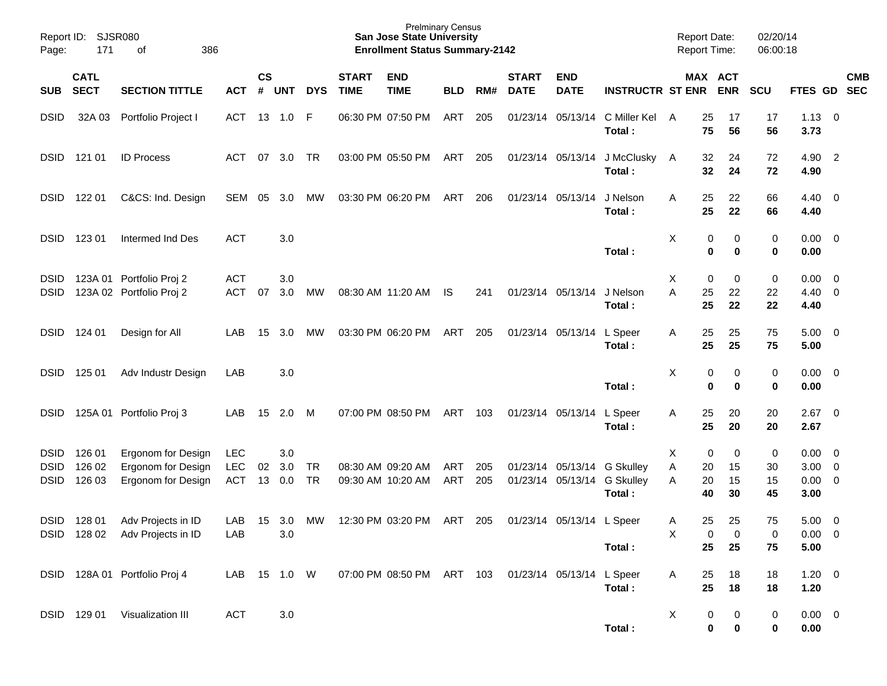| Page:                                     | Report ID: SJSR080<br>171<br>386<br>оf |                                                                |                                 |                |                   |                 |                             | <b>Prelminary Census</b><br><b>San Jose State University</b><br><b>Enrollment Status Summary-2142</b> |            |            |                             |                           |                                                                      | <b>Report Date:</b><br><b>Report Time:</b> |                            | 02/20/14<br>06:00:18 |                                    |                                                    |            |
|-------------------------------------------|----------------------------------------|----------------------------------------------------------------|---------------------------------|----------------|-------------------|-----------------|-----------------------------|-------------------------------------------------------------------------------------------------------|------------|------------|-----------------------------|---------------------------|----------------------------------------------------------------------|--------------------------------------------|----------------------------|----------------------|------------------------------------|----------------------------------------------------|------------|
| SUB                                       | <b>CATL</b><br><b>SECT</b>             | <b>SECTION TITTLE</b>                                          | <b>ACT</b>                      | <b>CS</b><br># | UNT               | <b>DYS</b>      | <b>START</b><br><b>TIME</b> | <b>END</b><br><b>TIME</b>                                                                             | <b>BLD</b> | RM#        | <b>START</b><br><b>DATE</b> | <b>END</b><br><b>DATE</b> | <b>INSTRUCTR ST ENR ENR</b>                                          |                                            | MAX ACT                    | <b>SCU</b>           | FTES GD SEC                        |                                                    | <b>CMB</b> |
| <b>DSID</b>                               | 32A 03                                 | Portfolio Project I                                            | ACT                             |                | 13 1.0            | - F             |                             | 06:30 PM 07:50 PM                                                                                     | ART        | 205        |                             | 01/23/14 05/13/14         | C Miller Kel A<br>Total:                                             | 25<br>75                                   | 17<br>56                   | 17<br>56             | 1.13<br>3.73                       | $\overline{\mathbf{0}}$                            |            |
| <b>DSID</b>                               | 121 01                                 | <b>ID Process</b>                                              | ACT                             | 07             | 3.0               | <b>TR</b>       |                             | 03:00 PM 05:50 PM                                                                                     | ART 205    |            |                             |                           | 01/23/14 05/13/14 J McClusky A<br>Total:                             | 32<br>32                                   | 24<br>24                   | 72<br>72             | 4.90<br>4.90                       | $\overline{\phantom{0}}$                           |            |
| <b>DSID</b>                               | 122 01                                 | C&CS: Ind. Design                                              | SEM                             | 05             | 3.0               | MW              |                             | 03:30 PM 06:20 PM                                                                                     | ART        | 206        |                             | 01/23/14 05/13/14         | J Nelson<br>Total:                                                   | 25<br>Α<br>25                              | 22<br>22                   | 66<br>66             | 4.40<br>4.40                       | $\overline{\mathbf{0}}$                            |            |
| <b>DSID</b>                               | 123 01                                 | Intermed Ind Des                                               | <b>ACT</b>                      |                | 3.0               |                 |                             |                                                                                                       |            |            |                             |                           | Total:                                                               | Χ                                          | 0<br>0<br>0<br>$\mathbf 0$ | 0<br>$\mathbf 0$     | 0.00<br>0.00                       | $\overline{\mathbf{0}}$                            |            |
| <b>DSID</b><br><b>DSID</b>                |                                        | 123A 01 Portfolio Proj 2<br>123A 02 Portfolio Proj 2           | <b>ACT</b><br><b>ACT</b>        | 07             | 3.0<br>3.0        | МW              |                             | 08:30 AM 11:20 AM                                                                                     | IS         | 241        |                             | 01/23/14 05/13/14         | J Nelson<br>Total:                                                   | Χ<br>A<br>25<br>25                         | 0<br>0<br>22<br>22         | 0<br>22<br>22        | 0.00<br>$4.40 \quad 0$<br>4.40     | $\overline{\mathbf{0}}$                            |            |
| <b>DSID</b>                               | 124 01                                 | Design for All                                                 | LAB                             | 15             | 3.0               | МW              |                             | 03:30 PM 06:20 PM                                                                                     | ART        | 205        |                             | 01/23/14 05/13/14 L Speer | Total:                                                               | 25<br>A<br>25                              | 25<br>25                   | 75<br>75             | $5.00 \t 0$<br>5.00                |                                                    |            |
| <b>DSID</b>                               | 125 01                                 | Adv Industr Design                                             | LAB                             |                | 3.0               |                 |                             |                                                                                                       |            |            |                             |                           | Total:                                                               | Х                                          | 0<br>0<br>0<br>$\mathbf 0$ | 0<br>0               | 0.00<br>0.00                       | $\overline{\mathbf{0}}$                            |            |
| <b>DSID</b>                               |                                        | 125A 01 Portfolio Proj 3                                       | LAB                             | 15             | 2.0               | M               |                             | 07:00 PM 08:50 PM                                                                                     | ART        | 103        |                             | 01/23/14 05/13/14         | L Speer<br>Total:                                                    | 25<br>A<br>25                              | 20<br>20                   | 20<br>20             | 2.67<br>2.67                       | $\overline{\phantom{0}}$                           |            |
| <b>DSID</b><br><b>DSID</b><br><b>DSID</b> | 126 01<br>126 02<br>126 03             | Ergonom for Design<br>Ergonom for Design<br>Ergonom for Design | <b>LEC</b><br><b>LEC</b><br>ACT | 02<br>13       | 3.0<br>3.0<br>0.0 | TR<br><b>TR</b> |                             | 08:30 AM 09:20 AM<br>09:30 AM 10:20 AM                                                                | ART<br>ART | 205<br>205 |                             |                           | 01/23/14 05/13/14 G Skulley<br>01/23/14 05/13/14 G Skulley<br>Total: | х<br>Α<br>20<br>A<br>20<br>40              | 0<br>0<br>15<br>15<br>30   | 0<br>30<br>15<br>45  | 0.00<br>$3.00 \ 0$<br>0.00<br>3.00 | $\overline{\mathbf{0}}$<br>$\overline{\mathbf{0}}$ |            |
| <b>DSID</b>                               | 128 01                                 | Adv Projects in ID<br>DSID 128 02 Adv Projects in ID           | LAB<br>LAB                      | 15             | 3.0<br>$3.0\,$    | МW              |                             | 12:30 PM 03:20 PM                                                                                     | ART        | 205        |                             | 01/23/14 05/13/14 L Speer | Total:                                                               | 25<br>A<br>$\mathsf{X}$<br>25              | 25<br>0<br>0<br>25         | 75<br>0<br>75        | 5.00<br>$0.00 \t 0$<br>5.00        | $\overline{\mathbf{0}}$                            |            |
|                                           |                                        | DSID 128A 01 Portfolio Proj 4                                  | LAB                             |                | 15  1.0  W        |                 |                             | 07:00 PM 08:50 PM ART 103                                                                             |            |            |                             | 01/23/14 05/13/14 L Speer | Total:                                                               | A<br>25<br>25                              | 18<br>18                   | 18<br>18             | $1.20 \t 0$<br>1.20                |                                                    |            |
|                                           | DSID 129 01                            | Visualization III                                              | <b>ACT</b>                      |                | $3.0\,$           |                 |                             |                                                                                                       |            |            |                             |                           | Total:                                                               | X                                          | 0<br>0<br>$\mathbf 0$<br>0 | $\mathbf 0$<br>0     | $0.00 \t 0$<br>0.00                |                                                    |            |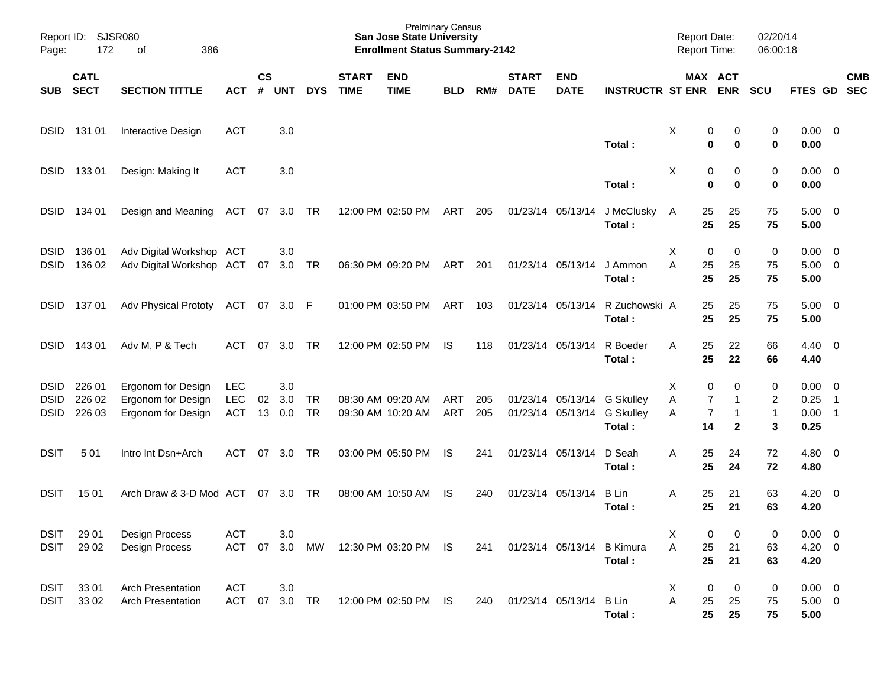| Report ID:<br>Page:                       | SJSR080<br>172             | 386<br>οf                                                      |                                 |                    |                   |                 |                             | <b>Prelminary Census</b><br><b>San Jose State University</b><br><b>Enrollment Status Summary-2142</b> |                          |            |                                        |                           |                                                | <b>Report Date:</b><br><b>Report Time:</b> |                                                                             | 02/20/14<br>06:00:18          |                                    |                                                              |                          |
|-------------------------------------------|----------------------------|----------------------------------------------------------------|---------------------------------|--------------------|-------------------|-----------------|-----------------------------|-------------------------------------------------------------------------------------------------------|--------------------------|------------|----------------------------------------|---------------------------|------------------------------------------------|--------------------------------------------|-----------------------------------------------------------------------------|-------------------------------|------------------------------------|--------------------------------------------------------------|--------------------------|
| <b>SUB</b>                                | <b>CATL</b><br><b>SECT</b> | <b>SECTION TITTLE</b>                                          | <b>ACT</b>                      | $\mathsf{cs}$<br># | <b>UNT</b>        | <b>DYS</b>      | <b>START</b><br><b>TIME</b> | <b>END</b><br><b>TIME</b>                                                                             | <b>BLD</b>               | RM#        | <b>START</b><br><b>DATE</b>            | <b>END</b><br><b>DATE</b> | <b>INSTRUCTR ST ENR</b>                        |                                            | MAX ACT<br><b>ENR</b>                                                       | <b>SCU</b>                    | FTES GD                            |                                                              | <b>CMB</b><br><b>SEC</b> |
| <b>DSID</b>                               | 131 01                     | Interactive Design                                             | <b>ACT</b>                      |                    | 3.0               |                 |                             |                                                                                                       |                          |            |                                        |                           | Total:                                         | X                                          | 0<br>0<br>$\bf{0}$<br>0                                                     | 0<br>0                        | $0.00 \ 0$<br>0.00                 |                                                              |                          |
| <b>DSID</b>                               | 13301                      | Design: Making It                                              | <b>ACT</b>                      |                    | 3.0               |                 |                             |                                                                                                       |                          |            |                                        |                           | Total:                                         | X                                          | 0<br>0<br>$\bf{0}$<br>0                                                     | 0<br>0                        | $0.00 \quad 0$<br>0.00             |                                                              |                          |
| <b>DSID</b>                               | 134 01                     | Design and Meaning                                             | ACT                             | 07                 | 3.0               | TR              |                             | 12:00 PM 02:50 PM                                                                                     | ART                      | 205        | 01/23/14 05/13/14                      |                           | J McClusky<br>Total:                           | A                                          | 25<br>25<br>25<br>25                                                        | 75<br>75                      | 5.00<br>5.00                       | - 0                                                          |                          |
| <b>DSID</b><br><b>DSID</b>                | 136 01<br>136 02           | Adv Digital Workshop ACT<br>Adv Digital Workshop ACT           |                                 | 07                 | 3.0<br>3.0        | TR              |                             | 06:30 PM 09:20 PM                                                                                     | ART                      | 201        | 01/23/14 05/13/14                      |                           | J Ammon<br>Total:                              | X<br>A                                     | 0<br>0<br>25<br>25<br>25<br>25                                              | 0<br>75<br>75                 | 0.00<br>5.00<br>5.00               | $\overline{\mathbf{0}}$<br>- 0                               |                          |
| <b>DSID</b>                               | 13701                      | <b>Adv Physical Prototy</b>                                    | ACT                             | 07                 | 3.0               | F               |                             | 01:00 PM 03:50 PM                                                                                     | <b>ART</b>               | 103        | 01/23/14 05/13/14                      |                           | R Zuchowski A<br>Total:                        |                                            | 25<br>25<br>25<br>25                                                        | 75<br>75                      | $5.00 \ 0$<br>5.00                 |                                                              |                          |
| <b>DSID</b>                               | 14301                      | Adv M, P & Tech                                                | <b>ACT</b>                      | 07                 | 3.0               | <b>TR</b>       |                             | 12:00 PM 02:50 PM                                                                                     | <b>IS</b>                | 118        | 01/23/14 05/13/14                      |                           | R Boeder<br>Total:                             | A                                          | 25<br>22<br>25<br>22                                                        | 66<br>66                      | 4.40 0<br>4.40                     |                                                              |                          |
| <b>DSID</b><br><b>DSID</b><br><b>DSID</b> | 226 01<br>226 02<br>226 03 | Ergonom for Design<br>Ergonom for Design<br>Ergonom for Design | <b>LEC</b><br>LEC<br><b>ACT</b> | 02<br>13           | 3.0<br>3.0<br>0.0 | TR<br><b>TR</b> |                             | 08:30 AM 09:20 AM<br>09:30 AM 10:20 AM                                                                | <b>ART</b><br><b>ART</b> | 205<br>205 | 01/23/14 05/13/14<br>01/23/14 05/13/14 |                           | <b>G Skulley</b><br><b>G Skulley</b><br>Total: | X<br>Α<br>Α                                | 0<br>0<br>$\overline{7}$<br>1<br>$\overline{7}$<br>-1<br>$\mathbf{2}$<br>14 | 0<br>$\overline{c}$<br>1<br>3 | 0.00<br>0.25<br>0.00<br>0.25       | $\overline{\phantom{0}}$<br>$\overline{1}$<br>$\overline{1}$ |                          |
| <b>DSIT</b>                               | 501                        | Intro Int Dsn+Arch                                             | <b>ACT</b>                      | 07                 | 3.0               | TR              |                             | 03:00 PM 05:50 PM                                                                                     | <b>IS</b>                | 241        | 01/23/14 05/13/14                      |                           | D Seah<br>Total :                              | A                                          | 25<br>24<br>25<br>24                                                        | 72<br>72                      | $4.80 \quad 0$<br>4.80             |                                                              |                          |
| DSIT                                      | 15 01                      | Arch Draw & 3-D Mod ACT                                        |                                 | 07                 | 3.0               | TR              |                             | 08:00 AM 10:50 AM                                                                                     | IS                       | 240        | 01/23/14 05/13/14                      |                           | <b>B</b> Lin<br>Total :                        | A                                          | 25<br>21<br>21<br>25                                                        | 63<br>63                      | 4.20<br>4.20                       | - 0                                                          |                          |
| <b>DSIT</b><br><b>DSIT</b>                | 29 01<br>29 02             | Design Process<br>Design Process                               | <b>ACT</b><br><b>ACT</b>        | 07                 | 3.0<br>3.0        | MW              |                             | 12:30 PM 03:20 PM IS                                                                                  |                          | 241        |                                        | 01/23/14 05/13/14         | <b>B</b> Kimura<br>Total:                      | X<br>Α                                     | 0<br>0<br>25<br>21<br>25<br>21                                              | 0<br>63<br>63                 | $0.00 \t 0$<br>$4.20 \ 0$<br>4.20  |                                                              |                          |
| <b>DSIT</b><br><b>DSIT</b>                | 33 01<br>33 02             | <b>Arch Presentation</b><br><b>Arch Presentation</b>           | <b>ACT</b><br>ACT               | 07                 | 3.0<br>3.0 TR     |                 |                             | 12:00 PM 02:50 PM IS                                                                                  |                          | 240        |                                        | 01/23/14 05/13/14         | <b>B</b> Lin<br>Total:                         | Χ<br>A                                     | 0<br>0<br>25<br>25<br>25<br>25                                              | 0<br>75<br>75                 | $0.00 \t 0$<br>$5.00 \t 0$<br>5.00 |                                                              |                          |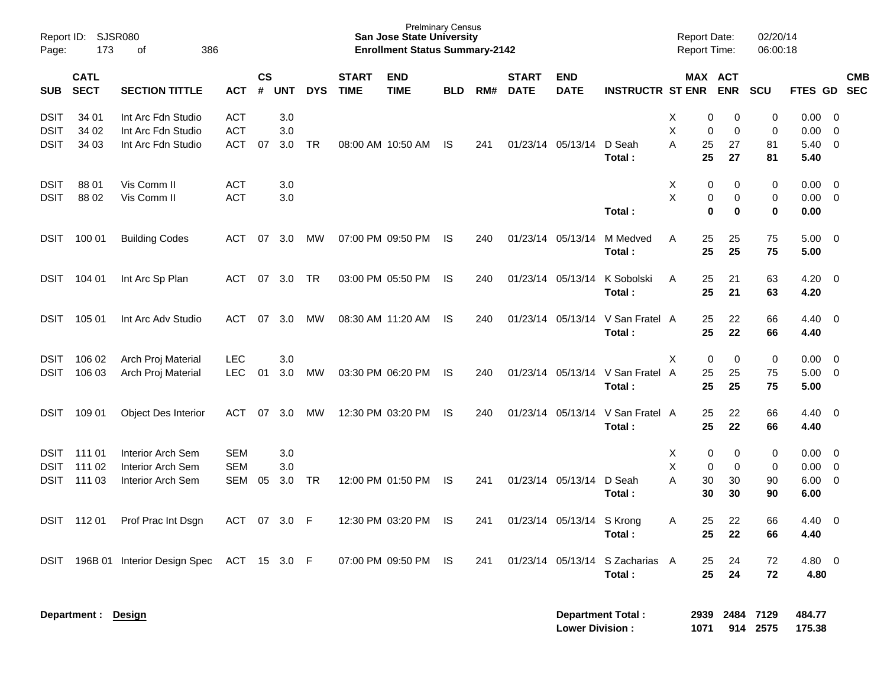| Report ID:<br>Page: | 173                        | SJSR080<br>386<br>of                      |            |                    |            |            |                             | <b>Prelminary Census</b><br><b>San Jose State University</b><br><b>Enrollment Status Summary-2142</b> |            |     |                             |                           |                                 | <b>Report Date:</b><br><b>Report Time:</b> |                       | 02/20/14<br>06:00:18 |                  |                          |
|---------------------|----------------------------|-------------------------------------------|------------|--------------------|------------|------------|-----------------------------|-------------------------------------------------------------------------------------------------------|------------|-----|-----------------------------|---------------------------|---------------------------------|--------------------------------------------|-----------------------|----------------------|------------------|--------------------------|
| <b>SUB</b>          | <b>CATL</b><br><b>SECT</b> | <b>SECTION TITTLE</b>                     | <b>ACT</b> | $\mathsf{cs}$<br># | <b>UNT</b> | <b>DYS</b> | <b>START</b><br><b>TIME</b> | <b>END</b><br><b>TIME</b>                                                                             | <b>BLD</b> | RM# | <b>START</b><br><b>DATE</b> | <b>END</b><br><b>DATE</b> | <b>INSTRUCTR ST ENR</b>         |                                            | MAX ACT<br><b>ENR</b> | <b>SCU</b>           | <b>FTES GD</b>   | <b>CMB</b><br><b>SEC</b> |
| DSIT                | 34 01                      | Int Arc Fdn Studio                        | <b>ACT</b> |                    | 3.0        |            |                             |                                                                                                       |            |     |                             |                           |                                 | Х                                          | 0<br>0                | 0                    | 0.00             | - 0                      |
| <b>DSIT</b>         | 34 02                      | Int Arc Fdn Studio                        | <b>ACT</b> |                    | 3.0        |            |                             |                                                                                                       |            |     |                             |                           |                                 | Χ                                          | $\mathbf 0$<br>0      | 0                    | 0.00             | 0                        |
| <b>DSIT</b>         | 34 03                      | Int Arc Fdn Studio                        | <b>ACT</b> | 07                 | 3.0        | <b>TR</b>  |                             | 08:00 AM 10:50 AM                                                                                     | IS         | 241 | 01/23/14                    | 05/13/14                  | D Seah                          | A<br>25                                    | 27                    | 81                   | 5.40             | - 0                      |
|                     |                            |                                           |            |                    |            |            |                             |                                                                                                       |            |     |                             |                           | Total:                          | 25                                         | 27                    | 81                   | 5.40             |                          |
| DSIT                | 88 01                      | Vis Comm II                               | <b>ACT</b> |                    | 3.0        |            |                             |                                                                                                       |            |     |                             |                           |                                 | Х                                          | 0<br>0                | 0                    | 0.00             | $\overline{\mathbf{0}}$  |
| <b>DSIT</b>         | 88 02                      | Vis Comm II                               | <b>ACT</b> |                    | 3.0        |            |                             |                                                                                                       |            |     |                             |                           |                                 | Χ                                          | 0<br>0                | 0                    | 0.00             | $\overline{0}$           |
|                     |                            |                                           |            |                    |            |            |                             |                                                                                                       |            |     |                             |                           | Total:                          |                                            | 0<br>0                | 0                    | 0.00             |                          |
| DSIT                | 100 01                     | <b>Building Codes</b>                     | ACT        | 07                 | 3.0        | MW         |                             | 07:00 PM 09:50 PM                                                                                     | IS         | 240 | 01/23/14                    | 05/13/14                  | M Medved                        | A<br>25                                    | 25                    | 75                   | 5.00             | - 0                      |
|                     |                            |                                           |            |                    |            |            |                             |                                                                                                       |            |     |                             |                           | Total:                          | 25                                         | 25                    | 75                   | 5.00             |                          |
| DSIT                | 104 01                     | Int Arc Sp Plan                           | ACT        | 07                 | 3.0        | TR         |                             | 03:00 PM 05:50 PM                                                                                     | IS         | 240 | 01/23/14                    | 05/13/14                  | K Sobolski                      | 25<br>A                                    | 21                    | 63                   | 4.20             | - 0                      |
|                     |                            |                                           |            |                    |            |            |                             |                                                                                                       |            |     |                             |                           | Total:                          | 25                                         | 21                    | 63                   | 4.20             |                          |
| DSIT                | 105 01                     | Int Arc Adv Studio                        | ACT        | 07                 | 3.0        | МW         |                             | 08:30 AM 11:20 AM                                                                                     | IS.        | 240 | 01/23/14                    | 05/13/14                  | V San Fratel A                  | 25                                         | 22                    | 66                   | 4.40             | - 0                      |
|                     |                            |                                           |            |                    |            |            |                             |                                                                                                       |            |     |                             |                           | Total:                          | 25                                         | 22                    | 66                   | 4.40             |                          |
| DSIT                | 106 02                     | Arch Proj Material                        | <b>LEC</b> |                    | 3.0        |            |                             |                                                                                                       |            |     |                             |                           |                                 | X                                          | 0<br>0                | 0                    | 0.00             | - 0                      |
| <b>DSIT</b>         | 106 03                     | Arch Proj Material                        | <b>LEC</b> | 01                 | 3.0        | MW         |                             | 03:30 PM 06:20 PM                                                                                     | IS.        | 240 | 01/23/14                    | 05/13/14                  | V San Fratel A                  | 25                                         | 25                    | 75                   | 5.00             | 0                        |
|                     |                            |                                           |            |                    |            |            |                             |                                                                                                       |            |     |                             |                           | Total:                          | 25                                         | 25                    | 75                   | 5.00             |                          |
| DSIT                | 109 01                     | <b>Object Des Interior</b>                | <b>ACT</b> | 07                 | 3.0        | МW         |                             | 12:30 PM 03:20 PM                                                                                     | IS.        | 240 | 01/23/14                    | 05/13/14                  | V San Fratel A                  | 25                                         | 22                    | 66                   | 4.40             | - 0                      |
|                     |                            |                                           |            |                    |            |            |                             |                                                                                                       |            |     |                             |                           | Total:                          | 25                                         | 22                    | 66                   | 4.40             |                          |
| <b>DSIT</b>         | 111 01                     | Interior Arch Sem                         | <b>SEM</b> |                    | 3.0        |            |                             |                                                                                                       |            |     |                             |                           |                                 | Х                                          | 0<br>0                | 0                    | 0.00             | - 0                      |
| <b>DSIT</b>         | 111 02                     | Interior Arch Sem                         | <b>SEM</b> |                    | 3.0        |            |                             |                                                                                                       |            |     |                             |                           |                                 | X                                          | 0<br>0                | 0                    | 0.00             | $\overline{0}$           |
| <b>DSIT</b>         | 111 03                     | Interior Arch Sem                         | <b>SEM</b> | 05                 | 3.0        | TR         |                             | 12:00 PM 01:50 PM                                                                                     | IS         | 241 | 01/23/14                    | 05/13/14                  | D Seah                          | A<br>30                                    | 30                    | 90                   | 6.00             | 0                        |
|                     |                            |                                           |            |                    |            |            |                             |                                                                                                       |            |     |                             |                           | Total:                          | 30                                         | 30                    | 90                   | 6.00             |                          |
| <b>DSIT</b>         | 11201                      | Prof Prac Int Dsgn                        | ACT        | 07                 | 3.0        | F          |                             | 12:30 PM 03:20 PM                                                                                     | IS         | 241 | 01/23/14                    | 05/13/14 S Krong          |                                 | 25<br>A                                    | 22                    | 66                   | 4.40             | - 0                      |
|                     |                            |                                           |            |                    |            |            |                             |                                                                                                       |            |     |                             |                           | Total:                          | 25                                         | 22                    | 66                   | 4.40             |                          |
| DSIT                |                            | 196B 01 Interior Design Spec ACT 15 3.0 F |            |                    |            |            |                             | 07:00 PM 09:50 PM IS                                                                                  |            | 241 |                             |                           | 01/23/14 05/13/14 S Zacharias A | 25                                         | 24                    | 72                   | 4.80 0           |                          |
|                     |                            |                                           |            |                    |            |            |                             |                                                                                                       |            |     |                             |                           | Total:                          | 25                                         | 24                    | 72                   | 4.80             |                          |
|                     |                            |                                           |            |                    |            |            |                             |                                                                                                       |            |     |                             |                           |                                 |                                            |                       |                      |                  |                          |
|                     | Department : Design        |                                           |            |                    |            |            |                             |                                                                                                       |            |     |                             | <b>Lower Division:</b>    | <b>Department Total:</b>        | 1071                                       | 2939 2484 7129        | 914 2575             | 484.77<br>175.38 |                          |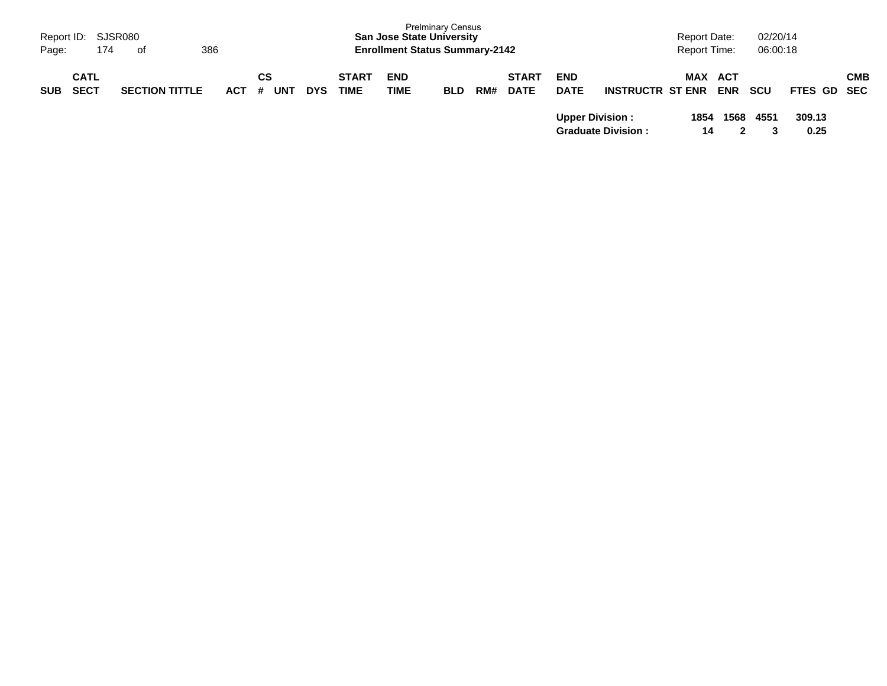| Page:      | Report ID: SJSR080<br>174  | 386<br>. of           |            |                       |            |                             | <b>San Jose State University</b><br><b>Enrollment Status Summary-2142</b> | <b>Prelminary Census</b> |     |                             |                           |                           |      | <b>Report Date:</b><br><b>Report Time:</b> | 02/20/14<br>06:00:18 |                |            |
|------------|----------------------------|-----------------------|------------|-----------------------|------------|-----------------------------|---------------------------------------------------------------------------|--------------------------|-----|-----------------------------|---------------------------|---------------------------|------|--------------------------------------------|----------------------|----------------|------------|
| <b>SUB</b> | <b>CATL</b><br><b>SECT</b> | <b>SECTION TITTLE</b> | <b>ACT</b> | СS<br><b>UNT</b><br># | <b>DYS</b> | <b>START</b><br><b>TIME</b> | <b>END</b><br><b>TIME</b>                                                 | <b>BLD</b>               | RM# | <b>START</b><br><b>DATE</b> | <b>END</b><br><b>DATE</b> | <b>INSTRUCTR ST ENR</b>   |      | <b>MAX ACT</b><br><b>ENR</b>               | <b>SCU</b>           | FTES GD SEC    | <b>CMB</b> |
|            |                            |                       |            |                       |            |                             |                                                                           |                          |     |                             | <b>Upper Division:</b>    | <b>Graduate Division:</b> | 1854 | 1568<br>14                                 | 4551                 | 309.13<br>0.25 |            |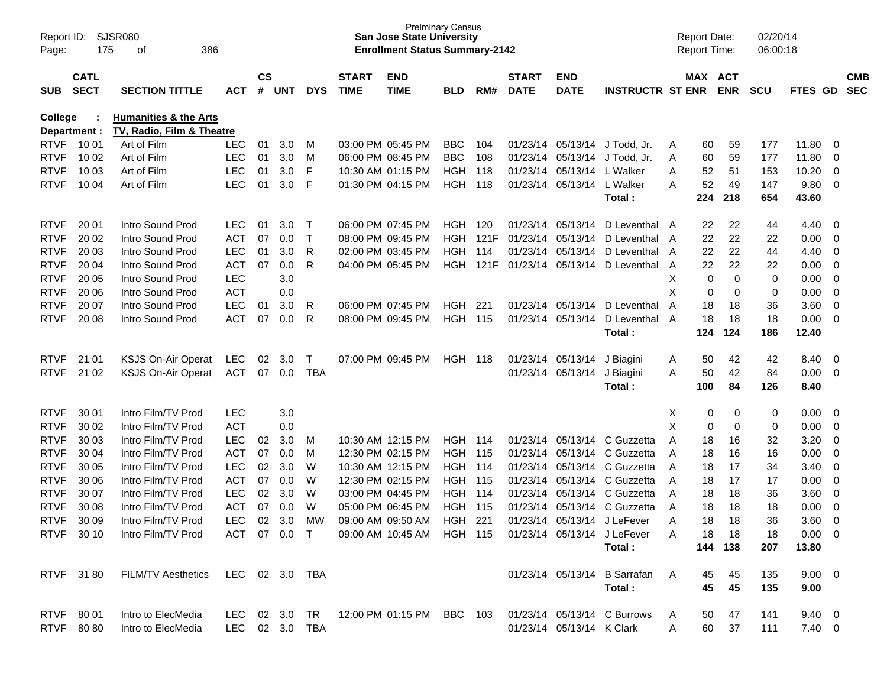| Page:       | SJSR080<br>Report ID:<br>175<br>386<br>of<br><b>CATL</b> |                                                               |                |                    |     |              |                             | <b>San Jose State University</b><br><b>Enrollment Status Summary-2142</b> | <b>Prelminary Census</b> |       |                             |                           |                                                                     |     | <b>Report Date:</b><br>Report Time: |             | 02/20/14<br>06:00:18 |                |                         |                          |
|-------------|----------------------------------------------------------|---------------------------------------------------------------|----------------|--------------------|-----|--------------|-----------------------------|---------------------------------------------------------------------------|--------------------------|-------|-----------------------------|---------------------------|---------------------------------------------------------------------|-----|-------------------------------------|-------------|----------------------|----------------|-------------------------|--------------------------|
| <b>SUB</b>  | <b>SECT</b>                                              | <b>SECTION TITTLE</b>                                         | <b>ACT</b>     | $\mathsf{cs}$<br># | UNT | <b>DYS</b>   | <b>START</b><br><b>TIME</b> | <b>END</b><br><b>TIME</b>                                                 | <b>BLD</b>               | RM#   | <b>START</b><br><b>DATE</b> | <b>END</b><br><b>DATE</b> | <b>INSTRUCTR ST ENR</b>                                             |     | MAX ACT                             | <b>ENR</b>  | <b>SCU</b>           | FTES GD        |                         | <b>CMB</b><br><b>SEC</b> |
| College     | Department :                                             | <b>Humanities &amp; the Arts</b><br>TV, Radio, Film & Theatre |                |                    |     |              |                             |                                                                           |                          |       |                             |                           |                                                                     |     |                                     |             |                      |                |                         |                          |
| <b>RTVF</b> | 10 01                                                    | Art of Film                                                   | <b>LEC</b>     | 01                 | 3.0 | M            |                             | 03:00 PM 05:45 PM                                                         | <b>BBC</b>               | 104   |                             |                           | 01/23/14 05/13/14 J Todd, Jr.                                       | A   | 60                                  | 59          | 177                  | 11.80          | - 0                     |                          |
| <b>RTVF</b> | 10 02                                                    | Art of Film                                                   | <b>LEC</b>     | 01                 | 3.0 | M            |                             | 06:00 PM 08:45 PM                                                         | <b>BBC</b>               | 108   | 01/23/14                    | 05/13/14                  | J Todd, Jr.                                                         | A   | 60                                  | 59          | 177                  | 11.80          | - 0                     |                          |
| <b>RTVF</b> | 10 03                                                    | Art of Film                                                   | <b>LEC</b>     | 01                 | 3.0 | F            |                             | 10:30 AM 01:15 PM                                                         | HGH                      | 118   | 01/23/14                    | 05/13/14                  | L Walker                                                            | A   | 52                                  | 51          | 153                  | 10.20          | $\overline{0}$          |                          |
| <b>RTVF</b> | 10 04                                                    | Art of Film                                                   | <b>LEC</b>     | 01                 | 3.0 | F            |                             | 01:30 PM 04:15 PM                                                         | HGH                      | 118   |                             | 01/23/14 05/13/14         | L Walker                                                            | A   | 52                                  | 49          | 147                  | 9.80           | $\overline{0}$          |                          |
|             |                                                          |                                                               |                |                    |     |              |                             |                                                                           |                          |       |                             |                           | Total:                                                              |     | 224                                 | 218         | 654                  | 43.60          |                         |                          |
| <b>RTVF</b> | 20 01                                                    | Intro Sound Prod                                              | LEC.           | 01                 | 3.0 | $\mathsf T$  |                             | 06:00 PM 07:45 PM                                                         | <b>HGH 120</b>           |       |                             | 01/23/14 05/13/14         | D Leventhal A                                                       |     | 22                                  | 22          | 44                   | 4.40           | $\overline{\mathbf{0}}$ |                          |
| <b>RTVF</b> | 20 02                                                    | Intro Sound Prod                                              | <b>ACT</b>     | 07                 | 0.0 | Τ            |                             | 08:00 PM 09:45 PM                                                         | <b>HGH</b>               | 121F  | 01/23/14                    | 05/13/14                  | D Leventhal A                                                       |     | 22                                  | 22          | 22                   | 0.00           | 0                       |                          |
| <b>RTVF</b> | 20 03                                                    | Intro Sound Prod                                              | <b>LEC</b>     | 01                 | 3.0 | R            |                             | 02:00 PM 03:45 PM                                                         | <b>HGH</b>               | 114   | 01/23/14                    | 05/13/14                  | D Leventhal A                                                       |     | 22                                  | 22          | 44                   | 4.40           | 0                       |                          |
| <b>RTVF</b> | 20 04                                                    | Intro Sound Prod                                              | <b>ACT</b>     | 07                 | 0.0 | R            |                             | 04:00 PM 05:45 PM                                                         | <b>HGH</b>               | 121F  | 01/23/14 05/13/14           |                           | D Leventhal                                                         | A   | 22                                  | 22          | 22                   | 0.00           | 0                       |                          |
| <b>RTVF</b> | 20 05                                                    | Intro Sound Prod                                              | <b>LEC</b>     |                    | 3.0 |              |                             |                                                                           |                          |       |                             |                           |                                                                     | х   | 0                                   | $\mathbf 0$ | 0                    | 0.00           | 0                       |                          |
| <b>RTVF</b> | 20 06                                                    | Intro Sound Prod                                              | <b>ACT</b>     |                    | 0.0 |              |                             |                                                                           |                          |       |                             |                           |                                                                     | X   | 0                                   | 0           | 0                    | 0.00           | 0                       |                          |
| <b>RTVF</b> | 20 07                                                    | Intro Sound Prod                                              | <b>LEC</b>     | 01                 | 3.0 | R            |                             | 06:00 PM 07:45 PM                                                         | <b>HGH</b>               | 221   |                             | 01/23/14 05/13/14         | D Leventhal                                                         | A   | 18                                  | 18          | 36                   | 3.60           | 0                       |                          |
| <b>RTVF</b> | 20 08                                                    | Intro Sound Prod                                              | <b>ACT</b>     | 07                 | 0.0 | R            |                             | 08:00 PM 09:45 PM                                                         | <b>HGH</b>               | 115   | 01/23/14                    | 05/13/14                  | D Leventhal                                                         | A   | 18                                  | 18          | 18                   | 0.00           | $\overline{\mathbf{0}}$ |                          |
|             |                                                          |                                                               |                |                    |     |              |                             |                                                                           |                          |       |                             |                           | Total:                                                              |     | 124                                 | 124         | 186                  | 12.40          |                         |                          |
| <b>RTVF</b> | 21 01                                                    | KSJS On-Air Operat                                            | <b>LEC</b>     | 02                 | 3.0 | $\mathsf{T}$ |                             | 07:00 PM 09:45 PM                                                         | <b>HGH 118</b>           |       |                             | 01/23/14 05/13/14         | J Biagini                                                           | A   | 50                                  | 42          | 42                   | 8.40           | $\overline{\mathbf{0}}$ |                          |
| <b>RTVF</b> | 21 02                                                    | <b>KSJS On-Air Operat</b>                                     | <b>ACT</b>     | 07                 | 0.0 | <b>TBA</b>   |                             |                                                                           |                          |       | 01/23/14                    | 05/13/14                  | J Biagini                                                           | A   | 50                                  | 42          | 84                   | 0.00           | $\overline{\mathbf{0}}$ |                          |
|             |                                                          |                                                               |                |                    |     |              |                             |                                                                           |                          |       |                             |                           | Total:                                                              |     | 100                                 | 84          | 126                  | 8.40           |                         |                          |
| <b>RTVF</b> | 30 01                                                    | Intro Film/TV Prod                                            | <b>LEC</b>     |                    | 3.0 |              |                             |                                                                           |                          |       |                             |                           |                                                                     | Х   | 0                                   | 0           | 0                    | 0.00           | $\overline{\mathbf{0}}$ |                          |
| <b>RTVF</b> | 30 02                                                    | Intro Film/TV Prod                                            | <b>ACT</b>     |                    | 0.0 |              |                             |                                                                           |                          |       |                             |                           |                                                                     | X   | 0                                   | 0           | 0                    | 0.00           | 0                       |                          |
| <b>RTVF</b> | 30 03                                                    | Intro Film/TV Prod                                            | <b>LEC</b>     | 02                 | 3.0 | M            |                             | 10:30 AM 12:15 PM                                                         | <b>HGH 114</b>           |       |                             | 01/23/14 05/13/14         | C Guzzetta                                                          | A   | 18                                  | 16          | 32                   | 3.20           | 0                       |                          |
| <b>RTVF</b> | 30 04                                                    | Intro Film/TV Prod                                            | <b>ACT</b>     | 07                 | 0.0 | M            |                             | 12:30 PM 02:15 PM                                                         | <b>HGH</b>               | 115   | 01/23/14                    | 05/13/14                  | C Guzzetta                                                          | A   | 18                                  | 16          | 16                   | 0.00           | 0                       |                          |
| <b>RTVF</b> | 30 05                                                    | Intro Film/TV Prod                                            | <b>LEC</b>     | 02                 | 3.0 | W            |                             | 10:30 AM 12:15 PM                                                         | HGH                      | - 114 | 01/23/14                    | 05/13/14                  | C Guzzetta                                                          | A   | 18                                  | 17          | 34                   | 3.40           | 0                       |                          |
| <b>RTVF</b> | 30 06                                                    | Intro Film/TV Prod                                            | <b>ACT</b>     | 07                 | 0.0 | W            |                             | 12:30 PM 02:15 PM                                                         | HGH                      | 115   | 01/23/14                    | 05/13/14                  | C Guzzetta                                                          | A   | 18                                  | 17          | 17                   | 0.00           | 0                       |                          |
| <b>RTVF</b> | 30 07                                                    | Intro Film/TV Prod                                            | <b>LEC</b>     | 02                 | 3.0 | W            |                             | 03:00 PM 04:45 PM                                                         | HGH                      | 114   | 01/23/14                    | 05/13/14                  | C Guzzetta                                                          | A   | 18                                  | 18          | 36                   | 3.60           | $\overline{\mathbf{0}}$ |                          |
| <b>RTVF</b> | 30 08                                                    | Intro Film/TV Prod                                            | <b>ACT</b>     | 07                 | 0.0 | W            |                             | 05:00 PM 06:45 PM                                                         | <b>HGH</b>               | 115   | 01/23/14                    | 05/13/14                  | C Guzzetta                                                          | A   | 18                                  | 18          | 18                   | 0.00           | 0                       |                          |
| <b>RTVF</b> | 30 09                                                    | Intro Film/TV Prod                                            | <b>LEC</b>     | 02                 | 3.0 | <b>MW</b>    |                             | 09:00 AM 09:50 AM                                                         | <b>HGH</b>               | 221   |                             |                           | 01/23/14 05/13/14 J LeFever                                         | A   | 18                                  | 18          | 36                   | 3.60           | $\overline{0}$          |                          |
|             | RTVF 30 10                                               | Intro Film/TV Prod                                            |                |                    |     |              |                             | ACT 07 0.0 T 09:00 AM 10:45 AM HGH 115 01/23/14 05/13/14 J LeFever        |                          |       |                             |                           |                                                                     | A   | 18                                  | -18         | 18                   | $0.00 \t 0$    |                         |                          |
|             |                                                          |                                                               |                |                    |     |              |                             |                                                                           |                          |       |                             |                           | Total:                                                              |     |                                     | 144 138     | 207                  | 13.80          |                         |                          |
|             |                                                          | RTVF 31 80 FILM/TV Aesthetics LEC 02 3.0 TBA                  |                |                    |     |              |                             |                                                                           |                          |       |                             |                           | 01/23/14 05/13/14 B Sarrafan                                        | - A | 45                                  | 45          | 135                  | $9.00 \t 0$    |                         |                          |
|             |                                                          |                                                               |                |                    |     |              |                             |                                                                           |                          |       |                             |                           | Total:                                                              |     | 45                                  | 45          | 135                  | 9.00           |                         |                          |
|             | RTVF 80 01                                               | Intro to ElecMedia                                            |                |                    |     |              |                             |                                                                           |                          |       |                             |                           | LEC 02 3.0 TR 12:00 PM 01:15 PM BBC 103 01/23/14 05/13/14 C Burrows | A   | 50                                  | 47          | 141                  | $9.40 \quad 0$ |                         |                          |
|             | RTVF 8080                                                | Intro to ElecMedia                                            | LEC 02 3.0 TBA |                    |     |              |                             |                                                                           |                          |       |                             | 01/23/14 05/13/14 K Clark |                                                                     | A   | 60                                  | 37          | 111                  | $7.40 \quad 0$ |                         |                          |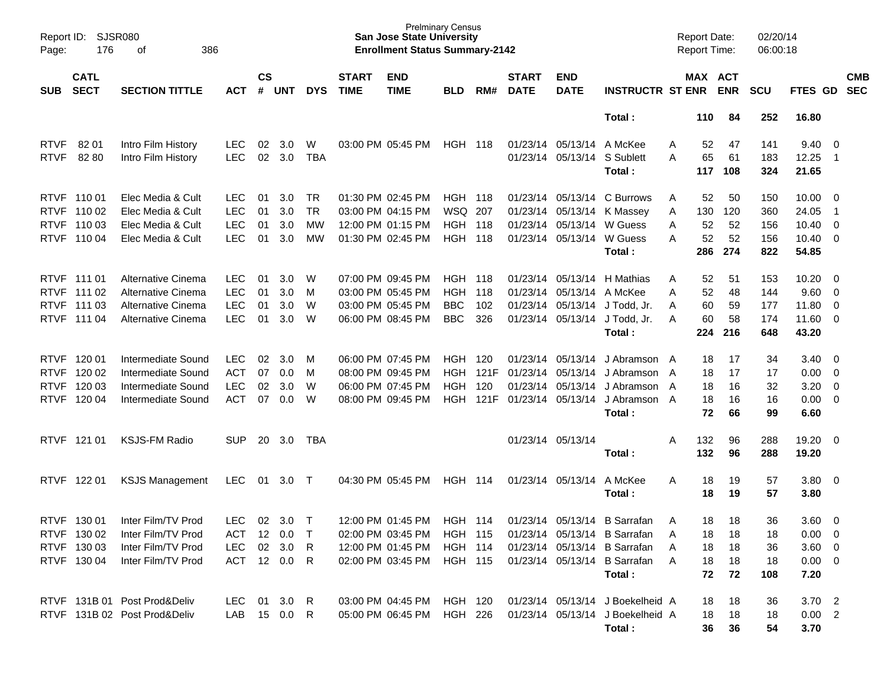| Page:                      | <b>SJSR080</b><br>Report ID:<br>176<br>386<br>оf<br><b>CATL</b> |                                                                                      |                                                      |                      |                          |                             |                             | <b>San Jose State University</b><br><b>Enrollment Status Summary-2142</b>                        | <b>Prelminary Census</b>                       |                            |                             |                                                                                          |                                                                                                                                        | <b>Report Date:</b><br><b>Report Time:</b>       |                              | 02/20/14<br>06:00:18            |                                                                |                          |                          |
|----------------------------|-----------------------------------------------------------------|--------------------------------------------------------------------------------------|------------------------------------------------------|----------------------|--------------------------|-----------------------------|-----------------------------|--------------------------------------------------------------------------------------------------|------------------------------------------------|----------------------------|-----------------------------|------------------------------------------------------------------------------------------|----------------------------------------------------------------------------------------------------------------------------------------|--------------------------------------------------|------------------------------|---------------------------------|----------------------------------------------------------------|--------------------------|--------------------------|
| <b>SUB</b>                 | <b>SECT</b>                                                     | <b>SECTION TITTLE</b>                                                                | <b>ACT</b>                                           | $\mathsf{cs}$<br>#   | <b>UNT</b>               | <b>DYS</b>                  | <b>START</b><br><b>TIME</b> | <b>END</b><br><b>TIME</b>                                                                        | <b>BLD</b>                                     | RM#                        | <b>START</b><br><b>DATE</b> | <b>END</b><br><b>DATE</b>                                                                | <b>INSTRUCTR ST ENR</b>                                                                                                                |                                                  | MAX ACT<br><b>ENR</b>        | <b>SCU</b>                      | FTES GD                                                        |                          | <b>CMB</b><br><b>SEC</b> |
|                            |                                                                 |                                                                                      |                                                      |                      |                          |                             |                             |                                                                                                  |                                                |                            |                             |                                                                                          | Total:                                                                                                                                 | 110                                              | 84                           | 252                             | 16.80                                                          |                          |                          |
| <b>RTVF</b><br><b>RTVF</b> | 82 01<br>82 80                                                  | Intro Film History<br>Intro Film History                                             | <b>LEC</b><br><b>LEC</b>                             | 02<br>02             | 3.0<br>3.0               | W<br><b>TBA</b>             |                             | 03:00 PM 05:45 PM                                                                                | <b>HGH 118</b>                                 |                            |                             | 01/23/14 05/13/14<br>01/23/14 05/13/14                                                   | A McKee<br>S Sublett<br>Total:                                                                                                         | 52<br>Α<br>65<br>A<br>117                        | 47<br>61<br>108              | 141<br>183<br>324               | $9.40 \quad 0$<br>12.25<br>21.65                               | $\overline{\phantom{1}}$ |                          |
|                            | RTVF 11001<br>RTVF 110 02<br>RTVF 110 03<br>RTVF 110 04         | Elec Media & Cult<br>Elec Media & Cult<br>Elec Media & Cult<br>Elec Media & Cult     | <b>LEC</b><br><b>LEC</b><br><b>LEC</b><br><b>LEC</b> | 01<br>01<br>01<br>01 | 3.0<br>3.0<br>3.0<br>3.0 | TR<br><b>TR</b><br>MW<br>MW |                             | 01:30 PM 02:45 PM<br>03:00 PM 04:15 PM<br>12:00 PM 01:15 PM<br>01:30 PM 02:45 PM                 | HGH<br>WSQ 207<br><b>HGH</b><br><b>HGH 118</b> | - 118<br>118               |                             | 01/23/14 05/13/14<br>01/23/14 05/13/14<br>01/23/14 05/13/14<br>01/23/14 05/13/14 W Guess | C Burrows<br>K Massey<br>W Guess<br>Total:                                                                                             | 52<br>Α<br>130<br>A<br>52<br>Α<br>52<br>A<br>286 | 50<br>120<br>52<br>52<br>274 | 150<br>360<br>156<br>156<br>822 | $10.00 \t 0$<br>24.05<br>$10.40 \t 0$<br>$10.40 \t 0$<br>54.85 | - 1                      |                          |
| <b>RTVF</b>                | RTVF 111 01<br>RTVF 111 02<br>RTVF 111 03<br>111 04             | Alternative Cinema<br>Alternative Cinema<br>Alternative Cinema<br>Alternative Cinema | <b>LEC</b><br><b>LEC</b><br><b>LEC</b><br><b>LEC</b> | 01<br>01<br>01<br>01 | 3.0<br>3.0<br>3.0<br>3.0 | W<br>M<br>W<br>W            |                             | 07:00 PM 09:45 PM<br>03:00 PM 05:45 PM<br>03:00 PM 05:45 PM<br>06:00 PM 08:45 PM                 | HGH<br><b>HGH</b><br><b>BBC</b><br><b>BBC</b>  | - 118<br>118<br>102<br>326 |                             | 01/23/14 05/13/14<br>01/23/14 05/13/14 A McKee                                           | H Mathias<br>01/23/14 05/13/14 J Todd, Jr.<br>01/23/14 05/13/14 J Todd, Jr.<br>Total:                                                  | 52<br>Α<br>52<br>A<br>60<br>Α<br>60<br>A<br>224  | 51<br>48<br>59<br>58<br>216  | 153<br>144<br>177<br>174<br>648 | $10.20 \t 0$<br>9.60 0<br>11.80 0<br>11.60 0<br>43.20          |                          |                          |
| <b>RTVF</b>                | RTVF 120 01<br>RTVF 120 02<br>RTVF 120 03<br>120 04             | Intermediate Sound<br>Intermediate Sound<br>Intermediate Sound<br>Intermediate Sound | <b>LEC</b><br><b>ACT</b><br><b>LEC</b><br><b>ACT</b> | 02<br>07<br>02<br>07 | 3.0<br>0.0<br>3.0<br>0.0 | M<br>M<br>W<br>W            |                             | 06:00 PM 07:45 PM<br>08:00 PM 09:45 PM<br>06:00 PM 07:45 PM<br>08:00 PM 09:45 PM                 | HGH.<br>HGH.<br><b>HGH</b><br><b>HGH</b>       | 120<br>121F<br>120<br>121F |                             | 01/23/14 05/13/14<br>01/23/14 05/13/14<br>01/23/14 05/13/14<br>01/23/14 05/13/14         | J Abramson A<br>J Abramson A<br>J Abramson<br>J Abramson A<br>Total:                                                                   | 18<br>18<br>18<br>A<br>18<br>72                  | 17<br>17<br>16<br>16<br>66   | 34<br>17<br>32<br>16<br>99      | $3.40 \quad 0$<br>$0.00 \t 0$<br>3.20<br>$0.00 \t 0$<br>6.60   | $\overline{\phantom{0}}$ |                          |
|                            | RTVF 121 01                                                     | <b>KSJS-FM Radio</b>                                                                 | <b>SUP</b>                                           | 20                   | 3.0                      | TBA                         |                             |                                                                                                  |                                                |                            |                             | 01/23/14 05/13/14                                                                        | Total:                                                                                                                                 | 132<br>Α<br>132                                  | 96<br>96                     | 288<br>288                      | 19.20 0<br>19.20                                               |                          |                          |
|                            | RTVF 122 01                                                     | <b>KSJS Management</b>                                                               | <b>LEC</b>                                           | 01                   | 3.0                      | $\top$                      |                             | 04:30 PM 05:45 PM                                                                                | HGH                                            | 114                        |                             | 01/23/14 05/13/14                                                                        | A McKee<br>Total:                                                                                                                      | 18<br>Α<br>18                                    | 19<br>19                     | 57<br>57                        | $3.80 \ 0$<br>3.80                                             |                          |                          |
|                            | RTVF 130 01<br>RTVF 130 02<br>RTVF 130 03<br>RTVF 130 04        | Inter Film/TV Prod<br>Inter Film/TV Prod<br>Inter Film/TV Prod<br>Inter Film/TV Prod | LEC.<br>ACT 12 0.0 T<br>LEC<br>ACT 12 0.0 R          |                      | 02 3.0<br>02 3.0 R       | $\top$                      |                             | 12:00 PM 01:45 PM<br>02:00 PM 03:45 PM HGH 115<br>12:00 PM 01:45 PM<br>02:00 PM 03:45 PM HGH 115 | <b>HGH 114</b><br><b>HGH 114</b>               |                            |                             |                                                                                          | 01/23/14 05/13/14 B Sarrafan<br>01/23/14 05/13/14 B Sarrafan<br>01/23/14 05/13/14 B Sarrafan<br>01/23/14 05/13/14 B Sarrafan<br>Total: | 18<br>A<br>18<br>18<br>Α<br>18<br>A<br>72        | 18<br>18<br>18<br>18<br>72   | 36<br>18<br>36<br>18<br>108     | $3.60 \ 0$<br>$0.00 \t 0$<br>$3.60 \ 0$<br>$0.00 \t 0$<br>7.20 |                          |                          |
|                            |                                                                 | RTVF 131B 01 Post Prod&Deliv<br>RTVF 131B 02 Post Prod&Deliv                         | LEC 01 3.0 R<br>LAB 15 0.0 R                         |                      |                          |                             |                             | 03:00 PM 04:45 PM HGH 120<br>05:00 PM 06:45 PM HGH 226                                           |                                                |                            |                             |                                                                                          | 01/23/14 05/13/14 J Boekelheid A<br>01/23/14 05/13/14 J Boekelheid A<br>Total:                                                         | 18<br>18<br>36                                   | 18<br>18<br>36               | 36<br>18<br>54                  | $3.70$ 2<br>0.00 2<br>3.70                                     |                          |                          |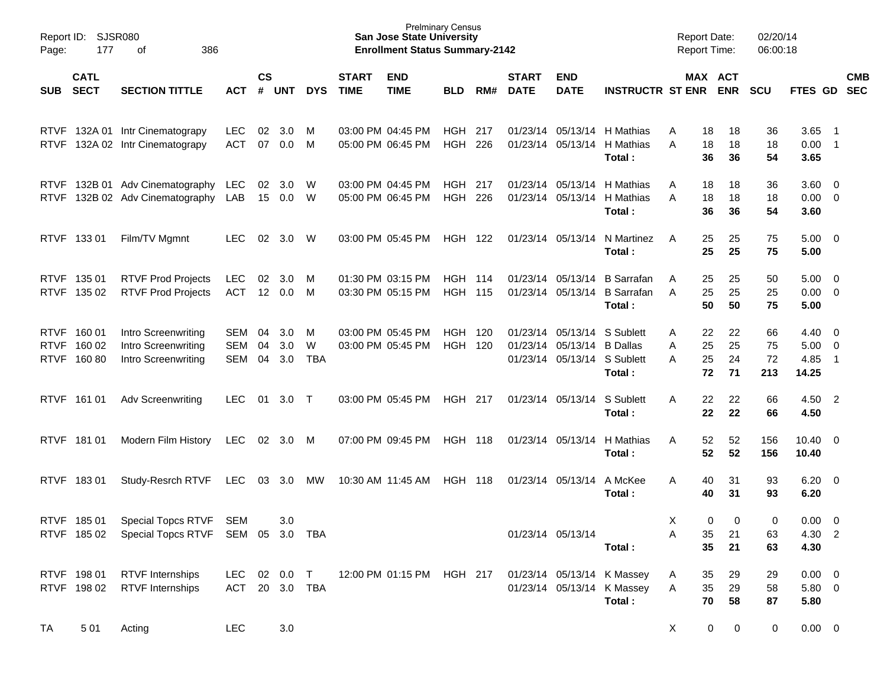| Page:       | Report ID: SJSR080<br>177<br>386<br>of    |                                                                     |                          |                |                   |               |                             | <b>Prelminary Census</b><br><b>San Jose State University</b><br><b>Enrollment Status Summary-2142</b> |                                  |     |                             |                                                                       |                                                                    | <b>Report Date:</b><br><b>Report Time:</b> |                       | 02/20/14<br>06:00:18  |                                                |                          |            |
|-------------|-------------------------------------------|---------------------------------------------------------------------|--------------------------|----------------|-------------------|---------------|-----------------------------|-------------------------------------------------------------------------------------------------------|----------------------------------|-----|-----------------------------|-----------------------------------------------------------------------|--------------------------------------------------------------------|--------------------------------------------|-----------------------|-----------------------|------------------------------------------------|--------------------------|------------|
| SUB.        | <b>CATL</b><br><b>SECT</b>                | <b>SECTION TITTLE</b>                                               | <b>ACT</b>               | $\mathsf{cs}$  | # UNT             | <b>DYS</b>    | <b>START</b><br><b>TIME</b> | <b>END</b><br><b>TIME</b>                                                                             | <b>BLD</b>                       | RM# | <b>START</b><br><b>DATE</b> | <b>END</b><br><b>DATE</b>                                             | <b>INSTRUCTR ST ENR</b>                                            |                                            | MAX ACT<br><b>ENR</b> | <b>SCU</b>            | FTES GD SEC                                    |                          | <b>CMB</b> |
|             |                                           | RTVF 132A 01 Intr Cinematograpy<br>RTVF 132A 02 Intr Cinematograpy  | <b>LEC</b><br><b>ACT</b> | 02<br>07       | 3.0<br>0.0        | M<br>M        |                             | 03:00 PM 04:45 PM<br>05:00 PM 06:45 PM                                                                | <b>HGH 217</b><br><b>HGH 226</b> |     |                             | 01/23/14 05/13/14<br>01/23/14 05/13/14                                | H Mathias<br>H Mathias<br>Total:                                   | A<br>18<br>18<br>A<br>36                   | 18<br>18<br>36        | 36<br>18<br>54        | $3.65$ 1<br>$0.00$ 1<br>3.65                   |                          |            |
| <b>RTVF</b> |                                           | RTVF 132B 01 Adv Cinematography<br>132B 02 Adv Cinematography       | LEC.<br>LAB              | 15             | 02 3.0<br>0.0     | - W<br>- W    |                             | 03:00 PM 04:45 PM<br>05:00 PM 06:45 PM                                                                | <b>HGH 217</b><br><b>HGH</b>     | 226 |                             | 01/23/14 05/13/14<br>01/23/14 05/13/14                                | H Mathias<br>H Mathias<br>Total:                                   | A<br>18<br>18<br>A<br>36                   | 18<br>18<br>36        | 36<br>18<br>54        | $3.60 \quad 0$<br>$0.00 \t 0$<br>3.60          |                          |            |
|             | RTVF 133 01                               | Film/TV Mgmnt                                                       | LEC.                     | 02             | 3.0               | W             |                             | 03:00 PM 05:45 PM                                                                                     | <b>HGH 122</b>                   |     | 01/23/14 05/13/14           |                                                                       | N Martinez<br>Total:                                               | 25<br>A<br>25                              | 25<br>25              | 75<br>75              | $5.00 \t 0$<br>5.00                            |                          |            |
|             | RTVF 135 01<br>RTVF 135 02                | <b>RTVF Prod Projects</b><br><b>RTVF Prod Projects</b>              | LEC.<br>ACT              | 02             | 3.0<br>12 0.0     | M<br>M        |                             | 01:30 PM 03:15 PM<br>03:30 PM 05:15 PM                                                                | <b>HGH 114</b><br><b>HGH 115</b> |     |                             | 01/23/14 05/13/14<br>01/23/14 05/13/14                                | <b>B</b> Sarrafan<br><b>B</b> Sarrafan<br>Total:                   | 25<br>A<br>25<br>A<br>50                   | 25<br>25<br>50        | 50<br>25<br>75        | $5.00 \t 0$<br>$0.00 \t 0$<br>5.00             |                          |            |
|             | RTVF 160 01<br>RTVF 160 02<br>RTVF 160 80 | Intro Screenwriting<br>Intro Screenwriting<br>Intro Screenwriting   | SEM<br>SEM<br><b>SEM</b> | 04<br>04<br>04 | 3.0<br>3.0<br>3.0 | M<br>W<br>TBA |                             | 03:00 PM 05:45 PM<br>03:00 PM 05:45 PM                                                                | <b>HGH 120</b><br><b>HGH 120</b> |     |                             | 01/23/14 05/13/14<br>01/23/14 05/13/14<br>01/23/14 05/13/14 S Sublett | S Sublett<br><b>B</b> Dallas<br>Total:                             | 22<br>A<br>25<br>A<br>25<br>A<br>72        | 22<br>25<br>24<br>71  | 66<br>75<br>72<br>213 | $4.40 \quad 0$<br>$5.00 \t 0$<br>4.85<br>14.25 | $\overline{\phantom{1}}$ |            |
|             | RTVF 161 01                               | <b>Adv Screenwriting</b>                                            | LEC.                     | 01             | 3.0               | $\top$        |                             | 03:00 PM 05:45 PM                                                                                     | <b>HGH 217</b>                   |     |                             | 01/23/14 05/13/14                                                     | S Sublett<br>Total:                                                | Α<br>22<br>22                              | 22<br>22              | 66<br>66              | 4.50 2<br>4.50                                 |                          |            |
|             | RTVF 181 01                               | Modern Film History                                                 | <b>LEC</b>               | 02             | 3.0               | M             |                             | 07:00 PM 09:45 PM                                                                                     | <b>HGH 118</b>                   |     | 01/23/14 05/13/14           |                                                                       | H Mathias<br>Total:                                                | 52<br>Α<br>52                              | 52<br>52              | 156<br>156            | $10.40 \quad 0$<br>10.40                       |                          |            |
|             | RTVF 18301                                | Study-Resrch RTVF                                                   | LEC                      | 03             | 3.0               | МW            |                             | 10:30 AM 11:45 AM                                                                                     | <b>HGH 118</b>                   |     | 01/23/14 05/13/14           |                                                                       | A McKee<br>Total:                                                  | Α<br>40<br>40                              | 31<br>31              | 93<br>93              | $6.20 \quad 0$<br>6.20                         |                          |            |
|             | RTVF 18501                                | Special Topcs RTVF<br>RTVF 185 02 Special Topcs RTVF SEM 05 3.0 TBA | SEM                      |                | 3.0               |               |                             |                                                                                                       |                                  |     |                             | 01/23/14 05/13/14                                                     | Total:                                                             | X<br>35<br>Α<br>35                         | 0<br>0<br>21<br>21    | 0<br>63<br>63         | $0.00 \t 0$<br>4.30 2<br>4.30                  |                          |            |
|             | RTVF 19801                                | <b>RTVF</b> Internships<br>RTVF 198 02 RTVF Internships             | ACT 20 3.0 TBA           |                |                   | LEC 02 0.0 T  |                             | 12:00 PM 01:15 PM HGH 217                                                                             |                                  |     |                             |                                                                       | 01/23/14 05/13/14 K Massey<br>01/23/14 05/13/14 K Massey<br>Total: | A<br>35<br>35<br>A<br>70                   | 29<br>29<br>58        | 29<br>58<br>87        | $0.00 \t 0$<br>$5.80\ 0$<br>5.80               |                          |            |
| TA          | 5 0 1                                     | Acting                                                              | LEC                      |                | 3.0               |               |                             |                                                                                                       |                                  |     |                             |                                                                       |                                                                    | X                                          | 0<br>0                | $\mathbf 0$           | $0.00 \t 0$                                    |                          |            |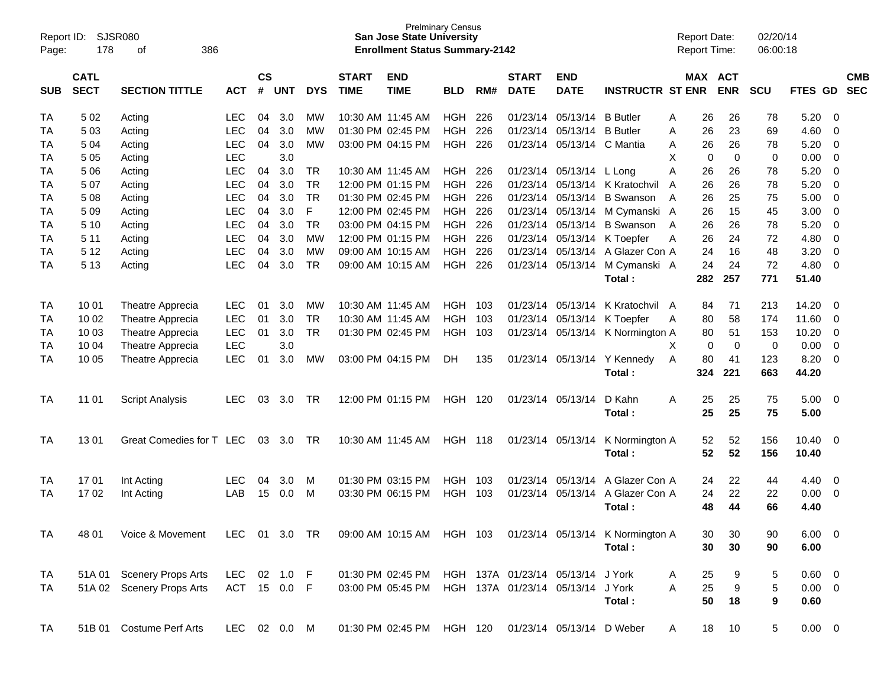| Report ID:<br>Page: | 178                                                               | <b>SJSR080</b><br>386<br>οf |               |    |                             |            |                             | <b>San Jose State University</b><br><b>Enrollment Status Summary-2142</b> | <b>Prelminary Census</b> |      |                             |                                   |                                  | <b>Report Date:</b><br><b>Report Time:</b> |                            | 02/20/14<br>06:00:18 |                |             |                          |
|---------------------|-------------------------------------------------------------------|-----------------------------|---------------|----|-----------------------------|------------|-----------------------------|---------------------------------------------------------------------------|--------------------------|------|-----------------------------|-----------------------------------|----------------------------------|--------------------------------------------|----------------------------|----------------------|----------------|-------------|--------------------------|
| <b>SUB</b>          | <b>CATL</b><br><b>SECT</b><br><b>SECTION TITTLE</b><br><b>ACT</b> |                             |               |    | $\mathsf{cs}$<br><b>UNT</b> | <b>DYS</b> | <b>START</b><br><b>TIME</b> | <b>END</b><br><b>TIME</b>                                                 | <b>BLD</b>               | RM#  | <b>START</b><br><b>DATE</b> | <b>END</b><br><b>DATE</b>         | <b>INSTRUCTR ST ENR</b>          |                                            | MAX ACT<br><b>ENR</b>      | SCU                  | FTES GD        |             | <b>CMB</b><br><b>SEC</b> |
| TA                  | 5 0 2                                                             | Acting                      | <b>LEC</b>    | 04 | 3.0                         | <b>MW</b>  |                             | 10:30 AM 11:45 AM                                                         | <b>HGH</b>               | 226  | 01/23/14                    | 05/13/14                          | <b>B</b> Butler                  | 26<br>A                                    | 26                         | 78                   | 5.20           | 0           |                          |
| TA                  | 503                                                               | Acting                      | <b>LEC</b>    | 04 | 3.0                         | <b>MW</b>  |                             | 01:30 PM 02:45 PM                                                         | <b>HGH</b>               | 226  | 01/23/14                    | 05/13/14                          | <b>B</b> Butler                  | 26<br>A                                    | 23                         | 69                   | 4.60           | $\mathbf 0$ |                          |
| ТA                  | 504                                                               | Acting                      | <b>LEC</b>    | 04 | 3.0                         | <b>MW</b>  |                             | 03:00 PM 04:15 PM                                                         | <b>HGH</b>               | 226  | 01/23/14                    | 05/13/14 C Mantia                 |                                  | 26<br>A                                    | 26                         | 78                   | 5.20           | 0           |                          |
| ТA                  | 5 0 5                                                             | Acting                      | <b>LEC</b>    |    | 3.0                         |            |                             |                                                                           |                          |      |                             |                                   |                                  | X                                          | $\mathbf 0$<br>$\mathbf 0$ | 0                    | 0.00           | 0           |                          |
| TA                  | 5 0 6                                                             | Acting                      | <b>LEC</b>    | 04 | 3.0                         | <b>TR</b>  |                             | 10:30 AM 11:45 AM                                                         | <b>HGH</b>               | 226  |                             | 01/23/14 05/13/14 L Long          |                                  | A<br>26                                    | 26                         | 78                   | 5.20           | $\mathbf 0$ |                          |
| TA                  | 507                                                               | Acting                      | <b>LEC</b>    | 04 | 3.0                         | <b>TR</b>  |                             | 12:00 PM 01:15 PM                                                         | <b>HGH</b>               | 226  | 01/23/14                    |                                   | 05/13/14 K Kratochvil            | 26<br>A                                    | 26                         | 78                   | 5.20           | $\mathbf 0$ |                          |
| TA                  | 508                                                               | Acting                      | <b>LEC</b>    | 04 | 3.0                         | <b>TR</b>  |                             | 01:30 PM 02:45 PM                                                         | <b>HGH</b>               | 226  | 01/23/14                    | 05/13/14                          | <b>B</b> Swanson                 | 26<br>A                                    | 25                         | 75                   | 5.00           | 0           |                          |
| TA                  | 509                                                               | Acting                      | <b>LEC</b>    | 04 | 3.0                         | F          |                             | 12:00 PM 02:45 PM                                                         | <b>HGH</b>               | 226  | 01/23/14                    |                                   | 05/13/14 M Cymanski              | 26<br>A                                    | 15                         | 45                   | 3.00           | $\mathbf 0$ |                          |
| TA                  | 5 10                                                              | Acting                      | <b>LEC</b>    | 04 | 3.0                         | <b>TR</b>  |                             | 03:00 PM 04:15 PM                                                         | <b>HGH</b>               | 226  | 01/23/14                    | 05/13/14                          | <b>B</b> Swanson                 | 26<br>A                                    | 26                         | 78                   | 5.20           | 0           |                          |
| ТA                  | 5 1 1                                                             | Acting                      | <b>LEC</b>    | 04 | 3.0                         | <b>MW</b>  |                             | 12:00 PM 01:15 PM                                                         | <b>HGH</b>               | 226  | 01/23/14                    |                                   | 05/13/14 K Toepfer               | 26<br>Α                                    | 24                         | 72                   | 4.80           | $\mathbf 0$ |                          |
| ТA                  | 5 1 2                                                             | Acting                      | <b>LEC</b>    | 04 | 3.0                         | <b>MW</b>  |                             | 09:00 AM 10:15 AM                                                         | <b>HGH</b>               | 226  | 01/23/14                    |                                   | 05/13/14 A Glazer Con A          | 24                                         | 16                         | 48                   | 3.20           | 0           |                          |
| TA                  | 5 1 3                                                             | Acting                      | <b>LEC</b>    | 04 | 3.0                         | <b>TR</b>  |                             | 09:00 AM 10:15 AM                                                         | <b>HGH</b>               | 226  |                             |                                   | 01/23/14 05/13/14 M Cymanski A   | 24                                         | 24                         | 72                   | 4.80           | $\mathbf 0$ |                          |
|                     |                                                                   |                             |               |    |                             |            |                             |                                                                           |                          |      |                             |                                   | Total:                           | 282                                        | 257                        | 771                  | 51.40          |             |                          |
|                     |                                                                   |                             |               |    |                             |            |                             |                                                                           |                          |      |                             |                                   |                                  |                                            |                            |                      |                |             |                          |
| TA                  | 10 01                                                             | Theatre Apprecia            | LEC           | 01 | 3.0                         | <b>MW</b>  |                             | 10:30 AM 11:45 AM                                                         | <b>HGH</b>               | 103  | 01/23/14                    | 05/13/14                          | K Kratochvil A                   | 84                                         | 71                         | 213                  | 14.20          | $\mathbf 0$ |                          |
| TA                  | 10 02                                                             | Theatre Apprecia            | <b>LEC</b>    | 01 | 3.0                         | <b>TR</b>  |                             | 10:30 AM 11:45 AM                                                         | <b>HGH</b>               | 103  | 01/23/14                    |                                   | 05/13/14 K Toepfer               | 80<br>A                                    | 58                         | 174                  | 11.60          | 0           |                          |
| TA                  | 10 03                                                             | Theatre Apprecia            | <b>LEC</b>    | 01 | 3.0                         | <b>TR</b>  |                             | 01:30 PM 02:45 PM                                                         | <b>HGH</b>               | 103  | 01/23/14                    |                                   | 05/13/14 K Normington A          | 80                                         | 51                         | 153                  | 10.20          | $\mathbf 0$ |                          |
| TA                  | 10 04                                                             | Theatre Apprecia            | <b>LEC</b>    |    | 3.0                         |            |                             |                                                                           |                          |      |                             |                                   |                                  | X                                          | $\mathbf 0$<br>$\mathbf 0$ | 0                    | 0.00           | 0           |                          |
| TA                  | 10 05                                                             | Theatre Apprecia            | <b>LEC</b>    | 01 | 3.0                         | <b>MW</b>  |                             | 03:00 PM 04:15 PM                                                         | DH                       | 135  |                             | 01/23/14 05/13/14                 | Y Kennedy                        | 80<br>A                                    | 41                         | 123                  | 8.20           | $\mathbf 0$ |                          |
|                     |                                                                   |                             |               |    |                             |            |                             |                                                                           |                          |      |                             |                                   | Total:                           | 324                                        | 221                        | 663                  | 44.20          |             |                          |
| TA                  | 11 01                                                             | <b>Script Analysis</b>      | <b>LEC</b>    | 03 | 3.0                         | TR         |                             | 12:00 PM 01:15 PM                                                         | HGH                      | 120  |                             | 01/23/14 05/13/14                 | D Kahn                           | A<br>25                                    | 25                         | 75                   | 5.00           | 0           |                          |
|                     |                                                                   |                             |               |    |                             |            |                             |                                                                           |                          |      |                             |                                   | Total:                           | 25                                         | 25                         | 75                   | 5.00           |             |                          |
| TA                  | 1301                                                              | Great Comedies for T LEC    |               | 03 | 3.0                         | TR         |                             | 10:30 AM 11:45 AM                                                         | <b>HGH 118</b>           |      |                             | 01/23/14 05/13/14                 | K Normington A                   | 52                                         | 52                         | 156                  | 10.40          | - 0         |                          |
|                     |                                                                   |                             |               |    |                             |            |                             |                                                                           |                          |      |                             |                                   | Total:                           | 52                                         | 52                         | 156                  | 10.40          |             |                          |
|                     |                                                                   |                             |               |    |                             |            |                             |                                                                           |                          |      |                             |                                   |                                  |                                            |                            |                      |                |             |                          |
| TA                  | 1701                                                              | Int Acting                  | LEC           | 04 | 3.0                         | М          |                             | 01:30 PM 03:15 PM                                                         | <b>HGH</b>               | 103  | 01/23/14                    | 05/13/14                          | A Glazer Con A                   | 24                                         | 22                         | 44                   | 4.40           | 0           |                          |
| TA                  | 1702                                                              | Int Acting                  | LAB           | 15 | 0.0                         | м          |                             | 03:30 PM 06:15 PM                                                         | <b>HGH</b>               | -103 |                             | 01/23/14 05/13/14                 | A Glazer Con A                   | 24                                         | 22                         | 22                   | 0.00           | $\mathbf 0$ |                          |
|                     |                                                                   |                             |               |    |                             |            |                             |                                                                           |                          |      |                             |                                   | Total:                           | 48                                         | 44                         | 66                   | 4.40           |             |                          |
| TA                  | 48 01                                                             | Voice & Movement            | LEC 01 3.0 TR |    |                             |            |                             | 09:00 AM 10:15 AM HGH 103                                                 |                          |      |                             |                                   | 01/23/14 05/13/14 K Normington A | 30                                         | 30                         | 90                   | $6.00 \t 0$    |             |                          |
|                     |                                                                   |                             |               |    |                             |            |                             |                                                                           |                          |      |                             |                                   | Total:                           | 30                                         | 30                         | 90                   | 6.00           |             |                          |
|                     |                                                                   |                             |               |    |                             |            |                             |                                                                           |                          |      |                             |                                   |                                  |                                            |                            |                      |                |             |                          |
| TA                  |                                                                   | 51A 01 Scenery Props Arts   | LEC 02 1.0 F  |    |                             |            |                             | 01:30 PM 02:45 PM                                                         |                          |      |                             | HGH 137A 01/23/14 05/13/14 J York |                                  | 25<br>A                                    | 9                          | 5                    | $0.60 \quad 0$ |             |                          |
| TA                  |                                                                   | 51A 02 Scenery Props Arts   | ACT 15 0.0 F  |    |                             |            |                             | 03:00 PM 05:45 PM                                                         |                          |      |                             | HGH 137A 01/23/14 05/13/14 J York |                                  | 25<br>Α                                    | $\boldsymbol{9}$           | $\mathbf 5$          | $0.00 \t 0$    |             |                          |
|                     |                                                                   |                             |               |    |                             |            |                             |                                                                           |                          |      |                             |                                   | Total:                           | 50                                         | 18                         | 9                    | 0.60           |             |                          |
|                     |                                                                   |                             |               |    |                             |            |                             |                                                                           |                          |      |                             |                                   |                                  |                                            |                            |                      |                |             |                          |
| TA                  |                                                                   | 51B 01 Costume Perf Arts    | LEC 02 0.0 M  |    |                             |            |                             | 01:30 PM 02:45 PM HGH 120 01/23/14 05/13/14 D Weber                       |                          |      |                             |                                   |                                  | 18<br>A                                    | 10                         | 5                    | $0.00 \t 0$    |             |                          |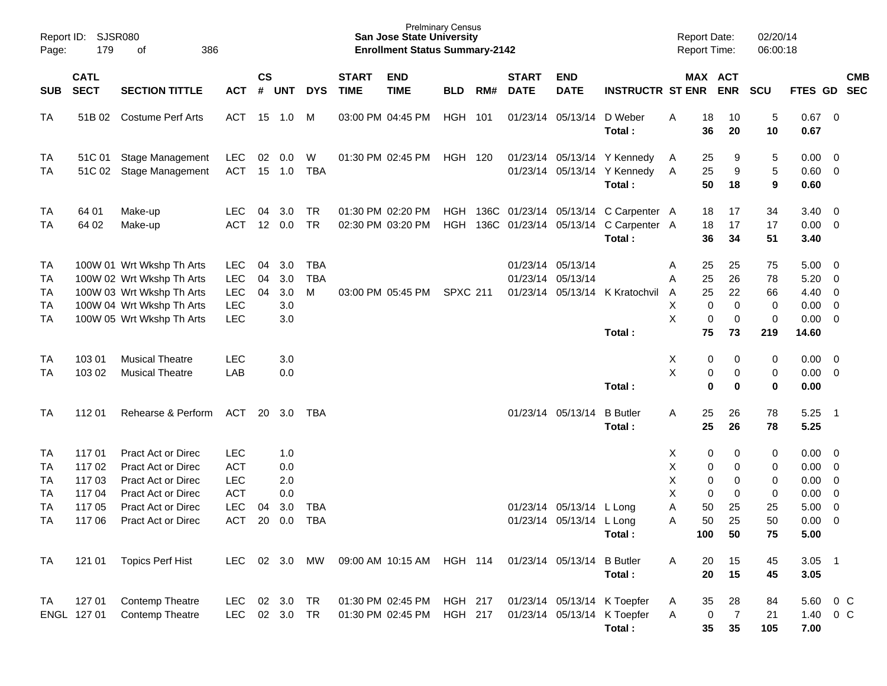| Page:                                   | Report ID: SJSR080<br>179<br>386<br>of                                                           |                                                                                                                                               |                                                                                  |                |                                        |                               |                             | <b>San Jose State University</b><br><b>Enrollment Status Summary-2142</b> | <b>Prelminary Census</b>         |     |                             |                                                      |                                                                                        | <b>Report Date:</b><br><b>Report Time:</b> |                                                                            | 02/20/14<br>06:00:18                      |                                               |                                                                                                                   |            |
|-----------------------------------------|--------------------------------------------------------------------------------------------------|-----------------------------------------------------------------------------------------------------------------------------------------------|----------------------------------------------------------------------------------|----------------|----------------------------------------|-------------------------------|-----------------------------|---------------------------------------------------------------------------|----------------------------------|-----|-----------------------------|------------------------------------------------------|----------------------------------------------------------------------------------------|--------------------------------------------|----------------------------------------------------------------------------|-------------------------------------------|-----------------------------------------------|-------------------------------------------------------------------------------------------------------------------|------------|
| <b>SUB</b>                              | <b>CATL</b><br><b>SECT</b><br><b>SECTION TITTLE</b><br><b>ACT</b><br>51B 02<br>Costume Perf Arts |                                                                                                                                               |                                                                                  | <b>CS</b><br># | <b>UNT</b>                             | <b>DYS</b>                    | <b>START</b><br><b>TIME</b> | <b>END</b><br><b>TIME</b>                                                 | <b>BLD</b>                       | RM# | <b>START</b><br><b>DATE</b> | <b>END</b><br><b>DATE</b>                            | <b>INSTRUCTR ST ENR</b>                                                                |                                            | MAX ACT<br><b>ENR</b>                                                      | <b>SCU</b>                                | FTES GD SEC                                   |                                                                                                                   | <b>CMB</b> |
| TA                                      |                                                                                                  |                                                                                                                                               | ACT 15 1.0                                                                       |                |                                        | M                             |                             | 03:00 PM 04:45 PM                                                         | HGH 101                          |     |                             | 01/23/14 05/13/14                                    | D Weber<br>Total:                                                                      | Α                                          | 18<br>10<br>36<br>20                                                       | 5<br>10                                   | 0.67<br>0.67                                  | $\overline{\mathbf{0}}$                                                                                           |            |
| TA<br>TA                                |                                                                                                  | 51C 01 Stage Management<br>51C 02 Stage Management                                                                                            | LEC<br>ACT                                                                       |                | 02 0.0<br>15 1.0                       | W<br>TBA                      |                             | 01:30 PM 02:45 PM                                                         | <b>HGH 120</b>                   |     |                             |                                                      | 01/23/14 05/13/14 Y Kennedy<br>01/23/14 05/13/14 Y Kennedy<br>Total:                   | A<br>A                                     | 25<br>9<br>25<br>9<br>50<br>18                                             | 5<br>$\sqrt{5}$<br>9                      | 0.00<br>0.60<br>0.60                          | $\overline{\mathbf{0}}$<br>$\overline{0}$                                                                         |            |
| TA<br>TA                                | 64 01<br>64 02                                                                                   | Make-up<br>Make-up                                                                                                                            | <b>LEC</b><br>ACT                                                                | 04             | 3.0<br>12 0.0                          | TR<br>TR                      |                             | 01:30 PM 02:20 PM<br>02:30 PM 03:20 PM                                    | HGH<br><b>HGH</b>                |     |                             |                                                      | 136C 01/23/14 05/13/14 C Carpenter A<br>136C 01/23/14 05/13/14 C Carpenter A<br>Total: |                                            | 18<br>17<br>17<br>18<br>36<br>34                                           | 34<br>17<br>51                            | 3.40<br>0.00<br>3.40                          | $\overline{\mathbf{0}}$<br>$\overline{\mathbf{0}}$                                                                |            |
| TA<br>TA<br>TA<br>TA<br>TA              |                                                                                                  | 100W 01 Wrt Wkshp Th Arts<br>100W 02 Wrt Wkshp Th Arts<br>100W 03 Wrt Wkshp Th Arts<br>100W 04 Wrt Wkshp Th Arts<br>100W 05 Wrt Wkshp Th Arts | LEC<br>LEC<br><b>LEC</b><br><b>LEC</b><br><b>LEC</b>                             | 04<br>04<br>04 | 3.0<br>3.0<br>3.0<br>3.0<br>3.0        | <b>TBA</b><br><b>TBA</b><br>M |                             | 03:00 PM 05:45 PM                                                         | <b>SPXC 211</b>                  |     |                             | 01/23/14 05/13/14<br>01/23/14 05/13/14               | 01/23/14 05/13/14 K Kratochvil<br>Total:                                               | A<br>A<br>A<br>Χ<br>X                      | 25<br>25<br>25<br>26<br>25<br>22<br>0<br>0<br>0<br>$\mathbf 0$<br>75<br>73 | 75<br>78<br>66<br>0<br>$\mathbf 0$<br>219 | 5.00<br>5.20<br>4.40<br>0.00<br>0.00<br>14.60 | $\overline{\mathbf{0}}$<br>$\overline{\mathbf{0}}$<br>$\overline{\mathbf{0}}$<br>$\overline{0}$<br>$\overline{0}$ |            |
| TA<br>TA                                | 103 01<br>103 02                                                                                 | <b>Musical Theatre</b><br><b>Musical Theatre</b>                                                                                              | <b>LEC</b><br>LAB                                                                |                | 3.0<br>0.0                             |                               |                             |                                                                           |                                  |     |                             |                                                      | Total:                                                                                 | X<br>X                                     | 0<br>0<br>$\pmb{0}$<br>0<br>$\mathbf 0$<br>0                               | 0<br>0<br>$\bf{0}$                        | 0.00<br>0.00<br>0.00                          | $\overline{\mathbf{0}}$<br>$\overline{\mathbf{0}}$                                                                |            |
| TA                                      | 11201                                                                                            | Rehearse & Perform                                                                                                                            | ACT                                                                              | 20             | 3.0                                    | TBA                           |                             |                                                                           |                                  |     |                             | 01/23/14 05/13/14                                    | <b>B</b> Butler<br>Total:                                                              | Α                                          | 25<br>26<br>25<br>26                                                       | 78<br>78                                  | 5.25<br>5.25                                  | - 1                                                                                                               |            |
| TA<br>TA<br>TA<br>TA<br>TA<br><b>TA</b> | 11701<br>11702<br>11703<br>117 04<br>117 05<br>117 06                                            | Pract Act or Direc<br>Pract Act or Direc<br>Pract Act or Direc<br>Pract Act or Direc<br>Pract Act or Direc<br><b>Pract Act or Direc</b>       | <b>LEC</b><br><b>ACT</b><br><b>LEC</b><br><b>ACT</b><br><b>LEC</b><br><b>ACT</b> | 04<br>20       | 1.0<br>0.0<br>2.0<br>0.0<br>3.0<br>0.0 | <b>TBA</b><br><b>TBA</b>      |                             |                                                                           |                                  |     |                             | 01/23/14 05/13/14 L Long<br>01/23/14 05/13/14 L Long |                                                                                        | X.<br>Χ<br>Χ<br>Χ<br>Α<br>Α                | 0<br>0<br>$\pmb{0}$<br>0<br>0<br>0<br>0<br>0<br>50<br>25<br>50<br>25       | 0<br>0<br>0<br>0<br>25<br>50              | 0.00<br>0.00<br>0.00<br>0.00<br>5.00<br>0.00  | $\overline{\mathbf{0}}$<br>$\overline{0}$<br>$\overline{0}$<br>$\overline{0}$<br>$\overline{0}$<br>$\overline{0}$ |            |
| <b>TA</b>                               | 121 01                                                                                           | <b>Topics Perf Hist</b>                                                                                                                       | <b>LEC</b>                                                                       |                | 02 3.0                                 | МW                            |                             | 09:00 AM 10:15 AM                                                         | <b>HGH 114</b>                   |     |                             | 01/23/14 05/13/14 B Butler                           | Total:<br>Total:                                                                       | 100<br>Α                                   | 50<br>15<br>20<br>20<br>15                                                 | 75<br>45<br>45                            | 5.00<br>$3.05$ 1<br>3.05                      |                                                                                                                   |            |
| TA                                      | 127 01<br>ENGL 127 01                                                                            | Contemp Theatre<br>Contemp Theatre                                                                                                            | LEC<br>LEC                                                                       | 02             | 3.0<br>02 3.0                          | TR<br>TR                      |                             | 01:30 PM 02:45 PM<br>01:30 PM 02:45 PM                                    | <b>HGH 217</b><br><b>HGH 217</b> |     |                             |                                                      | 01/23/14 05/13/14 K Toepfer<br>01/23/14 05/13/14 K Toepfer<br>Total:                   | A<br>Α                                     | 35<br>28<br>$\overline{7}$<br>0<br>35<br>35                                | 84<br>21<br>105                           | 5.60<br>1.40<br>7.00                          | $0\,C$<br>$0\,$ C                                                                                                 |            |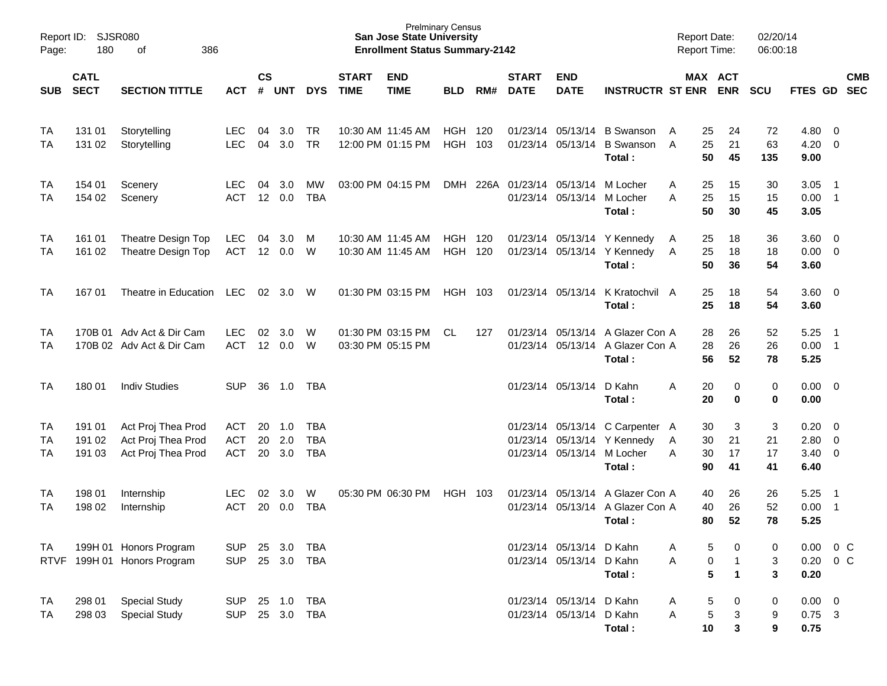| Page:          | Report ID:<br>SJSR080<br>180<br>386<br>оf |                                                                |                                 |                    |                   |                                        |                             | <b>San Jose State University</b><br><b>Enrollment Status Summary-2142</b> | <b>Prelminary Census</b>  |     |                                 |                                                      |                                                                                                        | <b>Report Date:</b><br><b>Report Time:</b> |                                                            | 02/20/14<br>06:00:18         |                                            |                          |            |
|----------------|-------------------------------------------|----------------------------------------------------------------|---------------------------------|--------------------|-------------------|----------------------------------------|-----------------------------|---------------------------------------------------------------------------|---------------------------|-----|---------------------------------|------------------------------------------------------|--------------------------------------------------------------------------------------------------------|--------------------------------------------|------------------------------------------------------------|------------------------------|--------------------------------------------|--------------------------|------------|
| <b>SUB</b>     | <b>CATL</b><br><b>SECT</b>                | <b>SECTION TITTLE</b>                                          | <b>ACT</b>                      | $\mathsf{cs}$<br># | <b>UNT</b>        | <b>DYS</b>                             | <b>START</b><br><b>TIME</b> | <b>END</b><br><b>TIME</b>                                                 | <b>BLD</b>                | RM# | <b>START</b><br><b>DATE</b>     | <b>END</b><br><b>DATE</b>                            | <b>INSTRUCTR ST ENR</b>                                                                                |                                            | MAX ACT<br><b>ENR</b>                                      | <b>SCU</b>                   | FTES GD SEC                                |                          | <b>CMB</b> |
| TA<br>TA       | 131 01<br>131 02                          | Storytelling<br>Storytelling                                   | <b>LEC</b><br><b>LEC</b>        | 04<br>04           | 3.0<br>3.0        | TR.<br><b>TR</b>                       |                             | 10:30 AM 11:45 AM<br>12:00 PM 01:15 PM                                    | <b>HGH 120</b><br>HGH 103 |     |                                 |                                                      | 01/23/14 05/13/14 B Swanson<br>01/23/14 05/13/14 B Swanson<br>Total:                                   | 25<br>A<br>25<br>A<br>50                   | 24<br>21<br>45                                             | 72<br>63<br>135              | $4.80\ 0$<br>$4.20 \ 0$<br>9.00            |                          |            |
| TA<br>TA       | 154 01<br>154 02                          | Scenery<br>Scenery                                             | <b>LEC</b><br><b>ACT</b>        | 04                 | 3.0<br>12 0.0     | МW<br><b>TBA</b>                       |                             | 03:00 PM 04:15 PM                                                         | DMH                       |     | 226A 01/23/14 05/13/14 M Locher |                                                      | 01/23/14 05/13/14 M Locher<br>Total:                                                                   | 25<br>A<br>25<br>A<br>50                   | 15<br>15<br>30                                             | 30<br>15<br>45               | 3.05<br>$0.00$ 1<br>3.05                   | $\overline{\phantom{1}}$ |            |
| TA<br>TA       | 161 01<br>161 02                          | Theatre Design Top<br>Theatre Design Top                       | LEC<br>ACT                      | 04                 | 3.0<br>12 0.0     | M<br>W                                 |                             | 10:30 AM 11:45 AM<br>10:30 AM 11:45 AM                                    | HGH 120<br><b>HGH 120</b> |     |                                 |                                                      | 01/23/14 05/13/14 Y Kennedy<br>01/23/14 05/13/14 Y Kennedy<br>Total:                                   | 25<br>A<br>25<br>A<br>50                   | 18<br>18<br>36                                             | 36<br>18<br>54               | $3.60 \ 0$<br>$0.00 \ 0$<br>3.60           |                          |            |
| TA             | 167 01                                    | Theatre in Education                                           | LEC                             |                    | $02 \quad 3.0$    | W                                      |                             | 01:30 PM 03:15 PM                                                         | HGH 103                   |     |                                 |                                                      | 01/23/14 05/13/14 K Kratochvil A<br>Total:                                                             | 25<br>25                                   | 18<br>18                                                   | 54<br>54                     | $3.60 \ 0$<br>3.60                         |                          |            |
| TA<br>TA       |                                           | 170B 01 Adv Act & Dir Cam<br>170B 02 Adv Act & Dir Cam         | <b>LEC</b><br><b>ACT</b>        | 02                 | 3.0<br>12 0.0     | W<br>W                                 |                             | 01:30 PM 03:15 PM<br>03:30 PM 05:15 PM                                    | CL.                       | 127 |                                 |                                                      | 01/23/14 05/13/14 A Glazer Con A<br>01/23/14 05/13/14 A Glazer Con A<br>Total:                         | 28<br>28<br>56                             | 26<br>26<br>52                                             | 52<br>26<br>78               | 5.25<br>$0.00$ 1<br>5.25                   | $\overline{\phantom{0}}$ |            |
| TA             | 180 01                                    | <b>Indiv Studies</b>                                           | SUP                             | 36                 | 1.0               | TBA                                    |                             |                                                                           |                           |     |                                 | 01/23/14 05/13/14 D Kahn                             | Total:                                                                                                 | 20<br>A<br>20                              | 0<br>0                                                     | 0<br>0                       | $0.00 \t 0$<br>0.00                        |                          |            |
| TA<br>TA<br>TA | 191 01<br>191 02<br>191 03                | Act Proj Thea Prod<br>Act Proj Thea Prod<br>Act Proj Thea Prod | ACT<br><b>ACT</b><br><b>ACT</b> | 20<br>20<br>20     | 1.0<br>2.0<br>3.0 | <b>TBA</b><br><b>TBA</b><br><b>TBA</b> |                             |                                                                           |                           |     |                                 |                                                      | 01/23/14 05/13/14 C Carpenter A<br>01/23/14 05/13/14 Y Kennedy<br>01/23/14 05/13/14 M Locher<br>Total: | 30<br>30<br>A<br>30<br>A<br>90             | 3<br>21<br>17<br>41                                        | $\sqrt{3}$<br>21<br>17<br>41 | $0.20 \ 0$<br>2.80 0<br>$3.40 \ 0$<br>6.40 |                          |            |
| TA<br>TA       | 198 01<br>198 02                          | Internship<br>Internship                                       | <b>LEC</b><br><b>ACT</b>        | 02<br>20           | 3.0<br>0.0        | W<br><b>TBA</b>                        |                             | 05:30 PM 06:30 PM                                                         | HGH 103                   |     |                                 |                                                      | 01/23/14 05/13/14 A Glazer Con A<br>01/23/14 05/13/14 A Glazer Con A<br>Total:                         | 40<br>40<br>80                             | 26<br>26<br>52                                             | 26<br>52<br>78               | 5.25<br>$0.00$ 1<br>5.25                   | $\overline{\phantom{1}}$ |            |
| TA             |                                           | 199H 01 Honors Program<br>RTVF 199H 01 Honors Program          | <b>SUP</b><br><b>SUP</b>        | 25                 | 3.0               | TBA<br>25 3.0 TBA                      |                             |                                                                           |                           |     |                                 | 01/23/14 05/13/14 D Kahn<br>01/23/14 05/13/14 D Kahn | Total:                                                                                                 | A<br>A                                     | 5<br>0<br>$\mathbf 0$<br>$\mathbf{1}$<br>5<br>$\mathbf{1}$ | 0<br>3<br>3                  | 0.00<br>$0.20 \t 0 C$<br>0.20              |                          | $0\,C$     |
| TA<br>TA       | 298 01<br>298 03                          | <b>Special Study</b><br><b>Special Study</b>                   | SUP 25 1.0<br><b>SUP</b>        |                    |                   | TBA<br>25 3.0 TBA                      |                             |                                                                           |                           |     |                                 | 01/23/14 05/13/14 D Kahn<br>01/23/14 05/13/14 D Kahn | Total:                                                                                                 | A<br>A<br>10                               | 5<br>0<br>$\mathbf 5$<br>3<br>3                            | 0<br>9<br>9                  | $0.00 \t 0$<br>$0.75$ 3<br>0.75            |                          |            |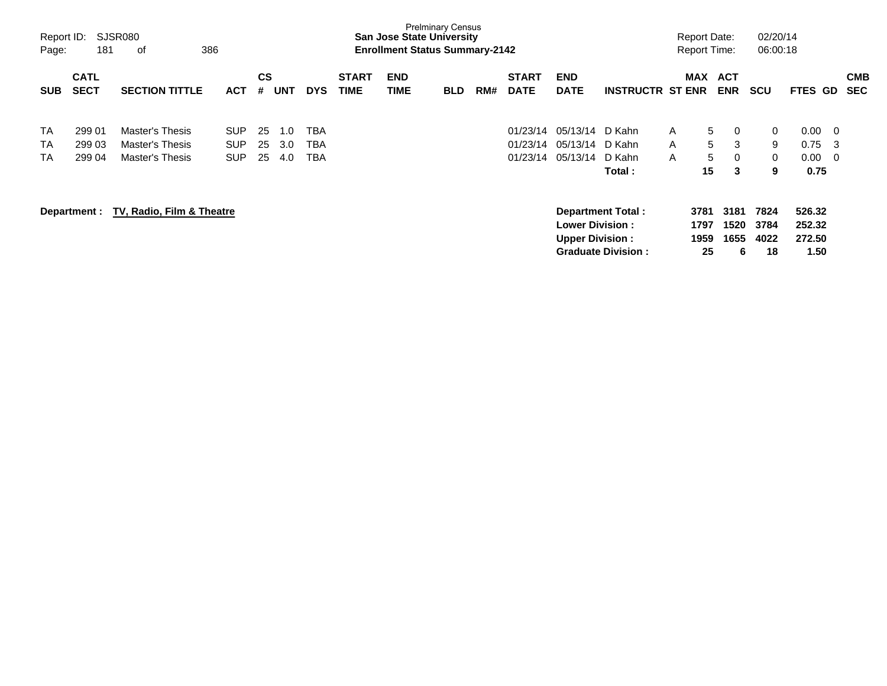| Report ID:<br>Page: | 181                        | SJSR080<br>386<br>οf      |            |                |            |            |                             | <b>San Jose State University</b><br><b>Enrollment Status Summary-2142</b> | <b>Prelminary Census</b> |     |                             |                           |                           | <b>Report Date:</b><br><b>Report Time:</b> |              |                          | 02/20/14<br>06:00:18 |                |     |                          |
|---------------------|----------------------------|---------------------------|------------|----------------|------------|------------|-----------------------------|---------------------------------------------------------------------------|--------------------------|-----|-----------------------------|---------------------------|---------------------------|--------------------------------------------|--------------|--------------------------|----------------------|----------------|-----|--------------------------|
| <b>SUB</b>          | <b>CATL</b><br><b>SECT</b> | <b>SECTION TITTLE</b>     | <b>ACT</b> | <b>CS</b><br># | <b>UNT</b> | <b>DYS</b> | <b>START</b><br><b>TIME</b> | <b>END</b><br><b>TIME</b>                                                 | <b>BLD</b>               | RM# | <b>START</b><br><b>DATE</b> | <b>END</b><br><b>DATE</b> | <b>INSTRUCTR ST ENR</b>   | <b>MAX</b>                                 |              | <b>ACT</b><br><b>ENR</b> | <b>SCU</b>           | <b>FTES GD</b> |     | <b>CMB</b><br><b>SEC</b> |
| <b>TA</b>           | 299 01                     | Master's Thesis           | <b>SUP</b> | 25             | 1.0        | ТВА        |                             |                                                                           |                          |     | 01/23/14                    | 05/13/14 D Kahn           |                           | A                                          | 5            | 0                        | $\overline{0}$       | 0.00           | - 0 |                          |
| <b>TA</b>           | 299 03                     | Master's Thesis           | <b>SUP</b> | 25             | 3.0        | ТВА        |                             |                                                                           |                          |     | 01/23/14                    | 05/13/14 D Kahn           |                           | A                                          | 5            | 3                        | 9                    | 0.75           | -3  |                          |
| <b>TA</b>           | 299 04                     | Master's Thesis           | <b>SUP</b> | 25             | 4.0        | TBA        |                             |                                                                           |                          |     | 01/23/14                    | 05/13/14 D Kahn           |                           | A                                          | 5            | $\mathbf 0$              | $\overline{0}$       | 0.00           | - 0 |                          |
|                     |                            |                           |            |                |            |            |                             |                                                                           |                          |     |                             |                           | Total :                   |                                            | 15           | 3                        | 9                    | 0.75           |     |                          |
|                     | Department :               | TV, Radio, Film & Theatre |            |                |            |            |                             |                                                                           |                          |     |                             |                           | <b>Department Total:</b>  |                                            | 3781         | 3181                     | 7824                 | 526.32         |     |                          |
|                     |                            |                           |            |                |            |            |                             |                                                                           |                          |     |                             | <b>Lower Division:</b>    |                           |                                            | 1797<br>1959 | 1520                     | 3784                 | 252.32         |     |                          |
|                     |                            |                           |            |                |            |            |                             |                                                                           |                          |     |                             | <b>Upper Division:</b>    | <b>Graduate Division:</b> |                                            | 25           | 1655<br>6                | 4022<br>18           | 272.50<br>1.50 |     |                          |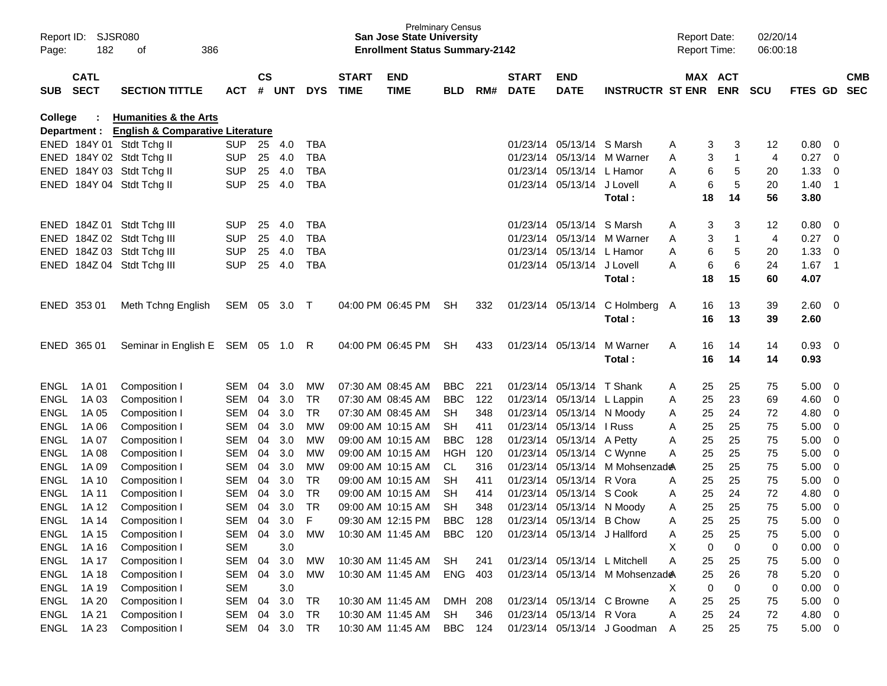| Report ID:<br>Page: | SJSR080<br>182             | 386<br>οf                                   |            |                    |            |             |                             | <b>Prelminary Census</b><br><b>San Jose State University</b><br><b>Enrollment Status Summary-2142</b> |            |     |                             |                              |                                | <b>Report Date:</b><br><b>Report Time:</b> |                       |                | 02/20/14<br>06:00:18 |         |                          |                          |
|---------------------|----------------------------|---------------------------------------------|------------|--------------------|------------|-------------|-----------------------------|-------------------------------------------------------------------------------------------------------|------------|-----|-----------------------------|------------------------------|--------------------------------|--------------------------------------------|-----------------------|----------------|----------------------|---------|--------------------------|--------------------------|
| <b>SUB</b>          | <b>CATL</b><br><b>SECT</b> | <b>SECTION TITTLE</b>                       | <b>ACT</b> | $\mathsf{cs}$<br># | <b>UNT</b> | <b>DYS</b>  | <b>START</b><br><b>TIME</b> | <b>END</b><br><b>TIME</b>                                                                             | <b>BLD</b> | RM# | <b>START</b><br><b>DATE</b> | <b>END</b><br><b>DATE</b>    | <b>INSTRUCTR ST ENR</b>        |                                            | MAX ACT<br><b>ENR</b> |                | <b>SCU</b>           | FTES GD |                          | <b>CMB</b><br><b>SEC</b> |
| <b>College</b>      |                            | <b>Humanities &amp; the Arts</b>            |            |                    |            |             |                             |                                                                                                       |            |     |                             |                              |                                |                                            |                       |                |                      |         |                          |                          |
|                     | Department :               | <b>English &amp; Comparative Literature</b> |            |                    |            |             |                             |                                                                                                       |            |     |                             |                              |                                |                                            |                       |                |                      |         |                          |                          |
|                     |                            | ENED 184Y 01 Stdt Tchg II                   | <b>SUP</b> | 25                 | 4.0        | TBA         |                             |                                                                                                       |            |     | 01/23/14                    | 05/13/14                     | S Marsh                        | A                                          | 3                     | 3              | 12                   | 0.80    | 0                        |                          |
| ENED                |                            | 184Y 02 Stdt Tchg II                        | <b>SUP</b> | 25                 | 4.0        | <b>TBA</b>  |                             |                                                                                                       |            |     | 01/23/14                    | 05/13/14                     | M Warner                       | A                                          | 3                     | $\mathbf 1$    | 4                    | 0.27    | 0                        |                          |
| ENED                |                            | 184Y 03 Stdt Tchg II                        | <b>SUP</b> | 25                 | 4.0        | <b>TBA</b>  |                             |                                                                                                       |            |     | 01/23/14                    | 05/13/14                     | L Hamor                        | A                                          | 6                     | 5              | 20                   | 1.33    | 0                        |                          |
| ENED                |                            | 184Y 04 Stdt Tchg II                        | <b>SUP</b> | 25                 | 4.0        | <b>TBA</b>  |                             |                                                                                                       |            |     | 01/23/14                    | 05/13/14                     | J Lovell                       | A                                          | 6                     | 5              | 20                   | 1.40    | - 1                      |                          |
|                     |                            |                                             |            |                    |            |             |                             |                                                                                                       |            |     |                             |                              | Total:                         |                                            | 18                    | 14             | 56                   | 3.80    |                          |                          |
| <b>ENED</b>         |                            | 184Z 01 Stdt Tchg III                       | <b>SUP</b> | 25                 | 4.0        | <b>TBA</b>  |                             |                                                                                                       |            |     | 01/23/14                    | 05/13/14                     | S Marsh                        | A                                          | 3                     | 3              | 12                   | 0.80    | 0                        |                          |
| <b>ENED</b>         |                            | 184Z 02 Stdt Tchg III                       | <b>SUP</b> | 25                 | 4.0        | <b>TBA</b>  |                             |                                                                                                       |            |     | 01/23/14                    | 05/13/14                     | M Warner                       | A                                          | 3                     | $\overline{1}$ | 4                    | 0.27    | 0                        |                          |
| <b>ENED</b>         |                            | 184Z 03 Stdt Tchg III                       | <b>SUP</b> | 25                 | 4.0        | <b>TBA</b>  |                             |                                                                                                       |            |     | 01/23/14                    | 05/13/14                     | L Hamor                        | A                                          | 6                     | 5              | 20                   | 1.33    | 0                        |                          |
| <b>ENED</b>         |                            | 184Z 04 Stdt Tchg III                       | <b>SUP</b> | 25                 | 4.0        | <b>TBA</b>  |                             |                                                                                                       |            |     | 01/23/14                    | 05/13/14                     | J Lovell                       | A                                          | 6                     | 6              | 24                   | 1.67    | $\overline{\phantom{0}}$ |                          |
|                     |                            |                                             |            |                    |            |             |                             |                                                                                                       |            |     |                             |                              | Total :                        |                                            | 18                    | 15             | 60                   | 4.07    |                          |                          |
|                     | ENED 353 01                | Meth Tchng English                          | SEM 05     |                    | 3.0        | $\top$      |                             | 04:00 PM 06:45 PM                                                                                     | <b>SH</b>  | 332 |                             | 01/23/14 05/13/14            | C Holmberg                     | A                                          | 16                    | 13             | 39                   | 2.60    | - 0                      |                          |
|                     |                            |                                             |            |                    |            |             |                             |                                                                                                       |            |     |                             |                              | Total:                         |                                            | 16                    | 13             | 39                   | 2.60    |                          |                          |
| <b>ENED</b>         | 365 01                     | Seminar in English E                        | SEM 05     |                    | 1.0        | R           |                             | 04:00 PM 06:45 PM                                                                                     | <b>SH</b>  | 433 | 01/23/14                    | 05/13/14                     | M Warner                       | A                                          | 16                    | 14             | 14                   | 0.93    | - 0                      |                          |
|                     |                            |                                             |            |                    |            |             |                             |                                                                                                       |            |     |                             |                              | Total :                        |                                            | 16                    | 14             | 14                   | 0.93    |                          |                          |
|                     |                            |                                             |            |                    |            |             |                             |                                                                                                       |            |     |                             |                              |                                |                                            |                       |                |                      |         |                          |                          |
| <b>ENGL</b>         | 1A 01                      | Composition I                               | <b>SEM</b> | 04                 | 3.0        | МW          |                             | 07:30 AM 08:45 AM                                                                                     | <b>BBC</b> | 221 | 01/23/14                    | 05/13/14                     | T Shank                        | A                                          | 25                    | 25             | 75                   | 5.00    | 0                        |                          |
| <b>ENGL</b>         | 1A 03                      | Composition I                               | <b>SEM</b> | 04                 | 3.0        | <b>TR</b>   |                             | 07:30 AM 08:45 AM                                                                                     | <b>BBC</b> | 122 | 01/23/14                    | 05/13/14                     | L Lappin                       | A                                          | 25                    | 23             | 69                   | 4.60    | 0                        |                          |
| <b>ENGL</b>         | 1A 05                      | Composition I                               | <b>SEM</b> | 04                 | 3.0        | <b>TR</b>   |                             | 07:30 AM 08:45 AM                                                                                     | <b>SH</b>  | 348 | 01/23/14                    | 05/13/14                     | N Moody                        | A                                          | 25                    | 24             | 72                   | 4.80    | 0                        |                          |
| <b>ENGL</b>         | 1A 06                      | Composition I                               | <b>SEM</b> | 04                 | 3.0        | МW          |                             | 09:00 AM 10:15 AM                                                                                     | <b>SH</b>  | 411 | 01/23/14                    | 05/13/14                     | I Russ                         | A                                          | 25                    | 25             | 75                   | 5.00    | 0                        |                          |
| <b>ENGL</b>         | 1A 07                      | Composition I                               | <b>SEM</b> | 04                 | 3.0        | МW          |                             | 09:00 AM 10:15 AM                                                                                     | <b>BBC</b> | 128 | 01/23/14                    | 05/13/14                     | A Petty                        | A                                          | 25                    | 25             | 75                   | 5.00    | 0                        |                          |
| <b>ENGL</b>         | 1A 08                      | Composition I                               | <b>SEM</b> | 04                 | 3.0        | МW          |                             | 09:00 AM 10:15 AM                                                                                     | <b>HGH</b> | 120 | 01/23/14                    | 05/13/14                     | C Wynne                        | A                                          | 25                    | 25             | 75                   | 5.00    | 0                        |                          |
| <b>ENGL</b>         | 1A 09                      | Composition I                               | <b>SEM</b> | 04                 | 3.0        | МW          |                             | 09:00 AM 10:15 AM                                                                                     | CL         | 316 | 01/23/14                    | 05/13/14                     | M Mohsenzad <del>@</del>       |                                            | 25                    | 25             | 75                   | 5.00    | 0                        |                          |
| <b>ENGL</b>         | 1A 10                      | Composition I                               | <b>SEM</b> | 04                 | 3.0        | <b>TR</b>   |                             | 09:00 AM 10:15 AM                                                                                     | <b>SH</b>  | 411 | 01/23/14                    | 05/13/14                     | R Vora                         | A                                          | 25                    | 25             | 75                   | 5.00    | 0                        |                          |
| <b>ENGL</b>         | 1A 11                      | Composition I                               | <b>SEM</b> | 04                 | 3.0        | <b>TR</b>   |                             | 09:00 AM 10:15 AM                                                                                     | <b>SH</b>  | 414 | 01/23/14                    | 05/13/14                     | S Cook                         | A                                          | 25                    | 24             | 72                   | 4.80    | 0                        |                          |
| <b>ENGL</b>         | 1A 12                      | Composition I                               | <b>SEM</b> | 04                 | 3.0        | <b>TR</b>   |                             | 09:00 AM 10:15 AM                                                                                     | <b>SH</b>  | 348 |                             | 01/23/14 05/13/14 N Moody    |                                | A                                          | 25                    | 25             | 75                   | 5.00    | 0                        |                          |
| <b>ENGL</b>         | 1A 14                      | Composition I                               | SEM        | 04                 | 3.0        | $\mathsf F$ |                             | 09:30 AM 12:15 PM                                                                                     | <b>BBC</b> | 128 |                             | 01/23/14 05/13/14 B Chow     |                                | Α                                          | 25                    | 25             | 75                   | 5.00    | $\mathbf 0$              |                          |
| ENGL                | 1A 15                      | Composition I                               | SEM 04 3.0 |                    |            | <b>MW</b>   |                             | 10:30 AM 11:45 AM                                                                                     | BBC        | 120 |                             | 01/23/14 05/13/14 J Hallford |                                | A                                          | 25                    | 25             | 75                   | 5.00    | 0                        |                          |
| ENGL                | 1A 16                      | Composition I                               | <b>SEM</b> |                    | 3.0        |             |                             |                                                                                                       |            |     |                             |                              |                                | X                                          | $\mathbf 0$           | $\mathbf 0$    | $\mathbf 0$          | 0.00    | $\overline{0}$           |                          |
| <b>ENGL</b>         | 1A 17                      | Composition I                               | SEM        | 04                 | 3.0        | MW          |                             | 10:30 AM 11:45 AM                                                                                     | SH         | 241 |                             |                              | 01/23/14 05/13/14 L Mitchell   | Α                                          | 25                    | 25             | 75                   | 5.00    | $\mathbf 0$              |                          |
| <b>ENGL</b>         | 1A 18                      | Composition I                               | SEM        | 04                 | 3.0        | MW          |                             | 10:30 AM 11:45 AM                                                                                     | ENG 403    |     |                             |                              | 01/23/14 05/13/14 M Mohsenzade |                                            | 25                    | 26             | 78                   | 5.20    | 0                        |                          |
| <b>ENGL</b>         | 1A 19                      | Composition I                               | <b>SEM</b> |                    | 3.0        |             |                             |                                                                                                       |            |     |                             |                              |                                | X                                          | $\mathbf 0$           | $\mathbf 0$    | 0                    | 0.00    | $\mathbf 0$              |                          |
| <b>ENGL</b>         | 1A 20                      | Composition I                               | SEM        | 04                 | 3.0        | TR          |                             | 10:30 AM 11:45 AM                                                                                     | DMH 208    |     |                             |                              | 01/23/14 05/13/14 C Browne     | Α                                          | 25                    | 25             | 75                   | 5.00    | 0                        |                          |
| <b>ENGL</b>         | 1A 21                      | Composition I                               | SEM        | 04                 | 3.0        | TR          |                             | 10:30 AM 11:45 AM                                                                                     | <b>SH</b>  | 346 |                             | 01/23/14 05/13/14 R Vora     |                                | Α                                          | 25                    | 24             | 72                   | 4.80    | 0                        |                          |
| ENGL                | 1A 23                      | Composition I                               | SEM 04 3.0 |                    |            | <b>TR</b>   |                             | 10:30 AM 11:45 AM                                                                                     | <b>BBC</b> | 124 |                             |                              | 01/23/14 05/13/14 J Goodman A  |                                            | 25                    | 25             | 75                   | 5.00    | $\overline{\mathbf{0}}$  |                          |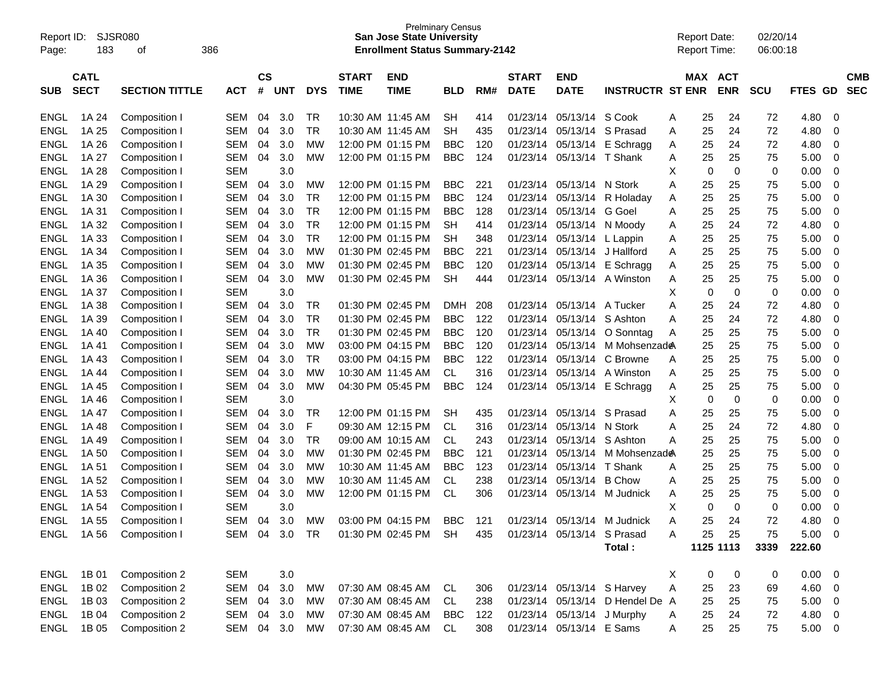| Report ID:<br>Page: | 183         | <b>SJSR080</b><br>386<br>οf |            |               |               |            |              | <b>Prelminary Census</b><br><b>San Jose State University</b><br><b>Enrollment Status Summary-2142</b> |            |     |              |                            |                                 |          | <b>Report Date:</b><br><b>Report Time:</b> |                | 02/20/14<br>06:00:18 |             |                          |            |
|---------------------|-------------|-----------------------------|------------|---------------|---------------|------------|--------------|-------------------------------------------------------------------------------------------------------|------------|-----|--------------|----------------------------|---------------------------------|----------|--------------------------------------------|----------------|----------------------|-------------|--------------------------|------------|
|                     | <b>CATL</b> |                             |            | $\mathsf{cs}$ |               |            | <b>START</b> | <b>END</b>                                                                                            |            |     | <b>START</b> | END                        |                                 |          |                                            | <b>MAX ACT</b> |                      |             |                          | <b>CMB</b> |
| <b>SUB</b>          | <b>SECT</b> | <b>SECTION TITTLE</b>       | <b>ACT</b> | #             | <b>UNT</b>    | <b>DYS</b> | <b>TIME</b>  | <b>TIME</b>                                                                                           | <b>BLD</b> | RM# | <b>DATE</b>  | <b>DATE</b>                | <b>INSTRUCTR ST ENR</b>         |          |                                            | <b>ENR</b>     | <b>SCU</b>           | <b>FTES</b> | <b>GD</b>                | <b>SEC</b> |
| <b>ENGL</b>         | 1A 24       | Composition I               | <b>SEM</b> | 04            | 3.0           | <b>TR</b>  |              | 10:30 AM 11:45 AM                                                                                     | SН         | 414 | 01/23/14     | 05/13/14                   | S Cook                          | A        | 25                                         | 24             | 72                   | 4.80        | 0                        |            |
| ENGL                | 1A 25       | Composition I               | <b>SEM</b> | 04            | 3.0           | <b>TR</b>  |              | 10:30 AM 11:45 AM                                                                                     | <b>SH</b>  | 435 | 01/23/14     | 05/13/14                   | S Prasad                        | A        | 25                                         | 24             | 72                   | 4.80        | $\mathbf 0$              |            |
| ENGL                | 1A 26       | Composition I               | <b>SEM</b> | 04            | 3.0           | <b>MW</b>  |              | 12:00 PM 01:15 PM                                                                                     | <b>BBC</b> | 120 | 01/23/14     | 05/13/14                   | E Schragg                       | A        | 25                                         | 24             | 72                   | 4.80        | 0                        |            |
| <b>ENGL</b>         | 1A 27       | Composition I               | <b>SEM</b> | 04            | 3.0           | <b>MW</b>  |              | 12:00 PM 01:15 PM                                                                                     | <b>BBC</b> | 124 | 01/23/14     | 05/13/14 T Shank           |                                 | A        | 25                                         | 25             | 75                   | 5.00        | $\mathbf 0$              |            |
| <b>ENGL</b>         | 1A 28       | Composition I               | <b>SEM</b> |               | 3.0           |            |              |                                                                                                       |            |     |              |                            |                                 | X        | 0                                          | $\mathbf 0$    | 0                    | 0.00        | $\mathbf 0$              |            |
| <b>ENGL</b>         | 1A 29       | Composition I               | <b>SEM</b> | 04            | 3.0           | <b>MW</b>  |              | 12:00 PM 01:15 PM                                                                                     | <b>BBC</b> | 221 | 01/23/14     | 05/13/14 N Stork           |                                 | Α        | 25                                         | 25             | 75                   | 5.00        | $\mathbf 0$              |            |
| <b>ENGL</b>         | 1A 30       | Composition I               | <b>SEM</b> | 04            | 3.0           | <b>TR</b>  |              | 12:00 PM 01:15 PM                                                                                     | <b>BBC</b> | 124 | 01/23/14     | 05/13/14                   | R Holaday                       | A        | 25                                         | 25             | 75                   | 5.00        | $\mathbf 0$              |            |
| <b>ENGL</b>         | 1A 31       | Composition I               | <b>SEM</b> | 04            | 3.0           | <b>TR</b>  |              | 12:00 PM 01:15 PM                                                                                     | <b>BBC</b> | 128 | 01/23/14     | 05/13/14                   | G Goel                          | Α        | 25                                         | 25             | 75                   | 5.00        | $\mathbf 0$              |            |
| <b>ENGL</b>         | 1A 32       | Composition I               | <b>SEM</b> | 04            | 3.0           | <b>TR</b>  |              | 12:00 PM 01:15 PM                                                                                     | SН         | 414 | 01/23/14     |                            | 05/13/14 N Moody                | Α        | 25                                         | 24             | 72                   | 4.80        | $\mathbf 0$              |            |
| <b>ENGL</b>         | 1A 33       | Composition I               | <b>SEM</b> | 04            | 3.0           | <b>TR</b>  |              | 12:00 PM 01:15 PM                                                                                     | <b>SH</b>  | 348 | 01/23/14     | 05/13/14 L Lappin          |                                 | A        | 25                                         | 25             | 75                   | 5.00        | $\mathbf 0$              |            |
| <b>ENGL</b>         | 1A 34       | Composition I               | <b>SEM</b> | 04            | 3.0           | <b>MW</b>  |              | 01:30 PM 02:45 PM                                                                                     | <b>BBC</b> | 221 | 01/23/14     | 05/13/14                   | J Hallford                      | A        | 25                                         | 25             | 75                   | 5.00        | $\mathbf 0$              |            |
| <b>ENGL</b>         | 1A 35       | Composition I               | <b>SEM</b> | 04            | 3.0           | <b>MW</b>  |              | 01:30 PM 02:45 PM                                                                                     | <b>BBC</b> | 120 | 01/23/14     | 05/13/14                   | E Schragg                       | Α        | 25                                         | 25             | 75                   | 5.00        | $\mathbf 0$              |            |
| <b>ENGL</b>         | 1A 36       | Composition I               | <b>SEM</b> | 04            | 3.0           | <b>MW</b>  |              | 01:30 PM 02:45 PM                                                                                     | <b>SH</b>  | 444 | 01/23/14     |                            | 05/13/14 A Winston              | Α        | 25                                         | 25             | 75                   | 5.00        | $\mathbf 0$              |            |
| <b>ENGL</b>         | 1A 37       | Composition I               | <b>SEM</b> |               | 3.0           |            |              |                                                                                                       |            |     |              |                            |                                 | X        | 0                                          | $\mathbf 0$    | 0                    | 0.00        | $\mathbf 0$              |            |
| <b>ENGL</b>         | 1A 38       | Composition I               | <b>SEM</b> | 04            | 3.0           | <b>TR</b>  |              | 01:30 PM 02:45 PM                                                                                     | <b>DMH</b> | 208 | 01/23/14     | 05/13/14                   | A Tucker                        | Α        | 25                                         | 24             | 72                   | 4.80        | $\mathbf 0$              |            |
| <b>ENGL</b>         | 1A 39       | Composition I               | <b>SEM</b> | 04            | 3.0           | <b>TR</b>  |              | 01:30 PM 02:45 PM                                                                                     | <b>BBC</b> | 122 | 01/23/14     |                            | 05/13/14 S Ashton               | Α        | 25                                         | 24             | 72                   | 4.80        | $\mathbf 0$              |            |
| <b>ENGL</b>         | 1A 40       | Composition I               | <b>SEM</b> | 04            | 3.0           | <b>TR</b>  |              | 01:30 PM 02:45 PM                                                                                     | <b>BBC</b> | 120 | 01/23/14     | 05/13/14                   | O Sonntag                       | A        | 25                                         | 25             | 75                   | 5.00        | $\mathbf 0$              |            |
| <b>ENGL</b>         | 1A 41       | Composition I               | <b>SEM</b> | 04            | 3.0           | <b>MW</b>  |              | 03:00 PM 04:15 PM                                                                                     | <b>BBC</b> | 120 | 01/23/14     | 05/13/14                   | M Mohsenzad <b>e</b> A          |          | 25                                         | 25             | 75                   | 5.00        | $\mathbf 0$              |            |
| <b>ENGL</b>         | 1A 43       | Composition I               | <b>SEM</b> | 04            | 3.0           | <b>TR</b>  |              | 03:00 PM 04:15 PM                                                                                     | <b>BBC</b> | 122 | 01/23/14     | 05/13/14                   | C Browne                        | Α        | 25                                         | 25             | 75                   | 5.00        | $\mathbf 0$              |            |
| <b>ENGL</b>         | 1A 44       | Composition I               | <b>SEM</b> | 04            | 3.0           | <b>MW</b>  |              | 10:30 AM 11:45 AM                                                                                     | <b>CL</b>  | 316 | 01/23/14     |                            | 05/13/14 A Winston              | A        | 25                                         | 25             | 75                   | 5.00        | $\mathbf 0$              |            |
| <b>ENGL</b>         | 1A 45       | Composition I               | <b>SEM</b> | 04            | 3.0           | <b>MW</b>  |              | 04:30 PM 05:45 PM                                                                                     | <b>BBC</b> | 124 | 01/23/14     |                            | 05/13/14 E Schragg              | A        | 25                                         | 25             | 75                   | 5.00        | $\mathbf 0$              |            |
| <b>ENGL</b>         | 1A 46       | Composition I               | <b>SEM</b> |               | 3.0           |            |              |                                                                                                       |            |     |              |                            |                                 | X        | 0                                          | $\mathbf 0$    | 0                    | 0.00        | $\mathbf 0$              |            |
| <b>ENGL</b>         | 1A 47       | Composition I               | <b>SEM</b> | 04            | 3.0           | <b>TR</b>  |              | 12:00 PM 01:15 PM                                                                                     | <b>SH</b>  | 435 | 01/23/14     | 05/13/14                   | S Prasad                        | Α        | 25                                         | 25             | 75                   | 5.00        | $\mathbf 0$              |            |
| <b>ENGL</b>         | 1A 48       | Composition I               | <b>SEM</b> | 04            | 3.0           | F          |              | 09:30 AM 12:15 PM                                                                                     | <b>CL</b>  | 316 | 01/23/14     | 05/13/14 N Stork           |                                 | Α        | 25                                         | 24             | 72                   | 4.80        | $\mathbf 0$              |            |
| <b>ENGL</b>         | 1A 49       | Composition I               | <b>SEM</b> | 04            | 3.0           | <b>TR</b>  |              | 09:00 AM 10:15 AM                                                                                     | <b>CL</b>  | 243 | 01/23/14     | 05/13/14                   | S Ashton                        | A        | 25                                         | 25             | 75                   | 5.00        | $\mathbf 0$              |            |
| <b>ENGL</b>         | 1A 50       | Composition I               | <b>SEM</b> | 04            | 3.0           | <b>MW</b>  |              | 01:30 PM 02:45 PM                                                                                     | <b>BBC</b> | 121 | 01/23/14     | 05/13/14                   | M Mohsenzad <b>e</b> A          |          | 25                                         | 25             | 75                   | 5.00        | $\mathbf 0$              |            |
| <b>ENGL</b>         | 1A 51       | Composition I               | <b>SEM</b> | 04            | 3.0           | <b>MW</b>  |              | 10:30 AM 11:45 AM                                                                                     | <b>BBC</b> | 123 | 01/23/14     | 05/13/14 T Shank           |                                 | Α        | 25                                         | 25             | 75                   | 5.00        | $\mathbf 0$              |            |
| <b>ENGL</b>         | 1A 52       | Composition I               | <b>SEM</b> | 04            | 3.0           | <b>MW</b>  |              | 10:30 AM 11:45 AM                                                                                     | <b>CL</b>  | 238 | 01/23/14     | 05/13/14                   | <b>B</b> Chow                   | A        | 25                                         | 25             | 75                   | 5.00        | 0                        |            |
| <b>ENGL</b>         | 1A 53       | Composition I               | <b>SEM</b> | 04            | 3.0           | <b>MW</b>  |              | 12:00 PM 01:15 PM                                                                                     | <b>CL</b>  | 306 | 01/23/14     |                            | 05/13/14 M Judnick              | Α        | 25                                         | 25             | 75                   | 5.00        | 0                        |            |
| <b>ENGL</b>         | 1A 54       | Composition                 | <b>SEM</b> |               | 3.0           |            |              |                                                                                                       |            |     |              |                            |                                 | X        | 0                                          | $\Omega$       | $\mathbf 0$          | 0.00        | $\mathbf 0$              |            |
| <b>ENGL</b>         | 1A 55       | Composition                 | <b>SEM</b> | 04            | 3.0           | <b>MW</b>  |              | 03:00 PM 04:15 PM                                                                                     | <b>BBC</b> | 121 | 01/23/14     | 05/13/14                   | M Judnick                       |          | 25                                         | 24             | 72                   | 4.80        | $\Omega$                 |            |
|                     | ENGL 1A 56  | Composition I               |            |               | SEM 04 3.0 TR |            |              | 01:30 PM 02:45 PM SH                                                                                  |            | 435 |              | 01/23/14 05/13/14 S Prasad |                                 | A        | 25                                         | 25             | 75                   | 5.00 0      |                          |            |
|                     |             |                             |            |               |               |            |              |                                                                                                       |            |     |              |                            | Total:                          |          |                                            | 1125 1113      | 3339                 | 222.60      |                          |            |
| ENGL                | 1B 01       | Composition 2               | <b>SEM</b> |               | 3.0           |            |              |                                                                                                       |            |     |              |                            |                                 | $\times$ | 0                                          | 0              | 0                    | 0.00        | $\overline{\phantom{0}}$ |            |
| ENGL                | 1B 02       | Composition 2               | SEM        | 04            | 3.0           | <b>MW</b>  |              | 07:30 AM 08:45 AM                                                                                     | CL         | 306 |              | 01/23/14 05/13/14 S Harvey |                                 | Α        | 25                                         | 23             | 69                   | 4.60        | $\overline{\phantom{0}}$ |            |
| ENGL                | 1B 03       | Composition 2               | SEM        | 04            | 3.0           | MW         |              | 07:30 AM 08:45 AM                                                                                     | CL         | 238 |              |                            | 01/23/14 05/13/14 D Hendel De A |          | 25                                         | 25             | 75                   | 5.00        | $\overline{\phantom{0}}$ |            |
| ENGL                | 1B 04       | Composition 2               | SEM        | 04            | 3.0           | MW         |              | 07:30 AM 08:45 AM                                                                                     | <b>BBC</b> | 122 |              | 01/23/14 05/13/14 J Murphy |                                 | A        | 25                                         | 24             | 72                   | 4.80        | $\overline{\phantom{0}}$ |            |
| ENGL                | 1B 05       | Composition 2               | SEM 04 3.0 |               |               | MW         |              | 07:30 AM 08:45 AM                                                                                     | CL         | 308 |              | 01/23/14 05/13/14 E Sams   |                                 | Α        | 25                                         | 25             | 75                   | $5.00 \t 0$ |                          |            |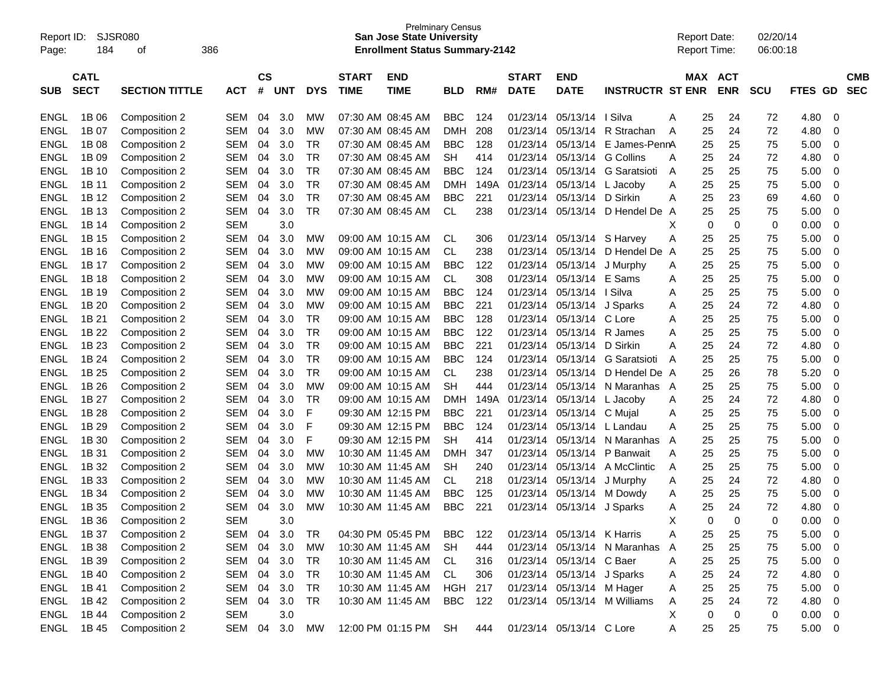| Report ID:<br>Page: | 184         | <b>SJSR080</b><br>οf  | 386        |           |            |            |                   | <b>Prelminary Census</b><br><b>San Jose State University</b><br><b>Enrollment Status Summary-2142</b> |            |      |              |                            |                              | <b>Report Date:</b> |          | <b>Report Time:</b> | 02/20/14<br>06:00:18 |             |                |            |
|---------------------|-------------|-----------------------|------------|-----------|------------|------------|-------------------|-------------------------------------------------------------------------------------------------------|------------|------|--------------|----------------------------|------------------------------|---------------------|----------|---------------------|----------------------|-------------|----------------|------------|
|                     | <b>CATL</b> |                       |            | <b>CS</b> |            |            | <b>START</b>      | <b>END</b>                                                                                            |            |      | <b>START</b> | <b>END</b>                 |                              |                     | MAX      | <b>ACT</b>          |                      |             |                | <b>CMB</b> |
| <b>SUB</b>          | <b>SECT</b> | <b>SECTION TITTLE</b> | <b>ACT</b> | #         | <b>UNT</b> | <b>DYS</b> | <b>TIME</b>       | <b>TIME</b>                                                                                           | <b>BLD</b> | RM#  | <b>DATE</b>  | <b>DATE</b>                | <b>INSTRUCTR ST ENR</b>      |                     |          | <b>ENR</b>          | <b>SCU</b>           | <b>FTES</b> | <b>GD</b>      | <b>SEC</b> |
| <b>ENGL</b>         | 1B 06       | Composition 2         | SEM        | 04        | 3.0        | МW         | 07:30 AM 08:45 AM |                                                                                                       | <b>BBC</b> | 124  | 01/23/14     | 05/13/14                   | I Silva                      | Α                   | 25       | 24                  | 72                   | 4.80        | 0              |            |
| ENGL                | 1B 07       | Composition 2         | SEM        | 04        | 3.0        | МW         | 07:30 AM 08:45 AM |                                                                                                       | <b>DMH</b> | 208  | 01/23/14     | 05/13/14                   | R Strachan                   | A                   | 25       | 24                  | 72                   | 4.80        | 0              |            |
| <b>ENGL</b>         | 1B 08       | Composition 2         | SEM        | 04        | 3.0        | TR         | 07:30 AM 08:45 AM |                                                                                                       | <b>BBC</b> | 128  | 01/23/14     | 05/13/14                   | E James-PennA                |                     | 25       | 25                  | 75                   | 5.00        | 0              |            |
| <b>ENGL</b>         | 1B 09       | Composition 2         | SEM        | 04        | 3.0        | TR         | 07:30 AM 08:45 AM |                                                                                                       | SН         | 414  | 01/23/14     | 05/13/14                   | G Collins                    | A                   | 25       | 24                  | 72                   | 4.80        | 0              |            |
| <b>ENGL</b>         | 1B 10       | Composition 2         | SEM        | 04        | 3.0        | <b>TR</b>  | 07:30 AM 08:45 AM |                                                                                                       | <b>BBC</b> | 124  | 01/23/14     | 05/13/14                   | G Saratsioti                 | A                   | 25       | 25                  | 75                   | 5.00        | 0              |            |
| <b>ENGL</b>         | 1B 11       | Composition 2         | SEM        | 04        | 3.0        | <b>TR</b>  | 07:30 AM 08:45 AM |                                                                                                       | <b>DMH</b> | 149A | 01/23/14     | 05/13/14                   | L Jacoby                     | A                   | 25       | 25                  | 75                   | 5.00        | 0              |            |
| <b>ENGL</b>         | 1B 12       | Composition 2         | SEM        | 04        | 3.0        | <b>TR</b>  | 07:30 AM 08:45 AM |                                                                                                       | <b>BBC</b> | 221  | 01/23/14     | 05/13/14                   | D Sirkin                     | A                   | 25       | 23                  | 69                   | 4.60        | 0              |            |
| <b>ENGL</b>         | 1B 13       | Composition 2         | <b>SEM</b> | 04        | 3.0        | <b>TR</b>  | 07:30 AM 08:45 AM |                                                                                                       | <b>CL</b>  | 238  | 01/23/14     | 05/13/14                   | D Hendel De A                |                     | 25       | 25                  | 75                   | 5.00        | 0              |            |
| ENGL                | 1B 14       | Composition 2         | <b>SEM</b> |           | 3.0        |            |                   |                                                                                                       |            |      |              |                            |                              | х                   | 0        | 0                   | 0                    | 0.00        | 0              |            |
| <b>ENGL</b>         | 1B 15       | Composition 2         | SEM        | 04        | 3.0        | МW         | 09:00 AM 10:15 AM |                                                                                                       | <b>CL</b>  | 306  | 01/23/14     | 05/13/14                   | S Harvey                     | Α                   | 25       | 25                  | 75                   | 5.00        | 0              |            |
| <b>ENGL</b>         | 1B 16       | Composition 2         | SEM        | 04        | 3.0        | МW         | 09:00 AM 10:15 AM |                                                                                                       | <b>CL</b>  | 238  | 01/23/14     | 05/13/14                   | D Hendel De A                |                     | 25       | 25                  | 75                   | 5.00        | 0              |            |
| ENGL                | 1B 17       | Composition 2         | SEM        | 04        | 3.0        | МW         | 09:00 AM 10:15 AM |                                                                                                       | <b>BBC</b> | 122  | 01/23/14     | 05/13/14                   | J Murphy                     | Α                   | 25       | 25                  | 75                   | 5.00        | 0              |            |
| <b>ENGL</b>         | 1B 18       | Composition 2         | SEM        | 04        | 3.0        | МW         | 09:00 AM 10:15 AM |                                                                                                       | <b>CL</b>  | 308  | 01/23/14     | 05/13/14                   | E Sams                       | Α                   | 25       | 25                  | 75                   | 5.00        | 0              |            |
| <b>ENGL</b>         | 1B 19       | Composition 2         | SEM        | 04        | 3.0        | МW         | 09:00 AM 10:15 AM |                                                                                                       | <b>BBC</b> | 124  | 01/23/14     | 05/13/14                   | I Silva                      | Α                   | 25       | 25                  | 75                   | 5.00        | 0              |            |
| ENGL                | 1B 20       | Composition 2         | SEM        | 04        | 3.0        | <b>MW</b>  | 09:00 AM 10:15 AM |                                                                                                       | <b>BBC</b> | 221  | 01/23/14     | 05/13/14                   | J Sparks                     | Α                   | 25       | 24                  | 72                   | 4.80        | 0              |            |
| <b>ENGL</b>         | 1B 21       | Composition 2         | SEM        | 04        | 3.0        | TR         | 09:00 AM 10:15 AM |                                                                                                       | <b>BBC</b> | 128  | 01/23/14     | 05/13/14                   | C Lore                       | A                   | 25       | 25                  | 75                   | 5.00        | 0              |            |
| <b>ENGL</b>         | 1B 22       | Composition 2         | SEM        | 04        | 3.0        | TR         | 09:00 AM 10:15 AM |                                                                                                       | <b>BBC</b> | 122  | 01/23/14     | 05/13/14                   | R James                      | A                   | 25       | 25                  | 75                   | 5.00        | 0              |            |
| <b>ENGL</b>         | 1B 23       | Composition 2         | SEM        | 04        | 3.0        | <b>TR</b>  | 09:00 AM 10:15 AM |                                                                                                       | <b>BBC</b> | 221  | 01/23/14     | 05/13/14                   | D Sirkin                     | A                   | 25       | 24                  | 72                   | 4.80        | 0              |            |
| ENGL                | 1B 24       | Composition 2         | SEM        | 04        | 3.0        | <b>TR</b>  | 09:00 AM 10:15 AM |                                                                                                       | <b>BBC</b> | 124  | 01/23/14     | 05/13/14                   | G Saratsioti                 | A                   | 25       | 25                  | 75                   | 5.00        | 0              |            |
| <b>ENGL</b>         | 1B 25       | Composition 2         | SEM        | 04        | 3.0        | TR         | 09:00 AM 10:15 AM |                                                                                                       | <b>CL</b>  | 238  | 01/23/14     | 05/13/14                   | D Hendel De A                |                     | 25       | 26                  | 78                   | 5.20        | 0              |            |
| <b>ENGL</b>         | 1B 26       | Composition 2         | SEM        | 04        | 3.0        | <b>MW</b>  | 09:00 AM 10:15 AM |                                                                                                       | <b>SH</b>  | 444  | 01/23/14     | 05/13/14                   | N Maranhas A                 |                     | 25       | 25                  | 75                   | 5.00        | 0              |            |
| ENGL                | 1B 27       | Composition 2         | SEM        | 04        | 3.0        | <b>TR</b>  | 09:00 AM 10:15 AM |                                                                                                       | <b>DMH</b> | 149A | 01/23/14     | 05/13/14                   | L Jacoby                     | Α                   | 25       | 24                  | 72                   | 4.80        | 0              |            |
| <b>ENGL</b>         | 1B 28       | Composition 2         | SEM        | 04        | 3.0        | F          | 09:30 AM 12:15 PM |                                                                                                       | <b>BBC</b> | 221  | 01/23/14     | 05/13/14                   | C Mujal                      | Α                   | 25       | 25                  | 75                   | 5.00        | 0              |            |
| <b>ENGL</b>         | 1B 29       | Composition 2         | SEM        | 04        | 3.0        | F          | 09:30 AM 12:15 PM |                                                                                                       | <b>BBC</b> | 124  | 01/23/14     | 05/13/14                   | L Landau                     | A                   | 25       | 25                  | 75                   | 5.00        | 0              |            |
| <b>ENGL</b>         | 1B 30       | Composition 2         | SEM        | 04        | 3.0        | F          | 09:30 AM 12:15 PM |                                                                                                       | SН         | 414  | 01/23/14     | 05/13/14                   | N Maranhas                   | A                   | 25       | 25                  | 75                   | 5.00        | 0              |            |
| <b>ENGL</b>         | 1B 31       | Composition 2         | SEM        | 04        | 3.0        | МW         |                   | 10:30 AM 11:45 AM                                                                                     | DMH        | 347  | 01/23/14     | 05/13/14                   | P Banwait                    | Α                   | 25       | 25                  | 75                   | 5.00        | 0              |            |
| <b>ENGL</b>         | 1B 32       | Composition 2         | SEM        | 04        | 3.0        | МW         |                   | 10:30 AM 11:45 AM                                                                                     | SН         | 240  | 01/23/14     | 05/13/14                   | A McClintic                  | Α                   | 25       | 25                  | 75                   | 5.00        | 0              |            |
| <b>ENGL</b>         | 1B 33       | Composition 2         | <b>SEM</b> | 04        | 3.0        | МW         |                   | 10:30 AM 11:45 AM                                                                                     | <b>CL</b>  | 218  | 01/23/14     | 05/13/14                   | J Murphy                     | Α                   | 25       | 24                  | 72                   | 4.80        | 0              |            |
| <b>ENGL</b>         | 1B 34       | Composition 2         | SEM        | 04        | 3.0        | МW         |                   | 10:30 AM 11:45 AM                                                                                     | <b>BBC</b> | 125  | 01/23/14     | 05/13/14                   | M Dowdy                      | Α                   | 25       | 25                  | 75                   | 5.00        | 0              |            |
| <b>ENGL</b>         | 1B 35       | Composition 2         | <b>SEM</b> | 04        | 3.0        | МW         |                   | 10:30 AM 11:45 AM                                                                                     | <b>BBC</b> | 221  | 01/23/14     | 05/13/14 J Sparks          |                              | Α                   | 25       | 24                  | 72                   | 4.80        | 0              |            |
| <b>ENGL</b>         | 1B 36       | Composition 2         | <b>SEM</b> |           | 3.0        |            |                   |                                                                                                       |            |      |              |                            |                              |                     | $\Omega$ | $\Omega$            | $\Omega$             | 0.00        | $\Omega$       |            |
| <b>ENGL</b>         | 1B 37       | Composition 2         | SEM        | 04        | 3.0        | TR         |                   | 04:30 PM 05:45 PM                                                                                     | <b>BBC</b> | 122  |              | 01/23/14 05/13/14 K Harris |                              | Α                   | 25       | 25                  | 75                   | 5.00        | 0              |            |
| <b>ENGL</b>         | 1B 38       | Composition 2         | <b>SEM</b> | 04        | 3.0        | <b>MW</b>  |                   | 10:30 AM 11:45 AM                                                                                     | <b>SH</b>  | 444  | 01/23/14     | 05/13/14                   | N Maranhas                   | A                   | 25       | 25                  | 75                   | 5.00        | 0              |            |
| <b>ENGL</b>         | 1B 39       | Composition 2         | SEM        | 04        | 3.0        | TR         |                   | 10:30 AM 11:45 AM                                                                                     | CL.        | 316  |              | 01/23/14 05/13/14 C Baer   |                              | Α                   | 25       | 25                  | 75                   | 5.00        | 0              |            |
| <b>ENGL</b>         | 1B 40       | Composition 2         | SEM        | 04        | 3.0        | TR         |                   | 10:30 AM 11:45 AM                                                                                     | CL         | 306  |              | 01/23/14 05/13/14 J Sparks |                              | A                   | 25       | 24                  | 72                   | 4.80        | 0              |            |
| <b>ENGL</b>         | 1B 41       | Composition 2         | SEM        | 04        | 3.0        | TR         |                   | 10:30 AM 11:45 AM                                                                                     | HGH 217    |      |              | 01/23/14 05/13/14 M Hager  |                              | A                   | 25       | 25                  | 75                   | 5.00        | 0              |            |
| <b>ENGL</b>         | 1B 42       | Composition 2         | SEM        | 04        | 3.0        | TR         |                   | 10:30 AM 11:45 AM                                                                                     | BBC        | 122  |              |                            | 01/23/14 05/13/14 M Williams | Α                   | 25       | 24                  | 72                   | 4.80        | 0              |            |
| <b>ENGL</b>         | 1B 44       | Composition 2         | <b>SEM</b> |           | 3.0        |            |                   |                                                                                                       |            |      |              |                            |                              | X                   | 0        | 0                   | 0                    | 0.00        | 0              |            |
| ENGL                | 1B 45       | Composition 2         | SEM        |           | 04 3.0     | MW         |                   | 12:00 PM 01:15 PM                                                                                     | <b>SH</b>  | 444  |              | 01/23/14 05/13/14 C Lore   |                              | Α                   | 25       | 25                  | 75                   | 5.00        | $\overline{0}$ |            |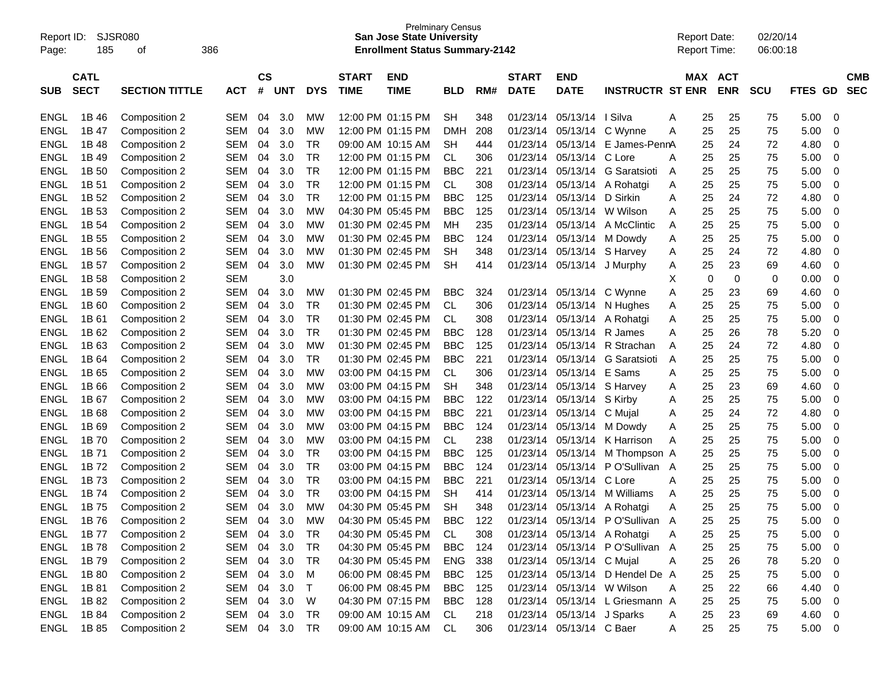| Report ID:<br>Page: | 185         | <b>SJSR080</b><br>οf  | 386        |           |            |            |              | <b>San Jose State University</b><br><b>Enrollment Status Summary-2142</b> | <b>Prelminary Census</b> |     |              |                            |                                 |   | <b>Report Date:</b><br><b>Report Time:</b> |            | 02/20/14<br>06:00:18 |                          |                         |
|---------------------|-------------|-----------------------|------------|-----------|------------|------------|--------------|---------------------------------------------------------------------------|--------------------------|-----|--------------|----------------------------|---------------------------------|---|--------------------------------------------|------------|----------------------|--------------------------|-------------------------|
|                     | <b>CATL</b> |                       |            | <b>CS</b> |            |            | <b>START</b> | <b>END</b>                                                                |                          |     | <b>START</b> | <b>END</b>                 |                                 |   | MAX                                        | <b>ACT</b> |                      |                          | <b>CMB</b>              |
| <b>SUB</b>          | <b>SECT</b> | <b>SECTION TITTLE</b> | <b>ACT</b> | #         | <b>UNT</b> | <b>DYS</b> | <b>TIME</b>  | <b>TIME</b>                                                               | <b>BLD</b>               | RM# | <b>DATE</b>  | <b>DATE</b>                | <b>INSTRUCTR ST ENR</b>         |   |                                            | <b>ENR</b> | <b>SCU</b>           | <b>FTES</b><br><b>GD</b> | <b>SEC</b>              |
| <b>ENGL</b>         | 1B 46       | Composition 2         | <b>SEM</b> | 04        | 3.0        | МW         |              | 12:00 PM 01:15 PM                                                         | <b>SH</b>                | 348 | 01/23/14     | 05/13/14                   | I Silva                         | A | 25                                         | 25         | 75                   | 5.00                     | 0                       |
| <b>ENGL</b>         | 1B 47       | Composition 2         | <b>SEM</b> | 04        | 3.0        | <b>MW</b>  |              | 12:00 PM 01:15 PM                                                         | <b>DMH</b>               | 208 | 01/23/14     | 05/13/14                   | C Wynne                         | A | 25                                         | 25         | 75                   | 5.00                     | 0                       |
| <b>ENGL</b>         | 1B 48       | Composition 2         | <b>SEM</b> | 04        | 3.0        | <b>TR</b>  |              | 09:00 AM 10:15 AM                                                         | <b>SH</b>                | 444 | 01/23/14     | 05/13/14                   | E James-PennA                   |   | 25                                         | 24         | 72                   | 4.80                     | 0                       |
| <b>ENGL</b>         | 1B 49       | Composition 2         | <b>SEM</b> | 04        | 3.0        | <b>TR</b>  |              | 12:00 PM 01:15 PM                                                         | <b>CL</b>                | 306 | 01/23/14     | 05/13/14                   | C Lore                          | A | 25                                         | 25         | 75                   | 5.00                     | 0                       |
| <b>ENGL</b>         | 1B 50       | Composition 2         | <b>SEM</b> | 04        | 3.0        | <b>TR</b>  |              | 12:00 PM 01:15 PM                                                         | <b>BBC</b>               | 221 | 01/23/14     | 05/13/14                   | <b>G</b> Saratsioti             | A | 25                                         | 25         | 75                   | 5.00                     | 0                       |
| <b>ENGL</b>         | 1B 51       | Composition 2         | <b>SEM</b> | 04        | 3.0        | <b>TR</b>  |              | 12:00 PM 01:15 PM                                                         | <b>CL</b>                | 308 | 01/23/14     | 05/13/14                   | A Rohatgi                       | A | 25                                         | 25         | 75                   | 5.00                     | 0                       |
| <b>ENGL</b>         | 1B 52       | Composition 2         | <b>SEM</b> | 04        | 3.0        | <b>TR</b>  |              | 12:00 PM 01:15 PM                                                         | <b>BBC</b>               | 125 | 01/23/14     | 05/13/14                   | D Sirkin                        | A | 25                                         | 24         | 72                   | 4.80                     | 0                       |
| <b>ENGL</b>         | 1B 53       | Composition 2         | <b>SEM</b> | 04        | 3.0        | <b>MW</b>  |              | 04:30 PM 05:45 PM                                                         | <b>BBC</b>               | 125 | 01/23/14     | 05/13/14                   | W Wilson                        | A | 25                                         | 25         | 75                   | 5.00                     | 0                       |
| <b>ENGL</b>         | 1B 54       | Composition 2         | <b>SEM</b> | 04        | 3.0        | <b>MW</b>  |              | 01:30 PM 02:45 PM                                                         | <b>MH</b>                | 235 | 01/23/14     | 05/13/14                   | A McClintic                     | A | 25                                         | 25         | 75                   | 5.00                     | 0                       |
| <b>ENGL</b>         | 1B 55       | Composition 2         | <b>SEM</b> | 04        | 3.0        | <b>MW</b>  |              | 01:30 PM 02:45 PM                                                         | <b>BBC</b>               | 124 | 01/23/14     | 05/13/14                   | M Dowdy                         | A | 25                                         | 25         | 75                   | 5.00                     | 0                       |
| <b>ENGL</b>         | 1B 56       | Composition 2         | <b>SEM</b> | 04        | 3.0        | <b>MW</b>  |              | 01:30 PM 02:45 PM                                                         | <b>SH</b>                | 348 | 01/23/14     | 05/13/14                   | S Harvey                        | A | 25                                         | 24         | 72                   | 4.80                     | 0                       |
| <b>ENGL</b>         | 1B 57       | Composition 2         | <b>SEM</b> | 04        | 3.0        | <b>MW</b>  |              | 01:30 PM 02:45 PM                                                         | <b>SH</b>                | 414 | 01/23/14     | 05/13/14                   | J Murphy                        | Α | 25                                         | 23         | 69                   | 4.60                     | 0                       |
| <b>ENGL</b>         | 1B 58       | Composition 2         | <b>SEM</b> |           | 3.0        |            |              |                                                                           |                          |     |              |                            |                                 | X | 0                                          | 0          | 0                    | 0.00                     | 0                       |
| <b>ENGL</b>         | 1B 59       | Composition 2         | <b>SEM</b> | 04        | 3.0        | МW         |              | 01:30 PM 02:45 PM                                                         | <b>BBC</b>               | 324 | 01/23/14     | 05/13/14                   | C Wynne                         | A | 25                                         | 23         | 69                   | 4.60                     | 0                       |
| <b>ENGL</b>         | 1B 60       | Composition 2         | <b>SEM</b> | 04        | 3.0        | <b>TR</b>  |              | 01:30 PM 02:45 PM                                                         | CL                       | 306 | 01/23/14     | 05/13/14                   | N Hughes                        | A | 25                                         | 25         | 75                   | 5.00                     | 0                       |
| <b>ENGL</b>         | 1B 61       | Composition 2         | <b>SEM</b> | 04        | 3.0        | <b>TR</b>  |              | 01:30 PM 02:45 PM                                                         | <b>CL</b>                | 308 | 01/23/14     | 05/13/14                   | A Rohatgi                       | A | 25                                         | 25         | 75                   | 5.00                     | 0                       |
| <b>ENGL</b>         | 1B 62       | Composition 2         | <b>SEM</b> | 04        | 3.0        | <b>TR</b>  |              | 01:30 PM 02:45 PM                                                         | <b>BBC</b>               | 128 | 01/23/14     | 05/13/14                   | R James                         | A | 25                                         | 26         | 78                   | 5.20                     | 0                       |
| <b>ENGL</b>         | 1B 63       | Composition 2         | <b>SEM</b> | 04        | 3.0        | <b>MW</b>  |              | 01:30 PM 02:45 PM                                                         | <b>BBC</b>               | 125 | 01/23/14     | 05/13/14                   | R Strachan                      | A | 25                                         | 24         | 72                   | 4.80                     | 0                       |
| <b>ENGL</b>         | 1B 64       | Composition 2         | <b>SEM</b> | 04        | 3.0        | <b>TR</b>  |              | 01:30 PM 02:45 PM                                                         | <b>BBC</b>               | 221 | 01/23/14     | 05/13/14                   | <b>G</b> Saratsioti             | A | 25                                         | 25         | 75                   | 5.00                     | 0                       |
| <b>ENGL</b>         | 1B 65       | Composition 2         | <b>SEM</b> | 04        | 3.0        | <b>MW</b>  |              | 03:00 PM 04:15 PM                                                         | <b>CL</b>                | 306 | 01/23/14     | 05/13/14                   | E Sams                          | A | 25                                         | 25         | 75                   | 5.00                     | 0                       |
| <b>ENGL</b>         | 1B 66       | Composition 2         | <b>SEM</b> | 04        | 3.0        | <b>MW</b>  |              | 03:00 PM 04:15 PM                                                         | <b>SH</b>                | 348 | 01/23/14     | 05/13/14                   | S Harvey                        | A | 25                                         | 23         | 69                   | 4.60                     | 0                       |
| <b>ENGL</b>         | 1B 67       | Composition 2         | <b>SEM</b> | 04        | 3.0        | <b>MW</b>  |              | 03:00 PM 04:15 PM                                                         | <b>BBC</b>               | 122 | 01/23/14     | 05/13/14                   | S Kirby                         | A | 25                                         | 25         | 75                   | 5.00                     | 0                       |
| <b>ENGL</b>         | 1B 68       | Composition 2         | <b>SEM</b> | 04        | 3.0        | <b>MW</b>  |              | 03:00 PM 04:15 PM                                                         | <b>BBC</b>               | 221 | 01/23/14     | 05/13/14                   | C Mujal                         | A | 25                                         | 24         | 72                   | 4.80                     | 0                       |
| <b>ENGL</b>         | 1B 69       | Composition 2         | <b>SEM</b> | 04        | 3.0        | <b>MW</b>  |              | 03:00 PM 04:15 PM                                                         | <b>BBC</b>               | 124 | 01/23/14     | 05/13/14                   | M Dowdy                         | A | 25                                         | 25         | 75                   | 5.00                     | 0                       |
| <b>ENGL</b>         | 1B 70       | Composition 2         | <b>SEM</b> | 04        | 3.0        | <b>MW</b>  |              | 03:00 PM 04:15 PM                                                         | <b>CL</b>                | 238 | 01/23/14     | 05/13/14                   | K Harrison                      | A | 25                                         | 25         | 75                   | 5.00                     | 0                       |
| <b>ENGL</b>         | 1B 71       | Composition 2         | <b>SEM</b> | 04        | 3.0        | <b>TR</b>  |              | 03:00 PM 04:15 PM                                                         | <b>BBC</b>               | 125 | 01/23/14     | 05/13/14                   | M Thompson A                    |   | 25                                         | 25         | 75                   | 5.00                     | 0                       |
| <b>ENGL</b>         | 1B 72       | Composition 2         | <b>SEM</b> | 04        | 3.0        | <b>TR</b>  |              | 03:00 PM 04:15 PM                                                         | <b>BBC</b>               | 124 | 01/23/14     | 05/13/14                   | P O'Sullivan A                  |   | 25                                         | 25         | 75                   | 5.00                     | 0                       |
| <b>ENGL</b>         | 1B 73       | Composition 2         | <b>SEM</b> | 04        | 3.0        | <b>TR</b>  |              | 03:00 PM 04:15 PM                                                         | <b>BBC</b>               | 221 | 01/23/14     | 05/13/14                   | C Lore                          | A | 25                                         | 25         | 75                   | 5.00                     | 0                       |
| <b>ENGL</b>         | 1B 74       | Composition 2         | <b>SEM</b> | 04        | 3.0        | <b>TR</b>  |              | 03:00 PM 04:15 PM                                                         | <b>SH</b>                | 414 | 01/23/14     | 05/13/14                   | M Williams                      | A | 25                                         | 25         | 75                   | 5.00                     | 0                       |
| <b>ENGL</b>         | 1B 75       | Composition 2         | <b>SEM</b> | 04        | 3.0        | <b>MW</b>  |              | 04:30 PM 05:45 PM                                                         | <b>SH</b>                | 348 | 01/23/14     | 05/13/14                   | A Rohatgi                       | A | 25                                         | 25         | 75                   | 5.00                     | 0                       |
| ENGL                | 1B 76       | Composition 2         | <b>SEM</b> | 04        | 3.0        | <b>MW</b>  |              | 04:30 PM 05:45 PM                                                         | <b>BBC</b>               | 122 |              |                            | 01/23/14 05/13/14 PO'Sullivan A |   | 25                                         | 25         | 75                   | 5.00                     | 0                       |
| ENGL                | 1B 77       | Composition 2         | SEM 04     |           | 3.0        | TR         |              | 04:30 PM 05:45 PM                                                         | CL                       | 308 |              |                            | 01/23/14 05/13/14 A Rohatgi     | A | 25                                         | 25         | 75                   | 5.00                     | 0                       |
| <b>ENGL</b>         | 1B 78       | Composition 2         | SEM        | 04        | 3.0        | <b>TR</b>  |              | 04:30 PM 05:45 PM                                                         | BBC                      | 124 |              |                            | 01/23/14 05/13/14 PO'Sullivan A |   | 25                                         | 25         | 75                   | 5.00                     | 0                       |
| <b>ENGL</b>         | 1B 79       | Composition 2         | SEM        | 04        | 3.0        | <b>TR</b>  |              | 04:30 PM 05:45 PM                                                         | <b>ENG</b>               | 338 |              | 01/23/14 05/13/14 C Mujal  |                                 | Α | 25                                         | 26         | 78                   | 5.20                     | 0                       |
| <b>ENGL</b>         | 1B 80       | Composition 2         | SEM        | 04        | 3.0        | M          |              | 06:00 PM 08:45 PM                                                         | BBC                      | 125 |              | 01/23/14 05/13/14          | D Hendel De A                   |   | 25                                         | 25         | 75                   | 5.00                     | 0                       |
| <b>ENGL</b>         | 1B 81       | Composition 2         | SEM        | 04        | 3.0        | T          |              | 06:00 PM 08:45 PM                                                         | BBC                      | 125 |              | 01/23/14 05/13/14 W Wilson |                                 | Α | 25                                         | 22         | 66                   | 4.40                     | 0                       |
| <b>ENGL</b>         | 1B 82       | Composition 2         | SEM        | 04        | 3.0        | W          |              | 04:30 PM 07:15 PM                                                         | BBC                      | 128 |              |                            | 01/23/14 05/13/14 L Griesmann A |   | 25                                         | 25         | 75                   | 5.00                     | 0                       |
| <b>ENGL</b>         | 1B 84       | Composition 2         | SEM        | 04        | 3.0        | <b>TR</b>  |              | 09:00 AM 10:15 AM                                                         | CL.                      | 218 |              | 01/23/14 05/13/14 J Sparks |                                 | A | 25                                         | 23         | 69                   | 4.60                     | 0                       |
| ENGL                | 1B 85       | Composition 2         | SEM 04 3.0 |           |            | TR         |              | 09:00 AM 10:15 AM                                                         | CL                       | 306 |              | 01/23/14 05/13/14 C Baer   |                                 | A | 25                                         | 25         | 75                   | 5.00                     | $\overline{\mathbf{0}}$ |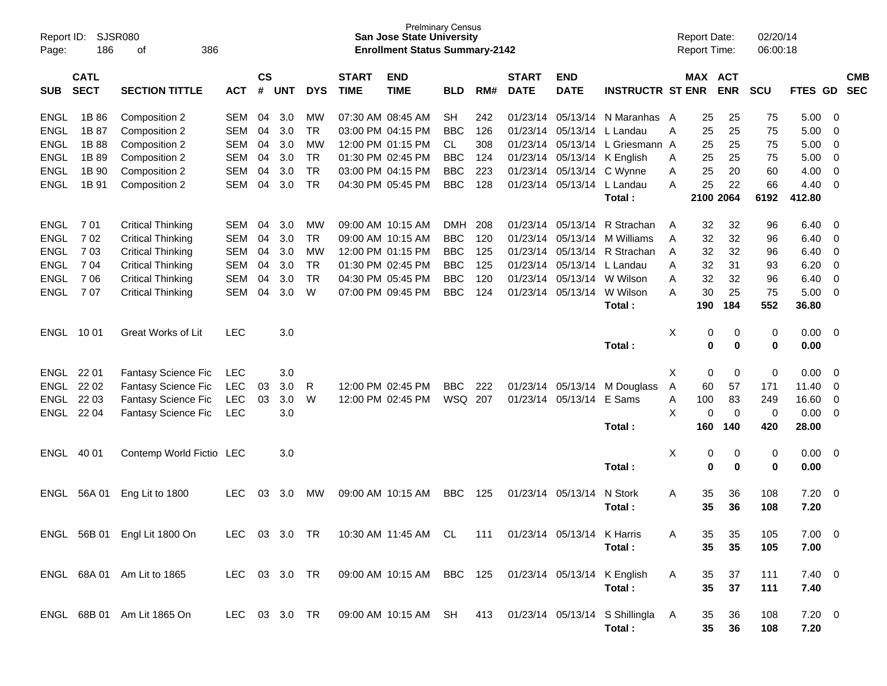| Report ID:<br>Page:        | 186                        | SJSR080<br>386<br>οf           |               |                    |            |                  |                             | <b>Prelminary Census</b><br><b>San Jose State University</b><br><b>Enrollment Status Summary-2142</b> |                   |            |                             |                           |                                                           |   | <b>Report Date:</b><br><b>Report Time:</b> |             | 02/20/14<br>06:00:18 |              |             |                          |
|----------------------------|----------------------------|--------------------------------|---------------|--------------------|------------|------------------|-----------------------------|-------------------------------------------------------------------------------------------------------|-------------------|------------|-----------------------------|---------------------------|-----------------------------------------------------------|---|--------------------------------------------|-------------|----------------------|--------------|-------------|--------------------------|
| <b>SUB</b>                 | <b>CATL</b><br><b>SECT</b> | <b>SECTION TITTLE</b>          | <b>ACT</b>    | $\mathsf{cs}$<br># | <b>UNT</b> | <b>DYS</b>       | <b>START</b><br><b>TIME</b> | <b>END</b><br><b>TIME</b>                                                                             | <b>BLD</b>        | RM#        | <b>START</b><br><b>DATE</b> | <b>END</b><br><b>DATE</b> | <b>INSTRUCTR ST ENR</b>                                   |   | <b>MAX ACT</b>                             | <b>ENR</b>  | <b>SCU</b>           | <b>FTES</b>  | <b>GD</b>   | <b>CMB</b><br><b>SEC</b> |
|                            |                            |                                |               |                    |            |                  |                             |                                                                                                       |                   |            |                             |                           |                                                           |   |                                            |             |                      |              |             |                          |
| <b>ENGL</b>                | 1B 86                      | Composition 2                  | SEM           | 04                 | 3.0        | MW               |                             | 07:30 AM 08:45 AM                                                                                     | <b>SH</b>         | 242        | 01/23/14                    | 05/13/14                  | N Maranhas A                                              |   | 25                                         | 25          | 75                   | 5.00         | 0           |                          |
| <b>ENGL</b>                | 1B 87                      | Composition 2                  | SEM           | 04                 | 3.0        | TR.<br><b>MW</b> |                             | 03:00 PM 04:15 PM<br>12:00 PM 01:15 PM                                                                | <b>BBC</b>        | 126<br>308 | 01/23/14                    | 05/13/14                  | L Landau                                                  | Α | 25                                         | 25          | 75                   | 5.00         | 0           |                          |
| <b>ENGL</b><br><b>ENGL</b> | 1B 88<br>1B 89             | Composition 2<br>Composition 2 | SEM<br>SEM    | 04<br>04           | 3.0<br>3.0 | <b>TR</b>        |                             | 01:30 PM 02:45 PM                                                                                     | CL.<br><b>BBC</b> | 124        | 01/23/14<br>01/23/14        | 05/13/14                  | L Griesmann A<br>05/13/14 K English                       | A | 25<br>25                                   | 25<br>25    | 75<br>75             | 5.00<br>5.00 | 0<br>0      |                          |
| <b>ENGL</b>                | 1B 90                      | Composition 2                  | SEM           | 04                 | 3.0        | <b>TR</b>        |                             | 03:00 PM 04:15 PM                                                                                     | <b>BBC</b>        | 223        | 01/23/14                    | 05/13/14                  | C Wynne                                                   | A | 25                                         | 20          | 60                   | 4.00         | $\Omega$    |                          |
| <b>ENGL</b>                | 1B 91                      | Composition 2                  | <b>SEM</b>    | 04                 | 3.0        | <b>TR</b>        |                             | 04:30 PM 05:45 PM                                                                                     | <b>BBC</b>        | 128        | 01/23/14                    | 05/13/14                  | L Landau                                                  | A | 25                                         | 22          | 66                   | 4.40         | $\Omega$    |                          |
|                            |                            |                                |               |                    |            |                  |                             |                                                                                                       |                   |            |                             |                           | Total:                                                    |   | 2100 2064                                  |             | 6192                 | 412.80       |             |                          |
|                            |                            |                                |               |                    |            |                  |                             |                                                                                                       |                   |            |                             |                           |                                                           |   |                                            |             |                      |              |             |                          |
| <b>ENGL</b>                | 701                        | <b>Critical Thinking</b>       | SEM           | 04                 | 3.0        | MW               |                             | 09:00 AM 10:15 AM                                                                                     | DMH               | 208        | 01/23/14                    | 05/13/14                  | R Strachan                                                | A | 32                                         | 32          | 96                   | 6.40         | 0           |                          |
| <b>ENGL</b>                | 702                        | <b>Critical Thinking</b>       | SEM           | 04                 | 3.0        | <b>TR</b>        |                             | 09:00 AM 10:15 AM                                                                                     | <b>BBC</b>        | 120        | 01/23/14                    | 05/13/14                  | M Williams                                                | A | 32                                         | 32          | 96                   | 6.40         | 0           |                          |
| <b>ENGL</b>                | 703                        | <b>Critical Thinking</b>       | SEM           | 04                 | 3.0        | <b>MW</b>        |                             | 12:00 PM 01:15 PM                                                                                     | <b>BBC</b>        | 125        | 01/23/14                    | 05/13/14                  | R Strachan                                                | A | 32                                         | 32          | 96                   | 6.40         | 0           |                          |
| ENGL                       | 7 04                       | <b>Critical Thinking</b>       | SEM           | 04                 | 3.0        | <b>TR</b>        |                             | 01:30 PM 02:45 PM                                                                                     | <b>BBC</b>        | 125        | 01/23/14                    | 05/13/14                  | L Landau                                                  | A | 32                                         | 31          | 93                   | 6.20         | $\Omega$    |                          |
| ENGL                       | 706                        | <b>Critical Thinking</b>       | SEM           | 04                 | 3.0        | <b>TR</b>        |                             | 04:30 PM 05:45 PM                                                                                     | <b>BBC</b>        | 120        | 01/23/14                    | 05/13/14                  | W Wilson                                                  | A | 32                                         | 32          | 96                   | 6.40         | $\Omega$    |                          |
| <b>ENGL</b>                | 707                        | <b>Critical Thinking</b>       | <b>SEM</b>    | 04                 | 3.0        | W                |                             | 07:00 PM 09:45 PM                                                                                     | <b>BBC</b>        | 124        | 01/23/14                    | 05/13/14                  | W Wilson                                                  | A | 30                                         | 25          | 75                   | 5.00         | $\Omega$    |                          |
|                            |                            |                                |               |                    |            |                  |                             |                                                                                                       |                   |            |                             |                           | Total:                                                    |   | 190                                        | 184         | 552                  | 36.80        |             |                          |
| ENGL 10 01                 |                            | Great Works of Lit             | <b>LEC</b>    |                    | 3.0        |                  |                             |                                                                                                       |                   |            |                             |                           |                                                           | Χ | 0                                          | 0           | 0                    | 0.00         | - 0         |                          |
|                            |                            |                                |               |                    |            |                  |                             |                                                                                                       |                   |            |                             |                           | Total:                                                    |   | 0                                          | $\bf{0}$    | 0                    | 0.00         |             |                          |
|                            |                            |                                |               |                    |            |                  |                             |                                                                                                       |                   |            |                             |                           |                                                           |   |                                            |             |                      |              |             |                          |
| ENGL                       | 22 01                      | Fantasy Science Fic            | <b>LEC</b>    |                    | 3.0        |                  |                             |                                                                                                       |                   |            |                             |                           |                                                           | Χ | 0                                          | 0           | 0                    | 0.00         | 0           |                          |
| ENGL                       | 22 02                      | Fantasy Science Fic            | <b>LEC</b>    | 03                 | 3.0        | R                |                             | 12:00 PM 02:45 PM                                                                                     | <b>BBC</b>        | 222        | 01/23/14                    | 05/13/14                  | M Douglass                                                | A | 60                                         | 57          | 171                  | 11.40        | 0           |                          |
| ENGL                       | 22 03                      | Fantasy Science Fic            | <b>LEC</b>    | 03                 | 3.0        | W                |                             | 12:00 PM 02:45 PM                                                                                     | WSQ               | 207        | 01/23/14                    | 05/13/14                  | E Sams                                                    | Α | 100                                        | 83          | 249                  | 16.60        | $\mathbf 0$ |                          |
| ENGL                       | 22 04                      | Fantasy Science Fic            | <b>LEC</b>    |                    | 3.0        |                  |                             |                                                                                                       |                   |            |                             |                           |                                                           | X | $\Omega$                                   | $\mathbf 0$ | 0                    | 0.00         | $\Omega$    |                          |
|                            |                            |                                |               |                    |            |                  |                             |                                                                                                       |                   |            |                             |                           | Total:                                                    |   | 160                                        | 140         | 420                  | 28.00        |             |                          |
|                            |                            |                                |               |                    |            |                  |                             |                                                                                                       |                   |            |                             |                           |                                                           |   |                                            |             |                      |              |             |                          |
| ENGL                       | 40 01                      | Contemp World Fictio LEC       |               |                    | 3.0        |                  |                             |                                                                                                       |                   |            |                             |                           |                                                           | X | 0                                          | 0           | 0                    | 0.00         | - 0         |                          |
|                            |                            |                                |               |                    |            |                  |                             |                                                                                                       |                   |            |                             |                           | Total:                                                    |   | 0                                          | 0           | 0                    | 0.00         |             |                          |
| ENGL                       | 56A 01                     | Eng Lit to 1800                | LEC.          | 03                 | 3.0        | MW               |                             | 09:00 AM 10:15 AM                                                                                     | <b>BBC</b>        | 125        | 01/23/14                    | 05/13/14                  | N Stork                                                   | Α | 35                                         | 36          | 108                  | 7.20         | - 0         |                          |
|                            |                            |                                |               |                    |            |                  |                             |                                                                                                       |                   |            |                             |                           | Total:                                                    |   | 35                                         | 36          | 108                  | 7.20         |             |                          |
|                            |                            |                                |               |                    |            |                  |                             |                                                                                                       |                   |            |                             |                           |                                                           |   |                                            |             |                      |              |             |                          |
|                            |                            | ENGL 56B 01 Engl Lit 1800 On   | LEC 03 3.0 TR |                    |            |                  |                             | 10:30 AM 11:45 AM CL 111 01/23/14 05/13/14 K Harris                                                   |                   |            |                             |                           |                                                           | A | 35                                         | 35          | 105                  | $7.00 \t 0$  |             |                          |
|                            |                            |                                |               |                    |            |                  |                             |                                                                                                       |                   |            |                             |                           | Total:                                                    |   | 35                                         | 35          | 105                  | 7.00         |             |                          |
|                            |                            |                                |               |                    |            |                  |                             |                                                                                                       |                   |            |                             |                           |                                                           |   |                                            |             |                      |              |             |                          |
|                            |                            | ENGL 68A 01 Am Lit to 1865     | LEC 03 3.0 TR |                    |            |                  |                             | 09:00 AM 10:15 AM BBC 125 01/23/14 05/13/14 K English                                                 |                   |            |                             |                           |                                                           | A | 35                                         | 37          | 111                  | $7.40 \ 0$   |             |                          |
|                            |                            |                                |               |                    |            |                  |                             |                                                                                                       |                   |            |                             |                           | Total:                                                    |   | 35                                         | 37          | 111                  | 7.40         |             |                          |
|                            |                            |                                |               |                    |            |                  |                             |                                                                                                       |                   |            |                             |                           |                                                           |   |                                            |             |                      |              |             |                          |
|                            |                            | ENGL 68B 01 Am Lit 1865 On     | LEC 03 3.0 TR |                    |            |                  |                             |                                                                                                       |                   |            |                             |                           | 09:00 AM 10:15 AM SH 413 01/23/14 05/13/14 S Shillingla A |   | 35                                         | 36          | 108                  | $7.20 \t 0$  |             |                          |
|                            |                            |                                |               |                    |            |                  |                             |                                                                                                       |                   |            |                             |                           | Total:                                                    |   | $35\phantom{a}$                            | 36          | 108                  | 7.20         |             |                          |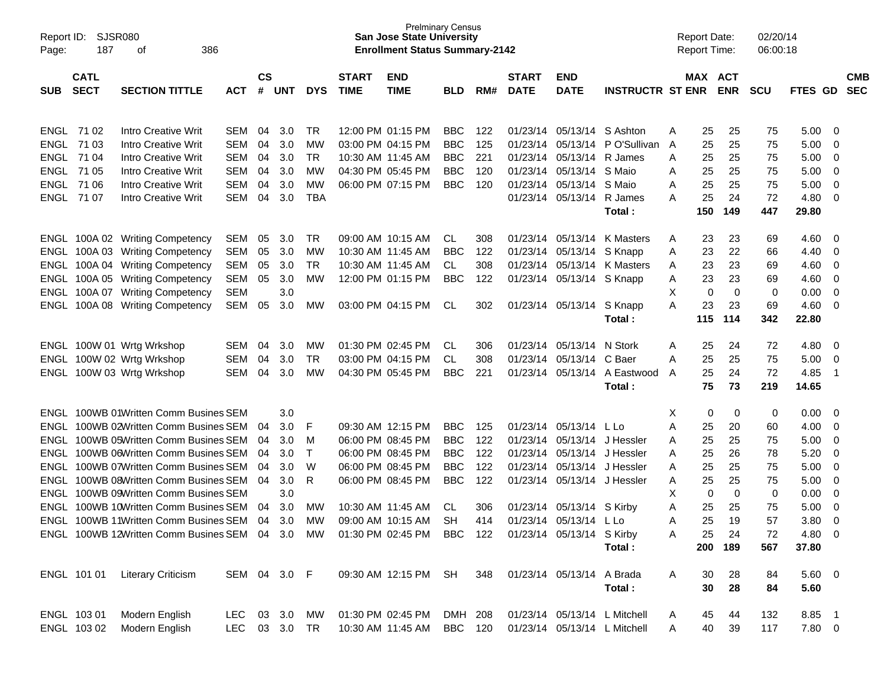| Report ID:<br>Page: | SJSR080<br>187             | 386<br>οf                                                                      |               |                    |            |                   |                             | <b>San Jose State University</b><br><b>Enrollment Status Summary-2142</b> | <b>Prelminary Census</b> |            |                             |                              |                               | <b>Report Date:</b><br><b>Report Time:</b> |          |                       | 02/20/14<br>06:00:18 |                |                            |                          |
|---------------------|----------------------------|--------------------------------------------------------------------------------|---------------|--------------------|------------|-------------------|-----------------------------|---------------------------------------------------------------------------|--------------------------|------------|-----------------------------|------------------------------|-------------------------------|--------------------------------------------|----------|-----------------------|----------------------|----------------|----------------------------|--------------------------|
| <b>SUB</b>          | <b>CATL</b><br><b>SECT</b> | <b>SECTION TITTLE</b>                                                          | <b>ACT</b>    | $\mathsf{cs}$<br># | UNT        | <b>DYS</b>        | <b>START</b><br><b>TIME</b> | <b>END</b><br><b>TIME</b>                                                 | <b>BLD</b>               | RM#        | <b>START</b><br><b>DATE</b> | <b>END</b><br><b>DATE</b>    | <b>INSTRUCTR ST ENR</b>       |                                            |          | MAX ACT<br><b>ENR</b> | <b>SCU</b>           | <b>FTES GD</b> |                            | <b>CMB</b><br><b>SEC</b> |
|                     | <b>ENGL 7102</b>           | Intro Creative Writ                                                            | SEM           | 04                 | 3.0        | <b>TR</b>         |                             | 12:00 PM 01:15 PM                                                         | <b>BBC</b>               | 122        | 01/23/14                    | 05/13/14 S Ashton            |                               | A                                          | 25       | 25                    | 75                   | 5.00           | 0                          |                          |
|                     | ENGL 71 03                 | <b>Intro Creative Writ</b>                                                     | SEM           | 04                 | 3.0        | МW                | 03:00 PM 04:15 PM           |                                                                           | <b>BBC</b>               | 125        | 01/23/14                    | 05/13/14                     | P O'Sullivan                  | A                                          | 25       | 25                    | 75                   | 5.00           | 0                          |                          |
|                     | ENGL 71 04                 | Intro Creative Writ                                                            | SEM           | 04                 | 3.0        | TR                |                             | 10:30 AM 11:45 AM                                                         | <b>BBC</b>               | 221        | 01/23/14                    | 05/13/14                     | R James                       | A                                          | 25       | 25                    | 75                   | 5.00           | 0                          |                          |
| <b>ENGL</b>         | 71 05                      | Intro Creative Writ                                                            | SEM           | 04                 | 3.0        | МW                |                             | 04:30 PM 05:45 PM                                                         | <b>BBC</b>               | 120        | 01/23/14                    | 05/13/14                     | S Maio                        | A                                          | 25       | 25                    | 75                   | 5.00           | 0                          |                          |
|                     | ENGL 71 06                 | Intro Creative Writ                                                            | <b>SEM</b>    | 04                 | 3.0        | МW                |                             | 06:00 PM 07:15 PM                                                         | <b>BBC</b>               | 120        | 01/23/14                    | 05/13/14                     | S Maio                        | A                                          | 25       | 25                    | 75                   | 5.00           | 0                          |                          |
|                     | ENGL 71 07                 | <b>Intro Creative Writ</b>                                                     | SEM           | 04                 | 3.0        | <b>TBA</b>        |                             |                                                                           |                          |            | 01/23/14                    | 05/13/14 R James             |                               | А                                          | 25       | 24                    | 72                   | 4.80           | $\mathbf 0$                |                          |
|                     |                            |                                                                                |               |                    |            |                   |                             |                                                                           |                          |            |                             |                              | Total:                        |                                            | 150      | 149                   | 447                  | 29.80          |                            |                          |
|                     |                            | ENGL 100A 02 Writing Competency                                                | SEM           | 05                 | 3.0        | TR                |                             | 09:00 AM 10:15 AM                                                         | CL                       | 308        | 01/23/14                    | 05/13/14                     | K Masters                     | A                                          | 23       | 23                    | 69                   | 4.60           | 0                          |                          |
|                     |                            | ENGL 100A 03 Writing Competency                                                | SEM           | 05                 | 3.0        | МW                |                             | 10:30 AM 11:45 AM                                                         | <b>BBC</b>               | 122        | 01/23/14                    | 05/13/14                     | S Knapp                       | A                                          | 23       | 22                    | 66                   | 4.40           | 0                          |                          |
|                     |                            | ENGL 100A 04 Writing Competency                                                | SEM           | 05                 | 3.0        | TR                |                             | 10:30 AM 11:45 AM                                                         | CL                       | 308        | 01/23/14                    | 05/13/14                     | K Masters                     | A                                          | 23       | 23                    | 69                   | 4.60           | 0                          |                          |
|                     |                            | ENGL 100A 05 Writing Competency                                                | SEM           | 05                 | 3.0        | MW                |                             | 12:00 PM 01:15 PM                                                         | <b>BBC</b>               | 122        | 01/23/14                    | 05/13/14 S Knapp             |                               | A                                          | 23       | 23                    | 69                   | 4.60           | 0                          |                          |
|                     |                            | ENGL 100A 07 Writing Competency                                                | <b>SEM</b>    |                    | 3.0        |                   |                             |                                                                           |                          |            |                             |                              |                               | Х                                          | 0        | $\mathbf 0$           | 0                    | 0.00           | 0                          |                          |
|                     |                            | ENGL 100A 08 Writing Competency                                                | SEM           | 05                 | 3.0        | MW                |                             | 03:00 PM 04:15 PM                                                         | CL                       | 302        |                             | 01/23/14 05/13/14            | S Knapp                       | Α                                          | 23       | 23                    | 69                   | 4.60           | $\mathbf 0$                |                          |
|                     |                            |                                                                                |               |                    |            |                   |                             |                                                                           |                          |            |                             |                              | Total:                        |                                            | 115      | 114                   | 342                  | 22.80          |                            |                          |
|                     |                            | ENGL 100W 01 Wrtg Wrkshop                                                      | SEM           | 04                 | 3.0        | МW                |                             | 01:30 PM 02:45 PM                                                         | CL                       | 306        | 01/23/14                    | 05/13/14                     | N Stork                       | A                                          | 25       | 24                    | 72                   | 4.80           | 0                          |                          |
|                     |                            | ENGL 100W 02 Wrtg Wrkshop                                                      | <b>SEM</b>    | 04                 | 3.0        | <b>TR</b>         |                             | 03:00 PM 04:15 PM                                                         | CL                       | 308        | 01/23/14                    | 05/13/14                     | C Baer                        | A                                          | 25       | 25                    | 75                   | 5.00           | 0                          |                          |
|                     |                            | ENGL 100W 03 Wrtg Wrkshop                                                      | <b>SEM</b>    | 04                 | 3.0        | MW                |                             | 04:30 PM 05:45 PM                                                         | <b>BBC</b>               | 221        | 01/23/14                    |                              | 05/13/14 A Eastwood<br>Total: | A                                          | 25<br>75 | 24<br>73              | 72<br>219            | 4.85<br>14.65  | $\overline{1}$             |                          |
|                     |                            |                                                                                |               |                    |            |                   |                             |                                                                           |                          |            |                             |                              |                               |                                            |          |                       |                      |                |                            |                          |
|                     |                            | ENGL 100WB 01Written Comm Busines SEM                                          |               |                    | 3.0        |                   |                             |                                                                           |                          |            |                             |                              |                               | х                                          | 0        | 0                     | 0                    | 0.00           | 0                          |                          |
|                     |                            | ENGL 100WB 02Written Comm Busines SEM<br>ENGL 100WB 05Written Comm Busines SEM |               | 04                 | 3.0        | F                 |                             | 09:30 AM 12:15 PM                                                         | <b>BBC</b>               | 125        | 01/23/14                    | 05/13/14 L Lo<br>05/13/14    |                               | Α                                          | 25       | 20                    | 60                   | 4.00           | 0                          |                          |
|                     |                            | ENGL 100WB 06Written Comm Busines SEM                                          |               | 04<br>04           | 3.0<br>3.0 | м<br>$\mathsf{T}$ |                             | 06:00 PM 08:45 PM<br>06:00 PM 08:45 PM                                    | <b>BBC</b><br><b>BBC</b> | 122<br>122 | 01/23/14<br>01/23/14        | 05/13/14                     | J Hessler<br>J Hessler        | Α<br>A                                     | 25<br>25 | 25<br>26              | 75<br>78             | 5.00<br>5.20   | 0<br>0                     |                          |
|                     |                            | ENGL 100WB 07Written Comm Busines SEM                                          |               | 04                 | 3.0        | W                 |                             | 06:00 PM 08:45 PM                                                         | <b>BBC</b>               | 122        | 01/23/14                    |                              | 05/13/14 J Hessler            | A                                          | 25       | 25                    | 75                   | 5.00           | 0                          |                          |
| ENGL                |                            | 100WB 08Written Comm Busines SEM                                               |               | 04                 | 3.0        | R                 |                             | 06:00 PM 08:45 PM                                                         | <b>BBC</b>               | 122        | 01/23/14                    |                              | 05/13/14 J Hessler            | Α                                          | 25       | 25                    | 75                   | 5.00           | 0                          |                          |
| ENGL                |                            | 100WB 09Written Comm Busines SEM                                               |               |                    | 3.0        |                   |                             |                                                                           |                          |            |                             |                              |                               | Х                                          | 0        | 0                     | 0                    | 0.00           | 0                          |                          |
| ENGL                |                            | 100WB 10Written Comm Busines SEM                                               |               | 04                 | 3.0        | МW                |                             | 10:30 AM 11:45 AM                                                         | CL                       | 306        | 01/23/14                    | 05/13/14                     | S Kirby                       | Α                                          | 25       | 25                    | 75                   | 5.00           | 0                          |                          |
|                     |                            | ENGL 100WB 11Written Comm Busines SEM                                          |               | 04                 | 3.0        | МW                |                             | 09:00 AM 10:15 AM                                                         | <b>SH</b>                | 414        |                             | 01/23/14 05/13/14 L Lo       |                               | Α                                          | 25       | 19                    | 57                   | 3.80           | $\mathbf 0$                |                          |
|                     |                            | ENGL 100WB 12Written Comm Busines SEM 04 3.0 MW                                |               |                    |            |                   |                             | 01:30 PM 02:45 PM BBC 122                                                 |                          |            |                             | 01/23/14 05/13/14 S Kirby    |                               | Α                                          | 25       | 24                    | 72                   | 4.80           | $\overline{0}$             |                          |
|                     |                            |                                                                                |               |                    |            |                   |                             |                                                                           |                          |            |                             |                              | Total:                        |                                            |          | 200 189               | 567                  | 37.80          |                            |                          |
|                     | ENGL 101 01                | <b>Literary Criticism</b>                                                      | SEM 04 3.0 F  |                    |            |                   |                             | 09:30 AM 12:15 PM SH                                                      |                          | 348        |                             | 01/23/14 05/13/14 A Brada    |                               | A                                          | 30       | 28                    | 84                   | $5.60$ 0       |                            |                          |
|                     |                            |                                                                                |               |                    |            |                   |                             |                                                                           |                          |            |                             |                              | Total:                        |                                            | 30       | 28                    | 84                   | 5.60           |                            |                          |
|                     | ENGL 103 01                | Modern English                                                                 | <b>LEC</b>    |                    | 03 3.0     | MW                |                             | 01:30 PM 02:45 PM                                                         | DMH 208                  |            |                             | 01/23/14 05/13/14 L Mitchell |                               | A                                          | 45       | 44                    | 132                  | 8.85           | $\overline{\phantom{0}}$ 1 |                          |
|                     | ENGL 103 02                | Modern English                                                                 | LEC 03 3.0 TR |                    |            |                   |                             | 10:30 AM 11:45 AM BBC 120                                                 |                          |            |                             | 01/23/14 05/13/14 L Mitchell |                               | A                                          | 40       | 39                    | 117                  | 7.80 0         |                            |                          |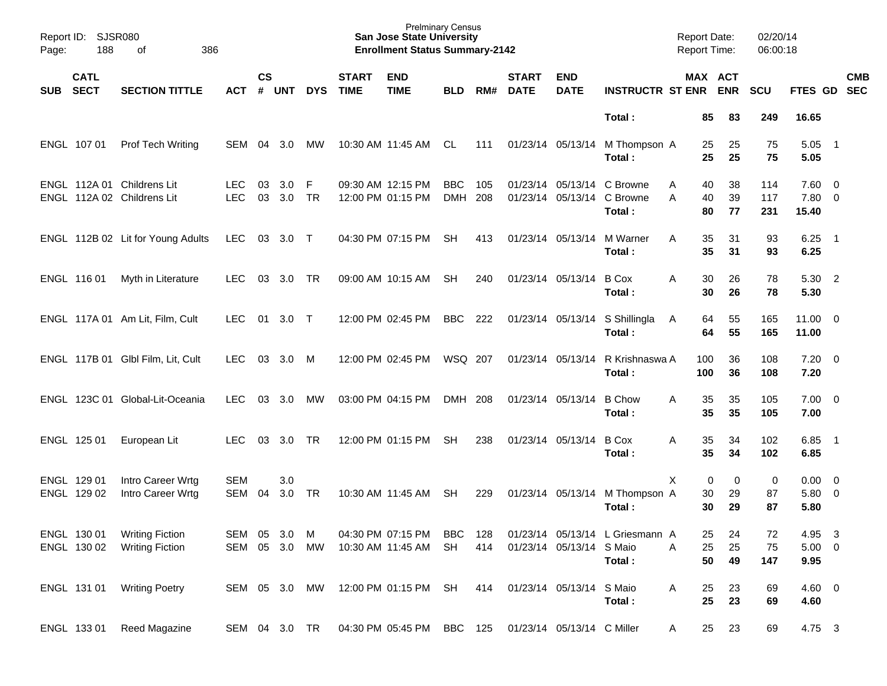| Page:      | Report ID: SJSR080<br>188<br>of<br>386 |                                                          |                          |                    |                  |            |                             | <b>Prelminary Census</b><br><b>San Jose State University</b><br><b>Enrollment Status Summary-2142</b> |                          |            |                             |                            |                                                                    | <b>Report Date:</b><br><b>Report Time:</b> |                |                | 02/20/14<br>06:00:18 |                               |                            |            |
|------------|----------------------------------------|----------------------------------------------------------|--------------------------|--------------------|------------------|------------|-----------------------------|-------------------------------------------------------------------------------------------------------|--------------------------|------------|-----------------------------|----------------------------|--------------------------------------------------------------------|--------------------------------------------|----------------|----------------|----------------------|-------------------------------|----------------------------|------------|
| <b>SUB</b> | <b>CATL</b><br><b>SECT</b>             | <b>SECTION TITTLE</b>                                    | <b>ACT</b>               | $\mathsf{cs}$<br># | <b>UNT</b>       | <b>DYS</b> | <b>START</b><br><b>TIME</b> | <b>END</b><br><b>TIME</b>                                                                             | <b>BLD</b>               | RM#        | <b>START</b><br><b>DATE</b> | <b>END</b><br><b>DATE</b>  | <b>INSTRUCTR ST ENR ENR</b>                                        |                                            | MAX ACT        |                | <b>SCU</b>           | FTES GD SEC                   |                            | <b>CMB</b> |
|            |                                        |                                                          |                          |                    |                  |            |                             |                                                                                                       |                          |            |                             |                            | Total:                                                             |                                            | 85             | 83             | 249                  | 16.65                         |                            |            |
|            | ENGL 107 01                            | <b>Prof Tech Writing</b>                                 | SEM                      | 04                 | 3.0              | МW         |                             | 10:30 AM 11:45 AM                                                                                     | CL                       | 111        |                             |                            | 01/23/14 05/13/14 M Thompson A<br>Total:                           |                                            | 25<br>25       | 25<br>25       | 75<br>75             | 5.05<br>5.05                  | $\overline{\phantom{0}}$ 1 |            |
|            |                                        | ENGL 112A 01 Childrens Lit<br>ENGL 112A 02 Childrens Lit | <b>LEC</b><br><b>LEC</b> | 03<br>03           | 3.0<br>3.0       | F<br>TR    |                             | 09:30 AM 12:15 PM<br>12:00 PM 01:15 PM                                                                | <b>BBC</b><br><b>DMH</b> | 105<br>208 |                             |                            | 01/23/14 05/13/14 C Browne<br>01/23/14 05/13/14 C Browne<br>Total: | A<br>A                                     | 40<br>40<br>80 | 38<br>39<br>77 | 114<br>117<br>231    | 7.60 0<br>$7.80\ 0$<br>15.40  |                            |            |
|            |                                        | ENGL 112B 02 Lit for Young Adults                        | <b>LEC</b>               | 03                 | 3.0 T            |            |                             | 04:30 PM 07:15 PM                                                                                     | <b>SH</b>                | 413        |                             | 01/23/14 05/13/14          | M Warner<br>Total:                                                 | A                                          | 35<br>35       | 31<br>31       | 93<br>93             | 6.25<br>6.25                  | $\overline{\phantom{0}}$ 1 |            |
|            | ENGL 116 01                            | Myth in Literature                                       | <b>LEC</b>               | 03                 | 3.0 TR           |            |                             | 09:00 AM 10:15 AM                                                                                     | <b>SH</b>                | 240        |                             | 01/23/14 05/13/14          | <b>B</b> Cox<br>Total:                                             | A                                          | 30<br>30       | 26<br>26       | 78<br>78             | 5.30 2<br>5.30                |                            |            |
|            |                                        | ENGL 117A 01 Am Lit, Film, Cult                          | <b>LEC</b>               | 01                 | $3.0$ T          |            |                             | 12:00 PM 02:45 PM                                                                                     | BBC                      | 222        |                             | 01/23/14 05/13/14          | S Shillingla<br>Total:                                             | A                                          | 64<br>64       | 55<br>55       | 165<br>165           | $11.00 \t 0$<br>11.00         |                            |            |
|            |                                        | ENGL 117B 01 Glbl Film, Lit, Cult                        | <b>LEC</b>               | 03                 | 3.0              | M          |                             | 12:00 PM 02:45 PM                                                                                     | WSQ 207                  |            |                             | 01/23/14 05/13/14          | R Krishnaswa A<br>Total:                                           | 100<br>100                                 |                | 36<br>36       | 108<br>108           | $7.20 \t 0$<br>7.20           |                            |            |
|            |                                        | ENGL 123C 01 Global-Lit-Oceania                          | <b>LEC</b>               | 03                 | 3.0              | МW         |                             | 03:00 PM 04:15 PM                                                                                     | DMH 208                  |            |                             | 01/23/14 05/13/14          | <b>B</b> Chow<br>Total:                                            | A                                          | 35<br>35       | 35<br>35       | 105<br>105           | $7.00 \t 0$<br>7.00           |                            |            |
|            | ENGL 125 01                            | European Lit                                             | <b>LEC</b>               | 03                 | 3.0              | <b>TR</b>  |                             | 12:00 PM 01:15 PM                                                                                     | <b>SH</b>                | 238        |                             | 01/23/14 05/13/14          | <b>B</b> Cox<br>Total:                                             | A                                          | 35<br>35       | 34<br>34       | 102<br>102           | 6.85<br>6.85                  | $\overline{\phantom{1}}$   |            |
|            | ENGL 129 01<br>ENGL 129 02             | Intro Career Wrtg<br>Intro Career Wrtg                   | <b>SEM</b><br><b>SEM</b> | 04                 | 3.0<br>3.0       | <b>TR</b>  |                             | 10:30 AM 11:45 AM                                                                                     | <b>SH</b>                | 229        |                             |                            | 01/23/14 05/13/14 M Thompson A<br>Total:                           | X                                          | 0<br>30<br>30  | 0<br>29<br>29  | 0<br>87<br>87        | $0.00 \t 0$<br>5.80 0<br>5.80 |                            |            |
|            | ENGL 130 01<br>ENGL 130 02             | <b>Writing Fiction</b><br><b>Writing Fiction</b>         | SEM 05<br>SEM            |                    | 3.0<br>05 3.0 MW | M          |                             | 04:30 PM 07:15 PM<br>10:30 AM 11:45 AM                                                                | <b>BBC</b><br>SH         | 128<br>414 |                             | 01/23/14 05/13/14 S Maio   | 01/23/14 05/13/14 L Griesmann A<br>Total:                          | Α                                          | 25<br>25<br>50 | 24<br>25<br>49 | 72<br>75<br>147      | 4.95<br>$5.00 \t 0$<br>9.95   | $\overline{\mathbf{3}}$    |            |
|            | ENGL 131 01                            | <b>Writing Poetry</b>                                    | SEM 05 3.0 MW            |                    |                  |            |                             | 12:00 PM 01:15 PM SH                                                                                  |                          | 414        |                             | 01/23/14 05/13/14 S Maio   | Total:                                                             | Α                                          | 25<br>25       | 23<br>23       | 69<br>69             | $4.60$ 0<br>4.60              |                            |            |
|            | ENGL 133 01                            | Reed Magazine                                            | SEM 04 3.0 TR            |                    |                  |            |                             | 04:30 PM 05:45 PM BBC 125                                                                             |                          |            |                             | 01/23/14 05/13/14 C Miller |                                                                    | A                                          | 25             | 23             | 69                   | 4.75 3                        |                            |            |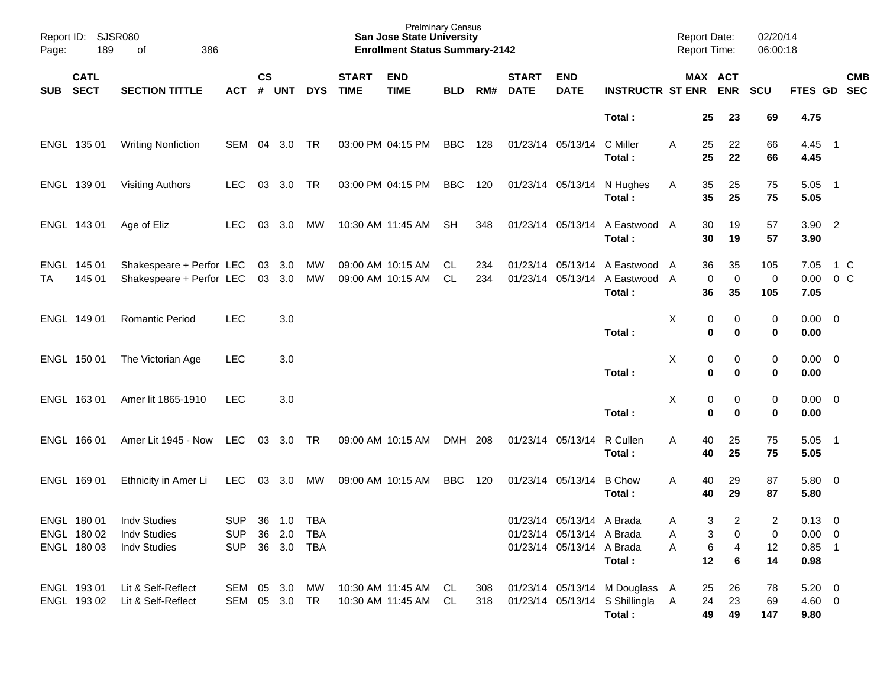| Report ID:<br><b>SJSR080</b><br>386<br>189<br>οf<br>Page: |                            |                                                                      |                                                    | <b>Prelminary Census</b><br><b>San Jose State University</b><br><b>Enrollment Status Summary-2142</b> |            |            |                                        |                                              |            |            |                             |                                                                                     |                                                                              | <b>Report Date:</b><br>Report Time: |                         |                               | 02/20/14<br>06:00:18 |                                               |                          |
|-----------------------------------------------------------|----------------------------|----------------------------------------------------------------------|----------------------------------------------------|-------------------------------------------------------------------------------------------------------|------------|------------|----------------------------------------|----------------------------------------------|------------|------------|-----------------------------|-------------------------------------------------------------------------------------|------------------------------------------------------------------------------|-------------------------------------|-------------------------|-------------------------------|----------------------|-----------------------------------------------|--------------------------|
| <b>SUB</b>                                                | <b>CATL</b><br><b>SECT</b> | <b>SECTION TITTLE</b>                                                | <b>ACT</b>                                         | $\mathsf{cs}$<br>#                                                                                    | <b>UNT</b> | <b>DYS</b> | <b>START</b><br><b>TIME</b>            | <b>END</b><br><b>TIME</b>                    | <b>BLD</b> | RM#        | <b>START</b><br><b>DATE</b> | <b>END</b><br><b>DATE</b>                                                           | <b>INSTRUCTR ST ENR</b>                                                      |                                     |                         | MAX ACT<br><b>ENR</b>         | SCU                  | FTES GD                                       | <b>CMB</b><br><b>SEC</b> |
|                                                           |                            |                                                                      |                                                    |                                                                                                       |            |            |                                        |                                              |            |            |                             |                                                                                     | Total:                                                                       |                                     | 25                      | 23                            | 69                   | 4.75                                          |                          |
|                                                           | ENGL 135 01                | <b>Writing Nonfiction</b>                                            | SEM                                                | 04                                                                                                    | 3.0        | TR         | 03:00 PM 04:15 PM                      |                                              | <b>BBC</b> | 128        | 01/23/14 05/13/14           |                                                                                     | C Miller<br>Total:                                                           | A                                   | 25<br>25                | 22<br>22                      | 66<br>66             | 4.45<br>4.45                                  | $\overline{\phantom{0}}$ |
|                                                           | ENGL 139 01                | <b>Visiting Authors</b>                                              | <b>LEC</b>                                         | 03                                                                                                    | 3.0        | TR         | 03:00 PM 04:15 PM                      |                                              | <b>BBC</b> | 120        | 01/23/14 05/13/14           |                                                                                     | N Hughes<br>Total:                                                           | Α                                   | 35<br>35                | 25<br>25                      | 75<br>75             | 5.05<br>5.05                                  | $\overline{\phantom{1}}$ |
|                                                           | ENGL 143 01                | Age of Eliz                                                          | <b>LEC</b>                                         | 03                                                                                                    | 3.0        | МW         | 10:30 AM 11:45 AM                      |                                              | <b>SH</b>  | 348        |                             | 01/23/14 05/13/14                                                                   | A Eastwood<br>Total:                                                         | A                                   | 30<br>30                | 19<br>19                      | 57<br>57             | 3.90 2<br>3.90                                |                          |
| ТA                                                        | ENGL 145 01<br>145 01      | Shakespeare + Perfor LEC<br>Shakespeare + Perfor LEC                 |                                                    | 03<br>03                                                                                              | 3.0<br>3.0 | MW<br>MW   | 09:00 AM 10:15 AM<br>09:00 AM 10:15 AM |                                              | CL<br>CL   | 234<br>234 |                             | 01/23/14 05/13/14<br>01/23/14 05/13/14                                              | A Eastwood<br>A Eastwood<br>Total:                                           | A<br>A                              | 36<br>$\mathbf 0$<br>36 | 35<br>0<br>35                 | 105<br>0<br>105      | 7.05<br>0.00<br>7.05                          | 1 C<br>$0\,$ C           |
|                                                           | ENGL 149 01                | <b>Romantic Period</b>                                               | <b>LEC</b>                                         |                                                                                                       | 3.0        |            |                                        |                                              |            |            |                             |                                                                                     | Total:                                                                       | X                                   | 0<br>0                  | 0<br>0                        | 0<br>0               | $0.00 \t 0$<br>0.00                           |                          |
|                                                           | ENGL 150 01                | The Victorian Age                                                    | <b>LEC</b>                                         |                                                                                                       | 3.0        |            |                                        |                                              |            |            |                             |                                                                                     | Total:                                                                       | X                                   | 0<br>0                  | 0<br>0                        | 0<br>0               | $0.00 \t 0$<br>0.00                           |                          |
|                                                           | ENGL 163 01                | Amer lit 1865-1910                                                   | <b>LEC</b>                                         |                                                                                                       | 3.0        |            |                                        |                                              |            |            |                             |                                                                                     | Total:                                                                       | X                                   | 0<br>0                  | 0<br>0                        | 0<br>0               | $0.00 \t 0$<br>0.00                           |                          |
|                                                           | ENGL 166 01                | Amer Lit 1945 - Now                                                  | LEC                                                | 03                                                                                                    | 3.0        | TR         | 09:00 AM 10:15 AM                      |                                              | DMH 208    |            | 01/23/14 05/13/14           |                                                                                     | R Cullen<br>Total:                                                           | A                                   | 40<br>40                | 25<br>25                      | 75<br>75             | 5.05<br>5.05                                  | $\overline{\phantom{0}}$ |
|                                                           | ENGL 169 01                | Ethnicity in Amer Li                                                 | <b>LEC</b>                                         | 03                                                                                                    | 3.0        | МW         | 09:00 AM 10:15 AM                      |                                              | <b>BBC</b> | 120        | 01/23/14 05/13/14           |                                                                                     | <b>B</b> Chow<br>Total :                                                     | A                                   | 40<br>40                | 29<br>29                      | 87<br>87             | 5.80 0<br>5.80                                |                          |
|                                                           | ENGL 180 02                | ENGL 180 01 Indv Studies<br>Indv Studies<br>ENGL 180 03 Indv Studies | SUP 36 1.0 TBA<br>SUP 36 2.0 TBA<br>SUP 36 3.0 TBA |                                                                                                       |            |            |                                        |                                              |            |            |                             | 01/23/14 05/13/14 A Brada<br>01/23/14 05/13/14 A Brada<br>01/23/14 05/13/14 A Brada | Total:                                                                       | A<br>A<br>A                         | 3<br>3<br>6<br>12       | $\overline{c}$<br>0<br>4<br>6 | 2<br>0<br>12<br>14   | $0.13 \ 0$<br>$0.00 \t 0$<br>$0.85$ 1<br>0.98 |                          |
|                                                           | ENGL 19301<br>ENGL 193 02  | Lit & Self-Reflect<br>Lit & Self-Reflect                             | SEM 05 3.0 MW<br>SEM 05 3.0 TR                     |                                                                                                       |            |            |                                        | 10:30 AM 11:45 AM CL<br>10:30 AM 11:45 AM CL |            | 308<br>318 |                             |                                                                                     | 01/23/14 05/13/14 M Douglass A<br>01/23/14 05/13/14 S Shillingla A<br>Total: |                                     | 25<br>24<br>49          | 26<br>23<br>49                | 78<br>69<br>147      | $5.20 \ 0$<br>4.60 0<br>9.80                  |                          |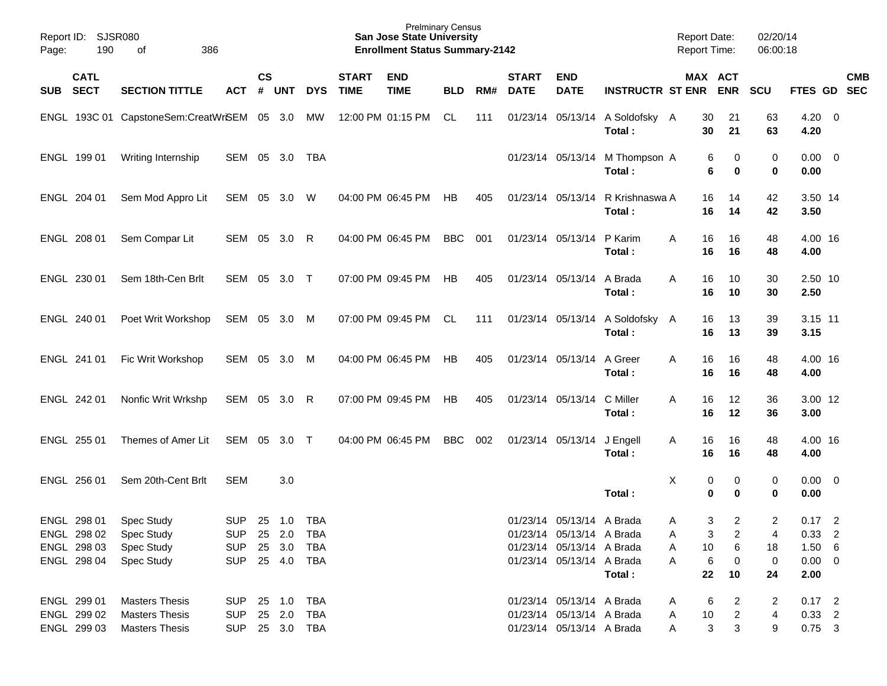| Page:      | Report ID:<br>SJSR080<br>190<br>386<br>οf |                                |                |           |            |            |              | <b>Prelminary Census</b><br><b>San Jose State University</b><br><b>Enrollment Status Summary-2142</b> |            |     |              |                           |                          | Report Date:<br>Report Time: |                     | 02/20/14<br>06:00:18 |                     |            |
|------------|-------------------------------------------|--------------------------------|----------------|-----------|------------|------------|--------------|-------------------------------------------------------------------------------------------------------|------------|-----|--------------|---------------------------|--------------------------|------------------------------|---------------------|----------------------|---------------------|------------|
|            | <b>CATL</b>                               |                                |                | <b>CS</b> |            |            | <b>START</b> | <b>END</b>                                                                                            |            |     | <b>START</b> | <b>END</b>                |                          |                              | MAX ACT             |                      |                     | <b>CMB</b> |
| <b>SUB</b> | <b>SECT</b>                               | <b>SECTION TITTLE</b>          | <b>ACT</b>     | #         | <b>UNT</b> | <b>DYS</b> | <b>TIME</b>  | <b>TIME</b>                                                                                           | <b>BLD</b> | RM# | <b>DATE</b>  | <b>DATE</b>               | <b>INSTRUCTR ST ENR</b>  |                              | <b>ENR</b>          | SCU                  | FTES GD             | <b>SEC</b> |
| ENGL       |                                           | 193C 01 CapstoneSem:CreatWrSEM |                | 05        | 3.0        | <b>MW</b>  |              | 12:00 PM 01:15 PM                                                                                     | CL         | 111 |              | 01/23/14 05/13/14         | A Soldofsky A<br>Total:  | 30<br>30                     | 21<br>21            | 63<br>63             | $4.20 \ 0$<br>4.20  |            |
|            | ENGL 199 01                               | Writing Internship             | SEM 05         |           | 3.0        | TBA        |              |                                                                                                       |            |     |              | 01/23/14 05/13/14         | M Thompson A<br>Total:   | 6                            | 0<br>6<br>0         | 0<br>0               | $0.00 \t 0$<br>0.00 |            |
|            | ENGL 204 01                               | Sem Mod Appro Lit              | SEM 05         |           | 3.0        | W          |              | 04:00 PM 06:45 PM                                                                                     | HB         | 405 |              | 01/23/14 05/13/14         | R Krishnaswa A<br>Total: | 16<br>16                     | 14<br>14            | 42<br>42             | 3.50 14<br>3.50     |            |
|            | ENGL 208 01                               | Sem Compar Lit                 | SEM 05         |           | 3.0        | R          |              | 04:00 PM 06:45 PM                                                                                     | <b>BBC</b> | 001 |              | 01/23/14 05/13/14         | P Karim<br>Total:        | 16<br>A<br>16                | 16<br>16            | 48<br>48             | 4.00 16<br>4.00     |            |
|            | ENGL 230 01                               | Sem 18th-Cen Brlt              | SEM 05         |           | 3.0        | $\top$     |              | 07:00 PM 09:45 PM                                                                                     | <b>HB</b>  | 405 |              | 01/23/14 05/13/14         | A Brada<br>Total :       | A<br>16<br>16                | 10<br>10            | 30<br>30             | 2.50 10<br>2.50     |            |
|            | ENGL 240 01                               | Poet Writ Workshop             | SEM 05         |           | 3.0        | М          |              | 07:00 PM 09:45 PM                                                                                     | <b>CL</b>  | 111 |              | 01/23/14 05/13/14         | A Soldofsky<br>Total:    | 16<br>- A<br>16              | 13<br>13            | 39<br>39             | 3.15 11<br>3.15     |            |
|            | ENGL 241 01                               | Fic Writ Workshop              | SEM 05         |           | 3.0        | M          |              | 04:00 PM 06:45 PM                                                                                     | <b>HB</b>  | 405 |              | 01/23/14 05/13/14         | A Greer<br>Total:        | 16<br>A<br>16                | 16<br>16            | 48<br>48             | 4.00 16<br>4.00     |            |
|            | ENGL 242 01                               | Nonfic Writ Wrkshp             | SEM 05         |           | 3.0        | R          |              | 07:00 PM 09:45 PM                                                                                     | <b>HB</b>  | 405 |              | 01/23/14 05/13/14         | C Miller<br>Total :      | 16<br>A<br>16                | 12<br>12            | 36<br>36             | 3.00 12<br>3.00     |            |
|            | ENGL 255 01                               | Themes of Amer Lit             | SEM 05         |           | 3.0        | $\top$     |              | 04:00 PM 06:45 PM                                                                                     | <b>BBC</b> | 002 |              | 01/23/14 05/13/14         | J Engell<br>Total:       | 16<br>A<br>16                | 16<br>16            | 48<br>48             | 4.00 16<br>4.00     |            |
|            | ENGL 256 01                               | Sem 20th-Cent Brlt             | <b>SEM</b>     |           | 3.0        |            |              |                                                                                                       |            |     |              |                           | Total:                   | X                            | 0<br>0<br>0<br>0    | 0<br>0               | $0.00 \t 0$<br>0.00 |            |
|            |                                           | ENGL 298 01 Spec Study         | SUP 25 1.0 TBA |           |            |            |              |                                                                                                       |            |     |              | 01/23/14 05/13/14 A Brada |                          | A                            | 3<br>2              | $\overline{c}$       | $0.17$ 2            |            |
|            |                                           | ENGL 298 02 Spec Study         | SUP 25 2.0 TBA |           |            |            |              |                                                                                                       |            |     |              | 01/23/14 05/13/14 A Brada |                          | A                            | $\overline{2}$<br>3 | 4                    | $0.33$ 2            |            |
|            |                                           | ENGL 298 03 Spec Study         | SUP            |           | 25 3.0     | <b>TBA</b> |              |                                                                                                       |            |     |              | 01/23/14 05/13/14 A Brada |                          | 10<br>A                      | 6                   | 18                   | 1.50 6              |            |
|            | ENGL 298 04                               | <b>Spec Study</b>              | SUP            |           |            |            |              |                                                                                                       |            |     |              | 01/23/14 05/13/14 A Brada | Total:                   | Α<br>22                      | 6<br>0<br>10        | 0<br>24              | $0.00 \t 0$<br>2.00 |            |
|            | ENGL 299 01                               | <b>Masters Thesis</b>          | SUP 25 1.0 TBA |           |            |            |              |                                                                                                       |            |     |              | 01/23/14 05/13/14 A Brada |                          | A                            | 6<br>2              | 2                    | $0.17$ 2            |            |
|            | ENGL 299 02                               | <b>Masters Thesis</b>          | <b>SUP</b>     |           | 25 2.0     | <b>TBA</b> |              |                                                                                                       |            |     |              | 01/23/14 05/13/14 A Brada |                          | 10<br>A                      | $\overline{c}$      | 4                    | $0.33$ 2            |            |
|            | ENGL 299 03                               | <b>Masters Thesis</b>          | SUP 25 3.0 TBA |           |            |            |              |                                                                                                       |            |     |              | 01/23/14 05/13/14 A Brada |                          | Α                            | 3<br>3              | 9                    | $0.75$ 3            |            |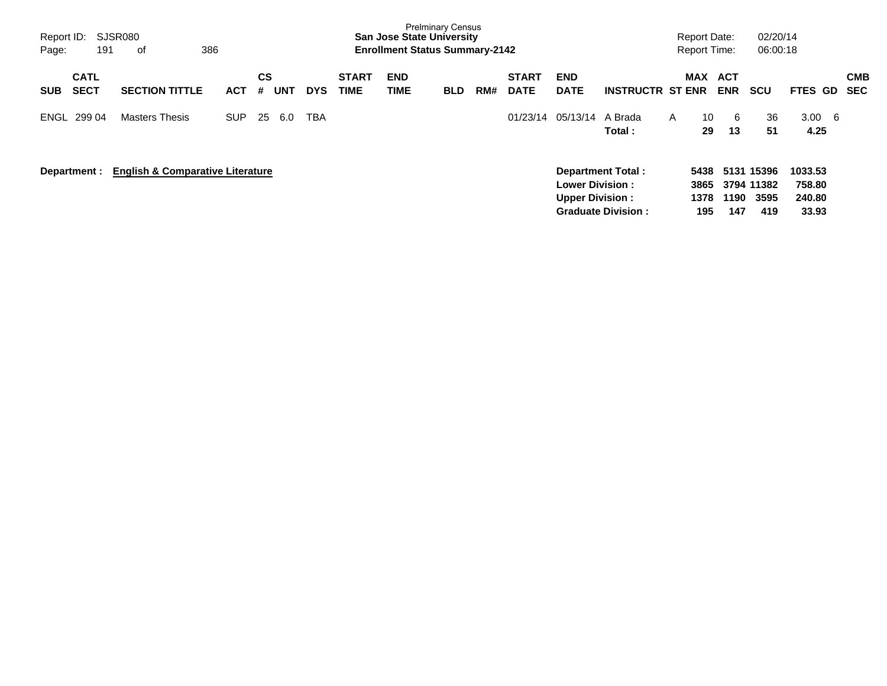| Page:        | <b>SJSR080</b><br>Report ID:<br>386<br>191<br>of |                                             |            |         |     |            |                             | <b>San Jose State University</b><br><b>Enrollment Status Summary-2142</b> | <b>Prelminary Census</b> |     |                             |                                                  |                                                       | <b>Report Date:</b><br><b>Report Time:</b> |                          | 02/20/14<br>06:00:18                    |                                      |                          |
|--------------|--------------------------------------------------|---------------------------------------------|------------|---------|-----|------------|-----------------------------|---------------------------------------------------------------------------|--------------------------|-----|-----------------------------|--------------------------------------------------|-------------------------------------------------------|--------------------------------------------|--------------------------|-----------------------------------------|--------------------------------------|--------------------------|
| <b>SUB</b>   | <b>CATL</b><br><b>SECT</b>                       | <b>SECTION TITTLE</b>                       | <b>ACT</b> | CS<br># | UNT | <b>DYS</b> | <b>START</b><br><b>TIME</b> | <b>END</b><br>TIME                                                        | <b>BLD</b>               | RM# | <b>START</b><br><b>DATE</b> | <b>END</b><br><b>DATE</b>                        | <b>INSTRUCTR ST ENR</b>                               | <b>MAX</b>                                 | <b>ACT</b><br><b>ENR</b> | <b>SCU</b>                              | <b>FTES GD</b>                       | <b>CMB</b><br><b>SEC</b> |
| ENGL 299 04  |                                                  | <b>Masters Thesis</b>                       | SUP.       | 25      | 6.0 | <b>TBA</b> |                             |                                                                           |                          |     | 01/23/14                    | 05/13/14                                         | A Brada<br>Total :                                    | 10<br>A<br>29                              | 6<br>13                  | 36<br>51                                | $3.00 \quad 6$<br>4.25               |                          |
| Department : |                                                  | <b>English &amp; Comparative Literature</b> |            |         |     |            |                             |                                                                           |                          |     |                             | <b>Lower Division:</b><br><b>Upper Division:</b> | <b>Department Total:</b><br><b>Graduate Division:</b> | 5438<br>3865<br>1378<br>195                | 1190<br>147              | 5131 15396<br>3794 11382<br>3595<br>419 | 1033.53<br>758.80<br>240.80<br>33.93 |                          |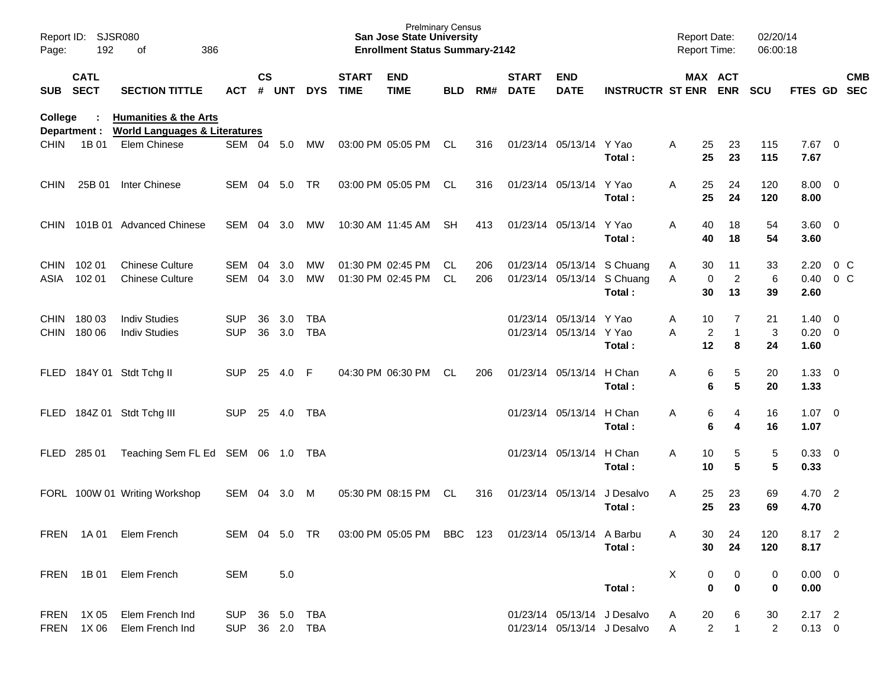| Page:                      | Report ID: SJSR080<br>192  | 386<br>of                                                                    |                                  |               |            |                   |                             | <b>Prelminary Census</b><br><b>San Jose State University</b><br><b>Enrollment Status Summary-2142</b> |                  |            |                             |                                                    |                                                                    | <b>Report Date:</b><br>Report Time: |                              |                            | 02/20/14<br>06:00:18     |                                      |                                  |            |
|----------------------------|----------------------------|------------------------------------------------------------------------------|----------------------------------|---------------|------------|-------------------|-----------------------------|-------------------------------------------------------------------------------------------------------|------------------|------------|-----------------------------|----------------------------------------------------|--------------------------------------------------------------------|-------------------------------------|------------------------------|----------------------------|--------------------------|--------------------------------------|----------------------------------|------------|
| SUB                        | <b>CATL</b><br><b>SECT</b> | <b>SECTION TITTLE</b>                                                        | <b>ACT</b>                       | $\mathsf{cs}$ | # UNT      | <b>DYS</b>        | <b>START</b><br><b>TIME</b> | <b>END</b><br><b>TIME</b>                                                                             | <b>BLD</b>       | RM#        | <b>START</b><br><b>DATE</b> | <b>END</b><br><b>DATE</b>                          | <b>INSTRUCTR ST ENR ENR</b>                                        | MAX ACT                             |                              |                            | <b>SCU</b>               | FTES GD SEC                          |                                  | <b>CMB</b> |
| <b>College</b>             | Department :               | <b>Humanities &amp; the Arts</b><br><b>World Languages &amp; Literatures</b> |                                  |               |            |                   |                             |                                                                                                       |                  |            |                             |                                                    |                                                                    |                                     |                              |                            |                          |                                      |                                  |            |
| <b>CHIN</b>                | 1B 01                      | Elem Chinese                                                                 | SEM 04 5.0                       |               |            | MW                |                             | 03:00 PM 05:05 PM                                                                                     | CL.              | 316        |                             | 01/23/14 05/13/14 Y Yao                            | Total:                                                             | A                                   | 25<br>25                     | 23<br>23                   | 115<br>115               | $7.67$ 0<br>7.67                     |                                  |            |
| <b>CHIN</b>                | 25B 01                     | <b>Inter Chinese</b>                                                         | <b>SEM</b>                       |               | 04 5.0     | <b>TR</b>         |                             | 03:00 PM 05:05 PM                                                                                     | CL               | 316        |                             | 01/23/14 05/13/14                                  | Y Yao<br>Total:                                                    | A                                   | 25<br>25                     | 24<br>24                   | 120<br>120               | $8.00 \t 0$<br>8.00                  |                                  |            |
| <b>CHIN</b>                |                            | 101B 01 Advanced Chinese                                                     | <b>SEM</b>                       | 04            | 3.0        | МW                |                             | 10:30 AM 11:45 AM                                                                                     | -SH              | 413        |                             | 01/23/14 05/13/14 Y Yao                            | Total:                                                             | A                                   | 40<br>40                     | 18<br>18                   | 54<br>54                 | $3.60 \ 0$<br>3.60                   |                                  |            |
| ASIA                       | CHIN 102 01<br>102 01      | <b>Chinese Culture</b><br><b>Chinese Culture</b>                             | SEM<br><b>SEM</b>                | 04<br>04      | 3.0<br>3.0 | MW<br>MW          |                             | 01:30 PM 02:45 PM<br>01:30 PM 02:45 PM                                                                | CL.<br><b>CL</b> | 206<br>206 |                             |                                                    | 01/23/14 05/13/14 S Chuang<br>01/23/14 05/13/14 S Chuang<br>Total: | Α<br>A                              | 30<br>$\mathbf 0$<br>30      | 11<br>$\overline{c}$<br>13 | 33<br>6<br>39            | 2.20<br>0.40<br>2.60                 | 0 <sup>o</sup><br>0 <sup>o</sup> |            |
| <b>CHIN</b><br><b>CHIN</b> | 180 03<br>180 06           | <b>Indiv Studies</b><br><b>Indiv Studies</b>                                 | <b>SUP</b><br><b>SUP</b>         | 36<br>36      | 3.0<br>3.0 | TBA<br><b>TBA</b> |                             |                                                                                                       |                  |            |                             | 01/23/14 05/13/14 Y Yao<br>01/23/14 05/13/14 Y Yao | Total:                                                             | Α<br>A                              | 10<br>$\boldsymbol{2}$<br>12 | 7<br>1<br>8                | 21<br>$\mathbf{3}$<br>24 | $1.40 \quad 0$<br>$0.20 \ 0$<br>1.60 |                                  |            |
| <b>FLED</b>                |                            | 184Y 01 Stdt Tchg II                                                         | <b>SUP</b>                       | 25            | 4.0        | F                 |                             | 04:30 PM 06:30 PM                                                                                     | CL               | 206        |                             | 01/23/14 05/13/14                                  | H Chan<br>Total:                                                   | Α                                   | 6<br>6                       | 5<br>5                     | 20<br>20                 | $1.33 \ 0$<br>1.33                   |                                  |            |
| FLED                       |                            | 184Z 01 Stdt Tchg III                                                        | <b>SUP</b>                       | 25            | 4.0        | TBA               |                             |                                                                                                       |                  |            |                             | 01/23/14 05/13/14                                  | H Chan<br>Total:                                                   | Α                                   | 6<br>6                       | 4<br>4                     | 16<br>16                 | 1.07<br>1.07                         | $\overline{\phantom{0}}$         |            |
| <b>FLED</b>                | 285 01                     | Teaching Sem FL Ed SEM 06 1.0                                                |                                  |               |            | TBA               |                             |                                                                                                       |                  |            |                             | 01/23/14 05/13/14                                  | H Chan<br>Total:                                                   | A                                   | 10<br>10                     | 5<br>5                     | $\mathbf 5$<br>5         | 0.33 0<br>0.33                       |                                  |            |
|                            |                            | FORL 100W 01 Writing Workshop                                                | SEM                              | 04            | 3.0        | M                 |                             | 05:30 PM 08:15 PM                                                                                     | CL               | 316        |                             | 01/23/14 05/13/14                                  | J Desalvo<br>Total:                                                | A                                   | 25<br>25                     | 23<br>23                   | 69<br>69                 | 4.70 2<br>4.70                       |                                  |            |
|                            |                            | FREN 1A 01 Elem French                                                       |                                  |               |            |                   |                             | SEM 04 5.0 TR 03:00 PM 05:05 PM BBC 123 01/23/14 05/13/14 A Barbu                                     |                  |            |                             |                                                    | Total:                                                             |                                     | 30<br>30                     | 24<br>24                   | 120<br>120               | 8.17 2<br>8.17                       |                                  |            |
|                            |                            | FREN 1B01 Elem French                                                        | <b>SEM</b>                       |               | 5.0        |                   |                             |                                                                                                       |                  |            |                             |                                                    | Total:                                                             | X                                   | 0<br>$\mathbf 0$             | 0<br>$\bf{0}$              | 0<br>0                   | $0.00 \t 0$<br>0.00                  |                                  |            |
|                            | FREN 1X 05                 | Elem French Ind<br>FREN 1X 06 Elem French Ind                                | SUP 36 5.0 TBA<br>SUP 36 2.0 TBA |               |            |                   |                             |                                                                                                       |                  |            |                             |                                                    | 01/23/14 05/13/14 J Desalvo<br>01/23/14 05/13/14 J Desalvo         | A<br>A                              | 20<br>$\overline{2}$         | 6<br>$\mathbf{1}$          | 30<br>$\overline{2}$     | $2.17$ 2<br>$0.13 \ 0$               |                                  |            |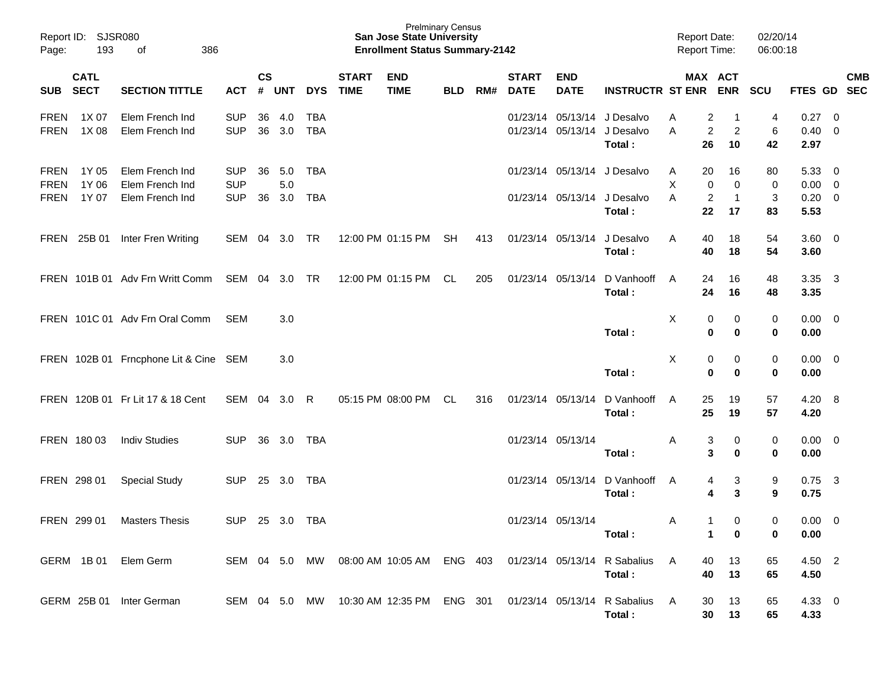| Page:                                     | Report ID: SJSR080<br>193  | 386<br>оf                                             |                                        |                    |                       |                   |                             | <b>Prelminary Census</b><br><b>San Jose State University</b><br><b>Enrollment Status Summary-2142</b> |            |     |                             |                           |                                                    | <b>Report Date:</b><br><b>Report Time:</b> |                            | 02/20/14<br>06:00:18 |                                |                                                     |            |
|-------------------------------------------|----------------------------|-------------------------------------------------------|----------------------------------------|--------------------|-----------------------|-------------------|-----------------------------|-------------------------------------------------------------------------------------------------------|------------|-----|-----------------------------|---------------------------|----------------------------------------------------|--------------------------------------------|----------------------------|----------------------|--------------------------------|-----------------------------------------------------|------------|
| SUB                                       | <b>CATL</b><br><b>SECT</b> | <b>SECTION TITTLE</b>                                 | ACT                                    | $\mathsf{cs}$<br># | UNT                   | <b>DYS</b>        | <b>START</b><br><b>TIME</b> | <b>END</b><br><b>TIME</b>                                                                             | <b>BLD</b> | RM# | <b>START</b><br><b>DATE</b> | <b>END</b><br><b>DATE</b> | <b>INSTRUCTR ST ENR ENR</b>                        |                                            | MAX ACT                    | <b>SCU</b>           | FTES GD SEC                    |                                                     | <b>CMB</b> |
| <b>FREN</b><br><b>FREN</b>                | 1X 07<br>1X 08             | Elem French Ind<br>Elem French Ind                    | <b>SUP</b><br><b>SUP</b>               | 36<br>36           | 4.0<br>3.0            | TBA<br><b>TBA</b> |                             |                                                                                                       |            |     |                             | 01/23/14 05/13/14         | 01/23/14 05/13/14 J Desalvo<br>J Desalvo<br>Total: | 2<br>Α<br>$\overline{c}$<br>A<br>26        | -1<br>$\overline{c}$<br>10 | 4<br>6<br>42         | 0.27<br>0.40<br>2.97           | $\overline{\phantom{0}}$<br>$\overline{\mathbf{0}}$ |            |
| <b>FREN</b><br><b>FREN</b><br><b>FREN</b> | 1Y 05<br>1Y 06<br>1Y 07    | Elem French Ind<br>Elem French Ind<br>Elem French Ind | <b>SUP</b><br><b>SUP</b><br><b>SUP</b> | 36<br>36           | 5.0<br>$5.0\,$<br>3.0 | TBA<br>TBA        |                             |                                                                                                       |            |     |                             | 01/23/14 05/13/14         | 01/23/14 05/13/14 J Desalvo<br>J Desalvo           | 20<br>A<br>X<br>0<br>$\overline{c}$<br>A   | 16<br>0<br>$\mathbf{1}$    | 80<br>0<br>3         | 5.33<br>0.00<br>$0.20 \ 0$     | $\overline{\phantom{0}}$<br>$\overline{\mathbf{0}}$ |            |
|                                           | FREN 25B 01                | Inter Fren Writing                                    | SEM 04 3.0 TR                          |                    |                       |                   |                             | 12:00 PM 01:15 PM                                                                                     | SH         | 413 |                             | 01/23/14 05/13/14         | Total:<br>J Desalvo<br>Total:                      | 22<br>40<br>A<br>40                        | 17<br>18<br>18             | 83<br>54<br>54       | 5.53<br>$3.60 \quad 0$<br>3.60 |                                                     |            |
|                                           |                            | FREN 101B 01 Adv Frn Writt Comm                       | SEM 04 3.0 TR                          |                    |                       |                   |                             | 12:00 PM 01:15 PM                                                                                     | CL         | 205 |                             | 01/23/14 05/13/14         | D Vanhooff<br>Total:                               | A<br>24<br>24                              | 16<br>16                   | 48<br>48             | 3.35<br>3.35                   | $\overline{\mathbf{3}}$                             |            |
|                                           |                            | FREN 101C 01 Adv Frn Oral Comm                        | SEM                                    |                    | 3.0                   |                   |                             |                                                                                                       |            |     |                             |                           | Total:                                             | X<br>0<br>$\mathbf 0$                      | 0<br>0                     | 0<br>0               | $0.00 \quad 0$<br>0.00         |                                                     |            |
|                                           |                            | FREN 102B 01 Frncphone Lit & Cine SEM                 |                                        |                    | 3.0                   |                   |                             |                                                                                                       |            |     |                             |                           | Total:                                             | X<br>0<br>$\mathbf 0$                      | 0<br>0                     | 0<br>0               | $0.00 \quad 0$<br>0.00         |                                                     |            |
|                                           |                            | FREN 120B 01 Fr Lit 17 & 18 Cent                      | SEM 04                                 |                    | 3.0                   | R                 |                             | 05:15 PM 08:00 PM                                                                                     | CL         | 316 |                             | 01/23/14 05/13/14         | D Vanhooff<br>Total:                               | 25<br>A<br>25                              | 19<br>19                   | 57<br>57             | $4.20\ 8$<br>4.20              |                                                     |            |
|                                           | FREN 180 03                | <b>Indiv Studies</b>                                  | <b>SUP</b>                             | 36                 | 3.0                   | TBA               |                             |                                                                                                       |            |     |                             | 01/23/14 05/13/14         | Total:                                             | 3<br>Α<br>3                                | 0<br>0                     | 0<br>0               | $0.00 \quad 0$<br>0.00         |                                                     |            |
| FREN 298 01                               |                            | <b>Special Study</b>                                  | <b>SUP</b>                             | 25                 | 3.0                   | TBA               |                             |                                                                                                       |            |     |                             | 01/23/14 05/13/14         | D Vanhooff<br>Total:                               | A<br>4<br>4                                | 3<br>3                     | 9<br>9               | 0.75<br>0.75                   | $\overline{\mathbf{3}}$                             |            |
|                                           | FREN 299 01                | <b>Masters Thesis</b>                                 | <b>SUP</b>                             |                    | 25 3.0                | TBA               |                             |                                                                                                       |            |     |                             | 01/23/14 05/13/14         | Total:                                             | $\mathbf{1}$<br>A<br>1                     | 0<br>0                     | 0<br>0               | 0.00<br>0.00                   | $\overline{\mathbf{0}}$                             |            |
|                                           |                            | GERM 1B 01 Elem Germ                                  | SEM 04 5.0 MW                          |                    |                       |                   |                             | 08:00 AM 10:05 AM ENG 403                                                                             |            |     |                             |                           | 01/23/14 05/13/14 R Sabalius<br>Total:             | A<br>40<br>40                              | 13<br>13                   | 65<br>65             | 4.50 2<br>4.50                 |                                                     |            |
|                                           |                            | GERM 25B 01 Inter German                              | SEM 04 5.0 MW                          |                    |                       |                   |                             | 10:30 AM 12:35 PM ENG 301                                                                             |            |     |                             |                           | 01/23/14 05/13/14 R Sabalius<br>Total:             | A<br>30<br>30                              | 13<br>13                   | 65<br>65             | 4.33 0<br>4.33                 |                                                     |            |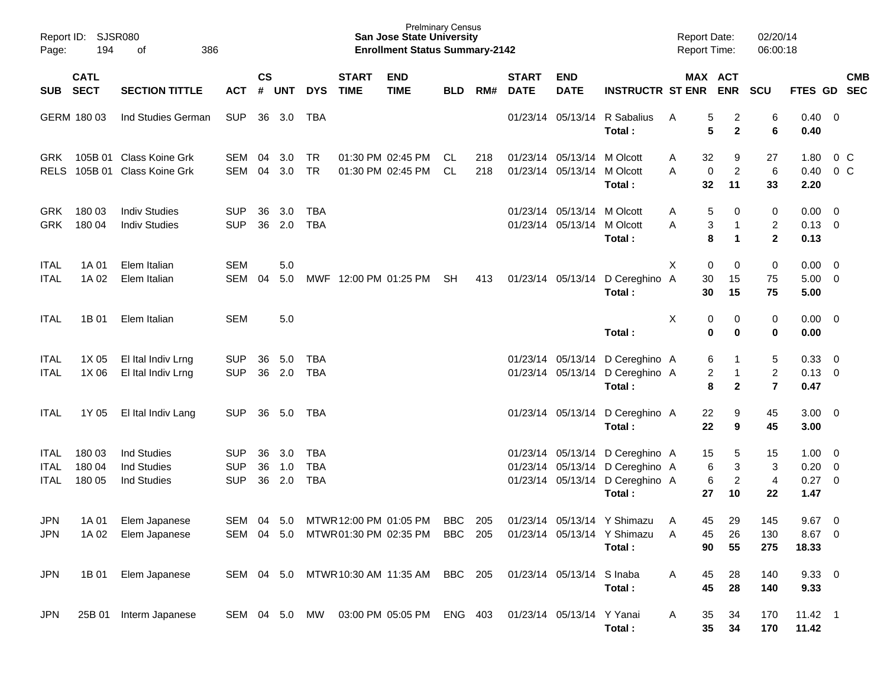| Page:                       | Report ID:<br><b>SJSR080</b><br>194<br>386<br>оf |                                                         |                                        |                    |                   |                                        |                             | <b>Prelminary Census</b><br><b>San Jose State University</b><br><b>Enrollment Status Summary-2142</b> |            |            |                             |                                                 |                                                                                               | <b>Report Date:</b><br>Report Time: |                                                      | 02/20/14<br>06:00:18            |                                     |                                            |
|-----------------------------|--------------------------------------------------|---------------------------------------------------------|----------------------------------------|--------------------|-------------------|----------------------------------------|-----------------------------|-------------------------------------------------------------------------------------------------------|------------|------------|-----------------------------|-------------------------------------------------|-----------------------------------------------------------------------------------------------|-------------------------------------|------------------------------------------------------|---------------------------------|-------------------------------------|--------------------------------------------|
| <b>SUB</b>                  | <b>CATL</b><br><b>SECT</b>                       | <b>SECTION TITTLE</b>                                   | <b>ACT</b>                             | $\mathsf{cs}$<br># | <b>UNT</b>        | <b>DYS</b>                             | <b>START</b><br><b>TIME</b> | <b>END</b><br><b>TIME</b>                                                                             | <b>BLD</b> | RM#        | <b>START</b><br><b>DATE</b> | <b>END</b><br><b>DATE</b>                       | <b>INSTRUCTR ST ENR</b>                                                                       |                                     | MAX ACT<br><b>ENR</b>                                | SCU                             | FTES GD                             | <b>CMB</b><br><b>SEC</b>                   |
|                             | GERM 180 03                                      | Ind Studies German                                      | <b>SUP</b>                             | 36                 | 3.0               | <b>TBA</b>                             |                             |                                                                                                       |            |            |                             | 01/23/14 05/13/14                               | R Sabalius<br>Total:                                                                          | A                                   | 5<br>2<br>5<br>$\mathbf{2}$                          | 6<br>6                          | $0.40 \quad 0$<br>0.40              |                                            |
| <b>GRK</b><br><b>RELS</b>   | 105B 01                                          | <b>Class Koine Grk</b><br>105B 01 Class Koine Grk       | <b>SEM</b><br><b>SEM</b>               | 04<br>04           | 3.0<br>3.0        | <b>TR</b><br><b>TR</b>                 |                             | 01:30 PM 02:45 PM<br>01:30 PM 02:45 PM                                                                | CL.<br>CL. | 218<br>218 |                             | 01/23/14 05/13/14<br>01/23/14 05/13/14          | M Olcott<br>M Olcott<br>Total:                                                                | A<br>Α                              | 32<br>9<br>$\overline{c}$<br>$\mathbf 0$<br>32<br>11 | 27<br>6<br>33                   | 1.80<br>0.40<br>2.20                | $0\,C$<br>0 <sup>o</sup>                   |
| <b>GRK</b><br><b>GRK</b>    | 180 03<br>180 04                                 | <b>Indiv Studies</b><br><b>Indiv Studies</b>            | <b>SUP</b><br><b>SUP</b>               | 36<br>36           | 3.0<br>2.0        | <b>TBA</b><br><b>TBA</b>               |                             |                                                                                                       |            |            |                             | 01/23/14 05/13/14 M Olcott<br>01/23/14 05/13/14 | M Olcott<br>Total:                                                                            | A<br>A                              | 5<br>0<br>3<br>1<br>8<br>1                           | 0<br>2<br>$\overline{2}$        | 0.00<br>$0.13 \quad 0$<br>0.13      | $\overline{\phantom{0}}$                   |
| ITAL<br>ITAL                | 1A 01<br>1A 02                                   | Elem Italian<br>Elem Italian                            | <b>SEM</b><br><b>SEM</b>               | 04                 | 5.0<br>5.0        |                                        | MWF 12:00 PM 01:25 PM       |                                                                                                       | <b>SH</b>  | 413        |                             | 01/23/14 05/13/14                               | D Cereghino A<br>Total:                                                                       | Χ                                   | $\mathbf 0$<br>0<br>30<br>15<br>30<br>15             | 0<br>75<br>75                   | 0.00<br>$5.00 \t 0$<br>5.00         | $\overline{\phantom{0}}$                   |
| ITAL                        | 1B 01                                            | Elem Italian                                            | <b>SEM</b>                             |                    | 5.0               |                                        |                             |                                                                                                       |            |            |                             |                                                 | Total:                                                                                        | X                                   | 0<br>0<br>0<br>0                                     | 0<br>0                          | $0.00 \t 0$<br>0.00                 |                                            |
| <b>ITAL</b><br>ITAL         | 1X 05<br>1X 06                                   | El Ital Indiv Lrng<br>El Ital Indiv Lrng                | <b>SUP</b><br><b>SUP</b>               | 36<br>36           | 5.0<br>2.0        | <b>TBA</b><br><b>TBA</b>               |                             |                                                                                                       |            |            |                             | 01/23/14 05/13/14<br>01/23/14 05/13/14          | D Cereghino A<br>D Cereghino A<br>Total:                                                      |                                     | 6<br>1<br>2<br>1<br>8<br>$\mathbf{2}$                | 5<br>$\overline{2}$<br>7        | 0.33<br>$0.13 \quad 0$<br>0.47      | $\overline{\phantom{0}}$                   |
| <b>ITAL</b>                 | 1Y 05                                            | El Ital Indiv Lang                                      | <b>SUP</b>                             |                    | 36 5.0            | TBA                                    |                             |                                                                                                       |            |            |                             | 01/23/14 05/13/14                               | D Cereghino A<br>Total:                                                                       |                                     | 22<br>9<br>22<br>9                                   | 45<br>45                        | $3.00 \ 0$<br>3.00                  |                                            |
| <b>ITAL</b><br>ITAL<br>ITAL | 180 03<br>180 04<br>180 05                       | Ind Studies<br><b>Ind Studies</b><br><b>Ind Studies</b> | <b>SUP</b><br><b>SUP</b><br><b>SUP</b> | 36<br>36<br>36     | 3.0<br>1.0<br>2.0 | <b>TBA</b><br><b>TBA</b><br><b>TBA</b> |                             |                                                                                                       |            |            |                             | 01/23/14 05/13/14                               | 01/23/14 05/13/14 D Cereghino A<br>01/23/14 05/13/14 D Cereghino A<br>D Cereghino A<br>Total: | 27                                  | 15<br>5<br>6<br>3<br>6<br>$\overline{c}$<br>10       | 15<br>3<br>$\overline{4}$<br>22 | $1.00 \t 0$<br>0.20<br>0.27<br>1.47 | $\overline{\phantom{0}}$<br>$\overline{0}$ |
| JPN<br>JPN.                 |                                                  | 1A 01 Elem Japanese<br>1A 02 Elem Japanese              |                                        |                    |                   |                                        |                             | SEM 04 5.0 MTWR12:00 PM 01:05 PM BBC<br>SEM 04 5.0 MTWR01:30 PM 02:35 PM BBC 205                      |            | 205        |                             |                                                 | 01/23/14 05/13/14 Y Shimazu A<br>01/23/14 05/13/14 Y Shimazu A<br>Total:                      |                                     | 29<br>45<br>26<br>45<br>90<br>55                     | 145<br>130<br>275               | $9.67$ 0<br>8.67 0<br>18.33         |                                            |
| JPN                         |                                                  | 1B 01 Elem Japanese                                     |                                        |                    |                   |                                        |                             | SEM 04 5.0 MTWR 10:30 AM 11:35 AM BBC 205 01/23/14 05/13/14 S Inaba                                   |            |            |                             |                                                 | Total:                                                                                        | A                                   | 45<br>28<br>45<br>28                                 | 140<br>140                      | $9.33 \ 0$<br>9.33                  |                                            |
| JPN                         |                                                  | 25B 01 Interm Japanese                                  |                                        |                    |                   |                                        |                             | SEM 04 5.0 MW 03:00 PM 05:05 PM ENG 403 01/23/14 05/13/14 Y Yanai                                     |            |            |                             |                                                 | Total:                                                                                        | A                                   | 35<br>34<br>35<br>34                                 | 170<br>170                      | $11.42$ 1<br>11.42                  |                                            |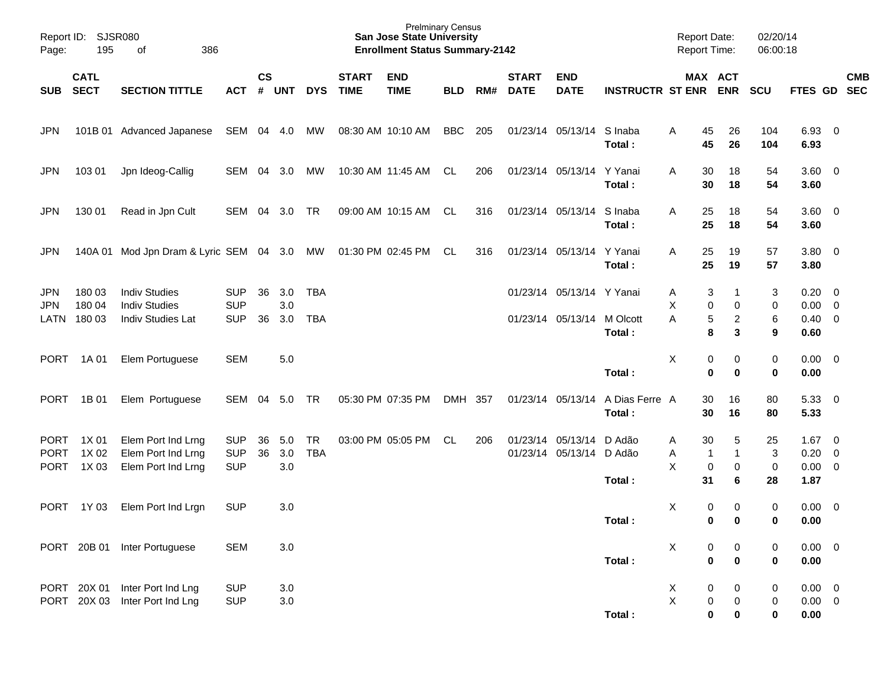| Page:                                     | Report ID: SJSR080<br>195<br>386<br>of |                                                                          |                                        |               |                   |                          |                             | <b>San Jose State University</b><br><b>Enrollment Status Summary-2142</b> | <b>Prelminary Census</b> |     |                             |                                                      |                             | <b>Report Date:</b><br><b>Report Time:</b> |                                                  | 02/20/14<br>06:00:18                  |                                               |            |
|-------------------------------------------|----------------------------------------|--------------------------------------------------------------------------|----------------------------------------|---------------|-------------------|--------------------------|-----------------------------|---------------------------------------------------------------------------|--------------------------|-----|-----------------------------|------------------------------------------------------|-----------------------------|--------------------------------------------|--------------------------------------------------|---------------------------------------|-----------------------------------------------|------------|
| <b>SUB</b>                                | <b>CATL</b><br><b>SECT</b>             | <b>SECTION TITTLE</b>                                                    | <b>ACT</b>                             | $\mathsf{cs}$ | # UNT             | <b>DYS</b>               | <b>START</b><br><b>TIME</b> | <b>END</b><br><b>TIME</b>                                                 | <b>BLD</b>               | RM# | <b>START</b><br><b>DATE</b> | <b>END</b><br><b>DATE</b>                            | <b>INSTRUCTR ST ENR ENR</b> |                                            | MAX ACT                                          | SCU                                   | FTES GD SEC                                   | <b>CMB</b> |
| <b>JPN</b>                                |                                        | 101B 01 Advanced Japanese                                                | SEM 04 4.0                             |               |                   | MW                       |                             | 08:30 AM 10:10 AM                                                         | BBC                      | 205 |                             | 01/23/14 05/13/14                                    | S Inaba<br>Total:           | 45<br>A<br>45                              | 26<br>26                                         | 104<br>104                            | 6.93 0<br>6.93                                |            |
| <b>JPN</b>                                | 103 01                                 | Jpn Ideog-Callig                                                         | SEM                                    | 04            | 3.0               | MW                       |                             | 10:30 AM 11:45 AM                                                         | CL                       | 206 |                             | 01/23/14 05/13/14                                    | Y Yanai<br>Total:           | 30<br>A<br>30                              | 18<br>18                                         | 54<br>54                              | $3.60 \ 0$<br>3.60                            |            |
| <b>JPN</b>                                | 130 01                                 | Read in Jpn Cult                                                         | SEM                                    | 04            | 3.0 TR            |                          |                             | 09:00 AM 10:15 AM                                                         | CL                       | 316 |                             | 01/23/14 05/13/14                                    | S Inaba<br>Total:           | 25<br>A<br>25                              | 18<br>18                                         | 54<br>54                              | $3.60 \ 0$<br>3.60                            |            |
| <b>JPN</b>                                |                                        | 140A 01 Mod Jpn Dram & Lyric SEM 04 3.0 MW                               |                                        |               |                   |                          |                             | 01:30 PM 02:45 PM CL                                                      |                          | 316 |                             | 01/23/14 05/13/14 Y Yanai                            | Total:                      | 25<br>A<br>25                              | 19<br>19                                         | 57<br>57                              | 3.80 0<br>3.80                                |            |
| <b>JPN</b><br><b>JPN</b><br>LATN          | 180 03<br>180 04<br>180 03             | <b>Indiv Studies</b><br><b>Indiv Studies</b><br><b>Indiv Studies Lat</b> | <b>SUP</b><br><b>SUP</b><br><b>SUP</b> | 36<br>36      | 3.0<br>3.0<br>3.0 | <b>TBA</b><br><b>TBA</b> |                             |                                                                           |                          |     |                             | 01/23/14 05/13/14 Y Yanai<br>01/23/14 05/13/14       | M Olcott                    | Α<br>Χ<br>A                                | 3<br>1<br>0<br>0<br>5<br>$\overline{\mathbf{c}}$ | 3<br>0<br>6                           | $0.20 \ 0$<br>$0.00 \ 0$<br>$0.40 \quad 0$    |            |
|                                           |                                        |                                                                          |                                        |               |                   |                          |                             |                                                                           |                          |     |                             |                                                      | Total:                      |                                            | 8<br>3                                           | 9                                     | 0.60                                          |            |
| <b>PORT</b>                               | 1A 01                                  | Elem Portuguese                                                          | <b>SEM</b>                             |               | 5.0               |                          |                             |                                                                           |                          |     |                             |                                                      | Total:                      | Χ                                          | 0<br>0<br>$\bf{0}$<br>0                          | 0<br>$\bf{0}$                         | $0.00 \t 0$<br>0.00                           |            |
| <b>PORT</b>                               | 1B 01                                  | Elem Portuguese                                                          | SEM                                    | 04            | 5.0               | TR                       |                             | 05:30 PM 07:35 PM                                                         | DMH 357                  |     |                             | 01/23/14 05/13/14                                    | A Dias Ferre A<br>Total:    | 30<br>30                                   | 16<br>16                                         | 80<br>80                              | 5.33 0<br>5.33                                |            |
| <b>PORT</b><br><b>PORT</b><br><b>PORT</b> | 1X 01<br>1X 02<br>1X 03                | Elem Port Ind Lrng<br>Elem Port Ind Lrng<br>Elem Port Ind Lrng           | <b>SUP</b><br><b>SUP</b><br><b>SUP</b> | 36<br>36      | 5.0<br>3.0<br>3.0 | <b>TR</b><br><b>TBA</b>  |                             | 03:00 PM 05:05 PM                                                         | CL                       | 206 |                             | 01/23/14 05/13/14 D Adão<br>01/23/14 05/13/14 D Adão | Total:                      | 30<br>Α<br>Α<br>X<br>31                    | 5<br>$\mathbf{1}$<br>1<br>$\pmb{0}$<br>0<br>6    | 25<br>$\sqrt{3}$<br>$\mathbf 0$<br>28 | $1.67$ 0<br>$0.20 \ 0$<br>$0.00 \t 0$<br>1.87 |            |
| <b>PORT</b>                               | 1Y 03                                  | Elem Port Ind Lrgn                                                       | <b>SUP</b>                             |               | 3.0               |                          |                             |                                                                           |                          |     |                             |                                                      | Total:                      | X                                          | 0<br>0<br>0<br>0                                 | 0<br>0                                | $0.00 \t 0$<br>0.00                           |            |
|                                           |                                        | PORT 20B 01 Inter Portuguese                                             | <b>SEM</b>                             |               | 3.0               |                          |                             |                                                                           |                          |     |                             |                                                      | Total:                      | X                                          | 0<br>0<br>$\mathbf 0$<br>$\bf{0}$                | $\mathbf 0$<br>0                      | $0.00 \t 0$<br>0.00                           |            |
|                                           | PORT 20X 01                            | Inter Port Ind Lng<br>PORT 20X 03 Inter Port Ind Lng                     | <b>SUP</b><br><b>SUP</b>               |               | $3.0\,$<br>3.0    |                          |                             |                                                                           |                          |     |                             |                                                      | Total:                      | X<br>X                                     | 0<br>0<br>0<br>0<br>$\bf{0}$<br>0                | 0<br>0<br>0                           | $0.00 \t 0$<br>$0.00 \t 0$<br>0.00            |            |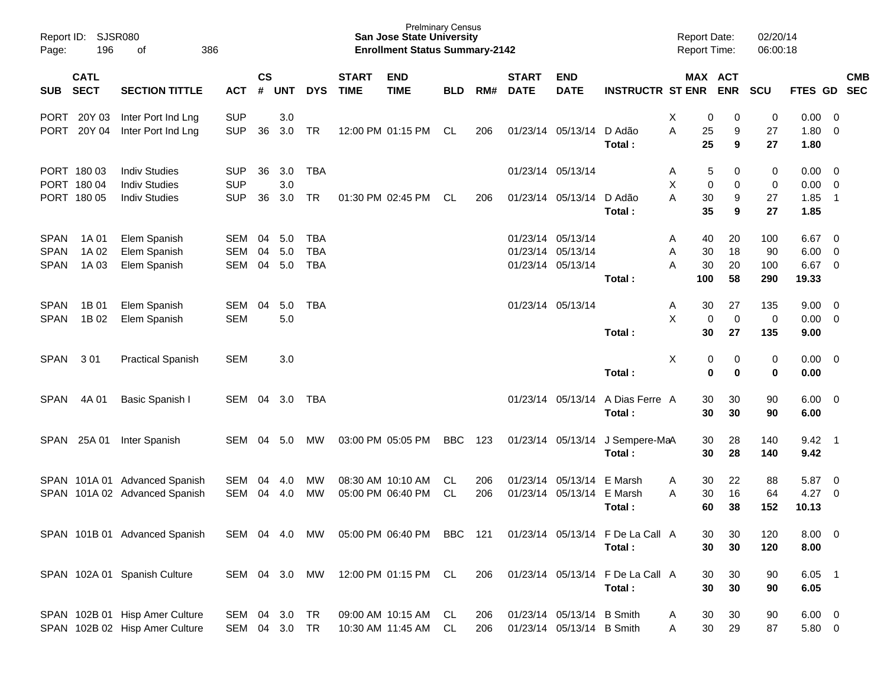| Page:                                     | Report ID: SJSR080<br>196                 | 386<br>of                                                            |                                        |                |                   |                                        |                             | <b>San Jose State University</b><br><b>Enrollment Status Summary-2142</b> | <b>Prelminary Census</b> |            |                             |                                                             |                                            | <b>Report Date:</b><br><b>Report Time:</b> |                                                  | 02/20/14<br>06:00:18         |                                               |                            |            |
|-------------------------------------------|-------------------------------------------|----------------------------------------------------------------------|----------------------------------------|----------------|-------------------|----------------------------------------|-----------------------------|---------------------------------------------------------------------------|--------------------------|------------|-----------------------------|-------------------------------------------------------------|--------------------------------------------|--------------------------------------------|--------------------------------------------------|------------------------------|-----------------------------------------------|----------------------------|------------|
| <b>SUB</b>                                | <b>CATL</b><br><b>SECT</b>                | <b>SECTION TITTLE</b>                                                | <b>ACT</b>                             | <b>CS</b><br># | <b>UNT</b>        | <b>DYS</b>                             | <b>START</b><br><b>TIME</b> | <b>END</b><br><b>TIME</b>                                                 | <b>BLD</b>               | RM#        | <b>START</b><br><b>DATE</b> | <b>END</b><br><b>DATE</b>                                   | <b>INSTRUCTR ST ENR ENR</b>                |                                            | MAX ACT                                          | <b>SCU</b>                   | FTES GD SEC                                   |                            | <b>CMB</b> |
| PORT<br>PORT                              | 20Y 03<br>20Y 04                          | Inter Port Ind Lng<br>Inter Port Ind Lng                             | <b>SUP</b><br><b>SUP</b>               | 36             | 3.0<br>3.0        | TR                                     |                             | 12:00 PM 01:15 PM                                                         | CL                       | 206        |                             | 01/23/14 05/13/14 D Adão                                    | Total:                                     | X<br>A                                     | 0<br>0<br>25<br>9<br>25<br>9                     | 0<br>27<br>27                | $0.00 \t 0$<br>1.80 0<br>1.80                 |                            |            |
|                                           | PORT 180 03<br>PORT 180 04<br>PORT 180 05 | <b>Indiv Studies</b><br><b>Indiv Studies</b><br><b>Indiv Studies</b> | <b>SUP</b><br><b>SUP</b><br><b>SUP</b> | 36<br>36       | 3.0<br>3.0<br>3.0 | <b>TBA</b><br><b>TR</b>                |                             | 01:30 PM 02:45 PM                                                         | CL                       | 206        |                             | 01/23/14 05/13/14<br>01/23/14 05/13/14 D Adão               | Total:                                     | Α<br>X<br>A                                | 5<br>0<br>0<br>$\mathbf 0$<br>30<br>9<br>35<br>9 | 0<br>$\mathbf 0$<br>27<br>27 | $0.00 \t 0$<br>$0.00 \t 0$<br>1.85<br>1.85    | $\overline{\phantom{0}}$ 1 |            |
| <b>SPAN</b><br><b>SPAN</b><br><b>SPAN</b> | 1A 01<br>1A 02<br>1A 03                   | Elem Spanish<br>Elem Spanish<br>Elem Spanish                         | SEM<br><b>SEM</b><br>SEM               | 04<br>04<br>04 | 5.0<br>5.0<br>5.0 | <b>TBA</b><br><b>TBA</b><br><b>TBA</b> |                             |                                                                           |                          |            |                             | 01/23/14 05/13/14<br>01/23/14 05/13/14<br>01/23/14 05/13/14 | Total:                                     | Α<br>Α<br>A<br>100                         | 40<br>20<br>18<br>30<br>30<br>20<br>58           | 100<br>90<br>100<br>290      | $6.67$ 0<br>$6.00 \quad 0$<br>6.67 0<br>19.33 |                            |            |
| <b>SPAN</b><br><b>SPAN</b>                | 1B 01<br>1B 02                            | Elem Spanish<br>Elem Spanish                                         | SEM<br><b>SEM</b>                      | 04             | 5.0<br>5.0        | <b>TBA</b>                             |                             |                                                                           |                          |            |                             | 01/23/14 05/13/14                                           | Total:                                     | Α<br>X                                     | 30<br>27<br>$\mathbf 0$<br>$\pmb{0}$<br>30<br>27 | 135<br>$\mathbf 0$<br>135    | $9.00 \t 0$<br>$0.00 \t 0$<br>9.00            |                            |            |
| <b>SPAN</b>                               | 301                                       | <b>Practical Spanish</b>                                             | <b>SEM</b>                             |                | 3.0               |                                        |                             |                                                                           |                          |            |                             |                                                             | Total:                                     | X                                          | 0<br>0<br>$\mathbf 0$<br>0                       | 0<br>$\bf{0}$                | $0.00 \t 0$<br>0.00                           |                            |            |
| <b>SPAN</b>                               | 4A 01                                     | Basic Spanish I                                                      | SEM                                    | 04             | 3.0               | TBA                                    |                             |                                                                           |                          |            |                             | 01/23/14 05/13/14                                           | A Dias Ferre A<br>Total:                   |                                            | 30<br>30<br>30<br>30                             | 90<br>90                     | $6.00 \quad 0$<br>6.00                        |                            |            |
| <b>SPAN</b>                               | 25A 01                                    | Inter Spanish                                                        | SEM                                    | 04             | 5.0               | МW                                     |                             | 03:00 PM 05:05 PM                                                         | BBC                      | 123        |                             | 01/23/14 05/13/14                                           | J Sempere-MaA<br>Total:                    |                                            | 30<br>28<br>30<br>28                             | 140<br>140                   | $9.42 \quad 1$<br>9.42                        |                            |            |
|                                           |                                           | SPAN 101A 01 Advanced Spanish<br>SPAN 101A 02 Advanced Spanish       | SEM<br>SEM                             | 04<br>04       | 4.0<br>4.0        | МW<br>MW                               |                             | 08:30 AM 10:10 AM<br>05:00 PM 06:40 PM                                    | CL.<br><b>CL</b>         | 206<br>206 |                             | 01/23/14 05/13/14 E Marsh<br>01/23/14 05/13/14 E Marsh      | Total:                                     | A<br>A                                     | 30<br>22<br>30<br>16<br>60<br>38                 | 88<br>64<br>152              | 5.87<br>$4.27$ 0<br>10.13                     | $\overline{\phantom{0}}$   |            |
|                                           |                                           | SPAN 101B 01 Advanced Spanish                                        |                                        |                |                   | SEM 04 4.0 MW                          |                             | 05:00 PM 06:40 PM BBC 121                                                 |                          |            |                             |                                                             | 01/23/14 05/13/14 F De La Call A<br>Total: |                                            | 30<br>30<br>30<br>30                             | 120<br>120                   | $8.00 \t 0$<br>8.00                           |                            |            |
|                                           |                                           | SPAN 102A 01 Spanish Culture                                         | SEM 04 3.0 MW                          |                |                   |                                        |                             | 12:00 PM 01:15 PM CL                                                      |                          | 206        |                             |                                                             | 01/23/14 05/13/14 F De La Call A<br>Total: |                                            | 30<br>30<br>30<br>30                             | 90<br>90                     | $6.05$ 1<br>6.05                              |                            |            |
|                                           |                                           | SPAN 102B 01 Hisp Amer Culture<br>SPAN 102B 02 Hisp Amer Culture     | SEM 04 3.0<br>SEM 04 3.0 TR            |                |                   | <b>TR</b>                              |                             | 09:00 AM 10:15 AM<br>10:30 AM 11:45 AM CL                                 | CL                       | 206<br>206 |                             | 01/23/14 05/13/14 B Smith<br>01/23/14 05/13/14 B Smith      |                                            | A<br>Α                                     | 30<br>30<br>30<br>29                             | 90<br>87                     | $6.00 \quad 0$<br>5.80 0                      |                            |            |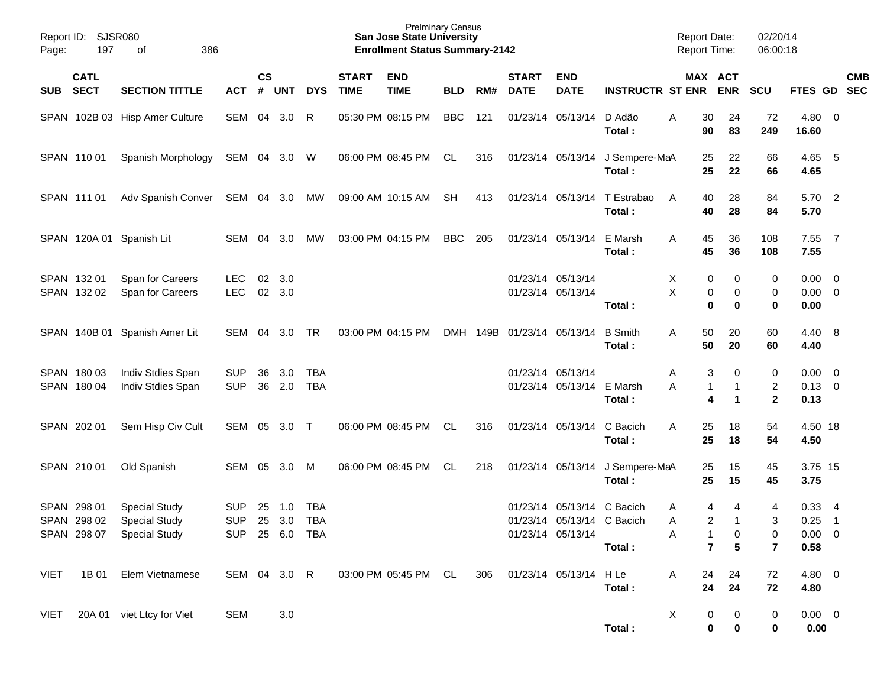| Page:       | Report ID: SJSR080<br>197  | 386<br>οf                                                                 |                                            |                |               |                          |                             | <b>Prelminary Census</b><br><b>San Jose State University</b><br><b>Enrollment Status Summary-2142</b> |            |     |                             |                                                                               |                                           | <b>Report Date:</b><br><b>Report Time:</b> |                                               | 02/20/14<br>06:00:18                |                                     |                                  |            |
|-------------|----------------------------|---------------------------------------------------------------------------|--------------------------------------------|----------------|---------------|--------------------------|-----------------------------|-------------------------------------------------------------------------------------------------------|------------|-----|-----------------------------|-------------------------------------------------------------------------------|-------------------------------------------|--------------------------------------------|-----------------------------------------------|-------------------------------------|-------------------------------------|----------------------------------|------------|
| <b>SUB</b>  | <b>CATL</b><br><b>SECT</b> | <b>SECTION TITTLE</b>                                                     | <b>ACT</b>                                 | <b>CS</b><br># | <b>UNT</b>    | <b>DYS</b>               | <b>START</b><br><b>TIME</b> | <b>END</b><br><b>TIME</b>                                                                             | <b>BLD</b> | RM# | <b>START</b><br><b>DATE</b> | <b>END</b><br><b>DATE</b>                                                     | <b>INSTRUCTR ST ENR</b>                   |                                            | MAX ACT<br><b>ENR</b>                         | SCU                                 | FTES GD SEC                         |                                  | <b>CMB</b> |
|             |                            | SPAN 102B 03 Hisp Amer Culture                                            | SEM 04                                     |                | 3.0           | R                        |                             | 05:30 PM 08:15 PM                                                                                     | BBC        | 121 |                             | 01/23/14 05/13/14                                                             | D Adão<br>Total:                          | 30<br>A<br>90                              | 24<br>83                                      | 72<br>249                           | $4.80$ 0<br>16.60                   |                                  |            |
|             | SPAN 11001                 | Spanish Morphology                                                        | SEM 04 3.0 W                               |                |               |                          |                             | 06:00 PM 08:45 PM                                                                                     | CL         | 316 |                             |                                                                               | 01/23/14 05/13/14 J Sempere-MaA<br>Total: | 25<br>25                                   | 22<br>22                                      | 66<br>66                            | 4.65 5<br>4.65                      |                                  |            |
|             | SPAN 111 01                | Adv Spanish Conver                                                        | SEM 04 3.0                                 |                |               | МW                       |                             | 09:00 AM 10:15 AM                                                                                     | <b>SH</b>  | 413 |                             | 01/23/14 05/13/14                                                             | T Estrabao<br>Total:                      | 40<br>A<br>40                              | 28<br>28                                      | 84<br>84                            | 5.70 2<br>5.70                      |                                  |            |
|             |                            | SPAN 120A 01 Spanish Lit                                                  | SEM 04                                     |                | 3.0           | MW                       |                             | 03:00 PM 04:15 PM                                                                                     | BBC        | 205 |                             | 01/23/14 05/13/14                                                             | E Marsh<br>Total:                         | 45<br>A<br>45                              | 36<br>36                                      | 108<br>108                          | 7.55<br>7.55                        | $\overline{7}$                   |            |
|             | SPAN 132 01<br>SPAN 132 02 | Span for Careers<br>Span for Careers                                      | <b>LEC</b><br><b>LEC</b>                   | 02             | 3.0<br>02 3.0 |                          |                             |                                                                                                       |            |     | 01/23/14 05/13/14           | 01/23/14 05/13/14                                                             | Total:                                    | х<br>0<br>X<br>$\mathbf 0$                 | 0<br>0<br>0<br>0                              | 0<br>0<br>$\bf{0}$                  | $0.00 \t 0$<br>$0.00 \t 0$<br>0.00  |                                  |            |
|             |                            | SPAN 140B 01 Spanish Amer Lit                                             | SEM 04                                     |                | 3.0           | TR                       |                             | 03:00 PM 04:15 PM                                                                                     |            |     | DMH 149B 01/23/14 05/13/14  |                                                                               | <b>B</b> Smith<br>Total:                  | 50<br>A<br>50                              | 20<br>20                                      | 60<br>60                            | 4.40 8<br>4.40                      |                                  |            |
|             | SPAN 180 03<br>SPAN 180 04 | Indiv Stdies Span<br>Indiv Stdies Span                                    | <b>SUP</b><br><b>SUP</b>                   | 36<br>36       | 3.0<br>2.0    | <b>TBA</b><br><b>TBA</b> |                             |                                                                                                       |            |     |                             | 01/23/14 05/13/14<br>01/23/14 05/13/14                                        | E Marsh<br>Total:                         | 3<br>Α<br>A<br>$\mathbf{1}$<br>4           | 0<br>$\mathbf 1$<br>1                         | 0<br>$\overline{c}$<br>$\mathbf{2}$ | $0.00 \t 0$<br>$0.13 \ 0$<br>0.13   |                                  |            |
|             | SPAN 202 01                | Sem Hisp Civ Cult                                                         | SEM 05                                     |                | 3.0 T         |                          |                             | 06:00 PM 08:45 PM                                                                                     | CL.        | 316 |                             | 01/23/14 05/13/14                                                             | C Bacich<br>Total:                        | 25<br>A<br>25                              | 18<br>18                                      | 54<br>54                            | 4.50 18<br>4.50                     |                                  |            |
|             | SPAN 210 01                | Old Spanish                                                               | SEM                                        | 05             | 3.0           | M                        |                             | 06:00 PM 08:45 PM                                                                                     | CL.        | 218 |                             | 01/23/14 05/13/14                                                             | J Sempere-MaA<br>Total:                   | 25<br>25                                   | 15<br>15                                      | 45<br>45                            | 3.75 15<br>3.75                     |                                  |            |
|             | SPAN 298 01<br>SPAN 298 02 | <b>Special Study</b><br><b>Special Study</b><br>SPAN 298 07 Special Study | <b>SUP</b><br><b>SUP</b><br>SUP 25 6.0 TBA | 25             | 1.0<br>25 3.0 | <b>TBA</b><br><b>TBA</b> |                             |                                                                                                       |            |     |                             | 01/23/14 05/13/14 C Bacich<br>01/23/14 05/13/14 C Bacich<br>01/23/14 05/13/14 | Total:                                    | 4<br>Α<br>A<br>Α<br>$\overline{7}$         | 4<br>$\overline{c}$<br>$\mathbf{1}$<br>0<br>5 | 4<br>3<br>0<br>$\overline{7}$       | 0.33<br>0.25<br>$0.00 \t 0$<br>0.58 | $\overline{4}$<br>$\overline{1}$ |            |
| <b>VIET</b> | 1B 01                      | Elem Vietnamese                                                           | SEM 04 3.0 R                               |                |               |                          |                             | 03:00 PM 05:45 PM CL                                                                                  |            | 306 | 01/23/14 05/13/14           |                                                                               | H Le<br>Total:                            | Α<br>24<br>24                              | 24<br>24                                      | 72<br>72                            | 4.80 0<br>4.80                      |                                  |            |
| VIET        |                            | 20A 01 viet Ltcy for Viet                                                 | <b>SEM</b>                                 |                | 3.0           |                          |                             |                                                                                                       |            |     |                             |                                                                               | Total:                                    | X<br>0<br>$\bf{0}$                         | 0<br>0                                        | $\pmb{0}$<br>0                      | $0.00 \t 0$<br>0.00                 |                                  |            |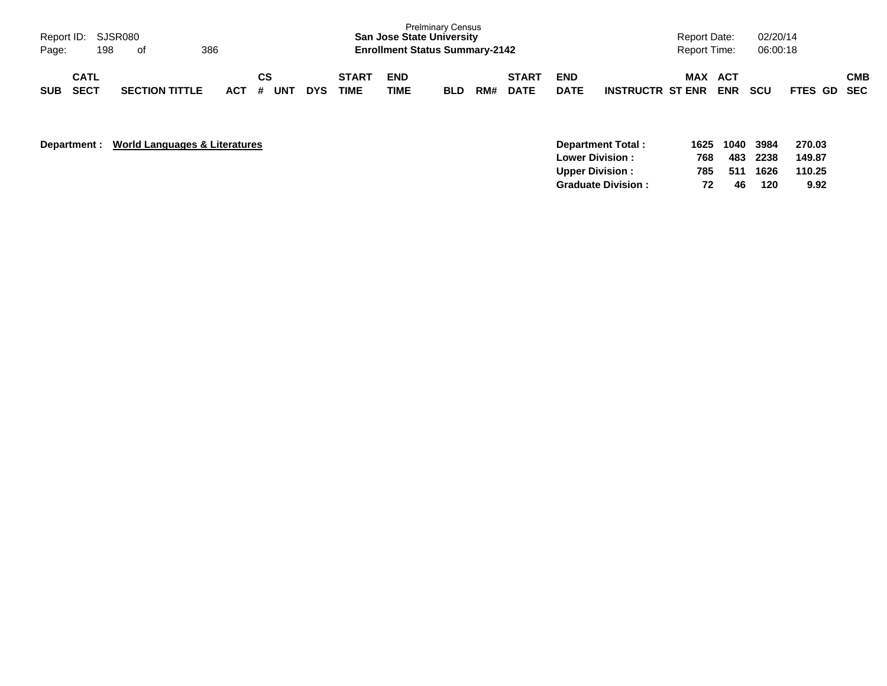| Page:      | Report ID: SJSR080<br>198  | of                    | 386 |         |    |     |            |                             | <b>San Jose State University</b><br><b>Enrollment Status Summary-2142</b> | <b>Prelminary Census</b> |     |                             |                           |                         | <b>Report Date:</b><br>Report Time: |            | 02/20/14<br>06:00:18 |             |            |
|------------|----------------------------|-----------------------|-----|---------|----|-----|------------|-----------------------------|---------------------------------------------------------------------------|--------------------------|-----|-----------------------------|---------------------------|-------------------------|-------------------------------------|------------|----------------------|-------------|------------|
| <b>SUB</b> | <b>CATL</b><br><b>SECT</b> | <b>SECTION TITTLE</b> |     | $ACT$ # | СS | UNT | <b>DYS</b> | <b>START</b><br><b>TIME</b> | <b>END</b><br>TIME                                                        | <b>BLD</b>               | RM# | <b>START</b><br><b>DATE</b> | <b>END</b><br><b>DATE</b> | <b>INSTRUCTR ST ENR</b> | MAX ACT                             | <b>ENR</b> | <b>SCU</b>           | FTES GD SEC | <b>CMB</b> |

| Department : World Languages & Literatures |  |
|--------------------------------------------|--|
|                                            |  |

|     |     |     | 270.03                                 |
|-----|-----|-----|----------------------------------------|
| 768 |     |     | 149.87                                 |
| 785 |     |     | 110.25                                 |
|     | 46. | 120 | 9.92                                   |
|     |     | 72  | 1625 1040 3984<br>483 2238<br>511 1626 |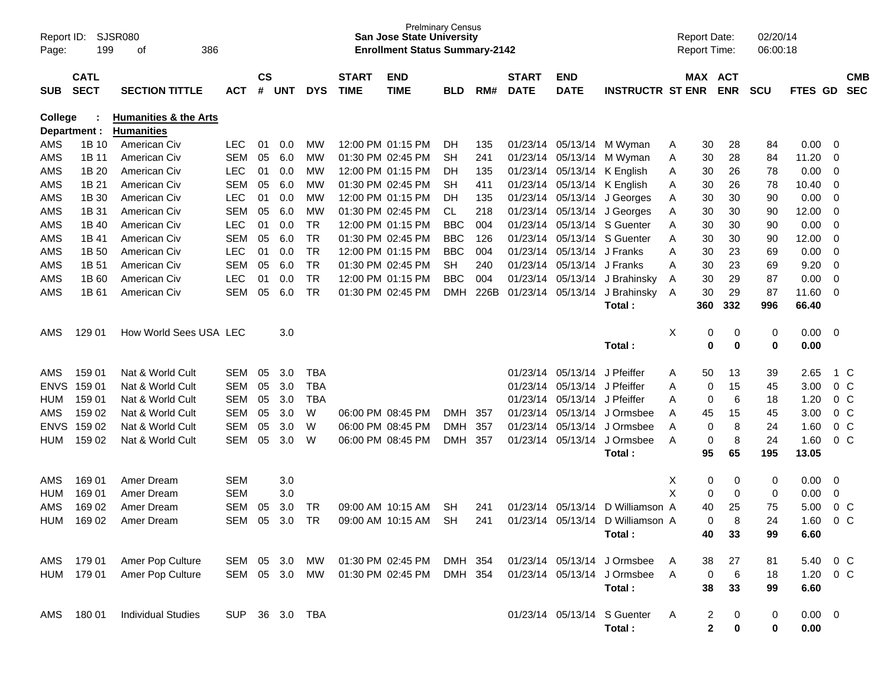| Report ID:<br>Page: | 199                        | SJSR080<br>386<br>οf             |            |                |            |            |                             | <b>San Jose State University</b><br><b>Enrollment Status Summary-2142</b> | <b>Prelminary Census</b> |      |                             |                           |                             |   | <b>Report Date:</b><br><b>Report Time:</b> |                       | 02/20/14<br>06:00:18 |                |                         |                          |
|---------------------|----------------------------|----------------------------------|------------|----------------|------------|------------|-----------------------------|---------------------------------------------------------------------------|--------------------------|------|-----------------------------|---------------------------|-----------------------------|---|--------------------------------------------|-----------------------|----------------------|----------------|-------------------------|--------------------------|
| <b>SUB</b>          | <b>CATL</b><br><b>SECT</b> | <b>SECTION TITTLE</b>            | <b>ACT</b> | <b>CS</b><br># | <b>UNT</b> | <b>DYS</b> | <b>START</b><br><b>TIME</b> | <b>END</b><br><b>TIME</b>                                                 | <b>BLD</b>               | RM#  | <b>START</b><br><b>DATE</b> | <b>END</b><br><b>DATE</b> | <b>INSTRUCTR ST ENR</b>     |   |                                            | MAX ACT<br><b>ENR</b> | <b>SCU</b>           | FTES GD        |                         | <b>CMB</b><br><b>SEC</b> |
| College             |                            | <b>Humanities &amp; the Arts</b> |            |                |            |            |                             |                                                                           |                          |      |                             |                           |                             |   |                                            |                       |                      |                |                         |                          |
|                     | Department :               | <b>Humanities</b>                |            |                |            |            |                             |                                                                           |                          |      |                             |                           |                             |   |                                            |                       |                      |                |                         |                          |
| AMS                 | 1B 10                      | American Civ                     | <b>LEC</b> | 01             | 0.0        | МW         |                             | 12:00 PM 01:15 PM                                                         | DH.                      | 135  |                             | 01/23/14 05/13/14         | M Wyman                     | A | 30                                         | 28                    | 84                   | 0.00           | $\overline{0}$          |                          |
| AMS                 | 1B 11                      | American Civ                     | <b>SEM</b> | 05             | 6.0        | MW         |                             | 01:30 PM 02:45 PM                                                         | <b>SH</b>                | 241  |                             | 01/23/14 05/13/14         | M Wyman                     | Α | 30                                         | 28                    | 84                   | 11.20          | 0                       |                          |
| AMS                 | 1B 20                      | American Civ                     | <b>LEC</b> | 01             | 0.0        | MW         |                             | 12:00 PM 01:15 PM                                                         | <b>DH</b>                | 135  |                             | 01/23/14 05/13/14         | K English                   | A | 30                                         | 26                    | 78                   | 0.00           | 0                       |                          |
| AMS                 | 1B 21                      | American Civ                     | <b>SEM</b> | 05             | 6.0        | MW         |                             | 01:30 PM 02:45 PM                                                         | <b>SH</b>                | 411  |                             | 01/23/14 05/13/14         | K English                   | A | 30                                         | 26                    | 78                   | 10.40          | 0                       |                          |
| AMS                 | 1B 30                      | American Civ                     | <b>LEC</b> | 01             | 0.0        | MW         |                             | 12:00 PM 01:15 PM                                                         | DH.                      | 135  |                             | 01/23/14 05/13/14         | J Georges                   | A | 30                                         | 30                    | 90                   | 0.00           | 0                       |                          |
| AMS                 | 1B 31                      | American Civ                     | <b>SEM</b> | 05             | 6.0        | MW         |                             | 01:30 PM 02:45 PM                                                         | <b>CL</b>                | 218  |                             | 01/23/14 05/13/14         | J Georges                   | A | 30                                         | 30                    | 90                   | 12.00          | 0                       |                          |
| AMS                 | 1B 40                      | American Civ                     | <b>LEC</b> | 01             | 0.0        | <b>TR</b>  |                             | 12:00 PM 01:15 PM                                                         | <b>BBC</b>               | 004  | 01/23/14                    | 05/13/14                  | S Guenter                   | Α | 30                                         | 30                    | 90                   | 0.00           | 0                       |                          |
| AMS                 | 1B 41                      | American Civ                     | <b>SEM</b> | 05             | 6.0        | <b>TR</b>  |                             | 01:30 PM 02:45 PM                                                         | <b>BBC</b>               | 126  | 01/23/14                    | 05/13/14                  | S Guenter                   | Α | 30                                         | 30                    | 90                   | 12.00          | 0                       |                          |
| AMS                 | 1B 50                      | American Civ                     | <b>LEC</b> | 01             | 0.0        | <b>TR</b>  |                             | 12:00 PM 01:15 PM                                                         | <b>BBC</b>               | 004  | 01/23/14                    | 05/13/14                  | J Franks                    | Α | 30                                         | 23                    | 69                   | 0.00           | 0                       |                          |
| AMS                 | 1B 51                      | American Civ                     | <b>SEM</b> | 05             | 6.0        | <b>TR</b>  |                             | 01:30 PM 02:45 PM                                                         | <b>SH</b>                | 240  | 01/23/14                    | 05/13/14                  | J Franks                    | Α | 30                                         | 23                    | 69                   | 9.20           | 0                       |                          |
| AMS                 | 1B 60                      | American Civ                     | <b>LEC</b> | 01             | 0.0        | <b>TR</b>  |                             | 12:00 PM 01:15 PM                                                         | <b>BBC</b>               | 004  | 01/23/14                    | 05/13/14                  | J Brahinsky                 | A | 30                                         | 29                    | 87                   | 0.00           | $\mathbf 0$             |                          |
| AMS                 | 1B 61                      | American Civ                     | <b>SEM</b> | 05             | 6.0        | <b>TR</b>  |                             | 01:30 PM 02:45 PM                                                         | <b>DMH</b>               | 226B | 01/23/14                    | 05/13/14                  | J Brahinsky                 | A | 30                                         | 29                    | 87                   | 11.60          | 0                       |                          |
|                     |                            |                                  |            |                |            |            |                             |                                                                           |                          |      |                             |                           | Total:                      |   | 360                                        | 332                   | 996                  | 66.40          |                         |                          |
|                     |                            |                                  |            |                |            |            |                             |                                                                           |                          |      |                             |                           |                             |   |                                            |                       |                      |                |                         |                          |
| AMS                 | 129 01                     | How World Sees USA LEC           |            |                | 3.0        |            |                             |                                                                           |                          |      |                             |                           |                             | Х | 0                                          | 0                     | 0                    | 0.00           | $\overline{\mathbf{0}}$ |                          |
|                     |                            |                                  |            |                |            |            |                             |                                                                           |                          |      |                             |                           | Total:                      |   | 0                                          | 0                     | 0                    | 0.00           |                         |                          |
| AMS                 | 159 01                     | Nat & World Cult                 | <b>SEM</b> | 05             | 3.0        | TBA        |                             |                                                                           |                          |      | 01/23/14                    | 05/13/14                  | J Pfeiffer                  | A | 50                                         | 13                    | 39                   | 2.65           | 1 C                     |                          |
| <b>ENVS</b>         | 159 01                     | Nat & World Cult                 | <b>SEM</b> | 05             | 3.0        | <b>TBA</b> |                             |                                                                           |                          |      | 01/23/14                    | 05/13/14                  | J Pfeiffer                  | Α | 0                                          | 15                    | 45                   | 3.00           | 0 <sup>o</sup>          |                          |
| <b>HUM</b>          | 159 01                     | Nat & World Cult                 | <b>SEM</b> | 05             | 3.0        | <b>TBA</b> |                             |                                                                           |                          |      | 01/23/14                    | 05/13/14                  | J Pfeiffer                  | Α | 0                                          | 6                     | 18                   | 1.20           | 0 <sup>o</sup>          |                          |
| AMS                 | 159 02                     | Nat & World Cult                 | <b>SEM</b> | 05             | 3.0        | W          |                             | 06:00 PM 08:45 PM                                                         | <b>DMH</b>               | 357  | 01/23/14                    | 05/13/14                  | J Ormsbee                   | Α | 45                                         | 15                    | 45                   | 3.00           | 0 <sup>o</sup>          |                          |
| <b>ENVS</b>         | 159 02                     | Nat & World Cult                 | <b>SEM</b> | 05             | 3.0        | W          |                             | 06:00 PM 08:45 PM                                                         | <b>DMH</b>               | 357  | 01/23/14                    | 05/13/14                  | J Ormsbee                   | Α | 0                                          | 8                     | 24                   | 1.60           | 0 <sup>o</sup>          |                          |
| <b>HUM</b>          | 159 02                     | Nat & World Cult                 | <b>SEM</b> | 05             | 3.0        | W          |                             | 06:00 PM 08:45 PM                                                         | <b>DMH</b>               | 357  | 01/23/14                    | 05/13/14                  | J Ormsbee                   | Α | 0                                          | 8                     | 24                   | 1.60           | 0 <sup>o</sup>          |                          |
|                     |                            |                                  |            |                |            |            |                             |                                                                           |                          |      |                             |                           | Total:                      |   | 95                                         | 65                    | 195                  | 13.05          |                         |                          |
|                     |                            |                                  |            |                |            |            |                             |                                                                           |                          |      |                             |                           |                             |   |                                            |                       |                      |                |                         |                          |
| AMS                 | 169 01                     | Amer Dream                       | <b>SEM</b> |                | 3.0        |            |                             |                                                                           |                          |      |                             |                           |                             | X | 0                                          | 0                     | 0                    | 0.00           | 0                       |                          |
| HUM                 | 169 01                     | Amer Dream                       | <b>SEM</b> |                | 3.0        |            |                             |                                                                           |                          |      |                             |                           |                             | X | 0                                          | 0                     | 0                    | 0.00           | 0                       |                          |
| AMS                 | 169 02                     | Amer Dream                       | <b>SEM</b> | 05             | 3.0        | TR         |                             | 09:00 AM 10:15 AM                                                         | <b>SH</b>                | 241  | 01/23/14                    | 05/13/14                  | D Williamson A              |   | 40                                         | 25                    | 75                   | 5.00           | 0 <sup>o</sup>          |                          |
| <b>HUM</b>          | 169 02                     | Amer Dream                       | <b>SEM</b> | 05             | 3.0        | <b>TR</b>  |                             | 09:00 AM 10:15 AM                                                         | SН                       | 241  | 01/23/14                    | 05/13/14                  | D Williamson A              |   | 0                                          | 8                     | 24                   | 1.60           | 0 <sup>o</sup>          |                          |
|                     |                            |                                  |            |                |            |            |                             |                                                                           |                          |      |                             |                           | Total:                      |   | 40                                         | 33                    | 99                   | 6.60           |                         |                          |
|                     |                            |                                  |            |                |            |            |                             |                                                                           |                          |      |                             |                           |                             |   |                                            |                       |                      |                |                         |                          |
| AMS                 | 179 01                     | Amer Pop Culture                 | <b>SEM</b> | 05             | 3.0        | МW         |                             | 01:30 PM 02:45 PM                                                         | DMH 354                  |      |                             | 01/23/14 05/13/14         | J Ormsbee                   | A | 38                                         | 27                    | 81                   | 5.40           | 0 <sup>o</sup>          |                          |
| <b>HUM</b>          | 179 01                     | Amer Pop Culture                 | SEM        |                | 05 3.0     | MW         |                             | 01:30 PM 02:45 PM                                                         | DMH 354                  |      |                             | 01/23/14 05/13/14         | J Ormsbee                   | A | 0                                          | 6                     | 18                   | 1.20           | $0\,$ C                 |                          |
|                     |                            |                                  |            |                |            |            |                             |                                                                           |                          |      |                             |                           | Total:                      |   | 38                                         | 33                    | 99                   | 6.60           |                         |                          |
|                     |                            |                                  |            |                |            |            |                             |                                                                           |                          |      |                             |                           |                             |   |                                            |                       |                      |                |                         |                          |
| AMS                 | 180 01                     | <b>Individual Studies</b>        | <b>SUP</b> |                | 36 3.0 TBA |            |                             |                                                                           |                          |      |                             |                           | 01/23/14 05/13/14 S Guenter | A | 2                                          | 0                     | 0                    | $0.00 \quad 0$ |                         |                          |
|                     |                            |                                  |            |                |            |            |                             |                                                                           |                          |      |                             |                           | Total:                      |   | $\overline{\mathbf{2}}$                    | 0                     | 0                    | 0.00           |                         |                          |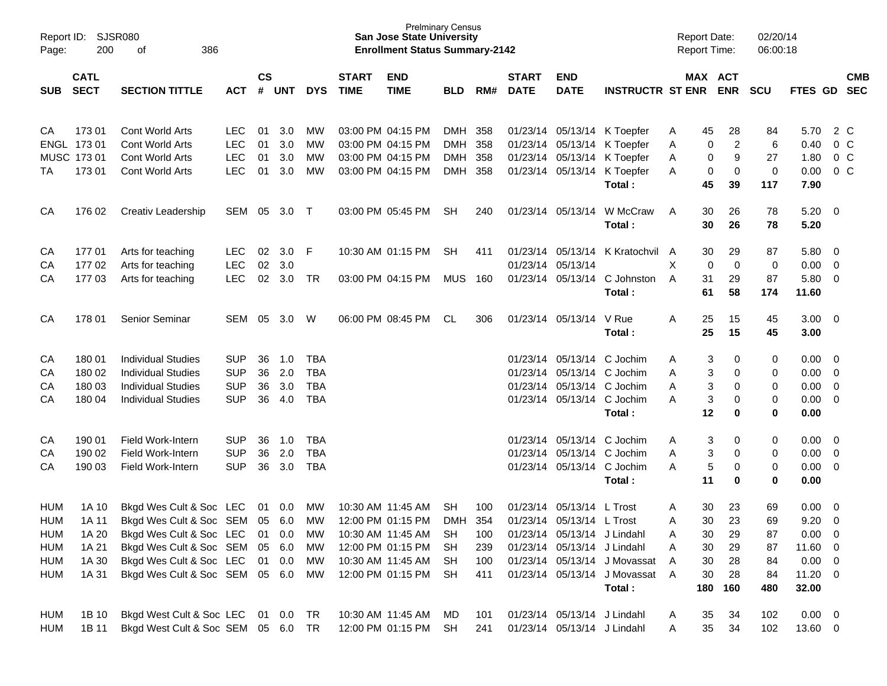| Page:      | Report ID: SJSR080<br>200  | 386<br>οf                              |                          |                    |            |            |                             | <b>Prelminary Census</b><br><b>San Jose State University</b><br><b>Enrollment Status Summary-2142</b> |            |     |                             |                             |                                       | <b>Report Date:</b><br>Report Time: |                         |                        | 02/20/14<br>06:00:18 |                                           |                |
|------------|----------------------------|----------------------------------------|--------------------------|--------------------|------------|------------|-----------------------------|-------------------------------------------------------------------------------------------------------|------------|-----|-----------------------------|-----------------------------|---------------------------------------|-------------------------------------|-------------------------|------------------------|----------------------|-------------------------------------------|----------------|
| <b>SUB</b> | <b>CATL</b><br><b>SECT</b> | <b>SECTION TITTLE</b>                  | <b>ACT</b>               | $\mathsf{cs}$<br># | UNT        | <b>DYS</b> | <b>START</b><br><b>TIME</b> | <b>END</b><br><b>TIME</b>                                                                             | <b>BLD</b> | RM# | <b>START</b><br><b>DATE</b> | <b>END</b><br><b>DATE</b>   | <b>INSTRUCTR ST ENR</b>               |                                     | MAX ACT<br><b>ENR</b>   | <b>SCU</b>             | FTES GD SEC          |                                           | <b>CMB</b>     |
| CA         | 17301                      | Cont World Arts                        | <b>LEC</b>               | 01                 | 3.0        | MW         |                             | 03:00 PM 04:15 PM                                                                                     | DMH 358    |     |                             |                             | 01/23/14 05/13/14 K Toepfer           | Α                                   | 45<br>28                | 84                     | 5.70                 |                                           | 2 C            |
|            | ENGL 173 01                | Cont World Arts                        | <b>LEC</b>               | 01                 | 3.0        | МW         |                             | 03:00 PM 04:15 PM                                                                                     | DMH 358    |     |                             |                             | 01/23/14 05/13/14 K Toepfer           | Α                                   | 0                       | $\overline{2}$<br>6    | 0.40                 |                                           | 0 <sup>o</sup> |
|            | MUSC 173 01                | Cont World Arts                        | <b>LEC</b>               | 01                 | 3.0        | MW         |                             | 03:00 PM 04:15 PM                                                                                     | DMH 358    |     |                             |                             | 01/23/14 05/13/14 K Toepfer           | Α                                   | 0                       | 9<br>27                | 1.80                 |                                           | 0 <sup>o</sup> |
| ТA         | 173 01                     | Cont World Arts                        | <b>LEC</b>               | 01                 | 3.0        | MW         |                             | 03:00 PM 04:15 PM                                                                                     | DMH 358    |     |                             |                             | 01/23/14 05/13/14 K Toepfer<br>Total: | Α                                   | 0<br>45<br>39           | 0<br>0<br>117          | 0.00<br>7.90         |                                           | 0 <sup>o</sup> |
| CA         | 176 02                     | Creativ Leadership                     | SEM 05                   |                    | $3.0$ T    |            |                             | 03:00 PM 05:45 PM                                                                                     | <b>SH</b>  | 240 |                             | 01/23/14 05/13/14           | W McCraw<br>Total:                    | A                                   | 30<br>26<br>26<br>30    | 78<br>78               | 5.20<br>5.20         | $\overline{\phantom{0}}$                  |                |
|            |                            |                                        |                          |                    |            |            |                             |                                                                                                       |            |     |                             |                             |                                       |                                     |                         |                        |                      |                                           |                |
| CA<br>CA   | 17701<br>17702             | Arts for teaching<br>Arts for teaching | <b>LEC</b><br><b>LEC</b> | 02<br>02           | 3.0<br>3.0 | - F        |                             | 10:30 AM 01:15 PM                                                                                     | <b>SH</b>  | 411 |                             | 01/23/14 05/13/14           | 01/23/14 05/13/14 K Kratochvil A      | X                                   | 30<br>29<br>$\mathbf 0$ | 87<br>$\mathbf 0$<br>0 | 5.80<br>0.00         | $\overline{\mathbf{0}}$<br>$\overline{0}$ |                |
| CA         | 17703                      | Arts for teaching                      | <b>LEC</b>               | 02                 | 3.0        | TR         |                             | 03:00 PM 04:15 PM                                                                                     | MUS        | 160 |                             | 01/23/14 05/13/14           | C Johnston                            | A                                   | 31<br>29                | 87                     | 5.80                 | $\overline{0}$                            |                |
|            |                            |                                        |                          |                    |            |            |                             |                                                                                                       |            |     |                             |                             | Total:                                |                                     | 61<br>58                | 174                    | 11.60                |                                           |                |
| CA         | 178 01                     | Senior Seminar                         | SEM                      | 05                 | 3.0        | W          |                             | 06:00 PM 08:45 PM                                                                                     | CL         | 306 |                             | 01/23/14 05/13/14           | V Rue<br>Total:                       | Α                                   | 25<br>15<br>25<br>15    | 45<br>45               | $3.00 \ 0$<br>3.00   |                                           |                |
| CA         | 180 01                     | <b>Individual Studies</b>              | <b>SUP</b>               | 36                 | 1.0        | <b>TBA</b> |                             |                                                                                                       |            |     |                             | 01/23/14 05/13/14 C Jochim  |                                       | Α                                   | 3                       | 0<br>0                 | 0.00                 | $\overline{\mathbf{0}}$                   |                |
| CA         | 180 02                     | <b>Individual Studies</b>              | <b>SUP</b>               | 36                 | 2.0        | <b>TBA</b> |                             |                                                                                                       |            |     |                             | 01/23/14 05/13/14 C Jochim  |                                       | Α                                   | 3                       | 0<br>0                 | 0.00                 | $\overline{0}$                            |                |
| CA         | 180 03                     | <b>Individual Studies</b>              | <b>SUP</b>               | 36                 | 3.0        | <b>TBA</b> |                             |                                                                                                       |            |     |                             | 01/23/14 05/13/14 C Jochim  |                                       | Α                                   | 3                       | 0<br>0                 | 0.00                 | $\overline{0}$                            |                |
| CA         | 180 04                     | <b>Individual Studies</b>              | <b>SUP</b>               | 36                 | 4.0        | <b>TBA</b> |                             |                                                                                                       |            |     |                             | 01/23/14 05/13/14 C Jochim  |                                       | Α                                   | 3                       | 0<br>0                 | 0.00                 | $\overline{0}$                            |                |
|            |                            |                                        |                          |                    |            |            |                             |                                                                                                       |            |     |                             |                             | Total:                                |                                     | 12                      | 0<br>0                 | 0.00                 |                                           |                |
| CA         | 190 01                     | Field Work-Intern                      | <b>SUP</b>               | 36                 | 1.0        | <b>TBA</b> |                             |                                                                                                       |            |     |                             | 01/23/14 05/13/14 C Jochim  |                                       | Α                                   | 3                       | 0<br>0                 | 0.00                 | $\overline{\mathbf{0}}$                   |                |
| CA         | 190 02                     | Field Work-Intern                      | <b>SUP</b>               | 36                 | 2.0        | <b>TBA</b> |                             |                                                                                                       |            |     |                             | 01/23/14 05/13/14 C Jochim  |                                       | Α                                   | 3                       | 0<br>0                 | 0.00                 | $\overline{0}$                            |                |
| CA         | 190 03                     | Field Work-Intern                      | <b>SUP</b>               | 36                 | 3.0        | <b>TBA</b> |                             |                                                                                                       |            |     |                             | 01/23/14 05/13/14 C Jochim  |                                       | А                                   | 5                       | 0<br>0                 | 0.00                 | $\overline{0}$                            |                |
|            |                            |                                        |                          |                    |            |            |                             |                                                                                                       |            |     |                             |                             | Total:                                |                                     | 11                      | 0<br>0                 | 0.00                 |                                           |                |
| <b>HUM</b> | 1A 10                      | Bkgd Wes Cult & Soc LEC                |                          | 01                 | 0.0        | MW         |                             | 10:30 AM 11:45 AM                                                                                     | <b>SH</b>  | 100 |                             | 01/23/14 05/13/14 L Trost   |                                       | Α                                   | 30<br>23                | 69                     | 0.00                 | $\overline{\mathbf{0}}$                   |                |
| <b>HUM</b> | 1A 11                      | Bkgd Wes Cult & Soc SEM 05             |                          |                    | 6.0        | МW         |                             | 12:00 PM 01:15 PM                                                                                     | DMH        | 354 |                             | 01/23/14 05/13/14 L Trost   |                                       | Α                                   | 30<br>23                | 69                     | 9.20                 | $\overline{0}$                            |                |
| <b>HUM</b> | 1A 20                      | Bkgd Wes Cult & Soc LEC                |                          | 01                 | 0.0        | МW         |                             | 10:30 AM 11:45 AM                                                                                     | SH         | 100 |                             | 01/23/14 05/13/14 J Lindahl |                                       | Α                                   | 30<br>29                | 87                     | 0.00                 | $\overline{\phantom{0}}$                  |                |
| HUM        | 1A 21                      | Bkgd Wes Cult & Soc SEM                |                          | 05                 | 6.0        | MW         |                             | 12:00 PM 01:15 PM                                                                                     | SH         | 239 |                             | 01/23/14 05/13/14 J Lindahl |                                       | Α                                   | 30<br>29                | 87                     | 11.60 0              |                                           |                |
| HUM        | 1A 30                      | Bkgd Wes Cult & Soc LEC                |                          |                    | 01 0.0     | МW         |                             | 10:30 AM 11:45 AM                                                                                     | SH         | 100 |                             |                             | 01/23/14 05/13/14 J Movassat          | A                                   | 30<br>28                | 84                     | $0.00 \t 0$          |                                           |                |
| HUM        | 1A 31                      | Bkgd Wes Cult & Soc SEM 05 6.0         |                          |                    |            | MW         |                             | 12:00 PM 01:15 PM                                                                                     | -SH        | 411 |                             |                             | 01/23/14 05/13/14 J Movassat A        |                                     | 30<br>28                | 84                     | $11.20 \t 0$         |                                           |                |
|            |                            |                                        |                          |                    |            |            |                             |                                                                                                       |            |     |                             |                             | Total:                                |                                     | 180<br>160              | 480                    | 32.00                |                                           |                |
| <b>HUM</b> | 1B 10                      | Bkgd West Cult & Soc LEC 01 0.0 TR     |                          |                    |            |            |                             | 10:30 AM 11:45 AM                                                                                     | MD         | 101 |                             | 01/23/14 05/13/14 J Lindahl |                                       | A                                   | 35<br>34                | 102                    | $0.00 \t 0$          |                                           |                |
| HUM        | 1B 11                      | Bkgd West Cult & Soc SEM 05 6.0 TR     |                          |                    |            |            |                             | 12:00 PM 01:15 PM SH                                                                                  |            | 241 |                             | 01/23/14 05/13/14 J Lindahl |                                       | A                                   | 35<br>34                | 102                    | 13.60 0              |                                           |                |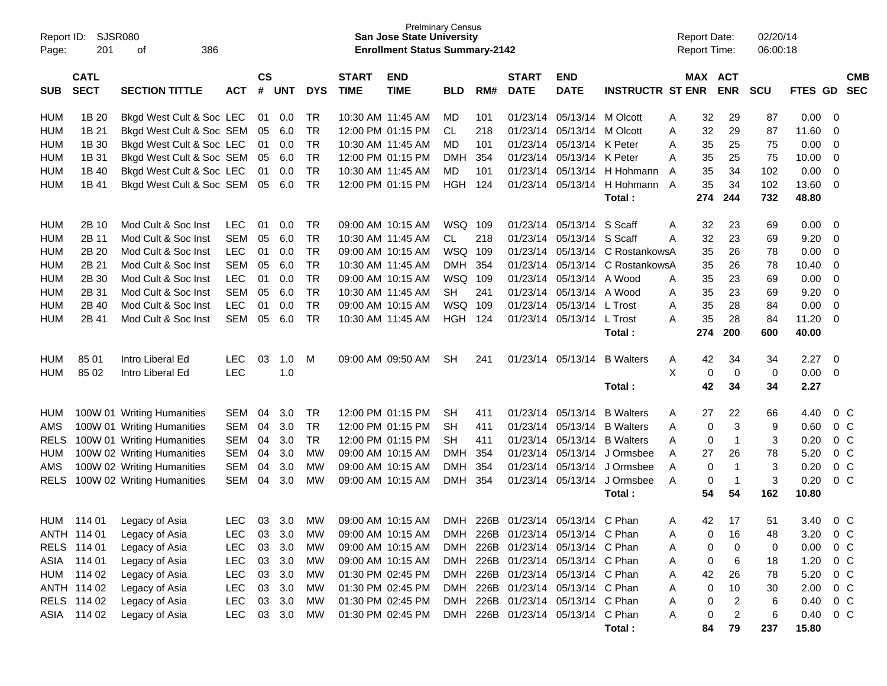| Report ID:<br>Page: | SJSR080<br>201             | 386<br>οf                        |                          |               |                  |            |                   | <b>Prelminary Census</b><br><b>San Jose State University</b><br><b>Enrollment Status Summary-2142</b> |            |     |              |                                                                        |                         |        | <b>Report Date:</b><br><b>Report Time:</b> |                | 02/20/14<br>06:00:18 |              |                |  |
|---------------------|----------------------------|----------------------------------|--------------------------|---------------|------------------|------------|-------------------|-------------------------------------------------------------------------------------------------------|------------|-----|--------------|------------------------------------------------------------------------|-------------------------|--------|--------------------------------------------|----------------|----------------------|--------------|----------------|--|
|                     | <b>CATL</b>                |                                  |                          | $\mathsf{cs}$ |                  |            | <b>START</b>      | <b>END</b>                                                                                            |            |     | <b>START</b> | <b>END</b>                                                             |                         |        | MAX ACT                                    |                |                      |              | <b>CMB</b>     |  |
| <b>SUB</b>          | <b>SECT</b>                | <b>SECTION TITTLE</b>            | <b>ACT</b>               | #             | <b>UNT</b>       | <b>DYS</b> | <b>TIME</b>       | <b>TIME</b>                                                                                           | <b>BLD</b> | RM# | <b>DATE</b>  | <b>DATE</b>                                                            | <b>INSTRUCTR ST ENR</b> |        |                                            | <b>ENR</b>     | <b>SCU</b>           | FTES GD      | <b>SEC</b>     |  |
| <b>HUM</b>          | 1B 20                      | Bkgd West Cult & Soc LEC         |                          | 01            | 0.0              | TR         | 10:30 AM 11:45 AM |                                                                                                       | MD.        | 101 | 01/23/14     | 05/13/14                                                               | M Olcott                | A      | 32                                         | 29             | 87                   | 0.00         | 0              |  |
| <b>HUM</b>          | 1B 21                      | Bkgd West Cult & Soc SEM         |                          | 05            | 6.0              | <b>TR</b>  |                   | 12:00 PM 01:15 PM                                                                                     | CL.        | 218 | 01/23/14     | 05/13/14                                                               | M Olcott                | A      | 32                                         | 29             | 87                   | 11.60        | 0              |  |
| <b>HUM</b>          | 1B 30                      | Bkgd West Cult & Soc LEC         |                          | 01            | 0.0              | <b>TR</b>  | 10:30 AM 11:45 AM |                                                                                                       | MD         | 101 | 01/23/14     | 05/13/14                                                               | K Peter                 | A      | 35                                         | 25             | 75                   | 0.00         | 0              |  |
| <b>HUM</b>          | 1B 31                      | Bkgd West Cult & Soc SEM         |                          | 05            | 6.0              | TR         | 12:00 PM 01:15 PM |                                                                                                       | <b>DMH</b> | 354 | 01/23/14     | 05/13/14                                                               | K Peter                 | A      | 35                                         | 25             | 75                   | 10.00        | 0              |  |
| <b>HUM</b>          | 1B 40                      | Bkgd West Cult & Soc LEC         |                          | 01            | 0.0              | <b>TR</b>  | 10:30 AM 11:45 AM |                                                                                                       | MD.        | 101 | 01/23/14     | 05/13/14                                                               | H Hohmann               | A      | 35                                         | 34             | 102                  | 0.00         | 0              |  |
| <b>HUM</b>          | 1B 41                      | Bkgd West Cult & Soc SEM         |                          | 05            | 6.0              | <b>TR</b>  | 12:00 PM 01:15 PM |                                                                                                       | HGH        | 124 | 01/23/14     | 05/13/14                                                               | H Hohmann A             |        | 35                                         | 34             | 102                  | 13.60        | 0              |  |
|                     |                            |                                  |                          |               |                  |            |                   |                                                                                                       |            |     |              |                                                                        | Total:                  |        | 274                                        | 244            | 732                  | 48.80        |                |  |
| <b>HUM</b>          | 2B 10                      | Mod Cult & Soc Inst              | <b>LEC</b>               | 01            | 0.0              | TR         | 09:00 AM 10:15 AM |                                                                                                       | WSQ 109    |     | 01/23/14     | 05/13/14                                                               | S Scaff                 | A      | 32                                         | 23             | 69                   | 0.00         | 0              |  |
| <b>HUM</b>          | 2B 11                      | Mod Cult & Soc Inst              | <b>SEM</b>               | 05            | 6.0              | <b>TR</b>  | 10:30 AM 11:45 AM |                                                                                                       | CL         | 218 | 01/23/14     | 05/13/14                                                               | S Scaff                 | A      | 32                                         | 23             | 69                   | 9.20         | 0              |  |
| <b>HUM</b>          | 2B 20                      | Mod Cult & Soc Inst              | <b>LEC</b>               | 01            | 0.0              | TR         | 09:00 AM 10:15 AM |                                                                                                       | WSQ 109    |     | 01/23/14     | 05/13/14                                                               | C RostankowsA           |        | 35                                         | 26             | 78                   | 0.00         | 0              |  |
| <b>HUM</b>          | 2B 21                      | Mod Cult & Soc Inst              | <b>SEM</b>               | 05            | 6.0              | TR         | 10:30 AM 11:45 AM |                                                                                                       | <b>DMH</b> | 354 | 01/23/14     | 05/13/14                                                               | C RostankowsA           |        | 35                                         | 26             | 78                   | 10.40        | 0              |  |
| <b>HUM</b>          | 2B 30                      | Mod Cult & Soc Inst              | <b>LEC</b>               | 01            | 0.0              | TR         | 09:00 AM 10:15 AM |                                                                                                       | WSQ 109    |     | 01/23/14     | 05/13/14                                                               | A Wood                  | A      | 35                                         | 23             | 69                   | 0.00         | 0              |  |
| <b>HUM</b>          | 2B 31                      | Mod Cult & Soc Inst              | <b>SEM</b>               | 05            | 6.0              | <b>TR</b>  | 10:30 AM 11:45 AM |                                                                                                       | <b>SH</b>  | 241 | 01/23/14     | 05/13/14                                                               | A Wood                  | A      | 35                                         | 23             | 69                   | 9.20         | 0              |  |
| <b>HUM</b>          | 2B 40                      | Mod Cult & Soc Inst              | <b>LEC</b>               | 01            | 0.0              | <b>TR</b>  | 09:00 AM 10:15 AM |                                                                                                       | WSQ 109    |     | 01/23/14     | 05/13/14                                                               | L Trost                 | A      | 35                                         | 28             | 84                   | 0.00         | 0              |  |
| <b>HUM</b>          | 2B 41                      | Mod Cult & Soc Inst              | <b>SEM</b>               | 05            | 6.0              | <b>TR</b>  | 10:30 AM 11:45 AM |                                                                                                       | <b>HGH</b> | 124 | 01/23/14     | 05/13/14                                                               | L Trost                 | A      | 35                                         | 28             | 84                   | 11.20        | 0              |  |
|                     |                            |                                  |                          |               |                  |            |                   |                                                                                                       |            |     |              |                                                                        | Total :                 |        | 274                                        | 200            | 600                  | 40.00        |                |  |
| <b>HUM</b>          | 85 01                      | Intro Liberal Ed                 | <b>LEC</b>               | 03            | 1.0              | м          |                   | 09:00 AM 09:50 AM                                                                                     | <b>SH</b>  | 241 | 01/23/14     | 05/13/14                                                               | <b>B</b> Walters        | A      | 42                                         | 34             | 34                   | 2.27         | $\mathbf 0$    |  |
| <b>HUM</b>          | 85 02                      | Intro Liberal Ed                 | <b>LEC</b>               |               | 1.0              |            |                   |                                                                                                       |            |     |              |                                                                        |                         | X      | 0                                          | 0              | 0                    | 0.00         | 0              |  |
|                     |                            |                                  |                          |               |                  |            |                   |                                                                                                       |            |     |              |                                                                        | Total:                  |        | 42                                         | 34             | 34                   | 2.27         |                |  |
| HUM                 |                            | 100W 01 Writing Humanities       | <b>SEM</b>               | 04            | 3.0              | TR         |                   | 12:00 PM 01:15 PM                                                                                     | <b>SH</b>  | 411 | 01/23/14     | 05/13/14                                                               | <b>B</b> Walters        | A      | 27                                         | 22             | 66                   | 4.40         | $0\,C$         |  |
| AMS                 |                            | 100W 01 Writing Humanities       | <b>SEM</b>               | 04            | 3.0              | TR         |                   | 12:00 PM 01:15 PM                                                                                     | <b>SH</b>  | 411 | 01/23/14     | 05/13/14                                                               | <b>B</b> Walters        | A      | 0                                          | 3              | 9                    | 0.60         | $0\,C$         |  |
| <b>RELS</b>         |                            | 100W 01 Writing Humanities       | <b>SEM</b>               | 04            | 3.0              | <b>TR</b>  |                   | 12:00 PM 01:15 PM                                                                                     | SН         | 411 | 01/23/14     | 05/13/14                                                               | <b>B</b> Walters        | A      | 0                                          | -1             | 3                    | 0.20         | 0 <sup>C</sup> |  |
| <b>HUM</b>          |                            | 100W 02 Writing Humanities       | <b>SEM</b>               | 04            | 3.0              | <b>MW</b>  | 09:00 AM 10:15 AM |                                                                                                       | <b>DMH</b> | 354 | 01/23/14     | 05/13/14                                                               | J Ormsbee               | A      | 27                                         | 26             | 78                   | 5.20         | 0 <sup>C</sup> |  |
| AMS                 |                            | 100W 02 Writing Humanities       | <b>SEM</b>               | 04            | 3.0              | МW         | 09:00 AM 10:15 AM |                                                                                                       | <b>DMH</b> | 354 | 01/23/14     | 05/13/14                                                               | J Ormsbee               | A      | 0                                          | $\mathbf 1$    | 3                    | 0.20         | $0\quad C$     |  |
| RELS                |                            | 100W 02 Writing Humanities       | <b>SEM</b>               | 04            | 3.0              | <b>MW</b>  | 09:00 AM 10:15 AM |                                                                                                       | <b>DMH</b> | 354 | 01/23/14     | 05/13/14                                                               | J Ormsbee               | A      | 0                                          | $\overline{1}$ | 3                    | 0.20         | 0 <sup>o</sup> |  |
|                     |                            |                                  |                          |               |                  |            |                   |                                                                                                       |            |     |              |                                                                        | Total :                 |        | 54                                         | 54             | 162                  | 10.80        |                |  |
|                     |                            |                                  | LEC                      |               | $03 \quad 3.0$   | MW         |                   | 09:00 AM 10:15 AM                                                                                     | <b>DMH</b> |     |              | 226B 01/23/14 05/13/14                                                 | C Phan                  |        |                                            |                |                      |              | $0\,C$         |  |
| HUM                 | 114 01                     | Legacy of Asia                   |                          |               |                  |            |                   |                                                                                                       |            |     |              |                                                                        |                         | A      | 42                                         | -17            | 51                   | 3.40         |                |  |
|                     | ANTH 114 01                | Legacy of Asia                   | LEC.                     |               | 03 3.0           | MW         |                   | 09:00 AM 10:15 AM                                                                                     |            |     |              | DMH 226B 01/23/14 05/13/14 C Phan                                      |                         | Α      | 0                                          | 16             | 48                   | 3.20         | $0\,C$         |  |
|                     | RELS 114 01<br>ASIA 114 01 | Legacy of Asia                   | <b>LEC</b>               |               | 03 3.0           | MW         |                   | 09:00 AM 10:15 AM                                                                                     |            |     |              | DMH 226B 01/23/14 05/13/14 C Phan<br>DMH 226B 01/23/14 05/13/14 C Phan |                         | Α      | 0                                          | 0              | 0                    | 0.00         | 0 C            |  |
|                     | HUM 114 02                 | Legacy of Asia                   | <b>LEC</b><br><b>LEC</b> |               | 03 3.0<br>03 3.0 | MW         |                   | 09:00 AM 10:15 AM                                                                                     |            |     |              | DMH 226B 01/23/14 05/13/14 C Phan                                      |                         | Α      | 0                                          | 6              | 18                   | 1.20         | 0 C            |  |
|                     | ANTH 114 02                | Legacy of Asia                   | <b>LEC</b>               |               | 03 3.0           | MW         |                   | 01:30 PM 02:45 PM                                                                                     |            |     |              | DMH 226B 01/23/14 05/13/14 C Phan                                      |                         | Α      | 42<br>0                                    | 26             | 78                   | 5.20         | 0 C            |  |
|                     | RELS 114 02                | Legacy of Asia                   | LEC                      |               | 03 3.0           | MW<br>MW   |                   | 01:30 PM 02:45 PM<br>01:30 PM 02:45 PM                                                                |            |     |              | DMH 226B 01/23/14 05/13/14 C Phan                                      |                         | Α      | 0                                          | 10<br>2        | 30<br>6              | 2.00<br>0.40 | 0 C<br>0 C     |  |
|                     | ASIA 114 02                | Legacy of Asia<br>Legacy of Asia | <b>LEC</b>               |               | 03 3.0           | MW         |                   | 01:30 PM 02:45 PM                                                                                     |            |     |              | DMH 226B 01/23/14 05/13/14 C Phan                                      |                         | Α<br>Α | 0                                          | $\overline{c}$ | 6                    | 0.40         | 0 C            |  |
|                     |                            |                                  |                          |               |                  |            |                   |                                                                                                       |            |     |              |                                                                        | Total:                  |        | 84                                         | 79             | 237                  | 15.80        |                |  |
|                     |                            |                                  |                          |               |                  |            |                   |                                                                                                       |            |     |              |                                                                        |                         |        |                                            |                |                      |              |                |  |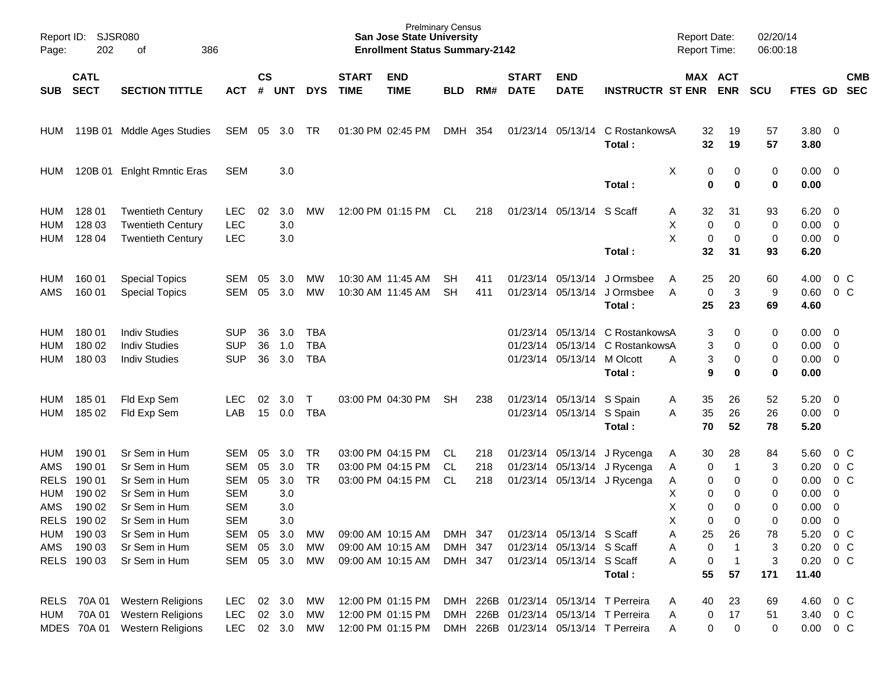| Page:                                                 | Report ID: SJSR080<br>202                                     | 386<br>οf                                                                                          |                                                                           |                    |                                        |                                        |                             | <b>Prelminary Census</b><br><b>San Jose State University</b><br><b>Enrollment Status Summary-2142</b> |                               |                   |                             |                                                                                     |                                                                                                                         | <b>Report Date:</b><br>Report Time:                       |                                    | 02/20/14<br>06:00:18        |                                                      |                                                                                                |  |
|-------------------------------------------------------|---------------------------------------------------------------|----------------------------------------------------------------------------------------------------|---------------------------------------------------------------------------|--------------------|----------------------------------------|----------------------------------------|-----------------------------|-------------------------------------------------------------------------------------------------------|-------------------------------|-------------------|-----------------------------|-------------------------------------------------------------------------------------|-------------------------------------------------------------------------------------------------------------------------|-----------------------------------------------------------|------------------------------------|-----------------------------|------------------------------------------------------|------------------------------------------------------------------------------------------------|--|
| <b>SUB</b>                                            | <b>CATL</b><br><b>SECT</b>                                    | <b>SECTION TITTLE</b>                                                                              | <b>ACT</b>                                                                | $\mathsf{cs}$<br># | <b>UNT</b>                             | <b>DYS</b>                             | <b>START</b><br><b>TIME</b> | <b>END</b><br><b>TIME</b>                                                                             | <b>BLD</b>                    | RM#               | <b>START</b><br><b>DATE</b> | <b>END</b><br><b>DATE</b>                                                           | <b>INSTRUCTR ST ENR</b>                                                                                                 | MAX ACT                                                   | <b>ENR</b>                         | <b>SCU</b>                  | <b>FTES GD</b>                                       | <b>CMB</b><br><b>SEC</b>                                                                       |  |
| HUM                                                   |                                                               | 119B 01 Mddle Ages Studies                                                                         | SEM 05                                                                    |                    | 3.0                                    | TR                                     |                             | 01:30 PM 02:45 PM                                                                                     | DMH 354                       |                   |                             | 01/23/14 05/13/14                                                                   | C RostankowsA<br>Total:                                                                                                 | 32<br>32                                                  | 19<br>19                           | 57<br>57                    | 3.80 0<br>3.80                                       |                                                                                                |  |
| HUM                                                   | 120B 01                                                       | <b>Enlght Rmntic Eras</b>                                                                          | <b>SEM</b>                                                                |                    | 3.0                                    |                                        |                             |                                                                                                       |                               |                   |                             |                                                                                     | Total:                                                                                                                  | Χ<br>0<br>0                                               | 0<br>$\mathbf 0$                   | 0<br>$\bf{0}$               | $0.00 \t 0$<br>0.00                                  |                                                                                                |  |
| <b>HUM</b><br><b>HUM</b><br><b>HUM</b>                | 128 01<br>128 03<br>128 04                                    | <b>Twentieth Century</b><br><b>Twentieth Century</b><br><b>Twentieth Century</b>                   | <b>LEC</b><br><b>LEC</b><br><b>LEC</b>                                    | 02                 | 3.0<br>3.0<br>3.0                      | MW                                     |                             | 12:00 PM 01:15 PM                                                                                     | CL                            | 218               |                             | 01/23/14 05/13/14 S Scaff                                                           | Total:                                                                                                                  | 32<br>Α<br>Χ<br>0<br>X<br>0<br>32                         | 31<br>$\mathbf 0$<br>0<br>31       | 93<br>0<br>0<br>93          | 6.20<br>$0.00 \t 0$<br>$0.00 \t 0$<br>6.20           | $\overline{\phantom{0}}$                                                                       |  |
| HUM<br>AMS                                            | 160 01<br>160 01                                              | <b>Special Topics</b><br><b>Special Topics</b>                                                     | <b>SEM</b><br><b>SEM</b>                                                  | 05<br>05           | 3.0<br>3.0                             | MW<br>MW                               |                             | 10:30 AM 11:45 AM<br>10:30 AM 11:45 AM                                                                | SH.<br><b>SH</b>              | 411<br>411        |                             | 01/23/14 05/13/14<br>01/23/14 05/13/14                                              | J Ormsbee<br>J Ormsbee<br>Total:                                                                                        | 25<br>A<br>0<br>A<br>25                                   | 20<br>3<br>23                      | 60<br>9<br>69               | 4.00<br>0.60<br>4.60                                 | $0\,$ C<br>0 <sup>o</sup>                                                                      |  |
| HUM<br><b>HUM</b><br><b>HUM</b>                       | 180 01<br>180 02<br>180 03                                    | <b>Indiv Studies</b><br><b>Indiv Studies</b><br><b>Indiv Studies</b>                               | <b>SUP</b><br><b>SUP</b><br><b>SUP</b>                                    | 36<br>36<br>36     | 3.0<br>1.0<br>3.0                      | <b>TBA</b><br><b>TBA</b><br><b>TBA</b> |                             |                                                                                                       |                               |                   |                             | 01/23/14 05/13/14 M Olcott                                                          | 01/23/14 05/13/14 C RostankowsA<br>01/23/14 05/13/14 C RostankowsA<br>Total:                                            | 3<br>3<br>3<br>A<br>9                                     | 0<br>0<br>0<br>0                   | 0<br>0<br>0<br>0            | $0.00 \quad 0$<br>$0.00 \t 0$<br>$0.00 \t 0$<br>0.00 |                                                                                                |  |
| <b>HUM</b><br><b>HUM</b>                              | 185 01<br>185 02                                              | Fld Exp Sem<br>Fld Exp Sem                                                                         | <b>LEC</b><br>LAB                                                         | 02<br>15           | 3.0<br>0.0                             | Τ<br><b>TBA</b>                        |                             | 03:00 PM 04:30 PM                                                                                     | <b>SH</b>                     | 238               |                             | 01/23/14 05/13/14 S Spain<br>01/23/14 05/13/14 S Spain                              | Total:                                                                                                                  | 35<br>A<br>35<br>Α<br>70                                  | 26<br>26<br>52                     | 52<br>26<br>78              | 5.20<br>$0.00 \t 0$<br>5.20                          | $\overline{\mathbf{0}}$                                                                        |  |
| <b>HUM</b><br>AMS<br><b>RELS</b><br><b>HUM</b><br>AMS | 190 01<br>190 01<br>190 01<br>190 02<br>190 02<br>RELS 190 02 | Sr Sem in Hum<br>Sr Sem in Hum<br>Sr Sem in Hum<br>Sr Sem in Hum<br>Sr Sem in Hum<br>Sr Sem in Hum | <b>SEM</b><br><b>SEM</b><br>SEM<br><b>SEM</b><br><b>SEM</b><br><b>SEM</b> | 05<br>05<br>05     | 3.0<br>3.0<br>3.0<br>3.0<br>3.0<br>3.0 | TR<br><b>TR</b><br><b>TR</b>           |                             | 03:00 PM 04:15 PM<br>03:00 PM 04:15 PM<br>03:00 PM 04:15 PM                                           | CL.<br>CL<br>CL               | 218<br>218<br>218 |                             |                                                                                     | 01/23/14 05/13/14 J Rycenga<br>01/23/14 05/13/14 J Rycenga<br>01/23/14 05/13/14 J Rycenga                               | 30<br>A<br>0<br>A<br>0<br>Α<br>Χ<br>0<br>Χ<br>0<br>X<br>0 | 28<br>1<br>0<br>0<br>0<br>$\Omega$ | 84<br>3<br>0<br>0<br>0<br>0 | 5.60<br>0.20<br>0.00<br>0.00<br>0.00<br>0.00         | $0\,$ C<br>0 <sup>o</sup><br>0 <sup>o</sup><br>$\mathbf 0$<br>$\overline{0}$<br>$\overline{0}$ |  |
| AMS                                                   | HUM 190 03<br>190 03<br>RELS 190 03                           | Sr Sem in Hum<br>Sr Sem in Hum<br>Sr Sem in Hum                                                    | SEM<br>SEM<br>SEM 05 3.0                                                  | 05<br>05           | 3.0<br>3.0                             | МW<br>МW<br>MW                         |                             | 09:00 AM 10:15 AM<br>09:00 AM 10:15 AM<br>09:00 AM 10:15 AM                                           | DMH 347<br>DMH 347<br>DMH 347 |                   |                             | 01/23/14 05/13/14 S Scaff<br>01/23/14 05/13/14 S Scaff<br>01/23/14 05/13/14 S Scaff | Total:                                                                                                                  | 25<br>Α<br>0<br>Α<br>0<br>Α<br>55                         | 26<br>$\mathbf 1$<br>57            | 78<br>3<br>3<br>171         | 5.20<br>0.20<br>$0.20 \t 0 C$<br>11.40               | 0 <sup>o</sup><br>$0\,$ C                                                                      |  |
| HUM                                                   |                                                               | RELS 70A 01 Western Religions<br>70A 01 Western Religions<br>MDES 70A 01 Western Religions         | LEC.<br><b>LEC</b><br>LEC 02 3.0 MW                                       |                    | 02 3.0<br>02 3.0                       | МW<br>МW                               |                             | 12:00 PM 01:15 PM<br>12:00 PM 01:15 PM<br>12:00 PM 01:15 PM                                           |                               |                   |                             |                                                                                     | DMH 226B 01/23/14 05/13/14 T Perreira<br>DMH 226B 01/23/14 05/13/14 T Perreira<br>DMH 226B 01/23/14 05/13/14 T Perreira | 40<br>Α<br>0<br>Α<br>0<br>Α                               | 23<br>17<br>0                      | 69<br>51<br>0               | 4.60 0 C<br>3.40 0 C<br>$0.00 \t 0 C$                |                                                                                                |  |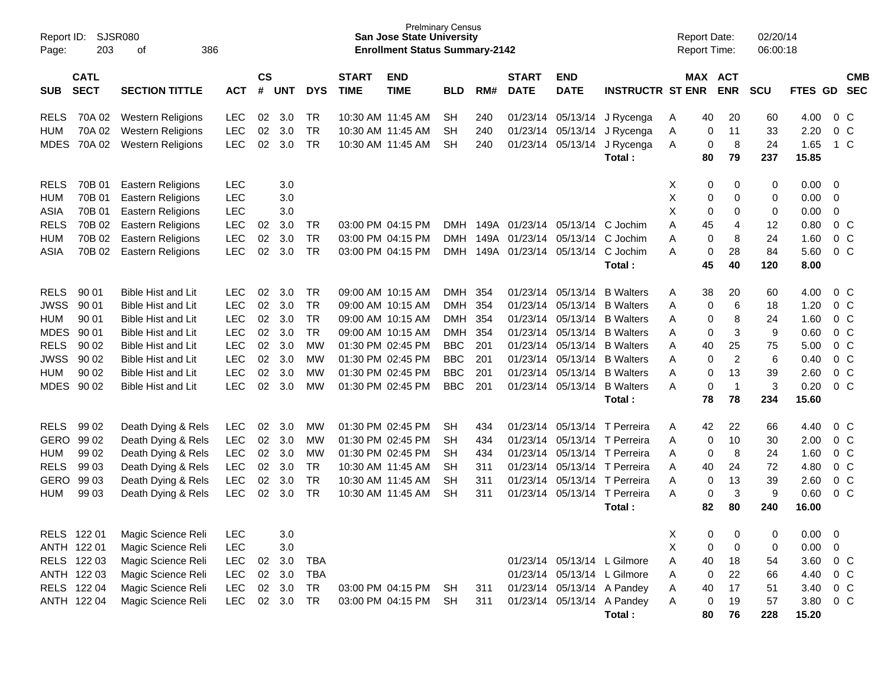| Report ID:<br>Page: | 203                        | <b>SJSR080</b><br>386<br>οf |            |                |            |            |                             | <b>San Jose State University</b><br><b>Enrollment Status Summary-2142</b> | <b>Prelminary Census</b> |      |                             |                           |                              | <b>Report Date:</b><br><b>Report Time:</b> |                        | 02/20/14<br>06:00:18 |                |             |                          |
|---------------------|----------------------------|-----------------------------|------------|----------------|------------|------------|-----------------------------|---------------------------------------------------------------------------|--------------------------|------|-----------------------------|---------------------------|------------------------------|--------------------------------------------|------------------------|----------------------|----------------|-------------|--------------------------|
| <b>SUB</b>          | <b>CATL</b><br><b>SECT</b> | <b>SECTION TITTLE</b>       | <b>ACT</b> | <b>CS</b><br># | <b>UNT</b> | <b>DYS</b> | <b>START</b><br><b>TIME</b> | <b>END</b><br><b>TIME</b>                                                 | <b>BLD</b>               | RM#  | <b>START</b><br><b>DATE</b> | <b>END</b><br><b>DATE</b> | <b>INSTRUCTR ST ENR</b>      |                                            | MAX ACT<br><b>ENR</b>  | <b>SCU</b>           | <b>FTES GD</b> |             | <b>CMB</b><br><b>SEC</b> |
| <b>RELS</b>         | 70A 02                     | <b>Western Religions</b>    | <b>LEC</b> | 02             | 3.0        | <b>TR</b>  |                             | 10:30 AM 11:45 AM                                                         | <b>SH</b>                | 240  |                             | 01/23/14 05/13/14         | J Rycenga                    | 40<br>A                                    | 20                     | 60                   | 4.00           |             | 0 <sup>C</sup>           |
| HUM                 | 70A 02                     | <b>Western Religions</b>    | <b>LEC</b> | 02             | 3.0        | <b>TR</b>  |                             | 10:30 AM 11:45 AM                                                         | <b>SH</b>                | 240  |                             | 01/23/14 05/13/14         | J Rycenga                    | Α                                          | 11<br>0                | 33                   | 2.20           |             | $0\,C$                   |
| <b>MDES</b>         | 70A 02                     | <b>Western Religions</b>    | <b>LEC</b> | 02             | 3.0        | <b>TR</b>  |                             | 10:30 AM 11:45 AM                                                         | <b>SH</b>                | 240  |                             | 01/23/14 05/13/14         | J Rycenga                    | Α                                          | 8<br>0                 | 24                   | 1.65           |             | $1\,C$                   |
|                     |                            |                             |            |                |            |            |                             |                                                                           |                          |      |                             |                           | Total:                       | 80                                         | 79                     | 237                  | 15.85          |             |                          |
| <b>RELS</b>         | 70B 01                     | <b>Eastern Religions</b>    | <b>LEC</b> |                | 3.0        |            |                             |                                                                           |                          |      |                             |                           |                              | X                                          | 0<br>0                 | 0                    | 0.00           | $\mathbf 0$ |                          |
| <b>HUM</b>          | 70B 01                     | Eastern Religions           | <b>LEC</b> |                | 3.0        |            |                             |                                                                           |                          |      |                             |                           |                              | Χ                                          | 0<br>0                 | 0                    | 0.00           | $\mathbf 0$ |                          |
| ASIA                | 70B 01                     | Eastern Religions           | LEC        |                | 3.0        |            |                             |                                                                           |                          |      |                             |                           |                              | X                                          | 0<br>0                 | 0                    | 0.00           | 0           |                          |
| <b>RELS</b>         | 70B 02                     | <b>Eastern Religions</b>    | LEC        | 02             | 3.0        | <b>TR</b>  |                             | 03:00 PM 04:15 PM                                                         | <b>DMH</b>               | 149A |                             | 01/23/14 05/13/14         | C Jochim                     | A<br>45                                    | 4                      | 12                   | 0.80           |             | $0\,C$                   |
| <b>HUM</b>          | 70B 02                     | <b>Eastern Religions</b>    | LEC        | 02             | 3.0        | <b>TR</b>  |                             | 03:00 PM 04:15 PM                                                         | <b>DMH</b>               | 149A |                             | 01/23/14 05/13/14         | C Jochim                     | A                                          | 8<br>0                 | 24                   | 1.60           |             | $0\,C$                   |
| <b>ASIA</b>         | 70B 02                     | <b>Eastern Religions</b>    | LEC        | 02             | 3.0        | <b>TR</b>  |                             | 03:00 PM 04:15 PM                                                         | <b>DMH</b>               | 149A |                             | 01/23/14 05/13/14         | C Jochim                     | A                                          | 28<br>0                | 84                   | 5.60           |             | $0\,C$                   |
|                     |                            |                             |            |                |            |            |                             |                                                                           |                          |      |                             |                           | Total:                       | 45                                         | 40                     | 120                  | 8.00           |             |                          |
| <b>RELS</b>         | 90 01                      | Bible Hist and Lit          | <b>LEC</b> | 02             | 3.0        | <b>TR</b>  |                             | 09:00 AM 10:15 AM                                                         | DMH 354                  |      |                             | 01/23/14 05/13/14         | <b>B</b> Walters             | 38<br>A                                    | 20                     | 60                   | 4.00           |             | 0 <sup>C</sup>           |
| <b>JWSS</b>         | 90 01                      | Bible Hist and Lit          | <b>LEC</b> | 02             | 3.0        | <b>TR</b>  |                             | 09:00 AM 10:15 AM                                                         | DMH                      | 354  |                             | 01/23/14 05/13/14         | <b>B</b> Walters             | Α                                          | 6<br>0                 | 18                   | 1.20           |             | $0\,C$                   |
| <b>HUM</b>          | 90 01                      | Bible Hist and Lit          | <b>LEC</b> | 02             | 3.0        | <b>TR</b>  |                             | 09:00 AM 10:15 AM                                                         | DMH 354                  |      |                             | 01/23/14 05/13/14         | <b>B</b> Walters             | A                                          | 8<br>0                 | 24                   | 1.60           |             | $0\,C$                   |
| <b>MDES</b>         | 90 01                      | Bible Hist and Lit          | LEC        | 02             | 3.0        | <b>TR</b>  |                             | 09:00 AM 10:15 AM                                                         | <b>DMH</b>               | 354  |                             | 01/23/14 05/13/14         | <b>B</b> Walters             | Α                                          | 3<br>0                 | 9                    | 0.60           |             | $0\quad C$               |
| <b>RELS</b>         | 90 02                      | Bible Hist and Lit          | LEC        | 02             | 3.0        | <b>MW</b>  |                             | 01:30 PM 02:45 PM                                                         | <b>BBC</b>               | 201  |                             | 01/23/14 05/13/14         | <b>B</b> Walters             | Α<br>40                                    | 25                     | 75                   | 5.00           |             | $0\,C$                   |
| <b>JWSS</b>         | 90 02                      | Bible Hist and Lit          | <b>LEC</b> | 02             | 3.0        | <b>MW</b>  |                             | 01:30 PM 02:45 PM                                                         | <b>BBC</b>               | 201  |                             | 01/23/14 05/13/14         | <b>B</b> Walters             | Α                                          | $\overline{c}$<br>0    | 6                    | 0.40           |             | $0\quad C$               |
| <b>HUM</b>          | 90 02                      | Bible Hist and Lit          | LEC        | 02             | 3.0        | <b>MW</b>  |                             | 01:30 PM 02:45 PM                                                         | <b>BBC</b>               | 201  |                             | 01/23/14 05/13/14         | <b>B</b> Walters             | A                                          | 13<br>0                | 39                   | 2.60           |             | $0\,C$                   |
| <b>MDES</b>         | 90 02                      | <b>Bible Hist and Lit</b>   | <b>LEC</b> | 02             | 3.0        | <b>MW</b>  |                             | 01:30 PM 02:45 PM                                                         | <b>BBC</b>               | 201  |                             | 01/23/14 05/13/14         | <b>B</b> Walters             | A                                          | $\overline{1}$<br>0    | 3                    | 0.20           |             | $0\quad C$               |
|                     |                            |                             |            |                |            |            |                             |                                                                           |                          |      |                             |                           | Total:                       | 78                                         | 78                     | 234                  | 15.60          |             |                          |
| <b>RELS</b>         | 99 02                      | Death Dying & Rels          | <b>LEC</b> | 02             | 3.0        | MW         |                             | 01:30 PM 02:45 PM                                                         | <b>SH</b>                | 434  |                             |                           | 01/23/14 05/13/14 T Perreira | 42<br>Α                                    | 22                     | 66                   | 4.40           |             | 0 <sup>C</sup>           |
| <b>GERO</b>         | 99 02                      | Death Dying & Rels          | LEC        | 02             | 3.0        | <b>MW</b>  |                             | 01:30 PM 02:45 PM                                                         | <b>SH</b>                | 434  |                             |                           | 01/23/14 05/13/14 T Perreira | A                                          | 10<br>0                | 30                   | 2.00           |             | $0\,C$                   |
| <b>HUM</b>          | 99 02                      | Death Dying & Rels          | LEC        | 02             | 3.0        | <b>MW</b>  |                             | 01:30 PM 02:45 PM                                                         | <b>SH</b>                | 434  |                             |                           | 01/23/14 05/13/14 T Perreira | A                                          | 8<br>0                 | 24                   | 1.60           |             | $0\,C$                   |
| <b>RELS</b>         | 99 03                      | Death Dying & Rels          | LEC        | 02             | 3.0        | <b>TR</b>  |                             | 10:30 AM 11:45 AM                                                         | <b>SH</b>                | 311  |                             |                           | 01/23/14 05/13/14 T Perreira | A<br>40                                    | 24                     | 72                   | 4.80           |             | $0\,C$                   |
| <b>GERO</b>         | 99 03                      | Death Dying & Rels          | LEC        | 02             | 3.0        | <b>TR</b>  |                             | 10:30 AM 11:45 AM                                                         | <b>SH</b>                | 311  |                             |                           | 01/23/14 05/13/14 T Perreira | A                                          | 13<br>0                | 39                   | 2.60           |             | $0\quad C$               |
| <b>HUM</b>          | 99 03                      | Death Dying & Rels          | <b>LEC</b> | 02             | 3.0        | <b>TR</b>  |                             | 10:30 AM 11:45 AM                                                         | <b>SH</b>                | 311  |                             |                           | 01/23/14 05/13/14 T Perreira | A                                          | 3<br>0                 | 9                    | 0.60           |             | $0\,C$                   |
|                     |                            |                             |            |                |            |            |                             |                                                                           |                          |      |                             |                           | Total:                       | 82                                         | 80                     | 240                  | 16.00          |             |                          |
|                     | RELS 122 01                | Magic Science Reli          | <b>LEC</b> |                | 3.0        |            |                             |                                                                           |                          |      |                             |                           |                              | Χ                                          | 0<br>0                 | 0                    | 0.00           | $\mathbf 0$ |                          |
|                     | ANTH 122 01                | Magic Science Reli          | LEC        |                | 3.0        |            |                             |                                                                           |                          |      |                             |                           |                              | X                                          | 0<br>$\mathbf 0$       | 0                    | 0.00           | 0           |                          |
|                     | RELS 122 03                | Magic Science Reli          | LEC        | 02             | 3.0        | <b>TBA</b> |                             |                                                                           |                          |      |                             |                           | 01/23/14 05/13/14 L Gilmore  | 40<br>Α                                    | 18                     | 54                   | 3.60           |             | $0\,C$                   |
|                     | ANTH 122 03                | Magic Science Reli          | LEC        | 02             | 3.0        | <b>TBA</b> |                             |                                                                           |                          |      |                             |                           | 01/23/14 05/13/14 L Gilmore  | Α                                          | 22<br>0                | 66                   | 4.40           |             | $0\,C$                   |
|                     | RELS 122 04                | Magic Science Reli          | LEC        | $02\,$         | 3.0        | <b>TR</b>  |                             | 03:00 PM 04:15 PM                                                         | <b>SH</b>                | 311  |                             |                           | 01/23/14 05/13/14 A Pandey   | Α<br>40                                    | 17                     | 51                   | 3.40           |             | $0\,C$                   |
|                     | ANTH 122 04                | Magic Science Reli          | LEC        |                | 02 3.0     | <b>TR</b>  |                             | 03:00 PM 04:15 PM                                                         | <b>SH</b>                | 311  |                             |                           | 01/23/14 05/13/14 A Pandey   | Α                                          | 19<br>$\boldsymbol{0}$ | 57                   | 3.80           |             | $0\,C$                   |
|                     |                            |                             |            |                |            |            |                             |                                                                           |                          |      |                             |                           | Total:                       | 80                                         | 76                     | 228                  | 15.20          |             |                          |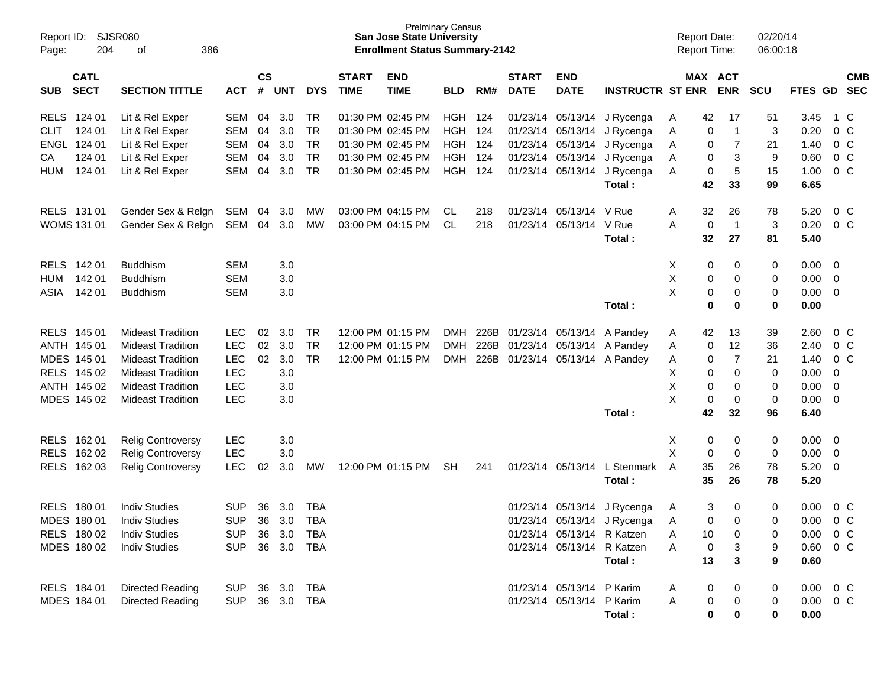| Report ID:<br>Page:                      | SJSR080<br>204<br>386<br>οf |                |                    |            |            |                             | <b>San Jose State University</b><br><b>Enrollment Status Summary-2142</b> | <b>Prelminary Census</b> |       |                             |                            |                                 |   |           | <b>Report Date:</b><br>Report Time: | 02/20/14<br>06:00:18 |               |                |                |
|------------------------------------------|-----------------------------|----------------|--------------------|------------|------------|-----------------------------|---------------------------------------------------------------------------|--------------------------|-------|-----------------------------|----------------------------|---------------------------------|---|-----------|-------------------------------------|----------------------|---------------|----------------|----------------|
| <b>CATL</b><br><b>SECT</b><br><b>SUB</b> | <b>SECTION TITTLE</b>       | <b>ACT</b>     | $\mathsf{cs}$<br># | <b>UNT</b> | <b>DYS</b> | <b>START</b><br><b>TIME</b> | <b>END</b><br><b>TIME</b>                                                 | <b>BLD</b>               | RM#   | <b>START</b><br><b>DATE</b> | <b>END</b><br><b>DATE</b>  | <b>INSTRUCTR ST ENR</b>         |   |           | MAX ACT<br><b>ENR</b>               | <b>SCU</b>           | FTES GD SEC   |                | <b>CMB</b>     |
| <b>RELS</b><br>124 01                    | Lit & Rel Exper             | <b>SEM</b>     | 04                 | 3.0        | <b>TR</b>  |                             | 01:30 PM 02:45 PM                                                         | HGH                      | - 124 |                             | 01/23/14 05/13/14          | J Rycenga                       | A | 42        | 17                                  | 51                   | 3.45          |                | 1 C            |
| <b>CLIT</b><br>124 01                    | Lit & Rel Exper             | <b>SEM</b>     | 04                 | 3.0        | <b>TR</b>  |                             | 01:30 PM 02:45 PM                                                         | <b>HGH</b>               | 124   |                             | 01/23/14 05/13/14          | J Rycenga                       | Α | 0         | $\overline{1}$                      | 3                    | 0.20          |                | 0 <sup>C</sup> |
| ENGL 124 01                              | Lit & Rel Exper             | <b>SEM</b>     | 04                 | 3.0        | <b>TR</b>  |                             | 01:30 PM 02:45 PM                                                         | <b>HGH 124</b>           |       |                             | 01/23/14 05/13/14          | J Rycenga                       | A | 0         | $\overline{7}$                      | 21                   | 1.40          |                | 0 <sup>C</sup> |
| 124 01<br>CA                             | Lit & Rel Exper             | <b>SEM</b>     | 04                 | 3.0        | <b>TR</b>  |                             | 01:30 PM 02:45 PM                                                         | <b>HGH</b>               | 124   |                             | 01/23/14 05/13/14          | J Rycenga                       | Α | 0         | 3                                   | 9                    | 0.60          |                | 0 <sup>C</sup> |
| 124 01<br><b>HUM</b>                     | Lit & Rel Exper             | <b>SEM</b>     | 04                 | 3.0        | TR         |                             | 01:30 PM 02:45 PM                                                         | <b>HGH 124</b>           |       |                             | 01/23/14 05/13/14          | J Rycenga                       | Α | 0         | 5                                   | 15                   | 1.00          |                | 0 <sup>C</sup> |
|                                          |                             |                |                    |            |            |                             |                                                                           |                          |       |                             |                            | Total:                          |   | 42        | 33                                  | 99                   | 6.65          |                |                |
| RELS 131 01                              | Gender Sex & Relgn          | SEM            | 04                 | 3.0        | MW         |                             | 03:00 PM 04:15 PM                                                         | <b>CL</b>                | 218   |                             | 01/23/14 05/13/14 V Rue    |                                 | A | 32        | 26                                  | 78                   | 5.20          |                | $0\,C$         |
| <b>WOMS 131 01</b>                       | Gender Sex & Relgn          | SEM            | 04                 | 3.0        | <b>MW</b>  |                             | 03:00 PM 04:15 PM                                                         | <b>CL</b>                | 218   |                             | 01/23/14 05/13/14 V Rue    |                                 | A | 0         | $\overline{1}$                      | 3                    | 0.20          |                | 0 <sup>C</sup> |
|                                          |                             |                |                    |            |            |                             |                                                                           |                          |       |                             |                            | Total:                          |   | 32        | 27                                  | 81                   | 5.40          |                |                |
| <b>RELS</b><br>142 01                    | <b>Buddhism</b>             | <b>SEM</b>     |                    | 3.0        |            |                             |                                                                           |                          |       |                             |                            |                                 | Х | 0         | 0                                   | 0                    | 0.00          | - 0            |                |
| 142 01<br><b>HUM</b>                     | <b>Buddhism</b>             | <b>SEM</b>     |                    | 3.0        |            |                             |                                                                           |                          |       |                             |                            |                                 | Χ | 0         | 0                                   | 0                    | 0.00          | $\overline{0}$ |                |
| 142 01<br>ASIA                           | <b>Buddhism</b>             | <b>SEM</b>     |                    | 3.0        |            |                             |                                                                           |                          |       |                             |                            |                                 | X | 0         | 0                                   | 0                    | 0.00          | $\overline{0}$ |                |
|                                          |                             |                |                    |            |            |                             |                                                                           |                          |       |                             |                            | Total:                          |   | $\bf{0}$  | 0                                   | 0                    | 0.00          |                |                |
| RELS 145 01                              | <b>Mideast Tradition</b>    | <b>LEC</b>     | 02                 | 3.0        | <b>TR</b>  |                             | 12:00 PM 01:15 PM                                                         | <b>DMH</b>               |       |                             | 226B 01/23/14 05/13/14     | A Pandey                        | A | 42        | 13                                  | 39                   | 2.60          |                | $0\,C$         |
| ANTH 145 01                              | <b>Mideast Tradition</b>    | <b>LEC</b>     | 02                 | 3.0        | <b>TR</b>  |                             | 12:00 PM 01:15 PM                                                         | <b>DMH</b>               |       |                             |                            | 226B 01/23/14 05/13/14 A Pandey | Α | 0         | 12                                  | 36                   | 2.40          |                | 0 <sup>C</sup> |
| MDES 145 01                              | <b>Mideast Tradition</b>    | LEC            | 02                 | 3.0        | <b>TR</b>  |                             | 12:00 PM 01:15 PM                                                         | <b>DMH</b>               |       |                             |                            | 226B 01/23/14 05/13/14 A Pandey | Α | 0         | $\overline{7}$                      | 21                   | 1.40          |                | 0 <sup>C</sup> |
| RELS 145 02                              | <b>Mideast Tradition</b>    | <b>LEC</b>     |                    | 3.0        |            |                             |                                                                           |                          |       |                             |                            |                                 | X | 0         | 0                                   | 0                    | 0.00          | 0              |                |
| ANTH 145 02                              | <b>Mideast Tradition</b>    | <b>LEC</b>     |                    | 3.0        |            |                             |                                                                           |                          |       |                             |                            |                                 | Χ | 0         | 0                                   | 0                    | 0.00          | $\mathbf 0$    |                |
| MDES 145 02                              | <b>Mideast Tradition</b>    | <b>LEC</b>     |                    | 3.0        |            |                             |                                                                           |                          |       |                             |                            |                                 | X | 0         | 0                                   | 0                    | 0.00          | $\overline{0}$ |                |
|                                          |                             |                |                    |            |            |                             |                                                                           |                          |       |                             |                            | Total:                          |   | 42        | 32                                  | 96                   | 6.40          |                |                |
| <b>RELS</b><br>162 01                    | <b>Relig Controversy</b>    | <b>LEC</b>     |                    | 3.0        |            |                             |                                                                           |                          |       |                             |                            |                                 | х | 0         | 0                                   | 0                    | 0.00          | - 0            |                |
| <b>RELS</b><br>162 02                    | <b>Relig Controversy</b>    | <b>LEC</b>     |                    | 3.0        |            |                             |                                                                           |                          |       |                             |                            |                                 | X | 0         | 0                                   | 0                    | 0.00          | 0              |                |
| RELS 162 03                              | <b>Relig Controversy</b>    | LEC            | 02                 | 3.0        | MW         |                             | 12:00 PM 01:15 PM                                                         | <b>SH</b>                | 241   |                             | 01/23/14 05/13/14          | L Stenmark                      | A | 35        | 26                                  | 78                   | 5.20          | - 0            |                |
|                                          |                             |                |                    |            |            |                             |                                                                           |                          |       |                             |                            | Total:                          |   | 35        | 26                                  | 78                   | 5.20          |                |                |
| <b>RELS</b><br>18001                     | <b>Indiv Studies</b>        | <b>SUP</b>     | 36                 | 3.0        | <b>TBA</b> |                             |                                                                           |                          |       |                             | 01/23/14 05/13/14          | J Rycenga                       | A | 3         | 0                                   | 0                    | 0.00          |                | $0\,C$         |
| MDES 180 01                              | <b>Indiv Studies</b>        | <b>SUP</b>     | 36                 | 3.0        | <b>TBA</b> |                             |                                                                           |                          |       |                             |                            | 01/23/14 05/13/14 J Rycenga     | A | 0         | 0                                   | 0                    | 0.00          |                | 0 <sup>C</sup> |
| RELS 180 02                              | <b>Indiv Studies</b>        | <b>SUP</b>     | 36                 | 3.0        | <b>TBA</b> |                             |                                                                           |                          |       |                             | 01/23/14 05/13/14 R Katzen |                                 | A | 10        | 0                                   | 0                    | $0.00 \t 0 C$ |                |                |
| MDES 180 02                              | <b>Indiv Studies</b>        | <b>SUP</b>     |                    |            | 36 3.0 TBA |                             |                                                                           |                          |       |                             | 01/23/14 05/13/14 R Katzen |                                 | Α | $\pmb{0}$ | 3                                   | 9                    | $0.60 \t 0 C$ |                |                |
|                                          |                             |                |                    |            |            |                             |                                                                           |                          |       |                             |                            | Total:                          |   | 13        | 3                                   | 9                    | 0.60          |                |                |
| RELS 184 01                              | <b>Directed Reading</b>     | SUP            |                    | 36 3.0     | <b>TBA</b> |                             |                                                                           |                          |       |                             | 01/23/14 05/13/14 P Karim  |                                 | A | 0         | 0                                   | 0                    | $0.00 \t 0 C$ |                |                |
| MDES 184 01                              | Directed Reading            | SUP 36 3.0 TBA |                    |            |            |                             |                                                                           |                          |       |                             | 01/23/14 05/13/14 P Karim  |                                 | A | 0         | 0                                   | 0                    | $0.00 \t 0 C$ |                |                |
|                                          |                             |                |                    |            |            |                             |                                                                           |                          |       |                             |                            | Total:                          |   | $\pmb{0}$ | 0                                   | 0                    | 0.00          |                |                |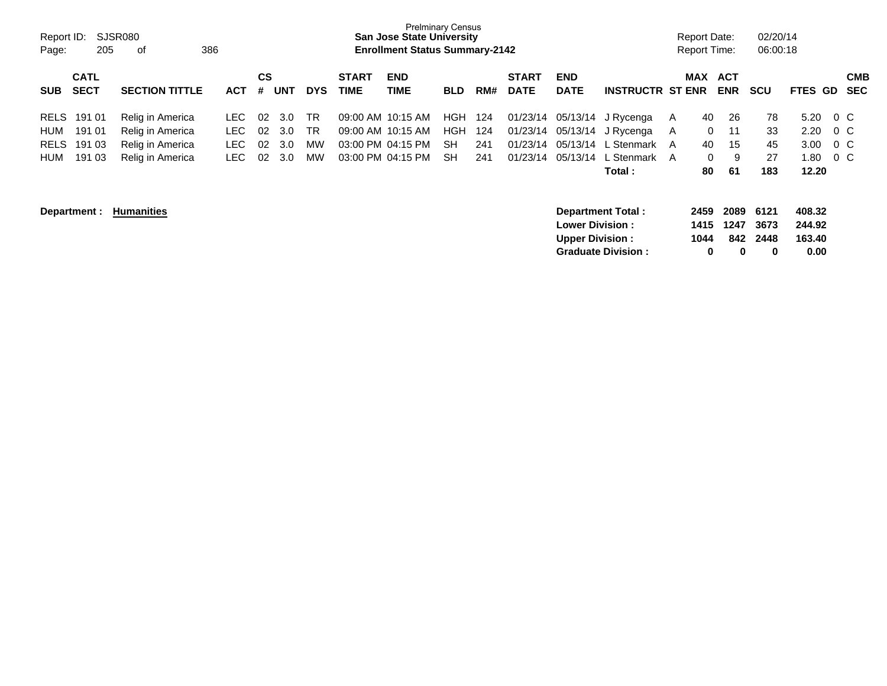| Report ID:<br>Page: | 205                        | SJSR080<br>386<br>οf  |            |                |            |            |                             | <b>San Jose State University</b><br><b>Enrollment Status Summary-2142</b> | <b>Prelminary Census</b> |     |                             |                           |                           |   | <b>Report Date:</b><br><b>Report Time:</b> |                          | 02/20/14<br>06:00:18 |                  |           |                          |
|---------------------|----------------------------|-----------------------|------------|----------------|------------|------------|-----------------------------|---------------------------------------------------------------------------|--------------------------|-----|-----------------------------|---------------------------|---------------------------|---|--------------------------------------------|--------------------------|----------------------|------------------|-----------|--------------------------|
| <b>SUB</b>          | <b>CATL</b><br><b>SECT</b> | <b>SECTION TITTLE</b> | <b>ACT</b> | <b>CS</b><br># | <b>UNT</b> | <b>DYS</b> | <b>START</b><br><b>TIME</b> | <b>END</b><br>TIME                                                        | <b>BLD</b>               | RM# | <b>START</b><br><b>DATE</b> | <b>END</b><br><b>DATE</b> | <b>INSTRUCTR ST ENR</b>   |   | <b>MAX</b>                                 | <b>ACT</b><br><b>ENR</b> | <b>SCU</b>           | <b>FTES</b>      | <b>GD</b> | <b>CMB</b><br><b>SEC</b> |
| <b>RELS</b>         | 191 01                     | Relig in America      | LEC.       | 02             | 3.0        | <b>TR</b>  |                             | 09:00 AM 10:15 AM                                                         | HGH                      | 124 | 01/23/14                    | 05/13/14                  | J Rycenga                 | A | 40                                         | 26                       | 78                   | 5.20             | $0\,$ C   |                          |
| HUM                 | 191 01                     | Relig in America      | LEC.       | 02             | 3.0        | <b>TR</b>  |                             | 09:00 AM 10:15 AM                                                         | HGH                      | 124 | 01/23/14                    | 05/13/14                  | J Rycenga                 | A | 0                                          | 11                       | 33                   | 2.20             | $0\,$ C   |                          |
| <b>RELS</b>         | 191 03                     | Relig in America      | LEC.       | 02             | 3.0        | MW         |                             | 03:00 PM 04:15 PM                                                         | <b>SH</b>                | 241 | 01/23/14                    | 05/13/14                  | L Stenmark                | A | 40                                         | 15                       | 45                   | 3.00             | $0\,$ C   |                          |
| HUM                 | 191 03                     | Relig in America      | LEC.       | 02             | 3.0        | MW         |                             | 03:00 PM 04:15 PM                                                         | <b>SH</b>                | 241 | 01/23/14                    | 05/13/14                  | L Stenmark A              |   | $\mathbf{0}$                               | 9                        | 27                   | 1.80             | $0\,C$    |                          |
|                     |                            |                       |            |                |            |            |                             |                                                                           |                          |     |                             |                           | Total :                   |   | 80                                         | 61                       | 183                  | 12.20            |           |                          |
|                     | Department :               | <b>Humanities</b>     |            |                |            |            |                             |                                                                           |                          |     |                             | <b>Lower Division:</b>    | Department Total:         |   | 2459<br>1415                               | 2089<br>1247             | 6121<br>3673         | 408.32<br>244.92 |           |                          |
|                     |                            |                       |            |                |            |            |                             |                                                                           |                          |     |                             | <b>Upper Division:</b>    |                           |   | 1044                                       | 842                      | 2448                 | 163.40           |           |                          |
|                     |                            |                       |            |                |            |            |                             |                                                                           |                          |     |                             |                           | <b>Graduate Division:</b> |   | 0                                          | 0                        | 0                    | 0.00             |           |                          |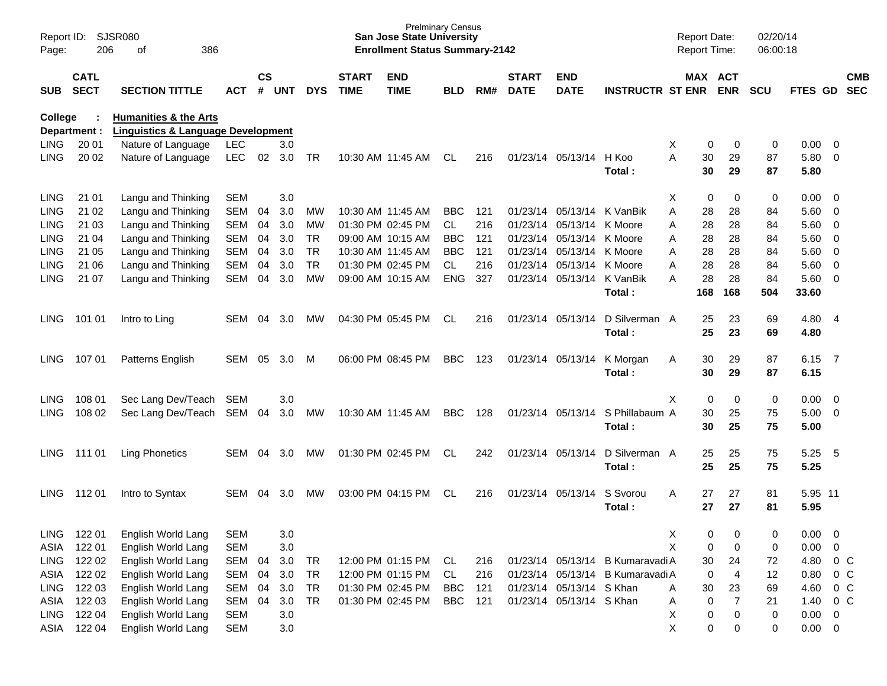| Report ID:<br>Page: | 206              | SJSR080<br>386<br>оf                          |                          |               |            |                 |              | <b>San Jose State University</b><br><b>Enrollment Status Summary-2142</b> | <b>Prelminary Census</b> |            |              |                          |                                                                      | <b>Report Date:</b><br><b>Report Time:</b> |                               | 02/20/14<br>06:00:18 |                |                |                  |
|---------------------|------------------|-----------------------------------------------|--------------------------|---------------|------------|-----------------|--------------|---------------------------------------------------------------------------|--------------------------|------------|--------------|--------------------------|----------------------------------------------------------------------|--------------------------------------------|-------------------------------|----------------------|----------------|----------------|------------------|
|                     | <b>CATL</b>      |                                               |                          | $\mathsf{cs}$ |            |                 | <b>START</b> | <b>END</b>                                                                |                          |            | <b>START</b> | <b>END</b>               |                                                                      |                                            | MAX ACT                       |                      |                |                | <b>CMB</b>       |
| <b>SUB</b>          | <b>SECT</b>      | <b>SECTION TITTLE</b>                         | ACT                      | #             | <b>UNT</b> | <b>DYS</b>      | <b>TIME</b>  | <b>TIME</b>                                                               | <b>BLD</b>               | RM#        | <b>DATE</b>  | <b>DATE</b>              | <b>INSTRUCTR ST ENR</b>                                              |                                            | <b>ENR</b>                    | SCU                  | FTES GD        |                | <b>SEC</b>       |
| <b>College</b>      |                  | <b>Humanities &amp; the Arts</b>              |                          |               |            |                 |              |                                                                           |                          |            |              |                          |                                                                      |                                            |                               |                      |                |                |                  |
|                     | Department :     | <b>Linguistics &amp; Language Development</b> |                          |               |            |                 |              |                                                                           |                          |            |              |                          |                                                                      |                                            |                               |                      |                |                |                  |
| <b>LING</b>         | 20 01            | Nature of Language                            | <b>LEC</b>               |               | 3.0        |                 |              |                                                                           |                          |            |              |                          |                                                                      | X                                          | 0<br>0                        | 0                    | 0.00           | - 0            |                  |
| <b>LING</b>         | 20 02            | Nature of Language                            | <b>LEC</b>               | 02            | 3.0        | <b>TR</b>       |              | 10:30 AM 11:45 AM                                                         | CL                       | 216        |              | 01/23/14 05/13/14        | H Koo                                                                | 30<br>Α                                    | 29                            | 87                   | 5.80           | - 0            |                  |
|                     |                  |                                               |                          |               |            |                 |              |                                                                           |                          |            |              |                          | Total:                                                               | 30                                         | 29                            | 87                   | 5.80           |                |                  |
| <b>LING</b>         | 21 01            | Langu and Thinking                            | <b>SEM</b>               |               | 3.0        |                 |              |                                                                           |                          |            |              |                          |                                                                      | Χ                                          | 0<br>0                        | 0                    | 0.00           | - 0            |                  |
| <b>LING</b>         | 21 02            | Langu and Thinking                            | <b>SEM</b>               | 04            | 3.0        | MW              |              | 10:30 AM 11:45 AM                                                         | <b>BBC</b>               | 121        |              | 01/23/14 05/13/14        | K VanBik                                                             | 28<br>Α                                    | 28                            | 84                   | 5.60           | - 0            |                  |
| <b>LING</b>         | 21 03            | Langu and Thinking                            | <b>SEM</b>               | 04            | 3.0        | MW              |              | 01:30 PM 02:45 PM                                                         | <b>CL</b>                | 216        | 01/23/14     | 05/13/14                 | K Moore                                                              | 28<br>Α                                    | 28                            | 84                   | 5.60           | - 0            |                  |
| <b>LING</b>         | 21 04            | Langu and Thinking                            | <b>SEM</b>               | 04            | 3.0        | <b>TR</b>       |              | 09:00 AM 10:15 AM                                                         | <b>BBC</b>               | 121        | 01/23/14     | 05/13/14                 | K Moore                                                              | 28<br>Α                                    | 28                            | 84                   | 5.60           | - 0            |                  |
| LING                | 21 05            | Langu and Thinking                            | <b>SEM</b>               | 04            | 3.0        | <b>TR</b>       |              | 10:30 AM 11:45 AM                                                         | <b>BBC</b>               | 121        | 01/23/14     | 05/13/14                 | K Moore                                                              | 28<br>А                                    | 28                            | 84                   | 5.60           | - 0            |                  |
| <b>LING</b>         | 21 06            | Langu and Thinking                            | <b>SEM</b>               | 04            | 3.0        | <b>TR</b>       |              | 01:30 PM 02:45 PM                                                         | <b>CL</b>                | 216        | 01/23/14     | 05/13/14                 | K Moore                                                              | 28<br>А                                    | 28                            | 84                   | 5.60           | - 0            |                  |
| <b>LING</b>         | 21 07            | Langu and Thinking                            | <b>SEM</b>               | 04            | 3.0        | <b>MW</b>       |              | 09:00 AM 10:15 AM                                                         | <b>ENG</b>               | 327        |              | 01/23/14 05/13/14        | K VanBik                                                             | 28<br>А                                    | 28                            | 84                   | 5.60           | - 0            |                  |
|                     |                  |                                               |                          |               |            |                 |              |                                                                           |                          |            |              |                          | Total:                                                               | 168                                        | 168                           | 504                  | 33.60          |                |                  |
|                     |                  |                                               |                          |               |            |                 |              |                                                                           |                          |            |              |                          |                                                                      |                                            |                               |                      |                |                |                  |
| <b>LING</b>         | 101 01           | Intro to Ling                                 | <b>SEM</b>               | 04            | 3.0        | MW              |              | 04:30 PM 05:45 PM                                                         | <b>CL</b>                | 216        |              | 01/23/14 05/13/14        | D Silverman A                                                        | 25<br>25                                   | 23<br>23                      | 69                   | 4.80 4<br>4.80 |                |                  |
|                     |                  |                                               |                          |               |            |                 |              |                                                                           |                          |            |              |                          | Total:                                                               |                                            |                               | 69                   |                |                |                  |
| <b>LING</b>         | 107 01           | Patterns English                              | <b>SEM</b>               | 05            | 3.0        | M               |              | 06:00 PM 08:45 PM                                                         | <b>BBC</b>               | 123        |              | 01/23/14 05/13/14        | K Morgan                                                             | 30<br>Α                                    | 29                            | 87                   | 6.15           | $\overline{7}$ |                  |
|                     |                  |                                               |                          |               |            |                 |              |                                                                           |                          |            |              |                          | Total:                                                               | 30                                         | 29                            | 87                   | 6.15           |                |                  |
|                     |                  |                                               |                          |               |            |                 |              |                                                                           |                          |            |              |                          |                                                                      |                                            |                               |                      |                |                |                  |
| <b>LING</b>         | 108 01           | Sec Lang Dev/Teach                            | <b>SEM</b>               |               | 3.0        |                 |              |                                                                           |                          |            |              |                          |                                                                      | X                                          | $\mathbf 0$<br>0              | 0                    | 0.00           | - 0            |                  |
| <b>LING</b>         | 108 02           | Sec Lang Dev/Teach                            | SEM                      | 04            | 3.0        | MW              |              | 10:30 AM 11:45 AM                                                         | <b>BBC</b>               | 128        |              | 01/23/14 05/13/14        | S Phillabaum A                                                       | 30                                         | 25                            | 75                   | 5.00           | - 0            |                  |
|                     |                  |                                               |                          |               |            |                 |              |                                                                           |                          |            |              |                          | Total:                                                               | 30                                         | 25                            | 75                   | 5.00           |                |                  |
|                     |                  |                                               |                          |               |            |                 |              |                                                                           |                          |            |              |                          |                                                                      |                                            |                               |                      |                |                |                  |
| <b>LING</b>         | 111 01           | <b>Ling Phonetics</b>                         | <b>SEM</b>               | 04            | 3.0        | <b>MW</b>       |              | 01:30 PM 02:45 PM                                                         | CL                       | 242        |              | 01/23/14 05/13/14        | D Silverman A                                                        | 25                                         | 25                            | 75                   | 5.25           | - 5            |                  |
|                     |                  |                                               |                          |               |            |                 |              |                                                                           |                          |            |              |                          | Total:                                                               | 25                                         | 25                            | 75                   | 5.25           |                |                  |
|                     |                  |                                               |                          |               |            |                 |              |                                                                           |                          |            |              |                          |                                                                      |                                            |                               |                      |                |                |                  |
| LING                | 11201            | Intro to Syntax                               | <b>SEM</b>               | 04            | 3.0        | <b>MW</b>       |              | 03:00 PM 04:15 PM                                                         | CL                       | 216        |              | 01/23/14 05/13/14        | S Svorou                                                             | Α                                          | 27<br>27                      | 81                   | 5.95 11        |                |                  |
|                     |                  |                                               |                          |               |            |                 |              |                                                                           |                          |            |              |                          | Total :                                                              | 27                                         | 27                            | 81                   | 5.95           |                |                  |
|                     |                  |                                               |                          |               |            |                 |              |                                                                           |                          |            |              |                          |                                                                      |                                            |                               |                      |                |                |                  |
| LING                | 122 01           | English World Lang                            | <b>SEM</b>               |               | 3.0        |                 |              |                                                                           |                          |            |              |                          |                                                                      | X                                          | 0<br>0                        | 0                    | $0.00 \t 0$    |                |                  |
| ASIA                | 122 01<br>122 02 | English World Lang                            | <b>SEM</b>               |               | 3.0        |                 |              |                                                                           |                          |            |              |                          |                                                                      | X                                          | 0<br>$\mathbf 0$              | 0                    | 0.00           | $\mathbf 0$    |                  |
| <b>LING</b>         | 122 02           | English World Lang<br>English World Lang      | <b>SEM</b><br><b>SEM</b> | 04<br>04      | 3.0<br>3.0 | TR<br><b>TR</b> |              | 12:00 PM 01:15 PM<br>12:00 PM 01:15 PM                                    | CL<br><b>CL</b>          | 216<br>216 |              |                          | 01/23/14 05/13/14 B Kumaravadi A<br>01/23/14 05/13/14 B Kumaravadi A | 30                                         | 24<br>$\mathbf 0$             | 72<br>12             | 4.80<br>0.80   |                | $0\,C$<br>$0\,C$ |
| ASIA<br><b>LING</b> | 122 03           |                                               | SEM                      | 04            | 3.0        | <b>TR</b>       |              | 01:30 PM 02:45 PM                                                         | <b>BBC</b>               | 121        |              | 01/23/14 05/13/14 S Khan |                                                                      | 30                                         | $\overline{4}$<br>23          | 69                   | 4.60           |                | $0\,C$           |
| ASIA                | 122 03           | English World Lang<br>English World Lang      | SEM                      | 04            | 3.0        | <b>TR</b>       |              | 01:30 PM 02:45 PM                                                         | <b>BBC</b>               | 121        |              | 01/23/14 05/13/14 S Khan |                                                                      | A<br>Α                                     | $\overline{7}$<br>$\mathbf 0$ | 21                   | 1.40           |                | 0 C              |
| <b>LING</b>         | 122 04           | English World Lang                            | <b>SEM</b>               |               | 3.0        |                 |              |                                                                           |                          |            |              |                          |                                                                      | X                                          | 0<br>0                        | 0                    | $0.00 \t 0$    |                |                  |
|                     | ASIA 122 04      | English World Lang                            | <b>SEM</b>               |               | $3.0\,$    |                 |              |                                                                           |                          |            |              |                          |                                                                      | X                                          | 0<br>0                        | 0                    | $0.00 \t 0$    |                |                  |
|                     |                  |                                               |                          |               |            |                 |              |                                                                           |                          |            |              |                          |                                                                      |                                            |                               |                      |                |                |                  |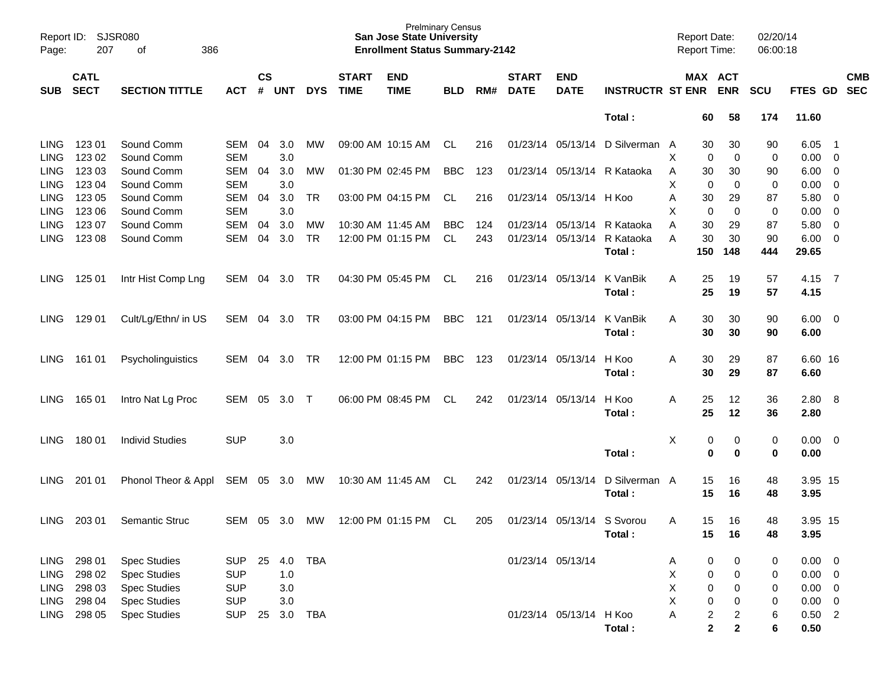| <b>CS</b><br><b>CATL</b><br><b>END</b><br><b>START</b><br>MAX ACT<br><b>CMB</b><br><b>START</b><br><b>END</b><br><b>SECT</b><br>#<br><b>UNT</b><br><b>DYS</b><br><b>TIME</b><br><b>TIME</b><br>RM#<br><b>DATE</b><br><b>DATE</b><br><b>INSTRUCTR ST ENR</b><br><b>ENR</b><br>FTES GD SEC<br><b>SECTION TITTLE</b><br><b>BLD</b><br><b>SCU</b><br>SUB.<br><b>ACT</b><br>Total:<br>174<br>11.60<br>60<br>58<br>Sound Comm<br><b>LING</b><br>123 01<br><b>SEM</b><br>04<br>3.0<br>09:00 AM 10:15 AM<br>CL<br>01/23/14 05/13/14<br>D Silverman A<br>6.05<br>MW.<br>216<br>30<br>30<br>90<br>- 1<br><b>LING</b><br>123 02<br>Sound Comm<br><b>SEM</b><br>3.0<br>Χ<br>0<br>0<br>0.00<br>$\overline{\phantom{0}}$<br>0<br><b>LING</b><br>123 03<br>Sound Comm<br><b>SEM</b><br>3.0<br><b>BBC</b><br>04<br>MW<br>01:30 PM 02:45 PM<br>123<br>01/23/14 05/13/14<br>R Kataoka<br>30<br>30<br>6.00<br>$\overline{\mathbf{0}}$<br>A<br>90<br><b>LING</b><br>123 04<br>Sound Comm<br><b>SEM</b><br>3.0<br>X<br>0.00<br>0<br>0<br>0<br>$\overline{\mathbf{0}}$<br><b>LING</b><br>123 05<br>Sound Comm<br><b>SEM</b><br>3.0<br>04<br>TR<br>03:00 PM 04:15 PM<br>CL<br>216<br>01/23/14 05/13/14 H Koo<br>30<br>29<br>87<br>5.80<br>$\mathbf 0$<br>A<br><b>LING</b><br>123 06<br>Sound Comm<br><b>SEM</b><br>3.0<br>X<br>0.00<br>0<br>0<br>0<br>$\mathbf 0$<br>123 07<br><b>LING</b><br>Sound Comm<br><b>SEM</b><br>3.0<br>5.80<br>04<br>MW<br>10:30 AM 11:45 AM<br><b>BBC</b><br>124<br>01/23/14 05/13/14<br>R Kataoka<br>Α<br>30<br>29<br>87<br>$\mathbf 0$<br><b>LING</b><br>123 08<br>Sound Comm<br><b>SEM</b><br>3.0<br><b>TR</b><br>12:00 PM 01:15 PM<br>243<br>01/23/14 05/13/14<br>R Kataoka<br>6.00<br>04<br>CL<br>A<br>30<br>30<br>90<br>$\overline{\mathbf{0}}$<br>444<br>29.65<br>Total:<br>150<br>148<br>04:30 PM 05:45 PM<br>125 01<br>Intr Hist Comp Lng<br>04<br>3.0<br>TR<br>CL<br>01/23/14 05/13/14<br>K VanBik<br>4.15 7<br>LING.<br>SEM<br>216<br>A<br>25<br>19<br>57<br>25<br>57<br>4.15<br>Total:<br>19<br><b>BBC</b><br>129 01<br>Cult/Lg/Ethn/ in US<br>SEM<br>04<br>3.0<br>TR<br>03:00 PM 04:15 PM<br>121<br>01/23/14 05/13/14<br>K VanBik<br>30<br>$6.00 \quad 0$<br>LING.<br>Α<br>30<br>90<br>6.00<br>Total:<br>30<br>30<br>90<br><b>BBC</b><br>161 01<br>04<br>3.0<br>TR<br>12:00 PM 01:15 PM<br>123<br>01/23/14 05/13/14<br>H Koo<br>30<br>29<br>87<br>6.60 16<br>LING.<br>Psycholinguistics<br><b>SEM</b><br>Α<br>30<br>6.60<br>Total:<br>29<br>87<br>01/23/14 05/13/14<br>165 01<br><b>SEM</b><br>05<br>3.0<br>$\top$<br>06:00 PM 08:45 PM<br>CL<br>242<br>H Koo<br>25<br>12<br>36<br>2.80<br>- 8<br>LING.<br>Intro Nat Lg Proc<br>A<br>25<br>2.80<br>Total:<br>12<br>36<br>180 01<br><b>Individ Studies</b><br><b>SUP</b><br>Х<br>3.0<br>0<br>0<br>0.00<br>$\overline{\phantom{0}}$<br>LING.<br>0<br>$\mathbf 0$<br>0.00<br>Total:<br>0<br>0<br>201 01<br>10:30 AM 11:45 AM<br>SEM<br>05<br>3.0<br>МW<br>242<br>01/23/14 05/13/14<br>D Silverman<br>48<br>3.95 15<br>LING.<br>Phonol Theor & Appl<br>CL.<br>A<br>15<br>16<br>15<br>3.95<br>Total:<br>16<br>48<br><b>LING</b><br>203 01<br>Semantic Struc<br><b>SEM</b><br>05<br>3.0<br>МW<br>12:00 PM 01:15 PM<br>CL<br>205<br>01/23/14 05/13/14 S Svorou<br>15<br>16<br>48<br>3.95 15<br>A<br>Total:<br>15<br>16<br>48<br>3.95<br>298 01<br><b>TBA</b><br><b>Spec Studies</b><br><b>SUP</b><br>25<br>4.0<br>01/23/14 05/13/14<br>$\pmb{0}$<br>$0.00 \t 0$<br>LING<br>0<br>A<br>0<br>298 02<br><b>SUP</b><br>1.0<br>X<br>$\pmb{0}$<br>LING<br><b>Spec Studies</b><br>0<br>$0.00 \t 0$<br>0<br>X<br>298 03<br><b>SUP</b><br>LING<br><b>Spec Studies</b><br>3.0<br>0<br>$0.00 \t 0$<br>0<br>0<br>298 04<br><b>SUP</b><br>$3.0\,$<br>X<br>$\pmb{0}$<br><b>LING</b><br><b>Spec Studies</b><br>$0.00 \t 0$<br>0<br>0<br>298 05<br><b>SUP</b><br>01/23/14 05/13/14 H Koo<br>$\overline{\mathbf{c}}$<br>$0.50$ 2<br>LING<br><b>Spec Studies</b><br>3.0<br>TBA<br>$\overline{c}$<br>25<br>A<br>6<br>$\mathbf{2}$<br>$\mathbf{2}$<br>6<br>Total:<br>0.50 | Report ID:<br>Page: | 207 | SJSR080<br>386<br>of |  |  | <b>Prelminary Census</b><br><b>San Jose State University</b><br><b>Enrollment Status Summary-2142</b> |  |  | <b>Report Date:</b> | <b>Report Time:</b> | 02/20/14<br>06:00:18 |  |  |
|----------------------------------------------------------------------------------------------------------------------------------------------------------------------------------------------------------------------------------------------------------------------------------------------------------------------------------------------------------------------------------------------------------------------------------------------------------------------------------------------------------------------------------------------------------------------------------------------------------------------------------------------------------------------------------------------------------------------------------------------------------------------------------------------------------------------------------------------------------------------------------------------------------------------------------------------------------------------------------------------------------------------------------------------------------------------------------------------------------------------------------------------------------------------------------------------------------------------------------------------------------------------------------------------------------------------------------------------------------------------------------------------------------------------------------------------------------------------------------------------------------------------------------------------------------------------------------------------------------------------------------------------------------------------------------------------------------------------------------------------------------------------------------------------------------------------------------------------------------------------------------------------------------------------------------------------------------------------------------------------------------------------------------------------------------------------------------------------------------------------------------------------------------------------------------------------------------------------------------------------------------------------------------------------------------------------------------------------------------------------------------------------------------------------------------------------------------------------------------------------------------------------------------------------------------------------------------------------------------------------------------------------------------------------------------------------------------------------------------------------------------------------------------------------------------------------------------------------------------------------------------------------------------------------------------------------------------------------------------------------------------------------------------------------------------------------------------------------------------------------------------------------------------------------------------------------------------------------------------------------------------------------------------------------------------------------------------------------------------------------------------------------------------------------------------------------------------------------------------------------------------------------------------------------------------------------------------------------------------------------------------------------------------------------------------------------------------------------------------------------------------------------------------------------------------------------------------------------------------------------------------------------------------------------------------------------------------------------------------------------------------------|---------------------|-----|----------------------|--|--|-------------------------------------------------------------------------------------------------------|--|--|---------------------|---------------------|----------------------|--|--|
|                                                                                                                                                                                                                                                                                                                                                                                                                                                                                                                                                                                                                                                                                                                                                                                                                                                                                                                                                                                                                                                                                                                                                                                                                                                                                                                                                                                                                                                                                                                                                                                                                                                                                                                                                                                                                                                                                                                                                                                                                                                                                                                                                                                                                                                                                                                                                                                                                                                                                                                                                                                                                                                                                                                                                                                                                                                                                                                                                                                                                                                                                                                                                                                                                                                                                                                                                                                                                                                                                                                                                                                                                                                                                                                                                                                                                                                                                                                                                                                                                |                     |     |                      |  |  |                                                                                                       |  |  |                     |                     |                      |  |  |
|                                                                                                                                                                                                                                                                                                                                                                                                                                                                                                                                                                                                                                                                                                                                                                                                                                                                                                                                                                                                                                                                                                                                                                                                                                                                                                                                                                                                                                                                                                                                                                                                                                                                                                                                                                                                                                                                                                                                                                                                                                                                                                                                                                                                                                                                                                                                                                                                                                                                                                                                                                                                                                                                                                                                                                                                                                                                                                                                                                                                                                                                                                                                                                                                                                                                                                                                                                                                                                                                                                                                                                                                                                                                                                                                                                                                                                                                                                                                                                                                                |                     |     |                      |  |  |                                                                                                       |  |  |                     |                     |                      |  |  |
|                                                                                                                                                                                                                                                                                                                                                                                                                                                                                                                                                                                                                                                                                                                                                                                                                                                                                                                                                                                                                                                                                                                                                                                                                                                                                                                                                                                                                                                                                                                                                                                                                                                                                                                                                                                                                                                                                                                                                                                                                                                                                                                                                                                                                                                                                                                                                                                                                                                                                                                                                                                                                                                                                                                                                                                                                                                                                                                                                                                                                                                                                                                                                                                                                                                                                                                                                                                                                                                                                                                                                                                                                                                                                                                                                                                                                                                                                                                                                                                                                |                     |     |                      |  |  |                                                                                                       |  |  |                     |                     |                      |  |  |
|                                                                                                                                                                                                                                                                                                                                                                                                                                                                                                                                                                                                                                                                                                                                                                                                                                                                                                                                                                                                                                                                                                                                                                                                                                                                                                                                                                                                                                                                                                                                                                                                                                                                                                                                                                                                                                                                                                                                                                                                                                                                                                                                                                                                                                                                                                                                                                                                                                                                                                                                                                                                                                                                                                                                                                                                                                                                                                                                                                                                                                                                                                                                                                                                                                                                                                                                                                                                                                                                                                                                                                                                                                                                                                                                                                                                                                                                                                                                                                                                                |                     |     |                      |  |  |                                                                                                       |  |  |                     |                     |                      |  |  |
|                                                                                                                                                                                                                                                                                                                                                                                                                                                                                                                                                                                                                                                                                                                                                                                                                                                                                                                                                                                                                                                                                                                                                                                                                                                                                                                                                                                                                                                                                                                                                                                                                                                                                                                                                                                                                                                                                                                                                                                                                                                                                                                                                                                                                                                                                                                                                                                                                                                                                                                                                                                                                                                                                                                                                                                                                                                                                                                                                                                                                                                                                                                                                                                                                                                                                                                                                                                                                                                                                                                                                                                                                                                                                                                                                                                                                                                                                                                                                                                                                |                     |     |                      |  |  |                                                                                                       |  |  |                     |                     |                      |  |  |
|                                                                                                                                                                                                                                                                                                                                                                                                                                                                                                                                                                                                                                                                                                                                                                                                                                                                                                                                                                                                                                                                                                                                                                                                                                                                                                                                                                                                                                                                                                                                                                                                                                                                                                                                                                                                                                                                                                                                                                                                                                                                                                                                                                                                                                                                                                                                                                                                                                                                                                                                                                                                                                                                                                                                                                                                                                                                                                                                                                                                                                                                                                                                                                                                                                                                                                                                                                                                                                                                                                                                                                                                                                                                                                                                                                                                                                                                                                                                                                                                                |                     |     |                      |  |  |                                                                                                       |  |  |                     |                     |                      |  |  |
|                                                                                                                                                                                                                                                                                                                                                                                                                                                                                                                                                                                                                                                                                                                                                                                                                                                                                                                                                                                                                                                                                                                                                                                                                                                                                                                                                                                                                                                                                                                                                                                                                                                                                                                                                                                                                                                                                                                                                                                                                                                                                                                                                                                                                                                                                                                                                                                                                                                                                                                                                                                                                                                                                                                                                                                                                                                                                                                                                                                                                                                                                                                                                                                                                                                                                                                                                                                                                                                                                                                                                                                                                                                                                                                                                                                                                                                                                                                                                                                                                |                     |     |                      |  |  |                                                                                                       |  |  |                     |                     |                      |  |  |
|                                                                                                                                                                                                                                                                                                                                                                                                                                                                                                                                                                                                                                                                                                                                                                                                                                                                                                                                                                                                                                                                                                                                                                                                                                                                                                                                                                                                                                                                                                                                                                                                                                                                                                                                                                                                                                                                                                                                                                                                                                                                                                                                                                                                                                                                                                                                                                                                                                                                                                                                                                                                                                                                                                                                                                                                                                                                                                                                                                                                                                                                                                                                                                                                                                                                                                                                                                                                                                                                                                                                                                                                                                                                                                                                                                                                                                                                                                                                                                                                                |                     |     |                      |  |  |                                                                                                       |  |  |                     |                     |                      |  |  |
|                                                                                                                                                                                                                                                                                                                                                                                                                                                                                                                                                                                                                                                                                                                                                                                                                                                                                                                                                                                                                                                                                                                                                                                                                                                                                                                                                                                                                                                                                                                                                                                                                                                                                                                                                                                                                                                                                                                                                                                                                                                                                                                                                                                                                                                                                                                                                                                                                                                                                                                                                                                                                                                                                                                                                                                                                                                                                                                                                                                                                                                                                                                                                                                                                                                                                                                                                                                                                                                                                                                                                                                                                                                                                                                                                                                                                                                                                                                                                                                                                |                     |     |                      |  |  |                                                                                                       |  |  |                     |                     |                      |  |  |
|                                                                                                                                                                                                                                                                                                                                                                                                                                                                                                                                                                                                                                                                                                                                                                                                                                                                                                                                                                                                                                                                                                                                                                                                                                                                                                                                                                                                                                                                                                                                                                                                                                                                                                                                                                                                                                                                                                                                                                                                                                                                                                                                                                                                                                                                                                                                                                                                                                                                                                                                                                                                                                                                                                                                                                                                                                                                                                                                                                                                                                                                                                                                                                                                                                                                                                                                                                                                                                                                                                                                                                                                                                                                                                                                                                                                                                                                                                                                                                                                                |                     |     |                      |  |  |                                                                                                       |  |  |                     |                     |                      |  |  |
|                                                                                                                                                                                                                                                                                                                                                                                                                                                                                                                                                                                                                                                                                                                                                                                                                                                                                                                                                                                                                                                                                                                                                                                                                                                                                                                                                                                                                                                                                                                                                                                                                                                                                                                                                                                                                                                                                                                                                                                                                                                                                                                                                                                                                                                                                                                                                                                                                                                                                                                                                                                                                                                                                                                                                                                                                                                                                                                                                                                                                                                                                                                                                                                                                                                                                                                                                                                                                                                                                                                                                                                                                                                                                                                                                                                                                                                                                                                                                                                                                |                     |     |                      |  |  |                                                                                                       |  |  |                     |                     |                      |  |  |
|                                                                                                                                                                                                                                                                                                                                                                                                                                                                                                                                                                                                                                                                                                                                                                                                                                                                                                                                                                                                                                                                                                                                                                                                                                                                                                                                                                                                                                                                                                                                                                                                                                                                                                                                                                                                                                                                                                                                                                                                                                                                                                                                                                                                                                                                                                                                                                                                                                                                                                                                                                                                                                                                                                                                                                                                                                                                                                                                                                                                                                                                                                                                                                                                                                                                                                                                                                                                                                                                                                                                                                                                                                                                                                                                                                                                                                                                                                                                                                                                                |                     |     |                      |  |  |                                                                                                       |  |  |                     |                     |                      |  |  |
|                                                                                                                                                                                                                                                                                                                                                                                                                                                                                                                                                                                                                                                                                                                                                                                                                                                                                                                                                                                                                                                                                                                                                                                                                                                                                                                                                                                                                                                                                                                                                                                                                                                                                                                                                                                                                                                                                                                                                                                                                                                                                                                                                                                                                                                                                                                                                                                                                                                                                                                                                                                                                                                                                                                                                                                                                                                                                                                                                                                                                                                                                                                                                                                                                                                                                                                                                                                                                                                                                                                                                                                                                                                                                                                                                                                                                                                                                                                                                                                                                |                     |     |                      |  |  |                                                                                                       |  |  |                     |                     |                      |  |  |
|                                                                                                                                                                                                                                                                                                                                                                                                                                                                                                                                                                                                                                                                                                                                                                                                                                                                                                                                                                                                                                                                                                                                                                                                                                                                                                                                                                                                                                                                                                                                                                                                                                                                                                                                                                                                                                                                                                                                                                                                                                                                                                                                                                                                                                                                                                                                                                                                                                                                                                                                                                                                                                                                                                                                                                                                                                                                                                                                                                                                                                                                                                                                                                                                                                                                                                                                                                                                                                                                                                                                                                                                                                                                                                                                                                                                                                                                                                                                                                                                                |                     |     |                      |  |  |                                                                                                       |  |  |                     |                     |                      |  |  |
|                                                                                                                                                                                                                                                                                                                                                                                                                                                                                                                                                                                                                                                                                                                                                                                                                                                                                                                                                                                                                                                                                                                                                                                                                                                                                                                                                                                                                                                                                                                                                                                                                                                                                                                                                                                                                                                                                                                                                                                                                                                                                                                                                                                                                                                                                                                                                                                                                                                                                                                                                                                                                                                                                                                                                                                                                                                                                                                                                                                                                                                                                                                                                                                                                                                                                                                                                                                                                                                                                                                                                                                                                                                                                                                                                                                                                                                                                                                                                                                                                |                     |     |                      |  |  |                                                                                                       |  |  |                     |                     |                      |  |  |
|                                                                                                                                                                                                                                                                                                                                                                                                                                                                                                                                                                                                                                                                                                                                                                                                                                                                                                                                                                                                                                                                                                                                                                                                                                                                                                                                                                                                                                                                                                                                                                                                                                                                                                                                                                                                                                                                                                                                                                                                                                                                                                                                                                                                                                                                                                                                                                                                                                                                                                                                                                                                                                                                                                                                                                                                                                                                                                                                                                                                                                                                                                                                                                                                                                                                                                                                                                                                                                                                                                                                                                                                                                                                                                                                                                                                                                                                                                                                                                                                                |                     |     |                      |  |  |                                                                                                       |  |  |                     |                     |                      |  |  |
|                                                                                                                                                                                                                                                                                                                                                                                                                                                                                                                                                                                                                                                                                                                                                                                                                                                                                                                                                                                                                                                                                                                                                                                                                                                                                                                                                                                                                                                                                                                                                                                                                                                                                                                                                                                                                                                                                                                                                                                                                                                                                                                                                                                                                                                                                                                                                                                                                                                                                                                                                                                                                                                                                                                                                                                                                                                                                                                                                                                                                                                                                                                                                                                                                                                                                                                                                                                                                                                                                                                                                                                                                                                                                                                                                                                                                                                                                                                                                                                                                |                     |     |                      |  |  |                                                                                                       |  |  |                     |                     |                      |  |  |
|                                                                                                                                                                                                                                                                                                                                                                                                                                                                                                                                                                                                                                                                                                                                                                                                                                                                                                                                                                                                                                                                                                                                                                                                                                                                                                                                                                                                                                                                                                                                                                                                                                                                                                                                                                                                                                                                                                                                                                                                                                                                                                                                                                                                                                                                                                                                                                                                                                                                                                                                                                                                                                                                                                                                                                                                                                                                                                                                                                                                                                                                                                                                                                                                                                                                                                                                                                                                                                                                                                                                                                                                                                                                                                                                                                                                                                                                                                                                                                                                                |                     |     |                      |  |  |                                                                                                       |  |  |                     |                     |                      |  |  |
|                                                                                                                                                                                                                                                                                                                                                                                                                                                                                                                                                                                                                                                                                                                                                                                                                                                                                                                                                                                                                                                                                                                                                                                                                                                                                                                                                                                                                                                                                                                                                                                                                                                                                                                                                                                                                                                                                                                                                                                                                                                                                                                                                                                                                                                                                                                                                                                                                                                                                                                                                                                                                                                                                                                                                                                                                                                                                                                                                                                                                                                                                                                                                                                                                                                                                                                                                                                                                                                                                                                                                                                                                                                                                                                                                                                                                                                                                                                                                                                                                |                     |     |                      |  |  |                                                                                                       |  |  |                     |                     |                      |  |  |
|                                                                                                                                                                                                                                                                                                                                                                                                                                                                                                                                                                                                                                                                                                                                                                                                                                                                                                                                                                                                                                                                                                                                                                                                                                                                                                                                                                                                                                                                                                                                                                                                                                                                                                                                                                                                                                                                                                                                                                                                                                                                                                                                                                                                                                                                                                                                                                                                                                                                                                                                                                                                                                                                                                                                                                                                                                                                                                                                                                                                                                                                                                                                                                                                                                                                                                                                                                                                                                                                                                                                                                                                                                                                                                                                                                                                                                                                                                                                                                                                                |                     |     |                      |  |  |                                                                                                       |  |  |                     |                     |                      |  |  |
|                                                                                                                                                                                                                                                                                                                                                                                                                                                                                                                                                                                                                                                                                                                                                                                                                                                                                                                                                                                                                                                                                                                                                                                                                                                                                                                                                                                                                                                                                                                                                                                                                                                                                                                                                                                                                                                                                                                                                                                                                                                                                                                                                                                                                                                                                                                                                                                                                                                                                                                                                                                                                                                                                                                                                                                                                                                                                                                                                                                                                                                                                                                                                                                                                                                                                                                                                                                                                                                                                                                                                                                                                                                                                                                                                                                                                                                                                                                                                                                                                |                     |     |                      |  |  |                                                                                                       |  |  |                     |                     |                      |  |  |
|                                                                                                                                                                                                                                                                                                                                                                                                                                                                                                                                                                                                                                                                                                                                                                                                                                                                                                                                                                                                                                                                                                                                                                                                                                                                                                                                                                                                                                                                                                                                                                                                                                                                                                                                                                                                                                                                                                                                                                                                                                                                                                                                                                                                                                                                                                                                                                                                                                                                                                                                                                                                                                                                                                                                                                                                                                                                                                                                                                                                                                                                                                                                                                                                                                                                                                                                                                                                                                                                                                                                                                                                                                                                                                                                                                                                                                                                                                                                                                                                                |                     |     |                      |  |  |                                                                                                       |  |  |                     |                     |                      |  |  |
|                                                                                                                                                                                                                                                                                                                                                                                                                                                                                                                                                                                                                                                                                                                                                                                                                                                                                                                                                                                                                                                                                                                                                                                                                                                                                                                                                                                                                                                                                                                                                                                                                                                                                                                                                                                                                                                                                                                                                                                                                                                                                                                                                                                                                                                                                                                                                                                                                                                                                                                                                                                                                                                                                                                                                                                                                                                                                                                                                                                                                                                                                                                                                                                                                                                                                                                                                                                                                                                                                                                                                                                                                                                                                                                                                                                                                                                                                                                                                                                                                |                     |     |                      |  |  |                                                                                                       |  |  |                     |                     |                      |  |  |
|                                                                                                                                                                                                                                                                                                                                                                                                                                                                                                                                                                                                                                                                                                                                                                                                                                                                                                                                                                                                                                                                                                                                                                                                                                                                                                                                                                                                                                                                                                                                                                                                                                                                                                                                                                                                                                                                                                                                                                                                                                                                                                                                                                                                                                                                                                                                                                                                                                                                                                                                                                                                                                                                                                                                                                                                                                                                                                                                                                                                                                                                                                                                                                                                                                                                                                                                                                                                                                                                                                                                                                                                                                                                                                                                                                                                                                                                                                                                                                                                                |                     |     |                      |  |  |                                                                                                       |  |  |                     |                     |                      |  |  |
|                                                                                                                                                                                                                                                                                                                                                                                                                                                                                                                                                                                                                                                                                                                                                                                                                                                                                                                                                                                                                                                                                                                                                                                                                                                                                                                                                                                                                                                                                                                                                                                                                                                                                                                                                                                                                                                                                                                                                                                                                                                                                                                                                                                                                                                                                                                                                                                                                                                                                                                                                                                                                                                                                                                                                                                                                                                                                                                                                                                                                                                                                                                                                                                                                                                                                                                                                                                                                                                                                                                                                                                                                                                                                                                                                                                                                                                                                                                                                                                                                |                     |     |                      |  |  |                                                                                                       |  |  |                     |                     |                      |  |  |
|                                                                                                                                                                                                                                                                                                                                                                                                                                                                                                                                                                                                                                                                                                                                                                                                                                                                                                                                                                                                                                                                                                                                                                                                                                                                                                                                                                                                                                                                                                                                                                                                                                                                                                                                                                                                                                                                                                                                                                                                                                                                                                                                                                                                                                                                                                                                                                                                                                                                                                                                                                                                                                                                                                                                                                                                                                                                                                                                                                                                                                                                                                                                                                                                                                                                                                                                                                                                                                                                                                                                                                                                                                                                                                                                                                                                                                                                                                                                                                                                                |                     |     |                      |  |  |                                                                                                       |  |  |                     |                     |                      |  |  |
|                                                                                                                                                                                                                                                                                                                                                                                                                                                                                                                                                                                                                                                                                                                                                                                                                                                                                                                                                                                                                                                                                                                                                                                                                                                                                                                                                                                                                                                                                                                                                                                                                                                                                                                                                                                                                                                                                                                                                                                                                                                                                                                                                                                                                                                                                                                                                                                                                                                                                                                                                                                                                                                                                                                                                                                                                                                                                                                                                                                                                                                                                                                                                                                                                                                                                                                                                                                                                                                                                                                                                                                                                                                                                                                                                                                                                                                                                                                                                                                                                |                     |     |                      |  |  |                                                                                                       |  |  |                     |                     |                      |  |  |
|                                                                                                                                                                                                                                                                                                                                                                                                                                                                                                                                                                                                                                                                                                                                                                                                                                                                                                                                                                                                                                                                                                                                                                                                                                                                                                                                                                                                                                                                                                                                                                                                                                                                                                                                                                                                                                                                                                                                                                                                                                                                                                                                                                                                                                                                                                                                                                                                                                                                                                                                                                                                                                                                                                                                                                                                                                                                                                                                                                                                                                                                                                                                                                                                                                                                                                                                                                                                                                                                                                                                                                                                                                                                                                                                                                                                                                                                                                                                                                                                                |                     |     |                      |  |  |                                                                                                       |  |  |                     |                     |                      |  |  |
|                                                                                                                                                                                                                                                                                                                                                                                                                                                                                                                                                                                                                                                                                                                                                                                                                                                                                                                                                                                                                                                                                                                                                                                                                                                                                                                                                                                                                                                                                                                                                                                                                                                                                                                                                                                                                                                                                                                                                                                                                                                                                                                                                                                                                                                                                                                                                                                                                                                                                                                                                                                                                                                                                                                                                                                                                                                                                                                                                                                                                                                                                                                                                                                                                                                                                                                                                                                                                                                                                                                                                                                                                                                                                                                                                                                                                                                                                                                                                                                                                |                     |     |                      |  |  |                                                                                                       |  |  |                     |                     |                      |  |  |
|                                                                                                                                                                                                                                                                                                                                                                                                                                                                                                                                                                                                                                                                                                                                                                                                                                                                                                                                                                                                                                                                                                                                                                                                                                                                                                                                                                                                                                                                                                                                                                                                                                                                                                                                                                                                                                                                                                                                                                                                                                                                                                                                                                                                                                                                                                                                                                                                                                                                                                                                                                                                                                                                                                                                                                                                                                                                                                                                                                                                                                                                                                                                                                                                                                                                                                                                                                                                                                                                                                                                                                                                                                                                                                                                                                                                                                                                                                                                                                                                                |                     |     |                      |  |  |                                                                                                       |  |  |                     |                     |                      |  |  |
|                                                                                                                                                                                                                                                                                                                                                                                                                                                                                                                                                                                                                                                                                                                                                                                                                                                                                                                                                                                                                                                                                                                                                                                                                                                                                                                                                                                                                                                                                                                                                                                                                                                                                                                                                                                                                                                                                                                                                                                                                                                                                                                                                                                                                                                                                                                                                                                                                                                                                                                                                                                                                                                                                                                                                                                                                                                                                                                                                                                                                                                                                                                                                                                                                                                                                                                                                                                                                                                                                                                                                                                                                                                                                                                                                                                                                                                                                                                                                                                                                |                     |     |                      |  |  |                                                                                                       |  |  |                     |                     |                      |  |  |
|                                                                                                                                                                                                                                                                                                                                                                                                                                                                                                                                                                                                                                                                                                                                                                                                                                                                                                                                                                                                                                                                                                                                                                                                                                                                                                                                                                                                                                                                                                                                                                                                                                                                                                                                                                                                                                                                                                                                                                                                                                                                                                                                                                                                                                                                                                                                                                                                                                                                                                                                                                                                                                                                                                                                                                                                                                                                                                                                                                                                                                                                                                                                                                                                                                                                                                                                                                                                                                                                                                                                                                                                                                                                                                                                                                                                                                                                                                                                                                                                                |                     |     |                      |  |  |                                                                                                       |  |  |                     |                     |                      |  |  |
|                                                                                                                                                                                                                                                                                                                                                                                                                                                                                                                                                                                                                                                                                                                                                                                                                                                                                                                                                                                                                                                                                                                                                                                                                                                                                                                                                                                                                                                                                                                                                                                                                                                                                                                                                                                                                                                                                                                                                                                                                                                                                                                                                                                                                                                                                                                                                                                                                                                                                                                                                                                                                                                                                                                                                                                                                                                                                                                                                                                                                                                                                                                                                                                                                                                                                                                                                                                                                                                                                                                                                                                                                                                                                                                                                                                                                                                                                                                                                                                                                |                     |     |                      |  |  |                                                                                                       |  |  |                     |                     |                      |  |  |
|                                                                                                                                                                                                                                                                                                                                                                                                                                                                                                                                                                                                                                                                                                                                                                                                                                                                                                                                                                                                                                                                                                                                                                                                                                                                                                                                                                                                                                                                                                                                                                                                                                                                                                                                                                                                                                                                                                                                                                                                                                                                                                                                                                                                                                                                                                                                                                                                                                                                                                                                                                                                                                                                                                                                                                                                                                                                                                                                                                                                                                                                                                                                                                                                                                                                                                                                                                                                                                                                                                                                                                                                                                                                                                                                                                                                                                                                                                                                                                                                                |                     |     |                      |  |  |                                                                                                       |  |  |                     |                     |                      |  |  |
|                                                                                                                                                                                                                                                                                                                                                                                                                                                                                                                                                                                                                                                                                                                                                                                                                                                                                                                                                                                                                                                                                                                                                                                                                                                                                                                                                                                                                                                                                                                                                                                                                                                                                                                                                                                                                                                                                                                                                                                                                                                                                                                                                                                                                                                                                                                                                                                                                                                                                                                                                                                                                                                                                                                                                                                                                                                                                                                                                                                                                                                                                                                                                                                                                                                                                                                                                                                                                                                                                                                                                                                                                                                                                                                                                                                                                                                                                                                                                                                                                |                     |     |                      |  |  |                                                                                                       |  |  |                     |                     |                      |  |  |
|                                                                                                                                                                                                                                                                                                                                                                                                                                                                                                                                                                                                                                                                                                                                                                                                                                                                                                                                                                                                                                                                                                                                                                                                                                                                                                                                                                                                                                                                                                                                                                                                                                                                                                                                                                                                                                                                                                                                                                                                                                                                                                                                                                                                                                                                                                                                                                                                                                                                                                                                                                                                                                                                                                                                                                                                                                                                                                                                                                                                                                                                                                                                                                                                                                                                                                                                                                                                                                                                                                                                                                                                                                                                                                                                                                                                                                                                                                                                                                                                                |                     |     |                      |  |  |                                                                                                       |  |  |                     |                     |                      |  |  |
|                                                                                                                                                                                                                                                                                                                                                                                                                                                                                                                                                                                                                                                                                                                                                                                                                                                                                                                                                                                                                                                                                                                                                                                                                                                                                                                                                                                                                                                                                                                                                                                                                                                                                                                                                                                                                                                                                                                                                                                                                                                                                                                                                                                                                                                                                                                                                                                                                                                                                                                                                                                                                                                                                                                                                                                                                                                                                                                                                                                                                                                                                                                                                                                                                                                                                                                                                                                                                                                                                                                                                                                                                                                                                                                                                                                                                                                                                                                                                                                                                |                     |     |                      |  |  |                                                                                                       |  |  |                     |                     |                      |  |  |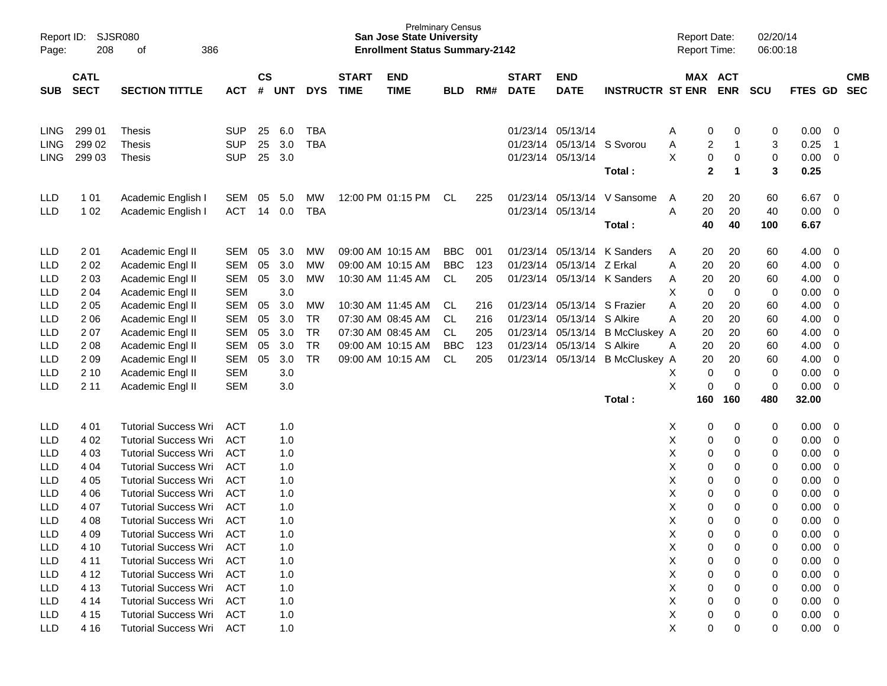| Report ID:<br>Page:        | <b>SJSR080</b><br>208      | 386<br>of                                                  |                          |                    |            |                          |                             | <b>San Jose State University</b><br><b>Enrollment Status Summary-2142</b> | <b>Prelminary Census</b> |            |                             |                                        |                                  | <b>Report Date:</b><br>Report Time: |                                                | 02/20/14<br>06:00:18 |                |                              |
|----------------------------|----------------------------|------------------------------------------------------------|--------------------------|--------------------|------------|--------------------------|-----------------------------|---------------------------------------------------------------------------|--------------------------|------------|-----------------------------|----------------------------------------|----------------------------------|-------------------------------------|------------------------------------------------|----------------------|----------------|------------------------------|
| <b>SUB</b>                 | <b>CATL</b><br><b>SECT</b> | <b>SECTION TITTLE</b>                                      | <b>ACT</b>               | $\mathsf{cs}$<br># | <b>UNT</b> | <b>DYS</b>               | <b>START</b><br><b>TIME</b> | <b>END</b><br><b>TIME</b>                                                 | <b>BLD</b>               | RM#        | <b>START</b><br><b>DATE</b> | <b>END</b><br><b>DATE</b>              | <b>INSTRUCTR ST ENR</b>          |                                     | MAX ACT<br><b>ENR</b>                          | <b>SCU</b>           | <b>FTES GD</b> | <b>CMB</b><br><b>SEC</b>     |
| <b>LING</b><br><b>LING</b> | 299 01<br>299 02           | <b>Thesis</b><br>Thesis                                    | <b>SUP</b><br><b>SUP</b> | 25<br>25           | 6.0<br>3.0 | <b>TBA</b><br><b>TBA</b> |                             |                                                                           |                          |            | 01/23/14 05/13/14           | 01/23/14 05/13/14                      | S Svorou                         | Α<br>Α                              | 0<br>0<br>$\overline{c}$<br>1                  | 0<br>3               | 0.00<br>0.25   | 0<br>$\overline{1}$          |
| <b>LING</b>                | 299 03                     | Thesis                                                     | <b>SUP</b>               | 25                 | 3.0        |                          |                             |                                                                           |                          |            | 01/23/14 05/13/14           |                                        | Total:                           | X                                   | 0<br>0<br>$\mathbf{2}$<br>$\blacktriangleleft$ | 0<br>3               | 0.00<br>0.25   | $\mathbf 0$                  |
| LLD<br><b>LLD</b>          | 101<br>1 0 2               | Academic English I<br>Academic English I                   | <b>SEM</b><br><b>ACT</b> | 05<br>14           | 5.0<br>0.0 | MW<br><b>TBA</b>         |                             | 12:00 PM 01:15 PM                                                         | CL                       | 225        | 01/23/14 05/13/14           | 01/23/14 05/13/14                      | V Sansome                        | A<br>Α                              | 20<br>20<br>20<br>20                           | 60<br>40             | 6.67<br>0.00   | 0<br>0                       |
|                            |                            |                                                            |                          |                    |            |                          |                             |                                                                           |                          |            |                             |                                        | Total:                           |                                     | 40<br>40                                       | 100                  | 6.67           |                              |
| LLD<br>LLD                 | 2 0 1<br>202               | Academic Engl II<br>Academic Engl II                       | SEM<br><b>SEM</b>        | 05<br>05           | 3.0<br>3.0 | МW<br><b>MW</b>          |                             | 09:00 AM 10:15 AM<br>09:00 AM 10:15 AM                                    | BBC<br>BBC               | 001<br>123 |                             | 01/23/14 05/13/14<br>01/23/14 05/13/14 | K Sanders<br>Z Erkal             | A<br>A                              | 20<br>20<br>20<br>20                           | 60<br>60             | 4.00<br>4.00   | 0<br>0                       |
| <b>LLD</b><br><b>LLD</b>   | 2 0 3<br>2 0 4             | Academic Engl II<br>Academic Engl II                       | <b>SEM</b><br><b>SEM</b> | 05                 | 3.0<br>3.0 | MW                       |                             | 10:30 AM 11:45 AM                                                         | CL                       | 205        |                             |                                        | 01/23/14 05/13/14 K Sanders      | A<br>Χ                              | 20<br>20<br>0<br>0                             | 60<br>0              | 4.00<br>0.00   | 0<br>0                       |
| LLD<br>LLD                 | 2 0 5<br>2 0 6             | Academic Engl II<br>Academic Engl II                       | <b>SEM</b><br><b>SEM</b> | 05<br>05           | 3.0<br>3.0 | MW<br><b>TR</b>          |                             | 10:30 AM 11:45 AM<br>07:30 AM 08:45 AM                                    | CL<br>CL                 | 216<br>216 |                             | 01/23/14 05/13/14<br>01/23/14 05/13/14 | S Frazier<br>S Alkire            | A<br>Α                              | 20<br>20<br>20<br>20                           | 60<br>60             | 4.00<br>4.00   | 0<br>0                       |
| LLD<br>LLD                 | 207<br>2 0 8               | Academic Engl II<br>Academic Engl II                       | <b>SEM</b><br><b>SEM</b> | 05<br>05           | 3.0<br>3.0 | <b>TR</b><br><b>TR</b>   |                             | 07:30 AM 08:45 AM<br>09:00 AM 10:15 AM                                    | CL<br><b>BBC</b>         | 205<br>123 |                             | 01/23/14 05/13/14<br>01/23/14 05/13/14 | <b>B McCluskey A</b><br>S Alkire | A                                   | 20<br>20<br>20<br>20                           | 60<br>60             | 4.00<br>4.00   | 0<br>0                       |
| LLD<br>LLD                 | 209<br>2 10                | Academic Engl II<br>Academic Engl II                       | <b>SEM</b><br><b>SEM</b> | 05                 | 3.0<br>3.0 | <b>TR</b>                |                             | 09:00 AM 10:15 AM                                                         | CL.                      | 205        | 01/23/14                    | 05/13/14                               | <b>B McCluskey A</b>             | X                                   | 20<br>20<br>0<br>0                             | 60<br>0              | 4.00<br>0.00   | 0<br>0                       |
| <b>LLD</b>                 | 2 1 1                      | Academic Engl II                                           | <b>SEM</b>               |                    | 3.0        |                          |                             |                                                                           |                          |            |                             |                                        | Total:                           | X<br>160                            | 0<br>0<br>160                                  | 0<br>480             | 0.00<br>32.00  | 0                            |
|                            |                            |                                                            |                          |                    |            |                          |                             |                                                                           |                          |            |                             |                                        |                                  |                                     |                                                |                      |                |                              |
| LLD<br>LLD                 | 4 0 1<br>4 0 2             | <b>Tutorial Success Wri</b><br><b>Tutorial Success Wri</b> | <b>ACT</b><br><b>ACT</b> |                    | 1.0<br>1.0 |                          |                             |                                                                           |                          |            |                             |                                        |                                  | Х<br>X                              | 0<br>0<br>0<br>0                               | 0<br>0               | 0.00<br>0.00   | 0<br>0                       |
| <b>LLD</b><br><b>LLD</b>   | 4 0 3<br>4 0 4             | <b>Tutorial Success Wri</b><br><b>Tutorial Success Wri</b> | <b>ACT</b><br><b>ACT</b> |                    | 1.0<br>1.0 |                          |                             |                                                                           |                          |            |                             |                                        |                                  | X<br>X                              | 0<br>0<br>0<br>0                               | 0<br>0               | 0.00<br>0.00   | 0<br>0                       |
| LLD<br>LLD                 | 4 0 5<br>4 0 6             | <b>Tutorial Success Wri</b><br><b>Tutorial Success Wri</b> | <b>ACT</b><br><b>ACT</b> |                    | 1.0<br>1.0 |                          |                             |                                                                           |                          |            |                             |                                        |                                  | X<br>X                              | 0<br>0<br>0<br>0                               | 0<br>0               | 0.00<br>0.00   | 0<br>0                       |
| <b>LLD</b><br><b>LLD</b>   | 4 0 7<br>4 0 8             | <b>Tutorial Success Wri</b><br><b>Tutorial Success Wri</b> | <b>ACT</b><br><b>ACT</b> |                    | 1.0<br>1.0 |                          |                             |                                                                           |                          |            |                             |                                        |                                  | X<br>X                              | 0<br>0<br>0<br>0                               | 0<br>0               | 0.00<br>0.00   | 0<br>$\mathbf 0$             |
| LLD<br><b>LLD</b>          | 4 0 9<br>4 10              | <b>Tutorial Success Wri</b><br><b>Tutorial Success Wri</b> | <b>ACT</b><br><b>ACT</b> |                    | 1.0<br>1.0 |                          |                             |                                                                           |                          |            |                             |                                        |                                  | X<br>X                              | 0<br>0<br>0<br>0                               | 0<br>0               | 0.00<br>0.00   | $\mathbf 0$<br>0             |
| <b>LLD</b><br><b>LLD</b>   | 4 1 1<br>4 1 2             | <b>Tutorial Success Wri</b><br><b>Tutorial Success Wri</b> | <b>ACT</b><br><b>ACT</b> |                    | 1.0<br>1.0 |                          |                             |                                                                           |                          |            |                             |                                        |                                  | X<br>X                              | 0<br>0<br>0<br>0                               | 0<br>0               | 0.00<br>0.00   | 0<br>0                       |
| LLD<br>LLD                 | 4 1 3<br>4 14              | <b>Tutorial Success Wri</b><br><b>Tutorial Success Wri</b> | <b>ACT</b><br><b>ACT</b> |                    | 1.0<br>1.0 |                          |                             |                                                                           |                          |            |                             |                                        |                                  | X<br>X                              | 0<br>0<br>0<br>0                               | 0<br>0               | 0.00<br>0.00   | 0<br>$\overline{0}$          |
| LLD<br><b>LLD</b>          | 4 15<br>4 1 6              | <b>Tutorial Success Wri</b><br><b>Tutorial Success Wri</b> | <b>ACT</b><br><b>ACT</b> |                    | 1.0<br>1.0 |                          |                             |                                                                           |                          |            |                             |                                        |                                  | X<br>X                              | 0<br>0<br>0<br>0                               | 0<br>0               | 0.00<br>0.00   | 0<br>$\overline{\mathbf{0}}$ |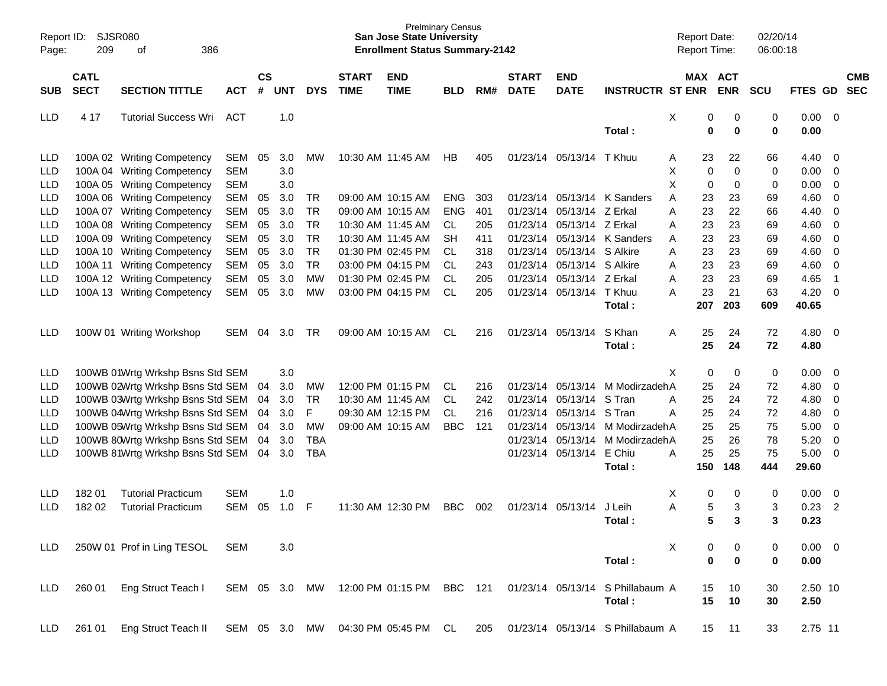| Report ID:<br>Page:      | 209                        | SJSR080<br>386<br>оf                                                 |                          |                    |            |                        |                             | <b>San Jose State University</b><br><b>Enrollment Status Summary-2142</b> | <b>Prelminary Census</b> |            |                             |                           |                                  | <b>Report Date:</b><br>Report Time: |                       | 02/20/14<br>06:00:18 |               |                                            |                          |
|--------------------------|----------------------------|----------------------------------------------------------------------|--------------------------|--------------------|------------|------------------------|-----------------------------|---------------------------------------------------------------------------|--------------------------|------------|-----------------------------|---------------------------|----------------------------------|-------------------------------------|-----------------------|----------------------|---------------|--------------------------------------------|--------------------------|
| <b>SUB</b>               | <b>CATL</b><br><b>SECT</b> | <b>SECTION TITTLE</b>                                                | <b>ACT</b>               | $\mathsf{cs}$<br># | <b>UNT</b> | <b>DYS</b>             | <b>START</b><br><b>TIME</b> | <b>END</b><br><b>TIME</b>                                                 | <b>BLD</b>               | RM#        | <b>START</b><br><b>DATE</b> | <b>END</b><br><b>DATE</b> | <b>INSTRUCTR ST ENR</b>          |                                     | MAX ACT<br><b>ENR</b> | SCU                  | FTES GD       |                                            | <b>CMB</b><br><b>SEC</b> |
| <b>LLD</b>               | 4 17                       | <b>Tutorial Success Wri</b>                                          | ACT                      |                    | 1.0        |                        |                             |                                                                           |                          |            |                             |                           | Total:                           | Χ<br>0<br>0                         | 0<br>0                | 0<br>0               | 0.00<br>0.00  | $\overline{\phantom{0}}$                   |                          |
| <b>LLD</b><br><b>LLD</b> |                            | 100A 02 Writing Competency<br>100A 04 Writing Competency             | SEM<br><b>SEM</b>        | 05                 | 3.0<br>3.0 | МW                     |                             | 10:30 AM 11:45 AM                                                         | HB                       | 405        |                             | 01/23/14 05/13/14 T Khuu  |                                  | 23<br>Α<br>X<br>0                   | 22<br>0               | 66<br>0              | 4.40<br>0.00  | $\overline{\phantom{0}}$<br>$\overline{0}$ |                          |
| <b>LLD</b><br><b>LLD</b> |                            | 100A 05 Writing Competency<br>100A 06 Writing Competency             | <b>SEM</b><br><b>SEM</b> | 05                 | 3.0<br>3.0 | TR                     |                             | 09:00 AM 10:15 AM                                                         | <b>ENG</b>               | 303        | 01/23/14                    |                           | 05/13/14 K Sanders               | Χ<br>0<br>Α<br>23                   | 0<br>23               | 0<br>69              | 0.00<br>4.60  | $\overline{0}$<br>$\overline{0}$           |                          |
| <b>LLD</b>               |                            | 100A 07 Writing Competency                                           | <b>SEM</b>               | 05                 | 3.0        | <b>TR</b>              |                             | 09:00 AM 10:15 AM                                                         | <b>ENG</b>               | 401        | 01/23/14                    | 05/13/14                  | Z Erkal                          | Α<br>23                             | 22                    | 66                   | 4.40          | $\overline{0}$                             |                          |
| <b>LLD</b><br><b>LLD</b> |                            | 100A 08 Writing Competency<br>100A 09 Writing Competency             | <b>SEM</b><br><b>SEM</b> | 05<br>05           | 3.0<br>3.0 | <b>TR</b><br><b>TR</b> |                             | 10:30 AM 11:45 AM<br>10:30 AM 11:45 AM                                    | CL<br><b>SH</b>          | 205<br>411 | 01/23/14<br>01/23/14        | 05/13/14 Z Erkal          | 05/13/14 K Sanders               | 23<br>Α<br>23<br>Α                  | 23<br>23              | 69<br>69             | 4.60<br>4.60  | $\overline{0}$<br>$\overline{0}$           |                          |
| <b>LLD</b>               |                            | 100A 10 Writing Competency                                           | <b>SEM</b>               | 05                 | 3.0        | <b>TR</b>              |                             | 01:30 PM 02:45 PM                                                         | CL.                      | 318        | 01/23/14                    | 05/13/14 S Alkire         |                                  | 23<br>Α                             | 23                    | 69                   | 4.60          | $\overline{0}$                             |                          |
| <b>LLD</b><br><b>LLD</b> |                            | 100A 11 Writing Competency<br>100A 12 Writing Competency             | <b>SEM</b><br><b>SEM</b> | 05<br>05           | 3.0<br>3.0 | <b>TR</b><br>МW        |                             | 03:00 PM 04:15 PM<br>01:30 PM 02:45 PM                                    | CL.<br>CL.               | 243<br>205 | 01/23/14<br>01/23/14        | 05/13/14<br>05/13/14      | S Alkire<br>Z Erkal              | 23<br>Α<br>23<br>Α                  | 23<br>23              | 69<br>69             | 4.60<br>4.65  | $\overline{0}$<br>-1                       |                          |
| <b>LLD</b>               |                            | 100A 13 Writing Competency                                           | <b>SEM</b>               | 05                 | 3.0        | MW                     |                             | 03:00 PM 04:15 PM                                                         | <b>CL</b>                | 205        |                             | 01/23/14 05/13/14 T Khuu  | Total:                           | A<br>23<br>207                      | 21<br>203             | 63<br>609            | 4.20<br>40.65 | $\overline{0}$                             |                          |
| <b>LLD</b>               |                            | 100W 01 Writing Workshop                                             | SEM                      | 04                 | 3.0        | TR                     |                             | 09:00 AM 10:15 AM                                                         | CL                       | 216        |                             | 01/23/14 05/13/14         | S Khan                           | 25<br>Α                             | 24                    | 72                   | 4.80          | $\overline{\phantom{0}}$                   |                          |
|                          |                            |                                                                      |                          |                    |            |                        |                             |                                                                           |                          |            |                             |                           | Total:                           | 25                                  | 24                    | 72                   | 4.80          |                                            |                          |
| <b>LLD</b>               |                            | 100WB 01Wrtg Wrkshp Bsns Std SEM                                     |                          |                    | 3.0        |                        |                             |                                                                           |                          |            |                             |                           |                                  | Χ<br>0                              | 0                     | 0                    | 0.00          | $\overline{\phantom{0}}$                   |                          |
| <b>LLD</b>               |                            | 100WB 02Wrtg Wrkshp Bsns Std SEM                                     |                          | 04                 | 3.0        | МW                     |                             | 12:00 PM 01:15 PM                                                         | CL                       | 216        | 01/23/14                    |                           | 05/13/14 M ModirzadehA           | 25                                  | 24                    | 72                   | 4.80          | $\overline{0}$                             |                          |
| <b>LLD</b>               |                            | 100WB 03Wrtg Wrkshp Bsns Std SEM                                     |                          | 04                 | 3.0        | <b>TR</b>              |                             | 10:30 AM 11:45 AM                                                         | CL                       | 242        | 01/23/14                    | 05/13/14                  | S Tran                           | 25<br>Α                             | 24                    | 72                   | 4.80          | $\overline{0}$                             |                          |
| <b>LLD</b><br><b>LLD</b> |                            | 100WB 04Wrtg Wrkshp Bsns Std SEM<br>100WB 05Wrtg Wrkshp Bsns Std SEM |                          | 04<br>04           | 3.0<br>3.0 | F<br><b>MW</b>         |                             | 09:30 AM 12:15 PM<br>09:00 AM 10:15 AM                                    | <b>CL</b><br><b>BBC</b>  | 216<br>121 | 01/23/14<br>01/23/14        | 05/13/14                  | S Tran<br>05/13/14 M ModirzadehA | 25<br>Α<br>25                       | 24<br>25              | 72<br>75             | 4.80<br>5.00  | $\overline{\mathbf{0}}$<br>$\overline{0}$  |                          |
| <b>LLD</b>               |                            | 100WB 80Wrtg Wrkshp Bsns Std SEM                                     |                          | 04                 | 3.0        | <b>TBA</b>             |                             |                                                                           |                          |            | 01/23/14                    |                           | 05/13/14 M ModirzadehA           | 25                                  | 26                    | 78                   | 5.20          | $\overline{0}$                             |                          |
| <b>LLD</b>               |                            | 100WB 81Wrtg Wrkshp Bsns Std SEM                                     |                          | 04                 | 3.0        | <b>TBA</b>             |                             |                                                                           |                          |            | 01/23/14                    | 05/13/14 E Chiu           |                                  | 25<br>Α                             | 25                    | 75                   | 5.00          | $\overline{0}$                             |                          |
|                          |                            |                                                                      |                          |                    |            |                        |                             |                                                                           |                          |            |                             |                           | Total:                           | 150                                 | 148                   | 444                  | 29.60         |                                            |                          |
| <b>LLD</b>               | 18201                      | <b>Tutorial Practicum</b>                                            | <b>SEM</b>               |                    | 1.0        |                        |                             |                                                                           |                          |            |                             |                           |                                  | Χ<br>0                              | 0                     | 0                    | 0.00          | $\overline{\mathbf{0}}$                    |                          |
| <b>LLD</b>               | 182 02                     | <b>Tutorial Practicum</b>                                            | <b>SEM</b>               | 05                 | 1.0        | F                      |                             | 11:30 AM 12:30 PM                                                         | <b>BBC</b>               | 002        |                             | 01/23/14 05/13/14         | J Leih                           | A<br>5                              | 3                     | 3                    | 0.23          | $\overline{2}$                             |                          |
|                          |                            |                                                                      |                          |                    |            |                        |                             |                                                                           |                          |            |                             |                           | Total:                           | 5                                   | 3                     | 3                    | 0.23          |                                            |                          |
| <b>LLD</b>               |                            | 250W 01 Prof in Ling TESOL                                           | <b>SEM</b>               |                    | 3.0        |                        |                             |                                                                           |                          |            |                             |                           |                                  | X<br>0                              | 0                     | 0                    | $0.00 \t 0$   |                                            |                          |
|                          |                            |                                                                      |                          |                    |            |                        |                             |                                                                           |                          |            |                             |                           | Total:                           | $\bf{0}$                            | 0                     | 0                    | 0.00          |                                            |                          |
| <b>LLD</b>               | 260 01                     | Eng Struct Teach I                                                   | SEM 05 3.0               |                    |            | MW                     |                             | 12:00 PM 01:15 PM                                                         | <b>BBC</b>               | 121        |                             |                           | 01/23/14 05/13/14 S Phillabaum A | 15                                  | 10                    | 30                   | 2.50 10       |                                            |                          |
|                          |                            |                                                                      |                          |                    |            |                        |                             |                                                                           |                          |            |                             |                           | Total:                           | 15                                  | 10                    | 30                   | 2.50          |                                            |                          |
| <b>LLD</b>               | 261 01                     | Eng Struct Teach II                                                  |                          |                    |            |                        |                             | SEM 05 3.0 MW 04:30 PM 05:45 PM CL                                        |                          | 205        |                             |                           | 01/23/14 05/13/14 S Phillabaum A | 15                                  | 11                    | 33                   | 2.75 11       |                                            |                          |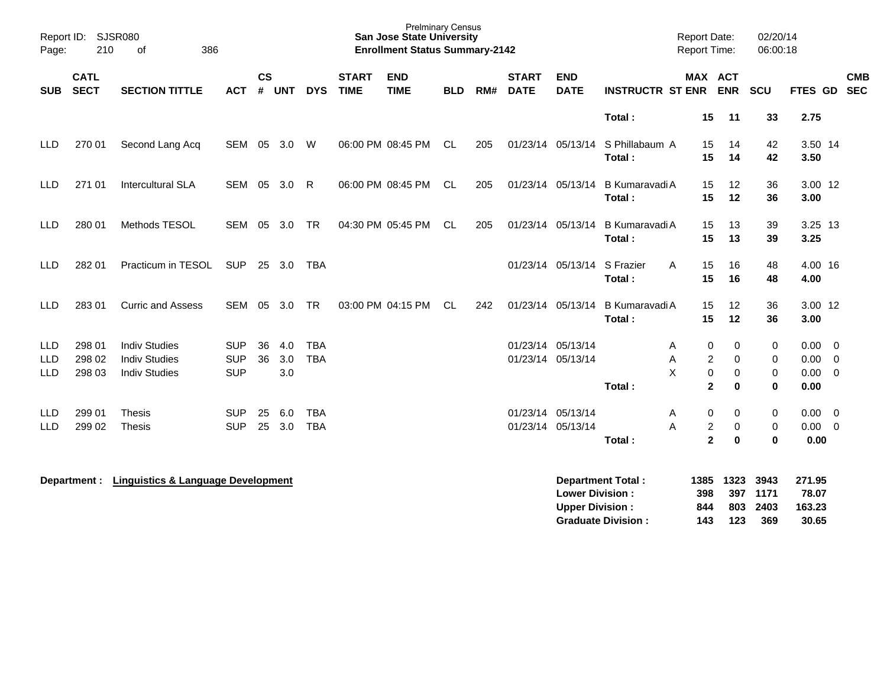| Report ID:<br>Page:      | 386                                                               |                                               |                          |          |                         | <b>Prelminary Census</b><br><b>San Jose State University</b><br><b>Enrollment Status Summary-2142</b> |                             |                           |            |     |                             | <b>Report Date:</b><br><b>Report Time:</b>       |                                                       | 02/20/14<br>06:00:18        |                           |                             |                                    |                          |
|--------------------------|-------------------------------------------------------------------|-----------------------------------------------|--------------------------|----------|-------------------------|-------------------------------------------------------------------------------------------------------|-----------------------------|---------------------------|------------|-----|-----------------------------|--------------------------------------------------|-------------------------------------------------------|-----------------------------|---------------------------|-----------------------------|------------------------------------|--------------------------|
| <b>SUB</b>               | <b>CATL</b><br><b>SECT</b><br><b>SECTION TITTLE</b><br><b>ACT</b> |                                               |                          |          | <b>CS</b><br><b>UNT</b> | <b>DYS</b>                                                                                            | <b>START</b><br><b>TIME</b> | <b>END</b><br><b>TIME</b> | <b>BLD</b> | RM# | <b>START</b><br><b>DATE</b> | <b>END</b><br><b>DATE</b>                        | <b>INSTRUCTR ST ENR</b>                               | MAX ACT                     | <b>ENR</b>                | <b>SCU</b>                  | <b>FTES GD</b>                     | <b>CMB</b><br><b>SEC</b> |
|                          |                                                                   |                                               |                          |          |                         |                                                                                                       |                             |                           |            |     |                             |                                                  | Total:                                                | 15                          | 11                        | 33                          | 2.75                               |                          |
| LLD                      | 270 01                                                            | Second Lang Acq                               |                          |          | SEM 05 3.0 W            |                                                                                                       |                             | 06:00 PM 08:45 PM         | CL         | 205 |                             | 01/23/14 05/13/14                                | S Phillabaum A                                        | 15                          | 14                        | 42                          | 3.50 14                            |                          |
|                          |                                                                   |                                               |                          |          |                         |                                                                                                       |                             |                           |            |     |                             |                                                  | Total:                                                | 15                          | 14                        | 42                          | 3.50                               |                          |
| LLD                      | 271 01                                                            | Intercultural SLA                             | SEM 05 3.0               |          |                         | R                                                                                                     |                             | 06:00 PM 08:45 PM         | CL         | 205 |                             | 01/23/14 05/13/14                                | B Kumaravadi A                                        | 15                          | 12                        | 36                          | 3.00 12                            |                          |
|                          |                                                                   |                                               |                          |          |                         |                                                                                                       |                             |                           |            |     |                             |                                                  | Total:                                                | 15                          | 12                        | 36                          | 3.00                               |                          |
| <b>LLD</b>               | 280 01                                                            | Methods TESOL                                 | SEM                      |          | 05 3.0                  | <b>TR</b>                                                                                             |                             | 04:30 PM 05:45 PM         | CL         | 205 |                             | 01/23/14 05/13/14                                | B Kumaravadi A                                        | 15                          | 13                        | 39                          | 3.25 13                            |                          |
|                          |                                                                   |                                               |                          |          |                         |                                                                                                       |                             |                           |            |     |                             |                                                  | Total:                                                | 15                          | 13                        | 39                          | 3.25                               |                          |
| <b>LLD</b>               | 282 01                                                            | Practicum in TESOL                            | <b>SUP</b>               |          | 25 3.0                  | TBA                                                                                                   |                             |                           |            |     |                             | 01/23/14 05/13/14 S Frazier                      | Α                                                     | 15                          | 16                        | 48                          | 4.00 16                            |                          |
|                          |                                                                   |                                               |                          |          |                         |                                                                                                       |                             |                           |            |     |                             |                                                  | Total:                                                | 15                          | 16                        | 48                          | 4.00                               |                          |
| <b>LLD</b>               | 283 01                                                            | <b>Curric and Assess</b>                      | SEM                      | 05       | 3.0                     | <b>TR</b>                                                                                             |                             | 03:00 PM 04:15 PM         | CL         | 242 |                             | 01/23/14 05/13/14                                | B Kumaravadi A                                        | 15                          | 12                        | 36                          | 3.00 12                            |                          |
|                          |                                                                   |                                               |                          |          |                         |                                                                                                       |                             |                           |            |     |                             |                                                  | Total:                                                | 15                          | 12                        | 36                          | 3.00                               |                          |
| <b>LLD</b>               | 298 01                                                            | <b>Indiv Studies</b>                          | <b>SUP</b>               | 36       | 4.0                     | <b>TBA</b>                                                                                            |                             |                           |            |     |                             | 01/23/14 05/13/14                                | A                                                     | 0                           | 0                         | 0                           | 0.00                               | $\overline{\phantom{0}}$ |
| LLD                      | 298 02                                                            | <b>Indiv Studies</b>                          | <b>SUP</b>               | 36       | 3.0                     | <b>TBA</b>                                                                                            |                             |                           |            |     |                             | 01/23/14 05/13/14                                | Α                                                     | $\overline{c}$              | $\mathbf 0$               | 0                           | 0.00                               | $\overline{\phantom{0}}$ |
| <b>LLD</b>               | 298 03                                                            | <b>Indiv Studies</b>                          | <b>SUP</b>               |          | 3.0                     |                                                                                                       |                             |                           |            |     |                             |                                                  | X<br>Total:                                           | $\pmb{0}$<br>$\overline{2}$ | 0<br>$\bf{0}$             | 0<br>0                      | $0.00 \t 0$<br>0.00                |                          |
|                          |                                                                   |                                               |                          |          |                         |                                                                                                       |                             |                           |            |     |                             |                                                  |                                                       |                             |                           |                             |                                    |                          |
| <b>LLD</b><br><b>LLD</b> | 299 01<br>299 02                                                  | <b>Thesis</b><br><b>Thesis</b>                | <b>SUP</b><br><b>SUP</b> | 25<br>25 | 6.0<br>3.0              | <b>TBA</b><br><b>TBA</b>                                                                              |                             |                           |            |     |                             | 01/23/14 05/13/14<br>01/23/14 05/13/14           | A<br>A                                                | 0<br>$\overline{c}$         | 0<br>0                    | 0<br>0                      | $0.00 \t 0$<br>$0.00 \t 0$         |                          |
|                          |                                                                   |                                               |                          |          |                         |                                                                                                       |                             |                           |            |     |                             |                                                  | Total:                                                | $\mathbf{2}$                | $\bf{0}$                  | 0                           | 0.00                               |                          |
|                          | Department :                                                      | <b>Linguistics &amp; Language Development</b> |                          |          |                         |                                                                                                       |                             |                           |            |     |                             | <b>Lower Division:</b><br><b>Upper Division:</b> | <b>Department Total:</b><br><b>Graduate Division:</b> | 1385<br>398<br>844<br>143   | 1323<br>397<br>803<br>123 | 3943<br>1171<br>2403<br>369 | 271.95<br>78.07<br>163.23<br>30.65 |                          |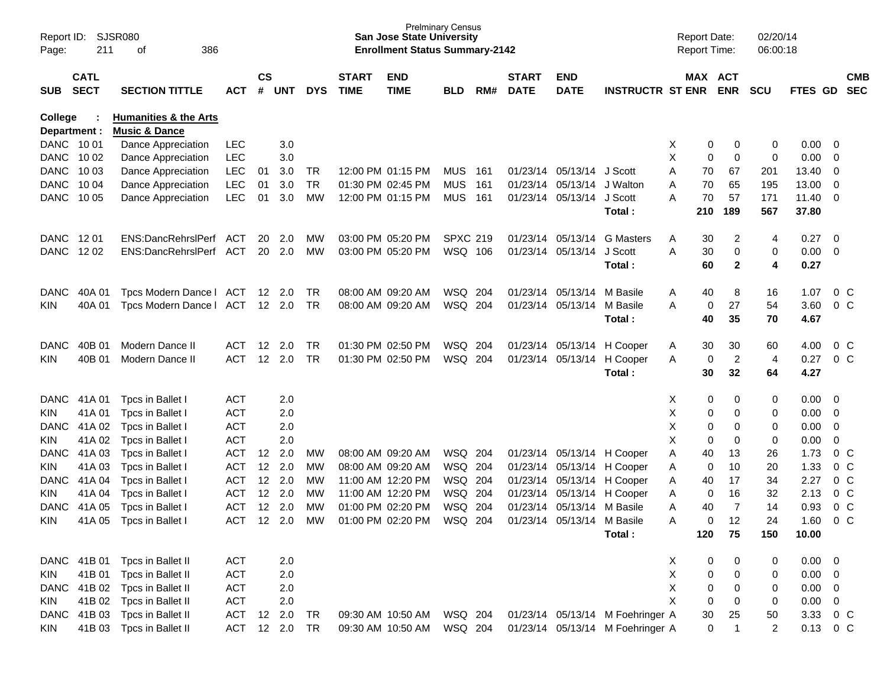| Report ID:<br>Page:       | 211                        | SJSR080<br>386<br>οf                           |            |                    |            |            |                             | <b>San Jose State University</b><br><b>Enrollment Status Summary-2142</b> | <b>Prelminary Census</b> |     |                             |                            |                                  | <b>Report Date:</b><br><b>Report Time:</b> |             |                       | 02/20/14<br>06:00:18 |                |                          |                          |
|---------------------------|----------------------------|------------------------------------------------|------------|--------------------|------------|------------|-----------------------------|---------------------------------------------------------------------------|--------------------------|-----|-----------------------------|----------------------------|----------------------------------|--------------------------------------------|-------------|-----------------------|----------------------|----------------|--------------------------|--------------------------|
| SUB                       | <b>CATL</b><br><b>SECT</b> | <b>SECTION TITTLE</b>                          | ACT        | $\mathsf{cs}$<br># | <b>UNT</b> | <b>DYS</b> | <b>START</b><br><b>TIME</b> | <b>END</b><br><b>TIME</b>                                                 | <b>BLD</b>               | RM# | <b>START</b><br><b>DATE</b> | <b>END</b><br><b>DATE</b>  | <b>INSTRUCTR ST ENR</b>          |                                            |             | MAX ACT<br><b>ENR</b> | <b>SCU</b>           | FTES GD        |                          | <b>CMB</b><br><b>SEC</b> |
| <b>College</b>            |                            | <b>Humanities &amp; the Arts</b>               |            |                    |            |            |                             |                                                                           |                          |     |                             |                            |                                  |                                            |             |                       |                      |                |                          |                          |
| Department :<br>DANC 1001 |                            | <b>Music &amp; Dance</b><br>Dance Appreciation | <b>LEC</b> |                    | 3.0        |            |                             |                                                                           |                          |     |                             |                            |                                  | х                                          | 0           | 0                     | 0                    | $0.00 \quad 0$ |                          |                          |
| DANC                      | 10 02                      | Dance Appreciation                             | <b>LEC</b> |                    | 3.0        |            |                             |                                                                           |                          |     |                             |                            |                                  | X                                          | 0           | 0                     | 0                    | 0.00           | $\overline{\mathbf{0}}$  |                          |
| <b>DANC</b>               | 10 03                      | Dance Appreciation                             | <b>LEC</b> | 01                 | 3.0        | TR         |                             | 12:00 PM 01:15 PM                                                         | MUS                      | 161 |                             | 01/23/14 05/13/14 J Scott  |                                  | Α                                          | 70          | 67                    | 201                  | 13.40          | $\overline{\mathbf{0}}$  |                          |
| <b>DANC</b>               | 10 04                      | Dance Appreciation                             | <b>LEC</b> | 01                 | 3.0        | <b>TR</b>  |                             | 01:30 PM 02:45 PM                                                         | <b>MUS</b>               | 161 |                             | 01/23/14 05/13/14          | J Walton                         | Α                                          | 70          | 65                    | 195                  | 13.00          | $\overline{\mathbf{0}}$  |                          |
| <b>DANC</b>               | 10 05                      | Dance Appreciation                             | <b>LEC</b> | 01                 | 3.0        | MW         |                             | 12:00 PM 01:15 PM                                                         | <b>MUS</b>               | 161 |                             | 01/23/14 05/13/14 J Scott  |                                  | А                                          | 70          | 57                    | 171                  | 11.40          | $\overline{\phantom{0}}$ |                          |
|                           |                            |                                                |            |                    |            |            |                             |                                                                           |                          |     |                             |                            | Total:                           |                                            | 210         | 189                   | 567                  | 37.80          |                          |                          |
| DANC 1201                 |                            | ENS:DancRehrslPerf ACT                         |            | 20                 | 2.0        | МW         |                             | 03:00 PM 05:20 PM                                                         | <b>SPXC 219</b>          |     |                             |                            | 01/23/14 05/13/14 G Masters      | Α                                          | 30          | 2                     | 4                    | 0.27           | $\overline{\phantom{0}}$ |                          |
| <b>DANC</b>               | 12 02                      | ENS:DancRehrslPerf ACT                         |            | 20                 | 2.0        | MW         |                             | 03:00 PM 05:20 PM                                                         | WSQ 106                  |     |                             | 01/23/14 05/13/14          | J Scott                          | Α                                          | 30          | 0                     | 0                    | 0.00           | $\overline{\phantom{0}}$ |                          |
|                           |                            |                                                |            |                    |            |            |                             |                                                                           |                          |     |                             |                            | Total:                           |                                            | 60          | $\overline{2}$        | 4                    | 0.27           |                          |                          |
| <b>DANC</b>               | 40A 01                     | Tpcs Modern Dance   ACT 12 2.0                 |            |                    |            | TR         |                             | 08:00 AM 09:20 AM                                                         | WSQ 204                  |     |                             | 01/23/14 05/13/14          | M Basile                         | Α                                          | 40          | 8                     | 16                   | 1.07           |                          | $0\,$ C                  |
| <b>KIN</b>                | 40A 01                     | Tpcs Modern Dance   ACT 12 2.0                 |            |                    |            | TR         |                             | 08:00 AM 09:20 AM                                                         | WSQ 204                  |     |                             | 01/23/14 05/13/14          | M Basile                         | Α                                          | 0           | 27                    | 54                   | 3.60           |                          | 0 <sup>o</sup>           |
|                           |                            |                                                |            |                    |            |            |                             |                                                                           |                          |     |                             |                            | Total:                           |                                            | 40          | 35                    | 70                   | 4.67           |                          |                          |
| <b>DANC</b>               | 40B 01                     | Modern Dance II                                | ACT        | 12                 | 2.0        | TR         |                             | 01:30 PM 02:50 PM                                                         | WSQ 204                  |     |                             |                            | 01/23/14 05/13/14 H Cooper       | Α                                          | 30          | 30                    | 60                   | 4.00           |                          | $0\,$ C                  |
| <b>KIN</b>                | 40B 01                     | Modern Dance II                                | <b>ACT</b> | 12                 | 2.0        | <b>TR</b>  |                             | 01:30 PM 02:50 PM                                                         | WSQ 204                  |     |                             | 01/23/14 05/13/14          | H Cooper                         | A                                          | 0           | $\overline{c}$        | 4                    | 0.27           |                          | 0 <sup>o</sup>           |
|                           |                            |                                                |            |                    |            |            |                             |                                                                           |                          |     |                             |                            | Total:                           |                                            | 30          | 32                    | 64                   | 4.27           |                          |                          |
| DANC                      | 41A 01                     | Tpcs in Ballet I                               | <b>ACT</b> |                    | 2.0        |            |                             |                                                                           |                          |     |                             |                            |                                  | X                                          | 0           | 0                     | 0                    | 0.00           | $\overline{\phantom{0}}$ |                          |
| <b>KIN</b>                | 41A 01                     | Tpcs in Ballet I                               | <b>ACT</b> |                    | 2.0        |            |                             |                                                                           |                          |     |                             |                            |                                  | Χ                                          | 0           | 0                     | 0                    | 0.00           | $\overline{\phantom{0}}$ |                          |
| <b>DANC</b>               | 41A 02                     | Tpcs in Ballet I                               | <b>ACT</b> |                    | 2.0        |            |                             |                                                                           |                          |     |                             |                            |                                  | Χ                                          | 0           | 0                     | 0                    | 0.00           | $\overline{\phantom{0}}$ |                          |
| <b>KIN</b>                | 41A 02                     | Tpcs in Ballet I                               | <b>ACT</b> |                    | 2.0        |            |                             |                                                                           |                          |     |                             |                            |                                  | X                                          | 0           | 0                     | 0                    | 0.00           | $\overline{0}$           |                          |
| <b>DANC</b>               | 41A 03                     | Tpcs in Ballet I                               | <b>ACT</b> | 12                 | 2.0        | MW.        |                             | 08:00 AM 09:20 AM                                                         | WSQ 204                  |     |                             | 01/23/14 05/13/14 H Cooper |                                  | Α                                          | 40          | 13                    | 26                   | 1.73           |                          | 0 <sup>o</sup>           |
| <b>KIN</b>                | 41A 03                     | Tpcs in Ballet I                               | <b>ACT</b> | 12                 | 2.0        | MW         |                             | 08:00 AM 09:20 AM                                                         | WSQ 204                  |     |                             |                            | 01/23/14 05/13/14 H Cooper       | Α                                          | 0           | 10                    | 20                   | 1.33           |                          | 0 <sup>o</sup>           |
| <b>DANC</b>               | 41A 04                     | Tpcs in Ballet I                               | <b>ACT</b> | 12                 | 2.0        | MW         |                             | 11:00 AM 12:20 PM                                                         | WSQ 204                  |     |                             |                            | 01/23/14 05/13/14 H Cooper       | Α                                          | 40          | 17                    | 34                   | 2.27           |                          | 0 <sup>o</sup>           |
| <b>KIN</b>                | 41A 04                     | Tpcs in Ballet I                               | <b>ACT</b> | 12                 | 2.0        | MW         |                             | 11:00 AM 12:20 PM                                                         | WSQ 204                  |     |                             | 01/23/14 05/13/14 H Cooper |                                  | Α                                          | 0           | 16                    | 32                   | 2.13           |                          | 0 <sup>o</sup>           |
| <b>DANC</b>               | 41A 05                     | Tpcs in Ballet I                               | <b>ACT</b> | 12                 | 2.0        | MW         |                             | 01:00 PM 02:20 PM                                                         | WSQ 204                  |     |                             | 01/23/14 05/13/14          | M Basile                         | Α                                          | 40          | $\overline{7}$        | 14                   | 0.93           |                          | 0 <sup>o</sup>           |
| <b>KIN</b>                | 41A 05                     | Tpcs in Ballet I                               | <b>ACT</b> | 12                 | 2.0        | MW         |                             | 01:00 PM 02:20 PM                                                         | WSQ 204                  |     |                             | 01/23/14 05/13/14 M Basile |                                  | Α                                          | 0           | 12                    | 24                   | 1.60           |                          | 0 <sup>o</sup>           |
|                           |                            |                                                |            |                    |            |            |                             |                                                                           |                          |     |                             |                            | Total:                           |                                            | 120         | 75                    | 150                  | 10.00          |                          |                          |
|                           |                            | DANC 41B 01 Tpcs in Ballet II                  | <b>ACT</b> |                    | 2.0        |            |                             |                                                                           |                          |     |                             |                            |                                  | X                                          | $\pmb{0}$   | 0                     | 0                    | $0.00 \t 0$    |                          |                          |
| KIN                       |                            | 41B 01 Tpcs in Ballet II                       | <b>ACT</b> |                    | 2.0        |            |                             |                                                                           |                          |     |                             |                            |                                  | Χ                                          | 0           | 0                     | 0                    | $0.00 \t 0$    |                          |                          |
|                           |                            | DANC 41B 02 Tpcs in Ballet II                  | <b>ACT</b> |                    | 2.0        |            |                             |                                                                           |                          |     |                             |                            |                                  | X                                          | $\pmb{0}$   | 0                     | 0                    | $0.00 \t 0$    |                          |                          |
| <b>KIN</b>                |                            | 41B 02 Tpcs in Ballet II                       | <b>ACT</b> |                    | 2.0        |            |                             |                                                                           |                          |     |                             |                            |                                  | X                                          | 0           | 0                     | 0                    | $0.00 \t 0$    |                          |                          |
|                           |                            | DANC 41B 03 Tpcs in Ballet II                  | ACT        | 12                 | 2.0        | <b>TR</b>  |                             | 09:30 AM 10:50 AM                                                         | WSQ 204                  |     |                             |                            | 01/23/14 05/13/14 M Foehringer A |                                            | 30          | 25                    | 50                   | 3.33 0 C       |                          |                          |
| KIN                       |                            | 41B 03 Tpcs in Ballet II                       | ACT 12 2.0 |                    |            | <b>TR</b>  |                             | 09:30 AM 10:50 AM                                                         | WSQ 204                  |     |                             |                            | 01/23/14 05/13/14 M Foehringer A |                                            | $\mathbf 0$ |                       | $\overline{c}$       | 0.13 0 C       |                          |                          |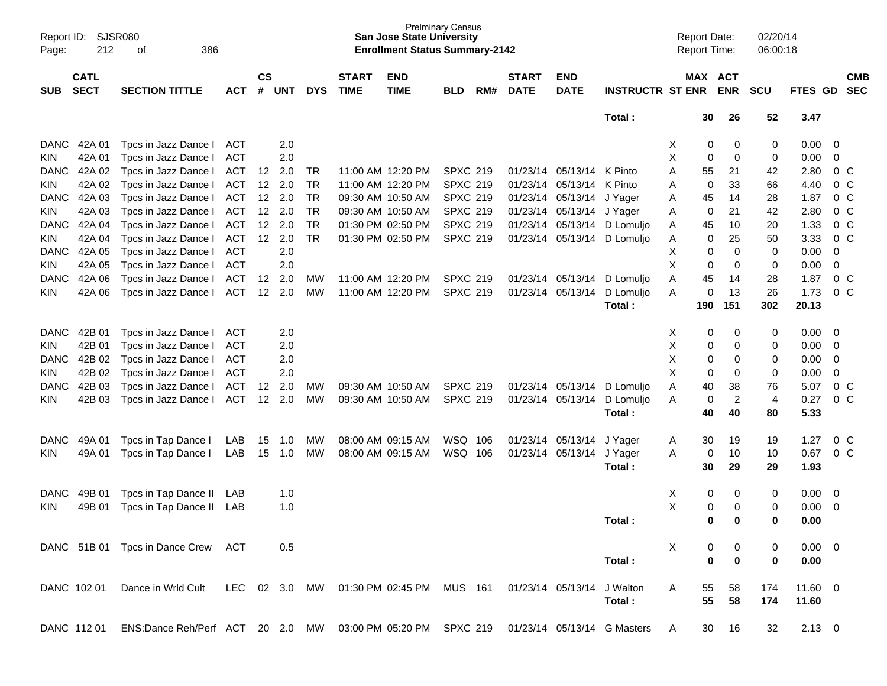| Page:                     | Report ID: SJSR080<br>212  | 386<br>οf                      |            |                    |                |            |                             | <b>San Jose State University</b><br><b>Enrollment Status Summary-2142</b> | <b>Prelminary Census</b> |     |                             |                           |                             | <b>Report Date:</b><br><b>Report Time:</b> |             |                | 02/20/14<br>06:00:18 |              |                |            |
|---------------------------|----------------------------|--------------------------------|------------|--------------------|----------------|------------|-----------------------------|---------------------------------------------------------------------------|--------------------------|-----|-----------------------------|---------------------------|-----------------------------|--------------------------------------------|-------------|----------------|----------------------|--------------|----------------|------------|
| <b>SUB</b>                | <b>CATL</b><br><b>SECT</b> | <b>SECTION TITTLE</b>          | <b>ACT</b> | $\mathsf{cs}$<br># | <b>UNT</b>     | <b>DYS</b> | <b>START</b><br><b>TIME</b> | <b>END</b><br><b>TIME</b>                                                 | <b>BLD</b>               | RM# | <b>START</b><br><b>DATE</b> | <b>END</b><br><b>DATE</b> | <b>INSTRUCTR ST ENR</b>     | MAX ACT                                    | <b>ENR</b>  |                | <b>SCU</b>           | FTES GD SEC  |                | <b>CMB</b> |
|                           |                            |                                |            |                    |                |            |                             |                                                                           |                          |     |                             |                           | Total:                      |                                            | 30          | 26             | 52                   | 3.47         |                |            |
| <b>DANC</b>               | 42A 01                     | Tpcs in Jazz Dance I           | ACT        |                    | 2.0            |            |                             |                                                                           |                          |     |                             |                           |                             | Χ                                          | 0           | 0              | 0                    | 0.00         | - 0            |            |
| <b>KIN</b>                | 42A 01                     | Tpcs in Jazz Dance I           | <b>ACT</b> |                    | 2.0            |            |                             |                                                                           |                          |     |                             |                           |                             | Χ                                          | 0           | $\mathbf 0$    | 0                    | 0.00         | $\mathbf 0$    |            |
| <b>DANC</b>               | 42A 02                     | Tpcs in Jazz Dance I           | <b>ACT</b> | 12                 | 2.0            | TR.        |                             | 11:00 AM 12:20 PM                                                         | <b>SPXC 219</b>          |     |                             | 01/23/14 05/13/14 K Pinto |                             | A<br>55                                    |             | 21             | 42                   | 2.80         | $0\,$ C        |            |
| <b>KIN</b>                | 42A 02                     | Tpcs in Jazz Dance I           | <b>ACT</b> | 12 <sup>12</sup>   | 2.0            | <b>TR</b>  |                             | 11:00 AM 12:20 PM                                                         | <b>SPXC 219</b>          |     | 01/23/14                    | 05/13/14                  | K Pinto                     | A                                          | $\mathbf 0$ | 33             | 66                   | 4.40         | 0 <sup>C</sup> |            |
| <b>DANC</b>               | 42A 03                     | Tpcs in Jazz Dance I           | ACT        | 12                 | 2.0            | <b>TR</b>  |                             | 09:30 AM 10:50 AM                                                         | <b>SPXC 219</b>          |     | 01/23/14                    | 05/13/14                  | J Yager                     | 45<br>Α                                    |             | 14             | 28                   | 1.87         | 0 <sup>C</sup> |            |
| <b>KIN</b>                | 42A 03                     | Tpcs in Jazz Dance I           | <b>ACT</b> | 12                 | 2.0            | <b>TR</b>  |                             | 09:30 AM 10:50 AM                                                         | <b>SPXC 219</b>          |     |                             | 01/23/14 05/13/14 J Yager |                             | Α                                          | $\mathbf 0$ | 21             | 42                   | 2.80         | 0 <sup>C</sup> |            |
| <b>DANC</b>               | 42A 04                     | Tpcs in Jazz Dance I           | <b>ACT</b> |                    | 12 2.0         | <b>TR</b>  |                             | 01:30 PM 02:50 PM                                                         | <b>SPXC 219</b>          |     | 01/23/14                    |                           | 05/13/14 D Lomuljo          | 45<br>A                                    |             | 10             | 20                   | 1.33         | 0 <sup>C</sup> |            |
| <b>KIN</b>                | 42A 04                     | Tpcs in Jazz Dance I           | ACT        | 12                 | 2.0            | <b>TR</b>  |                             | 01:30 PM 02:50 PM                                                         | <b>SPXC 219</b>          |     | 01/23/14                    |                           | 05/13/14 D Lomuljo          | Α                                          | $\mathbf 0$ | 25             | 50                   | 3.33         | $0\,C$         |            |
| <b>DANC</b>               | 42A 05                     | Tpcs in Jazz Dance I           | <b>ACT</b> |                    | 2.0            |            |                             |                                                                           |                          |     |                             |                           |                             | Χ                                          | 0           | $\mathbf 0$    | 0                    | 0.00         | 0              |            |
| <b>KIN</b>                | 42A 05                     | Tpcs in Jazz Dance I           | <b>ACT</b> |                    | 2.0            |            |                             |                                                                           |                          |     |                             |                           |                             | Χ                                          | 0           | $\mathbf 0$    | 0                    | 0.00         | $\mathbf 0$    |            |
| <b>DANC</b>               | 42A 06                     | Tpcs in Jazz Dance I           | <b>ACT</b> | 12                 | 2.0            | <b>MW</b>  |                             | 11:00 AM 12:20 PM                                                         | <b>SPXC 219</b>          |     | 01/23/14 05/13/14           |                           | D Lomuljo                   | A<br>45                                    |             | 14             | 28                   | 1.87         | 0 <sup>C</sup> |            |
| KIN                       | 42A 06                     | Tpcs in Jazz Dance I           | <b>ACT</b> | 12                 | 2.0            | <b>MW</b>  |                             | 11:00 AM 12:20 PM                                                         | <b>SPXC 219</b>          |     | 01/23/14                    | 05/13/14                  | D Lomuljo                   | A                                          | 0           | 13             | 26                   | 1.73         | 0 <sup>C</sup> |            |
|                           |                            |                                |            |                    |                |            |                             |                                                                           |                          |     |                             |                           | Total:                      | 190                                        | 151         |                | 302                  | 20.13        |                |            |
| <b>DANC</b>               | 42B 01                     | Tpcs in Jazz Dance I           | ACT        |                    | 2.0            |            |                             |                                                                           |                          |     |                             |                           |                             | х                                          | 0           | 0              | 0                    | 0.00         | - 0            |            |
| <b>KIN</b>                | 42B 01                     | Tpcs in Jazz Dance I           | <b>ACT</b> |                    | 2.0            |            |                             |                                                                           |                          |     |                             |                           |                             | Χ                                          | 0           | 0              | 0                    | 0.00         | - 0            |            |
| <b>DANC</b>               | 42B 02                     | Tpcs in Jazz Dance I           | <b>ACT</b> |                    | 2.0            |            |                             |                                                                           |                          |     |                             |                           |                             | Χ                                          | 0           | 0              | 0                    | 0.00         | 0              |            |
|                           | 42B 02                     | Tpcs in Jazz Dance I           | <b>ACT</b> |                    | 2.0            |            |                             |                                                                           |                          |     |                             |                           |                             | X                                          | 0           | 0              | $\mathbf 0$          | 0.00         | 0              |            |
| <b>KIN</b><br><b>DANC</b> | 42B 03                     | Tpcs in Jazz Dance I           | <b>ACT</b> |                    |                | <b>MW</b>  |                             | 09:30 AM 10:50 AM                                                         | <b>SPXC 219</b>          |     |                             | 01/23/14 05/13/14         | D Lomuljo                   | 40<br>A                                    |             | 38             | 76                   | 5.07         | 0 <sup>C</sup> |            |
|                           | 42B 03                     |                                | ACT        | 12<br>12           | 2.0<br>2.0     | <b>MW</b>  |                             |                                                                           | <b>SPXC 219</b>          |     |                             | 01/23/14 05/13/14         | D Lomuljo                   |                                            | $\mathbf 0$ | $\overline{2}$ | $\overline{4}$       | 0.27         | 0 <sup>C</sup> |            |
| KIN                       |                            | Tpcs in Jazz Dance I           |            |                    |                |            |                             | 09:30 AM 10:50 AM                                                         |                          |     |                             |                           | Total:                      | A<br>40                                    |             | 40             | 80                   | 5.33         |                |            |
|                           |                            |                                |            |                    |                |            |                             |                                                                           |                          |     |                             |                           |                             |                                            |             |                |                      |              |                |            |
| <b>DANC</b>               | 49A 01                     | Tpcs in Tap Dance I            | LAB        | 15                 | 1.0            | MW         |                             | 08:00 AM 09:15 AM                                                         | WSQ 106                  |     |                             | 01/23/14 05/13/14         | J Yager                     | A                                          | 30          | 19             | 19                   | 1.27         |                | $0\,C$     |
| KIN                       | 49A 01                     | Tpcs in Tap Dance I            | LAB        | 15                 | 1.0            | MW         |                             | 08:00 AM 09:15 AM                                                         | WSQ 106                  |     |                             | 01/23/14 05/13/14         | J Yager                     | A                                          | 0           | 10             | 10                   | 0.67         | $0\,C$         |            |
|                           |                            |                                |            |                    |                |            |                             |                                                                           |                          |     |                             |                           | Total:                      | 30                                         |             | 29             | 29                   | 1.93         |                |            |
| <b>DANC</b>               | 49B 01                     | Tpcs in Tap Dance II           | LAB        |                    | 1.0            |            |                             |                                                                           |                          |     |                             |                           |                             | Χ                                          | 0           | 0              | 0                    | 0.00         | $\overline{0}$ |            |
| KIN                       | 49B 01                     | Tpcs in Tap Dance II           | LAB        |                    | 1.0            |            |                             |                                                                           |                          |     |                             |                           |                             | Χ                                          | 0           | 0              | 0                    | 0.00         | 0              |            |
|                           |                            |                                |            |                    |                |            |                             |                                                                           |                          |     |                             |                           | Total:                      |                                            | 0           | 0              | $\bf{0}$             | 0.00         |                |            |
|                           |                            | DANC 51B 01 Tpcs in Dance Crew | ACT        |                    | 0.5            |            |                             |                                                                           |                          |     |                             |                           |                             | X                                          |             | 0              | 0                    | $0.00 \ 0$   |                |            |
|                           |                            |                                |            |                    |                |            |                             |                                                                           |                          |     |                             |                           | Total:                      |                                            | 0           | $\mathbf 0$    | 0                    | 0.00         |                |            |
|                           |                            |                                |            |                    |                |            |                             |                                                                           |                          |     |                             |                           |                             |                                            |             |                |                      |              |                |            |
|                           | DANC 102 01                | Dance in Wrld Cult             | LEC        |                    | $02 \quad 3.0$ | <b>MW</b>  |                             | 01:30 PM 02:45 PM                                                         | <b>MUS 161</b>           |     |                             | 01/23/14 05/13/14         | J Walton                    | A                                          | 55          | 58             | 174                  | $11.60 \t 0$ |                |            |
|                           |                            |                                |            |                    |                |            |                             |                                                                           |                          |     |                             |                           | Total:                      |                                            | 55          | 58             | 174                  | 11.60        |                |            |
|                           | DANC 11201                 | ENS:Dance Reh/Perf ACT 20 2.0  |            |                    |                | MW         |                             | 03:00 PM 05:20 PM SPXC 219                                                |                          |     |                             |                           | 01/23/14 05/13/14 G Masters | A                                          | 30          | 16             | 32                   | $2.13 \ 0$   |                |            |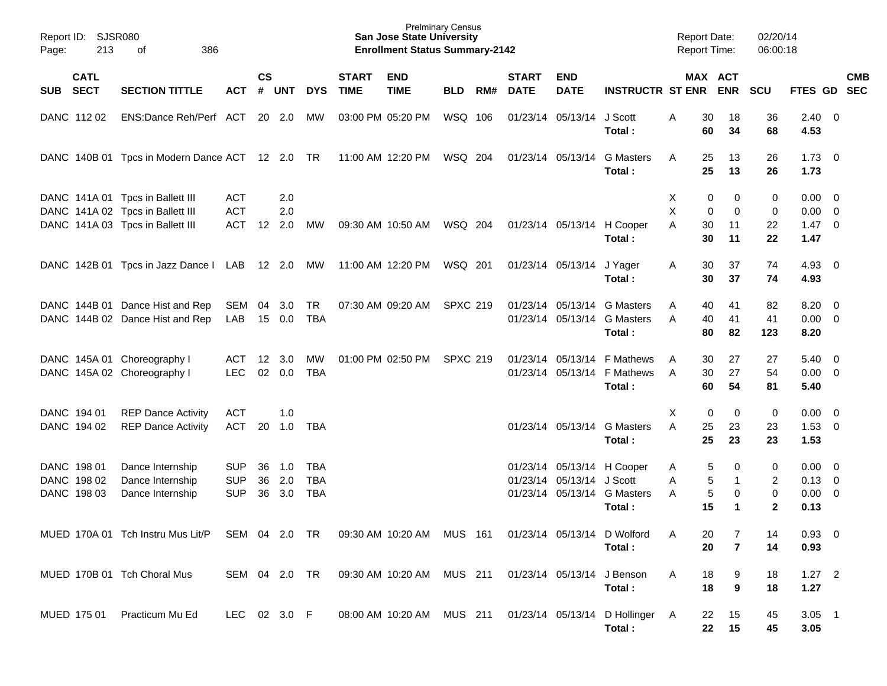| Page: | Report ID: SJSR080<br>213 | 386<br>of                                       |               |                    |            |            |                             | <b>Prelminary Census</b><br><b>San Jose State University</b><br><b>Enrollment Status Summary-2142</b> |                 |     |                             |                            |                                           | <b>Report Date:</b><br><b>Report Time:</b> |             |                       | 02/20/14<br>06:00:18 |                     |            |
|-------|---------------------------|-------------------------------------------------|---------------|--------------------|------------|------------|-----------------------------|-------------------------------------------------------------------------------------------------------|-----------------|-----|-----------------------------|----------------------------|-------------------------------------------|--------------------------------------------|-------------|-----------------------|----------------------|---------------------|------------|
|       | <b>CATL</b><br>SUB SECT   | <b>SECTION TITTLE</b>                           | <b>ACT</b>    | $\mathsf{cs}$<br># | <b>UNT</b> | <b>DYS</b> | <b>START</b><br><b>TIME</b> | <b>END</b><br><b>TIME</b>                                                                             | <b>BLD</b>      | RM# | <b>START</b><br><b>DATE</b> | <b>END</b><br><b>DATE</b>  | <b>INSTRUCTR ST ENR</b>                   |                                            |             | MAX ACT<br><b>ENR</b> | <b>SCU</b>           | FTES GD SEC         | <b>CMB</b> |
|       | DANC 11202                | ENS:Dance Reh/Perf ACT 20 2.0                   |               |                    |            | MW         |                             | 03:00 PM 05:20 PM                                                                                     | WSQ 106         |     |                             | 01/23/14 05/13/14          | J Scott<br>Total:                         | A                                          | 30<br>60    | 18<br>34              | 36<br>68             | $2.40 \ 0$<br>4.53  |            |
|       |                           | DANC 140B 01 Tpcs in Modern Dance ACT 12 2.0 TR |               |                    |            |            |                             | 11:00 AM 12:20 PM                                                                                     | WSQ 204         |     |                             | 01/23/14 05/13/14          | <b>G</b> Masters<br>Total:                | A                                          | 25<br>25    | 13<br>13              | 26<br>26             | $1.73 \t 0$<br>1.73 |            |
|       |                           | DANC 141A 01 Tpcs in Ballett III                | ACT           |                    | 2.0        |            |                             |                                                                                                       |                 |     |                             |                            |                                           | X                                          | 0           | 0                     | 0                    | $0.00 \t 0$         |            |
|       |                           | DANC 141A 02 Tpcs in Ballett III                | <b>ACT</b>    |                    | 2.0        |            |                             |                                                                                                       |                 |     |                             |                            |                                           | X                                          | $\mathbf 0$ | 0                     | $\pmb{0}$            | $0.00 \t 0$         |            |
|       |                           | DANC 141A 03 Tpcs in Ballett III                | <b>ACT</b>    | $12 \overline{ }$  | 2.0        | МW         |                             | 09:30 AM 10:50 AM                                                                                     | WSQ 204         |     |                             | 01/23/14 05/13/14          | H Cooper<br>Total:                        | A                                          | 30<br>30    | 11<br>11              | 22<br>22             | $1.47 \ 0$<br>1.47  |            |
|       |                           | DANC 142B 01 Tpcs in Jazz Dance I LAB 12 2.0 MW |               |                    |            |            |                             | 11:00 AM 12:20 PM                                                                                     | WSQ 201         |     |                             | 01/23/14 05/13/14 J Yager  |                                           | Α                                          | 30          | 37                    | 74                   | $4.93$ 0            |            |
|       |                           |                                                 |               |                    |            |            |                             |                                                                                                       |                 |     |                             |                            | Total:                                    |                                            | 30          | 37                    | 74                   | 4.93                |            |
|       |                           | DANC 144B 01 Dance Hist and Rep                 | SEM           | 04                 | 3.0        | TR         |                             | 07:30 AM 09:20 AM                                                                                     | <b>SPXC 219</b> |     |                             |                            | 01/23/14 05/13/14 G Masters               | A                                          | 40          | 41                    | 82                   | $8.20 \ 0$          |            |
|       |                           | DANC 144B 02 Dance Hist and Rep                 | LAB           | 15                 | 0.0        | <b>TBA</b> |                             |                                                                                                       |                 |     |                             |                            | 01/23/14 05/13/14 G Masters<br>Total:     | A                                          | 40<br>80    | 41<br>82              | 41<br>123            | $0.00 \t 0$<br>8.20 |            |
|       |                           | DANC 145A 01 Choreography I                     | ACT           | 12 <sup>°</sup>    | 3.0        | MW         |                             | 01:00 PM 02:50 PM                                                                                     | <b>SPXC 219</b> |     |                             | 01/23/14 05/13/14          | F Mathews                                 | A                                          | 30          | 27                    | 27                   | $5.40 \ 0$          |            |
|       |                           | DANC 145A 02 Choreography I                     | <b>LEC</b>    | 02                 | 0.0        | <b>TBA</b> |                             |                                                                                                       |                 |     |                             | 01/23/14 05/13/14          | F Mathews                                 | A                                          | 30          | 27                    | 54                   | $0.00 \t 0$         |            |
|       |                           |                                                 |               |                    |            |            |                             |                                                                                                       |                 |     |                             |                            | Total:                                    |                                            | 60          | 54                    | 81                   | 5.40                |            |
|       | DANC 194 01               | <b>REP Dance Activity</b>                       | ACT           |                    | 1.0        |            |                             |                                                                                                       |                 |     |                             |                            |                                           | X                                          | 0           | $\mathbf 0$           | 0                    | $0.00 \t 0$         |            |
|       | DANC 194 02               | <b>REP Dance Activity</b>                       | <b>ACT</b>    | 20                 | 1.0        | <b>TBA</b> |                             |                                                                                                       |                 |     |                             | 01/23/14 05/13/14          | <b>G</b> Masters<br>Total:                | A                                          | 25<br>25    | 23<br>23              | 23<br>23             | $1.53 \t 0$<br>1.53 |            |
|       | DANC 198 01               | Dance Internship                                | <b>SUP</b>    | 36                 | 1.0        | <b>TBA</b> |                             |                                                                                                       |                 |     |                             |                            | 01/23/14 05/13/14 H Cooper                | A                                          | 5           | 0                     | 0                    | $0.00 \t 0$         |            |
|       | DANC 198 02               | Dance Internship                                | <b>SUP</b>    | 36                 | 2.0        | <b>TBA</b> |                             |                                                                                                       |                 |     |                             | 01/23/14 05/13/14 J Scott  |                                           | A                                          | 5           | $\mathbf{1}$          | 2                    | $0.13 \quad 0$      |            |
|       | DANC 198 03               | Dance Internship                                | <b>SUP</b>    | 36                 | 3.0        | <b>TBA</b> |                             |                                                                                                       |                 |     |                             |                            | 01/23/14 05/13/14 G Masters               | A                                          | 5           | 0                     | 0                    | $0.00 \t 0$         |            |
|       |                           |                                                 |               |                    |            |            |                             |                                                                                                       |                 |     |                             |                            | Total:                                    |                                            | 15          |                       | $\mathbf{2}$         | 0.13                |            |
|       |                           | MUED 170A 01 Tch Instru Mus Lit/P SEM 04 2.0 TR |               |                    |            |            |                             | 09:30 AM 10:20 AM MUS 161                                                                             |                 |     |                             |                            | 01/23/14 05/13/14 D Wolford               | A                                          | 20          | 7                     | 14                   | 0.93 0              |            |
|       |                           |                                                 |               |                    |            |            |                             |                                                                                                       |                 |     |                             |                            | Total:                                    |                                            | 20          | $\overline{7}$        | 14                   | 0.93                |            |
|       |                           | MUED 170B 01 Tch Choral Mus                     | SEM 04 2.0 TR |                    |            |            |                             | 09:30 AM 10:20 AM MUS 211                                                                             |                 |     |                             | 01/23/14 05/13/14 J Benson |                                           | A                                          | 18          | 9                     | 18                   | $1.27$ 2            |            |
|       |                           |                                                 |               |                    |            |            |                             |                                                                                                       |                 |     |                             |                            | Total:                                    |                                            | 18          | 9                     | 18                   | 1.27                |            |
|       | MUED 175 01               | Practicum Mu Ed                                 | LEC 02 3.0 F  |                    |            |            |                             | 08:00 AM 10:20 AM MUS 211                                                                             |                 |     |                             |                            | 01/23/14 05/13/14 D Hollinger A<br>Total: |                                            | 22<br>22    | 15<br>15              | 45<br>45             | $3.05$ 1<br>3.05    |            |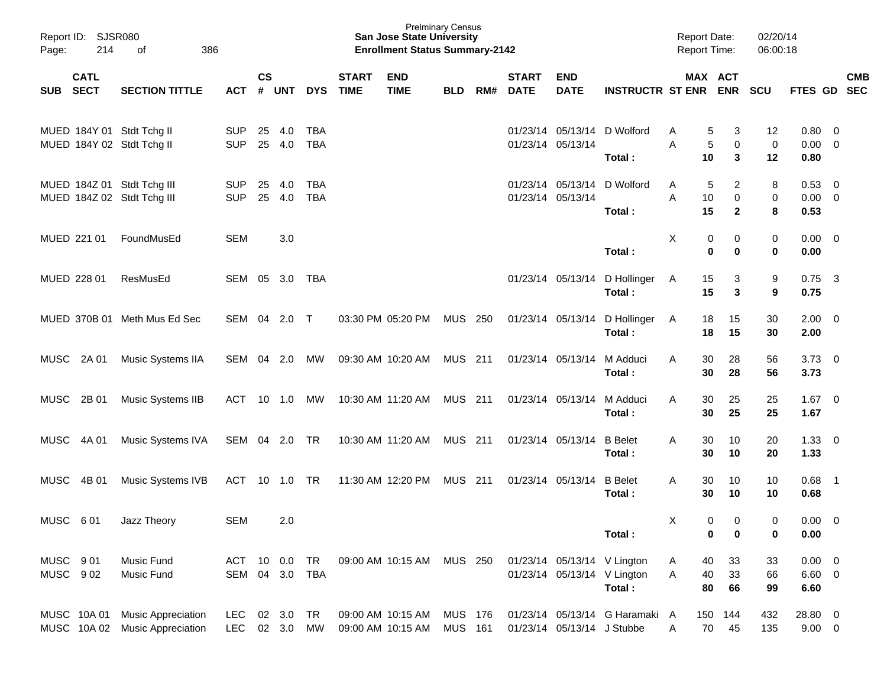| Page:                | Report ID: SJSR080<br>214 | 386<br>of                                                   |                          |               |               |                          |                             | <b>San Jose State University</b><br><b>Enrollment Status Summary-2142</b> | <b>Prelminary Census</b>  |     |                             |                             |                                         | <b>Report Date:</b><br><b>Report Time:</b> |                        | 02/20/14<br>06:00:18    |                                       |                            |            |
|----------------------|---------------------------|-------------------------------------------------------------|--------------------------|---------------|---------------|--------------------------|-----------------------------|---------------------------------------------------------------------------|---------------------------|-----|-----------------------------|-----------------------------|-----------------------------------------|--------------------------------------------|------------------------|-------------------------|---------------------------------------|----------------------------|------------|
| SUB SECT             | <b>CATL</b>               | <b>SECTION TITTLE</b>                                       | ACT                      | $\mathsf{cs}$ | # UNT         | <b>DYS</b>               | <b>START</b><br><b>TIME</b> | <b>END</b><br><b>TIME</b>                                                 | <b>BLD</b>                | RM# | <b>START</b><br><b>DATE</b> | <b>END</b><br><b>DATE</b>   | <b>INSTRUCTR ST ENR ENR</b>             |                                            | MAX ACT                | <b>SCU</b>              | FTES GD SEC                           |                            | <b>CMB</b> |
|                      |                           | MUED 184Y 01 Stdt Tchg II<br>MUED 184Y 02 Stdt Tchg II      | <b>SUP</b><br><b>SUP</b> | 25<br>25      | 4.0<br>4.0    | <b>TBA</b><br><b>TBA</b> |                             |                                                                           |                           |     |                             | 01/23/14 05/13/14           | 01/23/14 05/13/14 D Wolford<br>Total:   | 5<br>A<br>5<br>Α<br>10                     | 3<br>$\mathbf 0$<br>3  | 12<br>$\mathbf 0$<br>12 | $0.80 \quad 0$<br>$0.00 \t 0$<br>0.80 |                            |            |
|                      |                           | MUED 184Z 01 Stdt Tchg III<br>MUED 184Z 02 Stdt Tchg III    | <b>SUP</b><br><b>SUP</b> | 25<br>25      | 4.0<br>4.0    | TBA<br><b>TBA</b>        |                             |                                                                           |                           |     |                             | 01/23/14 05/13/14           | 01/23/14 05/13/14 D Wolford<br>Total:   | 5<br>A<br>10<br>A<br>15                    | 2<br>0<br>$\mathbf{2}$ | 8<br>0<br>8             | $0.53 \ 0$<br>$0.00 \t 0$<br>0.53     |                            |            |
|                      | MUED 221 01               | FoundMusEd                                                  | <b>SEM</b>               |               | 3.0           |                          |                             |                                                                           |                           |     |                             |                             | Total:                                  | X<br>0<br>$\mathbf 0$                      | 0<br>0                 | 0<br>0                  | $0.00 \t 0$<br>0.00                   |                            |            |
|                      | MUED 228 01               | ResMusEd                                                    | SEM 05                   |               | 3.0 TBA       |                          |                             |                                                                           |                           |     |                             |                             | 01/23/14 05/13/14 D Hollinger<br>Total: | 15<br>A<br>15                              | 3<br>3                 | 9<br>9                  | $0.75$ 3<br>0.75                      |                            |            |
|                      |                           | MUED 370B 01 Meth Mus Ed Sec                                | SEM 04 2.0 T             |               |               |                          |                             | 03:30 PM 05:20 PM                                                         | MUS 250                   |     |                             |                             | 01/23/14 05/13/14 D Hollinger<br>Total: | 18<br>A<br>18                              | 15<br>15               | 30<br>30                | $2.00 \t 0$<br>2.00                   |                            |            |
|                      | MUSC 2A 01                | Music Systems IIA                                           | SEM 04 2.0               |               |               | MW                       |                             | 09:30 AM 10:20 AM                                                         | MUS 211                   |     |                             | 01/23/14 05/13/14           | M Adduci<br>Total:                      | 30<br>A<br>30                              | 28<br>28               | 56<br>56                | $3.73 \quad 0$<br>3.73                |                            |            |
| MUSC                 | 2B 01                     | Music Systems IIB                                           | ACT 10 1.0               |               |               | MW                       |                             | 10:30 AM 11:20 AM                                                         | MUS 211                   |     |                             | 01/23/14 05/13/14           | M Adduci<br>Total:                      | 30<br>A<br>30                              | 25<br>25               | 25<br>25                | $1.67 \t 0$<br>1.67                   |                            |            |
| MUSC                 | 4A 01                     | Music Systems IVA                                           | SEM 04 2.0 TR            |               |               |                          |                             | 10:30 AM 11:20 AM                                                         | MUS 211                   |     |                             | 01/23/14 05/13/14           | <b>B</b> Belet<br>Total:                | Α<br>30<br>30                              | 10<br>10               | 20<br>20                | $1.33 \ 0$<br>1.33                    |                            |            |
| <b>MUSC</b>          | 4B 01                     | Music Systems IVB                                           | ACT 10 1.0 TR            |               |               |                          |                             | 11:30 AM 12:20 PM                                                         | MUS 211                   |     |                             | 01/23/14 05/13/14           | <b>B</b> Belet<br>Total:                | Α<br>30<br>30                              | 10<br>10               | 10<br>10                | 0.68<br>0.68                          | $\overline{\phantom{0}}$ 1 |            |
| MUSC 601             |                           | Jazz Theory                                                 | <b>SEM</b>               |               | 2.0           |                          |                             |                                                                           |                           |     |                             |                             | Total:                                  | Χ<br>0<br>0                                | 0<br>0                 | 0<br>0                  | $0.00 \quad 0$<br>0.00                |                            |            |
| MUSC 901<br>MUSC 902 |                           | Music Fund<br>Music Fund                                    | ACT<br>SEM 04 3.0 TBA    | 10            | 0.0           | TR                       |                             | 09:00 AM 10:15 AM                                                         | MUS 250                   |     |                             | 01/23/14 05/13/14 V Lington | 01/23/14 05/13/14 V Lington<br>Total:   | 40<br>A<br>40<br>Α<br>80                   | 33<br>33<br>66         | 33<br>66<br>99          | $0.00 \t 0$<br>$6.60$ 0<br>6.60       |                            |            |
|                      | MUSC 10A 01               | <b>Music Appreciation</b><br>MUSC 10A 02 Music Appreciation | <b>LEC</b><br><b>LEC</b> | 02            | 3.0<br>02 3.0 | TR<br>MW                 |                             | 09:00 AM 10:15 AM<br>09:00 AM 10:15 AM                                    | MUS 176<br><b>MUS 161</b> |     |                             | 01/23/14 05/13/14 J Stubbe  | 01/23/14 05/13/14 G Haramaki A          | 150<br>70<br>A                             | 144<br>45              | 432<br>135              | 28.80 0<br>$9.00 \t 0$                |                            |            |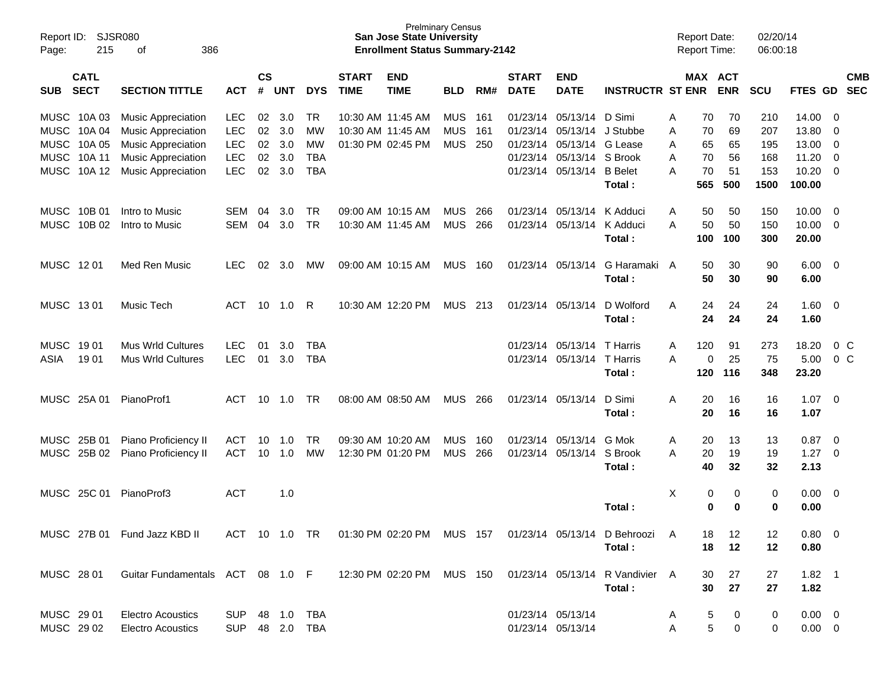| Report ID:<br>Page:      | 215                                                           | SJSR080<br>386<br>οf                                                                                                                          |                                                                    |                            |                                 |                                            |                             | <b>Prelminary Census</b><br><b>San Jose State University</b><br><b>Enrollment Status Summary-2142</b> |                                        |                   |                                              |                                                                           |                                                           |                       | <b>Report Date:</b><br><b>Report Time:</b> |                                   | 02/20/14<br>06:00:18                    |                                                     |                                |                          |
|--------------------------|---------------------------------------------------------------|-----------------------------------------------------------------------------------------------------------------------------------------------|--------------------------------------------------------------------|----------------------------|---------------------------------|--------------------------------------------|-----------------------------|-------------------------------------------------------------------------------------------------------|----------------------------------------|-------------------|----------------------------------------------|---------------------------------------------------------------------------|-----------------------------------------------------------|-----------------------|--------------------------------------------|-----------------------------------|-----------------------------------------|-----------------------------------------------------|--------------------------------|--------------------------|
| <b>SUB</b>               | <b>CATL</b><br><b>SECT</b>                                    | <b>SECTION TITTLE</b>                                                                                                                         | <b>ACT</b>                                                         | <b>CS</b><br>#             | <b>UNT</b>                      | <b>DYS</b>                                 | <b>START</b><br><b>TIME</b> | <b>END</b><br><b>TIME</b>                                                                             | <b>BLD</b>                             | RM#               | <b>START</b><br><b>DATE</b>                  | <b>END</b><br><b>DATE</b>                                                 | <b>INSTRUCTR ST ENR</b>                                   |                       | <b>MAX ACT</b>                             | <b>ENR</b>                        | <b>SCU</b>                              | <b>FTES GD</b>                                      |                                | <b>CMB</b><br><b>SEC</b> |
| <b>MUSC</b><br>MUSC      | MUSC 10A 03<br>10A 04<br>MUSC 10A 05<br>MUSC 10A 11<br>10A 12 | <b>Music Appreciation</b><br><b>Music Appreciation</b><br><b>Music Appreciation</b><br><b>Music Appreciation</b><br><b>Music Appreciation</b> | <b>LEC</b><br><b>LEC</b><br><b>LEC</b><br><b>LEC</b><br><b>LEC</b> | 02<br>02<br>02<br>02<br>02 | 3.0<br>3.0<br>3.0<br>3.0<br>3.0 | TR<br>МW<br>МW<br><b>TBA</b><br><b>TBA</b> |                             | 10:30 AM 11:45 AM<br>10:30 AM 11:45 AM<br>01:30 PM 02:45 PM                                           | <b>MUS</b><br><b>MUS</b><br><b>MUS</b> | 161<br>161<br>250 | 01/23/14<br>01/23/14<br>01/23/14<br>01/23/14 | 05/13/14<br>05/13/14<br>05/13/14<br>05/13/14 S Brook<br>01/23/14 05/13/14 | D Simi<br>J Stubbe<br>G Lease<br><b>B</b> Belet<br>Total: | A<br>A<br>A<br>A<br>A | 70<br>70<br>65<br>70<br>70<br>565          | 70<br>69<br>65<br>56<br>51<br>500 | 210<br>207<br>195<br>168<br>153<br>1500 | 14.00<br>13.80<br>13.00<br>11.20<br>10.20<br>100.00 | - 0<br>0<br>0<br>0<br>- 0      |                          |
| MUSC<br>MUSC             | 10B 01<br>10B 02                                              | Intro to Music<br>Intro to Music                                                                                                              | SEM<br>SEM                                                         | 04<br>04                   | 3.0<br>3.0                      | <b>TR</b><br><b>TR</b>                     |                             | 09:00 AM 10:15 AM<br>10:30 AM 11:45 AM                                                                | <b>MUS</b><br><b>MUS</b>               | 266<br>266        | 01/23/14                                     | 05/13/14<br>01/23/14 05/13/14                                             | K Adduci<br>K Adduci<br>Total:                            | A<br>A                | 50<br>50<br>100                            | 50<br>50<br>100                   | 150<br>150<br>300                       | 10.00<br>10.00<br>20.00                             | - 0<br>- 0                     |                          |
| MUSC 1201                |                                                               | Med Ren Music                                                                                                                                 | LEC                                                                | 02                         | 3.0                             | MW                                         |                             | 09:00 AM 10:15 AM                                                                                     | MUS                                    | 160               |                                              | 01/23/14 05/13/14                                                         | G Haramaki A<br>Total:                                    |                       | 50<br>50                                   | 30<br>30                          | 90<br>90                                | $6.00 \quad 0$<br>6.00                              |                                |                          |
| MUSC 1301                |                                                               | Music Tech                                                                                                                                    | ACT                                                                |                            | 10 1.0                          | R                                          |                             | 10:30 AM 12:20 PM                                                                                     | MUS                                    | 213               |                                              | 01/23/14 05/13/14                                                         | D Wolford<br>Total:                                       | A                     | 24<br>24                                   | 24<br>24                          | 24<br>24                                | $1.60 \t 0$<br>1.60                                 |                                |                          |
| <b>MUSC</b><br>ASIA      | 1901<br>1901                                                  | <b>Mus Wrld Cultures</b><br>Mus Wrld Cultures                                                                                                 | <b>LEC</b><br><b>LEC</b>                                           | 01<br>01                   | 3.0<br>3.0                      | <b>TBA</b><br><b>TBA</b>                   |                             |                                                                                                       |                                        |                   | 01/23/14                                     | 05/13/14<br>01/23/14 05/13/14 T Harris                                    | T Harris<br>Total:                                        | A<br>A                | 120<br>0<br>120                            | 91<br>25<br>116                   | 273<br>75<br>348                        | 18.20<br>5.00<br>23.20                              | $0\,C$<br>$0\,C$               |                          |
|                          | MUSC 25A 01                                                   | PianoProf1                                                                                                                                    | ACT                                                                | 10                         | 1.0                             | <b>TR</b>                                  |                             | 08:00 AM 08:50 AM                                                                                     | MUS                                    | 266               |                                              | 01/23/14 05/13/14                                                         | D Simi<br>Total:                                          | A                     | 20<br>20                                   | 16<br>16                          | 16<br>16                                | $1.07 \quad 0$<br>1.07                              |                                |                          |
|                          | MUSC 25B 01<br>MUSC 25B 02                                    | Piano Proficiency II<br>Piano Proficiency II                                                                                                  | ACT<br>ACT                                                         | 10                         | 1.0<br>$10 \quad 1.0$           | TR<br>МW                                   |                             | 09:30 AM 10:20 AM<br>12:30 PM 01:20 PM                                                                | <b>MUS</b><br><b>MUS</b>               | 160<br>266        | 01/23/14                                     | 05/13/14<br>01/23/14 05/13/14                                             | G Mok<br>S Brook<br>Total:                                | A<br>A                | 20<br>20<br>40                             | 13<br>19<br>32                    | 13<br>19<br>32                          | 0.87<br>1.27<br>2.13                                | $\overline{\mathbf{0}}$<br>- 0 |                          |
|                          | MUSC 25C 01                                                   | PianoProf3                                                                                                                                    | <b>ACT</b>                                                         |                            | 1.0                             |                                            |                             |                                                                                                       |                                        |                   |                                              |                                                                           | Total:                                                    | X                     | 0<br>0                                     | 0<br>0                            | 0<br>0                                  | $0.00 \t 0$<br>0.00                                 |                                |                          |
|                          |                                                               | MUSC 27B 01 Fund Jazz KBD II ACT 10 1.0 TR 01:30 PM 02:20 PM MUS 157 01/23/14 05/13/14 D Behroozi A                                           |                                                                    |                            |                                 |                                            |                             |                                                                                                       |                                        |                   |                                              |                                                                           | Total:                                                    |                       | 18<br>18                                   | 12<br>12                          | 12<br>12                                | 0.80 0<br>0.80                                      |                                |                          |
|                          | MUSC 28 01                                                    | Guitar Fundamentals ACT 08 1.0 F 12:30 PM 02:20 PM MUS 150 01/23/14 05/13/14 R Vandivier A                                                    |                                                                    |                            |                                 |                                            |                             |                                                                                                       |                                        |                   |                                              |                                                                           | Total:                                                    |                       | 30<br>30                                   | 27<br>27                          | 27<br>27                                | $1.82$ 1<br>1.82                                    |                                |                          |
| MUSC 29 01<br>MUSC 29 02 |                                                               | <b>Electro Acoustics</b><br><b>Electro Acoustics</b>                                                                                          | SUP 48 1.0 TBA<br>SUP 48 2.0 TBA                                   |                            |                                 |                                            |                             |                                                                                                       |                                        |                   |                                              | 01/23/14 05/13/14<br>01/23/14 05/13/14                                    |                                                           | A<br>A                | 5<br>5                                     | 0<br>0                            | 0<br>0                                  | $0.00 \t 0$<br>$0.00 \t 0$                          |                                |                          |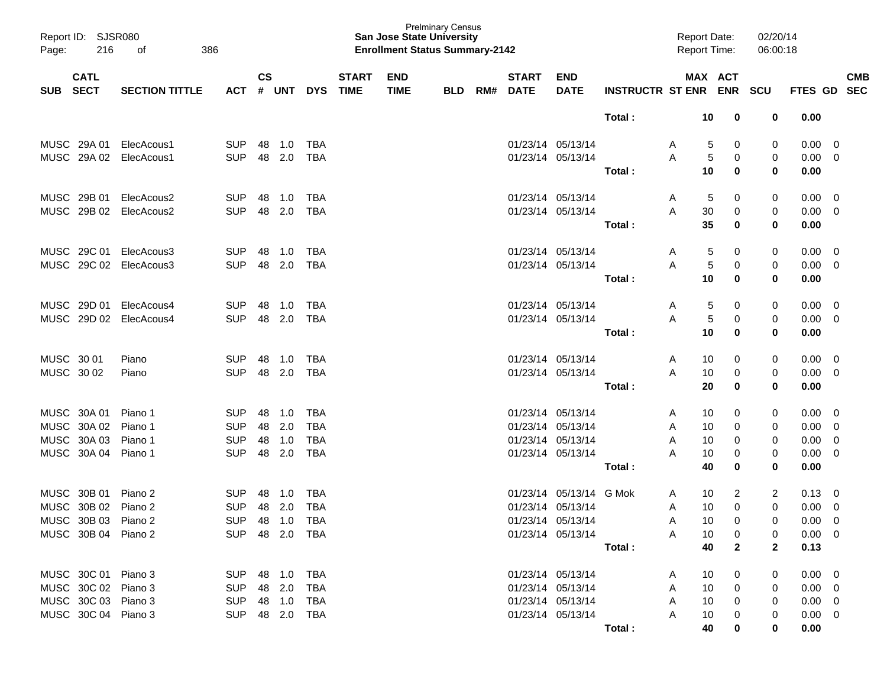| Report ID: SJSR080<br>216<br>Page:       | 386<br>оf             |                |                    |            |            |                             | <b>San Jose State University</b><br><b>Enrollment Status Summary-2142</b> | <b>Prelminary Census</b> |     |                             |                           |                         |              | <b>Report Date:</b><br>Report Time: |              | 02/20/14<br>06:00:18 |                |             |                          |
|------------------------------------------|-----------------------|----------------|--------------------|------------|------------|-----------------------------|---------------------------------------------------------------------------|--------------------------|-----|-----------------------------|---------------------------|-------------------------|--------------|-------------------------------------|--------------|----------------------|----------------|-------------|--------------------------|
| <b>CATL</b><br><b>SECT</b><br><b>SUB</b> | <b>SECTION TITTLE</b> | <b>ACT</b>     | $\mathsf{cs}$<br># | <b>UNT</b> | <b>DYS</b> | <b>START</b><br><b>TIME</b> | <b>END</b><br><b>TIME</b>                                                 | <b>BLD</b>               | RM# | <b>START</b><br><b>DATE</b> | <b>END</b><br><b>DATE</b> | <b>INSTRUCTR ST ENR</b> |              | MAX ACT                             | <b>ENR</b>   | <b>SCU</b>           | FTES GD        |             | <b>CMB</b><br><b>SEC</b> |
|                                          |                       |                |                    |            |            |                             |                                                                           |                          |     |                             |                           | Total:                  |              | 10                                  | 0            | 0                    | 0.00           |             |                          |
| MUSC 29A 01                              | ElecAcous1            | <b>SUP</b>     | 48                 | 1.0        | TBA        |                             |                                                                           |                          |     | 01/23/14 05/13/14           |                           |                         | A            | 5                                   | 0            | 0                    | 0.00           | 0           |                          |
| MUSC 29A 02                              | ElecAcous1            | <b>SUP</b>     | 48                 | 2.0        | <b>TBA</b> |                             |                                                                           |                          |     | 01/23/14 05/13/14           |                           |                         | Α            | 5                                   | 0            | 0                    | 0.00           | 0           |                          |
|                                          |                       |                |                    |            |            |                             |                                                                           |                          |     |                             |                           | Total:                  |              | 10                                  | 0            | 0                    | 0.00           |             |                          |
| MUSC 29B 01                              | ElecAcous2            | <b>SUP</b>     | 48                 | 1.0        | TBA        |                             |                                                                           |                          |     | 01/23/14 05/13/14           |                           |                         | A            | 5                                   | 0            | 0                    | 0.00           | 0           |                          |
| MUSC 29B 02                              | ElecAcous2            | <b>SUP</b>     | 48                 | 2.0        | <b>TBA</b> |                             |                                                                           |                          |     | 01/23/14 05/13/14           |                           |                         | Α            | 30                                  | 0            | 0                    | 0.00           | 0           |                          |
|                                          |                       |                |                    |            |            |                             |                                                                           |                          |     |                             |                           | Total:                  |              | 35                                  | 0            | 0                    | 0.00           |             |                          |
| MUSC 29C 01                              | ElecAcous3            | <b>SUP</b>     | 48                 | 1.0        | TBA        |                             |                                                                           |                          |     | 01/23/14 05/13/14           |                           |                         | A            | 5                                   | 0            | 0                    | 0.00           | 0           |                          |
| MUSC 29C 02 ElecAcous3                   |                       | <b>SUP</b>     | 48                 | 2.0        | <b>TBA</b> |                             |                                                                           |                          |     | 01/23/14 05/13/14           |                           |                         | Α            | 5                                   | 0            | 0                    | 0.00           | 0           |                          |
|                                          |                       |                |                    |            |            |                             |                                                                           |                          |     |                             |                           | Total:                  |              | 10                                  | 0            | 0                    | 0.00           |             |                          |
| MUSC 29D 01                              | ElecAcous4            | <b>SUP</b>     | 48                 | 1.0        | TBA        |                             |                                                                           |                          |     | 01/23/14 05/13/14           |                           |                         | A            | 5                                   | 0            | 0                    | 0.00           | 0           |                          |
| MUSC 29D 02                              | ElecAcous4            | <b>SUP</b>     | 48                 | 2.0        | <b>TBA</b> |                             |                                                                           |                          |     | 01/23/14 05/13/14           |                           |                         | Α            | 5                                   | 0            | 0                    | 0.00           | 0           |                          |
|                                          |                       |                |                    |            |            |                             |                                                                           |                          |     |                             |                           | Total:                  |              | 10                                  | 0            | 0                    | 0.00           |             |                          |
| MUSC 30 01                               | Piano                 | <b>SUP</b>     | 48                 | 1.0        | TBA        |                             |                                                                           |                          |     | 01/23/14 05/13/14           |                           |                         | Α            | 10                                  | 0            | 0                    | 0.00           | 0           |                          |
| MUSC 30 02                               | Piano                 | <b>SUP</b>     | 48                 | 2.0        | <b>TBA</b> |                             |                                                                           |                          |     | 01/23/14 05/13/14           |                           |                         | A            | 10                                  | 0            | 0                    | 0.00           | 0           |                          |
|                                          |                       |                |                    |            |            |                             |                                                                           |                          |     |                             |                           | Total:                  |              | 20                                  | 0            | 0                    | 0.00           |             |                          |
| MUSC 30A 01                              | Piano 1               | <b>SUP</b>     | 48                 | 1.0        | <b>TBA</b> |                             |                                                                           |                          |     | 01/23/14 05/13/14           |                           |                         | A            | 10                                  | 0            | 0                    | 0.00           | 0           |                          |
| MUSC 30A 02                              | Piano 1               | <b>SUP</b>     | 48                 | 2.0        | <b>TBA</b> |                             |                                                                           |                          |     | 01/23/14 05/13/14           |                           |                         | A            | 10                                  | 0            | 0                    | 0.00           | $\mathbf 0$ |                          |
| MUSC 30A 03                              | Piano 1               | <b>SUP</b>     | 48                 | 1.0        | <b>TBA</b> |                             |                                                                           |                          |     | 01/23/14 05/13/14           |                           |                         | A            | 10                                  | 0            | 0                    | 0.00           | 0           |                          |
| MUSC 30A 04                              | Piano 1               | <b>SUP</b>     | 48                 | 2.0        | <b>TBA</b> |                             |                                                                           |                          |     | 01/23/14 05/13/14           |                           |                         | Α            | 10                                  | 0            | 0                    | 0.00           | 0           |                          |
|                                          |                       |                |                    |            |            |                             |                                                                           |                          |     |                             |                           | Total:                  |              | 40                                  | 0            | 0                    | 0.00           |             |                          |
| MUSC 30B 01                              | Piano 2               | <b>SUP</b>     | 48                 | 1.0        | TBA        |                             |                                                                           |                          |     |                             | 01/23/14 05/13/14 G Mok   |                         | A            | 10                                  | 2            | 2                    | 0.13           | 0           |                          |
| MUSC 30B 02                              | Piano 2               | <b>SUP</b>     | 48                 | 2.0        | <b>TBA</b> |                             |                                                                           |                          |     | 01/23/14 05/13/14           |                           |                         | A            | 10                                  | 0            | 0                    | 0.00           | 0           |                          |
| MUSC 30B 03 Piano 2                      |                       | SUP 48 1.0 TBA |                    |            |            |                             |                                                                           |                          |     |                             | 01/23/14 05/13/14         |                         | A            | 10                                  | 0            | $\overline{0}$       | $0.00 \t 0$    |             |                          |
| MUSC 30B 04 Piano 2                      |                       | SUP 48 2.0 TBA |                    |            |            |                             |                                                                           |                          |     |                             | 01/23/14 05/13/14         |                         | A            | 10                                  | 0            | 0                    | $0.00 \quad 0$ |             |                          |
|                                          |                       |                |                    |            |            |                             |                                                                           |                          |     |                             |                           | Total:                  |              | 40                                  | $\mathbf{2}$ | $\mathbf{2}$         | 0.13           |             |                          |
| MUSC 30C 01 Piano 3                      |                       | SUP 48 1.0 TBA |                    |            |            |                             |                                                                           |                          |     | 01/23/14 05/13/14           |                           |                         | A            | 10                                  | 0            | 0                    | $0.00 \t 0$    |             |                          |
| MUSC 30C 02 Piano 3                      |                       | SUP 48 2.0 TBA |                    |            |            |                             |                                                                           |                          |     |                             | 01/23/14 05/13/14         |                         | A            | 10                                  | 0            | 0                    | $0.00 \quad 0$ |             |                          |
| MUSC 30C 03 Piano 3                      |                       | SUP 48 1.0 TBA |                    |            |            |                             |                                                                           |                          |     |                             | 01/23/14 05/13/14         |                         | $\mathsf{A}$ | 10                                  | 0            | 0                    | $0.00 \quad 0$ |             |                          |
| MUSC 30C 04 Piano 3                      |                       | SUP 48 2.0 TBA |                    |            |            |                             |                                                                           |                          |     |                             | 01/23/14 05/13/14         |                         | A            | 10                                  | 0            | 0                    | $0.00 \quad 0$ |             |                          |
|                                          |                       |                |                    |            |            |                             |                                                                           |                          |     |                             |                           | Total:                  |              | 40                                  | 0            | $\bf{0}$             | 0.00           |             |                          |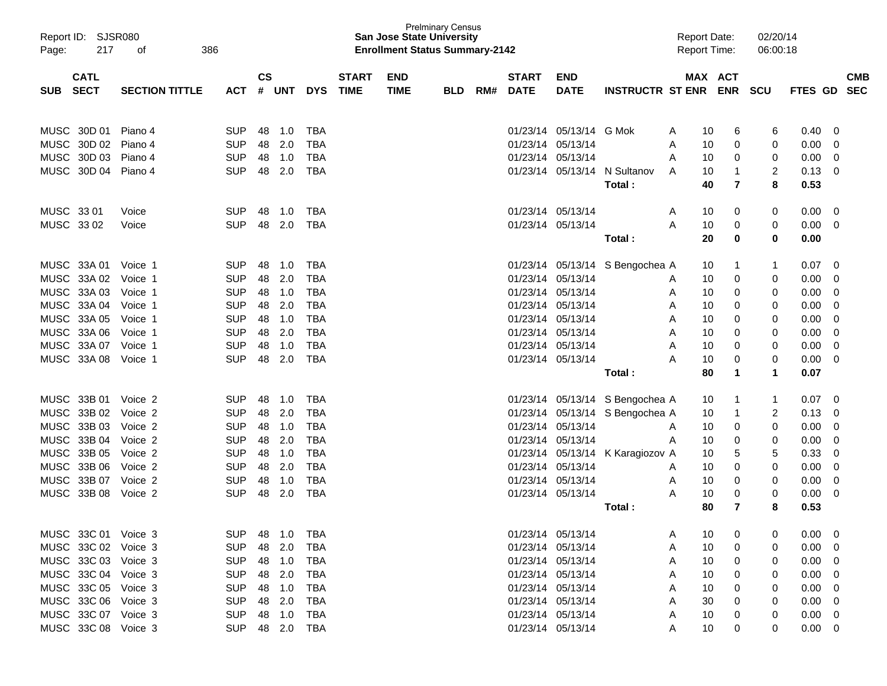| Report ID: SJSR080                       |                       |            |                    |            |            |                             |                           | <b>Prelminary Census</b><br><b>San Jose State University</b> |     |                             |                           |                                 | <b>Report Date:</b> |                      | 02/20/14 |                |                          |
|------------------------------------------|-----------------------|------------|--------------------|------------|------------|-----------------------------|---------------------------|--------------------------------------------------------------|-----|-----------------------------|---------------------------|---------------------------------|---------------------|----------------------|----------|----------------|--------------------------|
| 217<br>Page:                             | 386<br>οf             |            |                    |            |            |                             |                           | <b>Enrollment Status Summary-2142</b>                        |     |                             |                           |                                 | <b>Report Time:</b> |                      | 06:00:18 |                |                          |
|                                          |                       |            |                    |            |            |                             |                           |                                                              |     |                             |                           |                                 |                     |                      |          |                |                          |
| <b>CATL</b><br><b>SECT</b><br><b>SUB</b> | <b>SECTION TITTLE</b> | ACT        | $\mathsf{cs}$<br># | <b>UNT</b> | <b>DYS</b> | <b>START</b><br><b>TIME</b> | <b>END</b><br><b>TIME</b> | <b>BLD</b>                                                   | RM# | <b>START</b><br><b>DATE</b> | <b>END</b><br><b>DATE</b> | <b>INSTRUCTR ST ENR ENR SCU</b> |                     | MAX ACT              |          | FTES GD        | <b>CMB</b><br><b>SEC</b> |
|                                          |                       |            |                    |            |            |                             |                           |                                                              |     |                             |                           |                                 |                     |                      |          |                |                          |
|                                          |                       |            |                    |            |            |                             |                           |                                                              |     |                             |                           |                                 |                     |                      |          |                |                          |
| MUSC 30D 01                              | Piano 4               | <b>SUP</b> | 48                 | 1.0        | <b>TBA</b> |                             |                           |                                                              |     |                             | 01/23/14 05/13/14         | G Mok                           | A                   | 10<br>6              | 6        | 0.40           | 0                        |
| MUSC 30D 02                              | Piano 4               | <b>SUP</b> | 48                 | 2.0        | <b>TBA</b> |                             |                           |                                                              |     |                             | 01/23/14 05/13/14         |                                 | Α                   | 0<br>10              | 0        | 0.00           | 0                        |
| MUSC 30D 03                              | Piano 4               | <b>SUP</b> | 48                 | 1.0        | <b>TBA</b> |                             |                           |                                                              |     |                             | 01/23/14 05/13/14         |                                 | A                   | 0<br>10              | 0        | 0.00           | 0                        |
| MUSC 30D 04                              | Piano 4               | <b>SUP</b> |                    | 48 2.0     | <b>TBA</b> |                             |                           |                                                              |     |                             | 01/23/14 05/13/14         | N Sultanov                      | A                   | 10<br>$\mathbf{1}$   | 2        | 0.13           | 0                        |
|                                          |                       |            |                    |            |            |                             |                           |                                                              |     |                             |                           | Total:                          |                     | $\overline{7}$<br>40 | 8        | 0.53           |                          |
|                                          |                       |            |                    |            |            |                             |                           |                                                              |     |                             |                           |                                 |                     |                      |          |                |                          |
| MUSC 33 01                               | Voice                 | <b>SUP</b> | 48                 | 1.0        | <b>TBA</b> |                             |                           |                                                              |     |                             | 01/23/14 05/13/14         |                                 | A                   | 0<br>10              | 0        | 0.00           | 0                        |
| MUSC 33 02                               | Voice                 | <b>SUP</b> | 48                 | 2.0        | <b>TBA</b> |                             |                           |                                                              |     |                             | 01/23/14 05/13/14         |                                 | A                   | 10<br>0              | 0        | 0.00           | 0                        |
|                                          |                       |            |                    |            |            |                             |                           |                                                              |     |                             |                           | Total:                          |                     | 20<br>$\mathbf 0$    | 0        | 0.00           |                          |
| MUSC 33A 01                              | Voice 1               | <b>SUP</b> | 48                 | 1.0        | <b>TBA</b> |                             |                           |                                                              |     |                             |                           | 01/23/14 05/13/14 S Bengochea A |                     | 10<br>1              |          | 0.07           | 0                        |
| MUSC 33A 02                              | Voice 1               | <b>SUP</b> | 48                 | 2.0        | <b>TBA</b> |                             |                           |                                                              |     |                             | 01/23/14 05/13/14         |                                 | A                   | 10<br>0              | 0        | 0.00           | 0                        |
| MUSC 33A 03                              | Voice 1               | <b>SUP</b> |                    | 48 1.0     | <b>TBA</b> |                             |                           |                                                              |     |                             | 01/23/14 05/13/14         |                                 | A                   | 0<br>10              | 0        | 0.00           | 0                        |
| MUSC 33A 04                              | Voice 1               | <b>SUP</b> | 48                 | 2.0        | <b>TBA</b> |                             |                           |                                                              |     |                             | 01/23/14 05/13/14         |                                 | A                   | 10<br>0              | 0        | 0.00           | 0                        |
| MUSC 33A 05                              | Voice 1               | <b>SUP</b> |                    | 48 1.0     | <b>TBA</b> |                             |                           |                                                              |     |                             | 01/23/14 05/13/14         |                                 | A                   | 10<br>0              | 0        | 0.00           | 0                        |
| MUSC 33A 06                              | Voice 1               | <b>SUP</b> |                    | 48 2.0     | <b>TBA</b> |                             |                           |                                                              |     |                             | 01/23/14 05/13/14         |                                 | A                   | 10<br>0              | 0        | 0.00           | 0                        |
| MUSC 33A 07                              | Voice 1               | <b>SUP</b> | 48                 | 1.0        | <b>TBA</b> |                             |                           |                                                              |     |                             | 01/23/14 05/13/14         |                                 | A                   | 0<br>10              | 0        | 0.00           | 0                        |
| MUSC 33A 08                              | Voice 1               | <b>SUP</b> | 48                 | 2.0        | <b>TBA</b> |                             |                           |                                                              |     |                             | 01/23/14 05/13/14         |                                 | Α                   | 10<br>0              | 0        | 0.00           | $\mathbf 0$              |
|                                          |                       |            |                    |            |            |                             |                           |                                                              |     |                             |                           | Total:                          |                     | 80<br>1              | 1        | 0.07           |                          |
|                                          |                       |            |                    |            |            |                             |                           |                                                              |     |                             |                           |                                 |                     |                      |          |                |                          |
| MUSC 33B 01                              | Voice 2               | <b>SUP</b> | 48                 | 1.0        | <b>TBA</b> |                             |                           |                                                              |     |                             |                           | 01/23/14 05/13/14 S Bengochea A |                     | 10<br>1              |          | 0.07           | 0                        |
| MUSC 33B 02                              | Voice 2               | <b>SUP</b> | 48                 | 2.0        | <b>TBA</b> |                             |                           |                                                              |     |                             |                           | 01/23/14 05/13/14 S Bengochea A |                     | 10<br>1              | 2        | 0.13           | 0                        |
| MUSC 33B 03                              | Voice 2               | <b>SUP</b> |                    | 48 1.0     | <b>TBA</b> |                             |                           |                                                              |     |                             | 01/23/14 05/13/14         |                                 | A                   | 10<br>0              | 0        | 0.00           | 0                        |
| MUSC 33B 04                              | Voice 2               | <b>SUP</b> | 48                 | 2.0        | <b>TBA</b> |                             |                           |                                                              |     |                             | 01/23/14 05/13/14         |                                 | A                   | 10<br>0              | 0        | 0.00           | 0                        |
| MUSC 33B 05                              | Voice 2               | <b>SUP</b> |                    | 48 1.0     | <b>TBA</b> |                             |                           |                                                              |     |                             | 01/23/14 05/13/14         | K Karagiozov A                  |                     | 5<br>10              | 5        | 0.33           | 0                        |
| MUSC 33B 06                              | Voice 2               | <b>SUP</b> | 48                 | 2.0        | <b>TBA</b> |                             |                           |                                                              |     |                             | 01/23/14 05/13/14         |                                 | A                   | 0<br>10              | 0        | 0.00           | $\mathbf 0$              |
| MUSC 33B 07 Voice 2                      |                       | <b>SUP</b> | 48                 | 1.0        | <b>TBA</b> |                             |                           |                                                              |     |                             | 01/23/14 05/13/14         |                                 | A                   | 10<br>0              | 0        | 0.00           | 0                        |
| MUSC 33B 08                              | Voice 2               | <b>SUP</b> | 48                 | 2.0        | <b>TBA</b> |                             |                           |                                                              |     |                             | 01/23/14 05/13/14         |                                 | A                   | 0<br>10              | 0        | 0.00           | 0                        |
|                                          |                       |            |                    |            |            |                             |                           |                                                              |     |                             |                           | Total:                          |                     | 7<br>80              | 8        | 0.53           |                          |
| MUSC 33C 01 Voice 3                      |                       | SUP 48 1.0 |                    |            | TBA        |                             |                           |                                                              |     |                             | 01/23/14 05/13/14         |                                 | A                   | 10<br>0              | 0        | 0.00           | - 0                      |
| MUSC 33C 02 Voice 3                      |                       | <b>SUP</b> |                    | 48 2.0     | TBA        |                             |                           |                                                              |     |                             | 01/23/14 05/13/14         |                                 | A                   | 10<br>0              |          | 0.00           | 0                        |
| MUSC 33C 03 Voice 3                      |                       | <b>SUP</b> |                    | 48 1.0     | TBA        |                             |                           |                                                              |     |                             | 01/23/14 05/13/14         |                                 | A                   | 10<br>0              | 0        | 0.00           | 0                        |
| MUSC 33C 04 Voice 3                      |                       | <b>SUP</b> |                    | 48 2.0     | TBA        |                             |                           |                                                              |     |                             | 01/23/14 05/13/14         |                                 | A                   | 10<br>0              | 0        | 0.00           | 0                        |
| MUSC 33C 05 Voice 3                      |                       | <b>SUP</b> |                    | 48 1.0     | TBA        |                             |                           |                                                              |     |                             | 01/23/14 05/13/14         |                                 | A                   | 10<br>0              | 0        | 0.00           | 0                        |
| MUSC 33C 06 Voice 3                      |                       | <b>SUP</b> |                    | 48 2.0     | TBA        |                             |                           |                                                              |     |                             | 01/23/14 05/13/14         |                                 | A                   | 30<br>0              | 0        | 0.00           | 0                        |
| MUSC 33C 07 Voice 3                      |                       | <b>SUP</b> |                    | 48 1.0     | TBA        |                             |                           |                                                              |     |                             | 01/23/14 05/13/14         |                                 | A                   | 10<br>0              | 0        | 0.00           | 0                        |
| MUSC 33C 08 Voice 3                      |                       | SUP 48 2.0 |                    |            | <b>TBA</b> |                             |                           |                                                              |     |                             | 01/23/14 05/13/14         |                                 | A                   | 0<br>10              | 0        | $0.00 \quad 0$ |                          |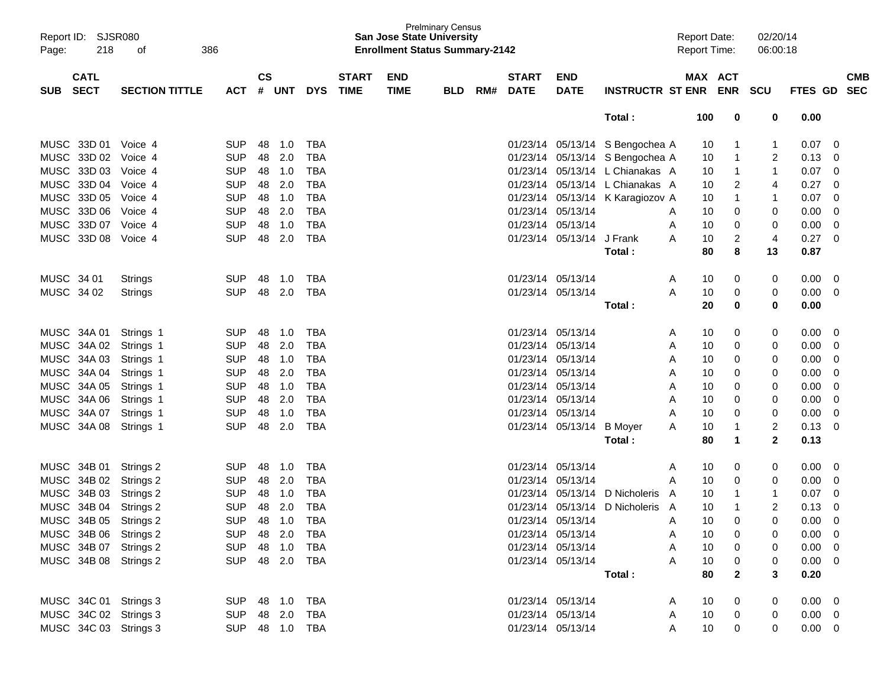| Page:      | Report ID: SJSR080<br>218  | οf<br>386             |            |           |        |                |                             |                           | <b>Prelminary Census</b><br><b>San Jose State University</b><br><b>Enrollment Status Summary-2142</b> |     |                             |                           |                                  | <b>Report Date:</b><br><b>Report Time:</b> |         | 02/20/14                       | 06:00:18       |                          |
|------------|----------------------------|-----------------------|------------|-----------|--------|----------------|-----------------------------|---------------------------|-------------------------------------------------------------------------------------------------------|-----|-----------------------------|---------------------------|----------------------------------|--------------------------------------------|---------|--------------------------------|----------------|--------------------------|
| <b>SUB</b> | <b>CATL</b><br><b>SECT</b> | <b>SECTION TITTLE</b> | <b>ACT</b> | <b>CS</b> | # UNT  | <b>DYS</b>     | <b>START</b><br><b>TIME</b> | <b>END</b><br><b>TIME</b> | <b>BLD</b>                                                                                            | RM# | <b>START</b><br><b>DATE</b> | <b>END</b><br><b>DATE</b> | INSTRUCTR ST ENR ENR SCU         |                                            | MAX ACT |                                | <b>FTES GD</b> | <b>CMB</b><br><b>SEC</b> |
|            |                            |                       |            |           |        |                |                             |                           |                                                                                                       |     |                             |                           | Total:                           | 100                                        |         | 0<br>0                         | 0.00           |                          |
|            | MUSC 33D 01 Voice 4        |                       | <b>SUP</b> |           | 48 1.0 | TBA            |                             |                           |                                                                                                       |     |                             |                           | 01/23/14 05/13/14 S Bengochea A  |                                            | 10      | $\mathbf{1}$                   | 0.07           | $\overline{\mathbf{0}}$  |
|            | MUSC 33D 02 Voice 4        |                       | <b>SUP</b> | 48        | 2.0    | <b>TBA</b>     |                             |                           |                                                                                                       |     |                             |                           | 01/23/14 05/13/14 S Bengochea A  |                                            | 10      | $\mathbf{1}$<br>2              | 0.13           | $\overline{0}$           |
|            | MUSC 33D 03 Voice 4        |                       | <b>SUP</b> |           | 48 1.0 | <b>TBA</b>     |                             |                           |                                                                                                       |     |                             |                           | 01/23/14 05/13/14 L Chianakas A  |                                            | 10      | $\mathbf{1}$                   | 0.07           | $\overline{0}$           |
|            | MUSC 33D 04 Voice 4        |                       | <b>SUP</b> | 48        | 2.0    | <b>TBA</b>     |                             |                           |                                                                                                       |     |                             |                           | 01/23/14 05/13/14 L Chianakas A  |                                            | 10      | 2<br>4                         | 0.27           | 0                        |
|            | MUSC 33D 05 Voice 4        |                       | <b>SUP</b> |           | 48 1.0 | <b>TBA</b>     |                             |                           |                                                                                                       |     |                             |                           | 01/23/14 05/13/14 K Karagiozov A |                                            | 10      | $\mathbf{1}$                   | 0.07           | $\overline{0}$           |
|            | MUSC 33D 06 Voice 4        |                       | <b>SUP</b> |           | 48 2.0 | <b>TBA</b>     |                             |                           |                                                                                                       |     |                             | 01/23/14 05/13/14         |                                  | A                                          | 10      | 0<br>0                         | 0.00           | $\overline{0}$           |
|            | MUSC 33D 07 Voice 4        |                       | <b>SUP</b> |           | 48 1.0 | <b>TBA</b>     |                             |                           |                                                                                                       |     |                             | 01/23/14 05/13/14         |                                  | A                                          | 10      | 0<br>0                         | 0.00           | 0                        |
|            | MUSC 33D 08 Voice 4        |                       | <b>SUP</b> | 48        | 2.0    | <b>TBA</b>     |                             |                           |                                                                                                       |     |                             | 01/23/14 05/13/14 J Frank |                                  | A                                          | 10      | $\overline{c}$<br>4            | 0.27           | $\overline{0}$           |
|            |                            |                       |            |           |        |                |                             |                           |                                                                                                       |     |                             |                           | Total:                           |                                            | 80      | 8<br>13                        | 0.87           |                          |
|            | MUSC 34 01                 | Strings               | <b>SUP</b> |           | 48 1.0 | TBA            |                             |                           |                                                                                                       |     |                             | 01/23/14 05/13/14         |                                  | A                                          | 10      | 0<br>0                         | 0.00           | $\overline{\mathbf{0}}$  |
|            | MUSC 34 02                 | <b>Strings</b>        | <b>SUP</b> | 48        | 2.0    | TBA            |                             |                           |                                                                                                       |     |                             | 01/23/14 05/13/14         |                                  | A                                          | 10      | 0<br>0                         | 0.00           | $\overline{0}$           |
|            |                            |                       |            |           |        |                |                             |                           |                                                                                                       |     |                             |                           | Total:                           |                                            | 20      | 0<br>0                         | 0.00           |                          |
|            |                            | MUSC 34A 01 Strings 1 | <b>SUP</b> | 48        | 1.0    | TBA            |                             |                           |                                                                                                       |     |                             | 01/23/14 05/13/14         |                                  | A                                          | 10      | 0<br>0                         | 0.00           | $\overline{0}$           |
|            |                            | MUSC 34A 02 Strings 1 | <b>SUP</b> | 48        | 2.0    | TBA            |                             |                           |                                                                                                       |     |                             | 01/23/14 05/13/14         |                                  | Α                                          | 10      | 0<br>0                         | 0.00           | $\overline{0}$           |
|            |                            | MUSC 34A 03 Strings 1 | <b>SUP</b> |           | 48 1.0 | TBA            |                             |                           |                                                                                                       |     |                             | 01/23/14 05/13/14         |                                  | Α                                          | 10      | 0<br>0                         | 0.00           | 0                        |
|            |                            | MUSC 34A 04 Strings 1 | <b>SUP</b> | 48        | 2.0    | <b>TBA</b>     |                             |                           |                                                                                                       |     |                             | 01/23/14 05/13/14         |                                  | Α                                          | 10      | 0<br>0                         | 0.00           | 0                        |
|            |                            | MUSC 34A 05 Strings 1 | <b>SUP</b> |           | 48 1.0 | <b>TBA</b>     |                             |                           |                                                                                                       |     |                             | 01/23/14 05/13/14         |                                  | Α                                          | 10      | 0<br>0                         | 0.00           | 0                        |
|            |                            | MUSC 34A 06 Strings 1 | <b>SUP</b> |           | 48 2.0 | <b>TBA</b>     |                             |                           |                                                                                                       |     |                             | 01/23/14 05/13/14         |                                  | Α                                          | 10      | 0<br>0                         | 0.00           | 0                        |
|            |                            | MUSC 34A 07 Strings 1 | <b>SUP</b> |           | 48 1.0 | <b>TBA</b>     |                             |                           |                                                                                                       |     |                             | 01/23/14 05/13/14         |                                  | Α                                          | 10      | 0<br>0                         | 0.00           | 0                        |
|            |                            | MUSC 34A 08 Strings 1 | <b>SUP</b> | 48        | 2.0    | <b>TBA</b>     |                             |                           |                                                                                                       |     |                             | 01/23/14 05/13/14 B Moyer |                                  | A                                          | 10      | $\overline{c}$<br>$\mathbf{1}$ | 0.13           | 0                        |
|            |                            |                       |            |           |        |                |                             |                           |                                                                                                       |     |                             |                           | Total:                           |                                            | 80      | $\mathbf{2}$<br>1              | 0.13           |                          |
|            |                            | MUSC 34B 01 Strings 2 | <b>SUP</b> | 48        | 1.0    | TBA            |                             |                           |                                                                                                       |     |                             | 01/23/14 05/13/14         |                                  | A                                          | 10      | 0<br>0                         | 0.00           | $\overline{0}$           |
|            |                            | MUSC 34B 02 Strings 2 | <b>SUP</b> | 48        | 2.0    | TBA            |                             |                           |                                                                                                       |     |                             | 01/23/14 05/13/14         |                                  | Α                                          | 10      | 0<br>0                         | 0.00           | $\overline{0}$           |
|            |                            | MUSC 34B 03 Strings 2 | <b>SUP</b> |           | 48 1.0 | <b>TBA</b>     |                             |                           |                                                                                                       |     |                             |                           | 01/23/14 05/13/14 D Nicholeris A |                                            | 10      | 1                              | 0.07           | $\overline{0}$           |
|            |                            | MUSC 34B 04 Strings 2 | <b>SUP</b> | 48        | 2.0    | <b>TBA</b>     |                             |                           |                                                                                                       |     |                             |                           | 01/23/14 05/13/14 D Nicholeris A |                                            | 10      | 2<br>$\mathbf{1}$              | 0.13           | 0                        |
|            | MUSC 34B 05 Strings 2      |                       | <b>SUP</b> |           | 48 1.0 | <b>TBA</b>     |                             |                           |                                                                                                       |     |                             | 01/23/14 05/13/14         |                                  | Α                                          | 10      | 0<br>$\Omega$                  | 0.00           | 0                        |
|            |                            | MUSC 34B 06 Strings 2 | SUP 48 2.0 |           |        | TBA            |                             |                           |                                                                                                       |     |                             | 01/23/14 05/13/14         |                                  | Α                                          | 10      | 0<br>0                         | $0.00 \t 0$    |                          |
|            |                            | MUSC 34B 07 Strings 2 | SUP 48 1.0 |           |        | TBA            |                             |                           |                                                                                                       |     |                             | 01/23/14 05/13/14         |                                  | Α                                          | 10      | 0<br>0                         | $0.00 \t 0$    |                          |
|            |                            | MUSC 34B 08 Strings 2 |            |           |        | SUP 48 2.0 TBA |                             |                           |                                                                                                       |     |                             | 01/23/14 05/13/14         |                                  | A                                          | 10      | 0<br>0                         | $0.00 \t 0$    |                          |
|            |                            |                       |            |           |        |                |                             |                           |                                                                                                       |     |                             |                           | Total:                           |                                            | 80      | $\mathbf{2}$<br>3              | 0.20           |                          |
|            |                            | MUSC 34C 01 Strings 3 | SUP 48 1.0 |           |        | TBA            |                             |                           |                                                                                                       |     |                             | 01/23/14 05/13/14         |                                  | A                                          | 10      | 0<br>0                         | $0.00 \t 0$    |                          |
|            |                            | MUSC 34C 02 Strings 3 | SUP 48 2.0 |           |        | <b>TBA</b>     |                             |                           |                                                                                                       |     |                             | 01/23/14 05/13/14         |                                  | A                                          | 10      | 0<br>0                         | $0.00 \t 0$    |                          |
|            |                            | MUSC 34C 03 Strings 3 |            |           |        | SUP 48 1.0 TBA |                             |                           |                                                                                                       |     |                             | 01/23/14 05/13/14         |                                  | A                                          | 10      | 0<br>0                         | $0.00 \t 0$    |                          |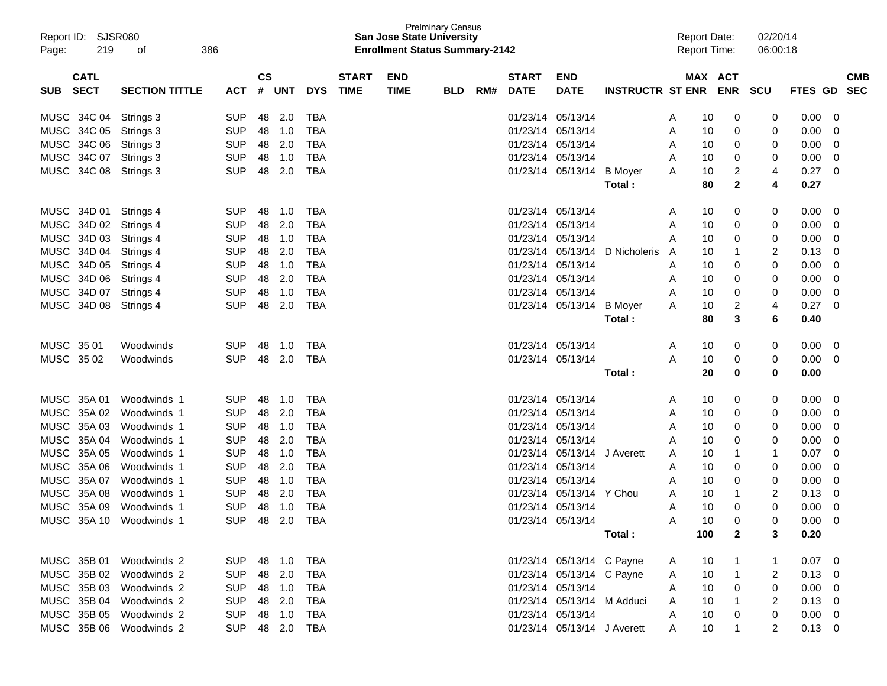| Page:      | Report ID: SJSR080<br>219  | 386<br>оf             |            |                        |        |            |                             |                           | <b>Prelminary Census</b><br><b>San Jose State University</b><br><b>Enrollment Status Summary-2142</b> |     |                             |                             |                         |   | <b>Report Date:</b><br><b>Report Time:</b> |              | 02/20/14<br>06:00:18 |            |                          |
|------------|----------------------------|-----------------------|------------|------------------------|--------|------------|-----------------------------|---------------------------|-------------------------------------------------------------------------------------------------------|-----|-----------------------------|-----------------------------|-------------------------|---|--------------------------------------------|--------------|----------------------|------------|--------------------------|
| SUB.       | <b>CATL</b><br><b>SECT</b> | <b>SECTION TITTLE</b> | <b>ACT</b> | $\mathbf{c}\mathbf{s}$ | # UNT  | <b>DYS</b> | <b>START</b><br><b>TIME</b> | <b>END</b><br><b>TIME</b> | <b>BLD</b>                                                                                            | RM# | <b>START</b><br><b>DATE</b> | <b>END</b><br><b>DATE</b>   | <b>INSTRUCTR ST ENR</b> |   | MAX ACT                                    | <b>ENR</b>   | <b>SCU</b>           | FTES GD    | <b>CMB</b><br><b>SEC</b> |
|            | MUSC 34C 04                | Strings 3             | <b>SUP</b> | 48                     | 2.0    | TBA        |                             |                           |                                                                                                       |     |                             | 01/23/14 05/13/14           |                         | A | 10                                         | 0            | 0                    | 0.00       | 0                        |
|            | MUSC 34C 05                | Strings 3             | <b>SUP</b> | 48                     | 1.0    | TBA        |                             |                           |                                                                                                       |     | 01/23/14                    | 05/13/14                    |                         | A | 10                                         | 0            | 0                    | 0.00       | 0                        |
|            | MUSC 34C 06                | Strings 3             | <b>SUP</b> | 48                     | 2.0    | <b>TBA</b> |                             |                           |                                                                                                       |     | 01/23/14                    | 05/13/14                    |                         | A | 10                                         | 0            | 0                    | 0.00       | 0                        |
|            | MUSC 34C 07                | Strings 3             | <b>SUP</b> | 48                     | 1.0    | <b>TBA</b> |                             |                           |                                                                                                       |     | 01/23/14                    | 05/13/14                    |                         | A | 10                                         | 0            | 0                    | 0.00       | 0                        |
|            | MUSC 34C 08                | Strings 3             | <b>SUP</b> | 48                     | 2.0    | <b>TBA</b> |                             |                           |                                                                                                       |     |                             | 01/23/14 05/13/14           | <b>B</b> Moyer          | A | 10                                         | 2            | 4                    | 0.27       | 0                        |
|            |                            |                       |            |                        |        |            |                             |                           |                                                                                                       |     |                             |                             | Total :                 |   | 80                                         | $\mathbf{2}$ | 4                    | 0.27       |                          |
|            | MUSC 34D 01                | Strings 4             | SUP        | 48                     | 1.0    | TBA        |                             |                           |                                                                                                       |     |                             | 01/23/14 05/13/14           |                         | A | 10                                         | 0            | 0                    | 0.00       | 0                        |
|            | MUSC 34D 02                | Strings 4             | <b>SUP</b> | 48                     | 2.0    | TBA        |                             |                           |                                                                                                       |     | 01/23/14                    | 05/13/14                    |                         | Α | 10                                         | 0            | 0                    | 0.00       | 0                        |
|            | MUSC 34D 03                | Strings 4             | <b>SUP</b> | 48                     | 1.0    | <b>TBA</b> |                             |                           |                                                                                                       |     | 01/23/14                    | 05/13/14                    |                         | A | 10                                         | 0            | 0                    | 0.00       | 0                        |
|            | MUSC 34D 04                | Strings 4             | <b>SUP</b> | 48                     | 2.0    | <b>TBA</b> |                             |                           |                                                                                                       |     | 01/23/14                    | 05/13/14                    | D Nicholeris            | A | 10                                         |              | 2                    | 0.13       | 0                        |
|            | MUSC 34D 05                | Strings 4             | <b>SUP</b> | 48                     | 1.0    | <b>TBA</b> |                             |                           |                                                                                                       |     | 01/23/14                    | 05/13/14                    |                         | A | 10                                         | 0            | 0                    | 0.00       | 0                        |
|            | MUSC 34D 06                | Strings 4             | <b>SUP</b> | 48                     | 2.0    | <b>TBA</b> |                             |                           |                                                                                                       |     | 01/23/14                    | 05/13/14                    |                         | Α | 10                                         | 0            | 0                    | 0.00       | 0                        |
|            | MUSC 34D 07                | Strings 4             | <b>SUP</b> | 48                     | 1.0    | <b>TBA</b> |                             |                           |                                                                                                       |     | 01/23/14                    | 05/13/14                    |                         | Α | 10                                         | 0            | 0                    | 0.00       | 0                        |
|            | MUSC 34D 08                | Strings 4             | <b>SUP</b> | 48                     | 2.0    | <b>TBA</b> |                             |                           |                                                                                                       |     |                             | 01/23/14 05/13/14           | <b>B</b> Mover          | A | 10                                         | 2            | 4                    | 0.27       | 0                        |
|            |                            |                       |            |                        |        |            |                             |                           |                                                                                                       |     |                             |                             | Total :                 |   | 80                                         | 3            | 6                    | 0.40       |                          |
| MUSC 35 01 |                            | Woodwinds             | <b>SUP</b> | 48                     | 1.0    | TBA        |                             |                           |                                                                                                       |     |                             | 01/23/14 05/13/14           |                         | A | 10                                         | 0            | 0                    | 0.00       | 0                        |
| MUSC 35 02 |                            | Woodwinds             | <b>SUP</b> | 48                     | 2.0    | <b>TBA</b> |                             |                           |                                                                                                       |     |                             | 01/23/14 05/13/14           |                         | A | 10                                         | 0            | 0                    | 0.00       | 0                        |
|            |                            |                       |            |                        |        |            |                             |                           |                                                                                                       |     |                             |                             | Total :                 |   | 20                                         | 0            | 0                    | 0.00       |                          |
|            | MUSC 35A 01                | Woodwinds 1           | <b>SUP</b> | 48                     | 1.0    | TBA        |                             |                           |                                                                                                       |     | 01/23/14                    | 05/13/14                    |                         | A | 10                                         | 0            | 0                    | 0.00       | 0                        |
|            | MUSC 35A 02                | Woodwinds 1           | <b>SUP</b> | 48                     | 2.0    | <b>TBA</b> |                             |                           |                                                                                                       |     | 01/23/14                    | 05/13/14                    |                         | A | 10                                         | 0            | 0                    | 0.00       | 0                        |
|            | MUSC 35A 03                | Woodwinds 1           | <b>SUP</b> | 48                     | 1.0    | <b>TBA</b> |                             |                           |                                                                                                       |     | 01/23/14                    | 05/13/14                    |                         | A | 10                                         | 0            | 0                    | 0.00       | 0                        |
|            | MUSC 35A 04                | Woodwinds 1           | <b>SUP</b> | 48                     | 2.0    | <b>TBA</b> |                             |                           |                                                                                                       |     | 01/23/14                    | 05/13/14                    |                         | Α | 10                                         | 0            | 0                    | 0.00       | 0                        |
|            | MUSC 35A 05                | Woodwinds 1           | <b>SUP</b> | 48                     | 1.0    | <b>TBA</b> |                             |                           |                                                                                                       |     | 01/23/14                    | 05/13/14                    | J Averett               | A | 10                                         |              | 1                    | 0.07       | 0                        |
|            | MUSC 35A 06                | Woodwinds 1           | <b>SUP</b> | 48                     | 2.0    | <b>TBA</b> |                             |                           |                                                                                                       |     | 01/23/14                    | 05/13/14                    |                         | Α | 10                                         | 0            | 0                    | 0.00       | 0                        |
|            | MUSC 35A 07                | Woodwinds 1           | <b>SUP</b> | 48                     | 1.0    | <b>TBA</b> |                             |                           |                                                                                                       |     | 01/23/14                    | 05/13/14                    |                         | Α | 10                                         | 0            | 0                    | 0.00       | 0                        |
|            | MUSC 35A 08                | Woodwinds 1           | <b>SUP</b> | 48                     | 2.0    | <b>TBA</b> |                             |                           |                                                                                                       |     | 01/23/14                    | 05/13/14                    | Y Chou                  | A | 10                                         |              | 2                    | 0.13       | 0                        |
|            | MUSC 35A 09                | Woodwinds 1           | <b>SUP</b> | 48                     | 1.0    | <b>TBA</b> |                             |                           |                                                                                                       |     | 01/23/14                    | 05/13/14                    |                         | Α | 10                                         | 0            | 0                    | 0.00       | 0                        |
|            | MUSC 35A 10                | Woodwinds 1           | <b>SUP</b> | 48                     | 2.0    | TBA        |                             |                           |                                                                                                       |     |                             | 01/23/14 05/13/14           |                         | Α | 10                                         | ∩            | 0                    | 0.00       | $\Omega$                 |
|            |                            |                       |            |                        |        |            |                             |                           |                                                                                                       |     |                             |                             | Total:                  |   | 100                                        | 2            | 3                    | 0.20       |                          |
|            | MUSC 35B 01                | Woodwinds 2           | <b>SUP</b> |                        | 48 1.0 | TBA        |                             |                           |                                                                                                       |     |                             | 01/23/14 05/13/14 C Payne   |                         | A | 10                                         |              |                      | 0.07       | 0                        |
|            | MUSC 35B 02                | Woodwinds 2           | <b>SUP</b> |                        | 48 2.0 | <b>TBA</b> |                             |                           |                                                                                                       |     |                             | 01/23/14 05/13/14 C Payne   |                         | A | 10                                         | 1            |                      | 0.13       | 0                        |
|            | MUSC 35B 03                | Woodwinds 2           | <b>SUP</b> |                        | 48 1.0 | <b>TBA</b> |                             |                           |                                                                                                       |     |                             | 01/23/14 05/13/14           |                         | A | 10                                         | 0            | 0                    | 0.00       | 0                        |
|            | MUSC 35B 04                | Woodwinds 2           | <b>SUP</b> |                        | 48 2.0 | <b>TBA</b> |                             |                           |                                                                                                       |     |                             | 01/23/14 05/13/14 M Adduci  |                         | A | 10                                         |              |                      | 0.13       | 0                        |
|            | MUSC 35B 05                | Woodwinds 2           | <b>SUP</b> |                        | 48 1.0 | <b>TBA</b> |                             |                           |                                                                                                       |     |                             | 01/23/14 05/13/14           |                         | A | 10                                         | 0            | 0                    | 0.00       | 0                        |
|            | MUSC 35B 06                | Woodwinds 2           | <b>SUP</b> |                        | 48 2.0 | TBA        |                             |                           |                                                                                                       |     |                             | 01/23/14 05/13/14 J Averett |                         | A | 10                                         |              | 2                    | $0.13 \ 0$ |                          |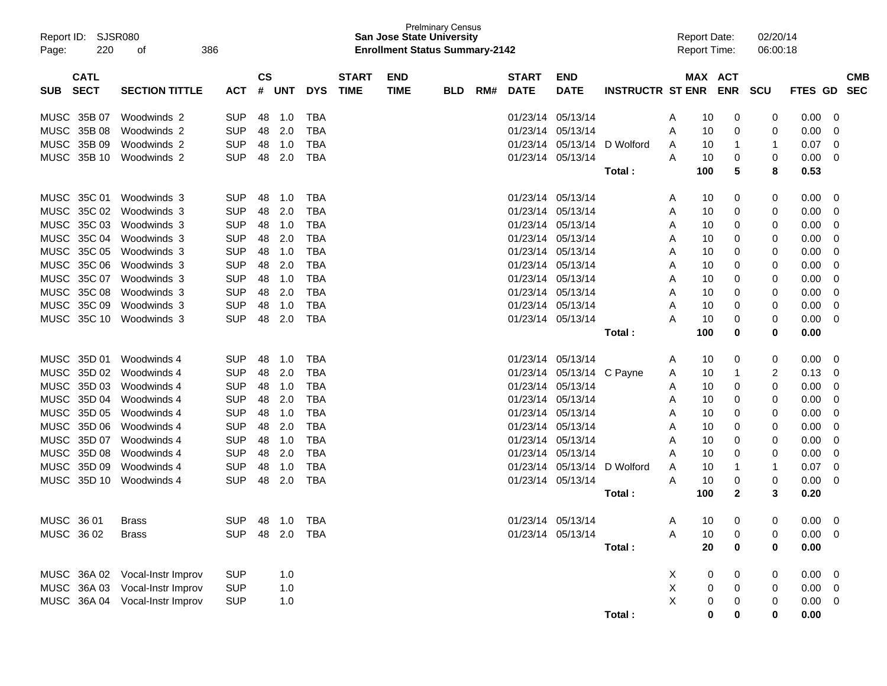| Report ID:<br>220<br>Page:               | <b>SJSR080</b><br>386<br>οf    |                          |                             |            |                          |                             | <b>San Jose State University</b><br><b>Enrollment Status Summary-2142</b> | <b>Prelminary Census</b> |     |                             |                           |                         |        | <b>Report Date:</b><br><b>Report Time:</b> | 02/20/14<br>06:00:18 |              |        |                          |
|------------------------------------------|--------------------------------|--------------------------|-----------------------------|------------|--------------------------|-----------------------------|---------------------------------------------------------------------------|--------------------------|-----|-----------------------------|---------------------------|-------------------------|--------|--------------------------------------------|----------------------|--------------|--------|--------------------------|
| <b>CATL</b><br><b>SECT</b><br><b>SUB</b> | <b>SECTION TITTLE</b>          | <b>ACT</b>               | $\mathbf{c}\mathbf{s}$<br># | <b>UNT</b> | <b>DYS</b>               | <b>START</b><br><b>TIME</b> | <b>END</b><br><b>TIME</b>                                                 | <b>BLD</b>               | RM# | <b>START</b><br><b>DATE</b> | <b>END</b><br><b>DATE</b> | <b>INSTRUCTR ST ENR</b> |        | MAX ACT<br><b>ENR</b>                      | <b>SCU</b>           | FTES GD      |        | <b>CMB</b><br><b>SEC</b> |
|                                          |                                |                          |                             |            |                          |                             |                                                                           |                          |     |                             |                           |                         |        |                                            |                      |              |        |                          |
| MUSC 35B 07                              | Woodwinds 2                    | <b>SUP</b>               | 48                          | 1.0        | TBA                      |                             |                                                                           |                          |     | 01/23/14 05/13/14           |                           |                         | A      | 10<br>0                                    | 0                    | 0.00         | 0      |                          |
| MUSC 35B 08<br>MUSC<br>35B 09            | Woodwinds 2<br>Woodwinds 2     | <b>SUP</b><br><b>SUP</b> | 48<br>48                    | 2.0<br>1.0 | <b>TBA</b><br><b>TBA</b> |                             |                                                                           |                          |     | 01/23/14 05/13/14           | 01/23/14 05/13/14         | D Wolford               | Α      | 10<br>0                                    | 0                    | 0.00<br>0.07 | 0      |                          |
| MUSC<br>35B 10                           | Woodwinds 2                    | <b>SUP</b>               | 48                          | 2.0        | <b>TBA</b>               |                             |                                                                           |                          |     | 01/23/14 05/13/14           |                           |                         | A<br>A | 10<br>1<br>10<br>0                         | 1                    |              | 0<br>0 |                          |
|                                          |                                |                          |                             |            |                          |                             |                                                                           |                          |     |                             |                           | Total:                  |        | 5<br>100                                   | 0<br>8               | 0.00<br>0.53 |        |                          |
| MUSC 35C 01                              | Woodwinds 3                    | <b>SUP</b>               | 48                          | 1.0        | <b>TBA</b>               |                             |                                                                           |                          |     | 01/23/14 05/13/14           |                           |                         | A      | 0<br>10                                    | 0                    | 0.00         | 0      |                          |
| 35C 02<br>MUSC                           | Woodwinds 3                    | <b>SUP</b>               | 48                          | 2.0        | <b>TBA</b>               |                             |                                                                           |                          |     | 01/23/14 05/13/14           |                           |                         | A      | 10<br>0                                    | 0                    | 0.00         | 0      |                          |
| <b>MUSC</b><br>35C 03                    | Woodwinds 3                    | <b>SUP</b>               | 48                          | 1.0        | <b>TBA</b>               |                             |                                                                           |                          |     | 01/23/14 05/13/14           |                           |                         | A      | 10<br>0                                    | 0                    | 0.00         | 0      |                          |
| <b>MUSC</b><br>35C 04                    | Woodwinds 3                    | <b>SUP</b>               | 48                          | 2.0        | <b>TBA</b>               |                             |                                                                           |                          |     | 01/23/14 05/13/14           |                           |                         | A      | 10<br>0                                    | 0                    | 0.00         | 0      |                          |
| <b>MUSC</b><br>35C 05                    | Woodwinds 3                    | <b>SUP</b>               | 48                          | 1.0        | <b>TBA</b>               |                             |                                                                           |                          |     | 01/23/14 05/13/14           |                           |                         | Α      | 10<br>0                                    | 0                    | 0.00         | 0      |                          |
| <b>MUSC</b><br>35C 06                    | Woodwinds 3                    | <b>SUP</b>               | 48                          | 2.0        | <b>TBA</b>               |                             |                                                                           |                          |     | 01/23/14 05/13/14           |                           |                         | A      | 10<br>0                                    | 0                    | 0.00         | 0      |                          |
| <b>MUSC</b><br>35C 07                    | Woodwinds 3                    | <b>SUP</b>               | 48                          | 1.0        | <b>TBA</b>               |                             |                                                                           |                          |     | 01/23/14 05/13/14           |                           |                         | A      | 10<br>0                                    | 0                    | 0.00         | 0      |                          |
| <b>MUSC</b><br>35C 08                    | Woodwinds 3                    | <b>SUP</b>               | 48                          | 2.0        | <b>TBA</b>               |                             |                                                                           |                          |     | 01/23/14 05/13/14           |                           |                         | A      | 10<br>0                                    | 0                    | 0.00         | 0      |                          |
| <b>MUSC</b><br>35C 09                    | Woodwinds 3                    | <b>SUP</b>               | 48                          | 1.0        | <b>TBA</b>               |                             |                                                                           |                          |     | 01/23/14 05/13/14           |                           |                         | A      | 10<br>0                                    | 0                    | 0.00         | 0      |                          |
| MUSC 35C 10                              | Woodwinds 3                    | <b>SUP</b>               | 48                          | 2.0        | <b>TBA</b>               |                             |                                                                           |                          |     | 01/23/14 05/13/14           |                           |                         | Α      | 10<br>0                                    | 0                    | 0.00         | 0      |                          |
|                                          |                                |                          |                             |            |                          |                             |                                                                           |                          |     |                             |                           | Total:                  |        | 100<br>0                                   | 0                    | 0.00         |        |                          |
| MUSC 35D 01                              | Woodwinds 4                    | <b>SUP</b>               | 48                          | 1.0        | TBA                      |                             |                                                                           |                          |     | 01/23/14 05/13/14           |                           |                         | A      | 0<br>10                                    | 0                    | 0.00         | 0      |                          |
| MUSC<br>35D 02                           | Woodwinds 4                    | <b>SUP</b>               | 48                          | 2.0        | <b>TBA</b>               |                             |                                                                           |                          |     |                             | 01/23/14 05/13/14         | C Payne                 | A      | 10<br>1                                    | 2                    | 0.13         | 0      |                          |
| 35D 03<br><b>MUSC</b>                    | Woodwinds 4                    | <b>SUP</b>               | 48                          | 1.0        | <b>TBA</b>               |                             |                                                                           |                          |     | 01/23/14 05/13/14           |                           |                         | A      | 10<br>0                                    | 0                    | 0.00         | 0      |                          |
| 35D 04<br><b>MUSC</b>                    | Woodwinds 4                    | <b>SUP</b>               | 48                          | 2.0        | <b>TBA</b>               |                             |                                                                           |                          |     | 01/23/14 05/13/14           |                           |                         | A      | 10<br>0                                    | 0                    | 0.00         | 0      |                          |
| 35D 05<br><b>MUSC</b>                    | Woodwinds 4                    | <b>SUP</b>               | 48                          | 1.0        | <b>TBA</b>               |                             |                                                                           |                          |     | 01/23/14 05/13/14           |                           |                         | A      | 10<br>0                                    | 0                    | 0.00         | 0      |                          |
| 35D 06<br><b>MUSC</b>                    | Woodwinds 4                    | <b>SUP</b>               | 48                          | 2.0        | <b>TBA</b>               |                             |                                                                           |                          |     | 01/23/14 05/13/14           |                           |                         | A      | 10<br>0                                    | 0                    | 0.00         | 0      |                          |
| <b>MUSC</b><br>35D 07                    | Woodwinds 4                    | <b>SUP</b>               | 48                          | 1.0        | <b>TBA</b>               |                             |                                                                           |                          |     | 01/23/14 05/13/14           |                           |                         | A      | 10<br>0                                    | 0                    | 0.00         | 0      |                          |
| <b>MUSC</b><br>35D 08                    | Woodwinds 4                    | <b>SUP</b>               | 48                          | 2.0        | <b>TBA</b>               |                             |                                                                           |                          |     | 01/23/14 05/13/14           |                           |                         | A      | 10<br>0                                    | 0                    | 0.00         | 0      |                          |
| <b>MUSC</b><br>35D 09                    | Woodwinds 4                    | <b>SUP</b>               | 48                          | 1.0        | <b>TBA</b>               |                             |                                                                           |                          |     |                             | 01/23/14 05/13/14         | D Wolford               | A      | 10<br>1                                    | 1                    | 0.07         | 0      |                          |
| MUSC 35D 10                              | Woodwinds 4                    | <b>SUP</b>               | 48                          | 2.0        | <b>TBA</b>               |                             |                                                                           |                          |     | 01/23/14 05/13/14           |                           |                         | Α      | 10<br>0                                    | 0                    | 0.00         | 0      |                          |
|                                          |                                |                          |                             |            |                          |                             |                                                                           |                          |     |                             |                           | Total:                  |        | 100<br>2                                   | 3                    | 0.20         |        |                          |
| MUSC 36 01                               | <b>Brass</b>                   | <b>SUP</b>               |                             |            |                          |                             |                                                                           |                          |     |                             | 01/23/14 05/13/14         |                         | A      | 10 <sup>°</sup><br>$\mathbf{0}$            | 0                    | $0.00 \t 0$  |        |                          |
| MUSC 36 02                               | <b>Brass</b>                   | SUP 48 2.0 TBA           |                             |            |                          |                             |                                                                           |                          |     |                             | 01/23/14 05/13/14         |                         | Α      | 10<br>0                                    | 0                    | $0.00 \t 0$  |        |                          |
|                                          |                                |                          |                             |            |                          |                             |                                                                           |                          |     |                             |                           | Total:                  |        | 20<br>0                                    | 0                    | 0.00         |        |                          |
|                                          | MUSC 36A 02 Vocal-Instr Improv | <b>SUP</b>               |                             | 1.0        |                          |                             |                                                                           |                          |     |                             |                           |                         | X      | 0<br>0                                     | 0                    | $0.00 \t 0$  |        |                          |
|                                          | MUSC 36A 03 Vocal-Instr Improv | <b>SUP</b>               |                             | 1.0        |                          |                             |                                                                           |                          |     |                             |                           |                         | X      | 0<br>0                                     | 0                    | $0.00 \t 0$  |        |                          |
|                                          | MUSC 36A 04 Vocal-Instr Improv | <b>SUP</b>               |                             | 1.0        |                          |                             |                                                                           |                          |     |                             |                           |                         | X      | 0<br>0                                     | 0                    | $0.00 \t 0$  |        |                          |
|                                          |                                |                          |                             |            |                          |                             |                                                                           |                          |     |                             |                           | Total:                  |        | 0<br>0                                     | 0                    | 0.00         |        |                          |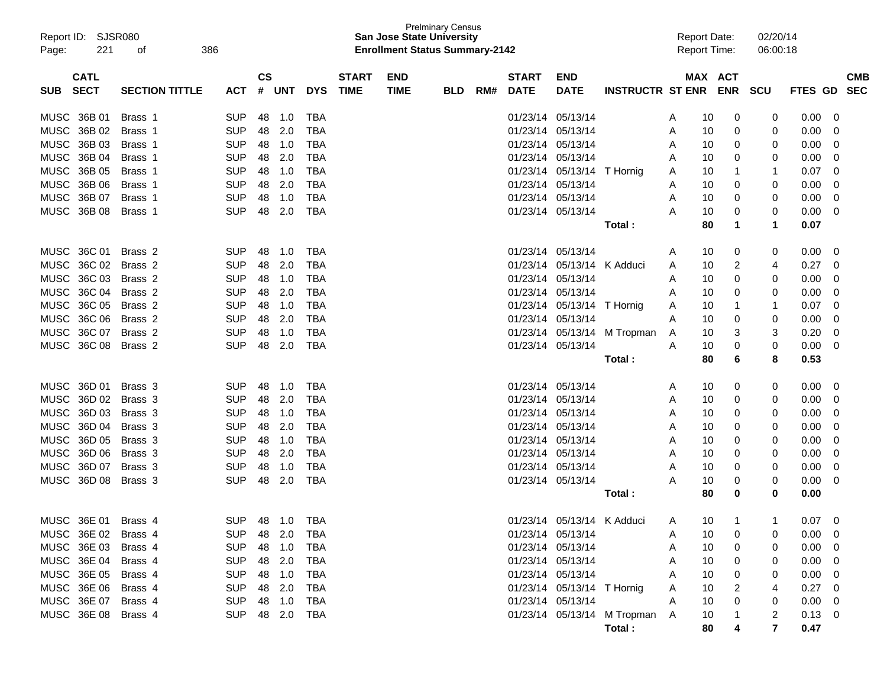| Report ID: SJSR080<br>Page: | 221<br>386<br>οf      |                |               |            |              |              | <b>San Jose State University</b><br><b>Enrollment Status Summary-2142</b> | <b>Prelminary Census</b> |     |              |                            |                               | <b>Report Date:</b><br><b>Report Time:</b> |              | 02/20/14<br>06:00:18 |                |             |
|-----------------------------|-----------------------|----------------|---------------|------------|--------------|--------------|---------------------------------------------------------------------------|--------------------------|-----|--------------|----------------------------|-------------------------------|--------------------------------------------|--------------|----------------------|----------------|-------------|
| <b>CATL</b>                 |                       |                | $\mathsf{cs}$ |            |              | <b>START</b> | <b>END</b>                                                                |                          |     | <b>START</b> | <b>END</b>                 |                               |                                            | MAX ACT      |                      |                | <b>CMB</b>  |
| <b>SECT</b><br><b>SUB</b>   | <b>SECTION TITTLE</b> | <b>ACT</b>     | #             | <b>UNT</b> | <b>DYS</b>   | <b>TIME</b>  | <b>TIME</b>                                                               | <b>BLD</b>               | RM# | <b>DATE</b>  | <b>DATE</b>                | <b>INSTRUCTR ST ENR</b>       |                                            | <b>ENR</b>   | <b>SCU</b>           | <b>FTES GD</b> | <b>SEC</b>  |
| MUSC 36B 01                 | Brass 1               | <b>SUP</b>     | 48            | 1.0        | TBA          |              |                                                                           |                          |     |              | 01/23/14 05/13/14          |                               | 10<br>A                                    | 0            | 0                    | 0.00           | 0           |
| MUSC 36B 02                 | Brass 1               | <b>SUP</b>     | 48            | 2.0        | TBA          |              |                                                                           |                          |     |              | 01/23/14 05/13/14          |                               | 10<br>A                                    | 0            | 0                    | 0.00           | 0           |
| MUSC 36B 03                 | Brass 1               | <b>SUP</b>     | 48            | 1.0        | <b>TBA</b>   |              |                                                                           |                          |     |              | 01/23/14 05/13/14          |                               | 10<br>A                                    | 0            | 0                    | 0.00           | 0           |
| MUSC 36B 04                 | Brass 1               | <b>SUP</b>     | 48            | 2.0        | <b>TBA</b>   |              |                                                                           |                          |     |              | 01/23/14 05/13/14          |                               | 10<br>A                                    | 0            | 0                    | 0.00           | 0           |
| MUSC 36B 05                 | Brass 1               | <b>SUP</b>     | 48            | 1.0        | <b>TBA</b>   |              |                                                                           |                          |     |              | 01/23/14 05/13/14          | T Hornig                      | 10<br>A                                    | 1            | 1                    | 0.07           | 0           |
| MUSC 36B 06                 | Brass 1               | <b>SUP</b>     | 48            | 2.0        | <b>TBA</b>   |              |                                                                           |                          |     |              | 01/23/14 05/13/14          |                               | 10<br>A                                    | 0            | 0                    | 0.00           | 0           |
| MUSC 36B 07                 | Brass 1               | <b>SUP</b>     | 48            | 1.0        | <b>TBA</b>   |              |                                                                           |                          |     |              | 01/23/14 05/13/14          |                               | 10<br>Α                                    | 0            | 0                    | 0.00           | 0           |
| MUSC 36B 08                 | Brass 1               | <b>SUP</b>     | 48            | 2.0        | TBA          |              |                                                                           |                          |     |              | 01/23/14 05/13/14          |                               | 10<br>A                                    | 0            | 0                    | 0.00           | 0           |
|                             |                       |                |               |            |              |              |                                                                           |                          |     |              |                            | Total :                       | 80                                         | 1            | 1                    | 0.07           |             |
| MUSC 36C 01                 | Brass 2               | <b>SUP</b>     | 48            | 1.0        | TBA          |              |                                                                           |                          |     |              | 01/23/14 05/13/14          |                               | 10<br>A                                    | 0            | 0                    | 0.00           | 0           |
| MUSC 36C 02                 | Brass 2               | <b>SUP</b>     | 48            | 2.0        | <b>TBA</b>   |              |                                                                           |                          |     |              | 01/23/14 05/13/14 K Adduci |                               | 10<br>A                                    | 2            | 4                    | 0.27           | 0           |
| MUSC 36C 03                 | Brass <sub>2</sub>    | <b>SUP</b>     | 48            | 1.0        | <b>TBA</b>   |              |                                                                           |                          |     |              | 01/23/14 05/13/14          |                               | 10<br>A                                    | 0            | 0                    | 0.00           | 0           |
| MUSC 36C 04                 | Brass 2               | <b>SUP</b>     | 48            | 2.0        | <b>TBA</b>   |              |                                                                           |                          |     |              | 01/23/14 05/13/14          |                               | 10<br>Α                                    | 0            | 0                    | 0.00           | 0           |
| MUSC 36C 05                 | Brass 2               | <b>SUP</b>     | 48            | 1.0        | <b>TBA</b>   |              |                                                                           |                          |     |              | 01/23/14 05/13/14 T Hornig |                               | 10<br>Α                                    | 1            | 1                    | 0.07           | 0           |
| MUSC 36C 06                 | Brass 2               | <b>SUP</b>     | 48            | 2.0        | <b>TBA</b>   |              |                                                                           |                          |     |              | 01/23/14 05/13/14          |                               | 10<br>Α                                    | 0            | 0                    | 0.00           | 0           |
| MUSC 36C 07                 | Brass 2               | <b>SUP</b>     | 48            | 1.0        | <b>TBA</b>   |              |                                                                           |                          |     |              |                            | 01/23/14 05/13/14 M Tropman   | 10<br>Α                                    | 3            | 3                    | 0.20           | 0           |
| MUSC 36C 08                 | Brass 2               | <b>SUP</b>     | 48            | 2.0        | <b>TBA</b>   |              |                                                                           |                          |     |              | 01/23/14 05/13/14          |                               | 10<br>Α                                    | 0            | 0                    | 0.00           | 0           |
|                             |                       |                |               |            |              |              |                                                                           |                          |     |              |                            | Total :                       | 80                                         | 6            | 8                    | 0.53           |             |
| MUSC 36D 01                 | Brass 3               | <b>SUP</b>     | 48            | 1.0        | TBA          |              |                                                                           |                          |     |              | 01/23/14 05/13/14          |                               | 10<br>A                                    | 0            | 0                    | 0.00           | 0           |
| MUSC 36D 02                 | Brass 3               | <b>SUP</b>     | 48            | 2.0        | <b>TBA</b>   |              |                                                                           |                          |     |              | 01/23/14 05/13/14          |                               | 10<br>A                                    | 0            | 0                    | 0.00           | 0           |
| MUSC 36D 03                 | Brass 3               | <b>SUP</b>     | 48            | 1.0        | <b>TBA</b>   |              |                                                                           |                          |     |              | 01/23/14 05/13/14          |                               | 10<br>A                                    | 0            | 0                    | 0.00           | 0           |
| MUSC 36D 04                 | Brass 3               | <b>SUP</b>     | 48            | 2.0        | <b>TBA</b>   |              |                                                                           |                          |     |              | 01/23/14 05/13/14          |                               | 10<br>Α                                    | 0            | 0                    | 0.00           | 0           |
| MUSC 36D 05                 | Brass 3               | <b>SUP</b>     | 48            | 1.0        | <b>TBA</b>   |              |                                                                           |                          |     |              | 01/23/14 05/13/14          |                               | 10<br>Α                                    | 0            | 0                    | 0.00           | 0           |
| MUSC 36D 06                 | Brass 3               | <b>SUP</b>     | 48            | 2.0        | <b>TBA</b>   |              |                                                                           |                          |     |              | 01/23/14 05/13/14          |                               | 10<br>Α                                    | 0            | 0                    | 0.00           | 0           |
| MUSC 36D 07                 | Brass 3               | <b>SUP</b>     | 48            | 1.0        | <b>TBA</b>   |              |                                                                           |                          |     |              | 01/23/14 05/13/14          |                               | 10<br>Α                                    | 0            | 0                    | 0.00           | 0           |
| MUSC 36D 08                 | Brass 3               | <b>SUP</b>     | 48            | 2.0        | TBA          |              |                                                                           |                          |     |              | 01/23/14 05/13/14          |                               | A<br>10                                    | 0            | 0                    | 0.00           | 0           |
|                             |                       |                |               |            |              |              |                                                                           |                          |     |              |                            | Total:                        | 80                                         | 0            | 0                    | 0.00           |             |
|                             |                       |                |               |            |              |              |                                                                           |                          |     |              |                            |                               |                                            |              |                      |                |             |
| MUSC 36E 01                 | Brass 4               | <b>SUP</b>     |               |            | 48  1.0  TBA |              |                                                                           |                          |     |              | 01/23/14 05/13/14 K Adduci |                               | A<br>10                                    | $\mathbf{1}$ | 1                    | 0.07           | $\mathbf 0$ |
| MUSC 36E 02 Brass 4         |                       | SUP            |               |            |              |              |                                                                           |                          |     |              | 01/23/14 05/13/14          |                               | 10<br>A                                    | 0            |                      | $0.00 \t 0$    |             |
| MUSC 36E 03 Brass 4         |                       | SUP            |               | 48 1.0     | TBA          |              |                                                                           |                          |     |              | 01/23/14 05/13/14          |                               | 10<br>A                                    |              |                      | 0.00           | 0           |
| MUSC 36E 04 Brass 4         |                       | SUP            |               | 48 2.0     | TBA          |              |                                                                           |                          |     |              | 01/23/14 05/13/14          |                               | 10<br>A                                    |              |                      | 0.00           | 0           |
| MUSC 36E 05 Brass 4         |                       | SUP            |               | 48 1.0     | TBA          |              |                                                                           |                          |     |              | 01/23/14 05/13/14          |                               | 10<br>A                                    |              |                      | 0.00           | 0           |
| MUSC 36E 06 Brass 4         |                       | SUP            |               | 48 2.0     | TBA          |              |                                                                           |                          |     |              | 01/23/14 05/13/14 T Hornig |                               | 10<br>A                                    |              |                      | 0.27           | 0           |
| MUSC 36E 07 Brass 4         |                       | SUP            |               | 48 1.0     | TBA          |              |                                                                           |                          |     |              | 01/23/14 05/13/14          |                               | 10<br>Α                                    |              |                      | 0.00           | 0           |
| MUSC 36E 08 Brass 4         |                       | SUP 48 2.0 TBA |               |            |              |              |                                                                           |                          |     |              |                            | 01/23/14 05/13/14 M Tropman A | 10                                         |              |                      | $0.13 \quad 0$ |             |
|                             |                       |                |               |            |              |              |                                                                           |                          |     |              |                            | Total:                        | 80                                         |              |                      | 0.47           |             |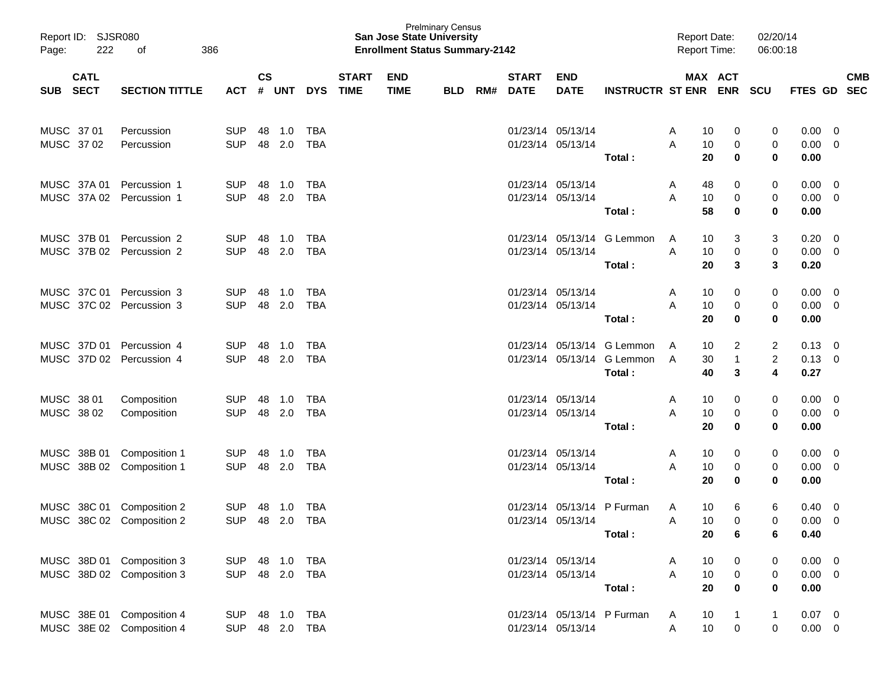| Report ID: SJSR080<br>Page: | 222         | 386<br>οf                                              |                          |                    |               |                              |                             | <b>San Jose State University</b><br><b>Enrollment Status Summary-2142</b> | <b>Prelminary Census</b> |     |                             |                                        |                                                                    | <b>Report Date:</b><br><b>Report Time:</b> |                          | 02/20/14<br>06:00:18     |                                    |                                                    |                          |
|-----------------------------|-------------|--------------------------------------------------------|--------------------------|--------------------|---------------|------------------------------|-----------------------------|---------------------------------------------------------------------------|--------------------------|-----|-----------------------------|----------------------------------------|--------------------------------------------------------------------|--------------------------------------------|--------------------------|--------------------------|------------------------------------|----------------------------------------------------|--------------------------|
| SUB SECT                    | <b>CATL</b> | <b>SECTION TITTLE</b>                                  | ACT                      | $\mathsf{cs}$<br># | UNT           | <b>DYS</b>                   | <b>START</b><br><b>TIME</b> | <b>END</b><br><b>TIME</b>                                                 | <b>BLD</b>               | RM# | <b>START</b><br><b>DATE</b> | <b>END</b><br><b>DATE</b>              | INSTRUCTR ST ENR ENR SCU                                           |                                            | MAX ACT                  |                          | <b>FTES GD</b>                     |                                                    | <b>CMB</b><br><b>SEC</b> |
| MUSC 37 01<br>MUSC 37 02    |             | Percussion<br>Percussion                               | <b>SUP</b><br><b>SUP</b> | 48<br>48           | 1.0<br>2.0    | <b>TBA</b><br><b>TBA</b>     |                             |                                                                           |                          |     | 01/23/14 05/13/14           | 01/23/14 05/13/14                      | Total:                                                             | 10<br>A<br>A<br>10<br>20                   | 0<br>0<br>$\mathbf 0$    | 0<br>0<br>$\mathbf 0$    | 0.00<br>0.00<br>0.00               | $\overline{0}$<br>$\overline{\mathbf{0}}$          |                          |
| MUSC 37A 01                 |             | Percussion 1<br>MUSC 37A 02 Percussion 1               | <b>SUP</b><br><b>SUP</b> | 48<br>48           | 1.0<br>2.0    | <b>TBA</b><br><b>TBA</b>     |                             |                                                                           |                          |     | 01/23/14 05/13/14           | 01/23/14 05/13/14                      | Total:                                                             | 48<br>A<br>A<br>10<br>58                   | 0<br>0<br>$\mathbf 0$    | 0<br>0<br>$\mathbf 0$    | 0.00<br>0.00<br>0.00               | $\overline{\mathbf{0}}$<br>$\overline{\mathbf{0}}$ |                          |
| MUSC 37B 01                 |             | Percussion 2<br>MUSC 37B 02 Percussion 2               | <b>SUP</b><br><b>SUP</b> | 48<br>48           | 1.0<br>2.0    | <b>TBA</b><br><b>TBA</b>     |                             |                                                                           |                          |     |                             | 01/23/14 05/13/14                      | 01/23/14 05/13/14 G Lemmon<br>Total:                               | 10<br>A<br>A<br>10<br>20                   | 3<br>0<br>3              | 3<br>0<br>3              | 0.20<br>$0.00 \t 0$<br>0.20        | - 0                                                |                          |
| MUSC 37C 01                 |             | Percussion 3<br>MUSC 37C 02 Percussion 3               | <b>SUP</b><br><b>SUP</b> | 48<br>48           | 1.0<br>2.0    | <b>TBA</b><br><b>TBA</b>     |                             |                                                                           |                          |     | 01/23/14 05/13/14           | 01/23/14 05/13/14                      | Total:                                                             | 10<br>A<br>A<br>10<br>20                   | 0<br>0<br>$\mathbf 0$    | 0<br>0<br>$\mathbf 0$    | 0.00<br>$0.00 \t 0$<br>0.00        | $\overline{\mathbf{0}}$                            |                          |
| MUSC 37D 01                 |             | Percussion 4<br>MUSC 37D 02 Percussion 4               | <b>SUP</b><br><b>SUP</b> | 48<br>48           | 1.0<br>2.0    | <b>TBA</b><br><b>TBA</b>     |                             |                                                                           |                          |     |                             |                                        | 01/23/14 05/13/14 G Lemmon<br>01/23/14 05/13/14 G Lemmon<br>Total: | 10<br>A<br>30<br>A<br>40                   | 2<br>$\overline{1}$<br>3 | 2<br>$\overline{c}$<br>4 | 0.13<br>$0.13 \ 0$<br>0.27         | $\overline{\mathbf{0}}$                            |                          |
| MUSC 38 01<br>MUSC 38 02    |             | Composition<br>Composition                             | <b>SUP</b><br><b>SUP</b> | 48<br>48           | 1.0<br>2.0    | <b>TBA</b><br><b>TBA</b>     |                             |                                                                           |                          |     | 01/23/14 05/13/14           | 01/23/14 05/13/14                      | Total:                                                             | 10<br>A<br>A<br>10<br>20                   | 0<br>0<br>$\mathbf 0$    | 0<br>0<br>$\mathbf 0$    | 0.00<br>$0.00 \t 0$<br>0.00        | $\overline{\mathbf{0}}$                            |                          |
|                             |             | MUSC 38B 01 Composition 1<br>MUSC 38B 02 Composition 1 | <b>SUP</b><br><b>SUP</b> | 48<br>48           | 1.0<br>2.0    | <b>TBA</b><br><b>TBA</b>     |                             |                                                                           |                          |     | 01/23/14 05/13/14           | 01/23/14 05/13/14                      | Total:                                                             | 10<br>A<br>A<br>10<br>20                   | 0<br>0<br>$\mathbf 0$    | 0<br>0<br>0              | 0.00<br>0.00<br>0.00               | $\overline{\mathbf{0}}$<br>$\overline{\mathbf{0}}$ |                          |
|                             |             | MUSC 38C 01 Composition 2<br>MUSC 38C 02 Composition 2 | <b>SUP</b><br><b>SUP</b> | 48                 | 1.0<br>48 2.0 | <b>TBA</b><br><b>TBA</b>     |                             |                                                                           |                          |     |                             | 01/23/14 05/13/14<br>01/23/14 05/13/14 | P Furman<br>Total:                                                 | 10<br>A<br>10<br>A<br>20                   | 6<br>$\Omega$<br>6       | 6<br>0<br>6              | 0.40<br>0.00<br>0.40               | - 0<br>$\overline{0}$                              |                          |
|                             |             | MUSC 38D 01 Composition 3<br>MUSC 38D 02 Composition 3 | <b>SUP</b>               |                    | 48 1.0        | <b>TBA</b><br>SUP 48 2.0 TBA |                             |                                                                           |                          |     | 01/23/14 05/13/14           | 01/23/14 05/13/14                      | Total:                                                             | 10<br>A<br>A<br>10<br>20                   | 0<br>0<br>$\mathbf 0$    | 0<br>0<br>$\mathbf 0$    | $0.00 \t 0$<br>$0.00 \t 0$<br>0.00 |                                                    |                          |
|                             |             | MUSC 38E 01 Composition 4<br>MUSC 38E 02 Composition 4 | <b>SUP</b>               |                    | 48 1.0        | <b>TBA</b><br>SUP 48 2.0 TBA |                             |                                                                           |                          |     |                             | 01/23/14 05/13/14                      | 01/23/14 05/13/14 P Furman                                         | 10<br>A<br>10<br>Α                         | $\overline{1}$<br>0      | $\mathbf{1}$<br>0        | $0.07 \ 0$<br>$0.00 \t 0$          |                                                    |                          |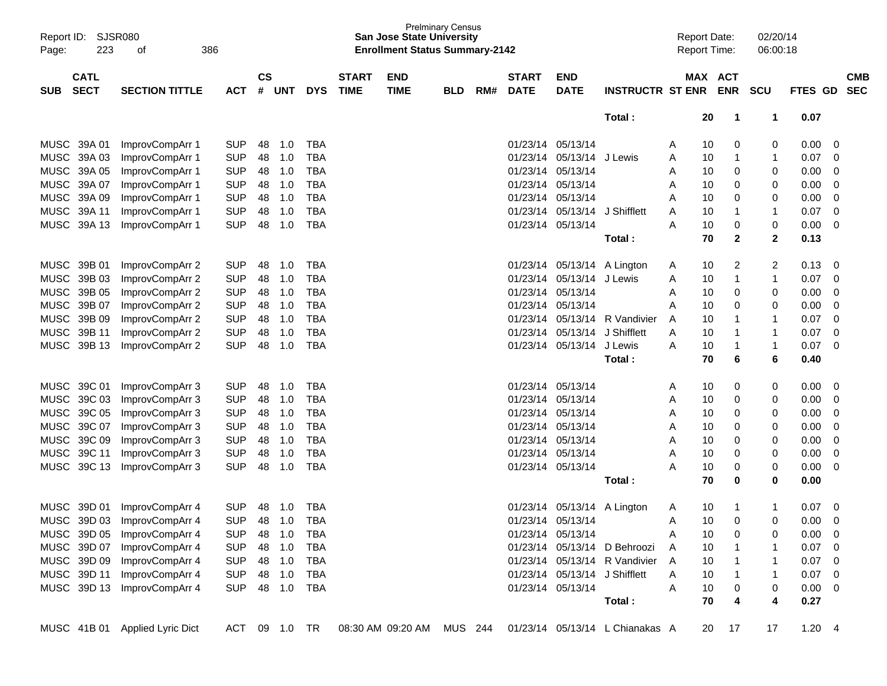| Page:      | Report ID: SJSR080<br>223  | οf                             | 386        |                    |        |            |                             | <b>San Jose State University</b><br><b>Enrollment Status Summary-2142</b> | <b>Prelminary Census</b> |     |                             |                               |                                 |   | <b>Report Date:</b><br><b>Report Time:</b> | 02/20/14<br>06:00:18 |                |                         |                          |
|------------|----------------------------|--------------------------------|------------|--------------------|--------|------------|-----------------------------|---------------------------------------------------------------------------|--------------------------|-----|-----------------------------|-------------------------------|---------------------------------|---|--------------------------------------------|----------------------|----------------|-------------------------|--------------------------|
| <b>SUB</b> | <b>CATL</b><br><b>SECT</b> | <b>SECTION TITTLE</b>          | <b>ACT</b> | $\mathsf{cs}$<br># | UNT    | <b>DYS</b> | <b>START</b><br><b>TIME</b> | <b>END</b><br><b>TIME</b>                                                 | <b>BLD</b>               | RM# | <b>START</b><br><b>DATE</b> | <b>END</b><br><b>DATE</b>     | <b>INSTRUCTR ST ENR</b>         |   | MAX ACT<br><b>ENR</b>                      | <b>SCU</b>           | FTES GD        |                         | <b>CMB</b><br><b>SEC</b> |
|            |                            |                                |            |                    |        |            |                             |                                                                           |                          |     |                             |                               | Total:                          |   | 20<br>$\mathbf{1}$                         | $\mathbf 1$          | 0.07           |                         |                          |
|            | MUSC 39A 01                | ImprovCompArr 1                | <b>SUP</b> | 48                 | 1.0    | TBA        |                             |                                                                           |                          |     |                             | 01/23/14 05/13/14             |                                 | A | 0<br>10                                    | 0                    | 0.00           | 0                       |                          |
|            | MUSC 39A 03                | ImprovCompArr 1                | <b>SUP</b> | 48                 | 1.0    | <b>TBA</b> |                             |                                                                           |                          |     |                             | 01/23/14 05/13/14             | J Lewis                         | A | 10<br>1                                    | 1                    | 0.07           | 0                       |                          |
|            | MUSC 39A 05                | ImprovCompArr 1                | <b>SUP</b> | 48                 | 1.0    | <b>TBA</b> |                             |                                                                           |                          |     |                             | 01/23/14 05/13/14             |                                 | A | 0<br>10                                    | 0                    | 0.00           | $\mathbf 0$             |                          |
|            | MUSC 39A 07                | ImprovCompArr 1                | <b>SUP</b> | 48                 | 1.0    | TBA        |                             |                                                                           |                          |     |                             | 01/23/14 05/13/14             |                                 | Α | 10<br>0                                    | 0                    | 0.00           | 0                       |                          |
|            | MUSC 39A 09                | ImprovCompArr 1                | <b>SUP</b> | 48                 | 1.0    | TBA        |                             |                                                                           |                          |     |                             | 01/23/14 05/13/14             |                                 | Α | 0<br>10                                    | 0                    | 0.00           | $\mathbf 0$             |                          |
|            | MUSC 39A 11                | ImprovCompArr 1                | <b>SUP</b> | 48                 | 1.0    | <b>TBA</b> |                             |                                                                           |                          |     |                             | 01/23/14 05/13/14             | J Shifflett                     | A | 10<br>1                                    | 1                    | 0.07           | $\mathbf 0$             |                          |
|            | MUSC 39A 13                | ImprovCompArr 1                | <b>SUP</b> | 48                 | 1.0    | <b>TBA</b> |                             |                                                                           |                          |     |                             | 01/23/14 05/13/14             |                                 | A | 0<br>10                                    | 0                    | 0.00           | 0                       |                          |
|            |                            |                                |            |                    |        |            |                             |                                                                           |                          |     |                             |                               | Total:                          |   | 70<br>$\mathbf{2}$                         | $\mathbf 2$          | 0.13           |                         |                          |
|            | MUSC 39B 01                | ImprovCompArr 2                | <b>SUP</b> | 48                 | 1.0    | TBA        |                             |                                                                           |                          |     |                             | 01/23/14 05/13/14 A Lington   |                                 | A | 2<br>10                                    | 2                    | 0.13           | 0                       |                          |
|            | MUSC 39B 03                | ImprovCompArr 2                | <b>SUP</b> | 48                 | 1.0    | <b>TBA</b> |                             |                                                                           |                          |     |                             | 01/23/14 05/13/14             | J Lewis                         | A | 10<br>1                                    | 1                    | 0.07           | 0                       |                          |
|            | MUSC 39B 05                | ImprovCompArr 2                | <b>SUP</b> | 48                 | 1.0    | <b>TBA</b> |                             |                                                                           |                          |     |                             | 01/23/14 05/13/14             |                                 | A | 0<br>10                                    | 0                    | 0.00           | 0                       |                          |
|            | MUSC 39B 07                | ImprovCompArr 2                | <b>SUP</b> | 48                 | 1.0    | <b>TBA</b> |                             |                                                                           |                          |     |                             | 01/23/14 05/13/14             |                                 | Α | 0<br>10                                    | 0                    | 0.00           | $\mathbf 0$             |                          |
|            | MUSC 39B 09                | ImprovCompArr 2                | <b>SUP</b> | 48                 | 1.0    | <b>TBA</b> |                             |                                                                           |                          |     |                             | 01/23/14 05/13/14             | R Vandivier                     | A | 10<br>1                                    | 1                    | 0.07           | $\mathbf 0$             |                          |
|            | MUSC 39B 11                | ImprovCompArr 2                | <b>SUP</b> | 48                 | 1.0    | <b>TBA</b> |                             |                                                                           |                          |     |                             | 01/23/14 05/13/14             | J Shifflett                     | A | 10<br>1                                    | 1                    | 0.07           | $\mathbf 0$             |                          |
|            | MUSC 39B 13                | ImprovCompArr 2                | <b>SUP</b> | 48                 | 1.0    | <b>TBA</b> |                             |                                                                           |                          |     |                             | 01/23/14 05/13/14             | J Lewis                         | A | 10<br>1                                    | 1                    | 0.07           | $\mathbf 0$             |                          |
|            |                            |                                |            |                    |        |            |                             |                                                                           |                          |     |                             |                               | Total:                          |   | 70<br>6                                    | 6                    | 0.40           |                         |                          |
|            | MUSC 39C 01                | ImprovCompArr 3                | <b>SUP</b> | 48                 | 1.0    | TBA        |                             |                                                                           |                          |     |                             | 01/23/14 05/13/14             |                                 | A | 10<br>0                                    | 0                    | 0.00           | 0                       |                          |
|            | MUSC 39C 03                | ImprovCompArr 3                | <b>SUP</b> | 48                 | 1.0    | TBA        |                             |                                                                           |                          |     | 01/23/14                    | 05/13/14                      |                                 | A | 0<br>10                                    | 0                    | 0.00           | 0                       |                          |
|            | MUSC 39C 05                | ImprovCompArr 3                | <b>SUP</b> | 48                 | 1.0    | <b>TBA</b> |                             |                                                                           |                          |     |                             | 01/23/14 05/13/14             |                                 | A | 0<br>10                                    | 0                    | 0.00           | 0                       |                          |
|            | MUSC 39C 07                | ImprovCompArr 3                | <b>SUP</b> | 48                 | 1.0    | TBA        |                             |                                                                           |                          |     |                             | 01/23/14 05/13/14             |                                 | Α | 10<br>0                                    | 0                    | 0.00           | 0                       |                          |
|            | MUSC 39C 09                | ImprovCompArr 3                | <b>SUP</b> | 48                 | 1.0    | TBA        |                             |                                                                           |                          |     |                             | 01/23/14 05/13/14             |                                 | A | 0<br>10                                    | 0                    | 0.00           | $\mathbf 0$             |                          |
|            | MUSC 39C 11                | ImprovCompArr 3                | <b>SUP</b> | 48                 | 1.0    | <b>TBA</b> |                             |                                                                           |                          |     |                             | 01/23/14 05/13/14             |                                 | Α | 0<br>10                                    | 0                    | 0.00           | $\mathbf 0$             |                          |
|            | MUSC 39C 13                | ImprovCompArr 3                | <b>SUP</b> | 48                 | 1.0    | <b>TBA</b> |                             |                                                                           |                          |     |                             | 01/23/14 05/13/14             |                                 | Α | 0<br>10                                    | 0                    | 0.00           | 0                       |                          |
|            |                            |                                |            |                    |        |            |                             |                                                                           |                          |     |                             |                               | Total:                          |   | 70<br>$\bf{0}$                             | 0                    | 0.00           |                         |                          |
|            | MUSC 39D 01                | ImprovCompArr 4                | <b>SUP</b> | 48                 | 1.0    | TBA        |                             |                                                                           |                          |     |                             | 01/23/14 05/13/14             | A Lington                       | A | 10<br>$\mathbf 1$                          | 1                    | 0.07           | 0                       |                          |
|            | MUSC 39D 03                | ImprovCompArr 4                | <b>SUP</b> | 48                 | 1.0    | <b>TBA</b> |                             |                                                                           |                          |     |                             | 01/23/14 05/13/14             |                                 | Α | 10<br>$\mathbf 0$                          | 0                    | 0.00           | 0                       |                          |
|            | MUSC 39D 05                | ImprovCompArr 4                | <b>SUP</b> | 48                 | 1.0    | TBA        |                             |                                                                           |                          |     |                             | 01/23/14 05/13/14             |                                 | Α | 10<br>0                                    | 0                    | 0.00           | $\mathbf 0$             |                          |
|            | MUSC 39D 07                | ImprovCompArr 4                | <b>SUP</b> | 48                 | 1.0    | TBA        |                             |                                                                           |                          |     |                             |                               | 01/23/14 05/13/14 D Behroozi    | A | 10                                         |                      | 0.07           | 0                       |                          |
|            | MUSC 39D 09                | ImprovCompArr 4                | <b>SUP</b> |                    | 48 1.0 | TBA        |                             |                                                                           |                          |     |                             |                               | 01/23/14 05/13/14 R Vandivier   | A | 10                                         |                      | 0.07           | - 0                     |                          |
|            | MUSC 39D 11                | ImprovCompArr 4                | <b>SUP</b> |                    | 48 1.0 | TBA        |                             |                                                                           |                          |     |                             | 01/23/14 05/13/14 J Shifflett |                                 | Α | 10                                         |                      | 0.07           | - 0                     |                          |
|            |                            | MUSC 39D 13 ImprovCompArr 4    | <b>SUP</b> | 48                 | 1.0    | TBA        |                             |                                                                           |                          |     |                             | 01/23/14 05/13/14             |                                 | Α | 10<br>0                                    | 0                    | 0.00           | $\overline{\mathbf{0}}$ |                          |
|            |                            |                                |            |                    |        |            |                             |                                                                           |                          |     |                             |                               | Total:                          |   | 70<br>4                                    | 4                    | 0.27           |                         |                          |
|            |                            | MUSC 41B 01 Applied Lyric Dict |            | ACT 09             | 1.0    | TR         |                             | 08:30 AM 09:20 AM                                                         | MUS 244                  |     |                             |                               | 01/23/14 05/13/14 L Chianakas A |   | 20<br>17                                   | 17                   | $1.20 \quad 4$ |                         |                          |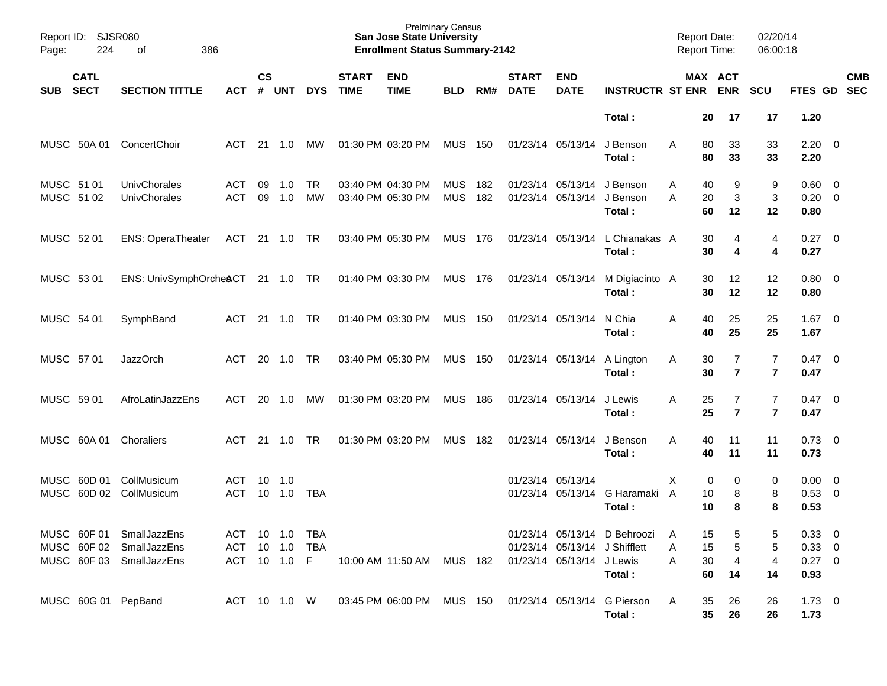| Report ID: SJSR080<br>224<br>386<br>of<br>Page: |                            |                                                                                  |                                              |                    | <b>Prelminary Census</b><br><b>San Jose State University</b><br><b>Enrollment Status Summary-2142</b> |                 |                                        |                                                       |                          |            |                             |                                                            |                                           |             | <b>Report Date:</b><br><b>Report Time:</b>   |                                  | 02/20/14<br>06:00:18                   |                           |
|-------------------------------------------------|----------------------------|----------------------------------------------------------------------------------|----------------------------------------------|--------------------|-------------------------------------------------------------------------------------------------------|-----------------|----------------------------------------|-------------------------------------------------------|--------------------------|------------|-----------------------------|------------------------------------------------------------|-------------------------------------------|-------------|----------------------------------------------|----------------------------------|----------------------------------------|---------------------------|
| <b>SUB</b>                                      | <b>CATL</b><br><b>SECT</b> | <b>SECTION TITTLE</b>                                                            | <b>ACT</b>                                   | $\mathsf{cs}$<br># | UNT                                                                                                   | <b>DYS</b>      | <b>START</b><br><b>TIME</b>            | <b>END</b><br><b>TIME</b>                             | <b>BLD</b>               | RM#        | <b>START</b><br><b>DATE</b> | <b>END</b><br><b>DATE</b>                                  | <b>INSTRUCTR ST ENR ENR</b>               |             | MAX ACT                                      | <b>SCU</b>                       |                                        | <b>CMB</b><br>FTES GD SEC |
|                                                 |                            |                                                                                  |                                              |                    |                                                                                                       |                 |                                        |                                                       |                          |            |                             |                                                            | Total:                                    |             | 20<br>17                                     | 17                               | 1.20                                   |                           |
|                                                 | MUSC 50A 01                | ConcertChoir                                                                     | ACT                                          |                    | 21 1.0                                                                                                | MW              |                                        | 01:30 PM 03:20 PM                                     | <b>MUS 150</b>           |            |                             | 01/23/14 05/13/14                                          | J Benson<br>Total:                        | A           | 33<br>80<br>80<br>33                         | 33<br>33                         | $2.20 \t 0$<br>2.20                    |                           |
| MUSC 51 01<br>MUSC 51 02                        |                            | UnivChorales<br>UnivChorales                                                     | ACT<br><b>ACT</b>                            | 09<br>09           | 1.0<br>1.0                                                                                            | <b>TR</b><br>MW | 03:40 PM 04:30 PM<br>03:40 PM 05:30 PM |                                                       | <b>MUS</b><br><b>MUS</b> | 182<br>182 |                             | 01/23/14 05/13/14 J Benson<br>01/23/14 05/13/14            | J Benson<br>Total:                        | A<br>A      | 40<br>9<br>$\mathbf{3}$<br>20<br>60<br>12    | 9<br>$\mathbf{3}$<br>12          | $0.60 \quad 0$<br>$0.20 \ 0$<br>0.80   |                           |
| MUSC 52 01                                      |                            | <b>ENS: OperaTheater</b>                                                         | ACT 21 1.0 TR                                |                    |                                                                                                       |                 |                                        | 03:40 PM 05:30 PM                                     | MUS 176                  |            |                             |                                                            | 01/23/14 05/13/14 L Chianakas A<br>Total: |             | 30<br>4<br>30<br>4                           | 4<br>4                           | $0.27 \t 0$<br>0.27                    |                           |
| MUSC 53 01                                      |                            | ENS: UnivSymphOrcheACT 21 1.0 TR                                                 |                                              |                    |                                                                                                       |                 |                                        | 01:40 PM 03:30 PM                                     | MUS 176                  |            |                             | 01/23/14 05/13/14                                          | M Digiacinto A<br>Total:                  |             | 12<br>30<br>30<br>12                         | 12<br>12                         | $0.80 \ 0$<br>0.80                     |                           |
| MUSC 54 01                                      |                            | SymphBand                                                                        | ACT                                          |                    | 21 1.0                                                                                                | <b>TR</b>       |                                        | 01:40 PM 03:30 PM                                     | <b>MUS 150</b>           |            |                             | 01/23/14 05/13/14                                          | N Chia<br>Total:                          | Α           | 40<br>25<br>25<br>40                         | 25<br>25                         | $1.67$ 0<br>1.67                       |                           |
| MUSC 57 01                                      |                            | <b>JazzOrch</b>                                                                  | ACT                                          |                    | 20 1.0                                                                                                | <b>TR</b>       |                                        | 03:40 PM 05:30 PM                                     | <b>MUS 150</b>           |            |                             | 01/23/14 05/13/14                                          | A Lington<br>Total:                       | A           | $\overline{7}$<br>30<br>$\overline{7}$<br>30 | $\overline{7}$<br>$\overline{7}$ | $0.47 \quad 0$<br>0.47                 |                           |
| MUSC 59 01                                      |                            | AfroLatinJazzEns                                                                 | ACT                                          | 20                 | 1.0                                                                                                   | MW              |                                        | 01:30 PM 03:20 PM                                     | <b>MUS 186</b>           |            |                             | 01/23/14 05/13/14                                          | J Lewis<br>Total:                         | A           | $\overline{7}$<br>25<br>25<br>$\overline{7}$ | $\overline{7}$<br>$\overline{7}$ | $0.47 \quad 0$<br>0.47                 |                           |
|                                                 | MUSC 60A 01                | Choraliers                                                                       | ACT                                          |                    | 21 1.0                                                                                                | <b>TR</b>       |                                        | 01:30 PM 03:20 PM                                     | MUS 182                  |            |                             | 01/23/14 05/13/14                                          | J Benson<br>Total:                        | A           | 40<br>11<br>40<br>11                         | 11<br>11                         | $0.73 \quad 0$<br>0.73                 |                           |
|                                                 |                            | MUSC 60D 01 CollMusicum<br>MUSC 60D 02 CollMusicum                               | ACT<br><b>ACT</b>                            | 10                 | $10 \quad 1.0$<br>1.0                                                                                 | <b>TBA</b>      |                                        |                                                       |                          |            |                             | 01/23/14 05/13/14                                          | 01/23/14 05/13/14 G Haramaki A<br>Total:  | X           | 0<br>0<br>8<br>10<br>10<br>8                 | 0<br>8<br>8                      | $0.00 \t 0$<br>0.53 0<br>0.53          |                           |
|                                                 |                            | MUSC 60F 01 SmallJazzEns<br>MUSC 60F 02 SmallJazzEns<br>MUSC 60F 03 SmallJazzEns | ACT 10 1.0 TBA<br>ACT 10 1.0<br>ACT 10 1.0 F |                    |                                                                                                       | <b>TBA</b>      |                                        | 10:00 AM 11:50 AM MUS 182                             |                          |            |                             | 01/23/14 05/13/14 J Shifflett<br>01/23/14 05/13/14 J Lewis | 01/23/14 05/13/14 D Behroozi<br>Total:    | Α<br>Α<br>Α | 15<br>5<br>15<br>5<br>30<br>4<br>60<br>14    | 5<br>5<br>4<br>14                | 0.33 0<br>0.33 0<br>$0.27 \ 0$<br>0.93 |                           |
|                                                 |                            | MUSC 60G 01 PepBand                                                              | ACT 10 1.0 W                                 |                    |                                                                                                       |                 |                                        | 03:45 PM 06:00 PM MUS 150 01/23/14 05/13/14 G Pierson |                          |            |                             |                                                            | Total:                                    | A           | 35<br>26<br>35 <sub>o</sub><br>26            | 26<br>26                         | $1.73 \t 0$<br>1.73                    |                           |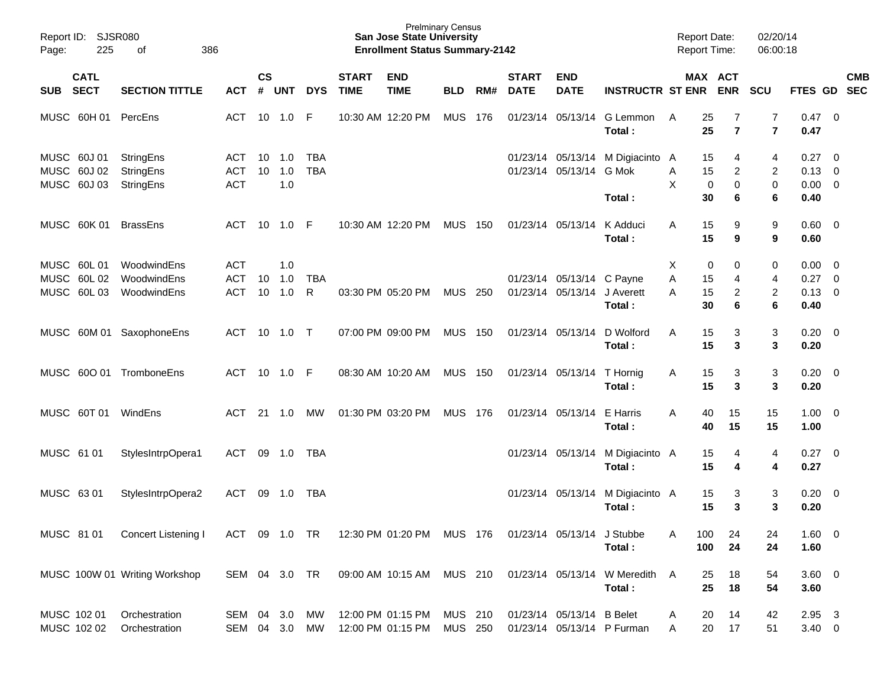| Page:      | Report ID: SJSR080<br>225                 | 386<br>of                           |                                 | <b>Prelminary Census</b><br><b>San Jose State University</b><br><b>Enrollment Status Summary-2142</b> |                   |                          |                             |                                                                    |                |     |                             |                           |                                        |             | <b>Report Date:</b><br><b>Report Time:</b>                    |                                           | 02/20/14<br>06:00:18                         |  |            |
|------------|-------------------------------------------|-------------------------------------|---------------------------------|-------------------------------------------------------------------------------------------------------|-------------------|--------------------------|-----------------------------|--------------------------------------------------------------------|----------------|-----|-----------------------------|---------------------------|----------------------------------------|-------------|---------------------------------------------------------------|-------------------------------------------|----------------------------------------------|--|------------|
| SUB SECT   | <b>CATL</b>                               | <b>SECTION TITTLE</b>               | ACT                             | $\mathsf{cs}$                                                                                         | # UNT             | <b>DYS</b>               | <b>START</b><br><b>TIME</b> | <b>END</b><br><b>TIME</b>                                          | <b>BLD</b>     | RM# | <b>START</b><br><b>DATE</b> | <b>END</b><br><b>DATE</b> | <b>INSTRUCTR ST ENR</b>                |             | MAX ACT<br><b>ENR</b>                                         | <b>SCU</b>                                | FTES GD SEC                                  |  | <b>CMB</b> |
|            |                                           | MUSC 60H 01 PercEns                 | ACT                             |                                                                                                       | 10 1.0            | -F                       |                             | 10:30 AM 12:20 PM                                                  | <b>MUS</b>     | 176 |                             | 01/23/14 05/13/14         | G Lemmon<br>Total:                     | A           | 25<br>7<br>25<br>$\overline{7}$                               | $\overline{7}$<br>$\overline{\mathbf{r}}$ | $0.47 \quad 0$<br>0.47                       |  |            |
|            | MUSC 60J 01<br>MUSC 60J 02<br>MUSC 60J 03 | StringEns<br>StringEns<br>StringEns | ACT<br><b>ACT</b><br><b>ACT</b> | 10<br>10                                                                                              | 1.0<br>1.0<br>1.0 | <b>TBA</b><br><b>TBA</b> |                             |                                                                    |                |     |                             | 01/23/14 05/13/14 G Mok   | 01/23/14 05/13/14 M Digiacinto         | A<br>Α<br>X | 15<br>4<br>15<br>$\overline{2}$<br>$\mathbf 0$<br>$\mathbf 0$ | 4<br>$\overline{2}$<br>$\pmb{0}$          | $0.27 \t 0$<br>$0.13 \quad 0$<br>$0.00 \t 0$ |  |            |
|            |                                           |                                     |                                 |                                                                                                       |                   |                          |                             |                                                                    |                |     |                             |                           | Total:                                 |             | 30<br>6                                                       | 6                                         | 0.40                                         |  |            |
|            | MUSC 60K 01                               | <b>BrassEns</b>                     | ACT                             |                                                                                                       |                   |                          |                             | 10:30 AM 12:20 PM                                                  | <b>MUS 150</b> |     |                             | 01/23/14 05/13/14         | K Adduci<br>Total:                     | A           | 15<br>9<br>15<br>9                                            | 9<br>9                                    | $0.60 \quad 0$<br>0.60                       |  |            |
|            | MUSC 60L 01<br>MUSC 60L 02                | WoodwindEns<br>WoodwindEns          | <b>ACT</b><br><b>ACT</b>        | 10                                                                                                    | 1.0<br>1.0        | <b>TBA</b>               |                             |                                                                    |                |     |                             | 01/23/14 05/13/14 C Payne |                                        | X<br>Α      | 0<br>0<br>15<br>$\overline{4}$                                | 0<br>4                                    | $0.00 \t 0$<br>$0.27 \ 0$                    |  |            |
|            | MUSC 60L 03                               | WoodwindEns                         | <b>ACT</b>                      | 10 <sup>°</sup>                                                                                       | 1.0               | R                        |                             | 03:30 PM 05:20 PM                                                  | <b>MUS</b>     | 250 |                             | 01/23/14 05/13/14         | J Averett<br>Total:                    | A           | 15<br>$\overline{2}$<br>30<br>6                               | $\overline{2}$<br>6                       | $0.13 \quad 0$<br>0.40                       |  |            |
|            |                                           | MUSC 60M 01 SaxophoneEns            | ACT                             |                                                                                                       | 10 1.0 T          |                          |                             | 07:00 PM 09:00 PM                                                  | <b>MUS 150</b> |     |                             | 01/23/14 05/13/14         | D Wolford<br>Total:                    | A           | 3<br>15<br>15<br>3                                            | 3<br>3                                    | $0.20 \ 0$<br>0.20                           |  |            |
|            |                                           | MUSC 60O 01 TromboneEns             | ACT                             |                                                                                                       | 10 1.0 F          |                          |                             | 08:30 AM 10:20 AM                                                  | <b>MUS 150</b> |     |                             | 01/23/14 05/13/14         | T Hornig<br>Total:                     | A           | 3<br>15<br>15<br>3                                            | 3<br>3                                    | $0.20 \ 0$<br>0.20                           |  |            |
|            | MUSC 60T 01                               | WindEns                             | ACT                             |                                                                                                       | 21 1.0            | МW                       |                             | 01:30 PM 03:20 PM                                                  | MUS 176        |     |                             | 01/23/14 05/13/14         | E Harris<br>Total:                     | A           | 40<br>15<br>40<br>15                                          | 15<br>15                                  | $1.00 \t 0$<br>1.00                          |  |            |
| MUSC 61 01 |                                           | StylesIntrpOpera1                   | ACT                             |                                                                                                       | 09 1.0            | TBA                      |                             |                                                                    |                |     |                             | 01/23/14 05/13/14         | M Digiacinto A<br>Total:               |             | 15<br>4<br>15<br>4                                            | 4<br>4                                    | $0.27 \t 0$<br>0.27                          |  |            |
| MUSC 63 01 |                                           | StylesIntrpOpera2                   | ACT                             | 09                                                                                                    | 1.0               | <b>TBA</b>               |                             |                                                                    |                |     |                             | 01/23/14 05/13/14         | M Digiacinto A<br>Total:               |             | 3<br>15<br>15<br>3                                            | 3<br>3                                    | $0.20 \ 0$<br>0.20                           |  |            |
|            | MUSC 8101                                 | Concert Listening I                 |                                 |                                                                                                       |                   |                          |                             | ACT 09 1.0 TR 12:30 PM 01:20 PM MUS 176 01/23/14 05/13/14 J Stubbe |                |     |                             |                           | Total:                                 | 100<br>A    | 24<br>100<br>24                                               | 24<br>24                                  | 1.60 0<br>1.60                               |  |            |
|            |                                           | MUSC 100W 01 Writing Workshop       | SEM 04 3.0 TR                   |                                                                                                       |                   |                          |                             | 09:00 AM 10:15 AM MUS 210                                          |                |     |                             |                           | 01/23/14 05/13/14 W Meredith<br>Total: | A           | 18<br>25<br>25<br>18                                          | 54<br>54                                  | $3.60$ 0<br>3.60                             |  |            |
|            | MUSC 102 01<br>MUSC 102 02                | Orchestration<br>Orchestration      | SEM 04 3.0<br>SEM 04 3.0 MW     |                                                                                                       |                   | MW                       |                             | 12:00 PM 01:15 PM<br>12:00 PM 01:15 PM MUS 250                     | MUS 210        |     |                             | 01/23/14 05/13/14 B Belet | 01/23/14 05/13/14 P Furman             | A<br>A      | 14<br>20<br>20<br>17                                          | 42<br>51                                  | $2.95$ 3<br>$3.40 \ 0$                       |  |            |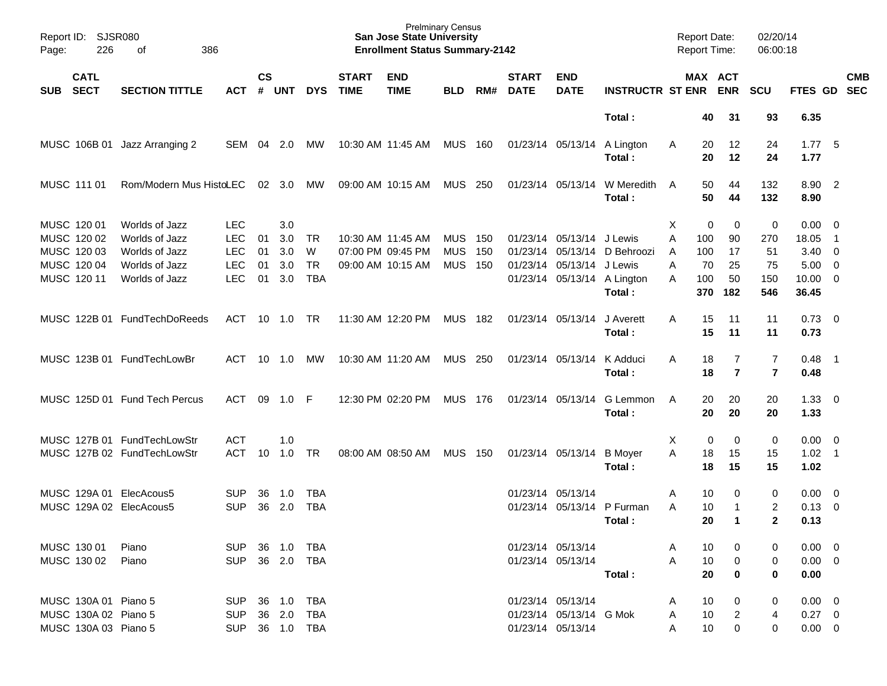| Report ID:<br>Page: | 226                                          | <b>SJSR080</b><br>386<br>οf                                |                                        |                    |                   |                              |                             | <b>Prelminary Census</b><br><b>San Jose State University</b><br><b>Enrollment Status Summary-2142</b> |                          |              |                             |                                                                       |                            | <b>Report Date:</b><br><b>Report Time:</b> |                  |                       | 02/20/14<br>06:00:18 |                                       |                                                      |                          |
|---------------------|----------------------------------------------|------------------------------------------------------------|----------------------------------------|--------------------|-------------------|------------------------------|-----------------------------|-------------------------------------------------------------------------------------------------------|--------------------------|--------------|-----------------------------|-----------------------------------------------------------------------|----------------------------|--------------------------------------------|------------------|-----------------------|----------------------|---------------------------------------|------------------------------------------------------|--------------------------|
| <b>SUB</b>          | <b>CATL</b><br><b>SECT</b>                   | <b>SECTION TITTLE</b>                                      | ACT                                    | $\mathsf{cs}$<br># | <b>UNT</b>        | <b>DYS</b>                   | <b>START</b><br><b>TIME</b> | <b>END</b><br><b>TIME</b>                                                                             | <b>BLD</b>               | RM#          | <b>START</b><br><b>DATE</b> | <b>END</b><br><b>DATE</b>                                             | <b>INSTRUCTR ST ENR</b>    |                                            |                  | MAX ACT<br><b>ENR</b> | <b>SCU</b>           | FTES GD                               |                                                      | <b>CMB</b><br><b>SEC</b> |
|                     |                                              |                                                            |                                        |                    |                   |                              |                             |                                                                                                       |                          |              |                             |                                                                       | Total:                     |                                            | 40               | 31                    | 93                   | 6.35                                  |                                                      |                          |
|                     | MUSC 106B 01                                 | Jazz Arranging 2                                           | SEM                                    | 04                 | 2.0               | MW                           |                             | 10:30 AM 11:45 AM                                                                                     | <b>MUS</b>               | 160          |                             | 01/23/14 05/13/14                                                     | A Lington<br>Total:        | Α                                          | 20<br>20         | 12<br>12              | 24<br>24             | 1.775<br>1.77                         |                                                      |                          |
|                     | MUSC 111 01                                  | Rom/Modern Mus HistoLEC                                    |                                        | 02                 | 3.0               | МW                           |                             | 09:00 AM 10:15 AM                                                                                     | <b>MUS</b>               | 250          |                             | 01/23/14 05/13/14                                                     | W Meredith<br>Total:       | A                                          | 50<br>50         | 44<br>44              | 132<br>132           | 8.90 2<br>8.90                        |                                                      |                          |
|                     | MUSC 120 01<br>MUSC 120 02                   | Worlds of Jazz<br>Worlds of Jazz                           | <b>LEC</b><br><b>LEC</b>               | 01                 | 3.0<br>3.0        | TR                           |                             | 10:30 AM 11:45 AM                                                                                     | <b>MUS</b>               | 150          |                             | 01/23/14 05/13/14                                                     | J Lewis                    | Χ<br>Α                                     | 0<br>100         | 0<br>90               | 0<br>270             | 0.00<br>18.05                         | - 0<br>- 1                                           |                          |
|                     | MUSC 120 03<br>MUSC 120 04<br>MUSC 120 11    | Worlds of Jazz<br>Worlds of Jazz<br>Worlds of Jazz         | <b>LEC</b><br><b>LEC</b><br><b>LEC</b> | 01<br>01<br>01     | 3.0<br>3.0<br>3.0 | W<br><b>TR</b><br><b>TBA</b> |                             | 07:00 PM 09:45 PM<br>09:00 AM 10:15 AM                                                                | <b>MUS</b><br><b>MUS</b> | - 150<br>150 |                             | 01/23/14 05/13/14<br>01/23/14 05/13/14<br>01/23/14 05/13/14 A Lington | D Behroozi<br>J Lewis      | A<br>A<br>A                                | 100<br>70<br>100 | 17<br>25<br>50        | 51<br>75<br>150      | 3.40<br>5.00<br>$10.00 \t 0$          | $\overline{\phantom{0}}$<br>$\overline{\phantom{0}}$ |                          |
|                     |                                              | MUSC 122B 01 FundTechDoReeds                               | <b>ACT</b>                             | 10                 | 1.0               | <b>TR</b>                    |                             | 11:30 AM 12:20 PM                                                                                     | <b>MUS</b>               | 182          |                             | 01/23/14 05/13/14                                                     | Total:<br>J Averett        | A                                          | 370<br>15        | 182<br>11             | 546<br>11            | 36.45<br>$0.73 \quad 0$               |                                                      |                          |
|                     |                                              | MUSC 123B 01 FundTechLowBr                                 | ACT                                    | 10                 | 1.0               | МW                           |                             | 10:30 AM 11:20 AM                                                                                     | MUS                      | 250          |                             | 01/23/14 05/13/14                                                     | Total:<br>K Adduci         | A                                          | 15<br>18         | 11<br>7               | 11<br>7              | 0.73<br>$0.48$ 1                      |                                                      |                          |
|                     |                                              |                                                            |                                        |                    |                   |                              |                             |                                                                                                       |                          |              |                             |                                                                       | Total:                     |                                            | 18               | $\overline{7}$        | $\overline{7}$       | 0.48                                  |                                                      |                          |
|                     |                                              | MUSC 125D 01 Fund Tech Percus                              | <b>ACT</b>                             | 09                 | 1.0               | -F                           |                             | 12:30 PM 02:20 PM                                                                                     | MUS 176                  |              |                             | 01/23/14 05/13/14                                                     | G Lemmon<br>Total:         | A                                          | 20<br>20         | 20<br>20              | 20<br>20             | $1.33 \ 0$<br>1.33                    |                                                      |                          |
|                     |                                              | MUSC 127B 01 FundTechLowStr<br>MUSC 127B 02 FundTechLowStr | <b>ACT</b><br><b>ACT</b>               | 10                 | 1.0<br>1.0        | <b>TR</b>                    |                             | 08:00 AM 08:50 AM                                                                                     | <b>MUS</b>               | - 150        |                             | 01/23/14 05/13/14                                                     | <b>B</b> Moyer<br>Total:   | Χ<br>Α                                     | 0<br>18<br>18    | 0<br>15<br>15         | 0<br>15<br>15        | $0.00 \t 0$<br>$1.02 \quad 1$<br>1.02 |                                                      |                          |
|                     | MUSC 129A 01                                 | ElecAcous5<br>MUSC 129A 02 ElecAcous5                      | <b>SUP</b><br><b>SUP</b>               | 36<br>36           | 1.0<br>2.0        | <b>TBA</b><br><b>TBA</b>     |                             |                                                                                                       |                          |              |                             | 01/23/14 05/13/14                                                     | 01/23/14 05/13/14 P Furman | A<br>Α                                     | 10<br>10         | 0<br>1                | 0<br>$\overline{c}$  | $0.00\,$<br>0.13                      | $\overline{\phantom{0}}$<br>$\overline{\mathbf{0}}$  |                          |
|                     |                                              |                                                            |                                        |                    |                   |                              |                             |                                                                                                       |                          |              |                             |                                                                       | Total:                     |                                            | 20               | $\mathbf{1}$          | 2                    | 0.13                                  |                                                      |                          |
|                     | MUSC 130 01<br>MUSC 130 02                   | Piano<br>Piano                                             | SUP 36 1.0 TBA<br><b>SUP</b>           |                    | 36  2.0  TBA      |                              |                             |                                                                                                       |                          |              |                             | 01/23/14 05/13/14<br>01/23/14 05/13/14                                | Total:                     | A<br>A                                     | 10<br>10<br>20   | 0<br>0                | 0<br>0<br>0          | $0.00 \t 0$<br>$0.00 \t 0$<br>0.00    |                                                      |                          |
|                     | MUSC 130A 01 Piano 5<br>MUSC 130A 02 Piano 5 |                                                            | <b>SUP</b><br><b>SUP</b>               |                    | 36 1.0<br>36 2.0  | TBA<br>TBA                   |                             |                                                                                                       |                          |              |                             | 01/23/14 05/13/14<br>01/23/14 05/13/14 G Mok                          |                            | A<br>A                                     | 10<br>10         | 0<br>2                | 0<br>4               | $0.00 \t 0$<br>$0.27$ 0               |                                                      |                          |
|                     | MUSC 130A 03 Piano 5                         |                                                            | SUP 36 1.0 TBA                         |                    |                   |                              |                             |                                                                                                       |                          |              |                             | 01/23/14 05/13/14                                                     |                            | A                                          | 10               | $\mathbf 0$           | 0                    | $0.00 \t 0$                           |                                                      |                          |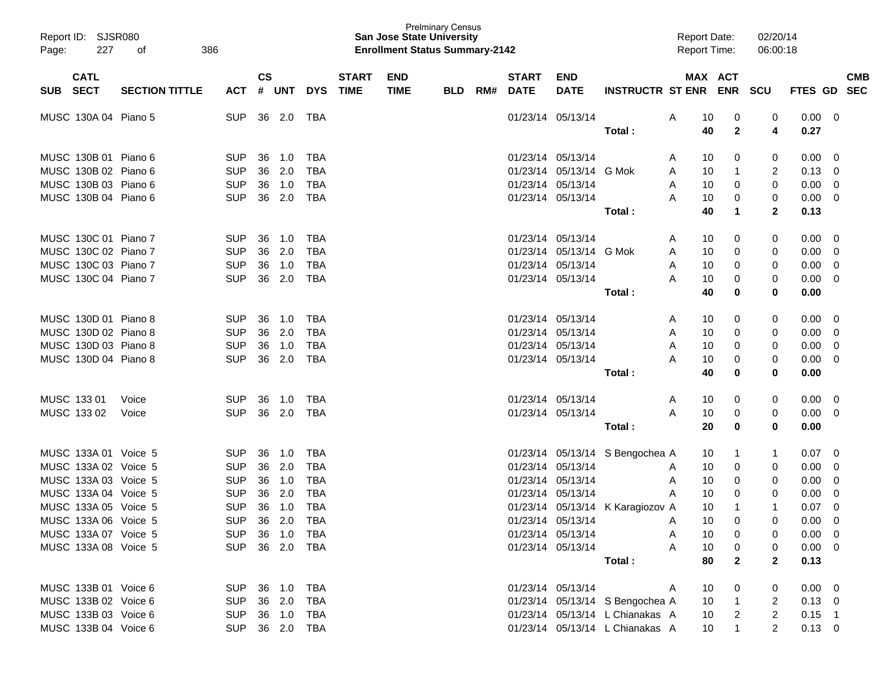| Report ID: SJSR080<br>227<br>Page: | 386<br>оf             |                |           |            |              |              | <b>San Jose State University</b><br><b>Enrollment Status Summary-2142</b> | <b>Prelminary Census</b> |     |                   |                   |                                  | <b>Report Date:</b><br><b>Report Time:</b> |                          | 02/20/14<br>06:00:18 |                |                         |
|------------------------------------|-----------------------|----------------|-----------|------------|--------------|--------------|---------------------------------------------------------------------------|--------------------------|-----|-------------------|-------------------|----------------------------------|--------------------------------------------|--------------------------|----------------------|----------------|-------------------------|
| <b>CATL</b>                        |                       |                | <b>CS</b> |            |              | <b>START</b> | <b>END</b>                                                                |                          |     | <b>START</b>      | <b>END</b>        |                                  |                                            | MAX ACT                  |                      |                | <b>CMB</b>              |
| <b>SECT</b><br><b>SUB</b>          | <b>SECTION TITTLE</b> | ACT            | #         | <b>UNT</b> | <b>DYS</b>   | <b>TIME</b>  | <b>TIME</b>                                                               | <b>BLD</b>               | RM# | <b>DATE</b>       | <b>DATE</b>       | <b>INSTRUCTR ST ENR</b>          |                                            | <b>ENR</b>               | <b>SCU</b>           | <b>FTES GD</b> | <b>SEC</b>              |
| MUSC 130A 04 Piano 5               |                       | <b>SUP</b>     | 36        | 2.0        | TBA          |              |                                                                           |                          |     |                   | 01/23/14 05/13/14 |                                  | A<br>10                                    | 0                        | 0                    | 0.00           | $\overline{\mathbf{0}}$ |
|                                    |                       |                |           |            |              |              |                                                                           |                          |     |                   |                   | Total :                          | 40                                         | $\mathbf{2}$             | 4                    | 0.27           |                         |
| MUSC 130B 01 Piano 6               |                       | <b>SUP</b>     | 36        | 1.0        | TBA          |              |                                                                           |                          |     |                   | 01/23/14 05/13/14 |                                  | 10<br>Α                                    | 0                        | 0                    | 0.00           | 0                       |
| MUSC 130B 02 Piano 6               |                       | <b>SUP</b>     | 36        | 2.0        | <b>TBA</b>   |              |                                                                           |                          |     | 01/23/14          | 05/13/14 G Mok    |                                  | 10<br>A                                    | -1                       | 2                    | 0.13           | 0                       |
| MUSC 130B 03 Piano 6               |                       | <b>SUP</b>     | 36        | 1.0        | <b>TBA</b>   |              |                                                                           |                          |     | 01/23/14          | 05/13/14          |                                  | 10<br>A                                    | 0                        | 0                    | 0.00           | 0                       |
| MUSC 130B 04 Piano 6               |                       | <b>SUP</b>     | 36        | 2.0        | <b>TBA</b>   |              |                                                                           |                          |     | 01/23/14 05/13/14 |                   |                                  | 10<br>Α                                    | 0                        | 0                    | 0.00           | 0                       |
|                                    |                       |                |           |            |              |              |                                                                           |                          |     |                   |                   | Total :                          | 40                                         | $\mathbf 1$              | $\mathbf{2}$         | 0.13           |                         |
| MUSC 130C 01 Piano 7               |                       | <b>SUP</b>     | 36        | 1.0        | TBA          |              |                                                                           |                          |     |                   | 01/23/14 05/13/14 |                                  | 10<br>Α                                    | 0                        | 0                    | 0.00           | 0                       |
| MUSC 130C 02 Piano 7               |                       | <b>SUP</b>     | 36        | 2.0        | <b>TBA</b>   |              |                                                                           |                          |     | 01/23/14          | 05/13/14          | G Mok                            | 10<br>A                                    | 0                        | 0                    | 0.00           | 0                       |
| MUSC 130C 03 Piano 7               |                       | <b>SUP</b>     | 36        | 1.0        | <b>TBA</b>   |              |                                                                           |                          |     | 01/23/14          | 05/13/14          |                                  | A<br>10                                    | 0                        | 0                    | 0.00           | 0                       |
| MUSC 130C 04 Piano 7               |                       | <b>SUP</b>     | 36        | 2.0        | <b>TBA</b>   |              |                                                                           |                          |     | 01/23/14 05/13/14 |                   |                                  | 10<br>Α                                    | 0                        | 0                    | 0.00           | 0                       |
|                                    |                       |                |           |            |              |              |                                                                           |                          |     |                   |                   | Total :                          | 40                                         | 0                        | 0                    | 0.00           |                         |
| MUSC 130D 01 Piano 8               |                       | <b>SUP</b>     | 36        | 1.0        | TBA          |              |                                                                           |                          |     | 01/23/14 05/13/14 |                   |                                  | 10<br>A                                    | 0                        | 0                    | 0.00           | 0                       |
| MUSC 130D 02 Piano 8               |                       | <b>SUP</b>     | 36        | 2.0        | <b>TBA</b>   |              |                                                                           |                          |     | 01/23/14          | 05/13/14          |                                  | 10<br>Α                                    | 0                        | 0                    | 0.00           | 0                       |
| MUSC 130D 03 Piano 8               |                       | <b>SUP</b>     | 36        | 1.0        | <b>TBA</b>   |              |                                                                           |                          |     |                   | 01/23/14 05/13/14 |                                  | 10<br>Α                                    | 0                        | 0                    | 0.00           | 0                       |
| MUSC 130D 04 Piano 8               |                       | <b>SUP</b>     | 36        | 2.0        | <b>TBA</b>   |              |                                                                           |                          |     | 01/23/14 05/13/14 |                   |                                  | 10<br>Α                                    | 0                        | 0                    | 0.00           | 0                       |
|                                    |                       |                |           |            |              |              |                                                                           |                          |     |                   |                   | Total :                          | 40                                         | 0                        | 0                    | 0.00           |                         |
| MUSC 133 01                        | Voice                 | <b>SUP</b>     | 36        | 1.0        | TBA          |              |                                                                           |                          |     |                   | 01/23/14 05/13/14 |                                  | 10<br>A                                    | 0                        | 0                    | 0.00           | 0                       |
| MUSC 133 02                        | Voice                 | <b>SUP</b>     | 36        | 2.0        | TBA          |              |                                                                           |                          |     | 01/23/14 05/13/14 |                   |                                  | Α<br>10                                    | 0                        | 0                    | 0.00           | 0                       |
|                                    |                       |                |           |            |              |              |                                                                           |                          |     |                   |                   | Total:                           | 20                                         | 0                        | 0                    | 0.00           |                         |
| MUSC 133A 01 Voice 5               |                       | <b>SUP</b>     | 36        | 1.0        | TBA          |              |                                                                           |                          |     |                   |                   | 01/23/14 05/13/14 S Bengochea A  | 10                                         | 1                        | 1                    | 0.07           | 0                       |
| MUSC 133A 02 Voice 5               |                       | <b>SUP</b>     | 36        | 2.0        | <b>TBA</b>   |              |                                                                           |                          |     | 01/23/14          | 05/13/14          |                                  | 10<br>A                                    | 0                        | 0                    | 0.00           | 0                       |
| MUSC 133A 03 Voice 5               |                       | <b>SUP</b>     | 36        | 1.0        | <b>TBA</b>   |              |                                                                           |                          |     | 01/23/14          | 05/13/14          |                                  | A<br>10                                    | 0                        | 0                    | 0.00           | 0                       |
| MUSC 133A 04 Voice 5               |                       | <b>SUP</b>     | 36        | 2.0        | <b>TBA</b>   |              |                                                                           |                          |     | 01/23/14          | 05/13/14          |                                  | 10<br>Α                                    | 0                        | 0                    | 0.00           | 0                       |
| MUSC 133A 05 Voice 5               |                       | <b>SUP</b>     | 36        | 1.0        | <b>TBA</b>   |              |                                                                           |                          |     |                   |                   | 01/23/14 05/13/14 K Karagiozov A | 10                                         | -1                       | $\mathbf{1}$         | 0.07           | 0                       |
| MUSC 133A 06 Voice 5               |                       | <b>SUP</b>     |           | 36 2.0     | <b>TBA</b>   |              |                                                                           |                          |     |                   | 01/23/14 05/13/14 |                                  | 10                                         | $\Omega$                 | 0                    | 0.00           | $\Omega$                |
| MUSC 133A 07 Voice 5               |                       | SUP 36 1.0 TBA |           |            |              |              |                                                                           |                          |     |                   | 01/23/14 05/13/14 |                                  | 10<br>A                                    | 0                        | 0                    | $0.00 \t 0$    |                         |
| MUSC 133A 08 Voice 5               |                       | SUP 36 2.0 TBA |           |            |              |              |                                                                           |                          |     |                   | 01/23/14 05/13/14 |                                  | 10<br>A                                    | 0                        | 0                    | $0.00 \t 0$    |                         |
|                                    |                       |                |           |            |              |              |                                                                           |                          |     |                   |                   | Total:                           | 80                                         | $\mathbf{2}$             | $\mathbf{2}$         | 0.13           |                         |
| MUSC 133B 01 Voice 6               |                       | SUP            |           |            | 36  1.0  TBA |              |                                                                           |                          |     |                   | 01/23/14 05/13/14 |                                  | 10<br>A                                    | 0                        | 0                    | $0.00 \t 0$    |                         |
| MUSC 133B 02 Voice 6               |                       | <b>SUP</b>     |           | 36 2.0     | TBA          |              |                                                                           |                          |     |                   |                   | 01/23/14 05/13/14 S Bengochea A  | 10 <sup>°</sup>                            | $\overline{1}$           | 2                    | $0.13 \ 0$     |                         |
| MUSC 133B 03 Voice 6               |                       | <b>SUP</b>     |           | 36 1.0     | TBA          |              |                                                                           |                          |     |                   |                   | 01/23/14 05/13/14 L Chianakas A  | 10 <sup>°</sup>                            | $\overline{\phantom{0}}$ | $\overline{2}$       | $0.15$ 1       |                         |
| MUSC 133B 04 Voice 6               |                       | SUP 36 2.0 TBA |           |            |              |              |                                                                           |                          |     |                   |                   | 01/23/14 05/13/14 L Chianakas A  | 10 <sup>°</sup>                            | $\mathbf{1}$             | $\overline{2}$       | $0.13 \ 0$     |                         |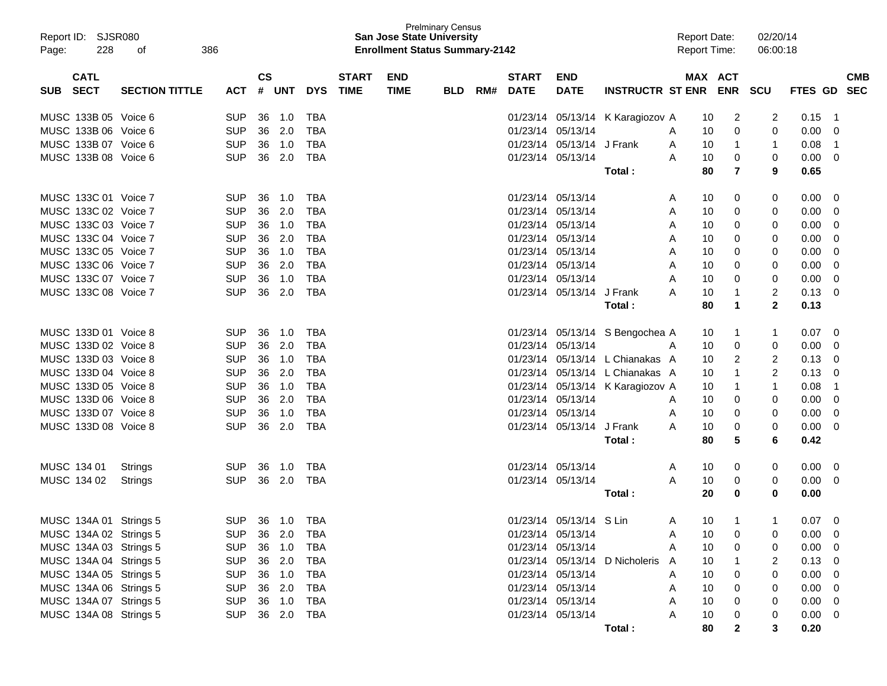| Report ID: SJSR080<br>228<br>Page:       | 386<br>οf             |            |                    |            |            |                             | <b>San Jose State University</b><br><b>Enrollment Status Summary-2142</b> | <b>Prelminary Census</b> |     |                             |                           |                                  | <b>Report Date:</b><br><b>Report Time:</b> |          |         | 02/20/14<br>06:00:18 |                |                          |
|------------------------------------------|-----------------------|------------|--------------------|------------|------------|-----------------------------|---------------------------------------------------------------------------|--------------------------|-----|-----------------------------|---------------------------|----------------------------------|--------------------------------------------|----------|---------|----------------------|----------------|--------------------------|
| <b>CATL</b><br><b>SECT</b><br><b>SUB</b> | <b>SECTION TITTLE</b> | <b>ACT</b> | $\mathsf{cs}$<br># | <b>UNT</b> | <b>DYS</b> | <b>START</b><br><b>TIME</b> | <b>END</b><br><b>TIME</b>                                                 | <b>BLD</b>               | RM# | <b>START</b><br><b>DATE</b> | <b>END</b><br><b>DATE</b> | INSTRUCTR ST ENR ENR SCU         |                                            |          | MAX ACT |                      | <b>FTES GD</b> | <b>CMB</b><br><b>SEC</b> |
|                                          |                       |            |                    |            |            |                             |                                                                           |                          |     |                             |                           |                                  |                                            |          |         |                      |                |                          |
| MUSC 133B 05 Voice 6                     |                       | <b>SUP</b> | 36                 | 1.0        | TBA        |                             |                                                                           |                          |     |                             |                           | 01/23/14 05/13/14 K Karagiozov A |                                            | 10       | 2       | 2                    | 0.15           | -1                       |
| MUSC 133B 06 Voice 6                     |                       | <b>SUP</b> | 36                 | 2.0        | <b>TBA</b> |                             |                                                                           |                          |     | 01/23/14                    | 05/13/14                  |                                  | A                                          | 10       | 0       | 0                    | 0.00           | 0                        |
| MUSC 133B 07 Voice 6                     |                       | <b>SUP</b> | 36                 | 1.0        | <b>TBA</b> |                             |                                                                           |                          |     | 01/23/14                    | 05/13/14 J Frank          |                                  | A                                          | 10       | 1       | 1                    | 0.08           | -1                       |
| MUSC 133B 08 Voice 6                     |                       | <b>SUP</b> | 36                 | 2.0        | <b>TBA</b> |                             |                                                                           |                          |     |                             | 01/23/14 05/13/14         | Total:                           | A                                          | 10<br>80 | 0<br>7  | 0<br>9               | 0.00<br>0.65   | 0                        |
|                                          |                       |            |                    |            |            |                             |                                                                           |                          |     |                             |                           |                                  |                                            |          |         |                      |                |                          |
| MUSC 133C 01 Voice 7                     |                       | <b>SUP</b> | 36                 | 1.0        | TBA        |                             |                                                                           |                          |     |                             | 01/23/14 05/13/14         |                                  | A                                          | 10       | 0       | 0                    | 0.00           | -0                       |
| MUSC 133C 02 Voice 7                     |                       | <b>SUP</b> | 36                 | 2.0        | TBA        |                             |                                                                           |                          |     | 01/23/14                    | 05/13/14                  |                                  | A                                          | 10       | 0       | 0                    | 0.00           | 0                        |
| MUSC 133C 03 Voice 7                     |                       | <b>SUP</b> | 36                 | 1.0        | TBA        |                             |                                                                           |                          |     | 01/23/14                    | 05/13/14                  |                                  | A                                          | 10       | 0       | 0                    | 0.00           | 0                        |
| MUSC 133C 04 Voice 7                     |                       | <b>SUP</b> | 36                 | 2.0        | TBA        |                             |                                                                           |                          |     | 01/23/14                    | 05/13/14                  |                                  | A                                          | 10       | 0       | 0                    | 0.00           | 0                        |
| MUSC 133C 05 Voice 7                     |                       | <b>SUP</b> | 36                 | 1.0        | TBA        |                             |                                                                           |                          |     | 01/23/14                    | 05/13/14                  |                                  | A                                          | 10       | 0       | 0                    | 0.00           | 0                        |
| MUSC 133C 06 Voice 7                     |                       | <b>SUP</b> | 36                 | 2.0        | <b>TBA</b> |                             |                                                                           |                          |     | 01/23/14                    | 05/13/14                  |                                  | A                                          | 10       | 0       | 0                    | 0.00           | 0                        |
| MUSC 133C 07 Voice 7                     |                       | <b>SUP</b> | 36                 | 1.0        | <b>TBA</b> |                             |                                                                           |                          |     | 01/23/14                    | 05/13/14                  |                                  | A                                          | 10       | 0       | 0                    | 0.00           | 0                        |
| MUSC 133C 08 Voice 7                     |                       | <b>SUP</b> | 36                 | 2.0        | <b>TBA</b> |                             |                                                                           |                          |     | 01/23/14                    | 05/13/14                  | J Frank                          | A                                          | 10       | 1       | 2                    | 0.13           | 0                        |
|                                          |                       |            |                    |            |            |                             |                                                                           |                          |     |                             |                           | Total:                           |                                            | 80       | 1       | $\mathbf{2}$         | 0.13           |                          |
| MUSC 133D 01 Voice 8                     |                       | <b>SUP</b> | 36                 | 1.0        | <b>TBA</b> |                             |                                                                           |                          |     |                             |                           | 01/23/14 05/13/14 S Bengochea A  |                                            | 10       | 1       | 1                    | 0.07           | -0                       |
| MUSC 133D 02 Voice 8                     |                       | <b>SUP</b> | 36                 | 2.0        | <b>TBA</b> |                             |                                                                           |                          |     | 01/23/14                    | 05/13/14                  |                                  | A                                          | 10       | 0       | 0                    | 0.00           | 0                        |
| MUSC 133D 03 Voice 8                     |                       | <b>SUP</b> | 36                 | 1.0        | TBA        |                             |                                                                           |                          |     | 01/23/14                    |                           | 05/13/14 L Chianakas A           |                                            | 10       | 2       | 2                    | 0.13           | 0                        |
| MUSC 133D 04 Voice 8                     |                       | <b>SUP</b> | 36                 | 2.0        | TBA        |                             |                                                                           |                          |     | 01/23/14                    |                           | 05/13/14 L Chianakas A           |                                            | 10       |         | 2                    | 0.13           | 0                        |
| MUSC 133D 05 Voice 8                     |                       | <b>SUP</b> | 36                 | 1.0        | TBA        |                             |                                                                           |                          |     | 01/23/14                    |                           | 05/13/14 K Karagiozov A          |                                            | 10       |         | 1                    | 0.08           | -1                       |
| MUSC 133D 06 Voice 8                     |                       | <b>SUP</b> | 36                 | 2.0        | <b>TBA</b> |                             |                                                                           |                          |     | 01/23/14                    | 05/13/14                  |                                  | A                                          | 10       | 0       | 0                    | 0.00           | 0                        |
| MUSC 133D 07 Voice 8                     |                       | <b>SUP</b> | 36                 | 1.0        | <b>TBA</b> |                             |                                                                           |                          |     | 01/23/14                    | 05/13/14                  |                                  | A                                          | 10       | 0       | 0                    | 0.00           | 0                        |
| MUSC 133D 08 Voice 8                     |                       | <b>SUP</b> | 36                 | 2.0        | <b>TBA</b> |                             |                                                                           |                          |     | 01/23/14                    | 05/13/14 J Frank          |                                  | A                                          | 10       | 0       | 0                    | 0.00           | 0                        |
|                                          |                       |            |                    |            |            |                             |                                                                           |                          |     |                             |                           | Total:                           |                                            | 80       | 5       | 6                    | 0.42           |                          |
| MUSC 134 01                              | <b>Strings</b>        | <b>SUP</b> | 36                 | 1.0        | TBA        |                             |                                                                           |                          |     |                             | 01/23/14 05/13/14         |                                  | A                                          | 10       | 0       | 0                    | 0.00           | - 0                      |
| MUSC 134 02                              | Strings               | <b>SUP</b> |                    | 36 2.0     | TBA        |                             |                                                                           |                          |     |                             | 01/23/14 05/13/14         |                                  | A                                          | 10       | 0       | 0                    | 0.00           | 0                        |
|                                          |                       |            |                    |            |            |                             |                                                                           |                          |     |                             |                           | Total:                           |                                            | 20       | 0       | 0                    | 0.00           |                          |
|                                          |                       |            |                    |            |            |                             |                                                                           |                          |     |                             |                           |                                  |                                            |          |         |                      |                |                          |
| MUSC 134A 01 Strings 5                   |                       | <b>SUP</b> |                    | 36 1.0     | TBA        |                             |                                                                           |                          |     |                             | 01/23/14 05/13/14 S Lin   |                                  | A                                          | 10       |         |                      | 0.07           | 0                        |
| MUSC 134A 02 Strings 5                   |                       | <b>SUP</b> | 36                 | 2.0        | TBA        |                             |                                                                           |                          |     |                             | 01/23/14 05/13/14         |                                  | Α                                          | 10       | 0       |                      | $0.00 \t 0$    |                          |
| MUSC 134A 03 Strings 5                   |                       | <b>SUP</b> |                    | 36 1.0     | <b>TBA</b> |                             |                                                                           |                          |     |                             | 01/23/14 05/13/14         |                                  | A                                          | 10       | 0       | 0                    | 0.00           | - 0                      |
| MUSC 134A 04 Strings 5                   |                       | <b>SUP</b> |                    | 36 2.0     | <b>TBA</b> |                             |                                                                           |                          |     |                             |                           | 01/23/14 05/13/14 D Nicholeris   | $\mathsf{A}$                               | 10       |         | 2                    | 0.13           | -0                       |
| MUSC 134A 05 Strings 5                   |                       | <b>SUP</b> |                    | 36 1.0     | <b>TBA</b> |                             |                                                                           |                          |     |                             | 01/23/14 05/13/14         |                                  | A                                          | 10       | 0       | 0                    | 0.00           | -0                       |
| MUSC 134A 06 Strings 5                   |                       | <b>SUP</b> |                    | 36 2.0     | TBA        |                             |                                                                           |                          |     |                             | 01/23/14 05/13/14         |                                  | A                                          | 10       | 0       | 0                    | 0.00           | -0                       |
| MUSC 134A 07 Strings 5                   |                       | <b>SUP</b> |                    | 36 1.0     | TBA        |                             |                                                                           |                          |     |                             | 01/23/14 05/13/14         |                                  | A                                          | 10       | 0       | 0                    | 0.00           | -0                       |
| MUSC 134A 08 Strings 5                   |                       | <b>SUP</b> |                    | 36 2.0     | TBA        |                             |                                                                           |                          |     |                             | 01/23/14 05/13/14         |                                  | A                                          | 10       | 0       | 0                    | 0.00           | 0                        |
|                                          |                       |            |                    |            |            |                             |                                                                           |                          |     |                             |                           | Total:                           |                                            | 80       | 2       | 3                    | 0.20           |                          |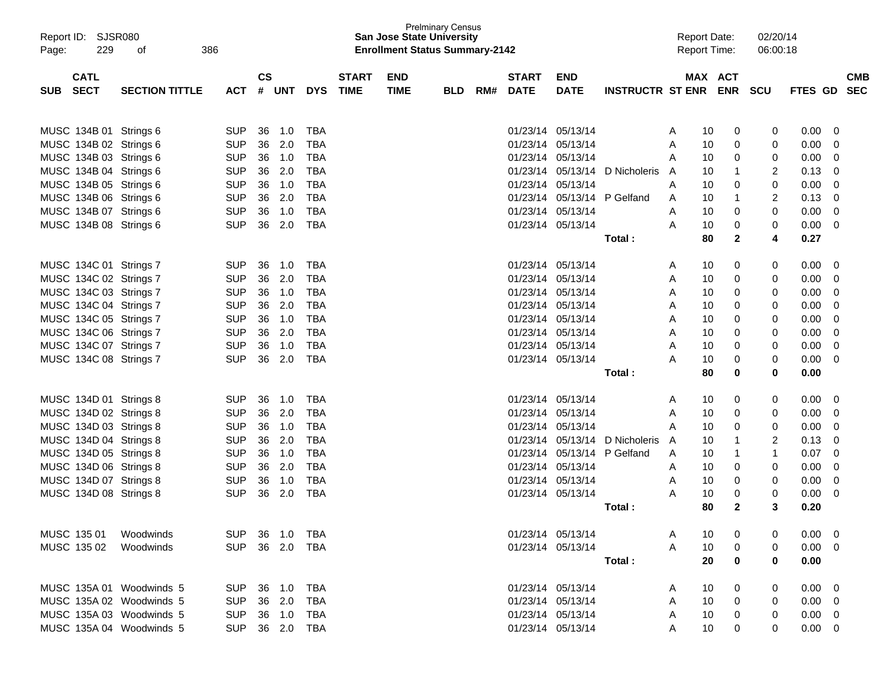| Report ID: SJSR080<br>229<br>Page: | 386<br>of             |                |               |        |            |              | <b>San Jose State University</b><br><b>Enrollment Status Summary-2142</b> | <b>Prelminary Census</b> |     |                   |                   |                                |   | <b>Report Date:</b><br><b>Report Time:</b> |              | 02/20/14<br>06:00:18 |                |                         |            |
|------------------------------------|-----------------------|----------------|---------------|--------|------------|--------------|---------------------------------------------------------------------------|--------------------------|-----|-------------------|-------------------|--------------------------------|---|--------------------------------------------|--------------|----------------------|----------------|-------------------------|------------|
| <b>CATL</b>                        |                       |                | $\mathsf{cs}$ |        |            | <b>START</b> | <b>END</b>                                                                |                          |     | <b>START</b>      | <b>END</b>        |                                |   | MAX ACT                                    |              |                      |                |                         | <b>CMB</b> |
| SUB SECT                           | <b>SECTION TITTLE</b> | <b>ACT</b>     |               | # UNT  | <b>DYS</b> | <b>TIME</b>  | <b>TIME</b>                                                               | <b>BLD</b>               | RM# | <b>DATE</b>       | <b>DATE</b>       | INSTRUCTR ST ENR ENR SCU       |   |                                            |              |                      | FTES GD SEC    |                         |            |
| MUSC 134B 01 Strings 6             |                       | <b>SUP</b>     | 36            | 1.0    | TBA        |              |                                                                           |                          |     |                   | 01/23/14 05/13/14 |                                | A | 10                                         | 0            | 0                    | $0.00 \t 0$    |                         |            |
| MUSC 134B 02 Strings 6             |                       | <b>SUP</b>     | 36            | 2.0    | TBA        |              |                                                                           |                          |     |                   | 01/23/14 05/13/14 |                                | Α | 10                                         | 0            | 0                    | 0.00           | 0                       |            |
| MUSC 134B 03 Strings 6             |                       | <b>SUP</b>     |               | 36 1.0 | TBA        |              |                                                                           |                          |     | 01/23/14 05/13/14 |                   |                                | A | 10                                         | 0            | 0                    | 0.00           | 0                       |            |
| MUSC 134B 04 Strings 6             |                       | <b>SUP</b>     | 36            | 2.0    | TBA        |              |                                                                           |                          |     |                   |                   | 01/23/14 05/13/14 D Nicholeris | A | 10                                         | $\mathbf{1}$ | 2                    | 0.13           | 0                       |            |
| MUSC 134B 05 Strings 6             |                       | <b>SUP</b>     |               | 36 1.0 | TBA        |              |                                                                           |                          |     | 01/23/14 05/13/14 |                   |                                | Α | 10                                         | 0            | 0                    | 0.00           | $\overline{0}$          |            |
| MUSC 134B 06 Strings 6             |                       | <b>SUP</b>     | 36            | 2.0    | TBA        |              |                                                                           |                          |     |                   |                   | 01/23/14 05/13/14 P Gelfand    | A | 10                                         | $\mathbf{1}$ | $\overline{c}$       | 0.13           | - 0                     |            |
| MUSC 134B 07 Strings 6             |                       | <b>SUP</b>     | 36            | 1.0    | TBA        |              |                                                                           |                          |     | 01/23/14 05/13/14 |                   |                                | A | 10                                         | 0            | 0                    | 0.00           | $\overline{0}$          |            |
| MUSC 134B 08 Strings 6             |                       | <b>SUP</b>     | 36            | 2.0    | TBA        |              |                                                                           |                          |     |                   | 01/23/14 05/13/14 |                                | A | 10                                         | 0            | 0                    | $0.00 \t 0$    |                         |            |
|                                    |                       |                |               |        |            |              |                                                                           |                          |     |                   |                   | Total:                         |   | 80                                         | $\mathbf 2$  | 4                    | 0.27           |                         |            |
| MUSC 134C 01 Strings 7             |                       | <b>SUP</b>     | 36            | 1.0    | TBA        |              |                                                                           |                          |     | 01/23/14 05/13/14 |                   |                                | A | 10                                         | 0            | 0                    | $0.00 \ 0$     |                         |            |
| MUSC 134C 02 Strings 7             |                       | <b>SUP</b>     | 36            | 2.0    | TBA        |              |                                                                           |                          |     | 01/23/14 05/13/14 |                   |                                | A | 10                                         | 0            | 0                    | 0.00           | $\overline{\mathbf{0}}$ |            |
| MUSC 134C 03 Strings 7             |                       | <b>SUP</b>     |               | 36 1.0 | TBA        |              |                                                                           |                          |     |                   | 01/23/14 05/13/14 |                                | A | 10                                         | 0            | 0                    | 0.00           | - 0                     |            |
| MUSC 134C 04 Strings 7             |                       | <b>SUP</b>     |               | 36 2.0 | TBA        |              |                                                                           |                          |     |                   | 01/23/14 05/13/14 |                                | A | 10                                         | 0            | 0                    | 0.00           | - 0                     |            |
| MUSC 134C 05 Strings 7             |                       | <b>SUP</b>     |               | 36 1.0 | TBA        |              |                                                                           |                          |     |                   | 01/23/14 05/13/14 |                                | Α | 10                                         | 0            | 0                    | 0.00           | - 0                     |            |
| MUSC 134C 06 Strings 7             |                       | <b>SUP</b>     | 36            | 2.0    | TBA        |              |                                                                           |                          |     | 01/23/14 05/13/14 |                   |                                | Α | 10                                         | 0            | 0                    | 0.00           | - 0                     |            |
| MUSC 134C 07 Strings 7             |                       | <b>SUP</b>     | 36            | 1.0    | TBA        |              |                                                                           |                          |     | 01/23/14 05/13/14 |                   |                                | A | 10                                         | 0            | 0                    | 0.00           | - 0                     |            |
| MUSC 134C 08 Strings 7             |                       | <b>SUP</b>     | 36            | 2.0    | TBA        |              |                                                                           |                          |     |                   | 01/23/14 05/13/14 |                                | A | 10                                         | 0            | 0                    | $0.00 \t 0$    |                         |            |
|                                    |                       |                |               |        |            |              |                                                                           |                          |     |                   |                   | Total:                         |   | 80                                         | $\bf{0}$     | 0                    | 0.00           |                         |            |
| MUSC 134D 01 Strings 8             |                       | <b>SUP</b>     | 36            | 1.0    | TBA        |              |                                                                           |                          |     | 01/23/14 05/13/14 |                   |                                | A | 10                                         | 0            | 0                    | $0.00 \ 0$     |                         |            |
| MUSC 134D 02 Strings 8             |                       | <b>SUP</b>     | 36            | 2.0    | TBA        |              |                                                                           |                          |     |                   | 01/23/14 05/13/14 |                                | A | 10                                         | 0            | 0                    | 0.00           | - 0                     |            |
| MUSC 134D 03 Strings 8             |                       | <b>SUP</b>     | 36            | 1.0    | TBA        |              |                                                                           |                          |     | 01/23/14 05/13/14 |                   |                                | A | 10                                         | 0            | 0                    | 0.00           | - 0                     |            |
| MUSC 134D 04 Strings 8             |                       | <b>SUP</b>     | 36            | 2.0    | TBA        |              |                                                                           |                          |     |                   |                   | 01/23/14 05/13/14 D Nicholeris | A | 10                                         | $\mathbf{1}$ | 2                    | 0.13           | 0                       |            |
| MUSC 134D 05 Strings 8             |                       | <b>SUP</b>     |               | 36 1.0 | TBA        |              |                                                                           |                          |     |                   |                   | 01/23/14 05/13/14 P Gelfand    | A | 10                                         | $\mathbf{1}$ | $\mathbf 1$          | 0.07           | $\overline{0}$          |            |
| MUSC 134D 06 Strings 8             |                       | <b>SUP</b>     | 36            | 2.0    | TBA        |              |                                                                           |                          |     | 01/23/14 05/13/14 |                   |                                | A | 10                                         | 0            | 0                    | 0.00           | - 0                     |            |
| MUSC 134D 07 Strings 8             |                       | <b>SUP</b>     | 36            | 1.0    | TBA        |              |                                                                           |                          |     |                   | 01/23/14 05/13/14 |                                | A | 10                                         | 0            | 0                    | 0.00           | $\overline{\mathbf{0}}$ |            |
| MUSC 134D 08 Strings 8             |                       | <b>SUP</b>     | 36            | 2.0    | TBA        |              |                                                                           |                          |     |                   | 01/23/14 05/13/14 |                                | A | 10                                         | 0            | 0                    | $0.00 \t 0$    |                         |            |
|                                    |                       |                |               |        |            |              |                                                                           |                          |     |                   |                   | Total :                        |   | 80                                         | $\mathbf{2}$ | 3                    | 0.20           |                         |            |
| MUSC 135 01                        | Woodwinds             | SUP 36 1.0 TBA |               |        |            |              |                                                                           |                          |     |                   | 01/23/14 05/13/14 |                                | A | 10                                         | 0            | 0                    | $0.00 \t 0$    |                         |            |
| MUSC 135 02 Woodwinds              |                       | SUP 36 2.0 TBA |               |        |            |              |                                                                           |                          |     |                   | 01/23/14 05/13/14 |                                | A | 10                                         | 0            | 0                    | $0.00 \t 0$    |                         |            |
|                                    |                       |                |               |        |            |              |                                                                           |                          |     |                   |                   | Total:                         |   | 20                                         | 0            | 0                    | 0.00           |                         |            |
| MUSC 135A 01 Woodwinds 5           |                       | SUP 36 1.0 TBA |               |        |            |              |                                                                           |                          |     |                   | 01/23/14 05/13/14 |                                | A | 10                                         | 0            | 0                    | $0.00 \t 0$    |                         |            |
| MUSC 135A 02 Woodwinds 5           |                       | SUP 36 2.0     |               |        | TBA        |              |                                                                           |                          |     |                   | 01/23/14 05/13/14 |                                | A | 10                                         | 0            | 0                    | $0.00 \quad 0$ |                         |            |
| MUSC 135A 03 Woodwinds 5           |                       | SUP 36 1.0 TBA |               |        |            |              |                                                                           |                          |     |                   | 01/23/14 05/13/14 |                                | A | 10                                         | 0            | 0                    | $0.00 \t 0$    |                         |            |
| MUSC 135A 04 Woodwinds 5           |                       | SUP 36 2.0 TBA |               |        |            |              |                                                                           |                          |     |                   | 01/23/14 05/13/14 |                                | Α | 10 <sup>°</sup>                            | 0            | 0                    | $0.00 \t 0$    |                         |            |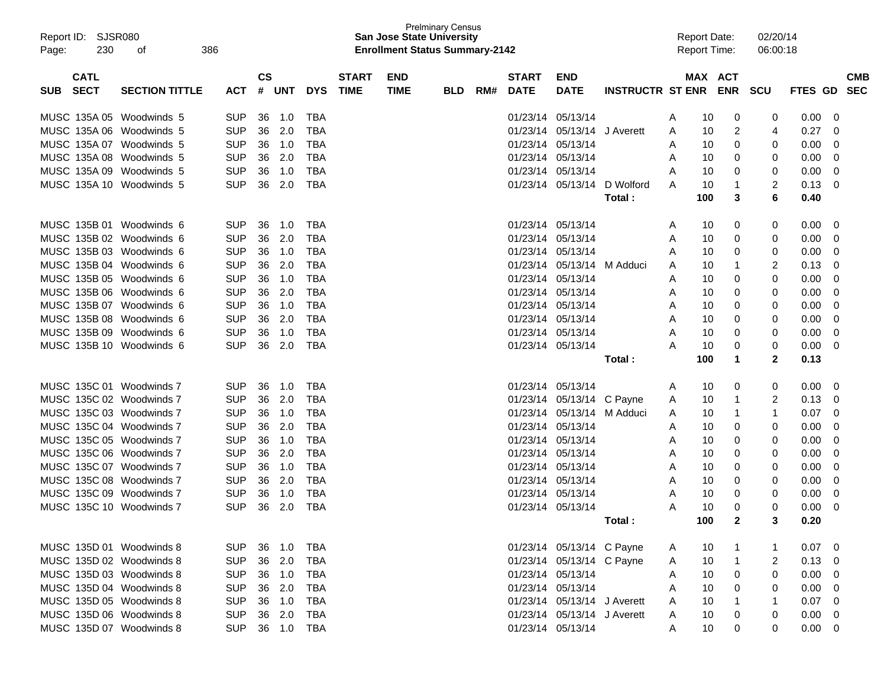| Report ID: SJSR080<br>230<br>Page: | 386<br>οf             |                |               |        |            |              | <b>San Jose State University</b><br><b>Enrollment Status Summary-2142</b> | <b>Prelminary Census</b> |     |                   |                             |                         |   | <b>Report Date:</b><br><b>Report Time:</b> |            | 02/20/14<br>06:00:18 |                |            |
|------------------------------------|-----------------------|----------------|---------------|--------|------------|--------------|---------------------------------------------------------------------------|--------------------------|-----|-------------------|-----------------------------|-------------------------|---|--------------------------------------------|------------|----------------------|----------------|------------|
| <b>CATL</b>                        |                       |                | $\mathsf{cs}$ |        |            | <b>START</b> | <b>END</b>                                                                |                          |     | <b>START</b>      | <b>END</b>                  |                         |   | MAX ACT                                    |            |                      |                | <b>CMB</b> |
| <b>SECT</b><br>SUB                 | <b>SECTION TITTLE</b> | ACT            |               | # UNT  | <b>DYS</b> | <b>TIME</b>  | <b>TIME</b>                                                               | <b>BLD</b>               | RM# | <b>DATE</b>       | <b>DATE</b>                 | <b>INSTRUCTR ST ENR</b> |   |                                            | <b>ENR</b> | <b>SCU</b>           | FTES GD        | <b>SEC</b> |
| MUSC 135A 05 Woodwinds 5           |                       | <b>SUP</b>     | 36            | 1.0    | TBA        |              |                                                                           |                          |     |                   | 01/23/14 05/13/14           |                         | A | 10                                         | 0          | 0                    | 0.00           | - 0        |
| MUSC 135A 06 Woodwinds 5           |                       | <b>SUP</b>     | 36            | 2.0    | TBA        |              |                                                                           |                          |     |                   | 01/23/14 05/13/14           | J Averett               | A | 10                                         | 2          | 4                    | 0.27           | 0          |
| MUSC 135A 07 Woodwinds 5           |                       | <b>SUP</b>     | 36            | 1.0    | <b>TBA</b> |              |                                                                           |                          |     | 01/23/14 05/13/14 |                             |                         | A | 10                                         | 0          | 0                    | 0.00           | 0          |
| MUSC 135A 08 Woodwinds 5           |                       | <b>SUP</b>     | 36            | 2.0    | TBA        |              |                                                                           |                          |     | 01/23/14 05/13/14 |                             |                         | A | 10                                         | 0          | 0                    | 0.00           | 0          |
| MUSC 135A 09 Woodwinds 5           |                       | <b>SUP</b>     | 36            | 1.0    | TBA        |              |                                                                           |                          |     |                   | 01/23/14 05/13/14           |                         | A | 10                                         | 0          | 0                    | 0.00           | 0          |
| MUSC 135A 10 Woodwinds 5           |                       | <b>SUP</b>     | 36            | 2.0    | <b>TBA</b> |              |                                                                           |                          |     |                   | 01/23/14 05/13/14           | D Wolford               | A | 10                                         |            | 2                    | 0.13           | 0          |
|                                    |                       |                |               |        |            |              |                                                                           |                          |     |                   |                             | Total :                 |   | 100                                        | 3          | 6                    | 0.40           |            |
| MUSC 135B 01 Woodwinds 6           |                       | <b>SUP</b>     | 36            | 1.0    | TBA        |              |                                                                           |                          |     | 01/23/14 05/13/14 |                             |                         | A | 10                                         | 0          | 0                    | 0.00           | 0          |
| MUSC 135B 02 Woodwinds 6           |                       | <b>SUP</b>     | 36            | 2.0    | TBA        |              |                                                                           |                          |     | 01/23/14 05/13/14 |                             |                         | A | 10                                         | 0          | 0                    | 0.00           | 0          |
| MUSC 135B 03 Woodwinds 6           |                       | <b>SUP</b>     | 36            | 1.0    | TBA        |              |                                                                           |                          |     | 01/23/14 05/13/14 |                             |                         | A | 10                                         | 0          | 0                    | 0.00           | 0          |
| MUSC 135B 04 Woodwinds 6           |                       | <b>SUP</b>     | 36            | 2.0    | <b>TBA</b> |              |                                                                           |                          |     |                   | 01/23/14 05/13/14           | M Adduci                | A | 10                                         |            | 2                    | 0.13           | 0          |
| MUSC 135B 05 Woodwinds 6           |                       | <b>SUP</b>     | 36            | 1.0    | <b>TBA</b> |              |                                                                           |                          |     | 01/23/14 05/13/14 |                             |                         | A | 10                                         | 0          | 0                    | 0.00           | 0          |
| MUSC 135B 06 Woodwinds 6           |                       | <b>SUP</b>     | 36            | 2.0    | <b>TBA</b> |              |                                                                           |                          |     | 01/23/14 05/13/14 |                             |                         | A | 10                                         | 0          | 0                    | 0.00           | 0          |
| MUSC 135B 07 Woodwinds 6           |                       | <b>SUP</b>     | 36            | 1.0    | <b>TBA</b> |              |                                                                           |                          |     | 01/23/14 05/13/14 |                             |                         | A | 10                                         | 0          | 0                    | 0.00           | 0          |
| MUSC 135B 08 Woodwinds 6           |                       | <b>SUP</b>     | 36            | 2.0    | <b>TBA</b> |              |                                                                           |                          |     | 01/23/14 05/13/14 |                             |                         | A | 10                                         | 0          | 0                    | 0.00           | 0          |
| MUSC 135B 09 Woodwinds 6           |                       | <b>SUP</b>     | 36            | 1.0    | <b>TBA</b> |              |                                                                           |                          |     |                   | 01/23/14 05/13/14           |                         | A | 10                                         | 0          | 0                    | 0.00           | 0          |
| MUSC 135B 10 Woodwinds 6           |                       | <b>SUP</b>     | 36            | 2.0    | TBA        |              |                                                                           |                          |     |                   | 01/23/14 05/13/14           |                         | A | 10                                         | 0          | 0                    | 0.00           | 0          |
|                                    |                       |                |               |        |            |              |                                                                           |                          |     |                   |                             | Total :                 |   | 100                                        | 1          | $\mathbf{2}$         | 0.13           |            |
| MUSC 135C 01 Woodwinds 7           |                       | <b>SUP</b>     | 36            | 1.0    | TBA        |              |                                                                           |                          |     | 01/23/14 05/13/14 |                             |                         | A | 10                                         | 0          | 0                    | 0.00           | 0          |
| MUSC 135C 02 Woodwinds 7           |                       | <b>SUP</b>     | 36            | 2.0    | TBA        |              |                                                                           |                          |     |                   | 01/23/14 05/13/14 C Payne   |                         | A | 10                                         | 1          | 2                    | 0.13           | 0          |
| MUSC 135C 03 Woodwinds 7           |                       | <b>SUP</b>     | 36            | 1.0    | <b>TBA</b> |              |                                                                           |                          |     |                   | 01/23/14 05/13/14 M Adduci  |                         | A | 10                                         | 1          | 1                    | 0.07           | 0          |
| MUSC 135C 04 Woodwinds 7           |                       | <b>SUP</b>     | 36            | 2.0    | <b>TBA</b> |              |                                                                           |                          |     | 01/23/14 05/13/14 |                             |                         | A | 10                                         | 0          | 0                    | 0.00           | 0          |
| MUSC 135C 05 Woodwinds 7           |                       | <b>SUP</b>     | 36            | 1.0    | <b>TBA</b> |              |                                                                           |                          |     | 01/23/14 05/13/14 |                             |                         | A | 10                                         | 0          | 0                    | 0.00           | 0          |
| MUSC 135C 06 Woodwinds 7           |                       | <b>SUP</b>     | 36            | 2.0    | <b>TBA</b> |              |                                                                           |                          |     | 01/23/14 05/13/14 |                             |                         | A | 10                                         | 0          | 0                    | 0.00           | 0          |
| MUSC 135C 07 Woodwinds 7           |                       | <b>SUP</b>     | 36            | 1.0    | <b>TBA</b> |              |                                                                           |                          |     | 01/23/14 05/13/14 |                             |                         | A | 10                                         | 0          | 0                    | 0.00           | 0          |
| MUSC 135C 08 Woodwinds 7           |                       | <b>SUP</b>     | 36            | 2.0    | <b>TBA</b> |              |                                                                           |                          |     | 01/23/14 05/13/14 |                             |                         | A | 10                                         | 0          | 0                    | 0.00           | 0          |
| MUSC 135C 09 Woodwinds 7           |                       | <b>SUP</b>     | 36            | 1.0    | TBA        |              |                                                                           |                          |     |                   | 01/23/14 05/13/14           |                         | A | 10                                         | 0          | 0                    | 0.00           | 0          |
| MUSC 135C 10 Woodwinds 7           |                       | <b>SUP</b>     | 36            | 2.0    | <b>TBA</b> |              |                                                                           |                          |     |                   | 01/23/14 05/13/14           |                         | A | 10                                         | 0          | 0                    | 0.00           | 0          |
|                                    |                       |                |               |        |            |              |                                                                           |                          |     |                   |                             | Total :                 |   | 100                                        | 2          |                      | 0.20           |            |
| MUSC 135D 01 Woodwinds 8           |                       | <b>SUP</b>     |               | 36 1.0 | TBA        |              |                                                                           |                          |     |                   | 01/23/14 05/13/14 C Payne   |                         | A | 10                                         |            |                      | $0.07 \quad 0$ |            |
| MUSC 135D 02 Woodwinds 8           |                       | <b>SUP</b>     |               | 36 2.0 | <b>TBA</b> |              |                                                                           |                          |     |                   | 01/23/14 05/13/14 C Payne   |                         | A | 10                                         | 1          | 2                    | $0.13 \ 0$     |            |
| MUSC 135D 03 Woodwinds 8           |                       | <b>SUP</b>     |               | 36 1.0 | TBA        |              |                                                                           |                          |     |                   | 01/23/14 05/13/14           |                         | A | 10                                         | 0          | 0                    | $0.00 \t 0$    |            |
| MUSC 135D 04 Woodwinds 8           |                       | <b>SUP</b>     |               | 36 2.0 | TBA        |              |                                                                           |                          |     | 01/23/14 05/13/14 |                             |                         | A | 10                                         | 0          | 0                    | $0.00 \t 0$    |            |
| MUSC 135D 05 Woodwinds 8           |                       | <b>SUP</b>     |               | 36 1.0 | TBA        |              |                                                                           |                          |     |                   | 01/23/14 05/13/14 J Averett |                         | A | 10                                         |            |                      | $0.07 \ 0$     |            |
| MUSC 135D 06 Woodwinds 8           |                       | <b>SUP</b>     |               | 36 2.0 | TBA        |              |                                                                           |                          |     |                   | 01/23/14 05/13/14 J Averett |                         | A | 10                                         | 0          | 0                    | $0.00 \t 0$    |            |
| MUSC 135D 07 Woodwinds 8           |                       | SUP 36 1.0 TBA |               |        |            |              |                                                                           |                          |     |                   | 01/23/14 05/13/14           |                         | A | 10                                         | 0          | 0                    | $0.00 \t 0$    |            |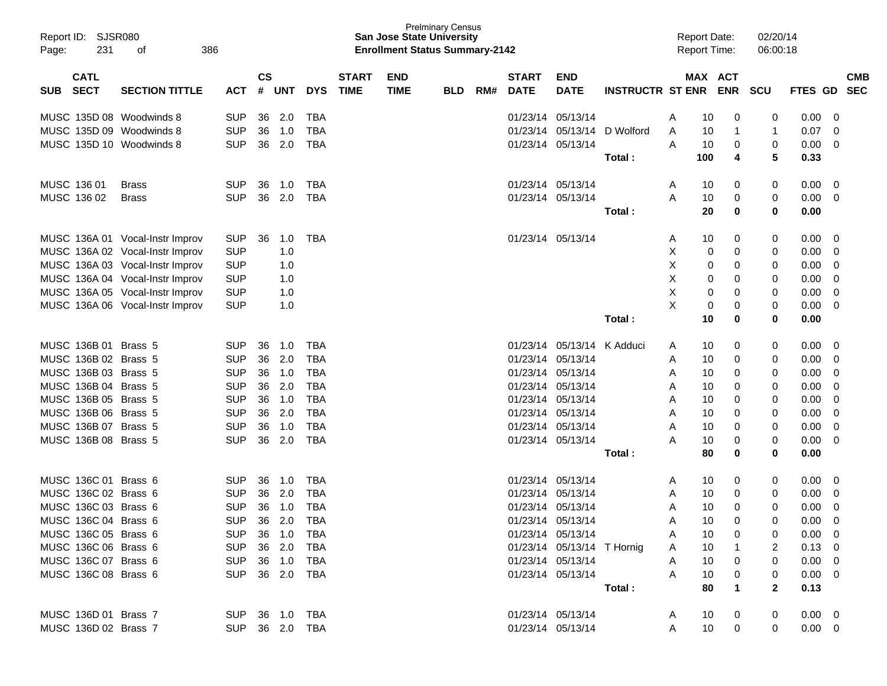|       | Report ID: SJSR080   |                                 |                |               |                |            |              |             | <b>Prelminary Census</b><br><b>San Jose State University</b> |     |              |                            |                          |   | <b>Report Date:</b> |          | 02/20/14     |                |            |  |
|-------|----------------------|---------------------------------|----------------|---------------|----------------|------------|--------------|-------------|--------------------------------------------------------------|-----|--------------|----------------------------|--------------------------|---|---------------------|----------|--------------|----------------|------------|--|
| Page: | 231                  | 386<br>of                       |                |               |                |            |              |             | <b>Enrollment Status Summary-2142</b>                        |     |              |                            |                          |   | <b>Report Time:</b> |          | 06:00:18     |                |            |  |
|       |                      |                                 |                |               |                |            |              |             |                                                              |     |              |                            |                          |   |                     |          |              |                |            |  |
|       | <b>CATL</b>          |                                 |                | $\mathsf{cs}$ |                |            | <b>START</b> | <b>END</b>  |                                                              |     | <b>START</b> | <b>END</b>                 |                          |   | MAX ACT             |          |              |                | <b>CMB</b> |  |
| SUB.  | <b>SECT</b>          | <b>SECTION TITTLE</b>           | ACT            |               | # UNT          | <b>DYS</b> | <b>TIME</b>  | <b>TIME</b> | <b>BLD</b>                                                   | RM# | <b>DATE</b>  | <b>DATE</b>                | INSTRUCTR ST ENR ENR SCU |   |                     |          |              | FTES GD        | <b>SEC</b> |  |
|       |                      | MUSC 135D 08 Woodwinds 8        | <b>SUP</b>     | 36            | 2.0            | TBA        |              |             |                                                              |     |              | 01/23/14 05/13/14          |                          | A | 10                  | 0        | 0            | 0.00           | 0          |  |
|       |                      | MUSC 135D 09 Woodwinds 8        | <b>SUP</b>     | 36            | 1.0            | TBA        |              |             |                                                              |     | 01/23/14     | 05/13/14                   | D Wolford                | Α | 10                  | 1        | 1            | 0.07           | 0          |  |
|       |                      | MUSC 135D 10 Woodwinds 8        | <b>SUP</b>     | 36            | 2.0            | TBA        |              |             |                                                              |     |              | 01/23/14 05/13/14          |                          | A | 10                  | 0        | 0            | 0.00           | 0          |  |
|       |                      |                                 |                |               |                |            |              |             |                                                              |     |              |                            | Total:                   |   | 100                 | 4        | 5            | 0.33           |            |  |
|       | MUSC 136 01          | <b>Brass</b>                    | <b>SUP</b>     | 36            | 1.0            | TBA        |              |             |                                                              |     |              | 01/23/14 05/13/14          |                          | A | 10                  | 0        | 0            | 0.00           | - 0        |  |
|       | MUSC 136 02          | <b>Brass</b>                    | <b>SUP</b>     | 36            | 2.0            | TBA        |              |             |                                                              |     |              | 01/23/14 05/13/14          |                          | A | 10                  | 0        | 0            | 0.00           | 0          |  |
|       |                      |                                 |                |               |                |            |              |             |                                                              |     |              |                            | Total:                   |   | 20                  | $\bf{0}$ | 0            | 0.00           |            |  |
|       |                      | MUSC 136A 01 Vocal-Instr Improv | <b>SUP</b>     | 36            | 1.0            | TBA        |              |             |                                                              |     |              | 01/23/14 05/13/14          |                          | A | 10                  | 0        | 0            | 0.00           | 0          |  |
|       |                      | MUSC 136A 02 Vocal-Instr Improv | <b>SUP</b>     |               | 1.0            |            |              |             |                                                              |     |              |                            |                          | Χ | 0                   | 0        | 0            | 0.00           | 0          |  |
|       |                      | MUSC 136A 03 Vocal-Instr Improv | <b>SUP</b>     |               | 1.0            |            |              |             |                                                              |     |              |                            |                          | Χ | 0                   | 0        | 0            | 0.00           | 0          |  |
|       |                      | MUSC 136A 04 Vocal-Instr Improv | <b>SUP</b>     |               | 1.0            |            |              |             |                                                              |     |              |                            |                          | X | 0                   | 0        | 0            | 0.00           | 0          |  |
|       |                      | MUSC 136A 05 Vocal-Instr Improv | <b>SUP</b>     |               | 1.0            |            |              |             |                                                              |     |              |                            |                          | X | 0                   | 0        | 0            | 0.00           | 0          |  |
|       |                      | MUSC 136A 06 Vocal-Instr Improv | <b>SUP</b>     |               | 1.0            |            |              |             |                                                              |     |              |                            |                          | X | 0                   | 0        | 0            | 0.00           | 0          |  |
|       |                      |                                 |                |               |                |            |              |             |                                                              |     |              |                            | Total:                   |   | 10                  | $\bf{0}$ | 0            | 0.00           |            |  |
|       | MUSC 136B 01 Brass 5 |                                 | <b>SUP</b>     | 36            | 1.0            | TBA        |              |             |                                                              |     |              | 01/23/14 05/13/14          | K Adduci                 | A | 10                  | 0        | 0            | 0.00           | 0          |  |
|       | MUSC 136B 02 Brass 5 |                                 | <b>SUP</b>     | 36            | 2.0            | TBA        |              |             |                                                              |     | 01/23/14     | 05/13/14                   |                          | A | 10                  | 0        | 0            | 0.00           | 0          |  |
|       | MUSC 136B 03 Brass 5 |                                 | <b>SUP</b>     | 36            | 1.0            | TBA        |              |             |                                                              |     |              | 01/23/14 05/13/14          |                          | A | 10                  | 0        | 0            | 0.00           | 0          |  |
|       | MUSC 136B 04 Brass 5 |                                 | <b>SUP</b>     | 36            | 2.0            | TBA        |              |             |                                                              |     |              | 01/23/14 05/13/14          |                          | A | 10                  | 0        | 0            | 0.00           | 0          |  |
|       | MUSC 136B 05 Brass 5 |                                 | <b>SUP</b>     | 36            | 1.0            | TBA        |              |             |                                                              |     |              | 01/23/14 05/13/14          |                          | A | 10                  | 0        | 0            | 0.00           | 0          |  |
|       | MUSC 136B 06 Brass 5 |                                 | <b>SUP</b>     | 36            | 2.0            | <b>TBA</b> |              |             |                                                              |     |              | 01/23/14 05/13/14          |                          | A | 10                  | 0        | 0            | 0.00           | 0          |  |
|       | MUSC 136B 07 Brass 5 |                                 | <b>SUP</b>     | 36            | 1.0            | <b>TBA</b> |              |             |                                                              |     |              | 01/23/14 05/13/14          |                          | A | 10                  | 0        | 0            | 0.00           | 0          |  |
|       | MUSC 136B 08 Brass 5 |                                 | <b>SUP</b>     | 36            | 2.0            | <b>TBA</b> |              |             |                                                              |     |              | 01/23/14 05/13/14          |                          | Α | 10                  | 0        | 0            | 0.00           | 0          |  |
|       |                      |                                 |                |               |                |            |              |             |                                                              |     |              |                            | Total:                   |   | 80                  | $\bf{0}$ | 0            | 0.00           |            |  |
|       | MUSC 136C 01 Brass 6 |                                 | <b>SUP</b>     | 36            | 1.0            | TBA        |              |             |                                                              |     |              | 01/23/14 05/13/14          |                          | A | 10                  | 0        | 0            | 0.00           | 0          |  |
|       | MUSC 136C 02 Brass 6 |                                 | <b>SUP</b>     | 36            | 2.0            | TBA        |              |             |                                                              |     | 01/23/14     | 05/13/14                   |                          | A | 10                  | 0        | 0            | 0.00           | 0          |  |
|       | MUSC 136C 03 Brass 6 |                                 | <b>SUP</b>     | 36            | 1.0            | <b>TBA</b> |              |             |                                                              |     | 01/23/14     | 05/13/14                   |                          | A | 10                  | 0        | 0            | 0.00           | 0          |  |
|       | MUSC 136C 04 Brass 6 |                                 | <b>SUP</b>     | 36            | 2.0            | <b>TBA</b> |              |             |                                                              |     |              | 01/23/14 05/13/14          |                          | A | 10                  | 0        | 0            | 0.00           | 0          |  |
|       | MUSC 136C 05 Brass 6 |                                 |                |               | SUP 36 1.0 TBA |            |              |             |                                                              |     |              | 01/23/14 05/13/14          |                          | A | 10                  | 0        |              | $0.00 \t 0$    |            |  |
|       | MUSC 136C 06 Brass 6 |                                 | SUP 36 2.0     |               |                | TBA        |              |             |                                                              |     |              | 01/23/14 05/13/14 T Hornig |                          | A | 10                  |          | 2            | $0.13 \ 0$     |            |  |
|       | MUSC 136C 07 Brass 6 |                                 | SUP 36 1.0 TBA |               |                |            |              |             |                                                              |     |              | 01/23/14 05/13/14          |                          | A | 10                  | 0        | $\Omega$     | $0.00 \quad 0$ |            |  |
|       | MUSC 136C 08 Brass 6 |                                 | SUP 36 2.0 TBA |               |                |            |              |             |                                                              |     |              | 01/23/14 05/13/14          |                          | A | 10                  | 0        | 0            | $0.00 \t 0$    |            |  |
|       |                      |                                 |                |               |                |            |              |             |                                                              |     |              |                            | Total:                   |   | 80                  | 1        | $\mathbf{2}$ | 0.13           |            |  |
|       | MUSC 136D 01 Brass 7 |                                 | SUP 36 1.0 TBA |               |                |            |              |             |                                                              |     |              | 01/23/14 05/13/14          |                          | A | 10                  | 0        | 0            | $0.00 \quad 0$ |            |  |
|       | MUSC 136D 02 Brass 7 |                                 | SUP 36 2.0 TBA |               |                |            |              |             |                                                              |     |              | 01/23/14 05/13/14          |                          | A | 10                  | 0        | 0            | $0.00 \t 0$    |            |  |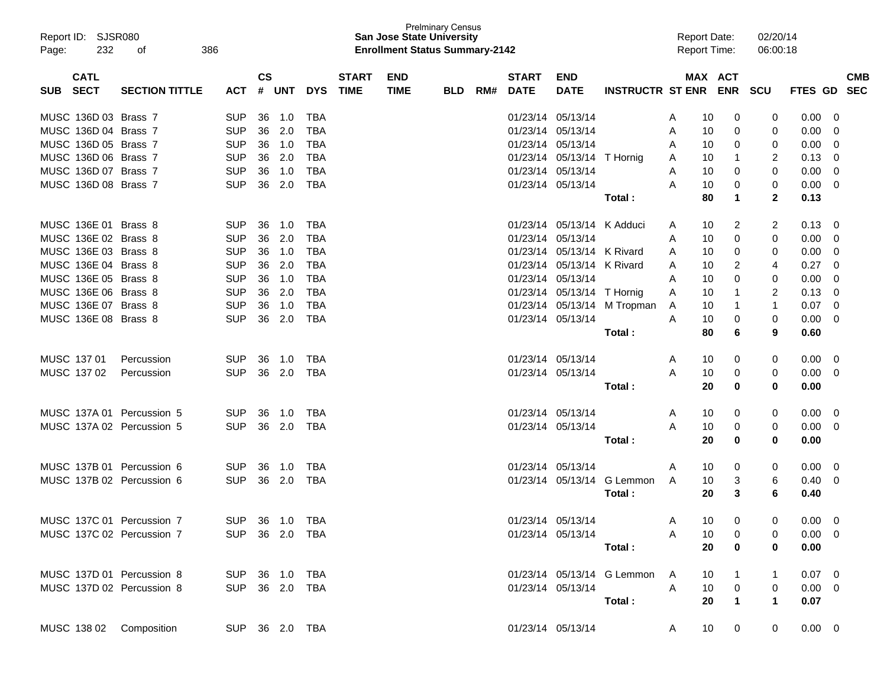| Page:    | Report ID: SJSR080<br>232 | 386<br>οf                                |                |               |        |            |              | <b>San Jose State University</b><br><b>Enrollment Status Summary-2142</b> | <b>Prelminary Census</b> |     |              |                            |                              | <b>Report Date:</b><br><b>Report Time:</b> |                         | 02/20/14<br>06:00:18 |                |                          |            |
|----------|---------------------------|------------------------------------------|----------------|---------------|--------|------------|--------------|---------------------------------------------------------------------------|--------------------------|-----|--------------|----------------------------|------------------------------|--------------------------------------------|-------------------------|----------------------|----------------|--------------------------|------------|
|          | <b>CATL</b>               |                                          |                | $\mathsf{cs}$ |        |            | <b>START</b> | <b>END</b>                                                                |                          |     | <b>START</b> | <b>END</b>                 |                              |                                            | MAX ACT                 |                      |                |                          | <b>CMB</b> |
| SUB SECT |                           | <b>SECTION TITTLE</b>                    | <b>ACT</b>     |               | # UNT  | <b>DYS</b> | <b>TIME</b>  | <b>TIME</b>                                                               | <b>BLD</b>               | RM# | <b>DATE</b>  | <b>DATE</b>                | <b>INSTRUCTR ST ENR ENR</b>  |                                            |                         | SCU                  | FTES GD        |                          | <b>SEC</b> |
|          | MUSC 136D 03 Brass 7      |                                          | <b>SUP</b>     | 36            | 1.0    | TBA        |              |                                                                           |                          |     |              | 01/23/14 05/13/14          |                              | 10<br>A                                    | 0                       | 0                    | 0.00           | - 0                      |            |
|          | MUSC 136D 04 Brass 7      |                                          | <b>SUP</b>     | 36            | 2.0    | <b>TBA</b> |              |                                                                           |                          |     |              | 01/23/14 05/13/14          |                              | 10<br>A                                    | 0                       | 0                    | 0.00           | - 0                      |            |
|          | MUSC 136D 05 Brass 7      |                                          | <b>SUP</b>     | 36            | 1.0    | <b>TBA</b> |              |                                                                           |                          |     |              | 01/23/14 05/13/14          |                              | 10<br>A                                    | 0                       | 0                    | 0.00           | - 0                      |            |
|          | MUSC 136D 06 Brass 7      |                                          | <b>SUP</b>     | 36            | 2.0    | <b>TBA</b> |              |                                                                           |                          |     |              | 01/23/14 05/13/14 T Hornig |                              | 10<br>A                                    | -1                      | 2                    | 0.13           | - 0                      |            |
|          | MUSC 136D 07 Brass 7      |                                          | <b>SUP</b>     | 36            | 1.0    | <b>TBA</b> |              |                                                                           |                          |     |              | 01/23/14 05/13/14          |                              | 10<br>A                                    | 0                       | 0                    | 0.00           | - 0                      |            |
|          | MUSC 136D 08 Brass 7      |                                          | <b>SUP</b>     | 36            | 2.0    | <b>TBA</b> |              |                                                                           |                          |     |              | 01/23/14 05/13/14          |                              | 10<br>Α                                    | 0                       | 0                    | $0.00 \t 0$    |                          |            |
|          |                           |                                          |                |               |        |            |              |                                                                           |                          |     |              |                            | Total :                      | 80                                         | 1                       | $\mathbf{2}$         | 0.13           |                          |            |
|          | MUSC 136E 01 Brass 8      |                                          | <b>SUP</b>     | 36            | 1.0    | TBA        |              |                                                                           |                          |     |              | 01/23/14 05/13/14 K Adduci |                              | 10<br>A                                    | 2                       | 2                    | $0.13 \quad 0$ |                          |            |
|          | MUSC 136E 02 Brass 8      |                                          | <b>SUP</b>     | 36            | 2.0    | <b>TBA</b> |              |                                                                           |                          |     |              | 01/23/14 05/13/14          |                              | 10<br>A                                    | 0                       | 0                    | 0.00           | $\overline{\phantom{0}}$ |            |
|          | MUSC 136E 03 Brass 8      |                                          | <b>SUP</b>     | 36            | 1.0    | <b>TBA</b> |              |                                                                           |                          |     |              | 01/23/14 05/13/14 K Rivard |                              | 10<br>A                                    | 0                       | 0                    | 0.00           | - 0                      |            |
|          | MUSC 136E 04 Brass 8      |                                          | <b>SUP</b>     | 36            | 2.0    | <b>TBA</b> |              |                                                                           |                          |     |              | 01/23/14 05/13/14 K Rivard |                              | 10<br>A                                    | 2                       | 4                    | 0.27           | - 0                      |            |
|          | MUSC 136E 05 Brass 8      |                                          | <b>SUP</b>     | 36            | 1.0    | <b>TBA</b> |              |                                                                           |                          |     |              | 01/23/14 05/13/14          |                              | 10<br>A                                    | 0                       | 0                    | 0.00           | - 0                      |            |
|          | MUSC 136E 06 Brass 8      |                                          | <b>SUP</b>     | 36            | 2.0    | <b>TBA</b> |              |                                                                           |                          |     |              | 01/23/14 05/13/14 T Hornig |                              | 10<br>Α                                    | -1                      | 2                    | 0.13           | - 0                      |            |
|          | MUSC 136E 07 Brass 8      |                                          | <b>SUP</b>     | 36            | 1.0    | <b>TBA</b> |              |                                                                           |                          |     |              |                            | 01/23/14 05/13/14 M Tropman  | 10<br>A                                    | -1                      | 1                    | 0.07           | - 0                      |            |
|          | MUSC 136E 08 Brass 8      |                                          | <b>SUP</b>     | 36            | 2.0    | <b>TBA</b> |              |                                                                           |                          |     |              | 01/23/14 05/13/14          |                              | 10<br>A                                    | 0                       | 0                    | 0.00           | - 0                      |            |
|          |                           |                                          |                |               |        |            |              |                                                                           |                          |     |              |                            | Total :                      | 80                                         | 6                       | 9                    | 0.60           |                          |            |
|          | MUSC 137 01               | Percussion                               | <b>SUP</b>     | 36            | 1.0    | TBA        |              |                                                                           |                          |     |              | 01/23/14 05/13/14          |                              | 10<br>A                                    | 0                       | 0                    | $0.00 \t 0$    |                          |            |
|          | MUSC 137 02               | Percussion                               | <b>SUP</b>     | 36            | 2.0    | TBA        |              |                                                                           |                          |     |              | 01/23/14 05/13/14          |                              | 10<br>A                                    | 0                       | 0                    | $0.00 \t 0$    |                          |            |
|          |                           |                                          |                |               |        |            |              |                                                                           |                          |     |              |                            | Total:                       | 20                                         | 0                       | 0                    | 0.00           |                          |            |
|          |                           | MUSC 137A 01 Percussion 5                | <b>SUP</b>     | 36            | 1.0    | TBA        |              |                                                                           |                          |     |              | 01/23/14 05/13/14          |                              | 10<br>A                                    | 0                       | 0                    | $0.00 \t 0$    |                          |            |
|          |                           | MUSC 137A 02 Percussion 5                | <b>SUP</b>     |               | 36 2.0 | TBA        |              |                                                                           |                          |     |              | 01/23/14 05/13/14          |                              | 10<br>A                                    | 0                       | 0                    | $0.00 \t 0$    |                          |            |
|          |                           |                                          |                |               |        |            |              |                                                                           |                          |     |              |                            | Total :                      | 20                                         | 0                       | 0                    | 0.00           |                          |            |
|          |                           | MUSC 137B 01 Percussion 6                | <b>SUP</b>     | 36            | 1.0    | TBA        |              |                                                                           |                          |     |              | 01/23/14 05/13/14          |                              | 10<br>A                                    | 0                       | 0                    | $0.00 \t 0$    |                          |            |
|          |                           | MUSC 137B 02 Percussion 6                | <b>SUP</b>     |               | 36 2.0 | TBA        |              |                                                                           |                          |     |              |                            | 01/23/14 05/13/14 G Lemmon   | 10<br>A                                    | 3                       | 6                    | 0.40           | - 0                      |            |
|          |                           |                                          |                |               |        |            |              |                                                                           |                          |     |              |                            | Total :                      | 20                                         | 3                       | 6                    | 0.40           |                          |            |
|          |                           | MUSC 137C 01 Percussion 7                | SUP 36 1.0 TBA |               |        |            |              |                                                                           |                          |     |              | 01/23/14 05/13/14          |                              | 10<br>A                                    | 0                       | 0                    | $0.00 \t 0$    |                          |            |
|          |                           | MUSC 137C 02 Percussion 7 SUP 36 2.0 TBA |                |               |        |            |              |                                                                           |                          |     |              |                            | 01/23/14 05/13/14 A          | 10                                         | $\overline{\mathbf{0}}$ | 0                    | $0.00 \t 0$    |                          |            |
|          |                           |                                          |                |               |        |            |              |                                                                           |                          |     |              |                            | Total :                      | 20                                         | $\overline{\mathbf{0}}$ | 0                    | 0.00           |                          |            |
|          |                           | MUSC 137D 01 Percussion 8                | SUP 36 1.0 TBA |               |        |            |              |                                                                           |                          |     |              |                            | 01/23/14 05/13/14 G Lemmon A |                                            | $10 \qquad 1$           | $\mathbf{1}$         | $0.07 \quad 0$ |                          |            |
|          |                           | MUSC 137D 02 Percussion 8                | SUP 36 2.0 TBA |               |        |            |              |                                                                           |                          |     |              |                            | 01/23/14 05/13/14            | A                                          | $10 \qquad 0$           | $\overline{0}$       | $0.00 \quad 0$ |                          |            |
|          |                           |                                          |                |               |        |            |              |                                                                           |                          |     |              |                            | Total:                       | 20                                         | $\blacksquare$ 1        | $\mathbf 1$          | 0.07           |                          |            |
|          |                           |                                          |                |               |        |            |              |                                                                           |                          |     |              |                            |                              |                                            |                         |                      |                |                          |            |
|          |                           | MUSC 138 02 Composition                  | SUP 36 2.0 TBA |               |        |            |              |                                                                           |                          |     |              |                            | 01/23/14 05/13/14 A          |                                            | 10 0                    | $\overline{0}$       | $0.00 \t 0$    |                          |            |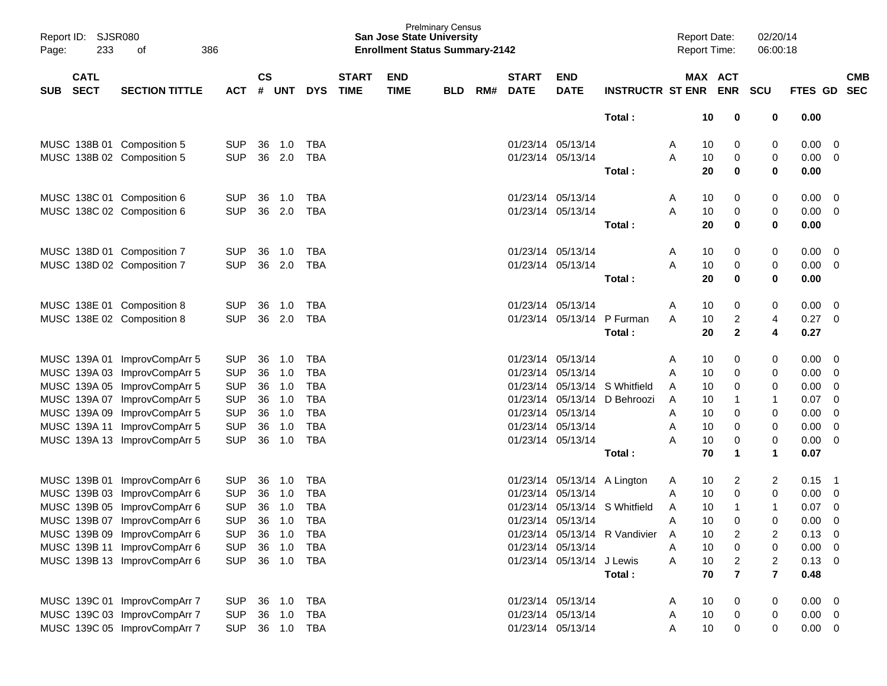| Report ID:<br>233<br>Page:               | SJSR080<br>386<br>οf         |            |                    |            |            |                             |                           | <b>Prelminary Census</b><br><b>San Jose State University</b><br><b>Enrollment Status Summary-2142</b> |     |                             |                             |                               |   | <b>Report Date:</b><br><b>Report Time:</b> |                         | 02/20/14<br>06:00:18 |                |                          |
|------------------------------------------|------------------------------|------------|--------------------|------------|------------|-----------------------------|---------------------------|-------------------------------------------------------------------------------------------------------|-----|-----------------------------|-----------------------------|-------------------------------|---|--------------------------------------------|-------------------------|----------------------|----------------|--------------------------|
| <b>CATL</b><br><b>SECT</b><br><b>SUB</b> | <b>SECTION TITTLE</b>        | <b>ACT</b> | $\mathsf{cs}$<br># | <b>UNT</b> | <b>DYS</b> | <b>START</b><br><b>TIME</b> | <b>END</b><br><b>TIME</b> | <b>BLD</b>                                                                                            | RM# | <b>START</b><br><b>DATE</b> | <b>END</b><br><b>DATE</b>   | <b>INSTRUCTR ST ENR</b>       |   | MAX ACT                                    | <b>ENR</b>              | <b>SCU</b>           | FTES GD        | <b>CMB</b><br><b>SEC</b> |
|                                          |                              |            |                    |            |            |                             |                           |                                                                                                       |     |                             |                             | Total:                        |   | 10                                         |                         | 0                    | 0.00           |                          |
|                                          |                              |            |                    |            |            |                             |                           |                                                                                                       |     |                             |                             |                               |   |                                            | 0                       |                      |                |                          |
|                                          | MUSC 138B 01 Composition 5   | <b>SUP</b> | 36                 | 1.0        | TBA        |                             |                           |                                                                                                       |     |                             | 01/23/14 05/13/14           |                               | A | 10                                         | 0                       | 0                    | 0.00           | 0                        |
|                                          | MUSC 138B 02 Composition 5   | <b>SUP</b> | 36                 | 2.0        | TBA        |                             |                           |                                                                                                       |     | 01/23/14 05/13/14           |                             |                               | A | 10                                         | 0                       | 0                    | 0.00           | 0                        |
|                                          |                              |            |                    |            |            |                             |                           |                                                                                                       |     |                             |                             | Total:                        |   | 20                                         | 0                       | 0                    | 0.00           |                          |
|                                          | MUSC 138C 01 Composition 6   | <b>SUP</b> | 36                 | 1.0        | TBA        |                             |                           |                                                                                                       |     | 01/23/14 05/13/14           |                             |                               | A | 10                                         | 0                       | 0                    | 0.00           | 0                        |
|                                          | MUSC 138C 02 Composition 6   | <b>SUP</b> | 36                 | 2.0        | TBA        |                             |                           |                                                                                                       |     | 01/23/14 05/13/14           |                             |                               | A | 10                                         | 0                       | 0                    | 0.00           | 0                        |
|                                          |                              |            |                    |            |            |                             |                           |                                                                                                       |     |                             |                             | Total:                        |   | 20                                         | 0                       | 0                    | 0.00           |                          |
|                                          | MUSC 138D 01 Composition 7   | <b>SUP</b> | 36                 | 1.0        | TBA        |                             |                           |                                                                                                       |     |                             | 01/23/14 05/13/14           |                               | A | 10                                         | 0                       | 0                    | 0.00           | 0                        |
|                                          | MUSC 138D 02 Composition 7   | <b>SUP</b> | 36                 | 2.0        | TBA        |                             |                           |                                                                                                       |     |                             | 01/23/14 05/13/14           |                               | A | 10                                         | 0                       | 0                    | 0.00           | 0                        |
|                                          |                              |            |                    |            |            |                             |                           |                                                                                                       |     |                             |                             | Total:                        |   | 20                                         | 0                       | 0                    | 0.00           |                          |
|                                          | MUSC 138E 01 Composition 8   | <b>SUP</b> | 36                 | 1.0        | TBA        |                             |                           |                                                                                                       |     | 01/23/14 05/13/14           |                             |                               | A | 10                                         | 0                       | 0                    | 0.00           | $\overline{0}$           |
|                                          | MUSC 138E 02 Composition 8   | <b>SUP</b> | 36                 | 2.0        | TBA        |                             |                           |                                                                                                       |     |                             | 01/23/14 05/13/14           | P Furman                      | A | 10                                         | 2                       | 4                    | 0.27           | 0                        |
|                                          |                              |            |                    |            |            |                             |                           |                                                                                                       |     |                             |                             | Total:                        |   | 20                                         | $\mathbf{2}$            | 4                    | 0.27           |                          |
|                                          | MUSC 139A 01 ImprovCompArr 5 | <b>SUP</b> | 36                 | 1.0        | TBA        |                             |                           |                                                                                                       |     |                             | 01/23/14 05/13/14           |                               | A | 10                                         | 0                       | 0                    | 0.00           | 0                        |
|                                          | MUSC 139A 03 ImprovCompArr 5 | <b>SUP</b> | 36                 | 1.0        | <b>TBA</b> |                             |                           |                                                                                                       |     | 01/23/14                    | 05/13/14                    |                               | A | 10                                         | 0                       | 0                    | 0.00           | 0                        |
|                                          | MUSC 139A 05 ImprovCompArr 5 | <b>SUP</b> | 36                 | 1.0        | <b>TBA</b> |                             |                           |                                                                                                       |     | 01/23/14                    | 05/13/14                    | S Whitfield                   | A | 10                                         | 0                       | 0                    | 0.00           | 0                        |
|                                          | MUSC 139A 07 ImprovCompArr 5 | <b>SUP</b> | 36                 | 1.0        | <b>TBA</b> |                             |                           |                                                                                                       |     | 01/23/14                    | 05/13/14                    | D Behroozi                    | A | 10                                         | 1                       | $\mathbf 1$          | 0.07           | 0                        |
|                                          | MUSC 139A 09 ImprovCompArr 5 | <b>SUP</b> | 36                 | 1.0        | <b>TBA</b> |                             |                           |                                                                                                       |     | 01/23/14                    | 05/13/14                    |                               | A | 10                                         | 0                       | 0                    | 0.00           | $\overline{0}$           |
|                                          | MUSC 139A 11 ImprovCompArr 5 | <b>SUP</b> | 36                 | 1.0        | <b>TBA</b> |                             |                           |                                                                                                       |     |                             | 01/23/14 05/13/14           |                               | A | 10                                         | 0                       | 0                    | 0.00           | 0                        |
|                                          | MUSC 139A 13 ImprovCompArr 5 | <b>SUP</b> | 36                 | 1.0        | <b>TBA</b> |                             |                           |                                                                                                       |     |                             | 01/23/14 05/13/14           |                               | Α | 10                                         | 0                       | 0                    | 0.00           | 0                        |
|                                          |                              |            |                    |            |            |                             |                           |                                                                                                       |     |                             |                             | Total:                        |   | 70                                         | 1                       | $\mathbf 1$          | 0.07           |                          |
|                                          | MUSC 139B 01 ImprovCompArr 6 | <b>SUP</b> | 36                 | 1.0        | TBA        |                             |                           |                                                                                                       |     |                             | 01/23/14 05/13/14 A Lington |                               | A | 10                                         | 2                       | $\overline{c}$       | 0.15           | $\overline{1}$           |
|                                          | MUSC 139B 03 ImprovCompArr 6 | <b>SUP</b> | 36                 | 1.0        | TBA        |                             |                           |                                                                                                       |     | 01/23/14                    | 05/13/14                    |                               | A | 10                                         | 0                       | 0                    | 0.00           | 0                        |
|                                          | MUSC 139B 05 ImprovCompArr 6 | <b>SUP</b> | 36                 | 1.0        | <b>TBA</b> |                             |                           |                                                                                                       |     |                             | 01/23/14 05/13/14           | S Whitfield                   | A | 10                                         | 1                       | $\mathbf{1}$         | 0.07           | $\overline{0}$           |
|                                          | MUSC 139B 07 ImprovCompArr 6 | <b>SUP</b> |                    | 36 1.0     | <b>TBA</b> |                             |                           |                                                                                                       |     |                             | 01/23/14 05/13/14           |                               | Α | 10                                         | 0                       | 0                    | 0.00           | $\mathbf 0$              |
|                                          | MUSC 139B 09 ImprovCompArr 6 | <b>SUP</b> |                    | 36 1.0     | TBA        |                             |                           |                                                                                                       |     |                             |                             | 01/23/14 05/13/14 R Vandivier | A | 10                                         | 2                       | 2                    | $0.13 \quad 0$ |                          |
|                                          | MUSC 139B 11 ImprovCompArr 6 | <b>SUP</b> |                    | 36 1.0     | TBA        |                             |                           |                                                                                                       |     | 01/23/14 05/13/14           |                             |                               | Α | 10                                         | $\boldsymbol{0}$        | 0                    | 0.00           | - 0                      |
|                                          | MUSC 139B 13 ImprovCompArr 6 | <b>SUP</b> |                    | 36 1.0     | TBA        |                             |                           |                                                                                                       |     |                             | 01/23/14 05/13/14 J Lewis   |                               | A | 10                                         | $\overline{c}$          | $\overline{c}$       | $0.13 \quad 0$ |                          |
|                                          |                              |            |                    |            |            |                             |                           |                                                                                                       |     |                             |                             | Total:                        |   | 70                                         | $\overline{\mathbf{r}}$ | $\overline{7}$       | 0.48           |                          |
|                                          | MUSC 139C 01 ImprovCompArr 7 | <b>SUP</b> |                    | 36 1.0     | TBA        |                             |                           |                                                                                                       |     | 01/23/14 05/13/14           |                             |                               | A | 10                                         | 0                       | 0                    | 0.00           | $\overline{\mathbf{0}}$  |
|                                          | MUSC 139C 03 ImprovCompArr 7 | <b>SUP</b> |                    | 36 1.0     | TBA        |                             |                           |                                                                                                       |     |                             | 01/23/14 05/13/14           |                               | A | 10                                         | $\boldsymbol{0}$        | 0                    | 0.00           | $\overline{0}$           |
|                                          | MUSC 139C 05 ImprovCompArr 7 | <b>SUP</b> |                    |            | 36 1.0 TBA |                             |                           |                                                                                                       |     |                             | 01/23/14 05/13/14           |                               | A | 10                                         | 0                       | 0                    | $0.00 \t 0$    |                          |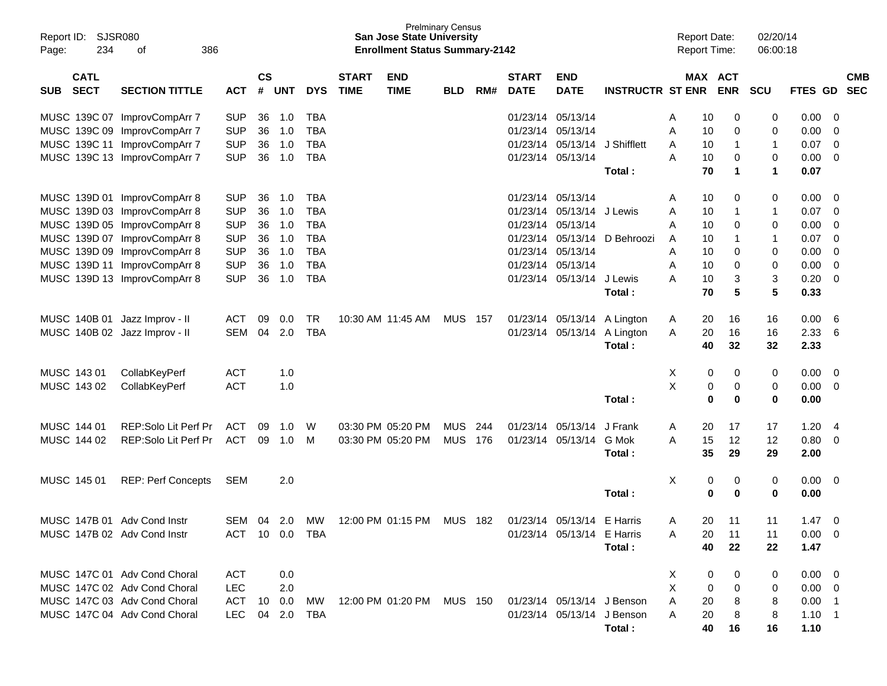| <b>SJSR080</b><br>Report ID:<br>234<br>Page: | 386<br>οf                                                    |                          |                |            |                          |                             | <b>San Jose State University</b><br><b>Enrollment Status Summary-2142</b> | <b>Prelminary Census</b> |     |                             |                                        |                             | <b>Report Date:</b><br><b>Report Time:</b> |          |             | 02/20/14<br>06:00:18 |                |                          |                          |
|----------------------------------------------|--------------------------------------------------------------|--------------------------|----------------|------------|--------------------------|-----------------------------|---------------------------------------------------------------------------|--------------------------|-----|-----------------------------|----------------------------------------|-----------------------------|--------------------------------------------|----------|-------------|----------------------|----------------|--------------------------|--------------------------|
| <b>CATL</b><br><b>SECT</b><br><b>SUB</b>     | <b>SECTION TITTLE</b>                                        | <b>ACT</b>               | <b>CS</b><br># | <b>UNT</b> | <b>DYS</b>               | <b>START</b><br><b>TIME</b> | <b>END</b><br><b>TIME</b>                                                 | <b>BLD</b>               | RM# | <b>START</b><br><b>DATE</b> | <b>END</b><br><b>DATE</b>              | <b>INSTRUCTR ST ENR ENR</b> |                                            |          | MAX ACT     | <b>SCU</b>           | FTES GD        |                          | <b>CMB</b><br><b>SEC</b> |
|                                              |                                                              |                          |                |            |                          |                             |                                                                           |                          |     |                             |                                        |                             |                                            |          |             |                      |                |                          |                          |
|                                              | MUSC 139C 07 ImprovCompArr 7                                 | <b>SUP</b>               | 36             | 1.0        | TBA                      |                             |                                                                           |                          |     |                             | 01/23/14 05/13/14                      |                             | Α                                          | 10       | 0           | 0                    | 0.00           | - 0                      |                          |
|                                              | MUSC 139C 09 ImprovCompArr 7<br>MUSC 139C 11 ImprovCompArr 7 | <b>SUP</b><br><b>SUP</b> | 36<br>36       | 1.0<br>1.0 | <b>TBA</b><br><b>TBA</b> |                             |                                                                           |                          |     |                             | 01/23/14 05/13/14<br>01/23/14 05/13/14 | J Shifflett                 | A<br>A                                     | 10<br>10 | 0<br>-1     | 0<br>1               | 0.00<br>0.07   | - 0<br>- 0               |                          |
|                                              | MUSC 139C 13 ImprovCompArr 7                                 | <b>SUP</b>               | 36             | 1.0        | <b>TBA</b>               |                             |                                                                           |                          |     |                             | 01/23/14 05/13/14                      |                             | A                                          | 10       | 0           | 0                    | 0.00           | - 0                      |                          |
|                                              |                                                              |                          |                |            |                          |                             |                                                                           |                          |     |                             |                                        | Total:                      |                                            | 70       | $\mathbf 1$ | 1                    | 0.07           |                          |                          |
|                                              |                                                              |                          |                |            |                          |                             |                                                                           |                          |     |                             |                                        |                             |                                            |          |             |                      |                |                          |                          |
|                                              | MUSC 139D 01 ImprovCompArr 8<br>MUSC 139D 03 ImprovCompArr 8 | <b>SUP</b><br><b>SUP</b> | 36<br>36       | 1.0<br>1.0 | TBA<br><b>TBA</b>        |                             |                                                                           |                          |     |                             | 01/23/14 05/13/14<br>01/23/14 05/13/14 | J Lewis                     | Α<br>A                                     | 10<br>10 | 0<br>-1     | 0<br>1               | 0.00<br>0.07   | - 0<br>- 0               |                          |
|                                              | MUSC 139D 05 ImprovCompArr 8                                 | <b>SUP</b>               | 36             | 1.0        | <b>TBA</b>               |                             |                                                                           |                          |     |                             | 01/23/14 05/13/14                      |                             | A                                          | 10       | 0           | 0                    | 0.00           | - 0                      |                          |
|                                              | MUSC 139D 07 ImprovCompArr 8                                 | <b>SUP</b>               | 36             | 1.0        | <b>TBA</b>               |                             |                                                                           |                          |     |                             | 01/23/14 05/13/14                      | D Behroozi                  | A                                          | 10       | 1           | 1                    | 0.07           | - 0                      |                          |
|                                              | MUSC 139D 09 ImprovCompArr 8                                 | <b>SUP</b>               | 36             | 1.0        | <b>TBA</b>               |                             |                                                                           |                          |     |                             | 01/23/14 05/13/14                      |                             | A                                          | 10       | 0           | 0                    | 0.00           | - 0                      |                          |
|                                              | MUSC 139D 11 ImprovCompArr 8                                 | <b>SUP</b>               | 36             | 1.0        | <b>TBA</b>               |                             |                                                                           |                          |     |                             | 01/23/14 05/13/14                      |                             | A                                          | 10       | 0           | 0                    | 0.00           | - 0                      |                          |
|                                              | MUSC 139D 13 ImprovCompArr 8                                 | <b>SUP</b>               | 36             | 1.0        | <b>TBA</b>               |                             |                                                                           |                          |     |                             | 01/23/14 05/13/14                      | J Lewis                     | А                                          | 10       | 3           | 3                    | 0.20           | - 0                      |                          |
|                                              |                                                              |                          |                |            |                          |                             |                                                                           |                          |     |                             |                                        | Total:                      |                                            | 70       | 5           | 5                    | 0.33           |                          |                          |
| MUSC 140B 01 Jazz Improv - II                |                                                              | <b>ACT</b>               | 09             | 0.0        | <b>TR</b>                |                             | 10:30 AM 11:45 AM                                                         | <b>MUS 157</b>           |     |                             |                                        | 01/23/14 05/13/14 A Lington | A                                          | 20       | 16          | 16                   | 0.00           | - 6                      |                          |
| MUSC 140B 02 Jazz Improv - II                |                                                              | SEM                      | 04             | 2.0        | TBA                      |                             |                                                                           |                          |     |                             | 01/23/14 05/13/14                      | A Lington                   | A                                          | 20       | 16          | 16                   | 2.33           | - 6                      |                          |
|                                              |                                                              |                          |                |            |                          |                             |                                                                           |                          |     |                             |                                        | Total:                      |                                            | 40       | 32          | 32                   | 2.33           |                          |                          |
| MUSC 143 01                                  | CollabKeyPerf                                                | <b>ACT</b>               |                | 1.0        |                          |                             |                                                                           |                          |     |                             |                                        |                             | X                                          | 0        | 0           | 0                    | 0.00           | $\overline{\phantom{0}}$ |                          |
| MUSC 143 02                                  | CollabKeyPerf                                                | <b>ACT</b>               |                | 1.0        |                          |                             |                                                                           |                          |     |                             |                                        |                             | X                                          | 0        | 0           | 0                    | 0.00           | - 0                      |                          |
|                                              |                                                              |                          |                |            |                          |                             |                                                                           |                          |     |                             |                                        | Total:                      |                                            | 0        | $\bf{0}$    | 0                    | 0.00           |                          |                          |
| MUSC 144 01                                  | REP:Solo Lit Perf Pr                                         | <b>ACT</b>               | 09             | 1.0        | W                        |                             | 03:30 PM 05:20 PM                                                         | <b>MUS</b>               | 244 |                             | 01/23/14 05/13/14                      | J Frank                     | A                                          | 20       | 17          | 17                   | 1.20           | - 4                      |                          |
| MUSC 144 02                                  | REP:Solo Lit Perf Pr                                         | ACT                      |                | 09 1.0     | M                        |                             | 03:30 PM 05:20 PM                                                         | <b>MUS 176</b>           |     |                             | 01/23/14 05/13/14                      | G Mok                       | A                                          | 15       | 12          | 12                   | 0.80           | - 0                      |                          |
|                                              |                                                              |                          |                |            |                          |                             |                                                                           |                          |     |                             |                                        | Total:                      |                                            | 35       | 29          | 29                   | 2.00           |                          |                          |
| MUSC 145 01                                  | <b>REP: Perf Concepts</b>                                    | <b>SEM</b>               |                | 2.0        |                          |                             |                                                                           |                          |     |                             |                                        |                             | X                                          | 0        | 0           | 0                    | $0.00 \quad 0$ |                          |                          |
|                                              |                                                              |                          |                |            |                          |                             |                                                                           |                          |     |                             |                                        | Total:                      |                                            | 0        | 0           | 0                    | 0.00           |                          |                          |
| MUSC 147B 01 Adv Cond Instr                  |                                                              | SEM                      | 04             | 2.0        | МW                       |                             | 12:00 PM 01:15 PM                                                         | MUS 182                  |     |                             | 01/23/14 05/13/14 E Harris             |                             | A                                          | 20       | -11         | 11                   | 1.47           | 0                        |                          |
| MUSC 147B 02 Adv Cond Instr                  |                                                              | ACT 10 0.0 TBA           |                |            |                          |                             |                                                                           |                          |     |                             | 01/23/14 05/13/14 E Harris             |                             | A                                          | 20       | 11          | 11                   | $0.00 \t 0$    |                          |                          |
|                                              |                                                              |                          |                |            |                          |                             |                                                                           |                          |     |                             |                                        | Total:                      |                                            | 40       | 22          | 22                   | 1.47           |                          |                          |
|                                              | MUSC 147C 01 Adv Cond Choral                                 | ACT                      |                | 0.0        |                          |                             |                                                                           |                          |     |                             |                                        |                             | X                                          | 0        | 0           | 0                    | $0.00 \t 0$    |                          |                          |
|                                              | MUSC 147C 02 Adv Cond Choral                                 | <b>LEC</b>               |                | 2.0        |                          |                             |                                                                           |                          |     |                             |                                        |                             | X                                          | 0        | 0           | 0                    | $0.00 \t 0$    |                          |                          |
|                                              | MUSC 147C 03 Adv Cond Choral                                 | ACT                      |                | 10  0.0    | МW                       |                             | 12:00 PM 01:20 PM MUS 150                                                 |                          |     |                             | 01/23/14 05/13/14 J Benson             |                             | A                                          | 20       | 8           | 8                    | $0.00$ 1       |                          |                          |
|                                              | MUSC 147C 04 Adv Cond Choral                                 | LEC                      |                | 04 2.0     | TBA                      |                             |                                                                           |                          |     |                             | 01/23/14 05/13/14 J Benson             |                             | A                                          | 20       | 8           | 8                    | $1.10 \quad 1$ |                          |                          |
|                                              |                                                              |                          |                |            |                          |                             |                                                                           |                          |     |                             |                                        | Total:                      |                                            | 40       | 16          | 16                   | 1.10           |                          |                          |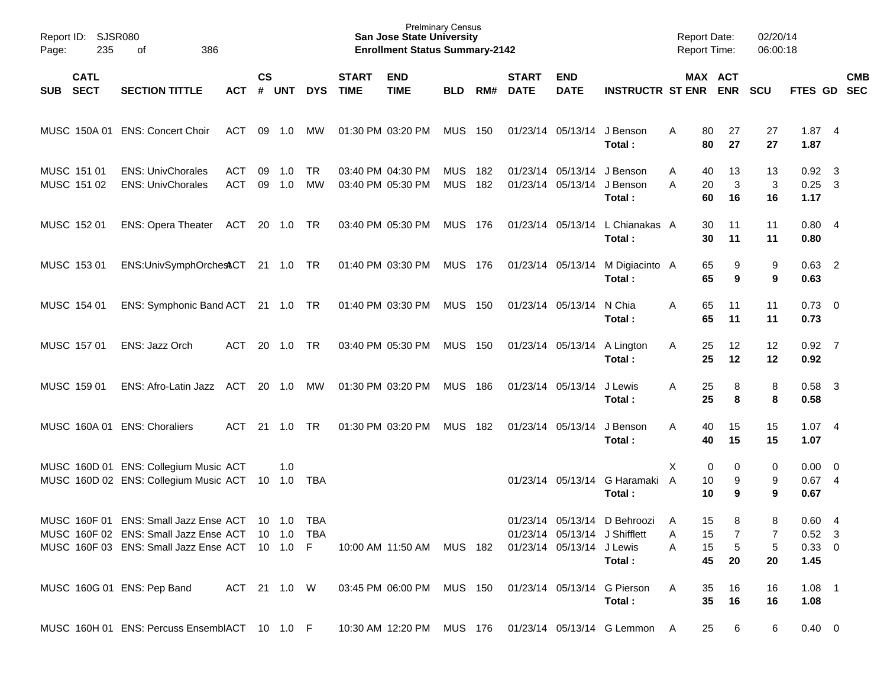| Report ID:<br>235<br>Page:               | SJSR080<br>386<br>οf                                                                                                                                   |                          |                    |               |                 |                             | <b>Prelminary Census</b><br><b>San Jose State University</b><br><b>Enrollment Status Summary-2142</b> |                          |            |                             |                                        |                                                                           | <b>Report Date:</b><br><b>Report Time:</b> |                                                                 | 02/20/14<br>06:00:18 |                                               |                         |                          |
|------------------------------------------|--------------------------------------------------------------------------------------------------------------------------------------------------------|--------------------------|--------------------|---------------|-----------------|-----------------------------|-------------------------------------------------------------------------------------------------------|--------------------------|------------|-----------------------------|----------------------------------------|---------------------------------------------------------------------------|--------------------------------------------|-----------------------------------------------------------------|----------------------|-----------------------------------------------|-------------------------|--------------------------|
| <b>CATL</b><br><b>SECT</b><br><b>SUB</b> | <b>SECTION TITTLE</b>                                                                                                                                  | <b>ACT</b>               | $\mathsf{cs}$<br># | <b>UNT</b>    | <b>DYS</b>      | <b>START</b><br><b>TIME</b> | <b>END</b><br><b>TIME</b>                                                                             | <b>BLD</b>               | RM#        | <b>START</b><br><b>DATE</b> | <b>END</b><br><b>DATE</b>              | <b>INSTRUCTR ST ENR</b>                                                   |                                            | MAX ACT<br><b>ENR</b>                                           | <b>SCU</b>           | FTES GD                                       |                         | <b>CMB</b><br><b>SEC</b> |
| MUSC 150A 01                             | <b>ENS: Concert Choir</b>                                                                                                                              | <b>ACT</b>               | 09                 | 1.0           | МW              |                             | 01:30 PM 03:20 PM                                                                                     | <b>MUS</b>               | 150        |                             | 01/23/14 05/13/14                      | J Benson<br>Total:                                                        | Α                                          | 27<br>80<br>80<br>27                                            | 27<br>27             | 1.874<br>1.87                                 |                         |                          |
| MUSC 151 01<br>MUSC 151 02               | <b>ENS: UnivChorales</b><br><b>ENS: UnivChorales</b>                                                                                                   | <b>ACT</b><br><b>ACT</b> | 09                 | 1.0<br>09 1.0 | <b>TR</b><br>MW |                             | 03:40 PM 04:30 PM<br>03:40 PM 05:30 PM                                                                | <b>MUS</b><br><b>MUS</b> | 182<br>182 |                             | 01/23/14 05/13/14<br>01/23/14 05/13/14 | J Benson<br>J Benson<br>Total:                                            | Α<br>Α                                     | 40<br>13<br>20<br>3<br>60<br>16                                 | 13<br>3<br>16        | $0.92$ 3<br>0.25<br>1.17                      | $\overline{\mathbf{3}}$ |                          |
| MUSC 152 01                              | ENS: Opera Theater ACT                                                                                                                                 |                          |                    | 20 1.0        | TR              |                             | 03:40 PM 05:30 PM                                                                                     | MUS 176                  |            |                             |                                        | 01/23/14 05/13/14 L Chianakas A<br>Total :                                |                                            | 30<br>11<br>30<br>11                                            | 11<br>11             | 0.804<br>0.80                                 |                         |                          |
| MUSC 153 01                              | ENS:UnivSymphOrchestCT                                                                                                                                 |                          |                    | 21 1.0        | TR              |                             | 01:40 PM 03:30 PM                                                                                     | MUS 176                  |            |                             |                                        | 01/23/14 05/13/14 M Digiacinto A<br>Total:                                |                                            | 65<br>9<br>65<br>9                                              | 9<br>9               | $0.63$ 2<br>0.63                              |                         |                          |
| MUSC 154 01                              | ENS: Symphonic Band ACT                                                                                                                                |                          |                    | 21 1.0        | TR              |                             | 01:40 PM 03:30 PM                                                                                     | <b>MUS 150</b>           |            |                             | 01/23/14 05/13/14 N Chia               | Total :                                                                   | A                                          | 65<br>11<br>65<br>11                                            | 11<br>11             | $0.73 \quad 0$<br>0.73                        |                         |                          |
| MUSC 157 01                              | ENS: Jazz Orch                                                                                                                                         | <b>ACT</b>               |                    | 20 1.0        | <b>TR</b>       |                             | 03:40 PM 05:30 PM                                                                                     | <b>MUS 150</b>           |            |                             |                                        | 01/23/14 05/13/14 A Lington<br>Total:                                     | Α                                          | 25<br>12<br>25<br>12                                            | 12<br>12             | $0.92$ 7<br>0.92                              |                         |                          |
| MUSC 159 01                              | ENS: Afro-Latin Jazz ACT                                                                                                                               |                          |                    | 20 1.0        | МW              |                             | 01:30 PM 03:20 PM                                                                                     | <b>MUS 186</b>           |            |                             | 01/23/14 05/13/14                      | J Lewis<br>Total :                                                        | A                                          | 25<br>8<br>25<br>8                                              | 8<br>8               | $0.58$ 3<br>0.58                              |                         |                          |
|                                          | MUSC 160A 01 ENS: Choraliers                                                                                                                           | <b>ACT</b>               |                    | $21 - 1.0$    | <b>TR</b>       |                             | 01:30 PM 03:20 PM                                                                                     | <b>MUS 182</b>           |            |                             | 01/23/14 05/13/14                      | J Benson<br>Total:                                                        | A                                          | 40<br>15<br>15<br>40                                            | 15<br>15             | 1.074<br>1.07                                 |                         |                          |
|                                          | MUSC 160D 01 ENS: Collegium Music ACT<br>MUSC 160D 02 ENS: Collegium Music ACT                                                                         |                          |                    | 1.0<br>10 1.0 | TBA             |                             |                                                                                                       |                          |            |                             |                                        | 01/23/14 05/13/14 G Haramaki<br>Total :                                   | X<br>$\overline{A}$                        | 0<br>0<br>10<br>9<br>10<br>9                                    | 0<br>9<br>9          | $0.00 \ 0$<br>$0.67$ 4<br>0.67                |                         |                          |
|                                          | MUSC 160F 01 ENS: Small Jazz Ense ACT 10 1.0 TBA<br>MUSC 160F 02 ENS: Small Jazz Ense ACT 10 1.0 TBA<br>MUSC 160F 03 ENS: Small Jazz Ense ACT 10 1.0 F |                          |                    |               |                 |                             | 10:00 AM 11:50 AM MUS 182 01/23/14 05/13/14 J Lewis                                                   |                          |            |                             |                                        | 01/23/14 05/13/14 D Behroozi A<br>01/23/14 05/13/14 J Shifflett<br>Total: | A<br>A                                     | 15 <sub>1</sub><br>8<br>7<br>15<br>$\sqrt{5}$<br>15<br>45<br>20 | 8<br>7<br>5<br>20    | 0.604<br>$0.52 \quad 3$<br>$0.33 \ 0$<br>1.45 |                         |                          |
|                                          | MUSC 160G 01 ENS: Pep Band                                                                                                                             |                          |                    |               |                 |                             | ACT 21 1.0 W  03:45 PM 06:00 PM  MUS  150  01/23/14  05/13/14  G  Pierson                             |                          |            |                             |                                        | Total:                                                                    | A                                          | 35<br>16<br>35 <sub>5</sub><br>16                               | 16<br>16             | $1.08$ 1<br>1.08                              |                         |                          |
|                                          | MUSC 160H 01 ENS: Percuss EnsemblACT 10 1.0 F 10:30 AM 12:20 PM MUS 176 01/23/14 05/13/14 G Lemmon A                                                   |                          |                    |               |                 |                             |                                                                                                       |                          |            |                             |                                        |                                                                           |                                            | 25 6                                                            | 6                    | $0.40 \ 0$                                    |                         |                          |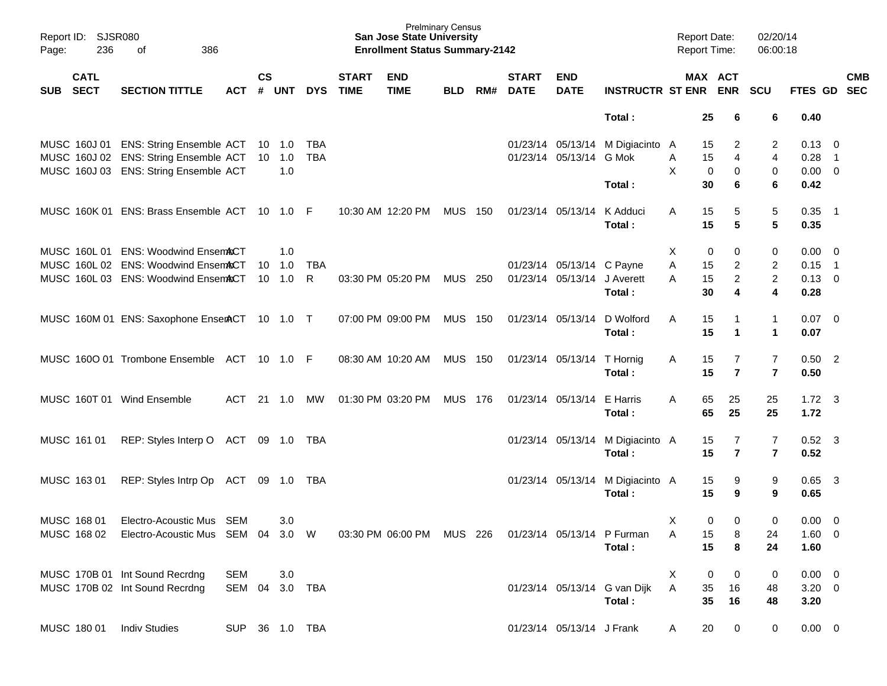| Page: | Report ID: SJSR080<br>236  | 386<br>of                                     |                |               |                |            |                             | <b>San Jose State University</b><br><b>Enrollment Status Summary-2142</b> | <b>Prelminary Census</b> |       |                             |                             |                                  |   | <b>Report Date:</b><br><b>Report Time:</b> | 02/20/14<br>06:00:18    |                        |                            |            |
|-------|----------------------------|-----------------------------------------------|----------------|---------------|----------------|------------|-----------------------------|---------------------------------------------------------------------------|--------------------------|-------|-----------------------------|-----------------------------|----------------------------------|---|--------------------------------------------|-------------------------|------------------------|----------------------------|------------|
| SUB   | <b>CATL</b><br><b>SECT</b> | <b>SECTION TITTLE</b>                         | <b>ACT</b>     | $\mathsf{cs}$ | # UNT          | <b>DYS</b> | <b>START</b><br><b>TIME</b> | <b>END</b><br><b>TIME</b>                                                 | <b>BLD</b>               | RM#   | <b>START</b><br><b>DATE</b> | <b>END</b><br><b>DATE</b>   | <b>INSTRUCTR ST ENR ENR</b>      |   | MAX ACT                                    | <b>SCU</b>              | FTES GD SEC            |                            | <b>CMB</b> |
|       |                            |                                               |                |               |                |            |                             |                                                                           |                          |       |                             |                             | Total:                           |   | 25<br>6                                    | 6                       | 0.40                   |                            |            |
|       |                            | MUSC 160J 01 ENS: String Ensemble ACT         |                |               | 10 1.0         | TBA        |                             |                                                                           |                          |       |                             |                             | 01/23/14 05/13/14 M Digiacinto A |   | 15<br>2                                    | 2                       | $0.13 \quad 0$         |                            |            |
|       |                            | MUSC 160J 02 ENS: String Ensemble ACT         |                |               | 10 1.0         | <b>TBA</b> |                             |                                                                           |                          |       |                             | 01/23/14 05/13/14 G Mok     |                                  | Α | 15<br>4                                    | $\overline{4}$          | 0.28                   | $\overline{1}$             |            |
|       |                            | MUSC 160J 03 ENS: String Ensemble ACT         |                |               | 1.0            |            |                             |                                                                           |                          |       |                             |                             |                                  | X | 0<br>0                                     | 0                       | $0.00 \t 0$            |                            |            |
|       |                            |                                               |                |               |                |            |                             |                                                                           |                          |       |                             |                             | Total:                           |   | 30<br>6                                    | 6                       | 0.42                   |                            |            |
|       |                            | MUSC 160K 01 ENS: Brass Ensemble ACT 10 1.0 F |                |               |                |            |                             | 10:30 AM 12:20 PM                                                         | <b>MUS 150</b>           |       |                             | 01/23/14 05/13/14           | K Adduci                         | A | 15<br>5                                    | 5                       | $0.35$ 1               |                            |            |
|       |                            |                                               |                |               |                |            |                             |                                                                           |                          |       |                             |                             | Total:                           |   | 15<br>5                                    | 5                       | 0.35                   |                            |            |
|       |                            | MUSC 160L 01 ENS: Woodwind EnsemACT           |                |               | 1.0            |            |                             |                                                                           |                          |       |                             |                             |                                  | X | 0<br>0                                     | 0                       | 0.00                   | $\overline{\mathbf{0}}$    |            |
|       |                            | MUSC 160L 02 ENS: Woodwind EnsemACT           |                | 10            | 1.0            | <b>TBA</b> |                             |                                                                           |                          |       |                             | 01/23/14 05/13/14 C Payne   |                                  | A | 15<br>$\overline{c}$                       | $\overline{c}$          | 0.15                   | $\overline{\phantom{0}}$ 1 |            |
|       |                            | MUSC 160L 03 ENS: Woodwind EnsemACT           |                |               | $10 \quad 1.0$ | R          |                             | 03:30 PM 05:20 PM                                                         | MUS                      | - 250 |                             | 01/23/14 05/13/14 J Averett |                                  | А | 15<br>$\overline{c}$                       | $\overline{2}$          | $0.13 \ 0$             |                            |            |
|       |                            |                                               |                |               |                |            |                             |                                                                           |                          |       |                             |                             | Total:                           |   | 30<br>4                                    | 4                       | 0.28                   |                            |            |
|       |                            | MUSC 160M 01 ENS: Saxophone EnserACT 10 1.0 T |                |               |                |            |                             | 07:00 PM 09:00 PM                                                         | <b>MUS 150</b>           |       |                             | 01/23/14 05/13/14           | D Wolford                        | A | 15<br>-1                                   | $\mathbf{1}$            | $0.07 \ 0$             |                            |            |
|       |                            |                                               |                |               |                |            |                             |                                                                           |                          |       |                             |                             | Total:                           |   | 15<br>$\blacktriangleleft$                 | 1                       | 0.07                   |                            |            |
|       |                            | MUSC 1600 01 Trombone Ensemble ACT 10 1.0 F   |                |               |                |            |                             | 08:30 AM 10:20 AM                                                         | <b>MUS 150</b>           |       |                             | 01/23/14 05/13/14 T Hornig  |                                  | A | 15<br>7                                    | 7                       | $0.50$ 2               |                            |            |
|       |                            |                                               |                |               |                |            |                             |                                                                           |                          |       |                             |                             | Total:                           |   | $\overline{\mathbf{r}}$<br>15              | $\overline{7}$          | 0.50                   |                            |            |
|       |                            |                                               |                |               |                |            |                             |                                                                           |                          |       |                             |                             | E Harris                         |   |                                            |                         |                        |                            |            |
|       |                            | MUSC 160T 01 Wind Ensemble                    | ACT            |               | 21 1.0         | MW         |                             | 01:30 PM 03:20 PM                                                         | <b>MUS 176</b>           |       |                             | 01/23/14 05/13/14           | Total:                           | A | 65<br>25<br>65<br>25                       | 25<br>25                | $1.72 \quad 3$<br>1.72 |                            |            |
|       |                            |                                               |                |               |                |            |                             |                                                                           |                          |       |                             |                             |                                  |   |                                            |                         |                        |                            |            |
|       | MUSC 161 01                | REP: Styles Interp O ACT                      |                |               | 09 1.0 TBA     |            |                             |                                                                           |                          |       |                             |                             | 01/23/14 05/13/14 M Digiacinto A |   | 15<br>7                                    | 7                       | $0.52$ 3               |                            |            |
|       |                            |                                               |                |               |                |            |                             |                                                                           |                          |       |                             |                             | Total:                           |   | $\overline{\mathbf{r}}$<br>15              | $\overline{\mathbf{r}}$ | 0.52                   |                            |            |
|       | MUSC 163 01                | REP: Styles Intrp Op                          | ACT            |               | 09 1.0 TBA     |            |                             |                                                                           |                          |       |                             |                             | 01/23/14 05/13/14 M Digiacinto A |   | 15<br>9                                    | 9                       | $0.65$ 3               |                            |            |
|       |                            |                                               |                |               |                |            |                             |                                                                           |                          |       |                             |                             | Total:                           |   | 15<br>9                                    | 9                       | 0.65                   |                            |            |
|       | MUSC 168 01                | Electro-Acoustic Mus SEM                      |                |               | 3.0            |            |                             |                                                                           |                          |       |                             |                             |                                  | Χ | 0<br>$\mathbf 0$                           | 0                       | 0.00                   | $\overline{\mathbf{0}}$    |            |
|       |                            | MUSC 168 02 Electro-Acoustic Mus SEM 04 3.0 W |                |               |                |            |                             | 03:30 PM 06:00 PM MUS 226                                                 |                          |       |                             |                             | 01/23/14 05/13/14 P Furman       | Α | 15<br>8                                    | 24                      | $1.60 \t 0$            |                            |            |
|       |                            |                                               |                |               |                |            |                             |                                                                           |                          |       |                             |                             | Total:                           |   | 15<br>8                                    | 24                      | 1.60                   |                            |            |
|       |                            | MUSC 170B 01 Int Sound Recrdng                | <b>SEM</b>     |               | 3.0            |            |                             |                                                                           |                          |       |                             |                             |                                  | Χ | 0<br>0                                     | 0                       | $0.00 \t 0$            |                            |            |
|       |                            | MUSC 170B 02 Int Sound Recrdng                | SEM 04         |               |                | 3.0 TBA    |                             |                                                                           |                          |       |                             |                             | 01/23/14 05/13/14 G van Dijk     | A | 35<br>16                                   | 48                      | $3.20 \ 0$             |                            |            |
|       |                            |                                               |                |               |                |            |                             |                                                                           |                          |       |                             |                             | Total:                           |   | 35<br>16                                   | 48                      | 3.20                   |                            |            |
|       | MUSC 180 01                | <b>Indiv Studies</b>                          | SUP 36 1.0 TBA |               |                |            |                             |                                                                           |                          |       |                             | 01/23/14 05/13/14 J Frank   |                                  | A | 20<br>0                                    | 0                       | $0.00 \t 0$            |                            |            |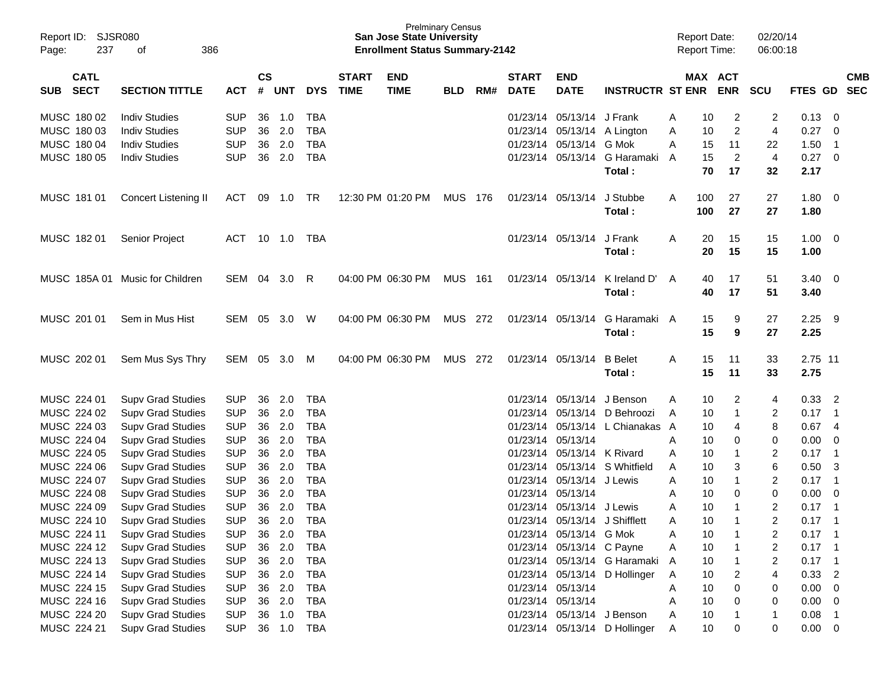| Page: | Report ID: SJSR080<br>237  | 386<br>οf                       |            |                    |            |            |                             | <b>San Jose State University</b><br><b>Enrollment Status Summary-2142</b> | <b>Prelminary Census</b> |     |                             |                               |                                 |   | <b>Report Date:</b><br>Report Time: |                | 02/20/14<br>06:00:18    |             |                            |            |
|-------|----------------------------|---------------------------------|------------|--------------------|------------|------------|-----------------------------|---------------------------------------------------------------------------|--------------------------|-----|-----------------------------|-------------------------------|---------------------------------|---|-------------------------------------|----------------|-------------------------|-------------|----------------------------|------------|
| SUB   | <b>CATL</b><br><b>SECT</b> | <b>SECTION TITTLE</b>           | <b>ACT</b> | $\mathsf{cs}$<br># | <b>UNT</b> | <b>DYS</b> | <b>START</b><br><b>TIME</b> | <b>END</b><br><b>TIME</b>                                                 | <b>BLD</b>               | RM# | <b>START</b><br><b>DATE</b> | <b>END</b><br><b>DATE</b>     | <b>INSTRUCTR ST ENR</b>         |   | MAX ACT                             | <b>ENR</b>     | <b>SCU</b>              | FTES GD SEC |                            | <b>CMB</b> |
|       | MUSC 180 02                | <b>Indiv Studies</b>            | <b>SUP</b> | 36                 | 1.0        | TBA        |                             |                                                                           |                          |     |                             | 01/23/14 05/13/14 J Frank     |                                 | A | 10                                  | 2              | 2                       | 0.13        | - 0                        |            |
|       | MUSC 180 03                | <b>Indiv Studies</b>            | <b>SUP</b> | 36                 | 2.0        | <b>TBA</b> |                             |                                                                           |                          |     |                             |                               | 01/23/14 05/13/14 A Lington     | Α | 10                                  | $\overline{c}$ | $\overline{4}$          | 0.27        | $\overline{\mathbf{0}}$    |            |
|       | MUSC 180 04                | <b>Indiv Studies</b>            | <b>SUP</b> |                    | 36 2.0     | <b>TBA</b> |                             |                                                                           |                          |     |                             | 01/23/14 05/13/14 G Mok       |                                 | A | 15                                  | 11             | 22                      | 1.50        | $\overline{\phantom{1}}$   |            |
|       | MUSC 180 05                | <b>Indiv Studies</b>            | <b>SUP</b> |                    | 36 2.0     | <b>TBA</b> |                             |                                                                           |                          |     |                             |                               | 01/23/14 05/13/14 G Haramaki    | A | 15                                  | $\overline{2}$ | $\overline{4}$          | 0.27 0      |                            |            |
|       |                            |                                 |            |                    |            |            |                             |                                                                           |                          |     |                             |                               | Total:                          |   | 70                                  | 17             | 32                      | 2.17        |                            |            |
|       | MUSC 181 01                | Concert Listening II            | ACT        | 09                 | 1.0        | TR         |                             | 12:30 PM 01:20 PM                                                         | <b>MUS 176</b>           |     |                             | 01/23/14 05/13/14             | J Stubbe                        | A | 100                                 | 27             | 27                      | $1.80 \ 0$  |                            |            |
|       |                            |                                 |            |                    |            |            |                             |                                                                           |                          |     |                             |                               | Total:                          |   | 100                                 | 27             | 27                      | 1.80        |                            |            |
|       | MUSC 18201                 | <b>Senior Project</b>           | ACT        |                    | 10 1.0     | TBA        |                             |                                                                           |                          |     |                             | 01/23/14 05/13/14             | J Frank                         | A | 20                                  | 15             | 15                      | $1.00 \t 0$ |                            |            |
|       |                            |                                 |            |                    |            |            |                             |                                                                           |                          |     |                             |                               | Total:                          |   | 20                                  | 15             | 15                      | 1.00        |                            |            |
|       |                            | MUSC 185A 01 Music for Children | SEM 04     |                    | 3.0        | R          |                             | 04:00 PM 06:30 PM                                                         | <b>MUS 161</b>           |     |                             | 01/23/14 05/13/14             | K Ireland D'                    | A | 40                                  | 17             | 51                      | $3.40 \ 0$  |                            |            |
|       |                            |                                 |            |                    |            |            |                             |                                                                           |                          |     |                             |                               | Total:                          |   | 40                                  | 17             | 51                      | 3.40        |                            |            |
|       | MUSC 201 01                | Sem in Mus Hist                 | SEM        | 05                 | 3.0        | W          |                             | 04:00 PM 06:30 PM                                                         | MUS 272                  |     |                             | 01/23/14 05/13/14             | G Haramaki A                    |   | 15                                  | 9              | 27                      | 2.25        | - 9                        |            |
|       |                            |                                 |            |                    |            |            |                             |                                                                           |                          |     |                             |                               | Total:                          |   | 15                                  | 9              | 27                      | 2.25        |                            |            |
|       | MUSC 202 01                | Sem Mus Sys Thry                | SEM        | 05                 | 3.0        | M          |                             | 04:00 PM 06:30 PM                                                         | MUS                      | 272 |                             | 01/23/14 05/13/14             | <b>B</b> Belet                  | A | 15                                  | 11             | 33                      | 2.75 11     |                            |            |
|       |                            |                                 |            |                    |            |            |                             |                                                                           |                          |     |                             |                               | Total:                          |   | 15                                  | 11             | 33                      | 2.75        |                            |            |
|       | MUSC 224 01                | <b>Supv Grad Studies</b>        | <b>SUP</b> | 36                 | 2.0        | TBA        |                             |                                                                           |                          |     |                             | 01/23/14 05/13/14 J Benson    |                                 | A | 10                                  | $\overline{c}$ | 4                       | 0.33        | $\overline{\phantom{a}}$   |            |
|       | MUSC 224 02                | <b>Supv Grad Studies</b>        | <b>SUP</b> | 36                 | 2.0        | <b>TBA</b> |                             |                                                                           |                          |     |                             |                               | 01/23/14 05/13/14 D Behroozi    | A | 10                                  | $\mathbf{1}$   | 2                       | 0.17        | $\overline{1}$             |            |
|       | MUSC 224 03                | <b>Supv Grad Studies</b>        | <b>SUP</b> | 36                 | 2.0        | <b>TBA</b> |                             |                                                                           |                          |     |                             |                               | 01/23/14 05/13/14 L Chianakas A |   | 10                                  | 4              | 8                       | 0.67        | $\overline{4}$             |            |
|       | MUSC 224 04                | <b>Supv Grad Studies</b>        | <b>SUP</b> | 36                 | 2.0        | <b>TBA</b> |                             |                                                                           |                          |     |                             | 01/23/14 05/13/14             |                                 | A | 10                                  | 0              | 0                       | 0.00        | $\overline{\mathbf{0}}$    |            |
|       | MUSC 224 05                | <b>Supv Grad Studies</b>        | <b>SUP</b> | 36                 | 2.0        | <b>TBA</b> |                             |                                                                           |                          |     |                             | 01/23/14 05/13/14 K Rivard    |                                 | A | 10                                  |                | $\overline{c}$          | 0.17        | $\overline{1}$             |            |
|       | MUSC 224 06                | <b>Supv Grad Studies</b>        | <b>SUP</b> | 36                 | 2.0        | <b>TBA</b> |                             |                                                                           |                          |     |                             |                               | 01/23/14 05/13/14 S Whitfield   | A | 10                                  | 3              | $\,6$                   | 0.50        | $\overline{\mathbf{3}}$    |            |
|       | MUSC 224 07                | <b>Supv Grad Studies</b>        | <b>SUP</b> | 36                 | 2.0        | <b>TBA</b> |                             |                                                                           |                          |     |                             | 01/23/14 05/13/14 J Lewis     |                                 | A | 10                                  | $\mathbf{1}$   | $\overline{2}$          | $0.17$ 1    |                            |            |
|       | MUSC 224 08                | <b>Supv Grad Studies</b>        | <b>SUP</b> | 36                 | 2.0        | <b>TBA</b> |                             |                                                                           |                          |     |                             | 01/23/14 05/13/14             |                                 | A | 10                                  | 0              | $\,0\,$                 | 0.00        | $\overline{0}$             |            |
|       | MUSC 224 09                | <b>Supv Grad Studies</b>        | <b>SUP</b> | 36                 | 2.0        | <b>TBA</b> |                             |                                                                           |                          |     |                             | 01/23/14 05/13/14             | J Lewis                         | A | 10                                  | $\mathbf{1}$   | $\boldsymbol{2}$        | 0.17        | $\overline{\phantom{0}}$ 1 |            |
|       | MUSC 224 10                | <b>Supv Grad Studies</b>        | <b>SUP</b> | 36                 | 2.0        | <b>TBA</b> |                             |                                                                           |                          |     |                             | 01/23/14 05/13/14 J Shifflett |                                 | A | 10                                  | $\mathbf{1}$   | $\overline{2}$          | 0.17        | $\overline{1}$             |            |
|       | MUSC 224 11                | <b>Supv Grad Studies</b>        | <b>SUP</b> | 36                 | 2.0        | <b>TBA</b> |                             |                                                                           |                          |     |                             | 01/23/14 05/13/14 G Mok       |                                 | Α | 10                                  |                | 2                       | $0.17$ 1    |                            |            |
|       | MUSC 224 12                | <b>Supv Grad Studies</b>        | <b>SUP</b> |                    | 36 2.0     | <b>TBA</b> |                             |                                                                           |                          |     |                             | 01/23/14 05/13/14 C Payne     |                                 | A | 10                                  |                | $\overline{\mathbf{c}}$ | 0.17        | $\blacksquare$             |            |
|       | MUSC 224 13                | <b>Supv Grad Studies</b>        | <b>SUP</b> |                    | 36 2.0     | <b>TBA</b> |                             |                                                                           |                          |     |                             |                               | 01/23/14 05/13/14 G Haramaki    | A | 10                                  |                | $\overline{\mathbf{c}}$ | $0.17$ 1    |                            |            |
|       | MUSC 224 14                | <b>Supv Grad Studies</b>        | <b>SUP</b> |                    | 36 2.0     | <b>TBA</b> |                             |                                                                           |                          |     |                             |                               | 01/23/14 05/13/14 D Hollinger   | A | 10                                  | 2              | 4                       | $0.33$ 2    |                            |            |
|       | MUSC 224 15                | <b>Supv Grad Studies</b>        | <b>SUP</b> |                    | 36 2.0     | <b>TBA</b> |                             |                                                                           |                          |     |                             | 01/23/14 05/13/14             |                                 | Α | 10                                  | 0              | 0                       | $0.00 \t 0$ |                            |            |
|       | MUSC 224 16                | <b>Supv Grad Studies</b>        | <b>SUP</b> |                    | 36 2.0     | <b>TBA</b> |                             |                                                                           |                          |     |                             | 01/23/14 05/13/14             |                                 | A | 10                                  | 0              | 0                       | $0.00 \t 0$ |                            |            |
|       | MUSC 224 20                | <b>Supv Grad Studies</b>        | <b>SUP</b> | 36                 | 1.0        | <b>TBA</b> |                             |                                                                           |                          |     |                             | 01/23/14 05/13/14 J Benson    |                                 | Α | 10                                  |                | 1                       | 0.08        | $\overline{\phantom{0}}$ 1 |            |
|       | MUSC 224 21                | <b>Supv Grad Studies</b>        | <b>SUP</b> |                    | 36 1.0     | TBA        |                             |                                                                           |                          |     |                             |                               | 01/23/14 05/13/14 D Hollinger   | A | 10                                  | 0              | 0                       | $0.00 \t 0$ |                            |            |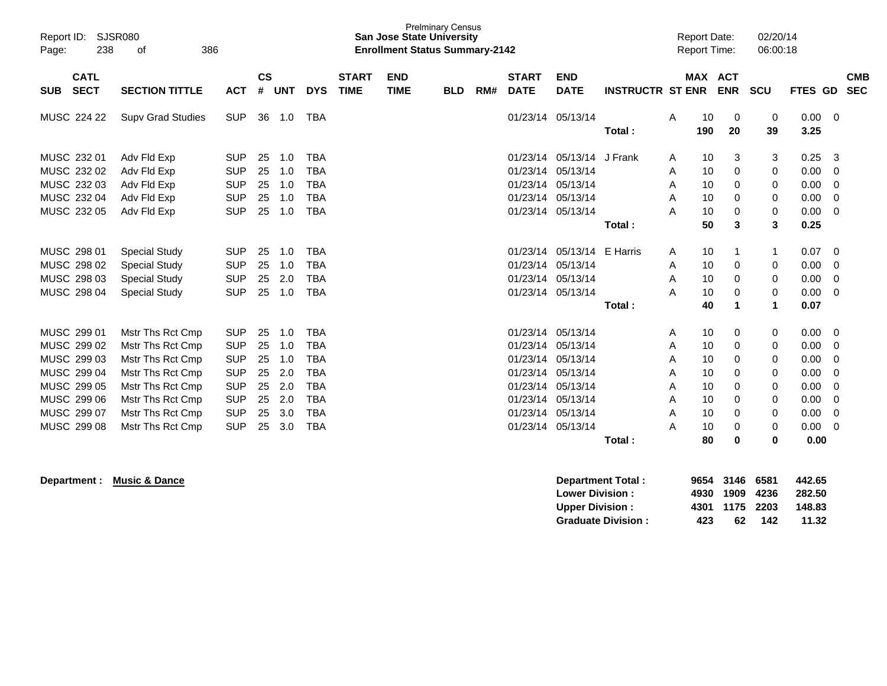| Report ID:<br>238<br>Page:                                                                                           | <b>SJSR080</b><br>386<br>οf                                                                                                                                  |                                                                                                              | <b>Prelminary Census</b><br><b>San Jose State University</b><br><b>Enrollment Status Summary-2142</b> |                                                      |                                                                                                              |                             |                           |            |     | 02/20/14<br><b>Report Date:</b><br>06:00:18<br><b>Report Time:</b>                           |                                                                                              |                         |                                      |                                                    |                                                         |                                                  |                                                                      |                                                            |
|----------------------------------------------------------------------------------------------------------------------|--------------------------------------------------------------------------------------------------------------------------------------------------------------|--------------------------------------------------------------------------------------------------------------|-------------------------------------------------------------------------------------------------------|------------------------------------------------------|--------------------------------------------------------------------------------------------------------------|-----------------------------|---------------------------|------------|-----|----------------------------------------------------------------------------------------------|----------------------------------------------------------------------------------------------|-------------------------|--------------------------------------|----------------------------------------------------|---------------------------------------------------------|--------------------------------------------------|----------------------------------------------------------------------|------------------------------------------------------------|
| <b>CATL</b><br><b>SECT</b><br><b>SUB</b>                                                                             | <b>SECTION TITTLE</b>                                                                                                                                        | <b>ACT</b>                                                                                                   | $\mathsf{cs}$<br>#                                                                                    | <b>UNT</b>                                           | <b>DYS</b>                                                                                                   | <b>START</b><br><b>TIME</b> | <b>END</b><br><b>TIME</b> | <b>BLD</b> | RM# | <b>START</b><br><b>DATE</b>                                                                  | <b>END</b><br><b>DATE</b>                                                                    | <b>INSTRUCTR ST ENR</b> |                                      | <b>MAX ACT</b>                                     | <b>ENR</b>                                              | <b>SCU</b>                                       | FTES GD                                                              | <b>CMB</b><br><b>SEC</b>                                   |
| MUSC 224 22                                                                                                          | <b>Supv Grad Studies</b>                                                                                                                                     | <b>SUP</b>                                                                                                   | 36                                                                                                    | 1.0                                                  | <b>TBA</b>                                                                                                   |                             |                           |            |     |                                                                                              | 01/23/14 05/13/14                                                                            | Total:                  | A                                    | 10<br>190                                          | 0<br>20                                                 | 0<br>39                                          | 0.00<br>3.25                                                         | $\overline{0}$                                             |
| MUSC 232 01<br>MUSC 232 02<br>MUSC 232 03<br>MUSC 232 04<br>MUSC 232 05                                              | Adv Fld Exp<br>Adv Fld Exp<br>Adv Fld Exp<br>Adv Fld Exp<br>Adv Fld Exp                                                                                      | <b>SUP</b><br><b>SUP</b><br><b>SUP</b><br><b>SUP</b><br><b>SUP</b>                                           | 25<br>25<br>25<br>25<br>25                                                                            | 1.0<br>1.0<br>1.0<br>1.0<br>1.0                      | <b>TBA</b><br><b>TBA</b><br><b>TBA</b><br>TBA<br><b>TBA</b>                                                  |                             |                           |            |     | 01/23/14<br>01/23/14<br>01/23/14<br>01/23/14                                                 | 05/13/14 J Frank<br>05/13/14<br>05/13/14<br>01/23/14 05/13/14<br>05/13/14                    | Total:                  | A<br>Α<br>A<br>A<br>A                | 10<br>10<br>10<br>10<br>10<br>50                   | 3<br>0<br>0<br>0<br>0<br>3                              | 3<br>0<br>0<br>0<br>0<br>3                       | 0.25<br>0.00<br>0.00<br>0.00<br>0.00<br>0.25                         | 3<br>0<br>0<br>0<br>$\overline{0}$                         |
| MUSC 298 01<br>MUSC 298 02<br>MUSC 298 03<br>MUSC 298 04                                                             | <b>Special Study</b><br><b>Special Study</b><br><b>Special Study</b><br><b>Special Study</b>                                                                 | <b>SUP</b><br><b>SUP</b><br><b>SUP</b><br><b>SUP</b>                                                         | 25<br>25<br>25<br>25                                                                                  | 1.0<br>1.0<br>2.0<br>1.0                             | <b>TBA</b><br><b>TBA</b><br><b>TBA</b><br><b>TBA</b>                                                         |                             |                           |            |     | 01/23/14<br>01/23/14                                                                         | 05/13/14 E Harris<br>05/13/14<br>01/23/14 05/13/14<br>01/23/14 05/13/14                      | Total:                  | A<br>A<br>A<br>A                     | 10<br>10<br>10<br>10<br>40                         | $\mathbf{1}$<br>0<br>0<br>0<br>1                        | 0<br>0<br>0<br>$\blacktriangleleft$              | 0.07<br>0.00<br>0.00<br>0.00<br>0.07                                 | - 0<br>0<br>$\mathbf 0$<br>-0                              |
| MUSC 299 01<br>MUSC 299 02<br>MUSC 299 03<br>MUSC 299 04<br>MUSC 299 05<br>MUSC 299 06<br>MUSC 299 07<br>MUSC 299 08 | Mstr Ths Rct Cmp<br>Mstr Ths Rct Cmp<br>Mstr Ths Rct Cmp<br>Mstr Ths Rct Cmp<br>Mstr Ths Rct Cmp<br>Mstr Ths Rct Cmp<br>Mstr Ths Rct Cmp<br>Mstr Ths Rct Cmp | <b>SUP</b><br><b>SUP</b><br><b>SUP</b><br><b>SUP</b><br><b>SUP</b><br><b>SUP</b><br><b>SUP</b><br><b>SUP</b> | 25<br>25<br>25<br>25<br>25<br>25<br>25<br>25                                                          | 1.0<br>1.0<br>1.0<br>2.0<br>2.0<br>2.0<br>3.0<br>3.0 | <b>TBA</b><br><b>TBA</b><br><b>TBA</b><br><b>TBA</b><br><b>TBA</b><br><b>TBA</b><br><b>TBA</b><br><b>TBA</b> |                             |                           |            |     | 01/23/14<br>01/23/14<br>01/23/14<br>01/23/14<br>01/23/14<br>01/23/14<br>01/23/14<br>01/23/14 | 05/13/14<br>05/13/14<br>05/13/14<br>05/13/14<br>05/13/14<br>05/13/14<br>05/13/14<br>05/13/14 | Total:                  | A<br>A<br>A<br>A<br>A<br>A<br>A<br>A | 10<br>10<br>10<br>10<br>10<br>10<br>10<br>10<br>80 | 0<br>0<br>0<br>0<br>$\Omega$<br>0<br>0<br>0<br>$\bf{0}$ | 0<br>0<br>0<br>0<br>0<br>0<br>0<br>0<br>$\bf{0}$ | 0.00<br>0.00<br>0.00<br>0.00<br>0.00<br>0.00<br>0.00<br>0.00<br>0.00 | $\overline{0}$<br>0<br>0<br>-0<br>$\Omega$<br>0<br>-0<br>0 |

**Department : Music & Dance 3146 Australia 2018 12 Austral 2018 12: Performent Total : 9654 3146 6581 442.65 Lower Division : 4930 1909 4236 282.50 Upper Division : 4301 1175 2203 148.83 Graduate Division : 423 62 142 11.32**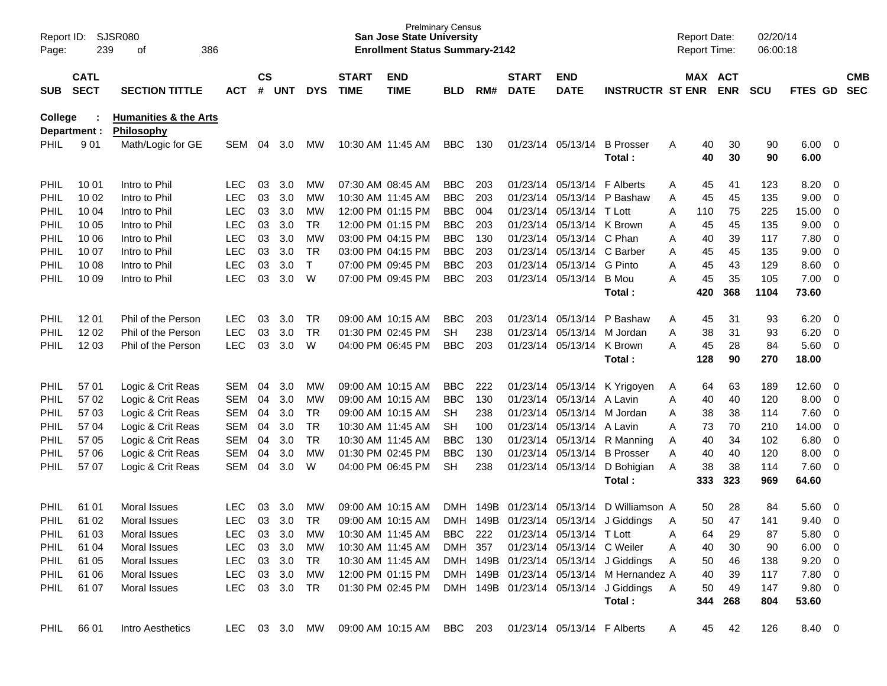| Page:          | SJSR080<br>Report ID:<br>239<br>386<br>οf |                                                |            | <b>Prelminary Census</b><br><b>San Jose State University</b><br><b>Enrollment Status Summary-2142</b> |        |            |                             |                           |                |      | <b>Report Date:</b><br>Report Time: |                             |                                          | 02/20/14<br>06:00:18 |          |            |            |                |                          |                          |
|----------------|-------------------------------------------|------------------------------------------------|------------|-------------------------------------------------------------------------------------------------------|--------|------------|-----------------------------|---------------------------|----------------|------|-------------------------------------|-----------------------------|------------------------------------------|----------------------|----------|------------|------------|----------------|--------------------------|--------------------------|
| <b>SUB</b>     | <b>CATL</b><br><b>SECT</b>                | <b>SECTION TITTLE</b>                          | <b>ACT</b> | $\mathsf{cs}$<br>#                                                                                    | UNT    | <b>DYS</b> | <b>START</b><br><b>TIME</b> | <b>END</b><br><b>TIME</b> | <b>BLD</b>     | RM#  | <b>START</b><br><b>DATE</b>         | <b>END</b><br><b>DATE</b>   | <b>INSTRUCTR ST ENR</b>                  |                      | MAX ACT  | <b>ENR</b> | <b>SCU</b> | <b>FTES GD</b> |                          | <b>CMB</b><br><b>SEC</b> |
| <b>College</b> | Department :                              | <b>Humanities &amp; the Arts</b><br>Philosophy |            |                                                                                                       |        |            |                             |                           |                |      |                                     |                             |                                          |                      |          |            |            |                |                          |                          |
| <b>PHIL</b>    | 901                                       | Math/Logic for GE                              | <b>SEM</b> | 04                                                                                                    | 3.0    | МW         |                             | 10:30 AM 11:45 AM         | <b>BBC</b>     | 130  |                                     | 01/23/14 05/13/14           | <b>B</b> Prosser<br>Total:               | A                    | 40<br>40 | 30<br>30   | 90<br>90   | 6.00<br>6.00   | $\overline{\phantom{0}}$ |                          |
| <b>PHIL</b>    | 10 01                                     | Intro to Phil                                  | LEC        | 03                                                                                                    | 3.0    | MW         |                             | 07:30 AM 08:45 AM         | <b>BBC</b>     | 203  |                                     | 01/23/14 05/13/14 F Alberts |                                          | Α                    | 45       | 41         | 123        | 8.20           | - 0                      |                          |
| PHIL           | 10 02                                     | Intro to Phil                                  | <b>LEC</b> | 03                                                                                                    | 3.0    | МW         |                             | 10:30 AM 11:45 AM         | <b>BBC</b>     | 203  | 01/23/14                            | 05/13/14                    | P Bashaw                                 | A                    | 45       | 45         | 135        | 9.00           | $\overline{0}$           |                          |
| <b>PHIL</b>    | 10 04                                     | Intro to Phil                                  | <b>LEC</b> | 03                                                                                                    | 3.0    | MW         |                             | 12:00 PM 01:15 PM         | <b>BBC</b>     | 004  | 01/23/14                            | 05/13/14 T Lott             |                                          | A                    | 110      | 75         | 225        | 15.00          | $\overline{0}$           |                          |
| PHIL           | 10 05                                     | Intro to Phil                                  | <b>LEC</b> | 03                                                                                                    | 3.0    | <b>TR</b>  |                             | 12:00 PM 01:15 PM         | <b>BBC</b>     | 203  | 01/23/14                            | 05/13/14 K Brown            |                                          | Α                    | 45       | 45         | 135        | 9.00           | $\overline{0}$           |                          |
| PHIL           | 10 06                                     | Intro to Phil                                  | <b>LEC</b> | 03                                                                                                    | 3.0    | <b>MW</b>  |                             | 03:00 PM 04:15 PM         | <b>BBC</b>     | 130  |                                     | 01/23/14 05/13/14 C Phan    |                                          | A                    | 40       | 39         | 117        | 7.80           | $\overline{0}$           |                          |
| <b>PHIL</b>    | 10 07                                     | Intro to Phil                                  | <b>LEC</b> | 03                                                                                                    | 3.0    | <b>TR</b>  |                             | 03:00 PM 04:15 PM         | <b>BBC</b>     | 203  | 01/23/14                            | 05/13/14 C Barber           |                                          | Α                    | 45       | 45         | 135        | 9.00           | $\overline{0}$           |                          |
| <b>PHIL</b>    | 10 08                                     | Intro to Phil                                  | <b>LEC</b> | 03                                                                                                    | 3.0    | T.         |                             | 07:00 PM 09:45 PM         | <b>BBC</b>     | 203  | 01/23/14                            | 05/13/14 G Pinto            |                                          | A                    | 45       | 43         | 129        | 8.60           | $\overline{0}$           |                          |
| PHIL           | 10 09                                     | Intro to Phil                                  | <b>LEC</b> | 03                                                                                                    | 3.0    | W          |                             | 07:00 PM 09:45 PM         | <b>BBC</b>     | 203  |                                     | 01/23/14 05/13/14           | B Mou                                    | A                    | 45       | 35         | 105        | 7.00           | $\overline{\mathbf{0}}$  |                          |
|                |                                           |                                                |            |                                                                                                       |        |            |                             |                           |                |      |                                     |                             | Total:                                   |                      | 420      | 368        | 1104       | 73.60          |                          |                          |
| <b>PHIL</b>    | 12 01                                     | Phil of the Person                             | <b>LEC</b> | 03                                                                                                    | 3.0    | TR.        |                             | 09:00 AM 10:15 AM         | <b>BBC</b>     | 203  |                                     | 01/23/14 05/13/14           | P Bashaw                                 | A                    | 45       | 31         | 93         | 6.20           | - 0                      |                          |
| <b>PHIL</b>    | 12 02                                     | Phil of the Person                             | <b>LEC</b> | 03                                                                                                    | 3.0    | <b>TR</b>  |                             | 01:30 PM 02:45 PM         | <b>SH</b>      | 238  |                                     | 01/23/14 05/13/14 M Jordan  |                                          | A                    | 38       | 31         | 93         | 6.20           | $\overline{0}$           |                          |
| <b>PHIL</b>    | 12 03                                     | Phil of the Person                             | <b>LEC</b> | 03                                                                                                    | 3.0    | W          |                             | 04:00 PM 06:45 PM         | <b>BBC</b>     | 203  |                                     | 01/23/14 05/13/14 K Brown   |                                          | Α                    | 45       | 28         | 84         | 5.60           | $\overline{\mathbf{0}}$  |                          |
|                |                                           |                                                |            |                                                                                                       |        |            |                             |                           |                |      |                                     |                             | Total:                                   |                      | 128      | 90         | 270        | 18.00          |                          |                          |
| <b>PHIL</b>    | 57 01                                     | Logic & Crit Reas                              | SEM        | 04                                                                                                    | 3.0    | MW         |                             | 09:00 AM 10:15 AM         | <b>BBC</b>     | 222  |                                     |                             | 01/23/14 05/13/14 K Yrigoyen             | A                    | 64       | 63         | 189        | 12.60          | - 0                      |                          |
| <b>PHIL</b>    | 57 02                                     | Logic & Crit Reas                              | SEM        | 04                                                                                                    | 3.0    | МW         |                             | 09:00 AM 10:15 AM         | <b>BBC</b>     | 130  |                                     | 01/23/14 05/13/14 A Lavin   |                                          | A                    | 40       | 40         | 120        | 8.00           | $\overline{\mathbf{0}}$  |                          |
| <b>PHIL</b>    | 57 03                                     | Logic & Crit Reas                              | SEM        | 04                                                                                                    | 3.0    | <b>TR</b>  |                             | 09:00 AM 10:15 AM         | <b>SH</b>      | 238  |                                     | 01/23/14 05/13/14 M Jordan  |                                          | Α                    | 38       | 38         | 114        | 7.60           | $\overline{0}$           |                          |
| <b>PHIL</b>    | 57 04                                     | Logic & Crit Reas                              | SEM        | 04                                                                                                    | 3.0    | <b>TR</b>  |                             | 10:30 AM 11:45 AM         | <b>SH</b>      | 100  |                                     | 01/23/14 05/13/14 A Lavin   |                                          | A                    | 73       | 70         | 210        | 14.00          | $\overline{0}$           |                          |
| <b>PHIL</b>    | 57 05                                     | Logic & Crit Reas                              | SEM        | 04                                                                                                    | 3.0    | <b>TR</b>  |                             | 10:30 AM 11:45 AM         | <b>BBC</b>     | 130  |                                     |                             | 01/23/14 05/13/14 R Manning              | Α                    | 40       | 34         | 102        | 6.80           | $\overline{0}$           |                          |
| <b>PHIL</b>    | 57 06                                     | Logic & Crit Reas                              | <b>SEM</b> | 04                                                                                                    | 3.0    | <b>MW</b>  |                             | 01:30 PM 02:45 PM         | <b>BBC</b>     | 130  |                                     |                             | 01/23/14 05/13/14 B Prosser              | A                    | 40       | 40         | 120        | 8.00           | $\overline{0}$           |                          |
| <b>PHIL</b>    | 57 07                                     | Logic & Crit Reas                              | <b>SEM</b> | 04                                                                                                    | 3.0    | W          |                             | 04:00 PM 06:45 PM         | <b>SH</b>      | 238  |                                     |                             | 01/23/14 05/13/14 D Bohigian             | A                    | 38       | 38         | 114        | 7.60           | - 0                      |                          |
|                |                                           |                                                |            |                                                                                                       |        |            |                             |                           |                |      |                                     |                             | Total:                                   |                      | 333      | 323        | 969        | 64.60          |                          |                          |
| <b>PHIL</b>    | 61 01                                     | Moral Issues                                   | LEC        | 03                                                                                                    | 3.0    | MW         |                             | 09:00 AM 10:15 AM         | <b>DMH</b>     | 149B | 01/23/14                            | 05/13/14                    | D Williamson A                           |                      | 50       | 28         | 84         | 5.60           | $\overline{\mathbf{0}}$  |                          |
| <b>PHIL</b>    | 61 02                                     | Moral Issues                                   | <b>LEC</b> | 03                                                                                                    | 3.0    | <b>TR</b>  |                             | 09:00 AM 10:15 AM         | <b>DMH</b>     |      |                                     |                             | 149B 01/23/14 05/13/14 J Giddings        | A                    | 50       | 47         | 141        | 9.40           | $\overline{0}$           |                          |
| <b>PHIL</b>    | 61 03                                     | Moral Issues                                   | <b>LEC</b> | 03                                                                                                    | 3.0    | MW         |                             | 10:30 AM 11:45 AM         | <b>BBC</b> 222 |      |                                     | 01/23/14 05/13/14 T Lott    |                                          | Α                    | 64       | 29         | 87         | 5.80 0         |                          |                          |
| PHIL           | 61 04                                     | Moral Issues                                   | <b>LEC</b> | 03                                                                                                    | 3.0    | MW         |                             | 10:30 AM 11:45 AM         | DMH 357        |      |                                     | 01/23/14 05/13/14 C Weiler  |                                          | A                    | 40       | 30         | 90         | $6.00 \t 0$    |                          |                          |
| PHIL           | 61 05                                     | Moral Issues                                   | <b>LEC</b> |                                                                                                       | 03 3.0 | TR         |                             | 10:30 AM 11:45 AM         |                |      |                                     |                             | DMH 149B 01/23/14 05/13/14 J Giddings    | A                    | 50       | 46         | 138        | $9.20 \ 0$     |                          |                          |
| PHIL           | 61 06                                     | Moral Issues                                   | <b>LEC</b> |                                                                                                       | 03 3.0 | MW         |                             | 12:00 PM 01:15 PM         |                |      |                                     |                             | DMH 149B 01/23/14 05/13/14 M Hernandez A |                      | 40       | 39         | 117        | $7.80\quad 0$  |                          |                          |
| PHIL           | 61 07                                     | Moral Issues                                   | <b>LEC</b> |                                                                                                       | 03 3.0 | TR         |                             | 01:30 PM 02:45 PM         |                |      |                                     |                             | DMH 149B 01/23/14 05/13/14 J Giddings    | A                    | 50       | 49         | 147        | 9.80 0         |                          |                          |
|                |                                           |                                                |            |                                                                                                       |        |            |                             |                           |                |      |                                     |                             | Total:                                   |                      | 344      | 268        | 804        | 53.60          |                          |                          |
| PHIL           | 66 01                                     | Intro Aesthetics                               | LEC 03 3.0 |                                                                                                       |        | MW         |                             | 09:00 AM 10:15 AM BBC 203 |                |      |                                     | 01/23/14 05/13/14 F Alberts |                                          | A                    | 45       | 42         | 126        | 8.40 0         |                          |                          |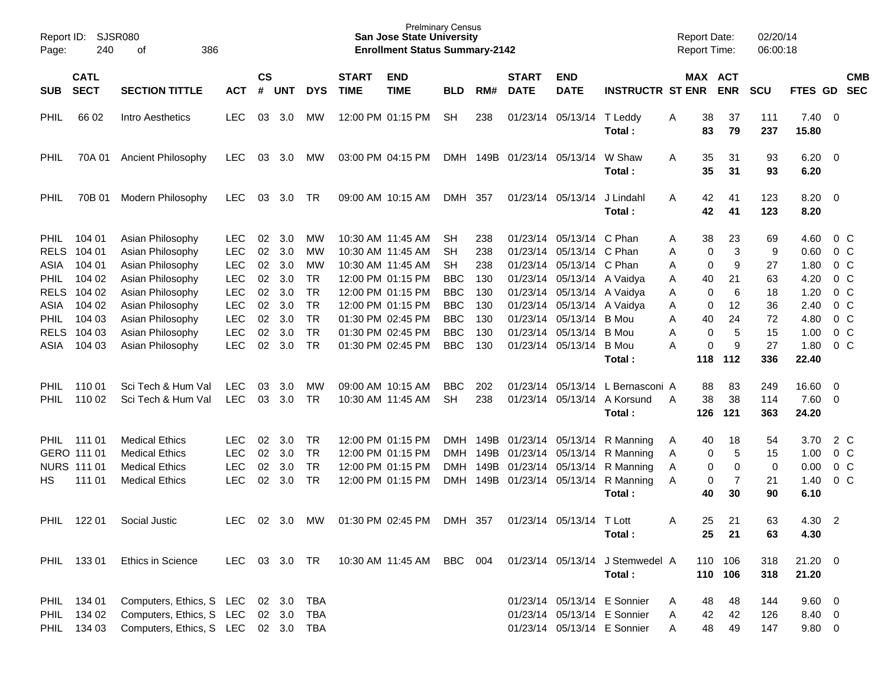| SJSR080<br>Report ID:<br>240<br>386<br>Page:<br>οf |                                                            |                                                                                                  |                                                      | <b>Prelminary Census</b><br><b>San Jose State University</b><br><b>Enrollment Status Summary-2142</b> |                          |                                           |                             |                                                                                  |                                        |                                  |                                                                                  |                                                             |                                                                                           | <b>Report Date:</b><br><b>Report Time:</b> |                         |                         | 02/20/14<br>06:00:18      |                                      |                          |                                                           |
|----------------------------------------------------|------------------------------------------------------------|--------------------------------------------------------------------------------------------------|------------------------------------------------------|-------------------------------------------------------------------------------------------------------|--------------------------|-------------------------------------------|-----------------------------|----------------------------------------------------------------------------------|----------------------------------------|----------------------------------|----------------------------------------------------------------------------------|-------------------------------------------------------------|-------------------------------------------------------------------------------------------|--------------------------------------------|-------------------------|-------------------------|---------------------------|--------------------------------------|--------------------------|-----------------------------------------------------------|
| <b>SUB</b>                                         | <b>CATL</b><br><b>SECT</b>                                 | <b>SECTION TITTLE</b>                                                                            | <b>ACT</b>                                           | $\mathsf{cs}$<br>#                                                                                    | <b>UNT</b>               | <b>DYS</b>                                | <b>START</b><br><b>TIME</b> | <b>END</b><br><b>TIME</b>                                                        | <b>BLD</b>                             | RM#                              | <b>START</b><br><b>DATE</b>                                                      | <b>END</b><br><b>DATE</b>                                   | <b>INSTRUCTR ST ENR</b>                                                                   |                                            |                         | MAX ACT<br><b>ENR</b>   | <b>SCU</b>                | FTES GD                              |                          | <b>CMB</b><br><b>SEC</b>                                  |
| <b>PHIL</b>                                        | 66 02                                                      | Intro Aesthetics                                                                                 | <b>LEC</b>                                           | 03                                                                                                    | 3.0                      | <b>MW</b>                                 |                             | 12:00 PM 01:15 PM                                                                | <b>SH</b>                              | 238                              |                                                                                  | 01/23/14 05/13/14                                           | T Leddy<br>Total:                                                                         | A                                          | 38<br>83                | 37<br>79                | 111<br>237                | $7.40 \quad 0$<br>15.80              |                          |                                                           |
| PHIL                                               | 70A 01                                                     | <b>Ancient Philosophy</b>                                                                        | <b>LEC</b>                                           | 03                                                                                                    | 3.0                      | <b>MW</b>                                 |                             | 03:00 PM 04:15 PM                                                                |                                        |                                  | DMH 149B 01/23/14 05/13/14                                                       |                                                             | W Shaw<br>Total:                                                                          | A                                          | 35<br>35                | 31<br>31                | 93<br>93                  | 6.20<br>6.20                         | $\overline{\phantom{0}}$ |                                                           |
| PHIL                                               | 70B 01                                                     | Modern Philosophy                                                                                | <b>LEC</b>                                           | 03                                                                                                    | 3.0                      | <b>TR</b>                                 |                             | 09:00 AM 10:15 AM                                                                | DMH 357                                |                                  |                                                                                  | 01/23/14 05/13/14                                           | J Lindahl<br>Total:                                                                       | A                                          | 42<br>42                | 41<br>41                | 123<br>123                | 8.20<br>8.20                         | $\overline{\phantom{0}}$ |                                                           |
| <b>PHIL</b><br><b>RELS</b>                         | 104 01<br>104 01                                           | Asian Philosophy<br>Asian Philosophy                                                             | <b>LEC</b><br><b>LEC</b>                             | 02<br>02                                                                                              | 3.0<br>3.0               | <b>MW</b><br>MW                           |                             | 10:30 AM 11:45 AM<br>10:30 AM 11:45 AM                                           | <b>SH</b><br><b>SH</b>                 | 238<br>238                       |                                                                                  | 01/23/14 05/13/14<br>01/23/14 05/13/14                      | C Phan<br>C Phan                                                                          | Α<br>Α                                     | 38<br>0                 | 23<br>3                 | 69<br>9                   | 4.60<br>0.60                         |                          | 0 C<br>0 C                                                |
| ASIA<br><b>PHIL</b>                                | 104 01<br>104 02                                           | Asian Philosophy<br>Asian Philosophy                                                             | <b>LEC</b><br><b>LEC</b>                             | 02<br>02                                                                                              | 3.0<br>3.0               | MW<br><b>TR</b>                           |                             | 10:30 AM 11:45 AM<br>12:00 PM 01:15 PM                                           | <b>SH</b><br><b>BBC</b>                | 238<br>130                       |                                                                                  | 01/23/14 05/13/14 C Phan<br>01/23/14 05/13/14 A Vaidya      |                                                                                           | Α<br>Α                                     | 0<br>40                 | 9<br>21                 | 27<br>63                  | 1.80<br>4.20                         |                          | 0 <sup>o</sup><br>0 <sup>o</sup>                          |
| <b>RELS</b><br>ASIA                                | 104 02<br>104 02                                           | Asian Philosophy<br>Asian Philosophy                                                             | <b>LEC</b><br><b>LEC</b>                             | 02<br>02                                                                                              | 3.0<br>3.0               | <b>TR</b><br><b>TR</b>                    |                             | 12:00 PM 01:15 PM<br>12:00 PM 01:15 PM                                           | <b>BBC</b><br><b>BBC</b>               | 130<br>130                       |                                                                                  | 01/23/14 05/13/14 A Vaidya<br>01/23/14 05/13/14 A Vaidya    |                                                                                           | Α<br>Α                                     | 0<br>0                  | 6<br>12                 | 18<br>36                  | 1.20<br>2.40                         |                          | 0 <sup>o</sup><br>0 <sup>o</sup>                          |
| <b>PHIL</b><br><b>RELS</b><br>ASIA                 | 104 03<br>104 03<br>104 03                                 | Asian Philosophy<br>Asian Philosophy<br>Asian Philosophy                                         | <b>LEC</b><br><b>LEC</b><br><b>LEC</b>               | 02<br>02<br>02                                                                                        | 3.0<br>3.0<br>3.0        | <b>TR</b><br><b>TR</b><br><b>TR</b>       |                             | 01:30 PM 02:45 PM<br>01:30 PM 02:45 PM<br>01:30 PM 02:45 PM                      | <b>BBC</b><br><b>BBC</b><br><b>BBC</b> | 130<br>130<br>130                |                                                                                  | 01/23/14 05/13/14<br>01/23/14 05/13/14<br>01/23/14 05/13/14 | <b>B</b> Mou<br>B Mou<br><b>B</b> Mou                                                     | Α<br>Α<br>Α                                | 40<br>0<br>0            | 24<br>5<br>9            | 72<br>15<br>27            | 4.80<br>1.00<br>1.80                 |                          | 0 <sup>o</sup><br>0 <sup>o</sup><br>0 <sup>o</sup>        |
|                                                    |                                                            |                                                                                                  |                                                      |                                                                                                       |                          |                                           |                             |                                                                                  |                                        |                                  |                                                                                  |                                                             | Total:                                                                                    |                                            | 118                     | 112                     | 336                       | 22.40                                |                          |                                                           |
| <b>PHIL</b><br><b>PHIL</b>                         | 11001<br>110 02                                            | Sci Tech & Hum Val<br>Sci Tech & Hum Val                                                         | LEC.<br><b>LEC</b>                                   | 03<br>03                                                                                              | 3.0<br>3.0               | MW<br><b>TR</b>                           |                             | 09:00 AM 10:15 AM<br>10:30 AM 11:45 AM                                           | <b>BBC</b><br><b>SH</b>                | 202<br>238                       |                                                                                  | 01/23/14 05/13/14<br>01/23/14 05/13/14                      | L Bernasconi A<br>A Korsund<br>Total:                                                     | A                                          | 88<br>38<br>126         | 83<br>38<br>121         | 249<br>114<br>363         | $16.60 \quad 0$<br>7.60 0<br>24.20   |                          |                                                           |
| HS                                                 | PHIL 111 01<br>GERO 111 01<br><b>NURS 111 01</b><br>111 01 | <b>Medical Ethics</b><br><b>Medical Ethics</b><br><b>Medical Ethics</b><br><b>Medical Ethics</b> | <b>LEC</b><br><b>LEC</b><br><b>LEC</b><br><b>LEC</b> | 02<br>02<br>02<br>02                                                                                  | 3.0<br>3.0<br>3.0<br>3.0 | TR<br><b>TR</b><br><b>TR</b><br><b>TR</b> |                             | 12:00 PM 01:15 PM<br>12:00 PM 01:15 PM<br>12:00 PM 01:15 PM<br>12:00 PM 01:15 PM | DMH<br>DMH<br><b>DMH</b>               | DMH 149B<br>149B<br>149B<br>149B | 01/23/14 05/13/14<br>01/23/14 05/13/14<br>01/23/14 05/13/14<br>01/23/14 05/13/14 |                                                             | R Manning<br>R Manning<br>R Manning<br>R Manning<br>Total:                                | Α<br>Α<br>Α<br>A                           | 40<br>0<br>0<br>0<br>40 | 18<br>5<br>0<br>7<br>30 | 54<br>15<br>0<br>21<br>90 | 3.70<br>1.00<br>0.00<br>1.40<br>6.10 |                          | 2 C<br>0 <sup>o</sup><br>0 <sup>o</sup><br>0 <sup>o</sup> |
| <b>PHIL</b>                                        | 122 01                                                     | Social Justic                                                                                    | LEC.                                                 | 02                                                                                                    | 3.0                      | МW                                        |                             | 01:30 PM 02:45 PM                                                                | DMH 357                                |                                  |                                                                                  | 01/23/14 05/13/14 T Lott                                    | Total:                                                                                    | A                                          | 25<br>25                | 21<br>21                | 63<br>63                  | 4.30<br>4.30                         | $\overline{\phantom{a}}$ |                                                           |
|                                                    | PHIL 133 01                                                | <b>Ethics in Science</b>                                                                         | LEC                                                  |                                                                                                       | 03 3.0 TR                |                                           |                             | 10:30 AM 11:45 AM BBC                                                            |                                        | 004                              |                                                                                  |                                                             | 01/23/14 05/13/14 J Stemwedel A<br>Total:                                                 |                                            |                         | 110 106<br>110 106      | 318<br>318                | $21.20 \t 0$<br>21.20                |                          |                                                           |
|                                                    | PHIL 134 01<br>PHIL 134 02<br>PHIL 134 03                  | Computers, Ethics, S LEC<br>Computers, Ethics, S LEC<br>Computers, Ethics, S LEC 02 3.0 TBA      |                                                      |                                                                                                       | 02 3.0<br>02 3.0         | TBA<br><b>TBA</b>                         |                             |                                                                                  |                                        |                                  |                                                                                  |                                                             | 01/23/14 05/13/14 E Sonnier<br>01/23/14 05/13/14 E Sonnier<br>01/23/14 05/13/14 E Sonnier | A<br>A                                     | 48<br>42<br>48          | 48<br>42<br>49          | 144<br>126<br>147         | 9.60 0<br>8.40 0<br>$9.80\ 0$        |                          |                                                           |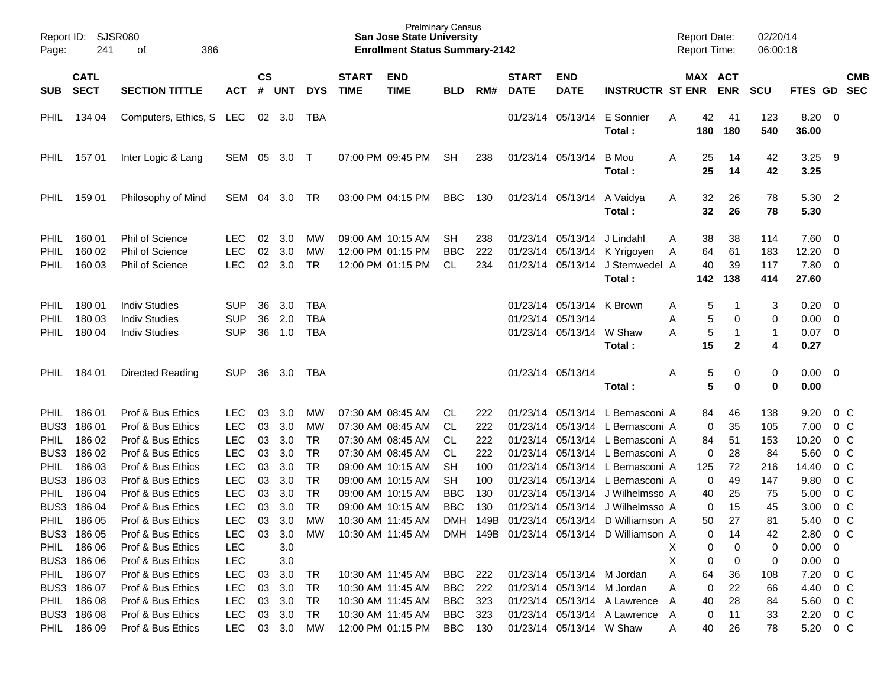| Page:       | <b>SJSR080</b><br>Report ID:<br>241<br>386<br>οf |                                        |            |           |               | <b>Prelminary Census</b><br><b>San Jose State University</b><br><b>Enrollment Status Summary-2142</b> |              |                   |                |     |              |                           |                                                             |   | 02/20/14<br><b>Report Date:</b><br>06:00:18<br><b>Report Time:</b> |                   |                   |               |                                      |
|-------------|--------------------------------------------------|----------------------------------------|------------|-----------|---------------|-------------------------------------------------------------------------------------------------------|--------------|-------------------|----------------|-----|--------------|---------------------------|-------------------------------------------------------------|---|--------------------------------------------------------------------|-------------------|-------------------|---------------|--------------------------------------|
|             | <b>CATL</b>                                      |                                        |            | <b>CS</b> |               |                                                                                                       | <b>START</b> | <b>END</b>        |                |     | <b>START</b> | <b>END</b>                |                                                             |   |                                                                    | MAX ACT           |                   |               | <b>CMB</b>                           |
| <b>SUB</b>  | <b>SECT</b>                                      | <b>SECTION TITTLE</b>                  | <b>ACT</b> | #         | <b>UNT</b>    | <b>DYS</b>                                                                                            | <b>TIME</b>  | <b>TIME</b>       | <b>BLD</b>     | RM# | <b>DATE</b>  | <b>DATE</b>               | <b>INSTRUCTR ST ENR</b>                                     |   |                                                                    | <b>ENR</b>        | <b>SCU</b>        | FTES GD       | <b>SEC</b>                           |
| PHIL        | 134 04                                           | Computers, Ethics, S LEC               |            | 02        | 3.0           | TBA                                                                                                   |              |                   |                |     | 01/23/14     | 05/13/14                  | E Sonnier<br>Total:                                         | A | 42<br>180                                                          | 41<br>180         | 123<br>540        | 8.20<br>36.00 | $\overline{\phantom{0}}$             |
| PHIL        | 157 01                                           | Inter Logic & Lang                     | SEM        | 05        | 3.0           | $\top$                                                                                                |              | 07:00 PM 09:45 PM | <b>SH</b>      | 238 |              | 01/23/14 05/13/14         | <b>B</b> Mou<br>Total:                                      | A | 25<br>25                                                           | 14<br>14          | 42<br>42          | 3.25<br>3.25  | - 9                                  |
| PHIL        | 159 01                                           | Philosophy of Mind                     | SEM        | 04        | 3.0           | TR                                                                                                    |              | 03:00 PM 04:15 PM | <b>BBC</b>     | 130 |              | 01/23/14 05/13/14         | A Vaidya<br>Total:                                          | A | 32<br>32                                                           | 26<br>26          | 78<br>78          | 5.30<br>5.30  | $\overline{2}$                       |
| PHIL        | 160 01                                           | <b>Phil of Science</b>                 | <b>LEC</b> | 02        | 3.0           | МW                                                                                                    |              | 09:00 AM 10:15 AM | SН             | 238 | 01/23/14     | 05/13/14                  | J Lindahl                                                   | A | 38                                                                 | 38                | 114               | 7.60          | - 0                                  |
| PHIL        | 160 02                                           | <b>Phil of Science</b>                 | <b>LEC</b> | 02        | 3.0           | МW                                                                                                    |              | 12:00 PM 01:15 PM | <b>BBC</b>     | 222 | 01/23/14     | 05/13/14                  | K Yrigoyen                                                  | A | 64                                                                 | 61                | 183               | 12.20         | 0                                    |
| PHIL        | 160 03                                           | <b>Phil of Science</b>                 | <b>LEC</b> | 02        | 3.0           | TR                                                                                                    |              | 12:00 PM 01:15 PM | CL             | 234 | 01/23/14     | 05/13/14                  | J Stemwedel A<br>Total:                                     |   | 40<br>142                                                          | 39<br>138         | 117<br>414        | 7.80<br>27.60 | $\overline{\mathbf{0}}$              |
| PHIL        | 180 01                                           | <b>Indiv Studies</b>                   | <b>SUP</b> | 36        | 3.0           | <b>TBA</b>                                                                                            |              |                   |                |     |              | 01/23/14 05/13/14 K Brown |                                                             | Α | 5                                                                  | -1                | 3                 | 0.20          | - 0                                  |
| PHIL        | 180 03                                           | <b>Indiv Studies</b>                   | <b>SUP</b> | 36        | 2.0           | <b>TBA</b>                                                                                            |              |                   |                |     | 01/23/14     | 05/13/14                  |                                                             | A | 5                                                                  | 0                 | 0                 | 0.00          | $\overline{\mathbf{0}}$              |
| PHIL        | 180 04                                           | <b>Indiv Studies</b>                   | <b>SUP</b> | 36        | 1.0           | <b>TBA</b>                                                                                            |              |                   |                |     |              | 01/23/14 05/13/14         | W Shaw<br>Total :                                           | A | 5<br>15                                                            | 1<br>$\mathbf{2}$ | $\mathbf{1}$<br>4 | 0.07<br>0.27  | - 0                                  |
| <b>PHIL</b> | 184 01                                           | <b>Directed Reading</b>                | <b>SUP</b> | 36        | 3.0           | TBA                                                                                                   |              |                   |                |     |              | 01/23/14 05/13/14         | Total:                                                      | A | 5<br>5                                                             | 0<br>0            | 0<br>0            | 0.00<br>0.00  | $\overline{\phantom{0}}$             |
| PHIL        | 186 01                                           | Prof & Bus Ethics                      | <b>LEC</b> | 03        | 3.0           | MW                                                                                                    |              | 07:30 AM 08:45 AM | CL.            | 222 | 01/23/14     | 05/13/14                  | L Bernasconi A                                              |   | 84                                                                 | 46                | 138               | 9.20          | $0\,C$                               |
| BUS3        | 186 01                                           | Prof & Bus Ethics                      | <b>LEC</b> | 03        | 3.0           | MW                                                                                                    |              | 07:30 AM 08:45 AM | CL             | 222 | 01/23/14     |                           | 05/13/14 L Bernasconi A                                     |   | 0                                                                  | 35                | 105               | 7.00          | $0\,C$                               |
| PHIL        | 186 02                                           | Prof & Bus Ethics                      | <b>LEC</b> | 03        | 3.0           | TR                                                                                                    |              | 07:30 AM 08:45 AM | CL             | 222 | 01/23/14     | 05/13/14                  | L Bernasconi A                                              |   | 84                                                                 | 51                | 153               | 10.20         | $0\,C$                               |
| BUS3        | 186 02                                           | Prof & Bus Ethics                      | <b>LEC</b> | 03        | 3.0           | TR                                                                                                    |              | 07:30 AM 08:45 AM | CL             | 222 | 01/23/14     | 05/13/14                  | L Bernasconi A                                              |   | 0                                                                  | 28                | 84                | 5.60          | 0 <sup>C</sup>                       |
| PHIL        | 186 03                                           | Prof & Bus Ethics                      | <b>LEC</b> | 03        | 3.0           | <b>TR</b>                                                                                             |              | 09:00 AM 10:15 AM | SН             | 100 | 01/23/14     | 05/13/14                  | L Bernasconi A                                              |   | 125                                                                | 72                | 216               | 14.40         | 0 <sup>C</sup>                       |
| BUS3        | 186 03                                           | Prof & Bus Ethics                      | <b>LEC</b> | 03        | 3.0           | <b>TR</b>                                                                                             |              | 09:00 AM 10:15 AM | <b>SH</b>      | 100 | 01/23/14     | 05/13/14                  | L Bernasconi A                                              |   | 0                                                                  | 49                | 147               | 9.80          | 0 <sup>C</sup>                       |
| PHIL        | 186 04                                           | Prof & Bus Ethics                      | <b>LEC</b> | 03        | 3.0           | <b>TR</b>                                                                                             |              | 09:00 AM 10:15 AM | <b>BBC</b>     | 130 | 01/23/14     | 05/13/14                  | J Wilhelmsso A                                              |   | 40                                                                 | 25                | 75                | 5.00          | $0\,C$                               |
| BUS3        | 186 04                                           | Prof & Bus Ethics                      | <b>LEC</b> | 03        | 3.0           | <b>TR</b>                                                                                             |              | 09:00 AM 10:15 AM | <b>BBC</b>     | 130 |              | 01/23/14 05/13/14         | J Wilhelmsso A                                              |   | 0                                                                  | 15                | 45                | 3.00          | 0 <sup>C</sup>                       |
| PHIL        | 186 05<br>BUS3 186 05                            | Prof & Bus Ethics                      | LEC        |           | 03 3.0        | MW                                                                                                    |              |                   |                |     |              |                           | 10:30 AM 11:45 AM DMH 149B 01/23/14 05/13/14 D Williamson A |   | 50                                                                 | 27                | 81                | 5.40          | $0\,C$                               |
|             | PHIL 186 06                                      | Prof & Bus Ethics<br>Prof & Bus Ethics | LEC<br>LEC |           | 03 3.0<br>3.0 | МW                                                                                                    |              |                   |                |     |              |                           | 10:30 AM 11:45 AM DMH 149B 01/23/14 05/13/14 D Williamson A | X | 0<br>0                                                             | 14<br>0           | 42<br>0           | 0.00          | 2.80 0 C<br>$\overline{\phantom{0}}$ |
|             | BUS3 186 06                                      | Prof & Bus Ethics                      | LEC        |           | 3.0           |                                                                                                       |              |                   |                |     |              |                           |                                                             | X | 0                                                                  | 0                 | 0                 | $0.00 \t 0$   |                                      |
| PHIL        | 18607                                            | Prof & Bus Ethics                      | LEC        | 03        | 3.0           | TR                                                                                                    |              | 10:30 AM_11:45 AM | BBC 222        |     |              |                           | 01/23/14 05/13/14 M Jordan                                  | A | 64                                                                 | 36                | 108               |               | 7.20 0 C                             |
|             | BUS3 186 07                                      | Prof & Bus Ethics                      | LEC        | 03        | 3.0           | TR                                                                                                    |              | 10:30 AM 11:45 AM | BBC 222        |     |              |                           | 01/23/14 05/13/14 M Jordan                                  | Α | 0                                                                  | 22                | 66                | 4.40          | $0\,$ C                              |
|             | PHIL 186 08                                      | Prof & Bus Ethics                      | LEC        | 03        | 3.0           | TR                                                                                                    |              | 10:30 AM 11:45 AM | BBC 323        |     |              |                           | 01/23/14 05/13/14 A Lawrence                                | A | 40                                                                 | 28                | 84                | 5.60          | $0\,$ C                              |
|             | BUS3 186 08                                      | Prof & Bus Ethics                      | LEC        | 03        | 3.0           | TR                                                                                                    |              | 10:30 AM 11:45 AM | BBC 323        |     |              |                           | 01/23/14 05/13/14 A Lawrence A                              |   | 0                                                                  | 11                | 33                |               | 2.20 0 C                             |
|             | PHIL 186 09                                      | Prof & Bus Ethics                      | LEC 03 3.0 |           |               | МW                                                                                                    |              | 12:00 PM 01:15 PM | <b>BBC</b> 130 |     |              | 01/23/14 05/13/14 W Shaw  |                                                             | A | 40                                                                 | 26                | 78                |               | 5.20 0 C                             |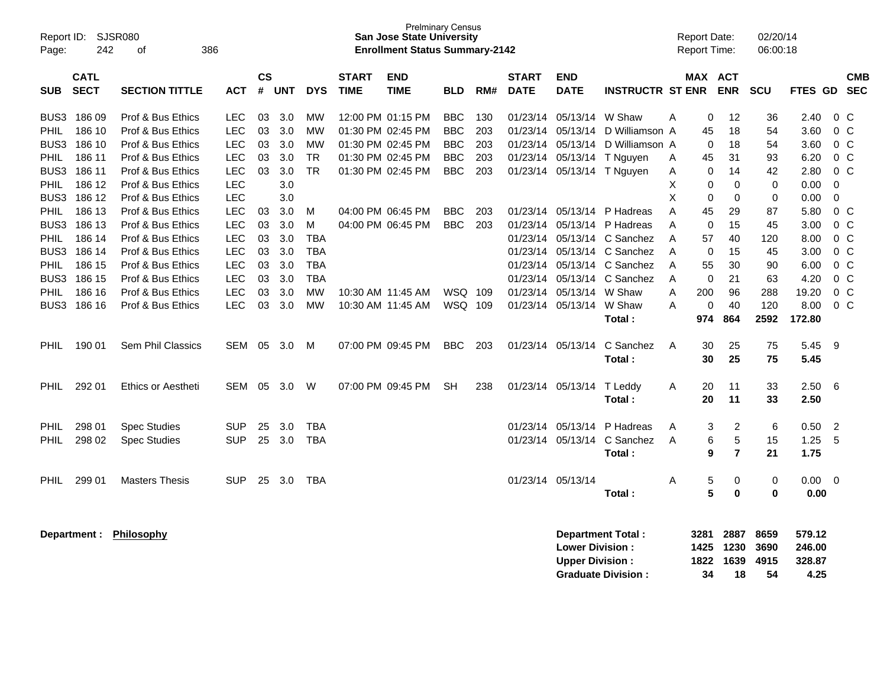| Page:                                                                                                | Report ID:<br>SJSR080<br>386<br>242<br>οf                                    |                                                                                                                                                                      |                                                                                         |                                              | <b>Prelminary Census</b><br><b>San Jose State University</b><br><b>Enrollment Status Summary-2142</b> |                                                                                   |                             |                                                                                                       |                                                                    |                                 |                                                          |                                                                                                 |                                                                                                                            | <b>Report Date:</b><br>Report Time:  |                                                            |                                                     | 02/20/14<br>06:00:18                                    |                                                                         |                                                                                                      |                          |
|------------------------------------------------------------------------------------------------------|------------------------------------------------------------------------------|----------------------------------------------------------------------------------------------------------------------------------------------------------------------|-----------------------------------------------------------------------------------------|----------------------------------------------|-------------------------------------------------------------------------------------------------------|-----------------------------------------------------------------------------------|-----------------------------|-------------------------------------------------------------------------------------------------------|--------------------------------------------------------------------|---------------------------------|----------------------------------------------------------|-------------------------------------------------------------------------------------------------|----------------------------------------------------------------------------------------------------------------------------|--------------------------------------|------------------------------------------------------------|-----------------------------------------------------|---------------------------------------------------------|-------------------------------------------------------------------------|------------------------------------------------------------------------------------------------------|--------------------------|
| <b>SUB</b>                                                                                           | <b>CATL</b><br><b>SECT</b>                                                   | <b>SECTION TITTLE</b>                                                                                                                                                | ACT                                                                                     | <b>CS</b><br>$\#$                            | <b>UNT</b>                                                                                            | <b>DYS</b>                                                                        | <b>START</b><br><b>TIME</b> | <b>END</b><br><b>TIME</b>                                                                             | <b>BLD</b>                                                         | RM#                             | <b>START</b><br><b>DATE</b>                              | <b>END</b><br><b>DATE</b>                                                                       | <b>INSTRUCTR ST ENR</b>                                                                                                    |                                      | MAX ACT                                                    | <b>ENR</b>                                          | <b>SCU</b>                                              | <b>FTES GD</b>                                                          |                                                                                                      | <b>CMB</b><br><b>SEC</b> |
| BUS3<br><b>PHIL</b><br>BUS3<br>PHIL<br>BUS3<br><b>PHIL</b><br>BUS <sub>3</sub>                       | 18609<br>186 10<br>186 10<br>186 11<br>186 11<br>186 12<br>186 12            | Prof & Bus Ethics<br>Prof & Bus Ethics<br>Prof & Bus Ethics<br>Prof & Bus Ethics<br>Prof & Bus Ethics<br>Prof & Bus Ethics<br>Prof & Bus Ethics                      | LEC<br>LEC<br><b>LEC</b><br><b>LEC</b><br>LEC<br><b>LEC</b><br>LEC                      | 03<br>03<br>03<br>03<br>03                   | 3.0<br>3.0<br>3.0<br>3.0<br>3.0<br>3.0<br>3.0                                                         | <b>MW</b><br><b>MW</b><br><b>MW</b><br><b>TR</b><br>TR                            |                             | 12:00 PM 01:15 PM<br>01:30 PM 02:45 PM<br>01:30 PM 02:45 PM<br>01:30 PM 02:45 PM<br>01:30 PM 02:45 PM | <b>BBC</b><br><b>BBC</b><br><b>BBC</b><br><b>BBC</b><br><b>BBC</b> | 130<br>203<br>203<br>203<br>203 | 01/23/14<br>01/23/14<br>01/23/14<br>01/23/14             | 05/13/14<br>05/13/14<br>05/13/14<br>05/13/14<br>01/23/14 05/13/14 T Nguyen                      | W Shaw<br>D Williamson A<br>D Williamson A<br>T Nguyen                                                                     | А<br>A<br>A<br>X<br>X                | 0<br>45<br>0<br>45<br>0<br>0<br>$\Omega$                   | 12<br>18<br>18<br>31<br>14<br>$\Omega$<br>$\Omega$  | 36<br>54<br>54<br>93<br>42<br>0<br>0                    | 2.40<br>3.60<br>3.60<br>6.20<br>2.80<br>0.00<br>0.00                    | $0\,C$<br>$0\,C$<br>$0\,C$<br>$0\,C$<br>0 <sup>o</sup><br>0<br>$\mathbf 0$                           |                          |
| <b>PHIL</b><br>BUS <sub>3</sub><br><b>PHIL</b><br>BUS3<br><b>PHIL</b><br>BUS3<br><b>PHIL</b><br>BUS3 | 186 13<br>186 13<br>186 14<br>186 14<br>186 15<br>186 15<br>186 16<br>186 16 | Prof & Bus Ethics<br>Prof & Bus Ethics<br>Prof & Bus Ethics<br>Prof & Bus Ethics<br>Prof & Bus Ethics<br>Prof & Bus Ethics<br>Prof & Bus Ethics<br>Prof & Bus Ethics | <b>LEC</b><br><b>LEC</b><br>LEC<br><b>LEC</b><br>LEC<br><b>LEC</b><br><b>LEC</b><br>LEC | 03<br>03<br>03<br>03<br>03<br>03<br>03<br>03 | 3.0<br>3.0<br>3.0<br>3.0<br>3.0<br>3.0<br>3.0<br>3.0                                                  | м<br>M<br><b>TBA</b><br><b>TBA</b><br><b>TBA</b><br><b>TBA</b><br><b>MW</b><br>МW |                             | 04:00 PM 06:45 PM<br>04:00 PM 06:45 PM<br>10:30 AM 11:45 AM<br>10:30 AM 11:45 AM                      | <b>BBC</b><br><b>BBC</b><br>WSQ.<br>WSQ 109                        | 203<br>203<br>109               | 01/23/14<br>01/23/14<br>01/23/14<br>01/23/14<br>01/23/14 | 05/13/14<br>05/13/14<br>01/23/14 05/13/14<br>05/13/14<br>01/23/14 05/13/14<br>01/23/14 05/13/14 | P Hadreas<br>P Hadreas<br>05/13/14 C Sanchez<br>05/13/14 C Sanchez<br>C Sanchez<br>C Sanchez<br>W Shaw<br>W Shaw<br>Total: | A<br>A<br>A<br>A<br>A<br>A<br>A<br>A | 45<br>0<br>57<br>$\mathbf 0$<br>55<br>0<br>200<br>0<br>974 | 29<br>15<br>40<br>15<br>30<br>21<br>96<br>40<br>864 | 87<br>45<br>120<br>45<br>90<br>63<br>288<br>120<br>2592 | 5.80<br>3.00<br>8.00<br>3.00<br>6.00<br>4.20<br>19.20<br>8.00<br>172.80 | $0\,C$<br>$0\,C$<br>$0\,C$<br>0 <sup>o</sup><br>0 <sup>o</sup><br>$0\,C$<br>0 <sup>o</sup><br>$0\,C$ |                          |
| <b>PHIL</b>                                                                                          | 190 01                                                                       | Sem Phil Classics                                                                                                                                                    | SEM                                                                                     | 05                                           | 3.0                                                                                                   | м                                                                                 |                             | 07:00 PM 09:45 PM                                                                                     | <b>BBC</b>                                                         | 203                             |                                                          | 01/23/14 05/13/14                                                                               | C Sanchez<br>Total:                                                                                                        | A                                    | 30<br>30                                                   | 25<br>25                                            | 75<br>75                                                | 5.45<br>5.45                                                            | -9                                                                                                   |                          |
| <b>PHIL</b>                                                                                          | 292 01                                                                       | Ethics or Aestheti                                                                                                                                                   | <b>SEM</b>                                                                              | 05                                           | 3.0                                                                                                   | W                                                                                 |                             | 07:00 PM 09:45 PM                                                                                     | <b>SH</b>                                                          | 238                             |                                                          | 01/23/14 05/13/14                                                                               | T Leddy<br>Total:                                                                                                          | Α                                    | 20<br>20                                                   | 11<br>11                                            | 33<br>33                                                | 2.50<br>2.50                                                            | 6                                                                                                    |                          |
| <b>PHIL</b><br>PHIL                                                                                  | 298 01<br>298 02                                                             | Spec Studies<br>Spec Studies                                                                                                                                         | <b>SUP</b><br><b>SUP</b>                                                                | 25<br>25                                     | 3.0<br>3.0                                                                                            | TBA<br><b>TBA</b>                                                                 |                             |                                                                                                       |                                                                    |                                 | 01/23/14                                                 | 05/13/14<br>01/23/14 05/13/14                                                                   | P Hadreas<br>C Sanchez<br>Total:                                                                                           | A<br>A                               | 3<br>6<br>9                                                | $\overline{\mathbf{c}}$<br>5<br>$\overline{7}$      | 6<br>15<br>21                                           | 0.50<br>1.25<br>1.75                                                    | $\overline{2}$<br>5                                                                                  |                          |
| PHIL                                                                                                 | 299 01                                                                       | <b>Masters Thesis</b>                                                                                                                                                | <b>SUP</b>                                                                              | 25                                           | 3.0                                                                                                   | <b>TBA</b>                                                                        |                             |                                                                                                       |                                                                    |                                 | 01/23/14 05/13/14                                        |                                                                                                 | Total:                                                                                                                     | Α                                    | 5<br>5                                                     | 0<br>$\bf{0}$                                       | $\pmb{0}$<br>$\mathbf 0$                                | $0.00\,$<br>0.00                                                        | 0                                                                                                    |                          |
|                                                                                                      | Department :                                                                 | <b>Philosophy</b>                                                                                                                                                    |                                                                                         |                                              |                                                                                                       |                                                                                   |                             |                                                                                                       |                                                                    |                                 |                                                          | <b>Lower Division:</b><br><b>Upper Division:</b>                                                | Department Total:<br><b>Graduate Division:</b>                                                                             |                                      | 3281<br>1425<br>1822<br>34                                 | 2887<br>1230<br>1639<br>18                          | 8659<br>3690<br>4915<br>54                              | 579.12<br>246.00<br>328.87<br>4.25                                      |                                                                                                      |                          |